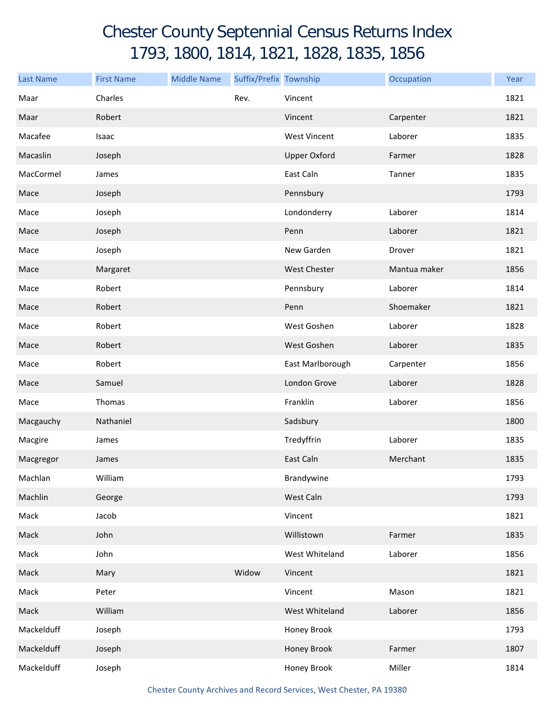## Chester County Septennial Census Returns Index 1793, 1800, 1814, 1821, 1828, 1835, 1856

| <b>Last Name</b> | <b>First Name</b> | <b>Middle Name</b> | Suffix/Prefix Township |                     | Occupation   | Year |
|------------------|-------------------|--------------------|------------------------|---------------------|--------------|------|
| Maar             | Charles           |                    | Rev.                   | Vincent             |              | 1821 |
| Maar             | Robert            |                    |                        | Vincent             | Carpenter    | 1821 |
| Macafee          | Isaac             |                    |                        | <b>West Vincent</b> | Laborer      | 1835 |
| Macaslin         | Joseph            |                    |                        | <b>Upper Oxford</b> | Farmer       | 1828 |
| MacCormel        | James             |                    |                        | East Caln           | Tanner       | 1835 |
| Mace             | Joseph            |                    |                        | Pennsbury           |              | 1793 |
| Mace             | Joseph            |                    |                        | Londonderry         | Laborer      | 1814 |
| Mace             | Joseph            |                    |                        | Penn                | Laborer      | 1821 |
| Mace             | Joseph            |                    |                        | New Garden          | Drover       | 1821 |
| Mace             | Margaret          |                    |                        | <b>West Chester</b> | Mantua maker | 1856 |
| Mace             | Robert            |                    |                        | Pennsbury           | Laborer      | 1814 |
| Mace             | Robert            |                    |                        | Penn                | Shoemaker    | 1821 |
| Mace             | Robert            |                    |                        | West Goshen         | Laborer      | 1828 |
| Mace             | Robert            |                    |                        | West Goshen         | Laborer      | 1835 |
| Mace             | Robert            |                    |                        | East Marlborough    | Carpenter    | 1856 |
| Mace             | Samuel            |                    |                        | London Grove        | Laborer      | 1828 |
| Mace             | Thomas            |                    |                        | Franklin            | Laborer      | 1856 |
| Macgauchy        | Nathaniel         |                    |                        | Sadsbury            |              | 1800 |
| Macgire          | James             |                    |                        | Tredyffrin          | Laborer      | 1835 |
| Macgregor        | James             |                    |                        | East Caln           | Merchant     | 1835 |
| Machlan          | William           |                    |                        | Brandywine          |              | 1793 |
| Machlin          | George            |                    |                        | West Caln           |              | 1793 |
| Mack             | Jacob             |                    |                        | Vincent             |              | 1821 |
| Mack             | John              |                    |                        | Willistown          | Farmer       | 1835 |
| Mack             | John              |                    |                        | West Whiteland      | Laborer      | 1856 |
| Mack             | Mary              |                    | Widow                  | Vincent             |              | 1821 |
| Mack             | Peter             |                    |                        | Vincent             | Mason        | 1821 |
| Mack             | William           |                    |                        | West Whiteland      | Laborer      | 1856 |
| Mackelduff       | Joseph            |                    |                        | Honey Brook         |              | 1793 |
| Mackelduff       | Joseph            |                    |                        | Honey Brook         | Farmer       | 1807 |
| Mackelduff       | Joseph            |                    |                        | Honey Brook         | Miller       | 1814 |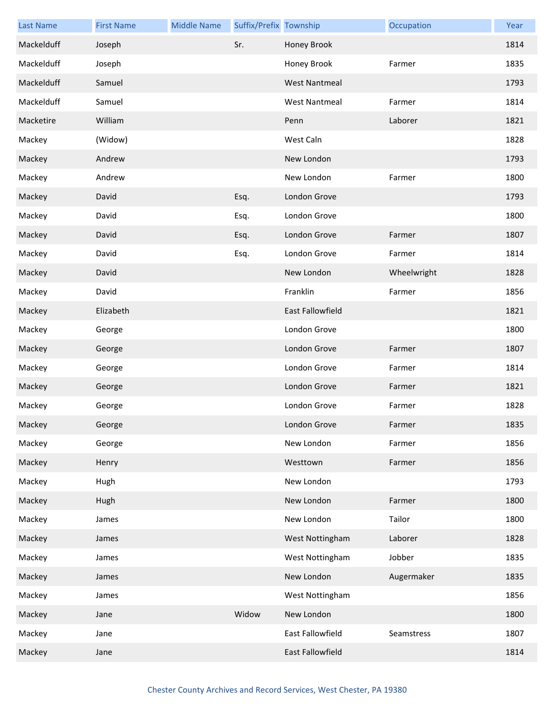| <b>Last Name</b> | <b>First Name</b> | <b>Middle Name</b> | Suffix/Prefix Township |                         | Occupation  | Year |
|------------------|-------------------|--------------------|------------------------|-------------------------|-------------|------|
| Mackelduff       | Joseph            |                    | Sr.                    | Honey Brook             |             | 1814 |
| Mackelduff       | Joseph            |                    |                        | Honey Brook             | Farmer      | 1835 |
| Mackelduff       | Samuel            |                    |                        | <b>West Nantmeal</b>    |             | 1793 |
| Mackelduff       | Samuel            |                    |                        | <b>West Nantmeal</b>    | Farmer      | 1814 |
| Macketire        | William           |                    |                        | Penn                    | Laborer     | 1821 |
| Mackey           | (Widow)           |                    |                        | West Caln               |             | 1828 |
| Mackey           | Andrew            |                    |                        | New London              |             | 1793 |
| Mackey           | Andrew            |                    |                        | New London              | Farmer      | 1800 |
| Mackey           | David             |                    | Esq.                   | London Grove            |             | 1793 |
| Mackey           | David             |                    | Esq.                   | London Grove            |             | 1800 |
| Mackey           | David             |                    | Esq.                   | London Grove            | Farmer      | 1807 |
| Mackey           | David             |                    | Esq.                   | London Grove            | Farmer      | 1814 |
| Mackey           | David             |                    |                        | New London              | Wheelwright | 1828 |
| Mackey           | David             |                    |                        | Franklin                | Farmer      | 1856 |
| Mackey           | Elizabeth         |                    |                        | <b>East Fallowfield</b> |             | 1821 |
| Mackey           | George            |                    |                        | London Grove            |             | 1800 |
| Mackey           | George            |                    |                        | London Grove            | Farmer      | 1807 |
| Mackey           | George            |                    |                        | London Grove            | Farmer      | 1814 |
| Mackey           | George            |                    |                        | London Grove            | Farmer      | 1821 |
| Mackey           | George            |                    |                        | London Grove            | Farmer      | 1828 |
| Mackey           | George            |                    |                        | London Grove            | Farmer      | 1835 |
| Mackey           | George            |                    |                        | New London              | Farmer      | 1856 |
| Mackey           | Henry             |                    |                        | Westtown                | Farmer      | 1856 |
| Mackey           | Hugh              |                    |                        | New London              |             | 1793 |
| Mackey           | Hugh              |                    |                        | New London              | Farmer      | 1800 |
| Mackey           | James             |                    |                        | New London              | Tailor      | 1800 |
| Mackey           | James             |                    |                        | West Nottingham         | Laborer     | 1828 |
| Mackey           | James             |                    |                        | West Nottingham         | Jobber      | 1835 |
| Mackey           | James             |                    |                        | New London              | Augermaker  | 1835 |
| Mackey           | James             |                    |                        | West Nottingham         |             | 1856 |
| Mackey           | Jane              |                    | Widow                  | New London              |             | 1800 |
| Mackey           | Jane              |                    |                        | East Fallowfield        | Seamstress  | 1807 |
| Mackey           | Jane              |                    |                        | East Fallowfield        |             | 1814 |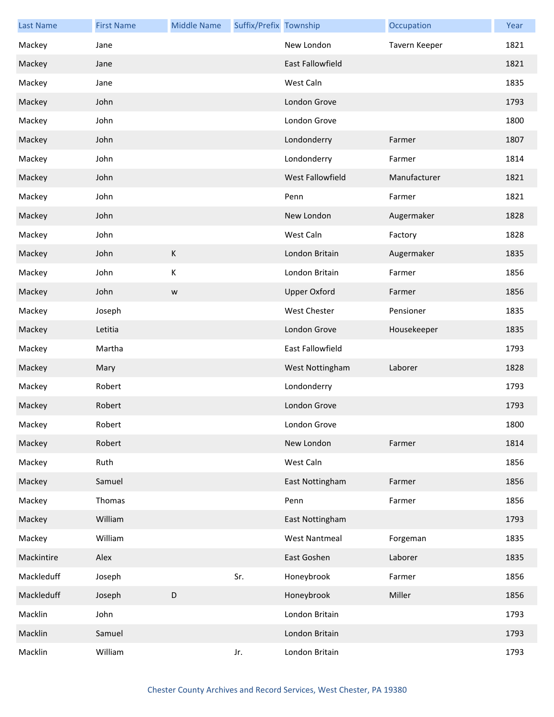| <b>Last Name</b> | <b>First Name</b> | <b>Middle Name</b> | Suffix/Prefix Township |                         | Occupation    | Year |
|------------------|-------------------|--------------------|------------------------|-------------------------|---------------|------|
| Mackey           | Jane              |                    |                        | New London              | Tavern Keeper | 1821 |
| Mackey           | Jane              |                    |                        | <b>East Fallowfield</b> |               | 1821 |
| Mackey           | Jane              |                    |                        | West Caln               |               | 1835 |
| Mackey           | John              |                    |                        | London Grove            |               | 1793 |
| Mackey           | John              |                    |                        | London Grove            |               | 1800 |
| Mackey           | John              |                    |                        | Londonderry             | Farmer        | 1807 |
| Mackey           | John              |                    |                        | Londonderry             | Farmer        | 1814 |
| Mackey           | John              |                    |                        | <b>West Fallowfield</b> | Manufacturer  | 1821 |
| Mackey           | John              |                    |                        | Penn                    | Farmer        | 1821 |
| Mackey           | John              |                    |                        | New London              | Augermaker    | 1828 |
| Mackey           | John              |                    |                        | West Caln               | Factory       | 1828 |
| Mackey           | John              | $\mathsf K$        |                        | London Britain          | Augermaker    | 1835 |
| Mackey           | John              | К                  |                        | London Britain          | Farmer        | 1856 |
| Mackey           | John              | W                  |                        | <b>Upper Oxford</b>     | Farmer        | 1856 |
| Mackey           | Joseph            |                    |                        | West Chester            | Pensioner     | 1835 |
| Mackey           | Letitia           |                    |                        | London Grove            | Housekeeper   | 1835 |
| Mackey           | Martha            |                    |                        | East Fallowfield        |               | 1793 |
| Mackey           | Mary              |                    |                        | West Nottingham         | Laborer       | 1828 |
| Mackey           | Robert            |                    |                        | Londonderry             |               | 1793 |
| Mackey           | Robert            |                    |                        | London Grove            |               | 1793 |
| Mackey           | Robert            |                    |                        | London Grove            |               | 1800 |
| Mackey           | Robert            |                    |                        | New London              | Farmer        | 1814 |
| Mackey           | Ruth              |                    |                        | West Caln               |               | 1856 |
| Mackey           | Samuel            |                    |                        | East Nottingham         | Farmer        | 1856 |
| Mackey           | Thomas            |                    |                        | Penn                    | Farmer        | 1856 |
| Mackey           | William           |                    |                        | East Nottingham         |               | 1793 |
| Mackey           | William           |                    |                        | <b>West Nantmeal</b>    | Forgeman      | 1835 |
| Mackintire       | Alex              |                    |                        | East Goshen             | Laborer       | 1835 |
| Mackleduff       | Joseph            |                    | Sr.                    | Honeybrook              | Farmer        | 1856 |
| Mackleduff       | Joseph            | D                  |                        | Honeybrook              | Miller        | 1856 |
| Macklin          | John              |                    |                        | London Britain          |               | 1793 |
| Macklin          | Samuel            |                    |                        | London Britain          |               | 1793 |
| Macklin          | William           |                    | Jr.                    | London Britain          |               | 1793 |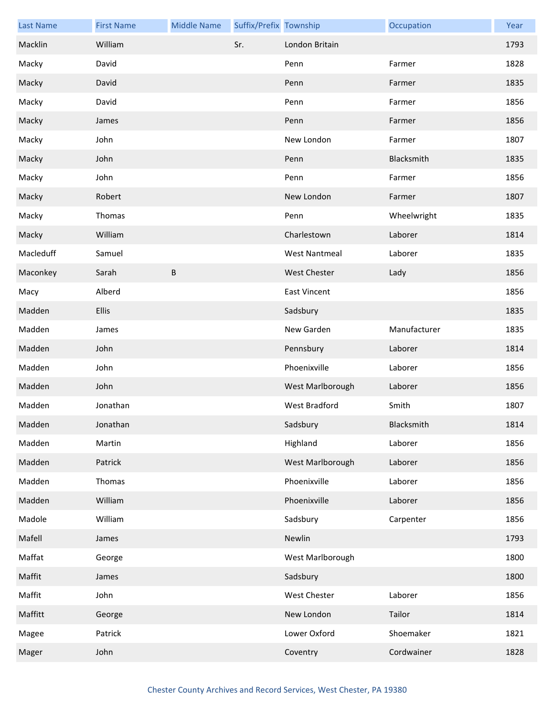| <b>Last Name</b> | <b>First Name</b> | <b>Middle Name</b> | Suffix/Prefix Township |                      | Occupation   | Year |
|------------------|-------------------|--------------------|------------------------|----------------------|--------------|------|
| Macklin          | William           |                    | Sr.                    | London Britain       |              | 1793 |
| Macky            | David             |                    |                        | Penn                 | Farmer       | 1828 |
| Macky            | David             |                    |                        | Penn                 | Farmer       | 1835 |
| Macky            | David             |                    |                        | Penn                 | Farmer       | 1856 |
| Macky            | James             |                    |                        | Penn                 | Farmer       | 1856 |
| Macky            | John              |                    |                        | New London           | Farmer       | 1807 |
| Macky            | John              |                    |                        | Penn                 | Blacksmith   | 1835 |
| Macky            | John              |                    |                        | Penn                 | Farmer       | 1856 |
| Macky            | Robert            |                    |                        | New London           | Farmer       | 1807 |
| Macky            | Thomas            |                    |                        | Penn                 | Wheelwright  | 1835 |
| Macky            | William           |                    |                        | Charlestown          | Laborer      | 1814 |
| Macleduff        | Samuel            |                    |                        | <b>West Nantmeal</b> | Laborer      | 1835 |
| Maconkey         | Sarah             | B                  |                        | <b>West Chester</b>  | Lady         | 1856 |
| Macy             | Alberd            |                    |                        | <b>East Vincent</b>  |              | 1856 |
| Madden           | Ellis             |                    |                        | Sadsbury             |              | 1835 |
| Madden           | James             |                    |                        | New Garden           | Manufacturer | 1835 |
| Madden           | John              |                    |                        | Pennsbury            | Laborer      | 1814 |
| Madden           | John              |                    |                        | Phoenixville         | Laborer      | 1856 |
| Madden           | John              |                    |                        | West Marlborough     | Laborer      | 1856 |
| Madden           | Jonathan          |                    |                        | <b>West Bradford</b> | Smith        | 1807 |
| Madden           | Jonathan          |                    |                        | Sadsbury             | Blacksmith   | 1814 |
| Madden           | Martin            |                    |                        | Highland             | Laborer      | 1856 |
| Madden           | Patrick           |                    |                        | West Marlborough     | Laborer      | 1856 |
| Madden           | Thomas            |                    |                        | Phoenixville         | Laborer      | 1856 |
| Madden           | William           |                    |                        | Phoenixville         | Laborer      | 1856 |
| Madole           | William           |                    |                        | Sadsbury             | Carpenter    | 1856 |
| Mafell           | James             |                    |                        | Newlin               |              | 1793 |
| Maffat           | George            |                    |                        | West Marlborough     |              | 1800 |
| Maffit           | James             |                    |                        | Sadsbury             |              | 1800 |
| Maffit           | John              |                    |                        | <b>West Chester</b>  | Laborer      | 1856 |
| Maffitt          | George            |                    |                        | New London           | Tailor       | 1814 |
| Magee            | Patrick           |                    |                        | Lower Oxford         | Shoemaker    | 1821 |
| Mager            | John              |                    |                        | Coventry             | Cordwainer   | 1828 |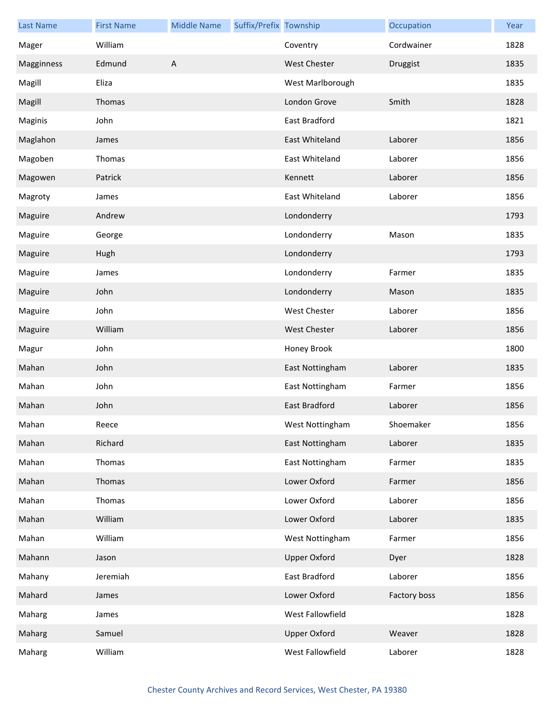| <b>Last Name</b> | <b>First Name</b> | <b>Middle Name</b> | Suffix/Prefix Township |                     | Occupation   | Year |
|------------------|-------------------|--------------------|------------------------|---------------------|--------------|------|
| Mager            | William           |                    |                        | Coventry            | Cordwainer   | 1828 |
| Magginness       | Edmund            | $\overline{A}$     |                        | <b>West Chester</b> | Druggist     | 1835 |
| Magill           | Eliza             |                    |                        | West Marlborough    |              | 1835 |
| Magill           | Thomas            |                    |                        | London Grove        | Smith        | 1828 |
| Maginis          | John              |                    |                        | East Bradford       |              | 1821 |
| Maglahon         | James             |                    |                        | East Whiteland      | Laborer      | 1856 |
| Magoben          | Thomas            |                    |                        | East Whiteland      | Laborer      | 1856 |
| Magowen          | Patrick           |                    |                        | Kennett             | Laborer      | 1856 |
| Magroty          | James             |                    |                        | East Whiteland      | Laborer      | 1856 |
| Maguire          | Andrew            |                    |                        | Londonderry         |              | 1793 |
| Maguire          | George            |                    |                        | Londonderry         | Mason        | 1835 |
| Maguire          | Hugh              |                    |                        | Londonderry         |              | 1793 |
| Maguire          | James             |                    |                        | Londonderry         | Farmer       | 1835 |
| Maguire          | John              |                    |                        | Londonderry         | Mason        | 1835 |
| Maguire          | John              |                    |                        | West Chester        | Laborer      | 1856 |
| Maguire          | William           |                    |                        | <b>West Chester</b> | Laborer      | 1856 |
| Magur            | John              |                    |                        | Honey Brook         |              | 1800 |
| Mahan            | John              |                    |                        | East Nottingham     | Laborer      | 1835 |
| Mahan            | John              |                    |                        | East Nottingham     | Farmer       | 1856 |
| Mahan            | John              |                    |                        | East Bradford       | Laborer      | 1856 |
| Mahan            | Reece             |                    |                        | West Nottingham     | Shoemaker    | 1856 |
| Mahan            | Richard           |                    |                        | East Nottingham     | Laborer      | 1835 |
| Mahan            | Thomas            |                    |                        | East Nottingham     | Farmer       | 1835 |
| Mahan            | Thomas            |                    |                        | Lower Oxford        | Farmer       | 1856 |
| Mahan            | Thomas            |                    |                        | Lower Oxford        | Laborer      | 1856 |
| Mahan            | William           |                    |                        | Lower Oxford        | Laborer      | 1835 |
| Mahan            | William           |                    |                        | West Nottingham     | Farmer       | 1856 |
| Mahann           | Jason             |                    |                        | <b>Upper Oxford</b> | Dyer         | 1828 |
| Mahany           | Jeremiah          |                    |                        | East Bradford       | Laborer      | 1856 |
| Mahard           | James             |                    |                        | Lower Oxford        | Factory boss | 1856 |
| Maharg           | James             |                    |                        | West Fallowfield    |              | 1828 |
| Maharg           | Samuel            |                    |                        | <b>Upper Oxford</b> | Weaver       | 1828 |
| Maharg           | William           |                    |                        | West Fallowfield    | Laborer      | 1828 |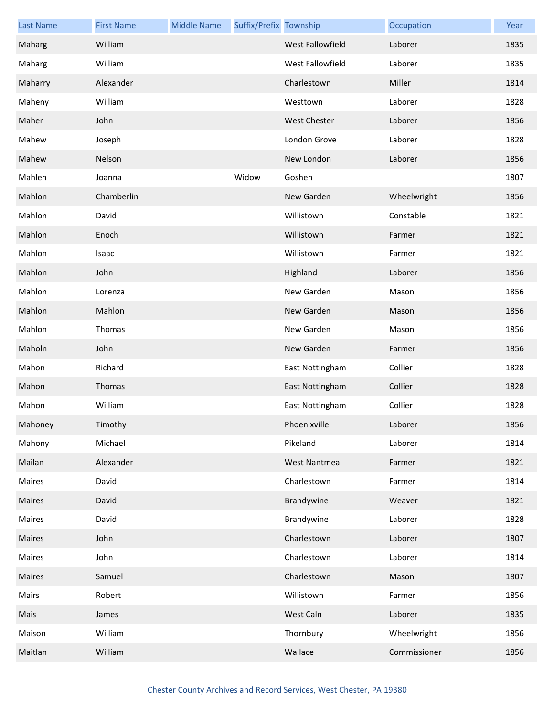| <b>Last Name</b> | <b>First Name</b> | <b>Middle Name</b> | Suffix/Prefix Township |                      | Occupation   | Year |
|------------------|-------------------|--------------------|------------------------|----------------------|--------------|------|
| Maharg           | William           |                    |                        | West Fallowfield     | Laborer      | 1835 |
| Maharg           | William           |                    |                        | West Fallowfield     | Laborer      | 1835 |
| Maharry          | Alexander         |                    |                        | Charlestown          | Miller       | 1814 |
| Maheny           | William           |                    |                        | Westtown             | Laborer      | 1828 |
| Maher            | John              |                    |                        | <b>West Chester</b>  | Laborer      | 1856 |
| Mahew            | Joseph            |                    |                        | London Grove         | Laborer      | 1828 |
| Mahew            | Nelson            |                    |                        | New London           | Laborer      | 1856 |
| Mahlen           | Joanna            |                    | Widow                  | Goshen               |              | 1807 |
| Mahlon           | Chamberlin        |                    |                        | New Garden           | Wheelwright  | 1856 |
| Mahlon           | David             |                    |                        | Willistown           | Constable    | 1821 |
| Mahlon           | Enoch             |                    |                        | Willistown           | Farmer       | 1821 |
| Mahlon           | Isaac             |                    |                        | Willistown           | Farmer       | 1821 |
| Mahlon           | John              |                    |                        | Highland             | Laborer      | 1856 |
| Mahlon           | Lorenza           |                    |                        | New Garden           | Mason        | 1856 |
| Mahlon           | Mahlon            |                    |                        | New Garden           | Mason        | 1856 |
| Mahlon           | Thomas            |                    |                        | New Garden           | Mason        | 1856 |
| Maholn           | John              |                    |                        | New Garden           | Farmer       | 1856 |
| Mahon            | Richard           |                    |                        | East Nottingham      | Collier      | 1828 |
| Mahon            | Thomas            |                    |                        | East Nottingham      | Collier      | 1828 |
| Mahon            | William           |                    |                        | East Nottingham      | Collier      | 1828 |
| Mahoney          | Timothy           |                    |                        | Phoenixville         | Laborer      | 1856 |
| Mahony           | Michael           |                    |                        | Pikeland             | Laborer      | 1814 |
| Mailan           | Alexander         |                    |                        | <b>West Nantmeal</b> | Farmer       | 1821 |
| Maires           | David             |                    |                        | Charlestown          | Farmer       | 1814 |
| Maires           | David             |                    |                        | Brandywine           | Weaver       | 1821 |
| Maires           | David             |                    |                        | Brandywine           | Laborer      | 1828 |
| Maires           | John              |                    |                        | Charlestown          | Laborer      | 1807 |
| Maires           | John              |                    |                        | Charlestown          | Laborer      | 1814 |
| Maires           | Samuel            |                    |                        | Charlestown          | Mason        | 1807 |
| Mairs            | Robert            |                    |                        | Willistown           | Farmer       | 1856 |
| Mais             | James             |                    |                        | West Caln            | Laborer      | 1835 |
| Maison           | William           |                    |                        | Thornbury            | Wheelwright  | 1856 |
| Maitlan          | William           |                    |                        | Wallace              | Commissioner | 1856 |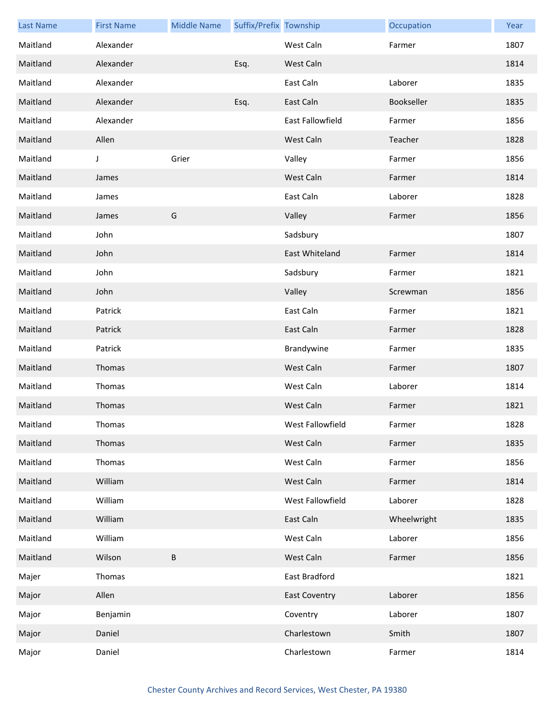| <b>Last Name</b> | <b>First Name</b> | <b>Middle Name</b> | Suffix/Prefix Township |                      | Occupation  | Year |
|------------------|-------------------|--------------------|------------------------|----------------------|-------------|------|
| Maitland         | Alexander         |                    |                        | West Caln            | Farmer      | 1807 |
| Maitland         | Alexander         |                    | Esq.                   | West Caln            |             | 1814 |
| Maitland         | Alexander         |                    |                        | East Caln            | Laborer     | 1835 |
| Maitland         | Alexander         |                    | Esq.                   | East Caln            | Bookseller  | 1835 |
| Maitland         | Alexander         |                    |                        | East Fallowfield     | Farmer      | 1856 |
| Maitland         | Allen             |                    |                        | West Caln            | Teacher     | 1828 |
| Maitland         | J                 | Grier              |                        | Valley               | Farmer      | 1856 |
| Maitland         | James             |                    |                        | West Caln            | Farmer      | 1814 |
| Maitland         | James             |                    |                        | East Caln            | Laborer     | 1828 |
| Maitland         | James             | G                  |                        | Valley               | Farmer      | 1856 |
| Maitland         | John              |                    |                        | Sadsbury             |             | 1807 |
| Maitland         | John              |                    |                        | East Whiteland       | Farmer      | 1814 |
| Maitland         | John              |                    |                        | Sadsbury             | Farmer      | 1821 |
| Maitland         | John              |                    |                        | Valley               | Screwman    | 1856 |
| Maitland         | Patrick           |                    |                        | East Caln            | Farmer      | 1821 |
| Maitland         | Patrick           |                    |                        | East Caln            | Farmer      | 1828 |
| Maitland         | Patrick           |                    |                        | Brandywine           | Farmer      | 1835 |
| Maitland         | Thomas            |                    |                        | West Caln            | Farmer      | 1807 |
| Maitland         | Thomas            |                    |                        | West Caln            | Laborer     | 1814 |
| Maitland         | Thomas            |                    |                        | West Caln            | Farmer      | 1821 |
| Maitland         | Thomas            |                    |                        | West Fallowfield     | Farmer      | 1828 |
| Maitland         | Thomas            |                    |                        | West Caln            | Farmer      | 1835 |
| Maitland         | Thomas            |                    |                        | West Caln            | Farmer      | 1856 |
| Maitland         | William           |                    |                        | West Caln            | Farmer      | 1814 |
| Maitland         | William           |                    |                        | West Fallowfield     | Laborer     | 1828 |
| Maitland         | William           |                    |                        | East Caln            | Wheelwright | 1835 |
| Maitland         | William           |                    |                        | West Caln            | Laborer     | 1856 |
| Maitland         | Wilson            | В                  |                        | West Caln            | Farmer      | 1856 |
| Majer            | Thomas            |                    |                        | East Bradford        |             | 1821 |
| Major            | Allen             |                    |                        | <b>East Coventry</b> | Laborer     | 1856 |
| Major            | Benjamin          |                    |                        | Coventry             | Laborer     | 1807 |
| Major            | Daniel            |                    |                        | Charlestown          | Smith       | 1807 |
| Major            | Daniel            |                    |                        | Charlestown          | Farmer      | 1814 |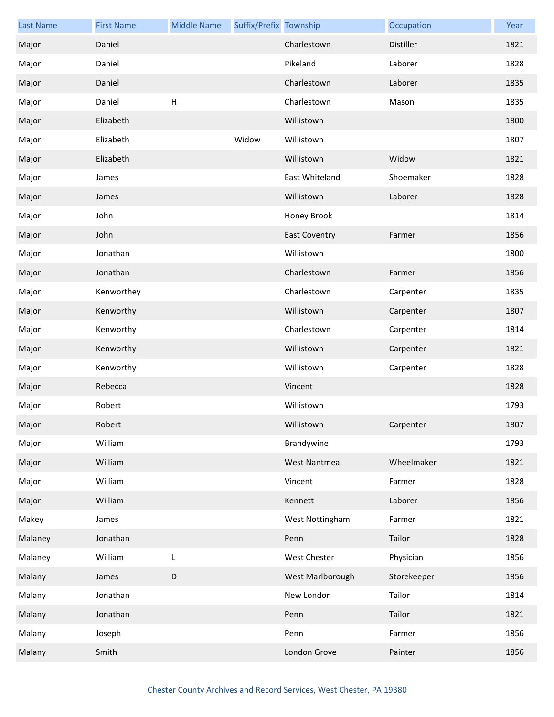| <b>Last Name</b> | <b>First Name</b> | <b>Middle Name</b> | Suffix/Prefix Township |                      | Occupation  | Year |
|------------------|-------------------|--------------------|------------------------|----------------------|-------------|------|
| Major            | Daniel            |                    |                        | Charlestown          | Distiller   | 1821 |
| Major            | Daniel            |                    |                        | Pikeland             | Laborer     | 1828 |
| Major            | Daniel            |                    |                        | Charlestown          | Laborer     | 1835 |
| Major            | Daniel            | $\mathsf{H}%$      |                        | Charlestown          | Mason       | 1835 |
| Major            | Elizabeth         |                    |                        | Willistown           |             | 1800 |
| Major            | Elizabeth         |                    | Widow                  | Willistown           |             | 1807 |
| Major            | Elizabeth         |                    |                        | Willistown           | Widow       | 1821 |
| Major            | James             |                    |                        | East Whiteland       | Shoemaker   | 1828 |
| Major            | James             |                    |                        | Willistown           | Laborer     | 1828 |
| Major            | John              |                    |                        | Honey Brook          |             | 1814 |
| Major            | John              |                    |                        | <b>East Coventry</b> | Farmer      | 1856 |
| Major            | Jonathan          |                    |                        | Willistown           |             | 1800 |
| Major            | Jonathan          |                    |                        | Charlestown          | Farmer      | 1856 |
| Major            | Kenworthey        |                    |                        | Charlestown          | Carpenter   | 1835 |
| Major            | Kenworthy         |                    |                        | Willistown           | Carpenter   | 1807 |
| Major            | Kenworthy         |                    |                        | Charlestown          | Carpenter   | 1814 |
| Major            | Kenworthy         |                    |                        | Willistown           | Carpenter   | 1821 |
| Major            | Kenworthy         |                    |                        | Willistown           | Carpenter   | 1828 |
| Major            | Rebecca           |                    |                        | Vincent              |             | 1828 |
| Major            | Robert            |                    |                        | Willistown           |             | 1793 |
| Major            | Robert            |                    |                        | Willistown           | Carpenter   | 1807 |
| Major            | William           |                    |                        | Brandywine           |             | 1793 |
| Major            | William           |                    |                        | <b>West Nantmeal</b> | Wheelmaker  | 1821 |
| Major            | William           |                    |                        | Vincent              | Farmer      | 1828 |
| Major            | William           |                    |                        | Kennett              | Laborer     | 1856 |
| Makey            | James             |                    |                        | West Nottingham      | Farmer      | 1821 |
| Malaney          | Jonathan          |                    |                        | Penn                 | Tailor      | 1828 |
| Malaney          | William           | L                  |                        | <b>West Chester</b>  | Physician   | 1856 |
| Malany           | James             | $\mathsf D$        |                        | West Marlborough     | Storekeeper | 1856 |
| Malany           | Jonathan          |                    |                        | New London           | Tailor      | 1814 |
| Malany           | Jonathan          |                    |                        | Penn                 | Tailor      | 1821 |
| Malany           | Joseph            |                    |                        | Penn                 | Farmer      | 1856 |
| Malany           | Smith             |                    |                        | London Grove         | Painter     | 1856 |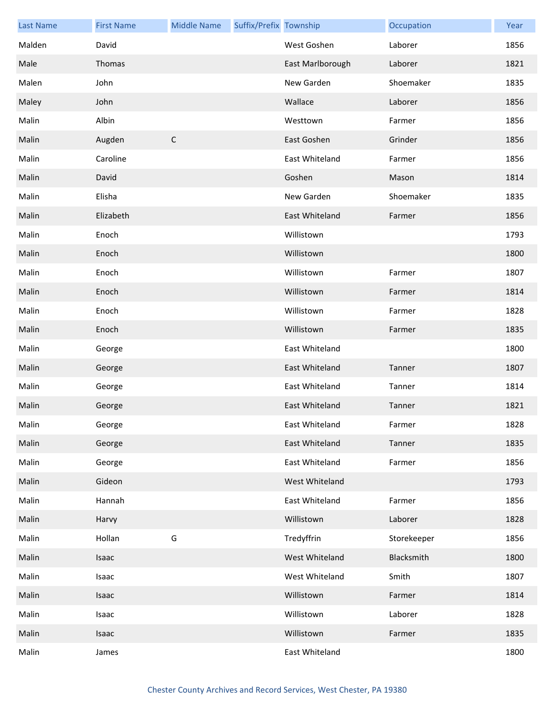| <b>Last Name</b> | <b>First Name</b> | <b>Middle Name</b> | Suffix/Prefix Township |                  | Occupation  | Year |
|------------------|-------------------|--------------------|------------------------|------------------|-------------|------|
| Malden           | David             |                    |                        | West Goshen      | Laborer     | 1856 |
| Male             | Thomas            |                    |                        | East Marlborough | Laborer     | 1821 |
| Malen            | John              |                    |                        | New Garden       | Shoemaker   | 1835 |
| Maley            | John              |                    |                        | Wallace          | Laborer     | 1856 |
| Malin            | Albin             |                    |                        | Westtown         | Farmer      | 1856 |
| Malin            | Augden            | $\mathsf C$        |                        | East Goshen      | Grinder     | 1856 |
| Malin            | Caroline          |                    |                        | East Whiteland   | Farmer      | 1856 |
| Malin            | David             |                    |                        | Goshen           | Mason       | 1814 |
| Malin            | Elisha            |                    |                        | New Garden       | Shoemaker   | 1835 |
| Malin            | Elizabeth         |                    |                        | East Whiteland   | Farmer      | 1856 |
| Malin            | Enoch             |                    |                        | Willistown       |             | 1793 |
| Malin            | Enoch             |                    |                        | Willistown       |             | 1800 |
| Malin            | Enoch             |                    |                        | Willistown       | Farmer      | 1807 |
| Malin            | Enoch             |                    |                        | Willistown       | Farmer      | 1814 |
| Malin            | Enoch             |                    |                        | Willistown       | Farmer      | 1828 |
| Malin            | Enoch             |                    |                        | Willistown       | Farmer      | 1835 |
| Malin            | George            |                    |                        | East Whiteland   |             | 1800 |
| Malin            | George            |                    |                        | East Whiteland   | Tanner      | 1807 |
| Malin            | George            |                    |                        | East Whiteland   | Tanner      | 1814 |
| Malin            | George            |                    |                        | East Whiteland   | Tanner      | 1821 |
| Malin            | George            |                    |                        | East Whiteland   | Farmer      | 1828 |
| Malin            | George            |                    |                        | East Whiteland   | Tanner      | 1835 |
| Malin            | George            |                    |                        | East Whiteland   | Farmer      | 1856 |
| Malin            | Gideon            |                    |                        | West Whiteland   |             | 1793 |
| Malin            | Hannah            |                    |                        | East Whiteland   | Farmer      | 1856 |
| Malin            | Harvy             |                    |                        | Willistown       | Laborer     | 1828 |
| Malin            | Hollan            | G                  |                        | Tredyffrin       | Storekeeper | 1856 |
| Malin            | Isaac             |                    |                        | West Whiteland   | Blacksmith  | 1800 |
| Malin            | Isaac             |                    |                        | West Whiteland   | Smith       | 1807 |
| Malin            | Isaac             |                    |                        | Willistown       | Farmer      | 1814 |
| Malin            | Isaac             |                    |                        | Willistown       | Laborer     | 1828 |
| Malin            | Isaac             |                    |                        | Willistown       | Farmer      | 1835 |
| Malin            | James             |                    |                        | East Whiteland   |             | 1800 |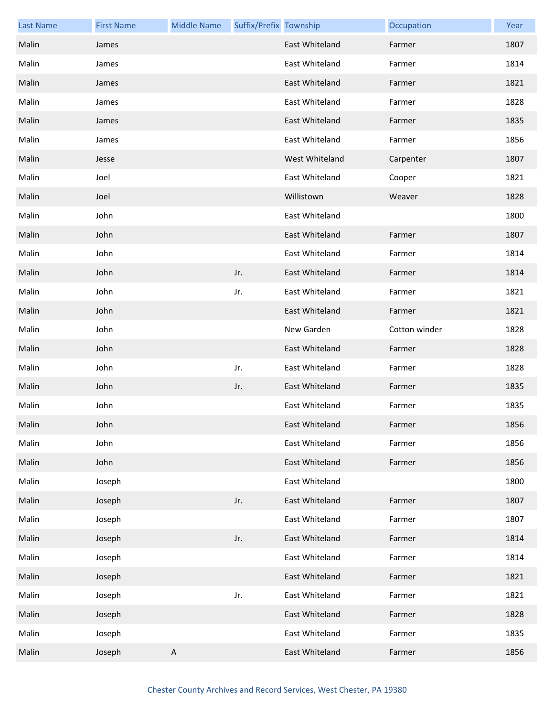| <b>Last Name</b> | <b>First Name</b> | <b>Middle Name</b> | Suffix/Prefix Township |                | Occupation    | Year |
|------------------|-------------------|--------------------|------------------------|----------------|---------------|------|
| Malin            | James             |                    |                        | East Whiteland | Farmer        | 1807 |
| Malin            | James             |                    |                        | East Whiteland | Farmer        | 1814 |
| Malin            | James             |                    |                        | East Whiteland | Farmer        | 1821 |
| Malin            | James             |                    |                        | East Whiteland | Farmer        | 1828 |
| Malin            | James             |                    |                        | East Whiteland | Farmer        | 1835 |
| Malin            | James             |                    |                        | East Whiteland | Farmer        | 1856 |
| Malin            | Jesse             |                    |                        | West Whiteland | Carpenter     | 1807 |
| Malin            | Joel              |                    |                        | East Whiteland | Cooper        | 1821 |
| Malin            | Joel              |                    |                        | Willistown     | Weaver        | 1828 |
| Malin            | John              |                    |                        | East Whiteland |               | 1800 |
| Malin            | John              |                    |                        | East Whiteland | Farmer        | 1807 |
| Malin            | John              |                    |                        | East Whiteland | Farmer        | 1814 |
| Malin            | John              |                    | Jr.                    | East Whiteland | Farmer        | 1814 |
| Malin            | John              |                    | Jr.                    | East Whiteland | Farmer        | 1821 |
| Malin            | John              |                    |                        | East Whiteland | Farmer        | 1821 |
| Malin            | John              |                    |                        | New Garden     | Cotton winder | 1828 |
| Malin            | John              |                    |                        | East Whiteland | Farmer        | 1828 |
| Malin            | John              |                    | Jr.                    | East Whiteland | Farmer        | 1828 |
| Malin            | John              |                    | Jr.                    | East Whiteland | Farmer        | 1835 |
| Malin            | John              |                    |                        | East Whiteland | Farmer        | 1835 |
| Malin            | John              |                    |                        | East Whiteland | Farmer        | 1856 |
| Malin            | John              |                    |                        | East Whiteland | Farmer        | 1856 |
| Malin            | John              |                    |                        | East Whiteland | Farmer        | 1856 |
| Malin            | Joseph            |                    |                        | East Whiteland |               | 1800 |
| Malin            | Joseph            |                    | Jr.                    | East Whiteland | Farmer        | 1807 |
| Malin            | Joseph            |                    |                        | East Whiteland | Farmer        | 1807 |
| Malin            | Joseph            |                    | Jr.                    | East Whiteland | Farmer        | 1814 |
| Malin            | Joseph            |                    |                        | East Whiteland | Farmer        | 1814 |
| Malin            | Joseph            |                    |                        | East Whiteland | Farmer        | 1821 |
| Malin            | Joseph            |                    | Jr.                    | East Whiteland | Farmer        | 1821 |
| Malin            | Joseph            |                    |                        | East Whiteland | Farmer        | 1828 |
| Malin            | Joseph            |                    |                        | East Whiteland | Farmer        | 1835 |
| Malin            | Joseph            | $\mathsf A$        |                        | East Whiteland | Farmer        | 1856 |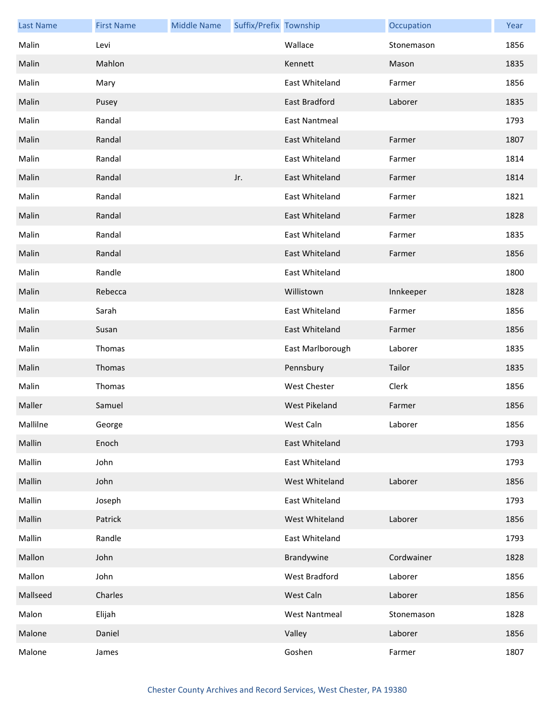| <b>Last Name</b> | <b>First Name</b> | <b>Middle Name</b> | Suffix/Prefix Township |                      | Occupation | Year |
|------------------|-------------------|--------------------|------------------------|----------------------|------------|------|
| Malin            | Levi              |                    |                        | Wallace              | Stonemason | 1856 |
| Malin            | Mahlon            |                    |                        | Kennett              | Mason      | 1835 |
| Malin            | Mary              |                    |                        | East Whiteland       | Farmer     | 1856 |
| Malin            | Pusey             |                    |                        | East Bradford        | Laborer    | 1835 |
| Malin            | Randal            |                    |                        | <b>East Nantmeal</b> |            | 1793 |
| Malin            | Randal            |                    |                        | East Whiteland       | Farmer     | 1807 |
| Malin            | Randal            |                    |                        | East Whiteland       | Farmer     | 1814 |
| Malin            | Randal            |                    | Jr.                    | East Whiteland       | Farmer     | 1814 |
| Malin            | Randal            |                    |                        | East Whiteland       | Farmer     | 1821 |
| Malin            | Randal            |                    |                        | East Whiteland       | Farmer     | 1828 |
| Malin            | Randal            |                    |                        | East Whiteland       | Farmer     | 1835 |
| Malin            | Randal            |                    |                        | East Whiteland       | Farmer     | 1856 |
| Malin            | Randle            |                    |                        | East Whiteland       |            | 1800 |
| Malin            | Rebecca           |                    |                        | Willistown           | Innkeeper  | 1828 |
| Malin            | Sarah             |                    |                        | East Whiteland       | Farmer     | 1856 |
| Malin            | Susan             |                    |                        | East Whiteland       | Farmer     | 1856 |
| Malin            | Thomas            |                    |                        | East Marlborough     | Laborer    | 1835 |
| Malin            | Thomas            |                    |                        | Pennsbury            | Tailor     | 1835 |
| Malin            | Thomas            |                    |                        | <b>West Chester</b>  | Clerk      | 1856 |
| Maller           | Samuel            |                    |                        | West Pikeland        | Farmer     | 1856 |
| Mallilne         | George            |                    |                        | West Caln            | Laborer    | 1856 |
| Mallin           | Enoch             |                    |                        | East Whiteland       |            | 1793 |
| Mallin           | John              |                    |                        | East Whiteland       |            | 1793 |
| Mallin           | John              |                    |                        | West Whiteland       | Laborer    | 1856 |
| Mallin           | Joseph            |                    |                        | East Whiteland       |            | 1793 |
| Mallin           | Patrick           |                    |                        | West Whiteland       | Laborer    | 1856 |
| Mallin           | Randle            |                    |                        | East Whiteland       |            | 1793 |
| Mallon           | John              |                    |                        | Brandywine           | Cordwainer | 1828 |
| Mallon           | John              |                    |                        | West Bradford        | Laborer    | 1856 |
| Mallseed         | Charles           |                    |                        | West Caln            | Laborer    | 1856 |
| Malon            | Elijah            |                    |                        | <b>West Nantmeal</b> | Stonemason | 1828 |
| Malone           | Daniel            |                    |                        | Valley               | Laborer    | 1856 |
| Malone           | James             |                    |                        | Goshen               | Farmer     | 1807 |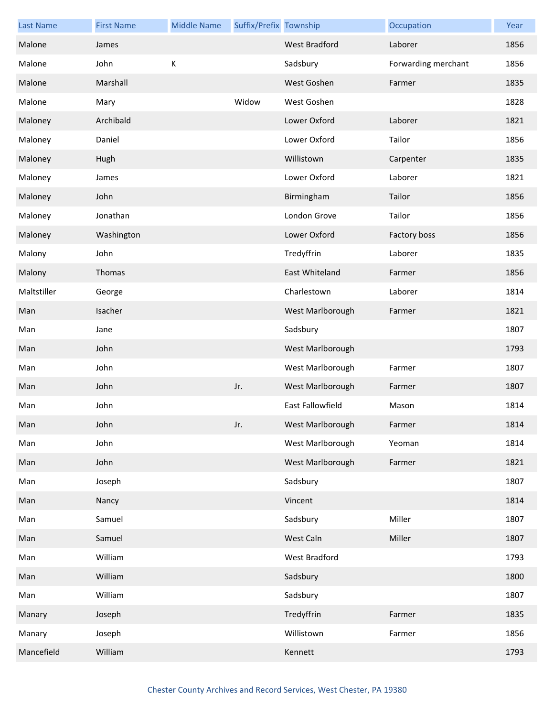| <b>Last Name</b> | <b>First Name</b> | <b>Middle Name</b> | Suffix/Prefix Township |                      | Occupation          | Year |
|------------------|-------------------|--------------------|------------------------|----------------------|---------------------|------|
| Malone           | James             |                    |                        | <b>West Bradford</b> | Laborer             | 1856 |
| Malone           | John              | К                  |                        | Sadsbury             | Forwarding merchant | 1856 |
| Malone           | Marshall          |                    |                        | West Goshen          | Farmer              | 1835 |
| Malone           | Mary              |                    | Widow                  | West Goshen          |                     | 1828 |
| Maloney          | Archibald         |                    |                        | Lower Oxford         | Laborer             | 1821 |
| Maloney          | Daniel            |                    |                        | Lower Oxford         | Tailor              | 1856 |
| Maloney          | Hugh              |                    |                        | Willistown           | Carpenter           | 1835 |
| Maloney          | James             |                    |                        | Lower Oxford         | Laborer             | 1821 |
| Maloney          | John              |                    |                        | Birmingham           | Tailor              | 1856 |
| Maloney          | Jonathan          |                    |                        | London Grove         | Tailor              | 1856 |
| Maloney          | Washington        |                    |                        | Lower Oxford         | Factory boss        | 1856 |
| Malony           | John              |                    |                        | Tredyffrin           | Laborer             | 1835 |
| Malony           | Thomas            |                    |                        | East Whiteland       | Farmer              | 1856 |
| Maltstiller      | George            |                    |                        | Charlestown          | Laborer             | 1814 |
| Man              | Isacher           |                    |                        | West Marlborough     | Farmer              | 1821 |
| Man              | Jane              |                    |                        | Sadsbury             |                     | 1807 |
| Man              | John              |                    |                        | West Marlborough     |                     | 1793 |
| Man              | John              |                    |                        | West Marlborough     | Farmer              | 1807 |
| Man              | John              |                    | Jr.                    | West Marlborough     | Farmer              | 1807 |
| Man              | John              |                    |                        | East Fallowfield     | Mason               | 1814 |
| Man              | John              |                    | Jr.                    | West Marlborough     | Farmer              | 1814 |
| Man              | John              |                    |                        | West Marlborough     | Yeoman              | 1814 |
| Man              | John              |                    |                        | West Marlborough     | Farmer              | 1821 |
| Man              | Joseph            |                    |                        | Sadsbury             |                     | 1807 |
| Man              | Nancy             |                    |                        | Vincent              |                     | 1814 |
| Man              | Samuel            |                    |                        | Sadsbury             | Miller              | 1807 |
| Man              | Samuel            |                    |                        | West Caln            | Miller              | 1807 |
| Man              | William           |                    |                        | West Bradford        |                     | 1793 |
| Man              | William           |                    |                        | Sadsbury             |                     | 1800 |
| Man              | William           |                    |                        | Sadsbury             |                     | 1807 |
| Manary           | Joseph            |                    |                        | Tredyffrin           | Farmer              | 1835 |
| Manary           | Joseph            |                    |                        | Willistown           | Farmer              | 1856 |
| Mancefield       | William           |                    |                        | Kennett              |                     | 1793 |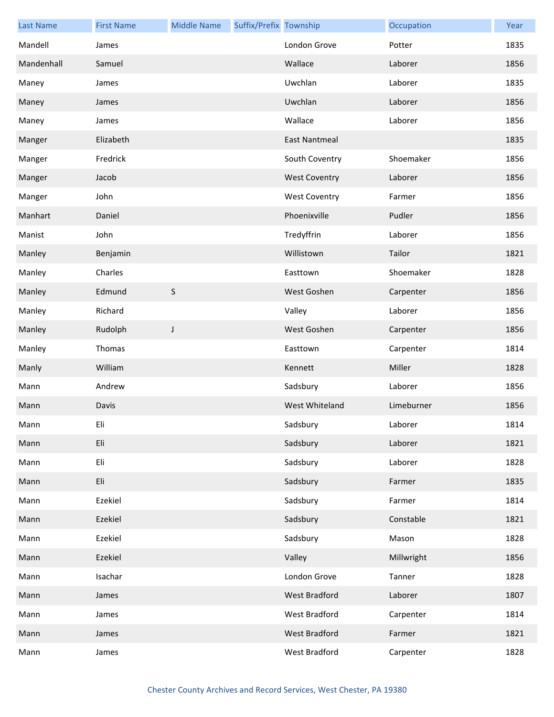| <b>Last Name</b> | <b>First Name</b> | <b>Middle Name</b> | Suffix/Prefix Township |                      | Occupation | Year |
|------------------|-------------------|--------------------|------------------------|----------------------|------------|------|
| Mandell          | James             |                    |                        | London Grove         | Potter     | 1835 |
| Mandenhall       | Samuel            |                    |                        | Wallace              | Laborer    | 1856 |
| Maney            | James             |                    |                        | Uwchlan              | Laborer    | 1835 |
| Maney            | James             |                    |                        | Uwchlan              | Laborer    | 1856 |
| Maney            | James             |                    |                        | Wallace              | Laborer    | 1856 |
| Manger           | Elizabeth         |                    |                        | <b>East Nantmeal</b> |            | 1835 |
| Manger           | Fredrick          |                    |                        | South Coventry       | Shoemaker  | 1856 |
| Manger           | Jacob             |                    |                        | <b>West Coventry</b> | Laborer    | 1856 |
| Manger           | John              |                    |                        | <b>West Coventry</b> | Farmer     | 1856 |
| Manhart          | Daniel            |                    |                        | Phoenixville         | Pudler     | 1856 |
| Manist           | John              |                    |                        | Tredyffrin           | Laborer    | 1856 |
| Manley           | Benjamin          |                    |                        | Willistown           | Tailor     | 1821 |
| Manley           | Charles           |                    |                        | Easttown             | Shoemaker  | 1828 |
| Manley           | Edmund            | $\sf S$            |                        | West Goshen          | Carpenter  | 1856 |
| Manley           | Richard           |                    |                        | Valley               | Laborer    | 1856 |
| Manley           | Rudolph           | J                  |                        | West Goshen          | Carpenter  | 1856 |
| Manley           | Thomas            |                    |                        | Easttown             | Carpenter  | 1814 |
| Manly            | William           |                    |                        | Kennett              | Miller     | 1828 |
| Mann             | Andrew            |                    |                        | Sadsbury             | Laborer    | 1856 |
| Mann             | Davis             |                    |                        | West Whiteland       | Limeburner | 1856 |
| Mann             | Eli               |                    |                        | Sadsbury             | Laborer    | 1814 |
| Mann             | Eli               |                    |                        | Sadsbury             | Laborer    | 1821 |
| Mann             | Eli               |                    |                        | Sadsbury             | Laborer    | 1828 |
| Mann             | Eli               |                    |                        | Sadsbury             | Farmer     | 1835 |
| Mann             | Ezekiel           |                    |                        | Sadsbury             | Farmer     | 1814 |
| Mann             | Ezekiel           |                    |                        | Sadsbury             | Constable  | 1821 |
| Mann             | Ezekiel           |                    |                        | Sadsbury             | Mason      | 1828 |
| Mann             | Ezekiel           |                    |                        | Valley               | Millwright | 1856 |
| Mann             | Isachar           |                    |                        | London Grove         | Tanner     | 1828 |
| Mann             | James             |                    |                        | West Bradford        | Laborer    | 1807 |
| Mann             | James             |                    |                        | West Bradford        | Carpenter  | 1814 |
| Mann             | James             |                    |                        | West Bradford        | Farmer     | 1821 |
| Mann             | James             |                    |                        | West Bradford        | Carpenter  | 1828 |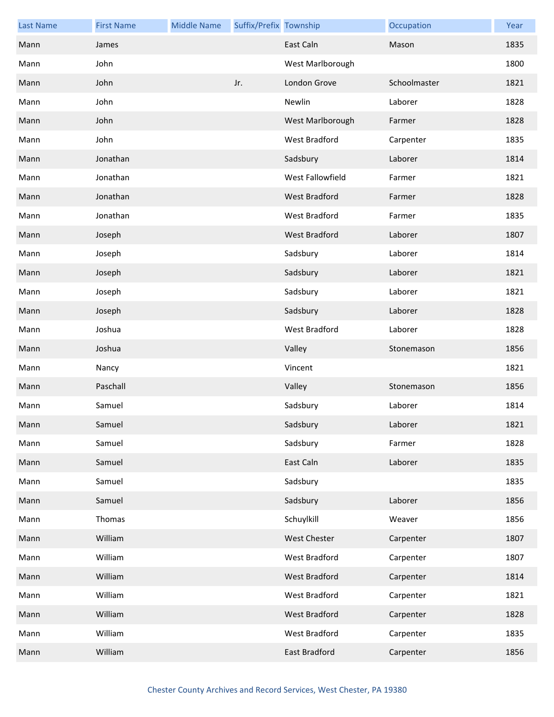| <b>Last Name</b> | <b>First Name</b> | <b>Middle Name</b> | Suffix/Prefix Township |                      | Occupation   | Year |
|------------------|-------------------|--------------------|------------------------|----------------------|--------------|------|
| Mann             | James             |                    |                        | East Caln            | Mason        | 1835 |
| Mann             | John              |                    |                        | West Marlborough     |              | 1800 |
| Mann             | John              |                    | Jr.                    | London Grove         | Schoolmaster | 1821 |
| Mann             | John              |                    |                        | Newlin               | Laborer      | 1828 |
| Mann             | John              |                    |                        | West Marlborough     | Farmer       | 1828 |
| Mann             | John              |                    |                        | West Bradford        | Carpenter    | 1835 |
| Mann             | Jonathan          |                    |                        | Sadsbury             | Laborer      | 1814 |
| Mann             | Jonathan          |                    |                        | West Fallowfield     | Farmer       | 1821 |
| Mann             | Jonathan          |                    |                        | West Bradford        | Farmer       | 1828 |
| Mann             | Jonathan          |                    |                        | <b>West Bradford</b> | Farmer       | 1835 |
| Mann             | Joseph            |                    |                        | <b>West Bradford</b> | Laborer      | 1807 |
| Mann             | Joseph            |                    |                        | Sadsbury             | Laborer      | 1814 |
| Mann             | Joseph            |                    |                        | Sadsbury             | Laborer      | 1821 |
| Mann             | Joseph            |                    |                        | Sadsbury             | Laborer      | 1821 |
| Mann             | Joseph            |                    |                        | Sadsbury             | Laborer      | 1828 |
| Mann             | Joshua            |                    |                        | <b>West Bradford</b> | Laborer      | 1828 |
| Mann             | Joshua            |                    |                        | Valley               | Stonemason   | 1856 |
| Mann             | Nancy             |                    |                        | Vincent              |              | 1821 |
| Mann             | Paschall          |                    |                        | Valley               | Stonemason   | 1856 |
| Mann             | Samuel            |                    |                        | Sadsbury             | Laborer      | 1814 |
| Mann             | Samuel            |                    |                        | Sadsbury             | Laborer      | 1821 |
| Mann             | Samuel            |                    |                        | Sadsbury             | Farmer       | 1828 |
| Mann             | Samuel            |                    |                        | East Caln            | Laborer      | 1835 |
| Mann             | Samuel            |                    |                        | Sadsbury             |              | 1835 |
| Mann             | Samuel            |                    |                        | Sadsbury             | Laborer      | 1856 |
| Mann             | Thomas            |                    |                        | Schuylkill           | Weaver       | 1856 |
| Mann             | William           |                    |                        | West Chester         | Carpenter    | 1807 |
| Mann             | William           |                    |                        | West Bradford        | Carpenter    | 1807 |
| Mann             | William           |                    |                        | West Bradford        | Carpenter    | 1814 |
| Mann             | William           |                    |                        | West Bradford        | Carpenter    | 1821 |
| Mann             | William           |                    |                        | West Bradford        | Carpenter    | 1828 |
| Mann             | William           |                    |                        | West Bradford        | Carpenter    | 1835 |
| Mann             | William           |                    |                        | East Bradford        | Carpenter    | 1856 |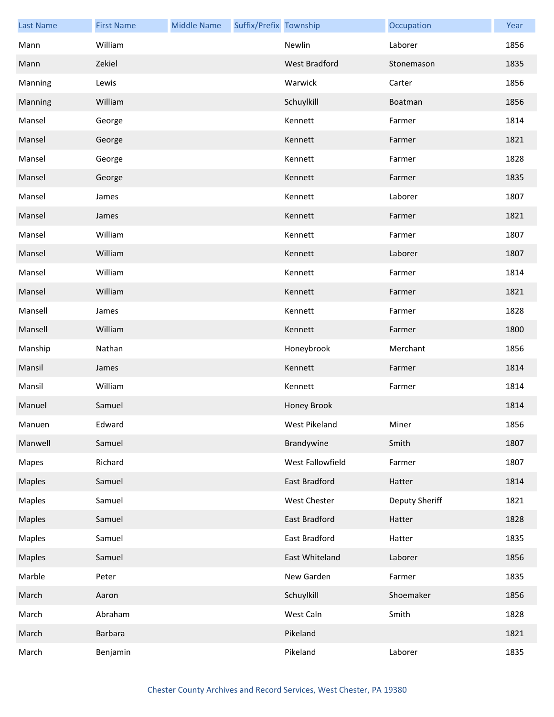| <b>Last Name</b> | <b>First Name</b> | <b>Middle Name</b> | Suffix/Prefix Township |                      | Occupation     | Year |
|------------------|-------------------|--------------------|------------------------|----------------------|----------------|------|
| Mann             | William           |                    |                        | Newlin               | Laborer        | 1856 |
| Mann             | Zekiel            |                    |                        | <b>West Bradford</b> | Stonemason     | 1835 |
| Manning          | Lewis             |                    |                        | Warwick              | Carter         | 1856 |
| Manning          | William           |                    |                        | Schuylkill           | Boatman        | 1856 |
| Mansel           | George            |                    |                        | Kennett              | Farmer         | 1814 |
| Mansel           | George            |                    |                        | Kennett              | Farmer         | 1821 |
| Mansel           | George            |                    |                        | Kennett              | Farmer         | 1828 |
| Mansel           | George            |                    |                        | Kennett              | Farmer         | 1835 |
| Mansel           | James             |                    |                        | Kennett              | Laborer        | 1807 |
| Mansel           | James             |                    |                        | Kennett              | Farmer         | 1821 |
| Mansel           | William           |                    |                        | Kennett              | Farmer         | 1807 |
| Mansel           | William           |                    |                        | Kennett              | Laborer        | 1807 |
| Mansel           | William           |                    |                        | Kennett              | Farmer         | 1814 |
| Mansel           | William           |                    |                        | Kennett              | Farmer         | 1821 |
| Mansell          | James             |                    |                        | Kennett              | Farmer         | 1828 |
| Mansell          | William           |                    |                        | Kennett              | Farmer         | 1800 |
| Manship          | Nathan            |                    |                        | Honeybrook           | Merchant       | 1856 |
| Mansil           | James             |                    |                        | Kennett              | Farmer         | 1814 |
| Mansil           | William           |                    |                        | Kennett              | Farmer         | 1814 |
| Manuel           | Samuel            |                    |                        | Honey Brook          |                | 1814 |
| Manuen           | Edward            |                    |                        | West Pikeland        | Miner          | 1856 |
| Manwell          | Samuel            |                    |                        | Brandywine           | Smith          | 1807 |
| Mapes            | Richard           |                    |                        | West Fallowfield     | Farmer         | 1807 |
| Maples           | Samuel            |                    |                        | East Bradford        | Hatter         | 1814 |
| Maples           | Samuel            |                    |                        | West Chester         | Deputy Sheriff | 1821 |
| Maples           | Samuel            |                    |                        | East Bradford        | Hatter         | 1828 |
| Maples           | Samuel            |                    |                        | East Bradford        | Hatter         | 1835 |
| Maples           | Samuel            |                    |                        | East Whiteland       | Laborer        | 1856 |
| Marble           | Peter             |                    |                        | New Garden           | Farmer         | 1835 |
| March            | Aaron             |                    |                        | Schuylkill           | Shoemaker      | 1856 |
| March            | Abraham           |                    |                        | West Caln            | Smith          | 1828 |
| March            | Barbara           |                    |                        | Pikeland             |                | 1821 |
| March            | Benjamin          |                    |                        | Pikeland             | Laborer        | 1835 |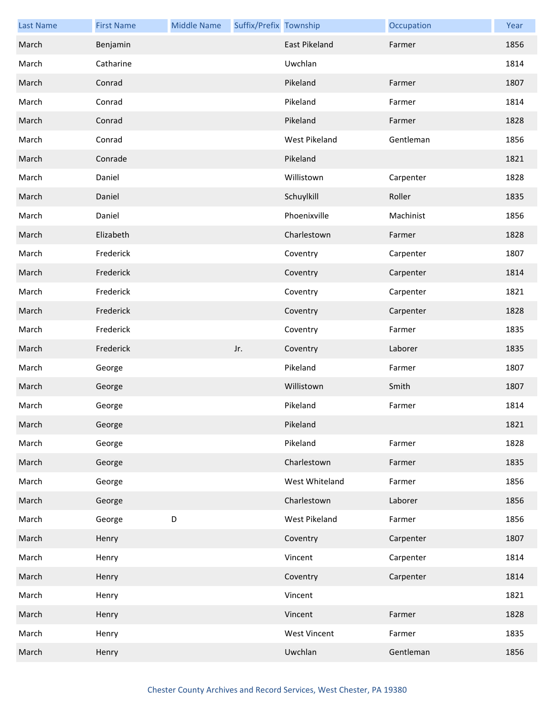| <b>Last Name</b> | <b>First Name</b> | <b>Middle Name</b> | Suffix/Prefix Township |                     | Occupation | Year |
|------------------|-------------------|--------------------|------------------------|---------------------|------------|------|
| March            | Benjamin          |                    |                        | East Pikeland       | Farmer     | 1856 |
| March            | Catharine         |                    |                        | Uwchlan             |            | 1814 |
| March            | Conrad            |                    |                        | Pikeland            | Farmer     | 1807 |
| March            | Conrad            |                    |                        | Pikeland            | Farmer     | 1814 |
| March            | Conrad            |                    |                        | Pikeland            | Farmer     | 1828 |
| March            | Conrad            |                    |                        | West Pikeland       | Gentleman  | 1856 |
| March            | Conrade           |                    |                        | Pikeland            |            | 1821 |
| March            | Daniel            |                    |                        | Willistown          | Carpenter  | 1828 |
| March            | Daniel            |                    |                        | Schuylkill          | Roller     | 1835 |
| March            | Daniel            |                    |                        | Phoenixville        | Machinist  | 1856 |
| March            | Elizabeth         |                    |                        | Charlestown         | Farmer     | 1828 |
| March            | Frederick         |                    |                        | Coventry            | Carpenter  | 1807 |
| March            | Frederick         |                    |                        | Coventry            | Carpenter  | 1814 |
| March            | Frederick         |                    |                        | Coventry            | Carpenter  | 1821 |
| March            | Frederick         |                    |                        | Coventry            | Carpenter  | 1828 |
| March            | Frederick         |                    |                        | Coventry            | Farmer     | 1835 |
| March            | Frederick         |                    | Jr.                    | Coventry            | Laborer    | 1835 |
| March            | George            |                    |                        | Pikeland            | Farmer     | 1807 |
| March            | George            |                    |                        | Willistown          | Smith      | 1807 |
| March            | George            |                    |                        | Pikeland            | Farmer     | 1814 |
| March            | George            |                    |                        | Pikeland            |            | 1821 |
| March            | George            |                    |                        | Pikeland            | Farmer     | 1828 |
| March            | George            |                    |                        | Charlestown         | Farmer     | 1835 |
| March            | George            |                    |                        | West Whiteland      | Farmer     | 1856 |
| March            | George            |                    |                        | Charlestown         | Laborer    | 1856 |
| March            | George            | D                  |                        | West Pikeland       | Farmer     | 1856 |
| March            | Henry             |                    |                        | Coventry            | Carpenter  | 1807 |
| March            | Henry             |                    |                        | Vincent             | Carpenter  | 1814 |
| March            | Henry             |                    |                        | Coventry            | Carpenter  | 1814 |
| March            | Henry             |                    |                        | Vincent             |            | 1821 |
| March            | Henry             |                    |                        | Vincent             | Farmer     | 1828 |
| March            | Henry             |                    |                        | <b>West Vincent</b> | Farmer     | 1835 |
| March            | Henry             |                    |                        | Uwchlan             | Gentleman  | 1856 |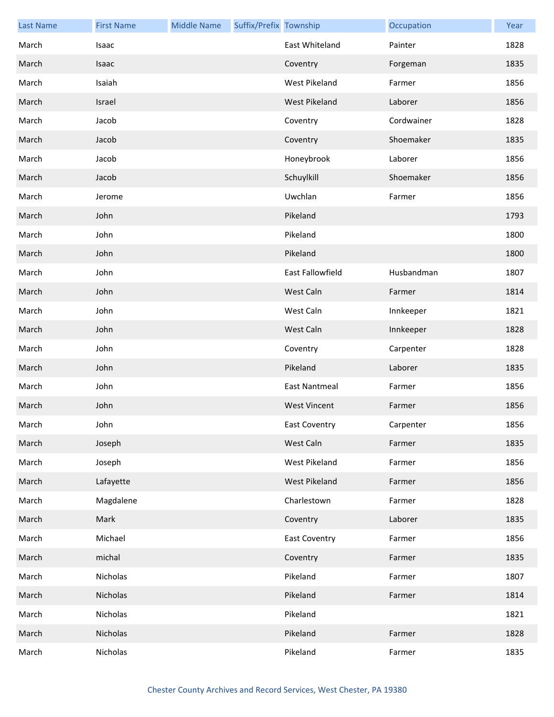| <b>Last Name</b> | <b>First Name</b> | <b>Middle Name</b> | Suffix/Prefix Township |                      | Occupation | Year |
|------------------|-------------------|--------------------|------------------------|----------------------|------------|------|
| March            | Isaac             |                    |                        | East Whiteland       | Painter    | 1828 |
| March            | Isaac             |                    |                        | Coventry             | Forgeman   | 1835 |
| March            | Isaiah            |                    |                        | West Pikeland        | Farmer     | 1856 |
| March            | Israel            |                    |                        | West Pikeland        | Laborer    | 1856 |
| March            | Jacob             |                    |                        | Coventry             | Cordwainer | 1828 |
| March            | Jacob             |                    |                        | Coventry             | Shoemaker  | 1835 |
| March            | Jacob             |                    |                        | Honeybrook           | Laborer    | 1856 |
| March            | Jacob             |                    |                        | Schuylkill           | Shoemaker  | 1856 |
| March            | Jerome            |                    |                        | Uwchlan              | Farmer     | 1856 |
| March            | John              |                    |                        | Pikeland             |            | 1793 |
| March            | John              |                    |                        | Pikeland             |            | 1800 |
| March            | John              |                    |                        | Pikeland             |            | 1800 |
| March            | John              |                    |                        | East Fallowfield     | Husbandman | 1807 |
| March            | John              |                    |                        | West Caln            | Farmer     | 1814 |
| March            | John              |                    |                        | West Caln            | Innkeeper  | 1821 |
| March            | John              |                    |                        | West Caln            | Innkeeper  | 1828 |
| March            | John              |                    |                        | Coventry             | Carpenter  | 1828 |
| March            | John              |                    |                        | Pikeland             | Laborer    | 1835 |
| March            | John              |                    |                        | <b>East Nantmeal</b> | Farmer     | 1856 |
| March            | John              |                    |                        | <b>West Vincent</b>  | Farmer     | 1856 |
| March            | John              |                    |                        | East Coventry        | Carpenter  | 1856 |
| March            | Joseph            |                    |                        | West Caln            | Farmer     | 1835 |
| March            | Joseph            |                    |                        | West Pikeland        | Farmer     | 1856 |
| March            | Lafayette         |                    |                        | <b>West Pikeland</b> | Farmer     | 1856 |
| March            | Magdalene         |                    |                        | Charlestown          | Farmer     | 1828 |
| March            | Mark              |                    |                        | Coventry             | Laborer    | 1835 |
| March            | Michael           |                    |                        | <b>East Coventry</b> | Farmer     | 1856 |
| March            | michal            |                    |                        | Coventry             | Farmer     | 1835 |
| March            | Nicholas          |                    |                        | Pikeland             | Farmer     | 1807 |
| March            | Nicholas          |                    |                        | Pikeland             | Farmer     | 1814 |
| March            | Nicholas          |                    |                        | Pikeland             |            | 1821 |
| March            | Nicholas          |                    |                        | Pikeland             | Farmer     | 1828 |
| March            | Nicholas          |                    |                        | Pikeland             | Farmer     | 1835 |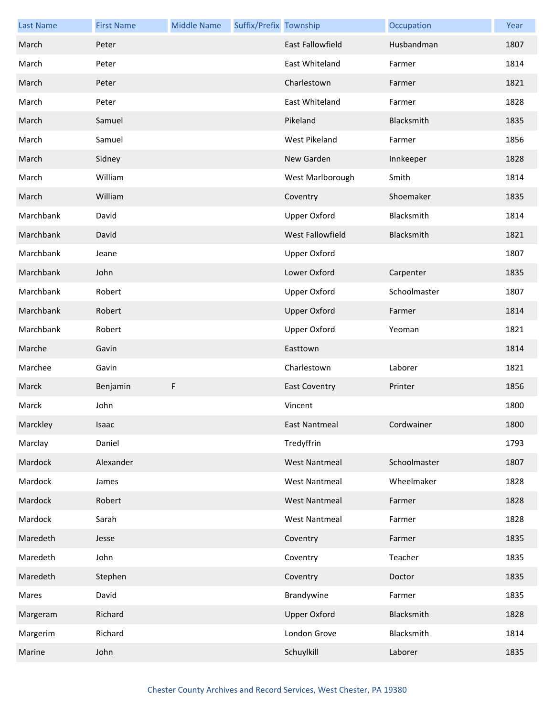| <b>Last Name</b> | <b>First Name</b> | <b>Middle Name</b> | Suffix/Prefix Township |                         | Occupation   | Year |
|------------------|-------------------|--------------------|------------------------|-------------------------|--------------|------|
| March            | Peter             |                    |                        | <b>East Fallowfield</b> | Husbandman   | 1807 |
| March            | Peter             |                    |                        | East Whiteland          | Farmer       | 1814 |
| March            | Peter             |                    |                        | Charlestown             | Farmer       | 1821 |
| March            | Peter             |                    |                        | East Whiteland          | Farmer       | 1828 |
| March            | Samuel            |                    |                        | Pikeland                | Blacksmith   | 1835 |
| March            | Samuel            |                    |                        | West Pikeland           | Farmer       | 1856 |
| March            | Sidney            |                    |                        | New Garden              | Innkeeper    | 1828 |
| March            | William           |                    |                        | West Marlborough        | Smith        | 1814 |
| March            | William           |                    |                        | Coventry                | Shoemaker    | 1835 |
| Marchbank        | David             |                    |                        | <b>Upper Oxford</b>     | Blacksmith   | 1814 |
| Marchbank        | David             |                    |                        | West Fallowfield        | Blacksmith   | 1821 |
| Marchbank        | Jeane             |                    |                        | Upper Oxford            |              | 1807 |
| Marchbank        | John              |                    |                        | Lower Oxford            | Carpenter    | 1835 |
| Marchbank        | Robert            |                    |                        | <b>Upper Oxford</b>     | Schoolmaster | 1807 |
| Marchbank        | Robert            |                    |                        | <b>Upper Oxford</b>     | Farmer       | 1814 |
| Marchbank        | Robert            |                    |                        | <b>Upper Oxford</b>     | Yeoman       | 1821 |
| Marche           | Gavin             |                    |                        | Easttown                |              | 1814 |
| Marchee          | Gavin             |                    |                        | Charlestown             | Laborer      | 1821 |
| Marck            | Benjamin          | F                  |                        | <b>East Coventry</b>    | Printer      | 1856 |
| Marck            | John              |                    |                        | Vincent                 |              | 1800 |
| Marckley         | <b>Isaac</b>      |                    |                        | East Nantmeal           | Cordwainer   | 1800 |
| Marclay          | Daniel            |                    |                        | Tredyffrin              |              | 1793 |
| Mardock          | Alexander         |                    |                        | <b>West Nantmeal</b>    | Schoolmaster | 1807 |
| Mardock          | James             |                    |                        | <b>West Nantmeal</b>    | Wheelmaker   | 1828 |
| Mardock          | Robert            |                    |                        | <b>West Nantmeal</b>    | Farmer       | 1828 |
| Mardock          | Sarah             |                    |                        | <b>West Nantmeal</b>    | Farmer       | 1828 |
| Maredeth         | Jesse             |                    |                        | Coventry                | Farmer       | 1835 |
| Maredeth         | John              |                    |                        | Coventry                | Teacher      | 1835 |
| Maredeth         | Stephen           |                    |                        | Coventry                | Doctor       | 1835 |
| Mares            | David             |                    |                        | Brandywine              | Farmer       | 1835 |
| Margeram         | Richard           |                    |                        | <b>Upper Oxford</b>     | Blacksmith   | 1828 |
| Margerim         | Richard           |                    |                        | London Grove            | Blacksmith   | 1814 |
| Marine           | John              |                    |                        | Schuylkill              | Laborer      | 1835 |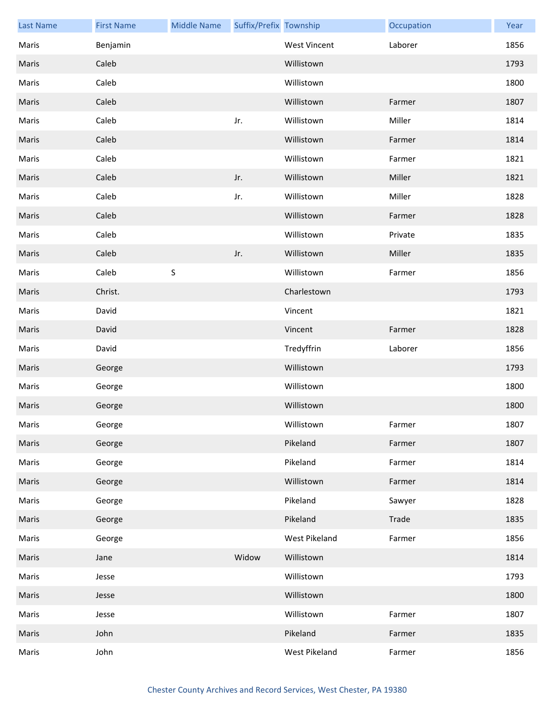| <b>Last Name</b> | <b>First Name</b> | <b>Middle Name</b> | Suffix/Prefix Township |                     | Occupation | Year |
|------------------|-------------------|--------------------|------------------------|---------------------|------------|------|
| Maris            | Benjamin          |                    |                        | <b>West Vincent</b> | Laborer    | 1856 |
| Maris            | Caleb             |                    |                        | Willistown          |            | 1793 |
| Maris            | Caleb             |                    |                        | Willistown          |            | 1800 |
| Maris            | Caleb             |                    |                        | Willistown          | Farmer     | 1807 |
| Maris            | Caleb             |                    | Jr.                    | Willistown          | Miller     | 1814 |
| Maris            | Caleb             |                    |                        | Willistown          | Farmer     | 1814 |
| Maris            | Caleb             |                    |                        | Willistown          | Farmer     | 1821 |
| Maris            | Caleb             |                    | Jr.                    | Willistown          | Miller     | 1821 |
| Maris            | Caleb             |                    | Jr.                    | Willistown          | Miller     | 1828 |
| Maris            | Caleb             |                    |                        | Willistown          | Farmer     | 1828 |
| Maris            | Caleb             |                    |                        | Willistown          | Private    | 1835 |
| Maris            | Caleb             |                    | Jr.                    | Willistown          | Miller     | 1835 |
| Maris            | Caleb             | $\sf S$            |                        | Willistown          | Farmer     | 1856 |
| Maris            | Christ.           |                    |                        | Charlestown         |            | 1793 |
| Maris            | David             |                    |                        | Vincent             |            | 1821 |
| Maris            | David             |                    |                        | Vincent             | Farmer     | 1828 |
| Maris            | David             |                    |                        | Tredyffrin          | Laborer    | 1856 |
| Maris            | George            |                    |                        | Willistown          |            | 1793 |
| Maris            | George            |                    |                        | Willistown          |            | 1800 |
| Maris            | George            |                    |                        | Willistown          |            | 1800 |
| Maris            | George            |                    |                        | Willistown          | Farmer     | 1807 |
| Maris            | George            |                    |                        | Pikeland            | Farmer     | 1807 |
| Maris            | George            |                    |                        | Pikeland            | Farmer     | 1814 |
| Maris            | George            |                    |                        | Willistown          | Farmer     | 1814 |
| Maris            | George            |                    |                        | Pikeland            | Sawyer     | 1828 |
| Maris            | George            |                    |                        | Pikeland            | Trade      | 1835 |
| Maris            | George            |                    |                        | West Pikeland       | Farmer     | 1856 |
| Maris            | Jane              |                    | Widow                  | Willistown          |            | 1814 |
| Maris            | Jesse             |                    |                        | Willistown          |            | 1793 |
| Maris            | Jesse             |                    |                        | Willistown          |            | 1800 |
| Maris            | Jesse             |                    |                        | Willistown          | Farmer     | 1807 |
| Maris            | John              |                    |                        | Pikeland            | Farmer     | 1835 |
| Maris            | John              |                    |                        | West Pikeland       | Farmer     | 1856 |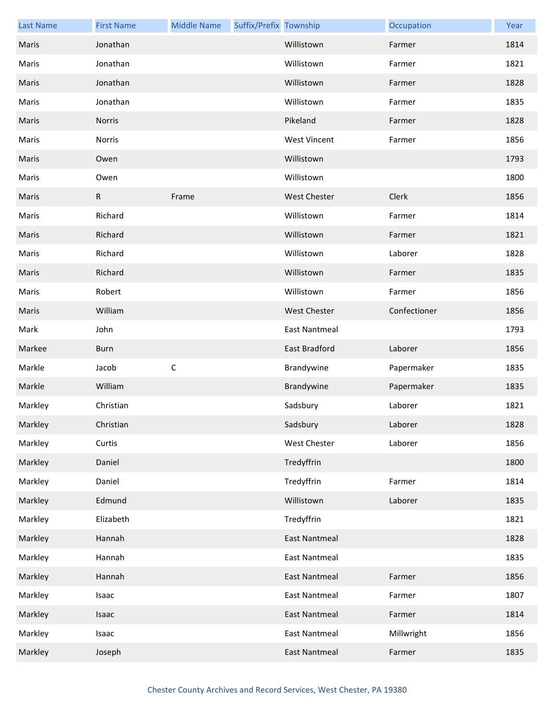| <b>Last Name</b> | <b>First Name</b> | <b>Middle Name</b> | Suffix/Prefix Township |                      | Occupation   | Year |
|------------------|-------------------|--------------------|------------------------|----------------------|--------------|------|
| Maris            | Jonathan          |                    |                        | Willistown           | Farmer       | 1814 |
| Maris            | Jonathan          |                    |                        | Willistown           | Farmer       | 1821 |
| Maris            | Jonathan          |                    |                        | Willistown           | Farmer       | 1828 |
| Maris            | Jonathan          |                    |                        | Willistown           | Farmer       | 1835 |
| Maris            | Norris            |                    |                        | Pikeland             | Farmer       | 1828 |
| Maris            | Norris            |                    |                        | <b>West Vincent</b>  | Farmer       | 1856 |
| Maris            | Owen              |                    |                        | Willistown           |              | 1793 |
| Maris            | Owen              |                    |                        | Willistown           |              | 1800 |
| Maris            | $\mathsf{R}$      | Frame              |                        | <b>West Chester</b>  | Clerk        | 1856 |
| Maris            | Richard           |                    |                        | Willistown           | Farmer       | 1814 |
| Maris            | Richard           |                    |                        | Willistown           | Farmer       | 1821 |
| Maris            | Richard           |                    |                        | Willistown           | Laborer      | 1828 |
| Maris            | Richard           |                    |                        | Willistown           | Farmer       | 1835 |
| Maris            | Robert            |                    |                        | Willistown           | Farmer       | 1856 |
| Maris            | William           |                    |                        | <b>West Chester</b>  | Confectioner | 1856 |
| Mark             | John              |                    |                        | <b>East Nantmeal</b> |              | 1793 |
| Markee           | <b>Burn</b>       |                    |                        | East Bradford        | Laborer      | 1856 |
| Markle           | Jacob             | $\mathsf C$        |                        | Brandywine           | Papermaker   | 1835 |
| Markle           | William           |                    |                        | Brandywine           | Papermaker   | 1835 |
| Markley          | Christian         |                    |                        | Sadsbury             | Laborer      | 1821 |
| Markley          | Christian         |                    |                        | Sadsbury             | Laborer      | 1828 |
| Markley          | Curtis            |                    |                        | <b>West Chester</b>  | Laborer      | 1856 |
| Markley          | Daniel            |                    |                        | Tredyffrin           |              | 1800 |
| Markley          | Daniel            |                    |                        | Tredyffrin           | Farmer       | 1814 |
| Markley          | Edmund            |                    |                        | Willistown           | Laborer      | 1835 |
| Markley          | Elizabeth         |                    |                        | Tredyffrin           |              | 1821 |
| Markley          | Hannah            |                    |                        | <b>East Nantmeal</b> |              | 1828 |
| Markley          | Hannah            |                    |                        | <b>East Nantmeal</b> |              | 1835 |
| Markley          | Hannah            |                    |                        | <b>East Nantmeal</b> | Farmer       | 1856 |
| Markley          | Isaac             |                    |                        | <b>East Nantmeal</b> | Farmer       | 1807 |
| Markley          | Isaac             |                    |                        | <b>East Nantmeal</b> | Farmer       | 1814 |
| Markley          | Isaac             |                    |                        | <b>East Nantmeal</b> | Millwright   | 1856 |
| Markley          | Joseph            |                    |                        | <b>East Nantmeal</b> | Farmer       | 1835 |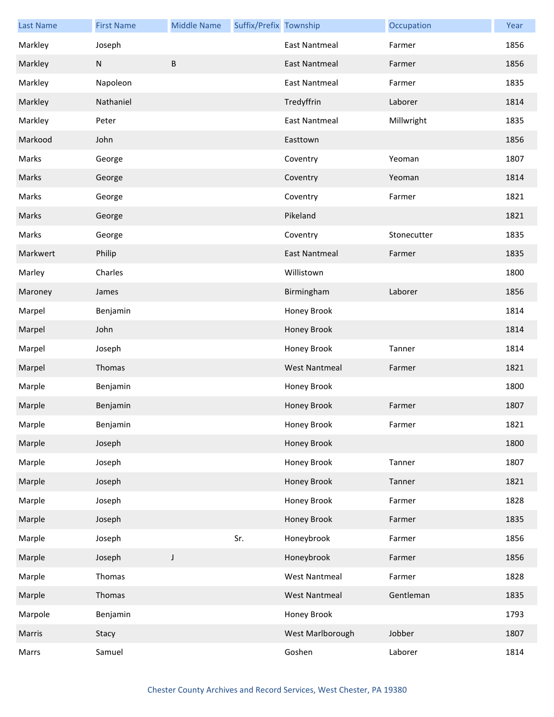| <b>Last Name</b> | <b>First Name</b> | <b>Middle Name</b> | Suffix/Prefix Township |                      | Occupation  | Year |
|------------------|-------------------|--------------------|------------------------|----------------------|-------------|------|
| Markley          | Joseph            |                    |                        | <b>East Nantmeal</b> | Farmer      | 1856 |
| Markley          | N                 | B                  |                        | <b>East Nantmeal</b> | Farmer      | 1856 |
| Markley          | Napoleon          |                    |                        | <b>East Nantmeal</b> | Farmer      | 1835 |
| Markley          | Nathaniel         |                    |                        | Tredyffrin           | Laborer     | 1814 |
| Markley          | Peter             |                    |                        | East Nantmeal        | Millwright  | 1835 |
| Markood          | John              |                    |                        | Easttown             |             | 1856 |
| Marks            | George            |                    |                        | Coventry             | Yeoman      | 1807 |
| Marks            | George            |                    |                        | Coventry             | Yeoman      | 1814 |
| Marks            | George            |                    |                        | Coventry             | Farmer      | 1821 |
| Marks            | George            |                    |                        | Pikeland             |             | 1821 |
| Marks            | George            |                    |                        | Coventry             | Stonecutter | 1835 |
| Markwert         | Philip            |                    |                        | <b>East Nantmeal</b> | Farmer      | 1835 |
| Marley           | Charles           |                    |                        | Willistown           |             | 1800 |
| Maroney          | James             |                    |                        | Birmingham           | Laborer     | 1856 |
| Marpel           | Benjamin          |                    |                        | Honey Brook          |             | 1814 |
| Marpel           | John              |                    |                        | Honey Brook          |             | 1814 |
| Marpel           | Joseph            |                    |                        | Honey Brook          | Tanner      | 1814 |
| Marpel           | Thomas            |                    |                        | <b>West Nantmeal</b> | Farmer      | 1821 |
| Marple           | Benjamin          |                    |                        | Honey Brook          |             | 1800 |
| Marple           | Benjamin          |                    |                        | Honey Brook          | Farmer      | 1807 |
| Marple           | Benjamin          |                    |                        | Honey Brook          | Farmer      | 1821 |
| Marple           | Joseph            |                    |                        | Honey Brook          |             | 1800 |
| Marple           | Joseph            |                    |                        | Honey Brook          | Tanner      | 1807 |
| Marple           | Joseph            |                    |                        | Honey Brook          | Tanner      | 1821 |
| Marple           | Joseph            |                    |                        | Honey Brook          | Farmer      | 1828 |
| Marple           | Joseph            |                    |                        | Honey Brook          | Farmer      | 1835 |
| Marple           | Joseph            |                    | Sr.                    | Honeybrook           | Farmer      | 1856 |
| Marple           | Joseph            | J                  |                        | Honeybrook           | Farmer      | 1856 |
| Marple           | Thomas            |                    |                        | <b>West Nantmeal</b> | Farmer      | 1828 |
| Marple           | Thomas            |                    |                        | <b>West Nantmeal</b> | Gentleman   | 1835 |
| Marpole          | Benjamin          |                    |                        | Honey Brook          |             | 1793 |
| Marris           | Stacy             |                    |                        | West Marlborough     | Jobber      | 1807 |
| Marrs            | Samuel            |                    |                        | Goshen               | Laborer     | 1814 |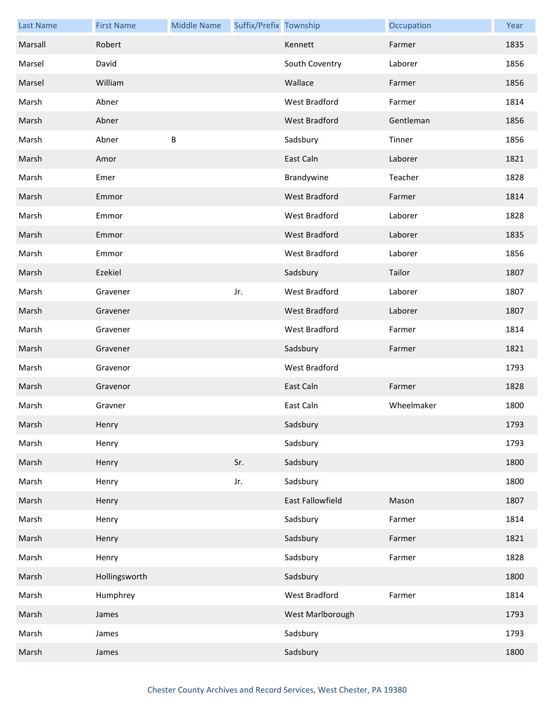| <b>Last Name</b> | <b>First Name</b> | <b>Middle Name</b> | Suffix/Prefix Township |                         | Occupation | Year |
|------------------|-------------------|--------------------|------------------------|-------------------------|------------|------|
| Marsall          | Robert            |                    |                        | Kennett                 | Farmer     | 1835 |
| Marsel           | David             |                    |                        | South Coventry          | Laborer    | 1856 |
| Marsel           | William           |                    |                        | Wallace                 | Farmer     | 1856 |
| Marsh            | Abner             |                    |                        | West Bradford           | Farmer     | 1814 |
| Marsh            | Abner             |                    |                        | <b>West Bradford</b>    | Gentleman  | 1856 |
| Marsh            | Abner             | B                  |                        | Sadsbury                | Tinner     | 1856 |
| Marsh            | Amor              |                    |                        | East Caln               | Laborer    | 1821 |
| Marsh            | Emer              |                    |                        | Brandywine              | Teacher    | 1828 |
| Marsh            | Emmor             |                    |                        | <b>West Bradford</b>    | Farmer     | 1814 |
| Marsh            | Emmor             |                    |                        | West Bradford           | Laborer    | 1828 |
| Marsh            | Emmor             |                    |                        | <b>West Bradford</b>    | Laborer    | 1835 |
| Marsh            | Emmor             |                    |                        | West Bradford           | Laborer    | 1856 |
| Marsh            | Ezekiel           |                    |                        | Sadsbury                | Tailor     | 1807 |
| Marsh            | Gravener          |                    | Jr.                    | West Bradford           | Laborer    | 1807 |
| Marsh            | Gravener          |                    |                        | West Bradford           | Laborer    | 1807 |
| Marsh            | Gravener          |                    |                        | West Bradford           | Farmer     | 1814 |
| Marsh            | Gravener          |                    |                        | Sadsbury                | Farmer     | 1821 |
| Marsh            | Gravenor          |                    |                        | West Bradford           |            | 1793 |
| Marsh            | Gravenor          |                    |                        | East Caln               | Farmer     | 1828 |
| Marsh            | Gravner           |                    |                        | East Caln               | Wheelmaker | 1800 |
| Marsh            | Henry             |                    |                        | Sadsbury                |            | 1793 |
| Marsh            | Henry             |                    |                        | Sadsbury                |            | 1793 |
| Marsh            | Henry             |                    | Sr.                    | Sadsbury                |            | 1800 |
| Marsh            | Henry             |                    | Jr.                    | Sadsbury                |            | 1800 |
| Marsh            | Henry             |                    |                        | <b>East Fallowfield</b> | Mason      | 1807 |
| Marsh            | Henry             |                    |                        | Sadsbury                | Farmer     | 1814 |
| Marsh            | Henry             |                    |                        | Sadsbury                | Farmer     | 1821 |
| Marsh            | Henry             |                    |                        | Sadsbury                | Farmer     | 1828 |
| Marsh            | Hollingsworth     |                    |                        | Sadsbury                |            | 1800 |
| Marsh            | Humphrey          |                    |                        | West Bradford           | Farmer     | 1814 |
| Marsh            | James             |                    |                        | West Marlborough        |            | 1793 |
| Marsh            | James             |                    |                        | Sadsbury                |            | 1793 |
| Marsh            | James             |                    |                        | Sadsbury                |            | 1800 |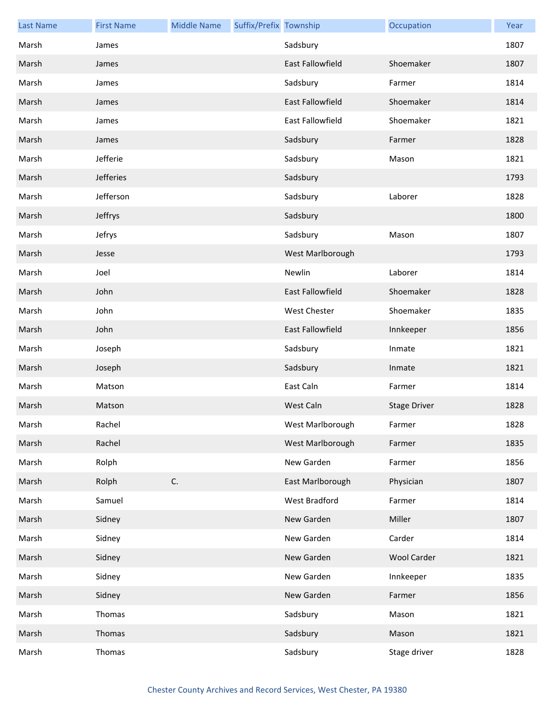| <b>Last Name</b> | <b>First Name</b> | <b>Middle Name</b> | Suffix/Prefix Township |                         | Occupation          | Year |
|------------------|-------------------|--------------------|------------------------|-------------------------|---------------------|------|
| Marsh            | James             |                    |                        | Sadsbury                |                     | 1807 |
| Marsh            | James             |                    |                        | <b>East Fallowfield</b> | Shoemaker           | 1807 |
| Marsh            | James             |                    |                        | Sadsbury                | Farmer              | 1814 |
| Marsh            | James             |                    |                        | <b>East Fallowfield</b> | Shoemaker           | 1814 |
| Marsh            | James             |                    |                        | <b>East Fallowfield</b> | Shoemaker           | 1821 |
| Marsh            | James             |                    |                        | Sadsbury                | Farmer              | 1828 |
| Marsh            | Jefferie          |                    |                        | Sadsbury                | Mason               | 1821 |
| Marsh            | Jefferies         |                    |                        | Sadsbury                |                     | 1793 |
| Marsh            | Jefferson         |                    |                        | Sadsbury                | Laborer             | 1828 |
| Marsh            | Jeffrys           |                    |                        | Sadsbury                |                     | 1800 |
| Marsh            | Jefrys            |                    |                        | Sadsbury                | Mason               | 1807 |
| Marsh            | Jesse             |                    |                        | West Marlborough        |                     | 1793 |
| Marsh            | Joel              |                    |                        | Newlin                  | Laborer             | 1814 |
| Marsh            | John              |                    |                        | <b>East Fallowfield</b> | Shoemaker           | 1828 |
| Marsh            | John              |                    |                        | <b>West Chester</b>     | Shoemaker           | 1835 |
| Marsh            | John              |                    |                        | <b>East Fallowfield</b> | Innkeeper           | 1856 |
| Marsh            | Joseph            |                    |                        | Sadsbury                | Inmate              | 1821 |
| Marsh            | Joseph            |                    |                        | Sadsbury                | Inmate              | 1821 |
| Marsh            | Matson            |                    |                        | East Caln               | Farmer              | 1814 |
| Marsh            | Matson            |                    |                        | West Caln               | <b>Stage Driver</b> | 1828 |
| Marsh            | Rachel            |                    |                        | West Marlborough        | Farmer              | 1828 |
| Marsh            | Rachel            |                    |                        | West Marlborough        | Farmer              | 1835 |
| Marsh            | Rolph             |                    |                        | New Garden              | Farmer              | 1856 |
| Marsh            | Rolph             | C.                 |                        | East Marlborough        | Physician           | 1807 |
| Marsh            | Samuel            |                    |                        | West Bradford           | Farmer              | 1814 |
| Marsh            | Sidney            |                    |                        | New Garden              | Miller              | 1807 |
| Marsh            | Sidney            |                    |                        | New Garden              | Carder              | 1814 |
| Marsh            | Sidney            |                    |                        | New Garden              | <b>Wool Carder</b>  | 1821 |
| Marsh            | Sidney            |                    |                        | New Garden              | Innkeeper           | 1835 |
| Marsh            | Sidney            |                    |                        | New Garden              | Farmer              | 1856 |
| Marsh            | Thomas            |                    |                        | Sadsbury                | Mason               | 1821 |
| Marsh            | Thomas            |                    |                        | Sadsbury                | Mason               | 1821 |
| Marsh            | Thomas            |                    |                        | Sadsbury                | Stage driver        | 1828 |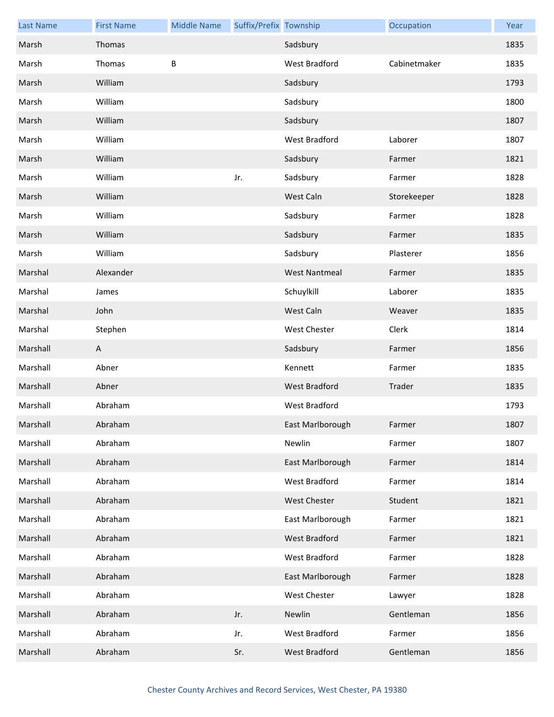| <b>Last Name</b> | <b>First Name</b> | <b>Middle Name</b> | Suffix/Prefix Township |                      | Occupation   | Year |
|------------------|-------------------|--------------------|------------------------|----------------------|--------------|------|
| Marsh            | Thomas            |                    |                        | Sadsbury             |              | 1835 |
| Marsh            | Thomas            | B                  |                        | West Bradford        | Cabinetmaker | 1835 |
| Marsh            | William           |                    |                        | Sadsbury             |              | 1793 |
| Marsh            | William           |                    |                        | Sadsbury             |              | 1800 |
| Marsh            | William           |                    |                        | Sadsbury             |              | 1807 |
| Marsh            | William           |                    |                        | West Bradford        | Laborer      | 1807 |
| Marsh            | William           |                    |                        | Sadsbury             | Farmer       | 1821 |
| Marsh            | William           |                    | Jr.                    | Sadsbury             | Farmer       | 1828 |
| Marsh            | William           |                    |                        | West Caln            | Storekeeper  | 1828 |
| Marsh            | William           |                    |                        | Sadsbury             | Farmer       | 1828 |
| Marsh            | William           |                    |                        | Sadsbury             | Farmer       | 1835 |
| Marsh            | William           |                    |                        | Sadsbury             | Plasterer    | 1856 |
| Marshal          | Alexander         |                    |                        | <b>West Nantmeal</b> | Farmer       | 1835 |
| Marshal          | James             |                    |                        | Schuylkill           | Laborer      | 1835 |
| Marshal          | John              |                    |                        | West Caln            | Weaver       | 1835 |
| Marshal          | Stephen           |                    |                        | <b>West Chester</b>  | Clerk        | 1814 |
| Marshall         | A                 |                    |                        | Sadsbury             | Farmer       | 1856 |
| Marshall         | Abner             |                    |                        | Kennett              | Farmer       | 1835 |
| Marshall         | Abner             |                    |                        | West Bradford        | Trader       | 1835 |
| Marshall         | Abraham           |                    |                        | <b>West Bradford</b> |              | 1793 |
| Marshall         | Abraham           |                    |                        | East Marlborough     | Farmer       | 1807 |
| Marshall         | Abraham           |                    |                        | Newlin               | Farmer       | 1807 |
| Marshall         | Abraham           |                    |                        | East Marlborough     | Farmer       | 1814 |
| Marshall         | Abraham           |                    |                        | West Bradford        | Farmer       | 1814 |
| Marshall         | Abraham           |                    |                        | West Chester         | Student      | 1821 |
| Marshall         | Abraham           |                    |                        | East Marlborough     | Farmer       | 1821 |
| Marshall         | Abraham           |                    |                        | <b>West Bradford</b> | Farmer       | 1821 |
| Marshall         | Abraham           |                    |                        | West Bradford        | Farmer       | 1828 |
| Marshall         | Abraham           |                    |                        | East Marlborough     | Farmer       | 1828 |
| Marshall         | Abraham           |                    |                        | West Chester         | Lawyer       | 1828 |
| Marshall         | Abraham           |                    | Jr.                    | Newlin               | Gentleman    | 1856 |
| Marshall         | Abraham           |                    | Jr.                    | West Bradford        | Farmer       | 1856 |
| Marshall         | Abraham           |                    | Sr.                    | West Bradford        | Gentleman    | 1856 |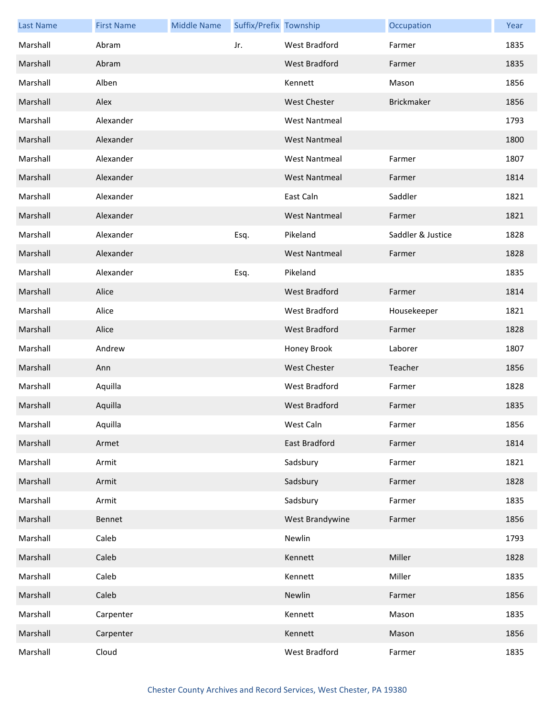| <b>Last Name</b> | <b>First Name</b> | <b>Middle Name</b> | Suffix/Prefix Township |                      | Occupation        | Year |
|------------------|-------------------|--------------------|------------------------|----------------------|-------------------|------|
| Marshall         | Abram             |                    | Jr.                    | <b>West Bradford</b> | Farmer            | 1835 |
| Marshall         | Abram             |                    |                        | West Bradford        | Farmer            | 1835 |
| Marshall         | Alben             |                    |                        | Kennett              | Mason             | 1856 |
| Marshall         | Alex              |                    |                        | <b>West Chester</b>  | <b>Brickmaker</b> | 1856 |
| Marshall         | Alexander         |                    |                        | <b>West Nantmeal</b> |                   | 1793 |
| Marshall         | Alexander         |                    |                        | <b>West Nantmeal</b> |                   | 1800 |
| Marshall         | Alexander         |                    |                        | <b>West Nantmeal</b> | Farmer            | 1807 |
| Marshall         | Alexander         |                    |                        | <b>West Nantmeal</b> | Farmer            | 1814 |
| Marshall         | Alexander         |                    |                        | East Caln            | Saddler           | 1821 |
| Marshall         | Alexander         |                    |                        | <b>West Nantmeal</b> | Farmer            | 1821 |
| Marshall         | Alexander         |                    | Esq.                   | Pikeland             | Saddler & Justice | 1828 |
| Marshall         | Alexander         |                    |                        | <b>West Nantmeal</b> | Farmer            | 1828 |
| Marshall         | Alexander         |                    | Esq.                   | Pikeland             |                   | 1835 |
| Marshall         | Alice             |                    |                        | <b>West Bradford</b> | Farmer            | 1814 |
| Marshall         | Alice             |                    |                        | West Bradford        | Housekeeper       | 1821 |
| Marshall         | Alice             |                    |                        | West Bradford        | Farmer            | 1828 |
| Marshall         | Andrew            |                    |                        | Honey Brook          | Laborer           | 1807 |
| Marshall         | Ann               |                    |                        | <b>West Chester</b>  | Teacher           | 1856 |
| Marshall         | Aquilla           |                    |                        | West Bradford        | Farmer            | 1828 |
| Marshall         | Aquilla           |                    |                        | <b>West Bradford</b> | Farmer            | 1835 |
| Marshall         | Aquilla           |                    |                        | West Caln            | Farmer            | 1856 |
| Marshall         | Armet             |                    |                        | <b>East Bradford</b> | Farmer            | 1814 |
| Marshall         | Armit             |                    |                        | Sadsbury             | Farmer            | 1821 |
| Marshall         | Armit             |                    |                        | Sadsbury             | Farmer            | 1828 |
| Marshall         | Armit             |                    |                        | Sadsbury             | Farmer            | 1835 |
| Marshall         | Bennet            |                    |                        | West Brandywine      | Farmer            | 1856 |
| Marshall         | Caleb             |                    |                        | Newlin               |                   | 1793 |
| Marshall         | Caleb             |                    |                        | Kennett              | Miller            | 1828 |
| Marshall         | Caleb             |                    |                        | Kennett              | Miller            | 1835 |
| Marshall         | Caleb             |                    |                        | Newlin               | Farmer            | 1856 |
| Marshall         | Carpenter         |                    |                        | Kennett              | Mason             | 1835 |
| Marshall         | Carpenter         |                    |                        | Kennett              | Mason             | 1856 |
| Marshall         | Cloud             |                    |                        | West Bradford        | Farmer            | 1835 |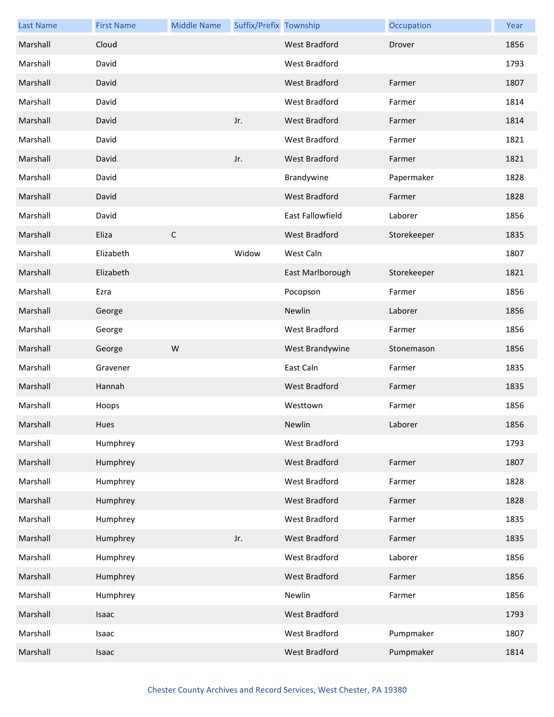| <b>Last Name</b> | <b>First Name</b> | <b>Middle Name</b> | Suffix/Prefix Township |                         | Occupation  | Year |
|------------------|-------------------|--------------------|------------------------|-------------------------|-------------|------|
| Marshall         | Cloud             |                    |                        | <b>West Bradford</b>    | Drover      | 1856 |
| Marshall         | David             |                    |                        | West Bradford           |             | 1793 |
| Marshall         | David             |                    |                        | <b>West Bradford</b>    | Farmer      | 1807 |
| Marshall         | David             |                    |                        | West Bradford           | Farmer      | 1814 |
| Marshall         | David             |                    | Jr.                    | West Bradford           | Farmer      | 1814 |
| Marshall         | David             |                    |                        | West Bradford           | Farmer      | 1821 |
| Marshall         | David             |                    | Jr.                    | <b>West Bradford</b>    | Farmer      | 1821 |
| Marshall         | David             |                    |                        | Brandywine              | Papermaker  | 1828 |
| Marshall         | David             |                    |                        | West Bradford           | Farmer      | 1828 |
| Marshall         | David             |                    |                        | <b>East Fallowfield</b> | Laborer     | 1856 |
| Marshall         | Eliza             | $\mathsf C$        |                        | <b>West Bradford</b>    | Storekeeper | 1835 |
| Marshall         | Elizabeth         |                    | Widow                  | West Caln               |             | 1807 |
| Marshall         | Elizabeth         |                    |                        | East Marlborough        | Storekeeper | 1821 |
| Marshall         | Ezra              |                    |                        | Pocopson                | Farmer      | 1856 |
| Marshall         | George            |                    |                        | Newlin                  | Laborer     | 1856 |
| Marshall         | George            |                    |                        | West Bradford           | Farmer      | 1856 |
| Marshall         | George            | W                  |                        | West Brandywine         | Stonemason  | 1856 |
| Marshall         | Gravener          |                    |                        | East Caln               | Farmer      | 1835 |
| Marshall         | Hannah            |                    |                        | <b>West Bradford</b>    | Farmer      | 1835 |
| Marshall         | Hoops             |                    |                        | Westtown                | Farmer      | 1856 |
| Marshall         | Hues              |                    |                        | Newlin                  | Laborer     | 1856 |
| Marshall         | Humphrey          |                    |                        | West Bradford           |             | 1793 |
| Marshall         | Humphrey          |                    |                        | West Bradford           | Farmer      | 1807 |
| Marshall         | Humphrey          |                    |                        | West Bradford           | Farmer      | 1828 |
| Marshall         | Humphrey          |                    |                        | West Bradford           | Farmer      | 1828 |
| Marshall         | Humphrey          |                    |                        | West Bradford           | Farmer      | 1835 |
| Marshall         | Humphrey          |                    | Jr.                    | West Bradford           | Farmer      | 1835 |
| Marshall         | Humphrey          |                    |                        | West Bradford           | Laborer     | 1856 |
| Marshall         | Humphrey          |                    |                        | West Bradford           | Farmer      | 1856 |
| Marshall         | Humphrey          |                    |                        | Newlin                  | Farmer      | 1856 |
| Marshall         | Isaac             |                    |                        | West Bradford           |             | 1793 |
| Marshall         | Isaac             |                    |                        | West Bradford           | Pumpmaker   | 1807 |
| Marshall         | Isaac             |                    |                        | West Bradford           | Pumpmaker   | 1814 |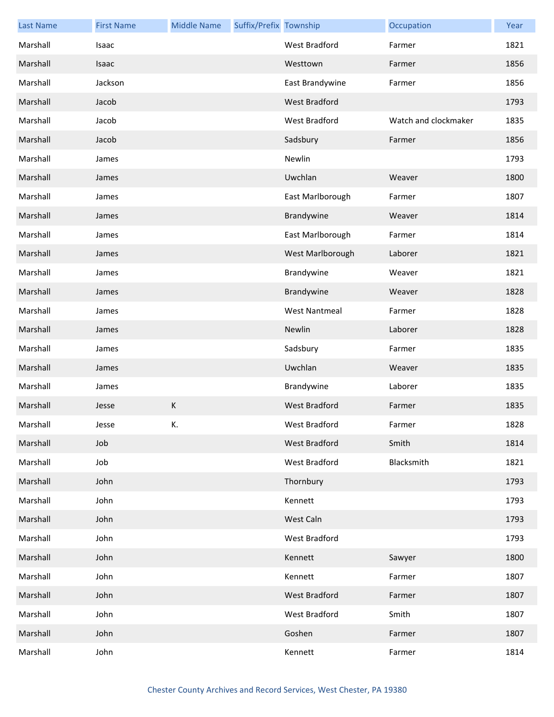| <b>Last Name</b> | <b>First Name</b> | <b>Middle Name</b> | Suffix/Prefix Township |                      | Occupation           | Year |
|------------------|-------------------|--------------------|------------------------|----------------------|----------------------|------|
| Marshall         | Isaac             |                    |                        | West Bradford        | Farmer               | 1821 |
| Marshall         | Isaac             |                    |                        | Westtown             | Farmer               | 1856 |
| Marshall         | Jackson           |                    |                        | East Brandywine      | Farmer               | 1856 |
| Marshall         | Jacob             |                    |                        | <b>West Bradford</b> |                      | 1793 |
| Marshall         | Jacob             |                    |                        | West Bradford        | Watch and clockmaker | 1835 |
| Marshall         | Jacob             |                    |                        | Sadsbury             | Farmer               | 1856 |
| Marshall         | James             |                    |                        | Newlin               |                      | 1793 |
| Marshall         | James             |                    |                        | Uwchlan              | Weaver               | 1800 |
| Marshall         | James             |                    |                        | East Marlborough     | Farmer               | 1807 |
| Marshall         | James             |                    |                        | Brandywine           | Weaver               | 1814 |
| Marshall         | James             |                    |                        | East Marlborough     | Farmer               | 1814 |
| Marshall         | James             |                    |                        | West Marlborough     | Laborer              | 1821 |
| Marshall         | James             |                    |                        | Brandywine           | Weaver               | 1821 |
| Marshall         | James             |                    |                        | Brandywine           | Weaver               | 1828 |
| Marshall         | James             |                    |                        | <b>West Nantmeal</b> | Farmer               | 1828 |
| Marshall         | James             |                    |                        | Newlin               | Laborer              | 1828 |
| Marshall         | James             |                    |                        | Sadsbury             | Farmer               | 1835 |
| Marshall         | James             |                    |                        | Uwchlan              | Weaver               | 1835 |
| Marshall         | James             |                    |                        | Brandywine           | Laborer              | 1835 |
| Marshall         | Jesse             | K                  |                        | West Bradford        | Farmer               | 1835 |
| Marshall         | Jesse             | К.                 |                        | West Bradford        | Farmer               | 1828 |
| Marshall         | Job               |                    |                        | West Bradford        | Smith                | 1814 |
| Marshall         | Job               |                    |                        | West Bradford        | Blacksmith           | 1821 |
| Marshall         | John              |                    |                        | Thornbury            |                      | 1793 |
| Marshall         | John              |                    |                        | Kennett              |                      | 1793 |
| Marshall         | John              |                    |                        | West Caln            |                      | 1793 |
| Marshall         | John              |                    |                        | West Bradford        |                      | 1793 |
| Marshall         | John              |                    |                        | Kennett              | Sawyer               | 1800 |
| Marshall         | John              |                    |                        | Kennett              | Farmer               | 1807 |
| Marshall         | John              |                    |                        | West Bradford        | Farmer               | 1807 |
| Marshall         | John              |                    |                        | West Bradford        | Smith                | 1807 |
| Marshall         | John              |                    |                        | Goshen               | Farmer               | 1807 |
| Marshall         | John              |                    |                        | Kennett              | Farmer               | 1814 |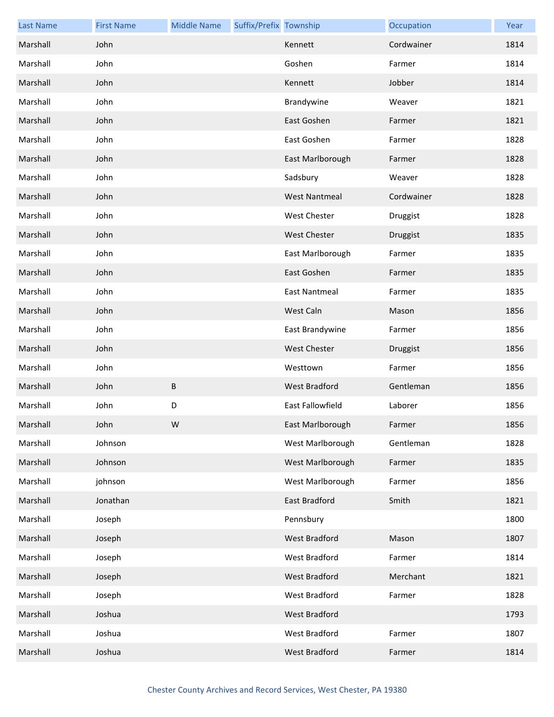| <b>Last Name</b> | <b>First Name</b> | <b>Middle Name</b> | Suffix/Prefix Township |                         | Occupation | Year |
|------------------|-------------------|--------------------|------------------------|-------------------------|------------|------|
| Marshall         | John              |                    |                        | Kennett                 | Cordwainer | 1814 |
| Marshall         | John              |                    |                        | Goshen                  | Farmer     | 1814 |
| Marshall         | John              |                    |                        | Kennett                 | Jobber     | 1814 |
| Marshall         | John              |                    |                        | Brandywine              | Weaver     | 1821 |
| Marshall         | John              |                    |                        | East Goshen             | Farmer     | 1821 |
| Marshall         | John              |                    |                        | East Goshen             | Farmer     | 1828 |
| Marshall         | John              |                    |                        | East Marlborough        | Farmer     | 1828 |
| Marshall         | John              |                    |                        | Sadsbury                | Weaver     | 1828 |
| Marshall         | John              |                    |                        | <b>West Nantmeal</b>    | Cordwainer | 1828 |
| Marshall         | John              |                    |                        | <b>West Chester</b>     | Druggist   | 1828 |
| Marshall         | John              |                    |                        | <b>West Chester</b>     | Druggist   | 1835 |
| Marshall         | John              |                    |                        | East Marlborough        | Farmer     | 1835 |
| Marshall         | John              |                    |                        | East Goshen             | Farmer     | 1835 |
| Marshall         | John              |                    |                        | East Nantmeal           | Farmer     | 1835 |
| Marshall         | John              |                    |                        | West Caln               | Mason      | 1856 |
| Marshall         | John              |                    |                        | East Brandywine         | Farmer     | 1856 |
| Marshall         | John              |                    |                        | <b>West Chester</b>     | Druggist   | 1856 |
| Marshall         | John              |                    |                        | Westtown                | Farmer     | 1856 |
| Marshall         | John              | B                  |                        | West Bradford           | Gentleman  | 1856 |
| Marshall         | John              | D                  |                        | <b>East Fallowfield</b> | Laborer    | 1856 |
| Marshall         | John              | W                  |                        | East Marlborough        | Farmer     | 1856 |
| Marshall         | Johnson           |                    |                        | West Marlborough        | Gentleman  | 1828 |
| Marshall         | Johnson           |                    |                        | West Marlborough        | Farmer     | 1835 |
| Marshall         | johnson           |                    |                        | West Marlborough        | Farmer     | 1856 |
| Marshall         | Jonathan          |                    |                        | East Bradford           | Smith      | 1821 |
| Marshall         | Joseph            |                    |                        | Pennsbury               |            | 1800 |
| Marshall         | Joseph            |                    |                        | West Bradford           | Mason      | 1807 |
| Marshall         | Joseph            |                    |                        | West Bradford           | Farmer     | 1814 |
| Marshall         | Joseph            |                    |                        | West Bradford           | Merchant   | 1821 |
| Marshall         | Joseph            |                    |                        | West Bradford           | Farmer     | 1828 |
| Marshall         | Joshua            |                    |                        | West Bradford           |            | 1793 |
| Marshall         | Joshua            |                    |                        | West Bradford           | Farmer     | 1807 |
| Marshall         | Joshua            |                    |                        | West Bradford           | Farmer     | 1814 |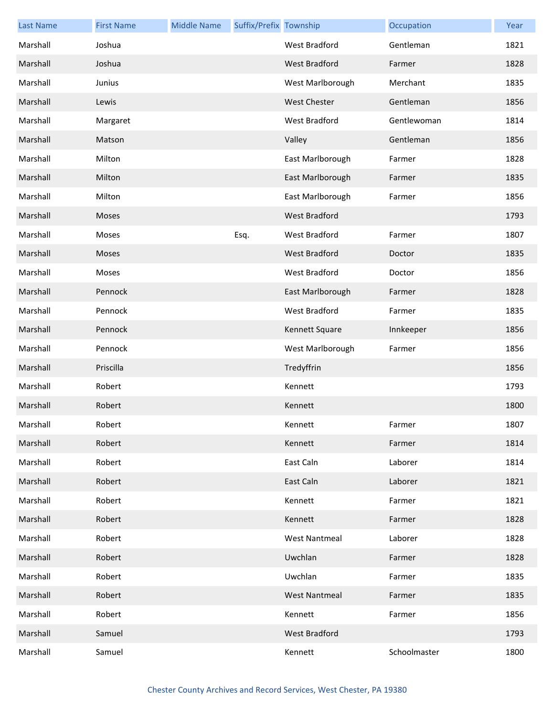| <b>Last Name</b> | <b>First Name</b> | <b>Middle Name</b> | Suffix/Prefix Township |                      | Occupation   | Year |
|------------------|-------------------|--------------------|------------------------|----------------------|--------------|------|
| Marshall         | Joshua            |                    |                        | West Bradford        | Gentleman    | 1821 |
| Marshall         | Joshua            |                    |                        | <b>West Bradford</b> | Farmer       | 1828 |
| Marshall         | Junius            |                    |                        | West Marlborough     | Merchant     | 1835 |
| Marshall         | Lewis             |                    |                        | <b>West Chester</b>  | Gentleman    | 1856 |
| Marshall         | Margaret          |                    |                        | West Bradford        | Gentlewoman  | 1814 |
| Marshall         | Matson            |                    |                        | Valley               | Gentleman    | 1856 |
| Marshall         | Milton            |                    |                        | East Marlborough     | Farmer       | 1828 |
| Marshall         | Milton            |                    |                        | East Marlborough     | Farmer       | 1835 |
| Marshall         | Milton            |                    |                        | East Marlborough     | Farmer       | 1856 |
| Marshall         | Moses             |                    |                        | <b>West Bradford</b> |              | 1793 |
| Marshall         | Moses             |                    | Esq.                   | West Bradford        | Farmer       | 1807 |
| Marshall         | Moses             |                    |                        | West Bradford        | Doctor       | 1835 |
| Marshall         | Moses             |                    |                        | West Bradford        | Doctor       | 1856 |
| Marshall         | Pennock           |                    |                        | East Marlborough     | Farmer       | 1828 |
| Marshall         | Pennock           |                    |                        | <b>West Bradford</b> | Farmer       | 1835 |
| Marshall         | Pennock           |                    |                        | Kennett Square       | Innkeeper    | 1856 |
| Marshall         | Pennock           |                    |                        | West Marlborough     | Farmer       | 1856 |
| Marshall         | Priscilla         |                    |                        | Tredyffrin           |              | 1856 |
| Marshall         | Robert            |                    |                        | Kennett              |              | 1793 |
| Marshall         | Robert            |                    |                        | Kennett              |              | 1800 |
| Marshall         | Robert            |                    |                        | Kennett              | Farmer       | 1807 |
| Marshall         | Robert            |                    |                        | Kennett              | Farmer       | 1814 |
| Marshall         | Robert            |                    |                        | East Caln            | Laborer      | 1814 |
| Marshall         | Robert            |                    |                        | East Caln            | Laborer      | 1821 |
| Marshall         | Robert            |                    |                        | Kennett              | Farmer       | 1821 |
| Marshall         | Robert            |                    |                        | Kennett              | Farmer       | 1828 |
| Marshall         | Robert            |                    |                        | <b>West Nantmeal</b> | Laborer      | 1828 |
| Marshall         | Robert            |                    |                        | Uwchlan              | Farmer       | 1828 |
| Marshall         | Robert            |                    |                        | Uwchlan              | Farmer       | 1835 |
| Marshall         | Robert            |                    |                        | <b>West Nantmeal</b> | Farmer       | 1835 |
| Marshall         | Robert            |                    |                        | Kennett              | Farmer       | 1856 |
| Marshall         | Samuel            |                    |                        | <b>West Bradford</b> |              | 1793 |
| Marshall         | Samuel            |                    |                        | Kennett              | Schoolmaster | 1800 |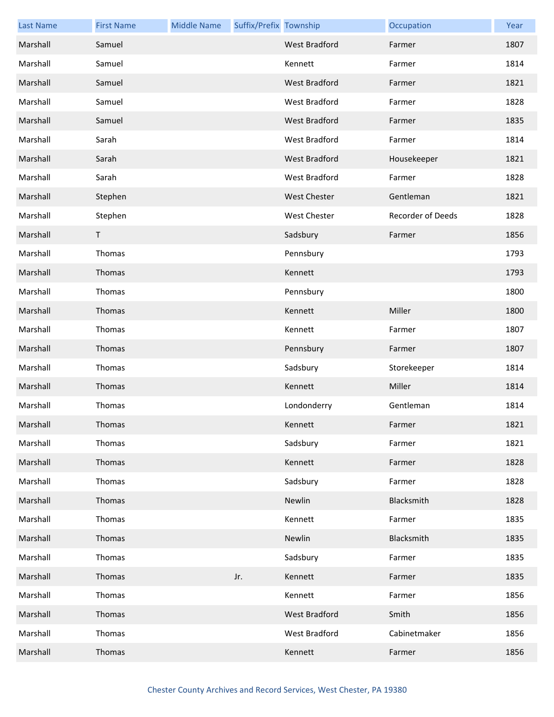| <b>Last Name</b> | <b>First Name</b> | <b>Middle Name</b> | Suffix/Prefix Township |                      | Occupation        | Year |
|------------------|-------------------|--------------------|------------------------|----------------------|-------------------|------|
| Marshall         | Samuel            |                    |                        | <b>West Bradford</b> | Farmer            | 1807 |
| Marshall         | Samuel            |                    |                        | Kennett              | Farmer            | 1814 |
| Marshall         | Samuel            |                    |                        | <b>West Bradford</b> | Farmer            | 1821 |
| Marshall         | Samuel            |                    |                        | West Bradford        | Farmer            | 1828 |
| Marshall         | Samuel            |                    |                        | West Bradford        | Farmer            | 1835 |
| Marshall         | Sarah             |                    |                        | West Bradford        | Farmer            | 1814 |
| Marshall         | Sarah             |                    |                        | West Bradford        | Housekeeper       | 1821 |
| Marshall         | Sarah             |                    |                        | West Bradford        | Farmer            | 1828 |
| Marshall         | Stephen           |                    |                        | <b>West Chester</b>  | Gentleman         | 1821 |
| Marshall         | Stephen           |                    |                        | <b>West Chester</b>  | Recorder of Deeds | 1828 |
| Marshall         | T                 |                    |                        | Sadsbury             | Farmer            | 1856 |
| Marshall         | Thomas            |                    |                        | Pennsbury            |                   | 1793 |
| Marshall         | Thomas            |                    |                        | Kennett              |                   | 1793 |
| Marshall         | Thomas            |                    |                        | Pennsbury            |                   | 1800 |
| Marshall         | Thomas            |                    |                        | Kennett              | Miller            | 1800 |
| Marshall         | Thomas            |                    |                        | Kennett              | Farmer            | 1807 |
| Marshall         | Thomas            |                    |                        | Pennsbury            | Farmer            | 1807 |
| Marshall         | Thomas            |                    |                        | Sadsbury             | Storekeeper       | 1814 |
| Marshall         | Thomas            |                    |                        | Kennett              | Miller            | 1814 |
| Marshall         | Thomas            |                    |                        | Londonderry          | Gentleman         | 1814 |
| Marshall         | <b>Thomas</b>     |                    |                        | Kennett              | Farmer            | 1821 |
| Marshall         | Thomas            |                    |                        | Sadsbury             | Farmer            | 1821 |
| Marshall         | Thomas            |                    |                        | Kennett              | Farmer            | 1828 |
| Marshall         | Thomas            |                    |                        | Sadsbury             | Farmer            | 1828 |
| Marshall         | Thomas            |                    |                        | Newlin               | Blacksmith        | 1828 |
| Marshall         | Thomas            |                    |                        | Kennett              | Farmer            | 1835 |
| Marshall         | Thomas            |                    |                        | Newlin               | Blacksmith        | 1835 |
| Marshall         | Thomas            |                    |                        | Sadsbury             | Farmer            | 1835 |
| Marshall         | Thomas            |                    | Jr.                    | Kennett              | Farmer            | 1835 |
| Marshall         | Thomas            |                    |                        | Kennett              | Farmer            | 1856 |
| Marshall         | Thomas            |                    |                        | West Bradford        | Smith             | 1856 |
| Marshall         | Thomas            |                    |                        | West Bradford        | Cabinetmaker      | 1856 |
| Marshall         | Thomas            |                    |                        | Kennett              | Farmer            | 1856 |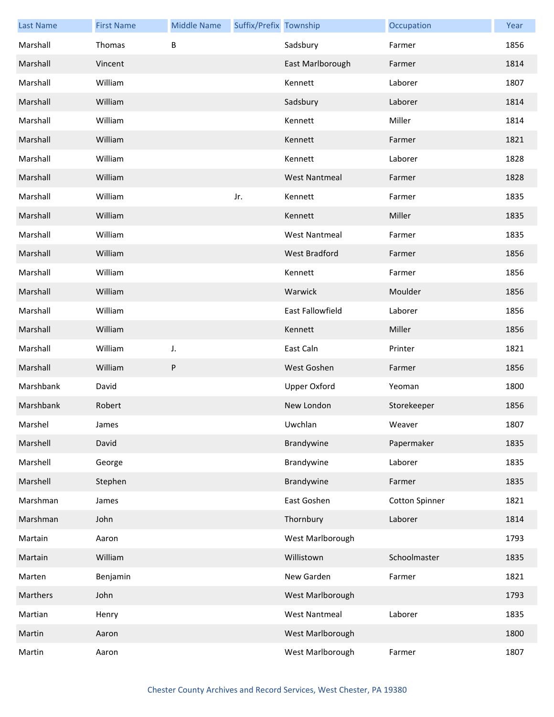| <b>Last Name</b> | <b>First Name</b> | <b>Middle Name</b> | Suffix/Prefix Township |                      | Occupation            | Year |
|------------------|-------------------|--------------------|------------------------|----------------------|-----------------------|------|
| Marshall         | Thomas            | B                  |                        | Sadsbury             | Farmer                | 1856 |
| Marshall         | Vincent           |                    |                        | East Marlborough     | Farmer                | 1814 |
| Marshall         | William           |                    |                        | Kennett              | Laborer               | 1807 |
| Marshall         | William           |                    |                        | Sadsbury             | Laborer               | 1814 |
| Marshall         | William           |                    |                        | Kennett              | Miller                | 1814 |
| Marshall         | William           |                    |                        | Kennett              | Farmer                | 1821 |
| Marshall         | William           |                    |                        | Kennett              | Laborer               | 1828 |
| Marshall         | William           |                    |                        | <b>West Nantmeal</b> | Farmer                | 1828 |
| Marshall         | William           |                    | Jr.                    | Kennett              | Farmer                | 1835 |
| Marshall         | William           |                    |                        | Kennett              | Miller                | 1835 |
| Marshall         | William           |                    |                        | <b>West Nantmeal</b> | Farmer                | 1835 |
| Marshall         | William           |                    |                        | <b>West Bradford</b> | Farmer                | 1856 |
| Marshall         | William           |                    |                        | Kennett              | Farmer                | 1856 |
| Marshall         | William           |                    |                        | Warwick              | Moulder               | 1856 |
| Marshall         | William           |                    |                        | East Fallowfield     | Laborer               | 1856 |
| Marshall         | William           |                    |                        | Kennett              | Miller                | 1856 |
| Marshall         | William           | J.                 |                        | East Caln            | Printer               | 1821 |
| Marshall         | William           | P                  |                        | West Goshen          | Farmer                | 1856 |
| Marshbank        | David             |                    |                        | <b>Upper Oxford</b>  | Yeoman                | 1800 |
| Marshbank        | Robert            |                    |                        | New London           | Storekeeper           | 1856 |
| Marshel          | James             |                    |                        | Uwchlan              | Weaver                | 1807 |
| Marshell         | David             |                    |                        | Brandywine           | Papermaker            | 1835 |
| Marshell         | George            |                    |                        | Brandywine           | Laborer               | 1835 |
| Marshell         | Stephen           |                    |                        | Brandywine           | Farmer                | 1835 |
| Marshman         | James             |                    |                        | East Goshen          | <b>Cotton Spinner</b> | 1821 |
| Marshman         | John              |                    |                        | Thornbury            | Laborer               | 1814 |
| Martain          | Aaron             |                    |                        | West Marlborough     |                       | 1793 |
| Martain          | William           |                    |                        | Willistown           | Schoolmaster          | 1835 |
| Marten           | Benjamin          |                    |                        | New Garden           | Farmer                | 1821 |
| Marthers         | John              |                    |                        | West Marlborough     |                       | 1793 |
| Martian          | Henry             |                    |                        | <b>West Nantmeal</b> | Laborer               | 1835 |
| Martin           | Aaron             |                    |                        | West Marlborough     |                       | 1800 |
| Martin           | Aaron             |                    |                        | West Marlborough     | Farmer                | 1807 |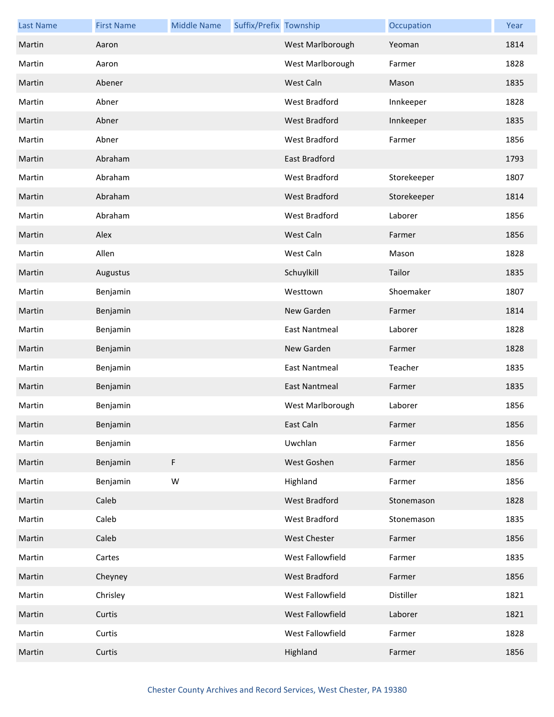| <b>Last Name</b> | <b>First Name</b> | <b>Middle Name</b> | Suffix/Prefix Township |                      | Occupation  | Year |
|------------------|-------------------|--------------------|------------------------|----------------------|-------------|------|
| Martin           | Aaron             |                    |                        | West Marlborough     | Yeoman      | 1814 |
| Martin           | Aaron             |                    |                        | West Marlborough     | Farmer      | 1828 |
| Martin           | Abener            |                    |                        | West Caln            | Mason       | 1835 |
| Martin           | Abner             |                    |                        | West Bradford        | Innkeeper   | 1828 |
| Martin           | Abner             |                    |                        | West Bradford        | Innkeeper   | 1835 |
| Martin           | Abner             |                    |                        | <b>West Bradford</b> | Farmer      | 1856 |
| Martin           | Abraham           |                    |                        | East Bradford        |             | 1793 |
| Martin           | Abraham           |                    |                        | West Bradford        | Storekeeper | 1807 |
| Martin           | Abraham           |                    |                        | West Bradford        | Storekeeper | 1814 |
| Martin           | Abraham           |                    |                        | <b>West Bradford</b> | Laborer     | 1856 |
| Martin           | Alex              |                    |                        | West Caln            | Farmer      | 1856 |
| Martin           | Allen             |                    |                        | West Caln            | Mason       | 1828 |
| Martin           | Augustus          |                    |                        | Schuylkill           | Tailor      | 1835 |
| Martin           | Benjamin          |                    |                        | Westtown             | Shoemaker   | 1807 |
| Martin           | Benjamin          |                    |                        | New Garden           | Farmer      | 1814 |
| Martin           | Benjamin          |                    |                        | <b>East Nantmeal</b> | Laborer     | 1828 |
| Martin           | Benjamin          |                    |                        | New Garden           | Farmer      | 1828 |
| Martin           | Benjamin          |                    |                        | <b>East Nantmeal</b> | Teacher     | 1835 |
| Martin           | Benjamin          |                    |                        | <b>East Nantmeal</b> | Farmer      | 1835 |
| Martin           | Benjamin          |                    |                        | West Marlborough     | Laborer     | 1856 |
| Martin           | Benjamin          |                    |                        | East Caln            | Farmer      | 1856 |
| Martin           | Benjamin          |                    |                        | Uwchlan              | Farmer      | 1856 |
| Martin           | Benjamin          | F                  |                        | West Goshen          | Farmer      | 1856 |
| Martin           | Benjamin          | ${\sf W}$          |                        | Highland             | Farmer      | 1856 |
| Martin           | Caleb             |                    |                        | <b>West Bradford</b> | Stonemason  | 1828 |
| Martin           | Caleb             |                    |                        | West Bradford        | Stonemason  | 1835 |
| Martin           | Caleb             |                    |                        | West Chester         | Farmer      | 1856 |
| Martin           | Cartes            |                    |                        | West Fallowfield     | Farmer      | 1835 |
| Martin           | Cheyney           |                    |                        | West Bradford        | Farmer      | 1856 |
| Martin           | Chrisley          |                    |                        | West Fallowfield     | Distiller   | 1821 |
| Martin           | Curtis            |                    |                        | West Fallowfield     | Laborer     | 1821 |
| Martin           | Curtis            |                    |                        | West Fallowfield     | Farmer      | 1828 |
| Martin           | Curtis            |                    |                        | Highland             | Farmer      | 1856 |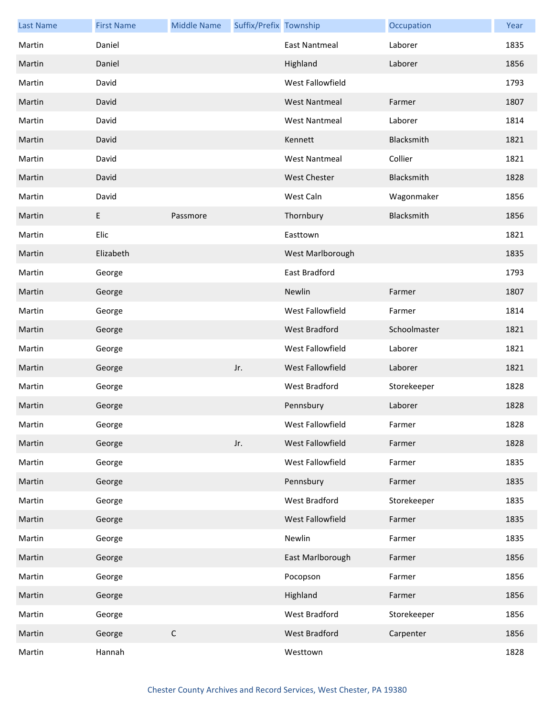| <b>Last Name</b> | <b>First Name</b> | <b>Middle Name</b> | Suffix/Prefix Township |                      | Occupation   | Year |
|------------------|-------------------|--------------------|------------------------|----------------------|--------------|------|
| Martin           | Daniel            |                    |                        | <b>East Nantmeal</b> | Laborer      | 1835 |
| Martin           | Daniel            |                    |                        | Highland             | Laborer      | 1856 |
| Martin           | David             |                    |                        | West Fallowfield     |              | 1793 |
| Martin           | David             |                    |                        | <b>West Nantmeal</b> | Farmer       | 1807 |
| Martin           | David             |                    |                        | <b>West Nantmeal</b> | Laborer      | 1814 |
| Martin           | David             |                    |                        | Kennett              | Blacksmith   | 1821 |
| Martin           | David             |                    |                        | <b>West Nantmeal</b> | Collier      | 1821 |
| Martin           | David             |                    |                        | <b>West Chester</b>  | Blacksmith   | 1828 |
| Martin           | David             |                    |                        | West Caln            | Wagonmaker   | 1856 |
| Martin           | E                 | Passmore           |                        | Thornbury            | Blacksmith   | 1856 |
| Martin           | Elic              |                    |                        | Easttown             |              | 1821 |
| Martin           | Elizabeth         |                    |                        | West Marlborough     |              | 1835 |
| Martin           | George            |                    |                        | East Bradford        |              | 1793 |
| Martin           | George            |                    |                        | Newlin               | Farmer       | 1807 |
| Martin           | George            |                    |                        | West Fallowfield     | Farmer       | 1814 |
| Martin           | George            |                    |                        | <b>West Bradford</b> | Schoolmaster | 1821 |
| Martin           | George            |                    |                        | West Fallowfield     | Laborer      | 1821 |
| Martin           | George            |                    | Jr.                    | West Fallowfield     | Laborer      | 1821 |
| Martin           | George            |                    |                        | West Bradford        | Storekeeper  | 1828 |
| Martin           | George            |                    |                        | Pennsbury            | Laborer      | 1828 |
| Martin           | George            |                    |                        | West Fallowfield     | Farmer       | 1828 |
| Martin           | George            |                    | Jr.                    | West Fallowfield     | Farmer       | 1828 |
| Martin           | George            |                    |                        | West Fallowfield     | Farmer       | 1835 |
| Martin           | George            |                    |                        | Pennsbury            | Farmer       | 1835 |
| Martin           | George            |                    |                        | West Bradford        | Storekeeper  | 1835 |
| Martin           | George            |                    |                        | West Fallowfield     | Farmer       | 1835 |
| Martin           | George            |                    |                        | Newlin               | Farmer       | 1835 |
| Martin           | George            |                    |                        | East Marlborough     | Farmer       | 1856 |
| Martin           | George            |                    |                        | Pocopson             | Farmer       | 1856 |
| Martin           | George            |                    |                        | Highland             | Farmer       | 1856 |
| Martin           | George            |                    |                        | West Bradford        | Storekeeper  | 1856 |
| Martin           | George            | $\mathsf C$        |                        | West Bradford        | Carpenter    | 1856 |
| Martin           | Hannah            |                    |                        | Westtown             |              | 1828 |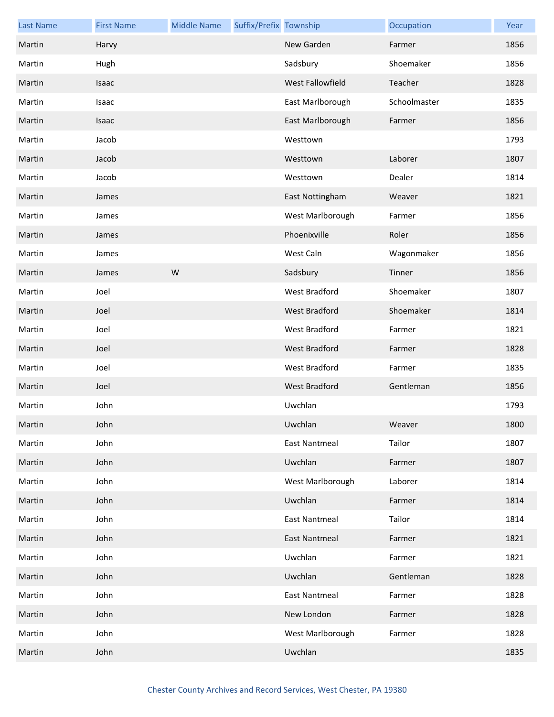| <b>Last Name</b> | <b>First Name</b> | <b>Middle Name</b> | Suffix/Prefix Township |                      | Occupation   | Year |
|------------------|-------------------|--------------------|------------------------|----------------------|--------------|------|
| Martin           | Harvy             |                    |                        | New Garden           | Farmer       | 1856 |
| Martin           | Hugh              |                    |                        | Sadsbury             | Shoemaker    | 1856 |
| Martin           | Isaac             |                    |                        | West Fallowfield     | Teacher      | 1828 |
| Martin           | Isaac             |                    |                        | East Marlborough     | Schoolmaster | 1835 |
| Martin           | Isaac             |                    |                        | East Marlborough     | Farmer       | 1856 |
| Martin           | Jacob             |                    |                        | Westtown             |              | 1793 |
| Martin           | Jacob             |                    |                        | Westtown             | Laborer      | 1807 |
| Martin           | Jacob             |                    |                        | Westtown             | Dealer       | 1814 |
| Martin           | James             |                    |                        | East Nottingham      | Weaver       | 1821 |
| Martin           | James             |                    |                        | West Marlborough     | Farmer       | 1856 |
| Martin           | James             |                    |                        | Phoenixville         | Roler        | 1856 |
| Martin           | James             |                    |                        | West Caln            | Wagonmaker   | 1856 |
| Martin           | James             | W                  |                        | Sadsbury             | Tinner       | 1856 |
| Martin           | Joel              |                    |                        | <b>West Bradford</b> | Shoemaker    | 1807 |
| Martin           | Joel              |                    |                        | <b>West Bradford</b> | Shoemaker    | 1814 |
| Martin           | Joel              |                    |                        | West Bradford        | Farmer       | 1821 |
| Martin           | Joel              |                    |                        | West Bradford        | Farmer       | 1828 |
| Martin           | Joel              |                    |                        | West Bradford        | Farmer       | 1835 |
| Martin           | Joel              |                    |                        | West Bradford        | Gentleman    | 1856 |
| Martin           | John              |                    |                        | Uwchlan              |              | 1793 |
| Martin           | John              |                    |                        | Uwchlan              | Weaver       | 1800 |
| Martin           | John              |                    |                        | <b>East Nantmeal</b> | Tailor       | 1807 |
| Martin           | John              |                    |                        | Uwchlan              | Farmer       | 1807 |
| Martin           | John              |                    |                        | West Marlborough     | Laborer      | 1814 |
| Martin           | John              |                    |                        | Uwchlan              | Farmer       | 1814 |
| Martin           | John              |                    |                        | <b>East Nantmeal</b> | Tailor       | 1814 |
| Martin           | John              |                    |                        | <b>East Nantmeal</b> | Farmer       | 1821 |
| Martin           | John              |                    |                        | Uwchlan              | Farmer       | 1821 |
| Martin           | John              |                    |                        | Uwchlan              | Gentleman    | 1828 |
| Martin           | John              |                    |                        | <b>East Nantmeal</b> | Farmer       | 1828 |
| Martin           | John              |                    |                        | New London           | Farmer       | 1828 |
| Martin           | John              |                    |                        | West Marlborough     | Farmer       | 1828 |
| Martin           | John              |                    |                        | Uwchlan              |              | 1835 |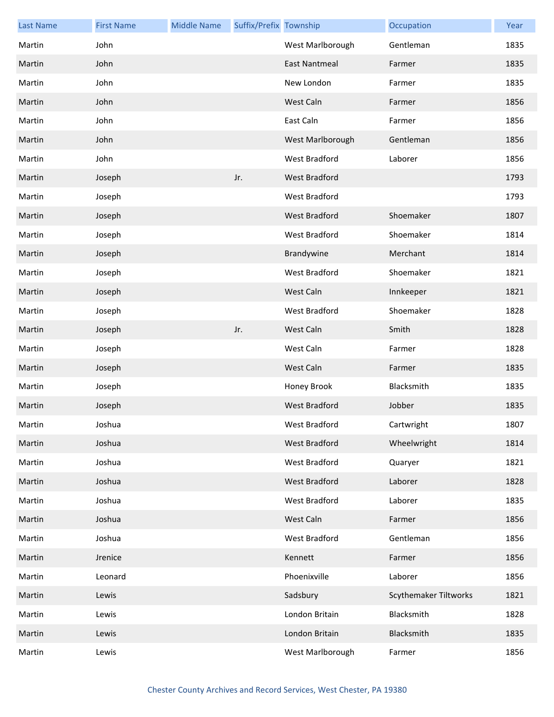| <b>Last Name</b> | <b>First Name</b> | <b>Middle Name</b> | Suffix/Prefix Township |                      | Occupation                   | Year |
|------------------|-------------------|--------------------|------------------------|----------------------|------------------------------|------|
| Martin           | John              |                    |                        | West Marlborough     | Gentleman                    | 1835 |
| Martin           | John              |                    |                        | East Nantmeal        | Farmer                       | 1835 |
| Martin           | John              |                    |                        | New London           | Farmer                       | 1835 |
| Martin           | John              |                    |                        | West Caln            | Farmer                       | 1856 |
| Martin           | John              |                    |                        | East Caln            | Farmer                       | 1856 |
| Martin           | John              |                    |                        | West Marlborough     | Gentleman                    | 1856 |
| Martin           | John              |                    |                        | West Bradford        | Laborer                      | 1856 |
| Martin           | Joseph            |                    | Jr.                    | West Bradford        |                              | 1793 |
| Martin           | Joseph            |                    |                        | West Bradford        |                              | 1793 |
| Martin           | Joseph            |                    |                        | <b>West Bradford</b> | Shoemaker                    | 1807 |
| Martin           | Joseph            |                    |                        | <b>West Bradford</b> | Shoemaker                    | 1814 |
| Martin           | Joseph            |                    |                        | Brandywine           | Merchant                     | 1814 |
| Martin           | Joseph            |                    |                        | West Bradford        | Shoemaker                    | 1821 |
| Martin           | Joseph            |                    |                        | West Caln            | Innkeeper                    | 1821 |
| Martin           | Joseph            |                    |                        | West Bradford        | Shoemaker                    | 1828 |
| Martin           | Joseph            |                    | Jr.                    | West Caln            | Smith                        | 1828 |
| Martin           | Joseph            |                    |                        | West Caln            | Farmer                       | 1828 |
| Martin           | Joseph            |                    |                        | West Caln            | Farmer                       | 1835 |
| Martin           | Joseph            |                    |                        | Honey Brook          | Blacksmith                   | 1835 |
| Martin           | Joseph            |                    |                        | <b>West Bradford</b> | Jobber                       | 1835 |
| Martin           | Joshua            |                    |                        | West Bradford        | Cartwright                   | 1807 |
| Martin           | Joshua            |                    |                        | West Bradford        | Wheelwright                  | 1814 |
| Martin           | Joshua            |                    |                        | West Bradford        | Quaryer                      | 1821 |
| Martin           | Joshua            |                    |                        | West Bradford        | Laborer                      | 1828 |
| Martin           | Joshua            |                    |                        | West Bradford        | Laborer                      | 1835 |
| Martin           | Joshua            |                    |                        | West Caln            | Farmer                       | 1856 |
| Martin           | Joshua            |                    |                        | West Bradford        | Gentleman                    | 1856 |
| Martin           | Jrenice           |                    |                        | Kennett              | Farmer                       | 1856 |
| Martin           | Leonard           |                    |                        | Phoenixville         | Laborer                      | 1856 |
| Martin           | Lewis             |                    |                        | Sadsbury             | <b>Scythemaker Tiltworks</b> | 1821 |
| Martin           | Lewis             |                    |                        | London Britain       | Blacksmith                   | 1828 |
| Martin           | Lewis             |                    |                        | London Britain       | Blacksmith                   | 1835 |
| Martin           | Lewis             |                    |                        | West Marlborough     | Farmer                       | 1856 |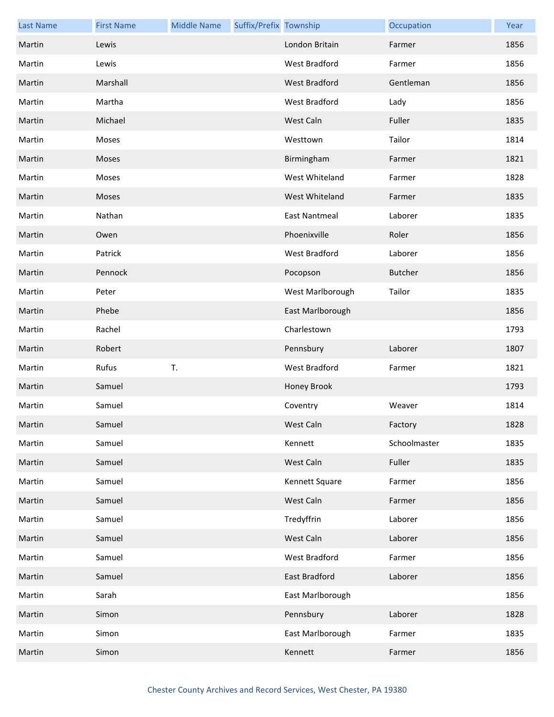| <b>Last Name</b> | <b>First Name</b> | <b>Middle Name</b> | Suffix/Prefix Township |                      | Occupation     | Year |
|------------------|-------------------|--------------------|------------------------|----------------------|----------------|------|
| Martin           | Lewis             |                    |                        | London Britain       | Farmer         | 1856 |
| Martin           | Lewis             |                    |                        | West Bradford        | Farmer         | 1856 |
| Martin           | Marshall          |                    |                        | West Bradford        | Gentleman      | 1856 |
| Martin           | Martha            |                    |                        | West Bradford        | Lady           | 1856 |
| Martin           | Michael           |                    |                        | West Caln            | Fuller         | 1835 |
| Martin           | Moses             |                    |                        | Westtown             | Tailor         | 1814 |
| Martin           | Moses             |                    |                        | Birmingham           | Farmer         | 1821 |
| Martin           | Moses             |                    |                        | West Whiteland       | Farmer         | 1828 |
| Martin           | Moses             |                    |                        | West Whiteland       | Farmer         | 1835 |
| Martin           | Nathan            |                    |                        | <b>East Nantmeal</b> | Laborer        | 1835 |
| Martin           | Owen              |                    |                        | Phoenixville         | Roler          | 1856 |
| Martin           | Patrick           |                    |                        | West Bradford        | Laborer        | 1856 |
| Martin           | Pennock           |                    |                        | Pocopson             | <b>Butcher</b> | 1856 |
| Martin           | Peter             |                    |                        | West Marlborough     | Tailor         | 1835 |
| Martin           | Phebe             |                    |                        | East Marlborough     |                | 1856 |
| Martin           | Rachel            |                    |                        | Charlestown          |                | 1793 |
| Martin           | Robert            |                    |                        | Pennsbury            | Laborer        | 1807 |
| Martin           | Rufus             | T.                 |                        | West Bradford        | Farmer         | 1821 |
| Martin           | Samuel            |                    |                        | Honey Brook          |                | 1793 |
| Martin           | Samuel            |                    |                        | Coventry             | Weaver         | 1814 |
| Martin           | Samuel            |                    |                        | West Caln            | Factory        | 1828 |
| Martin           | Samuel            |                    |                        | Kennett              | Schoolmaster   | 1835 |
| Martin           | Samuel            |                    |                        | West Caln            | Fuller         | 1835 |
| Martin           | Samuel            |                    |                        | Kennett Square       | Farmer         | 1856 |
| Martin           | Samuel            |                    |                        | West Caln            | Farmer         | 1856 |
| Martin           | Samuel            |                    |                        | Tredyffrin           | Laborer        | 1856 |
| Martin           | Samuel            |                    |                        | West Caln            | Laborer        | 1856 |
| Martin           | Samuel            |                    |                        | West Bradford        | Farmer         | 1856 |
| Martin           | Samuel            |                    |                        | East Bradford        | Laborer        | 1856 |
| Martin           | Sarah             |                    |                        | East Marlborough     |                | 1856 |
| Martin           | Simon             |                    |                        | Pennsbury            | Laborer        | 1828 |
| Martin           | Simon             |                    |                        | East Marlborough     | Farmer         | 1835 |
| Martin           | Simon             |                    |                        | Kennett              | Farmer         | 1856 |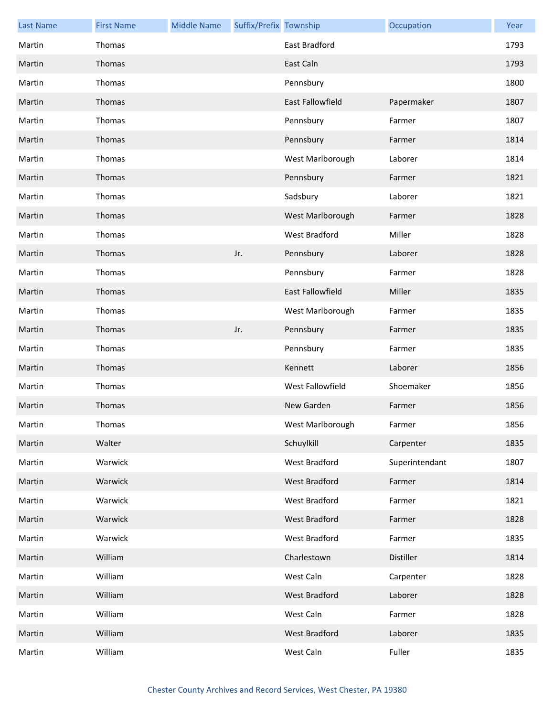| <b>Last Name</b> | <b>First Name</b> | <b>Middle Name</b> | Suffix/Prefix Township |                         | Occupation     | Year |
|------------------|-------------------|--------------------|------------------------|-------------------------|----------------|------|
| Martin           | Thomas            |                    |                        | <b>East Bradford</b>    |                | 1793 |
| Martin           | Thomas            |                    |                        | East Caln               |                | 1793 |
| Martin           | Thomas            |                    |                        | Pennsbury               |                | 1800 |
| Martin           | Thomas            |                    |                        | <b>East Fallowfield</b> | Papermaker     | 1807 |
| Martin           | Thomas            |                    |                        | Pennsbury               | Farmer         | 1807 |
| Martin           | Thomas            |                    |                        | Pennsbury               | Farmer         | 1814 |
| Martin           | Thomas            |                    |                        | West Marlborough        | Laborer        | 1814 |
| Martin           | Thomas            |                    |                        | Pennsbury               | Farmer         | 1821 |
| Martin           | Thomas            |                    |                        | Sadsbury                | Laborer        | 1821 |
| Martin           | Thomas            |                    |                        | West Marlborough        | Farmer         | 1828 |
| Martin           | Thomas            |                    |                        | West Bradford           | Miller         | 1828 |
| Martin           | Thomas            |                    | Jr.                    | Pennsbury               | Laborer        | 1828 |
| Martin           | Thomas            |                    |                        | Pennsbury               | Farmer         | 1828 |
| Martin           | Thomas            |                    |                        | <b>East Fallowfield</b> | Miller         | 1835 |
| Martin           | Thomas            |                    |                        | West Marlborough        | Farmer         | 1835 |
| Martin           | Thomas            |                    | Jr.                    | Pennsbury               | Farmer         | 1835 |
| Martin           | Thomas            |                    |                        | Pennsbury               | Farmer         | 1835 |
| Martin           | Thomas            |                    |                        | Kennett                 | Laborer        | 1856 |
| Martin           | Thomas            |                    |                        | West Fallowfield        | Shoemaker      | 1856 |
| Martin           | Thomas            |                    |                        | New Garden              | Farmer         | 1856 |
| Martin           | Thomas            |                    |                        | West Marlborough        | Farmer         | 1856 |
| Martin           | Walter            |                    |                        | Schuylkill              | Carpenter      | 1835 |
| Martin           | Warwick           |                    |                        | West Bradford           | Superintendant | 1807 |
| Martin           | Warwick           |                    |                        | <b>West Bradford</b>    | Farmer         | 1814 |
| Martin           | Warwick           |                    |                        | West Bradford           | Farmer         | 1821 |
| Martin           | Warwick           |                    |                        | <b>West Bradford</b>    | Farmer         | 1828 |
| Martin           | Warwick           |                    |                        | West Bradford           | Farmer         | 1835 |
| Martin           | William           |                    |                        | Charlestown             | Distiller      | 1814 |
| Martin           | William           |                    |                        | West Caln               | Carpenter      | 1828 |
| Martin           | William           |                    |                        | West Bradford           | Laborer        | 1828 |
| Martin           | William           |                    |                        | West Caln               | Farmer         | 1828 |
| Martin           | William           |                    |                        | West Bradford           | Laborer        | 1835 |
| Martin           | William           |                    |                        | West Caln               | Fuller         | 1835 |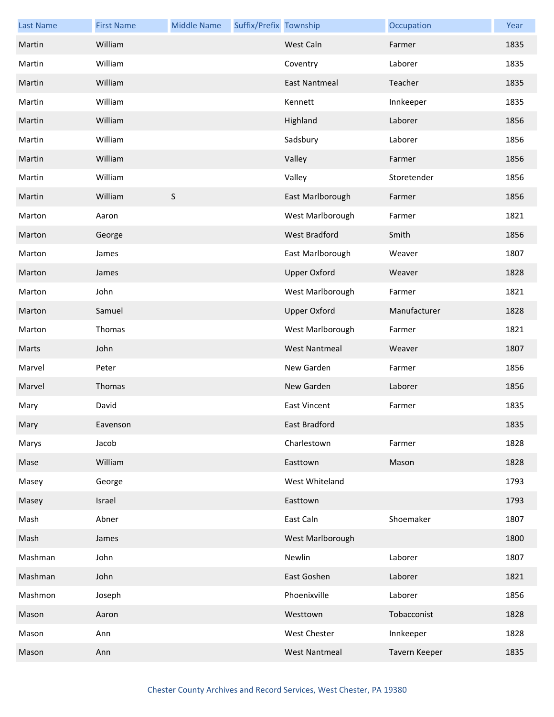| <b>Last Name</b> | <b>First Name</b> | <b>Middle Name</b> | Suffix/Prefix Township |                      | Occupation    | Year |
|------------------|-------------------|--------------------|------------------------|----------------------|---------------|------|
| Martin           | William           |                    |                        | West Caln            | Farmer        | 1835 |
| Martin           | William           |                    |                        | Coventry             | Laborer       | 1835 |
| Martin           | William           |                    |                        | <b>East Nantmeal</b> | Teacher       | 1835 |
| Martin           | William           |                    |                        | Kennett              | Innkeeper     | 1835 |
| Martin           | William           |                    |                        | Highland             | Laborer       | 1856 |
| Martin           | William           |                    |                        | Sadsbury             | Laborer       | 1856 |
| Martin           | William           |                    |                        | Valley               | Farmer        | 1856 |
| Martin           | William           |                    |                        | Valley               | Storetender   | 1856 |
| Martin           | William           | $\sf S$            |                        | East Marlborough     | Farmer        | 1856 |
| Marton           | Aaron             |                    |                        | West Marlborough     | Farmer        | 1821 |
| Marton           | George            |                    |                        | West Bradford        | Smith         | 1856 |
| Marton           | James             |                    |                        | East Marlborough     | Weaver        | 1807 |
| Marton           | James             |                    |                        | <b>Upper Oxford</b>  | Weaver        | 1828 |
| Marton           | John              |                    |                        | West Marlborough     | Farmer        | 1821 |
| Marton           | Samuel            |                    |                        | <b>Upper Oxford</b>  | Manufacturer  | 1828 |
| Marton           | Thomas            |                    |                        | West Marlborough     | Farmer        | 1821 |
| Marts            | John              |                    |                        | <b>West Nantmeal</b> | Weaver        | 1807 |
| Marvel           | Peter             |                    |                        | New Garden           | Farmer        | 1856 |
| Marvel           | Thomas            |                    |                        | New Garden           | Laborer       | 1856 |
| Mary             | David             |                    |                        | <b>East Vincent</b>  | Farmer        | 1835 |
| Mary             | Eavenson          |                    |                        | East Bradford        |               | 1835 |
| Marys            | Jacob             |                    |                        | Charlestown          | Farmer        | 1828 |
| Mase             | William           |                    |                        | Easttown             | Mason         | 1828 |
| Masey            | George            |                    |                        | West Whiteland       |               | 1793 |
| Masey            | Israel            |                    |                        | Easttown             |               | 1793 |
| Mash             | Abner             |                    |                        | East Caln            | Shoemaker     | 1807 |
| Mash             | James             |                    |                        | West Marlborough     |               | 1800 |
| Mashman          | John              |                    |                        | Newlin               | Laborer       | 1807 |
| Mashman          | John              |                    |                        | East Goshen          | Laborer       | 1821 |
| Mashmon          | Joseph            |                    |                        | Phoenixville         | Laborer       | 1856 |
| Mason            | Aaron             |                    |                        | Westtown             | Tobacconist   | 1828 |
| Mason            | Ann               |                    |                        | <b>West Chester</b>  | Innkeeper     | 1828 |
| Mason            | Ann               |                    |                        | <b>West Nantmeal</b> | Tavern Keeper | 1835 |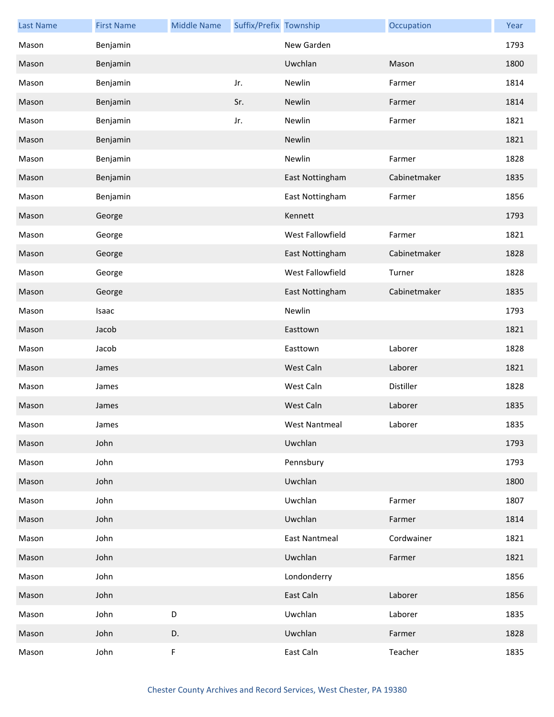| <b>Last Name</b> | <b>First Name</b> | <b>Middle Name</b> | Suffix/Prefix Township |                      | Occupation   | Year |
|------------------|-------------------|--------------------|------------------------|----------------------|--------------|------|
| Mason            | Benjamin          |                    |                        | New Garden           |              | 1793 |
| Mason            | Benjamin          |                    |                        | Uwchlan              | Mason        | 1800 |
| Mason            | Benjamin          |                    | Jr.                    | Newlin               | Farmer       | 1814 |
| Mason            | Benjamin          |                    | Sr.                    | Newlin               | Farmer       | 1814 |
| Mason            | Benjamin          |                    | Jr.                    | Newlin               | Farmer       | 1821 |
| Mason            | Benjamin          |                    |                        | Newlin               |              | 1821 |
| Mason            | Benjamin          |                    |                        | Newlin               | Farmer       | 1828 |
| Mason            | Benjamin          |                    |                        | East Nottingham      | Cabinetmaker | 1835 |
| Mason            | Benjamin          |                    |                        | East Nottingham      | Farmer       | 1856 |
| Mason            | George            |                    |                        | Kennett              |              | 1793 |
| Mason            | George            |                    |                        | West Fallowfield     | Farmer       | 1821 |
| Mason            | George            |                    |                        | East Nottingham      | Cabinetmaker | 1828 |
| Mason            | George            |                    |                        | West Fallowfield     | Turner       | 1828 |
| Mason            | George            |                    |                        | East Nottingham      | Cabinetmaker | 1835 |
| Mason            | Isaac             |                    |                        | Newlin               |              | 1793 |
| Mason            | Jacob             |                    |                        | Easttown             |              | 1821 |
| Mason            | Jacob             |                    |                        | Easttown             | Laborer      | 1828 |
| Mason            | James             |                    |                        | West Caln            | Laborer      | 1821 |
| Mason            | James             |                    |                        | West Caln            | Distiller    | 1828 |
| Mason            | James             |                    |                        | West Caln            | Laborer      | 1835 |
| Mason            | James             |                    |                        | West Nantmeal        | Laborer      | 1835 |
| Mason            | John              |                    |                        | Uwchlan              |              | 1793 |
| Mason            | John              |                    |                        | Pennsbury            |              | 1793 |
| Mason            | John              |                    |                        | Uwchlan              |              | 1800 |
| Mason            | John              |                    |                        | Uwchlan              | Farmer       | 1807 |
| Mason            | John              |                    |                        | Uwchlan              | Farmer       | 1814 |
| Mason            | John              |                    |                        | <b>East Nantmeal</b> | Cordwainer   | 1821 |
| Mason            | John              |                    |                        | Uwchlan              | Farmer       | 1821 |
| Mason            | John              |                    |                        | Londonderry          |              | 1856 |
| Mason            | John              |                    |                        | East Caln            | Laborer      | 1856 |
| Mason            | John              | D                  |                        | Uwchlan              | Laborer      | 1835 |
| Mason            | John              | D.                 |                        | Uwchlan              | Farmer       | 1828 |
| Mason            | John              | $\mathsf F$        |                        | East Caln            | Teacher      | 1835 |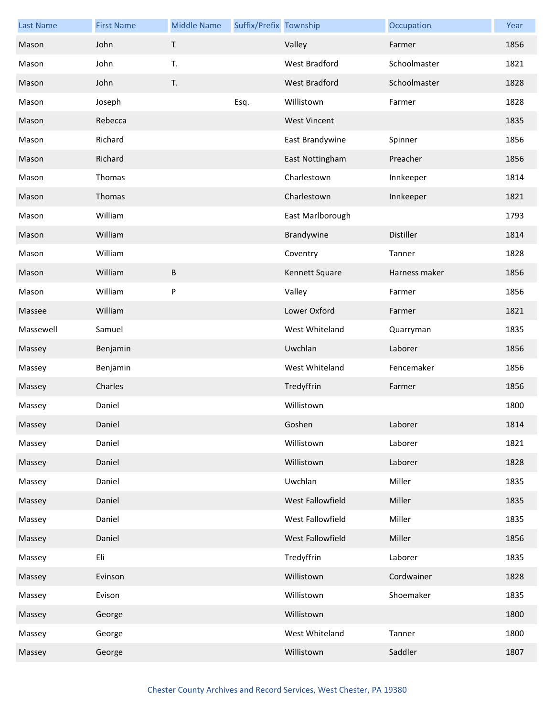| <b>Last Name</b> | <b>First Name</b> | <b>Middle Name</b> | Suffix/Prefix Township |                      | Occupation    | Year |
|------------------|-------------------|--------------------|------------------------|----------------------|---------------|------|
| Mason            | John              | $\mathsf T$        |                        | Valley               | Farmer        | 1856 |
| Mason            | John              | T.                 |                        | <b>West Bradford</b> | Schoolmaster  | 1821 |
| Mason            | John              | T.                 |                        | <b>West Bradford</b> | Schoolmaster  | 1828 |
| Mason            | Joseph            |                    | Esq.                   | Willistown           | Farmer        | 1828 |
| Mason            | Rebecca           |                    |                        | <b>West Vincent</b>  |               | 1835 |
| Mason            | Richard           |                    |                        | East Brandywine      | Spinner       | 1856 |
| Mason            | Richard           |                    |                        | East Nottingham      | Preacher      | 1856 |
| Mason            | Thomas            |                    |                        | Charlestown          | Innkeeper     | 1814 |
| Mason            | Thomas            |                    |                        | Charlestown          | Innkeeper     | 1821 |
| Mason            | William           |                    |                        | East Marlborough     |               | 1793 |
| Mason            | William           |                    |                        | Brandywine           | Distiller     | 1814 |
| Mason            | William           |                    |                        | Coventry             | Tanner        | 1828 |
| Mason            | William           | B                  |                        | Kennett Square       | Harness maker | 1856 |
| Mason            | William           | P                  |                        | Valley               | Farmer        | 1856 |
| Massee           | William           |                    |                        | Lower Oxford         | Farmer        | 1821 |
| Massewell        | Samuel            |                    |                        | West Whiteland       | Quarryman     | 1835 |
| Massey           | Benjamin          |                    |                        | Uwchlan              | Laborer       | 1856 |
| Massey           | Benjamin          |                    |                        | West Whiteland       | Fencemaker    | 1856 |
| Massey           | Charles           |                    |                        | Tredyffrin           | Farmer        | 1856 |
| Massey           | Daniel            |                    |                        | Willistown           |               | 1800 |
| Massey           | Daniel            |                    |                        | Goshen               | Laborer       | 1814 |
| Massey           | Daniel            |                    |                        | Willistown           | Laborer       | 1821 |
| Massey           | Daniel            |                    |                        | Willistown           | Laborer       | 1828 |
| Massey           | Daniel            |                    |                        | Uwchlan              | Miller        | 1835 |
| Massey           | Daniel            |                    |                        | West Fallowfield     | Miller        | 1835 |
| Massey           | Daniel            |                    |                        | West Fallowfield     | Miller        | 1835 |
| Massey           | Daniel            |                    |                        | West Fallowfield     | Miller        | 1856 |
| Massey           | Eli               |                    |                        | Tredyffrin           | Laborer       | 1835 |
| Massey           | Evinson           |                    |                        | Willistown           | Cordwainer    | 1828 |
| Massey           | Evison            |                    |                        | Willistown           | Shoemaker     | 1835 |
| Massey           | George            |                    |                        | Willistown           |               | 1800 |
| Massey           | George            |                    |                        | West Whiteland       | Tanner        | 1800 |
| Massey           | George            |                    |                        | Willistown           | Saddler       | 1807 |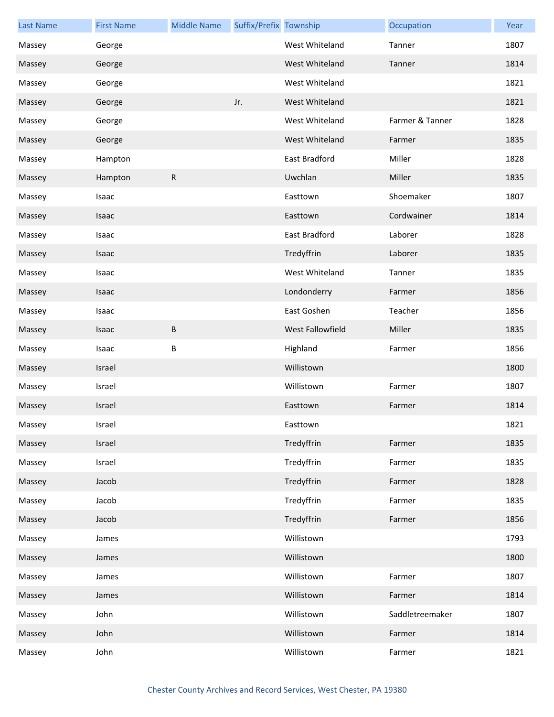| <b>Last Name</b> | <b>First Name</b> | <b>Middle Name</b> | Suffix/Prefix Township |                         | Occupation      | Year |
|------------------|-------------------|--------------------|------------------------|-------------------------|-----------------|------|
| Massey           | George            |                    |                        | West Whiteland          | Tanner          | 1807 |
| Massey           | George            |                    |                        | West Whiteland          | Tanner          | 1814 |
| Massey           | George            |                    |                        | West Whiteland          |                 | 1821 |
| Massey           | George            |                    | Jr.                    | West Whiteland          |                 | 1821 |
| Massey           | George            |                    |                        | West Whiteland          | Farmer & Tanner | 1828 |
| Massey           | George            |                    |                        | West Whiteland          | Farmer          | 1835 |
| Massey           | Hampton           |                    |                        | East Bradford           | Miller          | 1828 |
| Massey           | Hampton           | ${\sf R}$          |                        | Uwchlan                 | Miller          | 1835 |
| Massey           | Isaac             |                    |                        | Easttown                | Shoemaker       | 1807 |
| Massey           | Isaac             |                    |                        | Easttown                | Cordwainer      | 1814 |
| Massey           | Isaac             |                    |                        | East Bradford           | Laborer         | 1828 |
| Massey           | Isaac             |                    |                        | Tredyffrin              | Laborer         | 1835 |
| Massey           | Isaac             |                    |                        | West Whiteland          | Tanner          | 1835 |
| Massey           | Isaac             |                    |                        | Londonderry             | Farmer          | 1856 |
| Massey           | Isaac             |                    |                        | East Goshen             | Teacher         | 1856 |
| Massey           | Isaac             | B                  |                        | <b>West Fallowfield</b> | Miller          | 1835 |
| Massey           | Isaac             | B                  |                        | Highland                | Farmer          | 1856 |
| Massey           | Israel            |                    |                        | Willistown              |                 | 1800 |
| Massey           | Israel            |                    |                        | Willistown              | Farmer          | 1807 |
| Massey           | Israel            |                    |                        | Easttown                | Farmer          | 1814 |
| Massey           | Israel            |                    |                        | Easttown                |                 | 1821 |
| Massey           | Israel            |                    |                        | Tredyffrin              | Farmer          | 1835 |
| Massey           | Israel            |                    |                        | Tredyffrin              | Farmer          | 1835 |
| Massey           | Jacob             |                    |                        | Tredyffrin              | Farmer          | 1828 |
| Massey           | Jacob             |                    |                        | Tredyffrin              | Farmer          | 1835 |
| Massey           | Jacob             |                    |                        | Tredyffrin              | Farmer          | 1856 |
| Massey           | James             |                    |                        | Willistown              |                 | 1793 |
| Massey           | James             |                    |                        | Willistown              |                 | 1800 |
| Massey           | James             |                    |                        | Willistown              | Farmer          | 1807 |
| Massey           | James             |                    |                        | Willistown              | Farmer          | 1814 |
| Massey           | John              |                    |                        | Willistown              | Saddletreemaker | 1807 |
| Massey           | John              |                    |                        | Willistown              | Farmer          | 1814 |
| Massey           | John              |                    |                        | Willistown              | Farmer          | 1821 |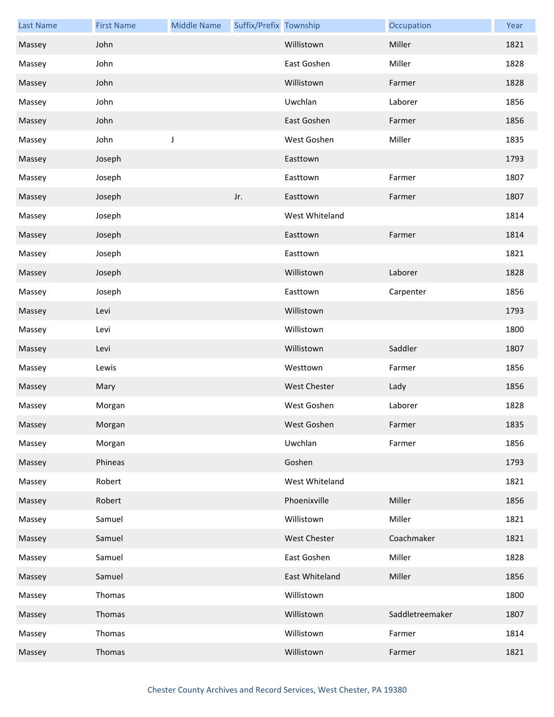| <b>Last Name</b> | <b>First Name</b> | <b>Middle Name</b> | Suffix/Prefix Township |                     | Occupation      | Year |
|------------------|-------------------|--------------------|------------------------|---------------------|-----------------|------|
| Massey           | John              |                    |                        | Willistown          | Miller          | 1821 |
| Massey           | John              |                    |                        | East Goshen         | Miller          | 1828 |
| Massey           | John              |                    |                        | Willistown          | Farmer          | 1828 |
| Massey           | John              |                    |                        | Uwchlan             | Laborer         | 1856 |
| Massey           | John              |                    |                        | East Goshen         | Farmer          | 1856 |
| Massey           | John              | $\mathsf J$        |                        | West Goshen         | Miller          | 1835 |
| Massey           | Joseph            |                    |                        | Easttown            |                 | 1793 |
| Massey           | Joseph            |                    |                        | Easttown            | Farmer          | 1807 |
| Massey           | Joseph            |                    | Jr.                    | Easttown            | Farmer          | 1807 |
| Massey           | Joseph            |                    |                        | West Whiteland      |                 | 1814 |
| Massey           | Joseph            |                    |                        | Easttown            | Farmer          | 1814 |
| Massey           | Joseph            |                    |                        | Easttown            |                 | 1821 |
| Massey           | Joseph            |                    |                        | Willistown          | Laborer         | 1828 |
| Massey           | Joseph            |                    |                        | Easttown            | Carpenter       | 1856 |
| Massey           | Levi              |                    |                        | Willistown          |                 | 1793 |
| Massey           | Levi              |                    |                        | Willistown          |                 | 1800 |
| Massey           | Levi              |                    |                        | Willistown          | Saddler         | 1807 |
| Massey           | Lewis             |                    |                        | Westtown            | Farmer          | 1856 |
| Massey           | Mary              |                    |                        | <b>West Chester</b> | Lady            | 1856 |
| Massey           | Morgan            |                    |                        | West Goshen         | Laborer         | 1828 |
| Massey           | Morgan            |                    |                        | West Goshen         | Farmer          | 1835 |
| Massey           | Morgan            |                    |                        | Uwchlan             | Farmer          | 1856 |
| Massey           | Phineas           |                    |                        | Goshen              |                 | 1793 |
| Massey           | Robert            |                    |                        | West Whiteland      |                 | 1821 |
| Massey           | Robert            |                    |                        | Phoenixville        | Miller          | 1856 |
| Massey           | Samuel            |                    |                        | Willistown          | Miller          | 1821 |
| Massey           | Samuel            |                    |                        | <b>West Chester</b> | Coachmaker      | 1821 |
| Massey           | Samuel            |                    |                        | East Goshen         | Miller          | 1828 |
| Massey           | Samuel            |                    |                        | East Whiteland      | Miller          | 1856 |
| Massey           | Thomas            |                    |                        | Willistown          |                 | 1800 |
| Massey           | Thomas            |                    |                        | Willistown          | Saddletreemaker | 1807 |
| Massey           | Thomas            |                    |                        | Willistown          | Farmer          | 1814 |
| Massey           | Thomas            |                    |                        | Willistown          | Farmer          | 1821 |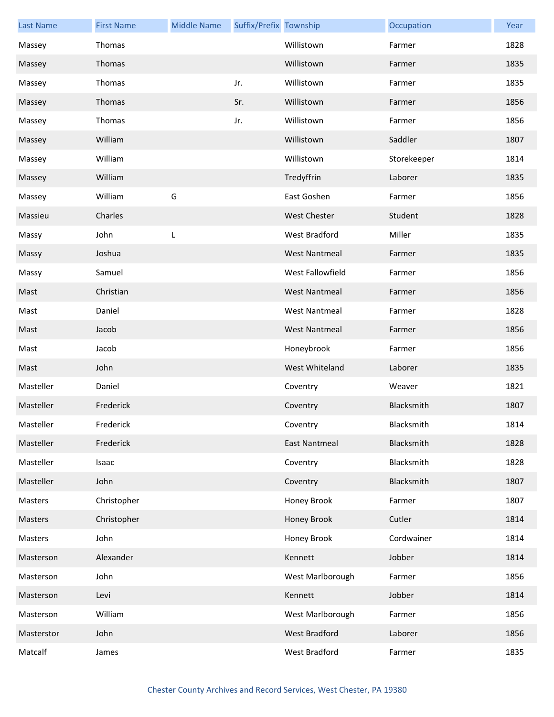| <b>Last Name</b> | <b>First Name</b> | <b>Middle Name</b> | Suffix/Prefix Township |                      | Occupation  | Year |
|------------------|-------------------|--------------------|------------------------|----------------------|-------------|------|
| Massey           | Thomas            |                    |                        | Willistown           | Farmer      | 1828 |
| Massey           | Thomas            |                    |                        | Willistown           | Farmer      | 1835 |
| Massey           | Thomas            |                    | Jr.                    | Willistown           | Farmer      | 1835 |
| Massey           | Thomas            |                    | Sr.                    | Willistown           | Farmer      | 1856 |
| Massey           | Thomas            |                    | Jr.                    | Willistown           | Farmer      | 1856 |
| Massey           | William           |                    |                        | Willistown           | Saddler     | 1807 |
| Massey           | William           |                    |                        | Willistown           | Storekeeper | 1814 |
| Massey           | William           |                    |                        | Tredyffrin           | Laborer     | 1835 |
| Massey           | William           | G                  |                        | East Goshen          | Farmer      | 1856 |
| Massieu          | Charles           |                    |                        | <b>West Chester</b>  | Student     | 1828 |
| Massy            | John              | L                  |                        | West Bradford        | Miller      | 1835 |
| Massy            | Joshua            |                    |                        | <b>West Nantmeal</b> | Farmer      | 1835 |
| Massy            | Samuel            |                    |                        | West Fallowfield     | Farmer      | 1856 |
| Mast             | Christian         |                    |                        | <b>West Nantmeal</b> | Farmer      | 1856 |
| Mast             | Daniel            |                    |                        | <b>West Nantmeal</b> | Farmer      | 1828 |
| Mast             | Jacob             |                    |                        | <b>West Nantmeal</b> | Farmer      | 1856 |
| Mast             | Jacob             |                    |                        | Honeybrook           | Farmer      | 1856 |
| Mast             | John              |                    |                        | West Whiteland       | Laborer     | 1835 |
| Masteller        | Daniel            |                    |                        | Coventry             | Weaver      | 1821 |
| Masteller        | Frederick         |                    |                        | Coventry             | Blacksmith  | 1807 |
| Masteller        | Frederick         |                    |                        | Coventry             | Blacksmith  | 1814 |
| Masteller        | Frederick         |                    |                        | <b>East Nantmeal</b> | Blacksmith  | 1828 |
| Masteller        | Isaac             |                    |                        | Coventry             | Blacksmith  | 1828 |
| Masteller        | John              |                    |                        | Coventry             | Blacksmith  | 1807 |
| Masters          | Christopher       |                    |                        | Honey Brook          | Farmer      | 1807 |
| Masters          | Christopher       |                    |                        | Honey Brook          | Cutler      | 1814 |
| Masters          | John              |                    |                        | Honey Brook          | Cordwainer  | 1814 |
| Masterson        | Alexander         |                    |                        | Kennett              | Jobber      | 1814 |
| Masterson        | John              |                    |                        | West Marlborough     | Farmer      | 1856 |
| Masterson        | Levi              |                    |                        | Kennett              | Jobber      | 1814 |
| Masterson        | William           |                    |                        | West Marlborough     | Farmer      | 1856 |
| Masterstor       | John              |                    |                        | West Bradford        | Laborer     | 1856 |
| Matcalf          | James             |                    |                        | West Bradford        | Farmer      | 1835 |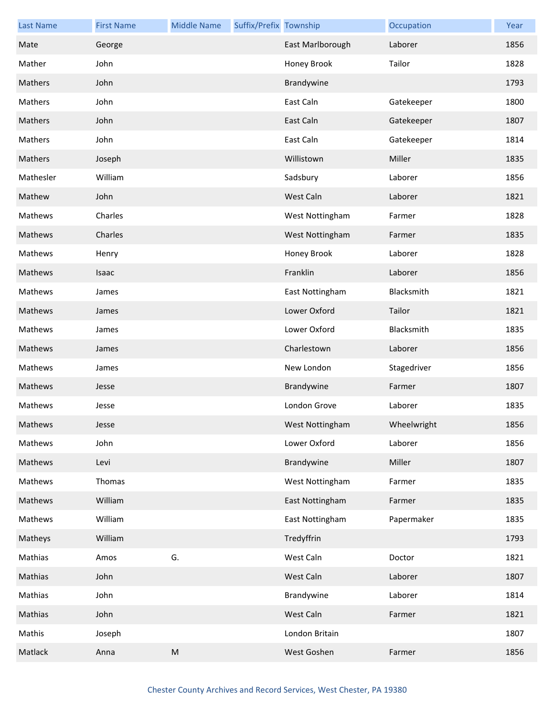| <b>Last Name</b> | <b>First Name</b> | <b>Middle Name</b> | Suffix/Prefix Township |                  | Occupation  | Year |
|------------------|-------------------|--------------------|------------------------|------------------|-------------|------|
| Mate             | George            |                    |                        | East Marlborough | Laborer     | 1856 |
| Mather           | John              |                    |                        | Honey Brook      | Tailor      | 1828 |
| Mathers          | John              |                    |                        | Brandywine       |             | 1793 |
| Mathers          | John              |                    |                        | East Caln        | Gatekeeper  | 1800 |
| Mathers          | John              |                    |                        | East Caln        | Gatekeeper  | 1807 |
| Mathers          | John              |                    |                        | East Caln        | Gatekeeper  | 1814 |
| Mathers          | Joseph            |                    |                        | Willistown       | Miller      | 1835 |
| Mathesler        | William           |                    |                        | Sadsbury         | Laborer     | 1856 |
| Mathew           | John              |                    |                        | West Caln        | Laborer     | 1821 |
| Mathews          | Charles           |                    |                        | West Nottingham  | Farmer      | 1828 |
| Mathews          | Charles           |                    |                        | West Nottingham  | Farmer      | 1835 |
| Mathews          | Henry             |                    |                        | Honey Brook      | Laborer     | 1828 |
| Mathews          | Isaac             |                    |                        | Franklin         | Laborer     | 1856 |
| Mathews          | James             |                    |                        | East Nottingham  | Blacksmith  | 1821 |
| Mathews          | James             |                    |                        | Lower Oxford     | Tailor      | 1821 |
| Mathews          | James             |                    |                        | Lower Oxford     | Blacksmith  | 1835 |
| Mathews          | James             |                    |                        | Charlestown      | Laborer     | 1856 |
| Mathews          | James             |                    |                        | New London       | Stagedriver | 1856 |
| Mathews          | Jesse             |                    |                        | Brandywine       | Farmer      | 1807 |
| Mathews          | Jesse             |                    |                        | London Grove     | Laborer     | 1835 |
| Mathews          | Jesse             |                    |                        | West Nottingham  | Wheelwright | 1856 |
| Mathews          | John              |                    |                        | Lower Oxford     | Laborer     | 1856 |
| Mathews          | Levi              |                    |                        | Brandywine       | Miller      | 1807 |
| Mathews          | Thomas            |                    |                        | West Nottingham  | Farmer      | 1835 |
| Mathews          | William           |                    |                        | East Nottingham  | Farmer      | 1835 |
| Mathews          | William           |                    |                        | East Nottingham  | Papermaker  | 1835 |
| Matheys          | William           |                    |                        | Tredyffrin       |             | 1793 |
| Mathias          | Amos              | G.                 |                        | West Caln        | Doctor      | 1821 |
| Mathias          | John              |                    |                        | West Caln        | Laborer     | 1807 |
| Mathias          | John              |                    |                        | Brandywine       | Laborer     | 1814 |
| Mathias          | John              |                    |                        | West Caln        | Farmer      | 1821 |
| Mathis           | Joseph            |                    |                        | London Britain   |             | 1807 |
| Matlack          | Anna              | ${\sf M}$          |                        | West Goshen      | Farmer      | 1856 |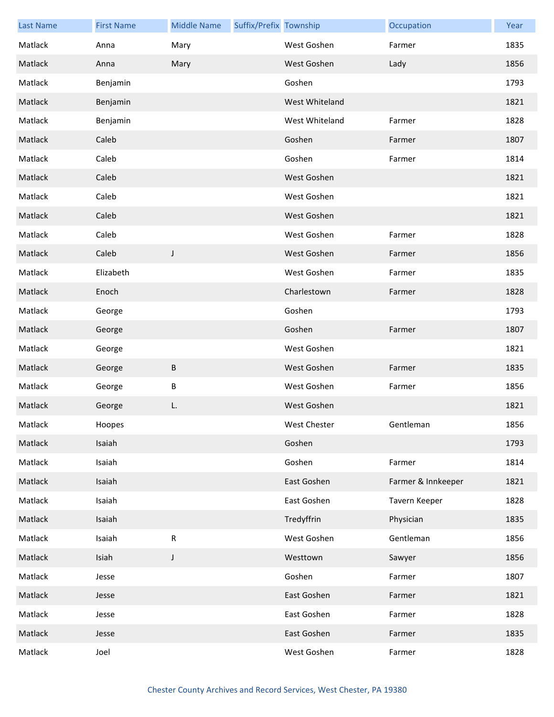| <b>Last Name</b> | <b>First Name</b> | <b>Middle Name</b> | Suffix/Prefix Township |                | Occupation         | Year |
|------------------|-------------------|--------------------|------------------------|----------------|--------------------|------|
| Matlack          | Anna              | Mary               |                        | West Goshen    | Farmer             | 1835 |
| Matlack          | Anna              | Mary               |                        | West Goshen    | Lady               | 1856 |
| Matlack          | Benjamin          |                    |                        | Goshen         |                    | 1793 |
| Matlack          | Benjamin          |                    |                        | West Whiteland |                    | 1821 |
| Matlack          | Benjamin          |                    |                        | West Whiteland | Farmer             | 1828 |
| Matlack          | Caleb             |                    |                        | Goshen         | Farmer             | 1807 |
| Matlack          | Caleb             |                    |                        | Goshen         | Farmer             | 1814 |
| Matlack          | Caleb             |                    |                        | West Goshen    |                    | 1821 |
| Matlack          | Caleb             |                    |                        | West Goshen    |                    | 1821 |
| Matlack          | Caleb             |                    |                        | West Goshen    |                    | 1821 |
| Matlack          | Caleb             |                    |                        | West Goshen    | Farmer             | 1828 |
| Matlack          | Caleb             | J                  |                        | West Goshen    | Farmer             | 1856 |
| Matlack          | Elizabeth         |                    |                        | West Goshen    | Farmer             | 1835 |
| Matlack          | Enoch             |                    |                        | Charlestown    | Farmer             | 1828 |
| Matlack          | George            |                    |                        | Goshen         |                    | 1793 |
| Matlack          | George            |                    |                        | Goshen         | Farmer             | 1807 |
| Matlack          | George            |                    |                        | West Goshen    |                    | 1821 |
| Matlack          | George            | В                  |                        | West Goshen    | Farmer             | 1835 |
| Matlack          | George            | В                  |                        | West Goshen    | Farmer             | 1856 |
| Matlack          | George            | L.                 |                        | West Goshen    |                    | 1821 |
| Matlack          | Hoopes            |                    |                        | West Chester   | Gentleman          | 1856 |
| Matlack          | Isaiah            |                    |                        | Goshen         |                    | 1793 |
| Matlack          | Isaiah            |                    |                        | Goshen         | Farmer             | 1814 |
| Matlack          | Isaiah            |                    |                        | East Goshen    | Farmer & Innkeeper | 1821 |
| Matlack          | Isaiah            |                    |                        | East Goshen    | Tavern Keeper      | 1828 |
| Matlack          | Isaiah            |                    |                        | Tredyffrin     | Physician          | 1835 |
| Matlack          | Isaiah            | ${\sf R}$          |                        | West Goshen    | Gentleman          | 1856 |
| Matlack          | Isiah             | $\mathsf J$        |                        | Westtown       | Sawyer             | 1856 |
| Matlack          | Jesse             |                    |                        | Goshen         | Farmer             | 1807 |
| Matlack          | Jesse             |                    |                        | East Goshen    | Farmer             | 1821 |
| Matlack          | Jesse             |                    |                        | East Goshen    | Farmer             | 1828 |
| Matlack          | Jesse             |                    |                        | East Goshen    | Farmer             | 1835 |
| Matlack          | Joel              |                    |                        | West Goshen    | Farmer             | 1828 |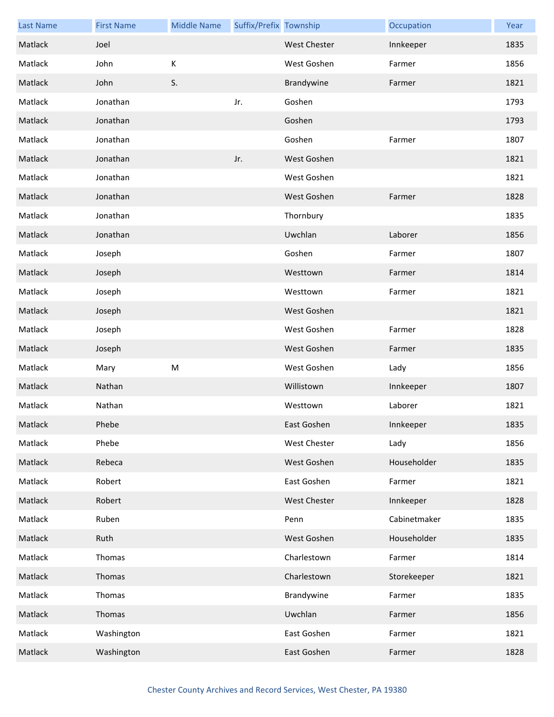| <b>Last Name</b> | <b>First Name</b> | <b>Middle Name</b> | Suffix/Prefix Township |                     | Occupation   | Year |
|------------------|-------------------|--------------------|------------------------|---------------------|--------------|------|
| Matlack          | Joel              |                    |                        | West Chester        | Innkeeper    | 1835 |
| Matlack          | John              | К                  |                        | West Goshen         | Farmer       | 1856 |
| Matlack          | John              | S.                 |                        | Brandywine          | Farmer       | 1821 |
| Matlack          | Jonathan          |                    | Jr.                    | Goshen              |              | 1793 |
| Matlack          | Jonathan          |                    |                        | Goshen              |              | 1793 |
| Matlack          | Jonathan          |                    |                        | Goshen              | Farmer       | 1807 |
| Matlack          | Jonathan          |                    | Jr.                    | West Goshen         |              | 1821 |
| Matlack          | Jonathan          |                    |                        | West Goshen         |              | 1821 |
| Matlack          | Jonathan          |                    |                        | West Goshen         | Farmer       | 1828 |
| Matlack          | Jonathan          |                    |                        | Thornbury           |              | 1835 |
| Matlack          | Jonathan          |                    |                        | Uwchlan             | Laborer      | 1856 |
| Matlack          | Joseph            |                    |                        | Goshen              | Farmer       | 1807 |
| Matlack          | Joseph            |                    |                        | Westtown            | Farmer       | 1814 |
| Matlack          | Joseph            |                    |                        | Westtown            | Farmer       | 1821 |
| Matlack          | Joseph            |                    |                        | West Goshen         |              | 1821 |
| Matlack          | Joseph            |                    |                        | West Goshen         | Farmer       | 1828 |
| Matlack          | Joseph            |                    |                        | West Goshen         | Farmer       | 1835 |
| Matlack          | Mary              | M                  |                        | West Goshen         | Lady         | 1856 |
| Matlack          | Nathan            |                    |                        | Willistown          | Innkeeper    | 1807 |
| Matlack          | Nathan            |                    |                        | Westtown            | Laborer      | 1821 |
| Matlack          | Phebe             |                    |                        | East Goshen         | Innkeeper    | 1835 |
| Matlack          | Phebe             |                    |                        | West Chester        | Lady         | 1856 |
| Matlack          | Rebeca            |                    |                        | West Goshen         | Householder  | 1835 |
| Matlack          | Robert            |                    |                        | East Goshen         | Farmer       | 1821 |
| Matlack          | Robert            |                    |                        | <b>West Chester</b> | Innkeeper    | 1828 |
| Matlack          | Ruben             |                    |                        | Penn                | Cabinetmaker | 1835 |
| Matlack          | Ruth              |                    |                        | West Goshen         | Householder  | 1835 |
| Matlack          | Thomas            |                    |                        | Charlestown         | Farmer       | 1814 |
| Matlack          | Thomas            |                    |                        | Charlestown         | Storekeeper  | 1821 |
| Matlack          | Thomas            |                    |                        | Brandywine          | Farmer       | 1835 |
| Matlack          | Thomas            |                    |                        | Uwchlan             | Farmer       | 1856 |
| Matlack          | Washington        |                    |                        | East Goshen         | Farmer       | 1821 |
| Matlack          | Washington        |                    |                        | East Goshen         | Farmer       | 1828 |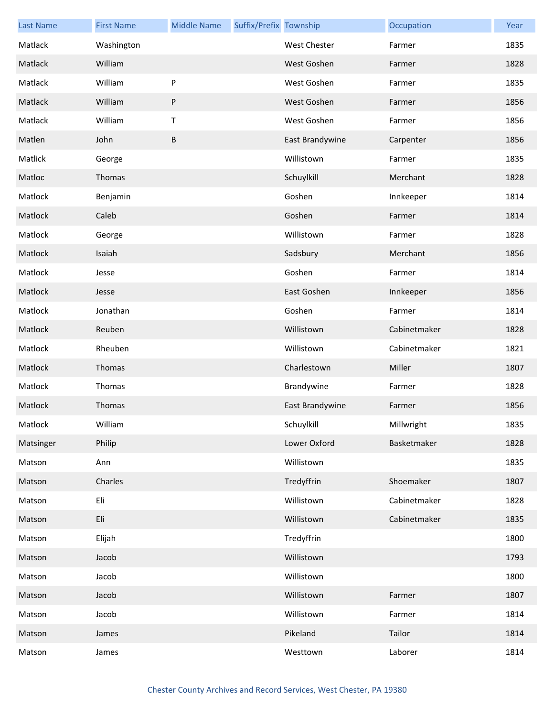| <b>Last Name</b> | <b>First Name</b> | <b>Middle Name</b> | Suffix/Prefix Township |                     | Occupation   | Year |
|------------------|-------------------|--------------------|------------------------|---------------------|--------------|------|
| Matlack          | Washington        |                    |                        | <b>West Chester</b> | Farmer       | 1835 |
| Matlack          | William           |                    |                        | West Goshen         | Farmer       | 1828 |
| Matlack          | William           | ${\sf P}$          |                        | West Goshen         | Farmer       | 1835 |
| Matlack          | William           | $\sf P$            |                        | West Goshen         | Farmer       | 1856 |
| Matlack          | William           | $\sf T$            |                        | West Goshen         | Farmer       | 1856 |
| Matlen           | John              | $\, {\sf B}$       |                        | East Brandywine     | Carpenter    | 1856 |
| Matlick          | George            |                    |                        | Willistown          | Farmer       | 1835 |
| Matloc           | Thomas            |                    |                        | Schuylkill          | Merchant     | 1828 |
| Matlock          | Benjamin          |                    |                        | Goshen              | Innkeeper    | 1814 |
| Matlock          | Caleb             |                    |                        | Goshen              | Farmer       | 1814 |
| Matlock          | George            |                    |                        | Willistown          | Farmer       | 1828 |
| Matlock          | Isaiah            |                    |                        | Sadsbury            | Merchant     | 1856 |
| Matlock          | Jesse             |                    |                        | Goshen              | Farmer       | 1814 |
| Matlock          | Jesse             |                    |                        | East Goshen         | Innkeeper    | 1856 |
| Matlock          | Jonathan          |                    |                        | Goshen              | Farmer       | 1814 |
| Matlock          | Reuben            |                    |                        | Willistown          | Cabinetmaker | 1828 |
| Matlock          | Rheuben           |                    |                        | Willistown          | Cabinetmaker | 1821 |
| Matlock          | Thomas            |                    |                        | Charlestown         | Miller       | 1807 |
| Matlock          | Thomas            |                    |                        | Brandywine          | Farmer       | 1828 |
| Matlock          | Thomas            |                    |                        | East Brandywine     | Farmer       | 1856 |
| Matlock          | William           |                    |                        | Schuylkill          | Millwright   | 1835 |
| Matsinger        | Philip            |                    |                        | Lower Oxford        | Basketmaker  | 1828 |
| Matson           | Ann               |                    |                        | Willistown          |              | 1835 |
| Matson           | Charles           |                    |                        | Tredyffrin          | Shoemaker    | 1807 |
| Matson           | Eli               |                    |                        | Willistown          | Cabinetmaker | 1828 |
| Matson           | Eli               |                    |                        | Willistown          | Cabinetmaker | 1835 |
| Matson           | Elijah            |                    |                        | Tredyffrin          |              | 1800 |
| Matson           | Jacob             |                    |                        | Willistown          |              | 1793 |
| Matson           | Jacob             |                    |                        | Willistown          |              | 1800 |
| Matson           | Jacob             |                    |                        | Willistown          | Farmer       | 1807 |
| Matson           | Jacob             |                    |                        | Willistown          | Farmer       | 1814 |
| Matson           | James             |                    |                        | Pikeland            | Tailor       | 1814 |
| Matson           | James             |                    |                        | Westtown            | Laborer      | 1814 |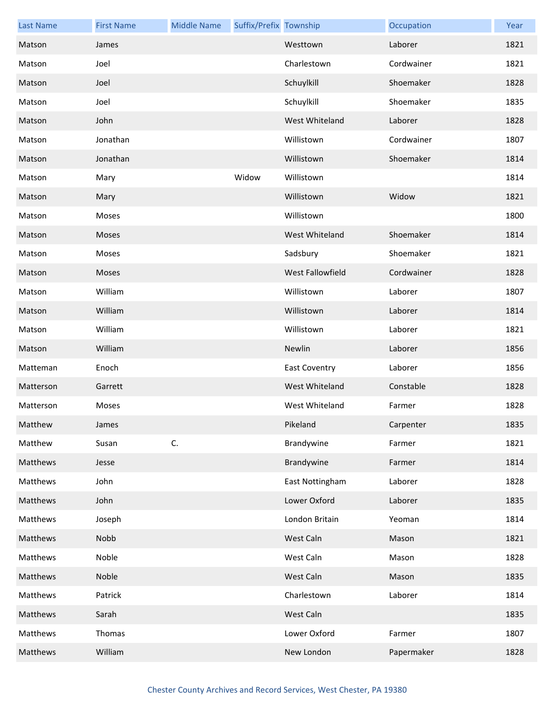| <b>Last Name</b> | <b>First Name</b> | <b>Middle Name</b> | Suffix/Prefix Township |                         | Occupation | Year |
|------------------|-------------------|--------------------|------------------------|-------------------------|------------|------|
| Matson           | James             |                    |                        | Westtown                | Laborer    | 1821 |
| Matson           | Joel              |                    |                        | Charlestown             | Cordwainer | 1821 |
| Matson           | Joel              |                    |                        | Schuylkill              | Shoemaker  | 1828 |
| Matson           | Joel              |                    |                        | Schuylkill              | Shoemaker  | 1835 |
| Matson           | John              |                    |                        | West Whiteland          | Laborer    | 1828 |
| Matson           | Jonathan          |                    |                        | Willistown              | Cordwainer | 1807 |
| Matson           | Jonathan          |                    |                        | Willistown              | Shoemaker  | 1814 |
| Matson           | Mary              |                    | Widow                  | Willistown              |            | 1814 |
| Matson           | Mary              |                    |                        | Willistown              | Widow      | 1821 |
| Matson           | Moses             |                    |                        | Willistown              |            | 1800 |
| Matson           | Moses             |                    |                        | West Whiteland          | Shoemaker  | 1814 |
| Matson           | Moses             |                    |                        | Sadsbury                | Shoemaker  | 1821 |
| Matson           | Moses             |                    |                        | <b>West Fallowfield</b> | Cordwainer | 1828 |
| Matson           | William           |                    |                        | Willistown              | Laborer    | 1807 |
| Matson           | William           |                    |                        | Willistown              | Laborer    | 1814 |
| Matson           | William           |                    |                        | Willistown              | Laborer    | 1821 |
| Matson           | William           |                    |                        | Newlin                  | Laborer    | 1856 |
| Matteman         | Enoch             |                    |                        | <b>East Coventry</b>    | Laborer    | 1856 |
| Matterson        | Garrett           |                    |                        | West Whiteland          | Constable  | 1828 |
| Matterson        | Moses             |                    |                        | West Whiteland          | Farmer     | 1828 |
| Matthew          | James             |                    |                        | Pikeland                | Carpenter  | 1835 |
| Matthew          | Susan             | C.                 |                        | Brandywine              | Farmer     | 1821 |
| Matthews         | Jesse             |                    |                        | Brandywine              | Farmer     | 1814 |
| Matthews         | John              |                    |                        | East Nottingham         | Laborer    | 1828 |
| Matthews         | John              |                    |                        | Lower Oxford            | Laborer    | 1835 |
| Matthews         | Joseph            |                    |                        | London Britain          | Yeoman     | 1814 |
| Matthews         | Nobb              |                    |                        | West Caln               | Mason      | 1821 |
| Matthews         | Noble             |                    |                        | West Caln               | Mason      | 1828 |
| Matthews         | Noble             |                    |                        | West Caln               | Mason      | 1835 |
| Matthews         | Patrick           |                    |                        | Charlestown             | Laborer    | 1814 |
| Matthews         | Sarah             |                    |                        | West Caln               |            | 1835 |
| Matthews         | Thomas            |                    |                        | Lower Oxford            | Farmer     | 1807 |
| Matthews         | William           |                    |                        | New London              | Papermaker | 1828 |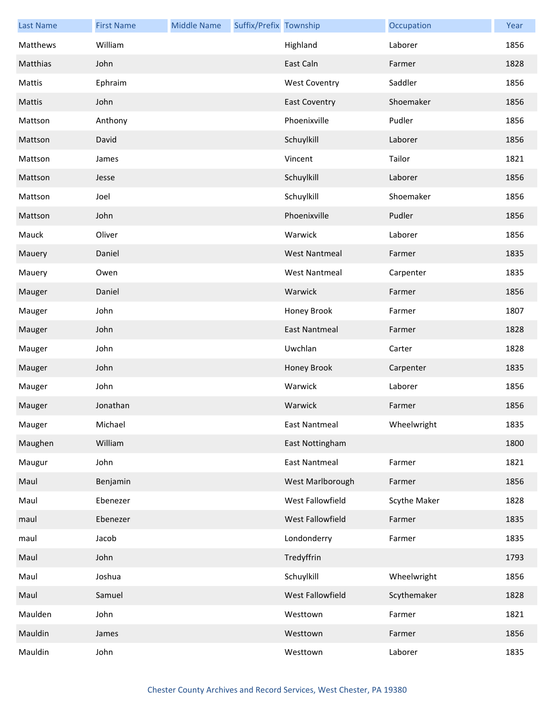| <b>Last Name</b> | <b>First Name</b> | <b>Middle Name</b> | Suffix/Prefix Township |                      | Occupation   | Year |
|------------------|-------------------|--------------------|------------------------|----------------------|--------------|------|
| Matthews         | William           |                    |                        | Highland             | Laborer      | 1856 |
| Matthias         | John              |                    |                        | East Caln            | Farmer       | 1828 |
| Mattis           | Ephraim           |                    |                        | <b>West Coventry</b> | Saddler      | 1856 |
| Mattis           | John              |                    |                        | <b>East Coventry</b> | Shoemaker    | 1856 |
| Mattson          | Anthony           |                    |                        | Phoenixville         | Pudler       | 1856 |
| Mattson          | David             |                    |                        | Schuylkill           | Laborer      | 1856 |
| Mattson          | James             |                    |                        | Vincent              | Tailor       | 1821 |
| Mattson          | Jesse             |                    |                        | Schuylkill           | Laborer      | 1856 |
| Mattson          | Joel              |                    |                        | Schuylkill           | Shoemaker    | 1856 |
| Mattson          | John              |                    |                        | Phoenixville         | Pudler       | 1856 |
| Mauck            | Oliver            |                    |                        | Warwick              | Laborer      | 1856 |
| Mauery           | Daniel            |                    |                        | <b>West Nantmeal</b> | Farmer       | 1835 |
| Mauery           | Owen              |                    |                        | <b>West Nantmeal</b> | Carpenter    | 1835 |
| Mauger           | Daniel            |                    |                        | Warwick              | Farmer       | 1856 |
| Mauger           | John              |                    |                        | Honey Brook          | Farmer       | 1807 |
| Mauger           | John              |                    |                        | <b>East Nantmeal</b> | Farmer       | 1828 |
| Mauger           | John              |                    |                        | Uwchlan              | Carter       | 1828 |
| Mauger           | John              |                    |                        | Honey Brook          | Carpenter    | 1835 |
| Mauger           | John              |                    |                        | Warwick              | Laborer      | 1856 |
| Mauger           | Jonathan          |                    |                        | Warwick              | Farmer       | 1856 |
| Mauger           | Michael           |                    |                        | East Nantmeal        | Wheelwright  | 1835 |
| Maughen          | William           |                    |                        | East Nottingham      |              | 1800 |
| Maugur           | John              |                    |                        | <b>East Nantmeal</b> | Farmer       | 1821 |
| Maul             | Benjamin          |                    |                        | West Marlborough     | Farmer       | 1856 |
| Maul             | Ebenezer          |                    |                        | West Fallowfield     | Scythe Maker | 1828 |
| maul             | Ebenezer          |                    |                        | West Fallowfield     | Farmer       | 1835 |
| maul             | Jacob             |                    |                        | Londonderry          | Farmer       | 1835 |
| Maul             | John              |                    |                        | Tredyffrin           |              | 1793 |
| Maul             | Joshua            |                    |                        | Schuylkill           | Wheelwright  | 1856 |
| Maul             | Samuel            |                    |                        | West Fallowfield     | Scythemaker  | 1828 |
| Maulden          | John              |                    |                        | Westtown             | Farmer       | 1821 |
| Mauldin          | James             |                    |                        | Westtown             | Farmer       | 1856 |
| Mauldin          | John              |                    |                        | Westtown             | Laborer      | 1835 |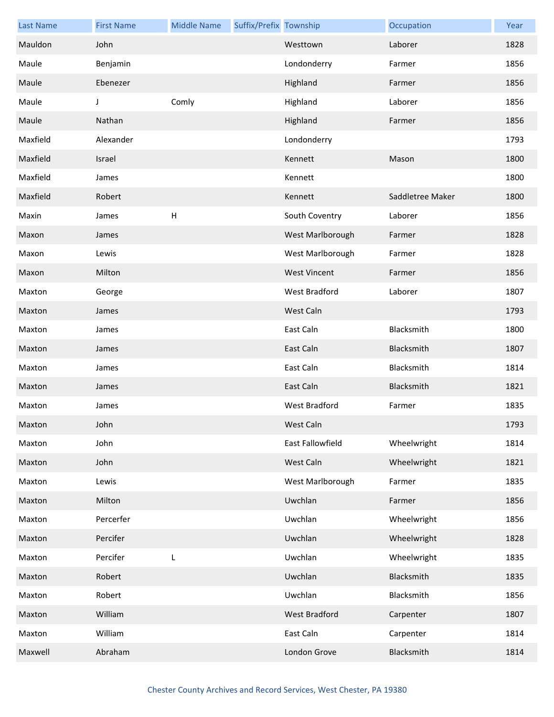| <b>Last Name</b> | <b>First Name</b> | <b>Middle Name</b> | Suffix/Prefix Township |                      | Occupation       | Year |
|------------------|-------------------|--------------------|------------------------|----------------------|------------------|------|
| Mauldon          | John              |                    |                        | Westtown             | Laborer          | 1828 |
| Maule            | Benjamin          |                    |                        | Londonderry          | Farmer           | 1856 |
| Maule            | Ebenezer          |                    |                        | Highland             | Farmer           | 1856 |
| Maule            | J                 | Comly              |                        | Highland             | Laborer          | 1856 |
| Maule            | Nathan            |                    |                        | Highland             | Farmer           | 1856 |
| Maxfield         | Alexander         |                    |                        | Londonderry          |                  | 1793 |
| Maxfield         | Israel            |                    |                        | Kennett              | Mason            | 1800 |
| Maxfield         | James             |                    |                        | Kennett              |                  | 1800 |
| Maxfield         | Robert            |                    |                        | Kennett              | Saddletree Maker | 1800 |
| Maxin            | James             | $\mathsf{H}%$      |                        | South Coventry       | Laborer          | 1856 |
| Maxon            | James             |                    |                        | West Marlborough     | Farmer           | 1828 |
| Maxon            | Lewis             |                    |                        | West Marlborough     | Farmer           | 1828 |
| Maxon            | Milton            |                    |                        | <b>West Vincent</b>  | Farmer           | 1856 |
| Maxton           | George            |                    |                        | West Bradford        | Laborer          | 1807 |
| Maxton           | James             |                    |                        | West Caln            |                  | 1793 |
| Maxton           | James             |                    |                        | East Caln            | Blacksmith       | 1800 |
| Maxton           | James             |                    |                        | East Caln            | Blacksmith       | 1807 |
| Maxton           | James             |                    |                        | East Caln            | Blacksmith       | 1814 |
| Maxton           | James             |                    |                        | East Caln            | Blacksmith       | 1821 |
| Maxton           | James             |                    |                        | <b>West Bradford</b> | Farmer           | 1835 |
| Maxton           | John              |                    |                        | West Caln            |                  | 1793 |
| Maxton           | John              |                    |                        | East Fallowfield     | Wheelwright      | 1814 |
| Maxton           | John              |                    |                        | West Caln            | Wheelwright      | 1821 |
| Maxton           | Lewis             |                    |                        | West Marlborough     | Farmer           | 1835 |
| Maxton           | Milton            |                    |                        | Uwchlan              | Farmer           | 1856 |
| Maxton           | Percerfer         |                    |                        | Uwchlan              | Wheelwright      | 1856 |
| Maxton           | Percifer          |                    |                        | Uwchlan              | Wheelwright      | 1828 |
| Maxton           | Percifer          | L                  |                        | Uwchlan              | Wheelwright      | 1835 |
| Maxton           | Robert            |                    |                        | Uwchlan              | Blacksmith       | 1835 |
| Maxton           | Robert            |                    |                        | Uwchlan              | Blacksmith       | 1856 |
| Maxton           | William           |                    |                        | West Bradford        | Carpenter        | 1807 |
| Maxton           | William           |                    |                        | East Caln            | Carpenter        | 1814 |
| Maxwell          | Abraham           |                    |                        | London Grove         | Blacksmith       | 1814 |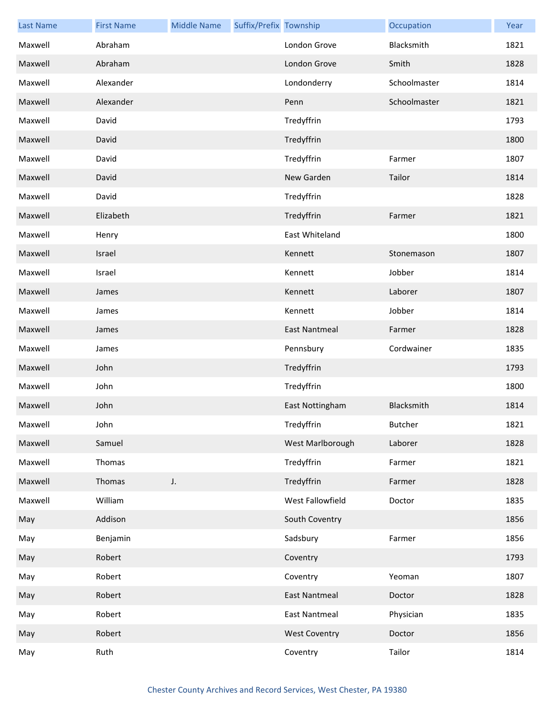| <b>Last Name</b> | <b>First Name</b> | <b>Middle Name</b> | Suffix/Prefix Township |                      | Occupation   | Year |
|------------------|-------------------|--------------------|------------------------|----------------------|--------------|------|
| Maxwell          | Abraham           |                    |                        | London Grove         | Blacksmith   | 1821 |
| Maxwell          | Abraham           |                    |                        | London Grove         | Smith        | 1828 |
| Maxwell          | Alexander         |                    |                        | Londonderry          | Schoolmaster | 1814 |
| Maxwell          | Alexander         |                    |                        | Penn                 | Schoolmaster | 1821 |
| Maxwell          | David             |                    |                        | Tredyffrin           |              | 1793 |
| Maxwell          | David             |                    |                        | Tredyffrin           |              | 1800 |
| Maxwell          | David             |                    |                        | Tredyffrin           | Farmer       | 1807 |
| Maxwell          | David             |                    |                        | New Garden           | Tailor       | 1814 |
| Maxwell          | David             |                    |                        | Tredyffrin           |              | 1828 |
| Maxwell          | Elizabeth         |                    |                        | Tredyffrin           | Farmer       | 1821 |
| Maxwell          | Henry             |                    |                        | East Whiteland       |              | 1800 |
| Maxwell          | Israel            |                    |                        | Kennett              | Stonemason   | 1807 |
| Maxwell          | Israel            |                    |                        | Kennett              | Jobber       | 1814 |
| Maxwell          | James             |                    |                        | Kennett              | Laborer      | 1807 |
| Maxwell          | James             |                    |                        | Kennett              | Jobber       | 1814 |
| Maxwell          | James             |                    |                        | <b>East Nantmeal</b> | Farmer       | 1828 |
| Maxwell          | James             |                    |                        | Pennsbury            | Cordwainer   | 1835 |
| Maxwell          | John              |                    |                        | Tredyffrin           |              | 1793 |
| Maxwell          | John              |                    |                        | Tredyffrin           |              | 1800 |
| Maxwell          | John              |                    |                        | East Nottingham      | Blacksmith   | 1814 |
| Maxwell          | John              |                    |                        | Tredyffrin           | Butcher      | 1821 |
| Maxwell          | Samuel            |                    |                        | West Marlborough     | Laborer      | 1828 |
| Maxwell          | Thomas            |                    |                        | Tredyffrin           | Farmer       | 1821 |
| Maxwell          | Thomas            | J.                 |                        | Tredyffrin           | Farmer       | 1828 |
| Maxwell          | William           |                    |                        | West Fallowfield     | Doctor       | 1835 |
| May              | Addison           |                    |                        | South Coventry       |              | 1856 |
| May              | Benjamin          |                    |                        | Sadsbury             | Farmer       | 1856 |
| May              | Robert            |                    |                        | Coventry             |              | 1793 |
| May              | Robert            |                    |                        | Coventry             | Yeoman       | 1807 |
| May              | Robert            |                    |                        | <b>East Nantmeal</b> | Doctor       | 1828 |
| May              | Robert            |                    |                        | <b>East Nantmeal</b> | Physician    | 1835 |
| May              | Robert            |                    |                        | <b>West Coventry</b> | Doctor       | 1856 |
| May              | Ruth              |                    |                        | Coventry             | Tailor       | 1814 |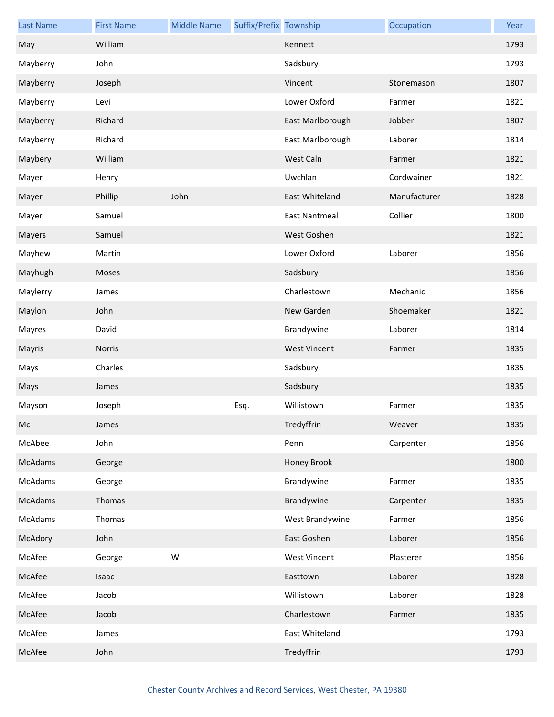| <b>Last Name</b> | <b>First Name</b> | <b>Middle Name</b> | Suffix/Prefix Township |                      | Occupation   | Year |
|------------------|-------------------|--------------------|------------------------|----------------------|--------------|------|
| May              | William           |                    |                        | Kennett              |              | 1793 |
| Mayberry         | John              |                    |                        | Sadsbury             |              | 1793 |
| Mayberry         | Joseph            |                    |                        | Vincent              | Stonemason   | 1807 |
| Mayberry         | Levi              |                    |                        | Lower Oxford         | Farmer       | 1821 |
| Mayberry         | Richard           |                    |                        | East Marlborough     | Jobber       | 1807 |
| Mayberry         | Richard           |                    |                        | East Marlborough     | Laborer      | 1814 |
| Maybery          | William           |                    |                        | West Caln            | Farmer       | 1821 |
| Mayer            | Henry             |                    |                        | Uwchlan              | Cordwainer   | 1821 |
| Mayer            | Phillip           | John               |                        | East Whiteland       | Manufacturer | 1828 |
| Mayer            | Samuel            |                    |                        | <b>East Nantmeal</b> | Collier      | 1800 |
| Mayers           | Samuel            |                    |                        | West Goshen          |              | 1821 |
| Mayhew           | Martin            |                    |                        | Lower Oxford         | Laborer      | 1856 |
| Mayhugh          | Moses             |                    |                        | Sadsbury             |              | 1856 |
| Maylerry         | James             |                    |                        | Charlestown          | Mechanic     | 1856 |
| Maylon           | John              |                    |                        | New Garden           | Shoemaker    | 1821 |
| Mayres           | David             |                    |                        | Brandywine           | Laborer      | 1814 |
| Mayris           | Norris            |                    |                        | <b>West Vincent</b>  | Farmer       | 1835 |
| Mays             | Charles           |                    |                        | Sadsbury             |              | 1835 |
| Mays             | James             |                    |                        | Sadsbury             |              | 1835 |
| Mayson           | Joseph            |                    | Esq.                   | Willistown           | Farmer       | 1835 |
| Mc               | James             |                    |                        | Tredyffrin           | Weaver       | 1835 |
| McAbee           | John              |                    |                        | Penn                 | Carpenter    | 1856 |
| McAdams          | George            |                    |                        | Honey Brook          |              | 1800 |
| McAdams          | George            |                    |                        | Brandywine           | Farmer       | 1835 |
| McAdams          | Thomas            |                    |                        | Brandywine           | Carpenter    | 1835 |
| McAdams          | Thomas            |                    |                        | West Brandywine      | Farmer       | 1856 |
| McAdory          | John              |                    |                        | East Goshen          | Laborer      | 1856 |
| McAfee           | George            | W                  |                        | <b>West Vincent</b>  | Plasterer    | 1856 |
| McAfee           | Isaac             |                    |                        | Easttown             | Laborer      | 1828 |
| McAfee           | Jacob             |                    |                        | Willistown           | Laborer      | 1828 |
| McAfee           | Jacob             |                    |                        | Charlestown          | Farmer       | 1835 |
| McAfee           | James             |                    |                        | East Whiteland       |              | 1793 |
| McAfee           | John              |                    |                        | Tredyffrin           |              | 1793 |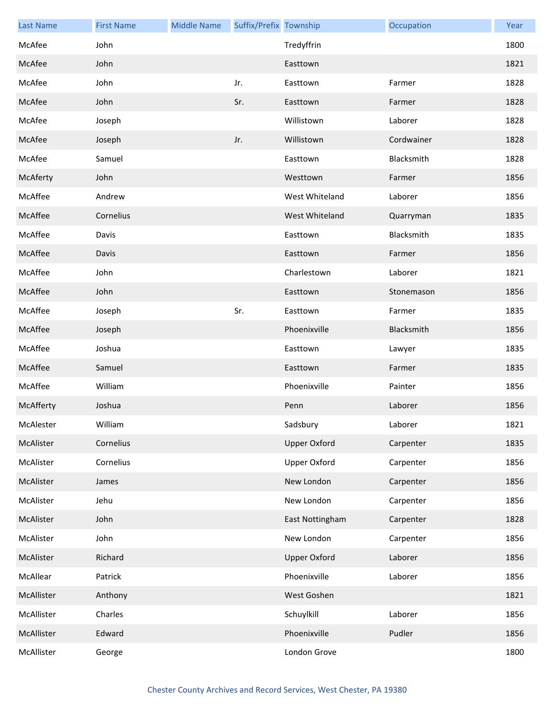| <b>Last Name</b> | <b>First Name</b> | <b>Middle Name</b> | Suffix/Prefix Township |                     | Occupation | Year |
|------------------|-------------------|--------------------|------------------------|---------------------|------------|------|
| McAfee           | John              |                    |                        | Tredyffrin          |            | 1800 |
| McAfee           | John              |                    |                        | Easttown            |            | 1821 |
| McAfee           | John              |                    | Jr.                    | Easttown            | Farmer     | 1828 |
| McAfee           | John              |                    | Sr.                    | Easttown            | Farmer     | 1828 |
| McAfee           | Joseph            |                    |                        | Willistown          | Laborer    | 1828 |
| McAfee           | Joseph            |                    | Jr.                    | Willistown          | Cordwainer | 1828 |
| McAfee           | Samuel            |                    |                        | Easttown            | Blacksmith | 1828 |
| McAferty         | John              |                    |                        | Westtown            | Farmer     | 1856 |
| McAffee          | Andrew            |                    |                        | West Whiteland      | Laborer    | 1856 |
| McAffee          | Cornelius         |                    |                        | West Whiteland      | Quarryman  | 1835 |
| McAffee          | Davis             |                    |                        | Easttown            | Blacksmith | 1835 |
| McAffee          | Davis             |                    |                        | Easttown            | Farmer     | 1856 |
| McAffee          | John              |                    |                        | Charlestown         | Laborer    | 1821 |
| McAffee          | John              |                    |                        | Easttown            | Stonemason | 1856 |
| McAffee          | Joseph            |                    | Sr.                    | Easttown            | Farmer     | 1835 |
| McAffee          | Joseph            |                    |                        | Phoenixville        | Blacksmith | 1856 |
| McAffee          | Joshua            |                    |                        | Easttown            | Lawyer     | 1835 |
| McAffee          | Samuel            |                    |                        | Easttown            | Farmer     | 1835 |
| McAffee          | William           |                    |                        | Phoenixville        | Painter    | 1856 |
| McAfferty        | Joshua            |                    |                        | Penn                | Laborer    | 1856 |
| McAlester        | William           |                    |                        | Sadsbury            | Laborer    | 1821 |
| McAlister        | Cornelius         |                    |                        | <b>Upper Oxford</b> | Carpenter  | 1835 |
| McAlister        | Cornelius         |                    |                        | <b>Upper Oxford</b> | Carpenter  | 1856 |
| McAlister        | James             |                    |                        | New London          | Carpenter  | 1856 |
| McAlister        | Jehu              |                    |                        | New London          | Carpenter  | 1856 |
| McAlister        | John              |                    |                        | East Nottingham     | Carpenter  | 1828 |
| McAlister        | John              |                    |                        | New London          | Carpenter  | 1856 |
| McAlister        | Richard           |                    |                        | <b>Upper Oxford</b> | Laborer    | 1856 |
| McAllear         | Patrick           |                    |                        | Phoenixville        | Laborer    | 1856 |
| McAllister       | Anthony           |                    |                        | West Goshen         |            | 1821 |
| McAllister       | Charles           |                    |                        | Schuylkill          | Laborer    | 1856 |
| McAllister       | Edward            |                    |                        | Phoenixville        | Pudler     | 1856 |
| McAllister       | George            |                    |                        | London Grove        |            | 1800 |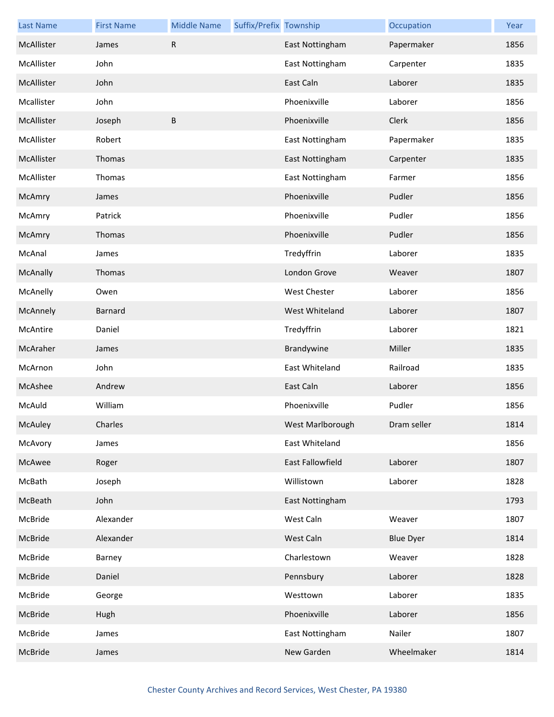| <b>Last Name</b> | <b>First Name</b> | <b>Middle Name</b> | Suffix/Prefix Township |                     | Occupation       | Year |
|------------------|-------------------|--------------------|------------------------|---------------------|------------------|------|
| McAllister       | James             | R                  |                        | East Nottingham     | Papermaker       | 1856 |
| McAllister       | John              |                    |                        | East Nottingham     | Carpenter        | 1835 |
| McAllister       | John              |                    |                        | East Caln           | Laborer          | 1835 |
| Mcallister       | John              |                    |                        | Phoenixville        | Laborer          | 1856 |
| McAllister       | Joseph            | B                  |                        | Phoenixville        | Clerk            | 1856 |
| McAllister       | Robert            |                    |                        | East Nottingham     | Papermaker       | 1835 |
| McAllister       | Thomas            |                    |                        | East Nottingham     | Carpenter        | 1835 |
| McAllister       | Thomas            |                    |                        | East Nottingham     | Farmer           | 1856 |
| McAmry           | James             |                    |                        | Phoenixville        | Pudler           | 1856 |
| McAmry           | Patrick           |                    |                        | Phoenixville        | Pudler           | 1856 |
| McAmry           | Thomas            |                    |                        | Phoenixville        | Pudler           | 1856 |
| McAnal           | James             |                    |                        | Tredyffrin          | Laborer          | 1835 |
| McAnally         | Thomas            |                    |                        | London Grove        | Weaver           | 1807 |
| McAnelly         | Owen              |                    |                        | <b>West Chester</b> | Laborer          | 1856 |
| McAnnely         | Barnard           |                    |                        | West Whiteland      | Laborer          | 1807 |
| McAntire         | Daniel            |                    |                        | Tredyffrin          | Laborer          | 1821 |
| McAraher         | James             |                    |                        | Brandywine          | Miller           | 1835 |
| McArnon          | John              |                    |                        | East Whiteland      | Railroad         | 1835 |
| McAshee          | Andrew            |                    |                        | East Caln           | Laborer          | 1856 |
| McAuld           | William           |                    |                        | Phoenixville        | Pudler           | 1856 |
| <b>McAuley</b>   | Charles           |                    |                        | West Marlborough    | Dram seller      | 1814 |
| McAvory          | James             |                    |                        | East Whiteland      |                  | 1856 |
| McAwee           | Roger             |                    |                        | East Fallowfield    | Laborer          | 1807 |
| McBath           | Joseph            |                    |                        | Willistown          | Laborer          | 1828 |
| McBeath          | John              |                    |                        | East Nottingham     |                  | 1793 |
| McBride          | Alexander         |                    |                        | West Caln           | Weaver           | 1807 |
| McBride          | Alexander         |                    |                        | West Caln           | <b>Blue Dyer</b> | 1814 |
| McBride          | Barney            |                    |                        | Charlestown         | Weaver           | 1828 |
| McBride          | Daniel            |                    |                        | Pennsbury           | Laborer          | 1828 |
| McBride          | George            |                    |                        | Westtown            | Laborer          | 1835 |
| McBride          | Hugh              |                    |                        | Phoenixville        | Laborer          | 1856 |
| McBride          | James             |                    |                        | East Nottingham     | Nailer           | 1807 |
| McBride          | James             |                    |                        | New Garden          | Wheelmaker       | 1814 |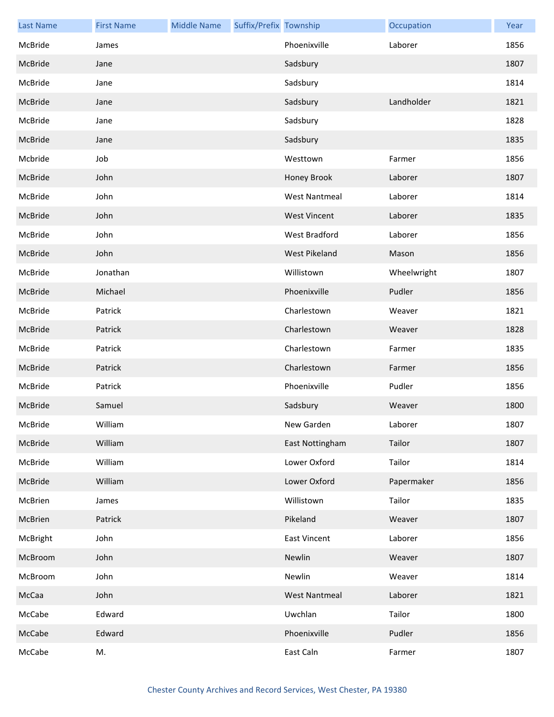| <b>Last Name</b> | <b>First Name</b> | <b>Middle Name</b> | Suffix/Prefix Township |                      | Occupation  | Year |
|------------------|-------------------|--------------------|------------------------|----------------------|-------------|------|
| McBride          | James             |                    |                        | Phoenixville         | Laborer     | 1856 |
| McBride          | Jane              |                    |                        | Sadsbury             |             | 1807 |
| McBride          | Jane              |                    |                        | Sadsbury             |             | 1814 |
| McBride          | Jane              |                    |                        | Sadsbury             | Landholder  | 1821 |
| McBride          | Jane              |                    |                        | Sadsbury             |             | 1828 |
| McBride          | Jane              |                    |                        | Sadsbury             |             | 1835 |
| Mcbride          | Job               |                    |                        | Westtown             | Farmer      | 1856 |
| McBride          | John              |                    |                        | Honey Brook          | Laborer     | 1807 |
| McBride          | John              |                    |                        | <b>West Nantmeal</b> | Laborer     | 1814 |
| McBride          | John              |                    |                        | <b>West Vincent</b>  | Laborer     | 1835 |
| McBride          | John              |                    |                        | West Bradford        | Laborer     | 1856 |
| McBride          | John              |                    |                        | West Pikeland        | Mason       | 1856 |
| McBride          | Jonathan          |                    |                        | Willistown           | Wheelwright | 1807 |
| McBride          | Michael           |                    |                        | Phoenixville         | Pudler      | 1856 |
| McBride          | Patrick           |                    |                        | Charlestown          | Weaver      | 1821 |
| McBride          | Patrick           |                    |                        | Charlestown          | Weaver      | 1828 |
| McBride          | Patrick           |                    |                        | Charlestown          | Farmer      | 1835 |
| McBride          | Patrick           |                    |                        | Charlestown          | Farmer      | 1856 |
| McBride          | Patrick           |                    |                        | Phoenixville         | Pudler      | 1856 |
| McBride          | Samuel            |                    |                        | Sadsbury             | Weaver      | 1800 |
| McBride          | William           |                    |                        | New Garden           | Laborer     | 1807 |
| McBride          | William           |                    |                        | East Nottingham      | Tailor      | 1807 |
| McBride          | William           |                    |                        | Lower Oxford         | Tailor      | 1814 |
| McBride          | William           |                    |                        | Lower Oxford         | Papermaker  | 1856 |
| McBrien          | James             |                    |                        | Willistown           | Tailor      | 1835 |
| McBrien          | Patrick           |                    |                        | Pikeland             | Weaver      | 1807 |
| McBright         | John              |                    |                        | <b>East Vincent</b>  | Laborer     | 1856 |
| McBroom          | John              |                    |                        | Newlin               | Weaver      | 1807 |
| McBroom          | John              |                    |                        | Newlin               | Weaver      | 1814 |
| McCaa            | John              |                    |                        | <b>West Nantmeal</b> | Laborer     | 1821 |
| McCabe           | Edward            |                    |                        | Uwchlan              | Tailor      | 1800 |
| McCabe           | Edward            |                    |                        | Phoenixville         | Pudler      | 1856 |
| McCabe           | M.                |                    |                        | East Caln            | Farmer      | 1807 |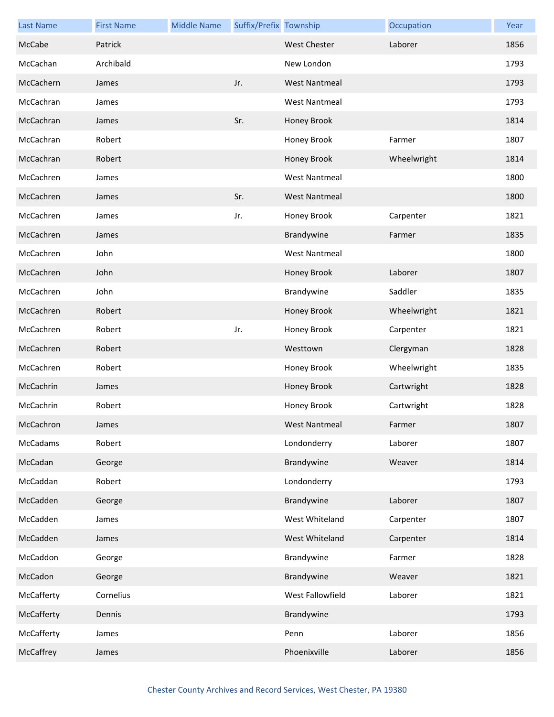| <b>Last Name</b> | <b>First Name</b> | <b>Middle Name</b> | Suffix/Prefix Township |                      | Occupation  | Year |
|------------------|-------------------|--------------------|------------------------|----------------------|-------------|------|
| McCabe           | Patrick           |                    |                        | <b>West Chester</b>  | Laborer     | 1856 |
| McCachan         | Archibald         |                    |                        | New London           |             | 1793 |
| McCachern        | James             |                    | Jr.                    | <b>West Nantmeal</b> |             | 1793 |
| McCachran        | James             |                    |                        | <b>West Nantmeal</b> |             | 1793 |
| McCachran        | James             |                    | Sr.                    | Honey Brook          |             | 1814 |
| McCachran        | Robert            |                    |                        | Honey Brook          | Farmer      | 1807 |
| McCachran        | Robert            |                    |                        | Honey Brook          | Wheelwright | 1814 |
| McCachren        | James             |                    |                        | <b>West Nantmeal</b> |             | 1800 |
| McCachren        | James             |                    | Sr.                    | <b>West Nantmeal</b> |             | 1800 |
| McCachren        | James             |                    | Jr.                    | Honey Brook          | Carpenter   | 1821 |
| McCachren        | James             |                    |                        | Brandywine           | Farmer      | 1835 |
| McCachren        | John              |                    |                        | <b>West Nantmeal</b> |             | 1800 |
| McCachren        | John              |                    |                        | Honey Brook          | Laborer     | 1807 |
| McCachren        | John              |                    |                        | Brandywine           | Saddler     | 1835 |
| McCachren        | Robert            |                    |                        | Honey Brook          | Wheelwright | 1821 |
| McCachren        | Robert            |                    | Jr.                    | Honey Brook          | Carpenter   | 1821 |
| McCachren        | Robert            |                    |                        | Westtown             | Clergyman   | 1828 |
| McCachren        | Robert            |                    |                        | Honey Brook          | Wheelwright | 1835 |
| McCachrin        | James             |                    |                        | Honey Brook          | Cartwright  | 1828 |
| McCachrin        | Robert            |                    |                        | Honey Brook          | Cartwright  | 1828 |
| McCachron        | James             |                    |                        | West Nantmeal        | Farmer      | 1807 |
| McCadams         | Robert            |                    |                        | Londonderry          | Laborer     | 1807 |
| McCadan          | George            |                    |                        | Brandywine           | Weaver      | 1814 |
| McCaddan         | Robert            |                    |                        | Londonderry          |             | 1793 |
| McCadden         | George            |                    |                        | Brandywine           | Laborer     | 1807 |
| McCadden         | James             |                    |                        | West Whiteland       | Carpenter   | 1807 |
| McCadden         | James             |                    |                        | West Whiteland       | Carpenter   | 1814 |
| McCaddon         | George            |                    |                        | Brandywine           | Farmer      | 1828 |
| McCadon          | George            |                    |                        | Brandywine           | Weaver      | 1821 |
| McCafferty       | Cornelius         |                    |                        | West Fallowfield     | Laborer     | 1821 |
| McCafferty       | Dennis            |                    |                        | Brandywine           |             | 1793 |
| McCafferty       | James             |                    |                        | Penn                 | Laborer     | 1856 |
| McCaffrey        | James             |                    |                        | Phoenixville         | Laborer     | 1856 |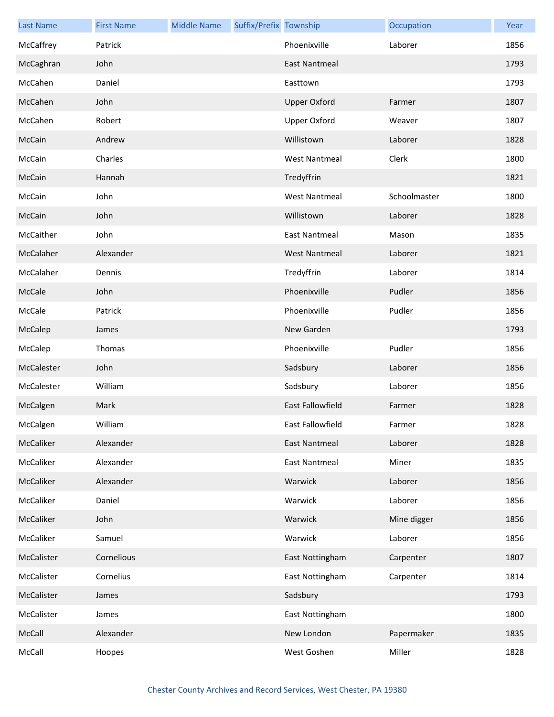| <b>Last Name</b> | <b>First Name</b> | <b>Middle Name</b> | Suffix/Prefix Township |                      | Occupation   | Year |
|------------------|-------------------|--------------------|------------------------|----------------------|--------------|------|
| McCaffrey        | Patrick           |                    |                        | Phoenixville         | Laborer      | 1856 |
| McCaghran        | John              |                    |                        | East Nantmeal        |              | 1793 |
| McCahen          | Daniel            |                    |                        | Easttown             |              | 1793 |
| McCahen          | John              |                    |                        | <b>Upper Oxford</b>  | Farmer       | 1807 |
| McCahen          | Robert            |                    |                        | <b>Upper Oxford</b>  | Weaver       | 1807 |
| McCain           | Andrew            |                    |                        | Willistown           | Laborer      | 1828 |
| McCain           | Charles           |                    |                        | <b>West Nantmeal</b> | Clerk        | 1800 |
| McCain           | Hannah            |                    |                        | Tredyffrin           |              | 1821 |
| McCain           | John              |                    |                        | <b>West Nantmeal</b> | Schoolmaster | 1800 |
| McCain           | John              |                    |                        | Willistown           | Laborer      | 1828 |
| McCaither        | John              |                    |                        | <b>East Nantmeal</b> | Mason        | 1835 |
| McCalaher        | Alexander         |                    |                        | <b>West Nantmeal</b> | Laborer      | 1821 |
| McCalaher        | Dennis            |                    |                        | Tredyffrin           | Laborer      | 1814 |
| McCale           | John              |                    |                        | Phoenixville         | Pudler       | 1856 |
| McCale           | Patrick           |                    |                        | Phoenixville         | Pudler       | 1856 |
| McCalep          | James             |                    |                        | New Garden           |              | 1793 |
| McCalep          | Thomas            |                    |                        | Phoenixville         | Pudler       | 1856 |
| McCalester       | John              |                    |                        | Sadsbury             | Laborer      | 1856 |
| McCalester       | William           |                    |                        | Sadsbury             | Laborer      | 1856 |
| McCalgen         | Mark              |                    |                        | East Fallowfield     | Farmer       | 1828 |
| McCalgen         | William           |                    |                        | East Fallowfield     | Farmer       | 1828 |
| McCaliker        | Alexander         |                    |                        | East Nantmeal        | Laborer      | 1828 |
| McCaliker        | Alexander         |                    |                        | <b>East Nantmeal</b> | Miner        | 1835 |
| McCaliker        | Alexander         |                    |                        | Warwick              | Laborer      | 1856 |
| McCaliker        | Daniel            |                    |                        | Warwick              | Laborer      | 1856 |
| McCaliker        | John              |                    |                        | Warwick              | Mine digger  | 1856 |
| McCaliker        | Samuel            |                    |                        | Warwick              | Laborer      | 1856 |
| McCalister       | Cornelious        |                    |                        | East Nottingham      | Carpenter    | 1807 |
| McCalister       | Cornelius         |                    |                        | East Nottingham      | Carpenter    | 1814 |
| McCalister       | James             |                    |                        | Sadsbury             |              | 1793 |
| McCalister       | James             |                    |                        | East Nottingham      |              | 1800 |
| McCall           | Alexander         |                    |                        | New London           | Papermaker   | 1835 |
| McCall           | Hoopes            |                    |                        | West Goshen          | Miller       | 1828 |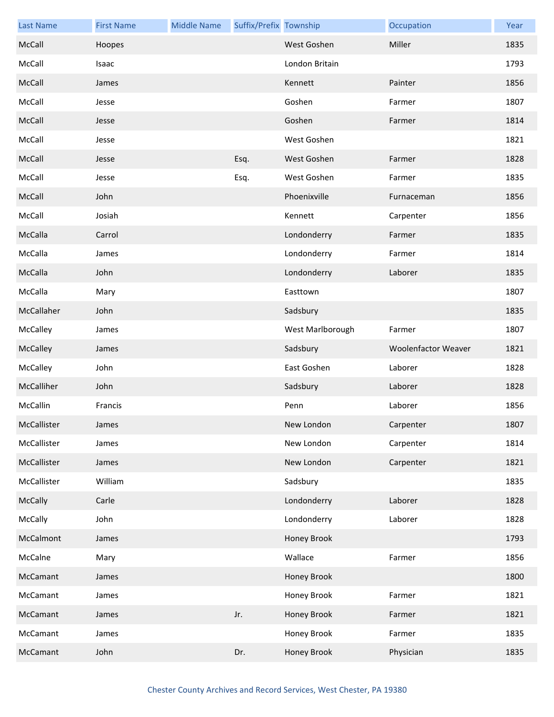| <b>Last Name</b> | <b>First Name</b> | <b>Middle Name</b> | Suffix/Prefix Township |                  | Occupation                 | Year |
|------------------|-------------------|--------------------|------------------------|------------------|----------------------------|------|
| McCall           | Hoopes            |                    |                        | West Goshen      | Miller                     | 1835 |
| McCall           | Isaac             |                    |                        | London Britain   |                            | 1793 |
| McCall           | James             |                    |                        | Kennett          | Painter                    | 1856 |
| McCall           | Jesse             |                    |                        | Goshen           | Farmer                     | 1807 |
| McCall           | Jesse             |                    |                        | Goshen           | Farmer                     | 1814 |
| McCall           | Jesse             |                    |                        | West Goshen      |                            | 1821 |
| McCall           | Jesse             |                    | Esq.                   | West Goshen      | Farmer                     | 1828 |
| McCall           | Jesse             |                    | Esq.                   | West Goshen      | Farmer                     | 1835 |
| McCall           | John              |                    |                        | Phoenixville     | Furnaceman                 | 1856 |
| McCall           | Josiah            |                    |                        | Kennett          | Carpenter                  | 1856 |
| McCalla          | Carrol            |                    |                        | Londonderry      | Farmer                     | 1835 |
| McCalla          | James             |                    |                        | Londonderry      | Farmer                     | 1814 |
| McCalla          | John              |                    |                        | Londonderry      | Laborer                    | 1835 |
| McCalla          | Mary              |                    |                        | Easttown         |                            | 1807 |
| McCallaher       | John              |                    |                        | Sadsbury         |                            | 1835 |
| McCalley         | James             |                    |                        | West Marlborough | Farmer                     | 1807 |
| McCalley         | James             |                    |                        | Sadsbury         | <b>Woolenfactor Weaver</b> | 1821 |
| McCalley         | John              |                    |                        | East Goshen      | Laborer                    | 1828 |
| McCalliher       | John              |                    |                        | Sadsbury         | Laborer                    | 1828 |
| McCallin         | Francis           |                    |                        | Penn             | Laborer                    | 1856 |
| McCallister      | James             |                    |                        | New London       | Carpenter                  | 1807 |
| McCallister      | James             |                    |                        | New London       | Carpenter                  | 1814 |
| McCallister      | James             |                    |                        | New London       | Carpenter                  | 1821 |
| McCallister      | William           |                    |                        | Sadsbury         |                            | 1835 |
| McCally          | Carle             |                    |                        | Londonderry      | Laborer                    | 1828 |
| McCally          | John              |                    |                        | Londonderry      | Laborer                    | 1828 |
| McCalmont        | James             |                    |                        | Honey Brook      |                            | 1793 |
| McCalne          | Mary              |                    |                        | Wallace          | Farmer                     | 1856 |
| McCamant         | James             |                    |                        | Honey Brook      |                            | 1800 |
| McCamant         | James             |                    |                        | Honey Brook      | Farmer                     | 1821 |
| McCamant         | James             |                    | Jr.                    | Honey Brook      | Farmer                     | 1821 |
| McCamant         | James             |                    |                        | Honey Brook      | Farmer                     | 1835 |
| McCamant         | John              |                    | Dr.                    | Honey Brook      | Physician                  | 1835 |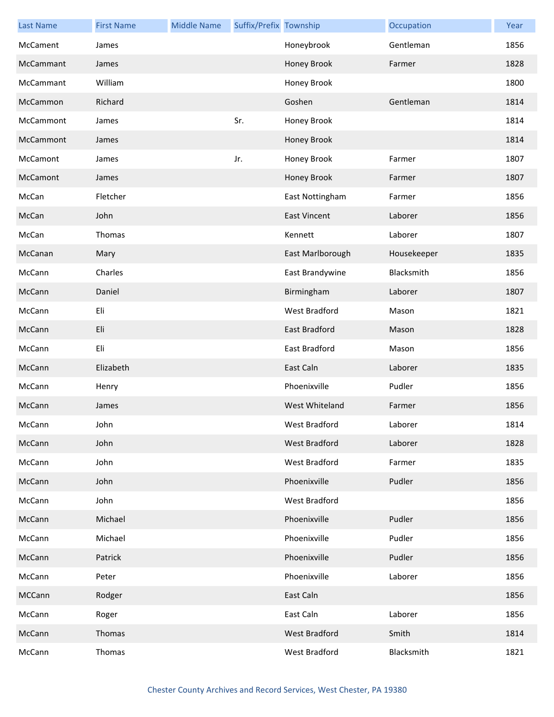| <b>Last Name</b> | <b>First Name</b> | <b>Middle Name</b> | Suffix/Prefix Township |                     | Occupation  | Year |
|------------------|-------------------|--------------------|------------------------|---------------------|-------------|------|
| McCament         | James             |                    |                        | Honeybrook          | Gentleman   | 1856 |
| McCammant        | James             |                    |                        | Honey Brook         | Farmer      | 1828 |
| McCammant        | William           |                    |                        | Honey Brook         |             | 1800 |
| McCammon         | Richard           |                    |                        | Goshen              | Gentleman   | 1814 |
| McCammont        | James             |                    | Sr.                    | Honey Brook         |             | 1814 |
| McCammont        | James             |                    |                        | Honey Brook         |             | 1814 |
| McCamont         | James             |                    | Jr.                    | Honey Brook         | Farmer      | 1807 |
| McCamont         | James             |                    |                        | Honey Brook         | Farmer      | 1807 |
| McCan            | Fletcher          |                    |                        | East Nottingham     | Farmer      | 1856 |
| McCan            | John              |                    |                        | <b>East Vincent</b> | Laborer     | 1856 |
| McCan            | Thomas            |                    |                        | Kennett             | Laborer     | 1807 |
| McCanan          | Mary              |                    |                        | East Marlborough    | Housekeeper | 1835 |
| McCann           | Charles           |                    |                        | East Brandywine     | Blacksmith  | 1856 |
| McCann           | Daniel            |                    |                        | Birmingham          | Laborer     | 1807 |
| McCann           | Eli               |                    |                        | West Bradford       | Mason       | 1821 |
| McCann           | Eli               |                    |                        | East Bradford       | Mason       | 1828 |
| McCann           | Eli               |                    |                        | East Bradford       | Mason       | 1856 |
| McCann           | Elizabeth         |                    |                        | East Caln           | Laborer     | 1835 |
| McCann           | Henry             |                    |                        | Phoenixville        | Pudler      | 1856 |
| McCann           | James             |                    |                        | West Whiteland      | Farmer      | 1856 |
| McCann           | John              |                    |                        | West Bradford       | Laborer     | 1814 |
| McCann           | John              |                    |                        | West Bradford       | Laborer     | 1828 |
| McCann           | John              |                    |                        | West Bradford       | Farmer      | 1835 |
| McCann           | John              |                    |                        | Phoenixville        | Pudler      | 1856 |
| McCann           | John              |                    |                        | West Bradford       |             | 1856 |
| McCann           | Michael           |                    |                        | Phoenixville        | Pudler      | 1856 |
| McCann           | Michael           |                    |                        | Phoenixville        | Pudler      | 1856 |
| McCann           | Patrick           |                    |                        | Phoenixville        | Pudler      | 1856 |
| McCann           | Peter             |                    |                        | Phoenixville        | Laborer     | 1856 |
| MCCann           | Rodger            |                    |                        | East Caln           |             | 1856 |
| McCann           | Roger             |                    |                        | East Caln           | Laborer     | 1856 |
| McCann           | Thomas            |                    |                        | West Bradford       | Smith       | 1814 |
| McCann           | Thomas            |                    |                        | West Bradford       | Blacksmith  | 1821 |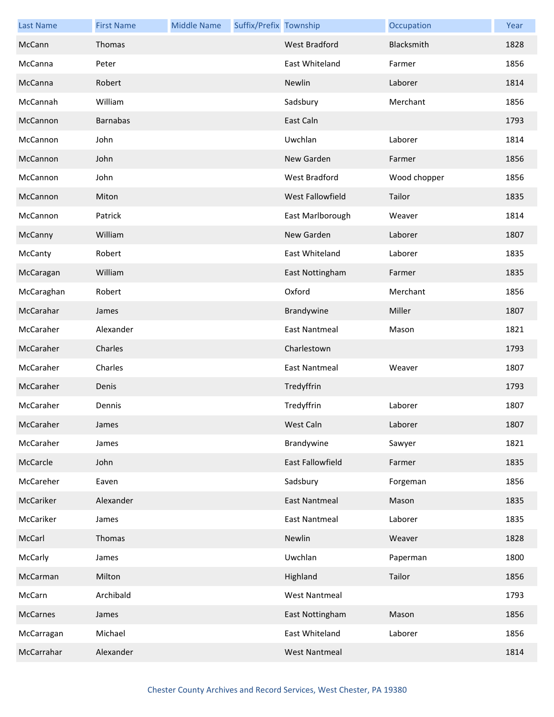| <b>Last Name</b> | <b>First Name</b> | <b>Middle Name</b> | Suffix/Prefix Township |                         | Occupation   | Year |
|------------------|-------------------|--------------------|------------------------|-------------------------|--------------|------|
| McCann           | Thomas            |                    |                        | <b>West Bradford</b>    | Blacksmith   | 1828 |
| McCanna          | Peter             |                    |                        | East Whiteland          | Farmer       | 1856 |
| McCanna          | Robert            |                    |                        | Newlin                  | Laborer      | 1814 |
| McCannah         | William           |                    |                        | Sadsbury                | Merchant     | 1856 |
| McCannon         | <b>Barnabas</b>   |                    |                        | East Caln               |              | 1793 |
| McCannon         | John              |                    |                        | Uwchlan                 | Laborer      | 1814 |
| McCannon         | John              |                    |                        | New Garden              | Farmer       | 1856 |
| McCannon         | John              |                    |                        | West Bradford           | Wood chopper | 1856 |
| McCannon         | Miton             |                    |                        | West Fallowfield        | Tailor       | 1835 |
| McCannon         | Patrick           |                    |                        | East Marlborough        | Weaver       | 1814 |
| McCanny          | William           |                    |                        | New Garden              | Laborer      | 1807 |
| McCanty          | Robert            |                    |                        | East Whiteland          | Laborer      | 1835 |
| McCaragan        | William           |                    |                        | East Nottingham         | Farmer       | 1835 |
| McCaraghan       | Robert            |                    |                        | Oxford                  | Merchant     | 1856 |
| McCarahar        | James             |                    |                        | Brandywine              | Miller       | 1807 |
| McCaraher        | Alexander         |                    |                        | <b>East Nantmeal</b>    | Mason        | 1821 |
| McCaraher        | Charles           |                    |                        | Charlestown             |              | 1793 |
| McCaraher        | Charles           |                    |                        | East Nantmeal           | Weaver       | 1807 |
| McCaraher        | Denis             |                    |                        | Tredyffrin              |              | 1793 |
| McCaraher        | Dennis            |                    |                        | Tredyffrin              | Laborer      | 1807 |
| McCaraher        | James             |                    |                        | West Caln               | Laborer      | 1807 |
| McCaraher        | James             |                    |                        | Brandywine              | Sawyer       | 1821 |
| McCarcle         | John              |                    |                        | <b>East Fallowfield</b> | Farmer       | 1835 |
| McCareher        | Eaven             |                    |                        | Sadsbury                | Forgeman     | 1856 |
| McCariker        | Alexander         |                    |                        | <b>East Nantmeal</b>    | Mason        | 1835 |
| McCariker        | James             |                    |                        | <b>East Nantmeal</b>    | Laborer      | 1835 |
| McCarl           | Thomas            |                    |                        | Newlin                  | Weaver       | 1828 |
| McCarly          | James             |                    |                        | Uwchlan                 | Paperman     | 1800 |
| McCarman         | Milton            |                    |                        | Highland                | Tailor       | 1856 |
| McCarn           | Archibald         |                    |                        | <b>West Nantmeal</b>    |              | 1793 |
| McCarnes         | James             |                    |                        | East Nottingham         | Mason        | 1856 |
| McCarragan       | Michael           |                    |                        | East Whiteland          | Laborer      | 1856 |
| McCarrahar       | Alexander         |                    |                        | <b>West Nantmeal</b>    |              | 1814 |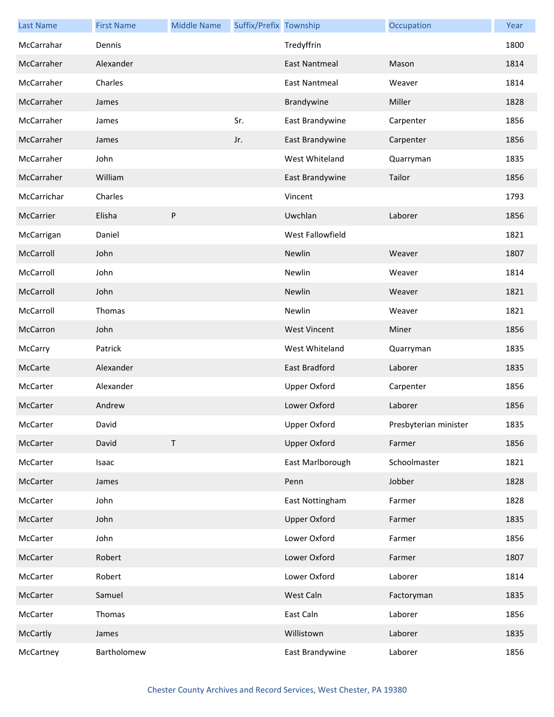| <b>Last Name</b> | <b>First Name</b> | <b>Middle Name</b> | Suffix/Prefix Township |                      | Occupation            | Year |
|------------------|-------------------|--------------------|------------------------|----------------------|-----------------------|------|
| McCarrahar       | Dennis            |                    |                        | Tredyffrin           |                       | 1800 |
| McCarraher       | Alexander         |                    |                        | <b>East Nantmeal</b> | Mason                 | 1814 |
| McCarraher       | Charles           |                    |                        | <b>East Nantmeal</b> | Weaver                | 1814 |
| McCarraher       | James             |                    |                        | Brandywine           | Miller                | 1828 |
| McCarraher       | James             |                    | Sr.                    | East Brandywine      | Carpenter             | 1856 |
| McCarraher       | James             |                    | Jr.                    | East Brandywine      | Carpenter             | 1856 |
| McCarraher       | John              |                    |                        | West Whiteland       | Quarryman             | 1835 |
| McCarraher       | William           |                    |                        | East Brandywine      | Tailor                | 1856 |
| McCarrichar      | Charles           |                    |                        | Vincent              |                       | 1793 |
| McCarrier        | Elisha            | P                  |                        | Uwchlan              | Laborer               | 1856 |
| McCarrigan       | Daniel            |                    |                        | West Fallowfield     |                       | 1821 |
| McCarroll        | John              |                    |                        | Newlin               | Weaver                | 1807 |
| McCarroll        | John              |                    |                        | Newlin               | Weaver                | 1814 |
| McCarroll        | John              |                    |                        | Newlin               | Weaver                | 1821 |
| McCarroll        | Thomas            |                    |                        | Newlin               | Weaver                | 1821 |
| McCarron         | John              |                    |                        | <b>West Vincent</b>  | Miner                 | 1856 |
| McCarry          | Patrick           |                    |                        | West Whiteland       | Quarryman             | 1835 |
| McCarte          | Alexander         |                    |                        | <b>East Bradford</b> | Laborer               | 1835 |
| McCarter         | Alexander         |                    |                        | <b>Upper Oxford</b>  | Carpenter             | 1856 |
| McCarter         | Andrew            |                    |                        | Lower Oxford         | Laborer               | 1856 |
| McCarter         | David             |                    |                        | Upper Oxford         | Presbyterian minister | 1835 |
| McCarter         | David             | $\mathsf{T}$       |                        | <b>Upper Oxford</b>  | Farmer                | 1856 |
| McCarter         | Isaac             |                    |                        | East Marlborough     | Schoolmaster          | 1821 |
| McCarter         | James             |                    |                        | Penn                 | Jobber                | 1828 |
| McCarter         | John              |                    |                        | East Nottingham      | Farmer                | 1828 |
| McCarter         | John              |                    |                        | <b>Upper Oxford</b>  | Farmer                | 1835 |
| McCarter         | John              |                    |                        | Lower Oxford         | Farmer                | 1856 |
| McCarter         | Robert            |                    |                        | Lower Oxford         | Farmer                | 1807 |
| McCarter         | Robert            |                    |                        | Lower Oxford         | Laborer               | 1814 |
| McCarter         | Samuel            |                    |                        | West Caln            | Factoryman            | 1835 |
| McCarter         | Thomas            |                    |                        | East Caln            | Laborer               | 1856 |
| <b>McCartly</b>  | James             |                    |                        | Willistown           | Laborer               | 1835 |
| McCartney        | Bartholomew       |                    |                        | East Brandywine      | Laborer               | 1856 |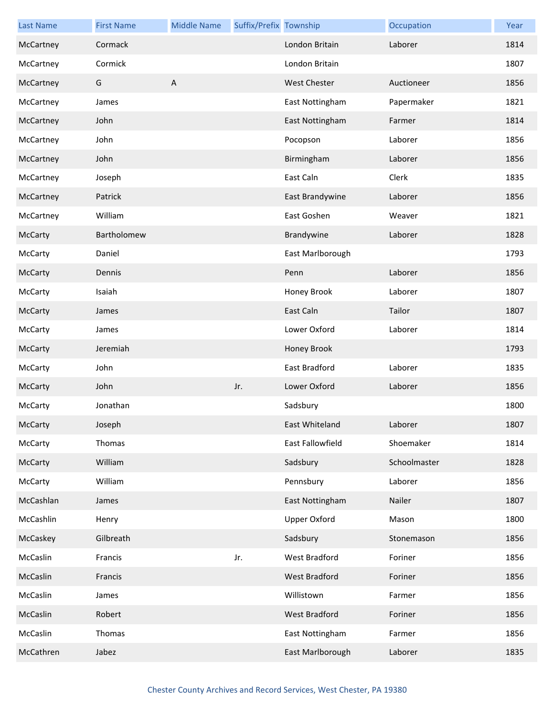| <b>Last Name</b> | <b>First Name</b> | <b>Middle Name</b> | Suffix/Prefix Township |                     | Occupation   | Year |
|------------------|-------------------|--------------------|------------------------|---------------------|--------------|------|
| McCartney        | Cormack           |                    |                        | London Britain      | Laborer      | 1814 |
| McCartney        | Cormick           |                    |                        | London Britain      |              | 1807 |
| McCartney        | G                 | A                  |                        | West Chester        | Auctioneer   | 1856 |
| McCartney        | James             |                    |                        | East Nottingham     | Papermaker   | 1821 |
| McCartney        | John              |                    |                        | East Nottingham     | Farmer       | 1814 |
| McCartney        | John              |                    |                        | Pocopson            | Laborer      | 1856 |
| McCartney        | John              |                    |                        | Birmingham          | Laborer      | 1856 |
| McCartney        | Joseph            |                    |                        | East Caln           | Clerk        | 1835 |
| McCartney        | Patrick           |                    |                        | East Brandywine     | Laborer      | 1856 |
| McCartney        | William           |                    |                        | East Goshen         | Weaver       | 1821 |
| <b>McCarty</b>   | Bartholomew       |                    |                        | Brandywine          | Laborer      | 1828 |
| McCarty          | Daniel            |                    |                        | East Marlborough    |              | 1793 |
| <b>McCarty</b>   | Dennis            |                    |                        | Penn                | Laborer      | 1856 |
| McCarty          | Isaiah            |                    |                        | Honey Brook         | Laborer      | 1807 |
| McCarty          | James             |                    |                        | East Caln           | Tailor       | 1807 |
| McCarty          | James             |                    |                        | Lower Oxford        | Laborer      | 1814 |
| McCarty          | Jeremiah          |                    |                        | Honey Brook         |              | 1793 |
| McCarty          | John              |                    |                        | East Bradford       | Laborer      | 1835 |
| McCarty          | John              |                    | Jr.                    | Lower Oxford        | Laborer      | 1856 |
| McCarty          | Jonathan          |                    |                        | Sadsbury            |              | 1800 |
| McCarty          | Joseph            |                    |                        | East Whiteland      | Laborer      | 1807 |
| McCarty          | Thomas            |                    |                        | East Fallowfield    | Shoemaker    | 1814 |
| <b>McCarty</b>   | William           |                    |                        | Sadsbury            | Schoolmaster | 1828 |
| McCarty          | William           |                    |                        | Pennsbury           | Laborer      | 1856 |
| McCashlan        | James             |                    |                        | East Nottingham     | Nailer       | 1807 |
| McCashlin        | Henry             |                    |                        | <b>Upper Oxford</b> | Mason        | 1800 |
| McCaskey         | Gilbreath         |                    |                        | Sadsbury            | Stonemason   | 1856 |
| McCaslin         | Francis           |                    | Jr.                    | West Bradford       | Foriner      | 1856 |
| McCaslin         | Francis           |                    |                        | West Bradford       | Foriner      | 1856 |
| McCaslin         | James             |                    |                        | Willistown          | Farmer       | 1856 |
| McCaslin         | Robert            |                    |                        | West Bradford       | Foriner      | 1856 |
| McCaslin         | Thomas            |                    |                        | East Nottingham     | Farmer       | 1856 |
| McCathren        | Jabez             |                    |                        | East Marlborough    | Laborer      | 1835 |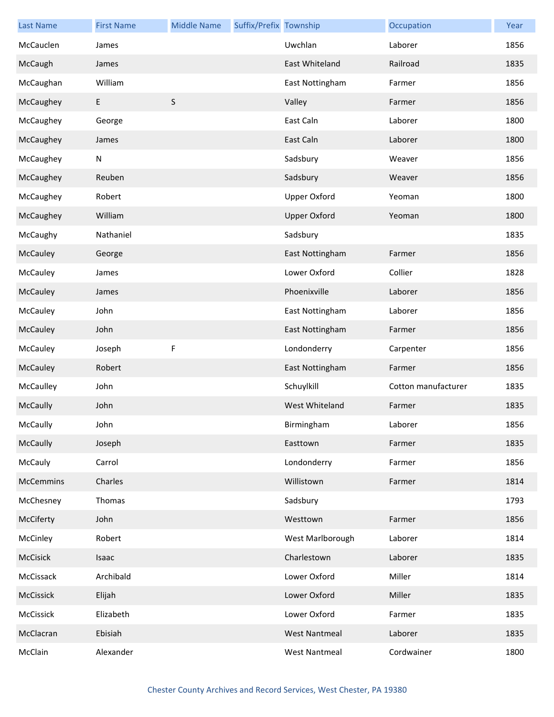| <b>Last Name</b> | <b>First Name</b> | <b>Middle Name</b> | Suffix/Prefix Township |                      | Occupation          | Year |
|------------------|-------------------|--------------------|------------------------|----------------------|---------------------|------|
| McCauclen        | James             |                    |                        | Uwchlan              | Laborer             | 1856 |
| McCaugh          | James             |                    |                        | East Whiteland       | Railroad            | 1835 |
| McCaughan        | William           |                    |                        | East Nottingham      | Farmer              | 1856 |
| McCaughey        | E                 | $\sf S$            |                        | Valley               | Farmer              | 1856 |
| McCaughey        | George            |                    |                        | East Caln            | Laborer             | 1800 |
| McCaughey        | James             |                    |                        | East Caln            | Laborer             | 1800 |
| McCaughey        | N                 |                    |                        | Sadsbury             | Weaver              | 1856 |
| McCaughey        | Reuben            |                    |                        | Sadsbury             | Weaver              | 1856 |
| McCaughey        | Robert            |                    |                        | <b>Upper Oxford</b>  | Yeoman              | 1800 |
| McCaughey        | William           |                    |                        | <b>Upper Oxford</b>  | Yeoman              | 1800 |
| McCaughy         | Nathaniel         |                    |                        | Sadsbury             |                     | 1835 |
| McCauley         | George            |                    |                        | East Nottingham      | Farmer              | 1856 |
| McCauley         | James             |                    |                        | Lower Oxford         | Collier             | 1828 |
| McCauley         | James             |                    |                        | Phoenixville         | Laborer             | 1856 |
| McCauley         | John              |                    |                        | East Nottingham      | Laborer             | 1856 |
| McCauley         | John              |                    |                        | East Nottingham      | Farmer              | 1856 |
| McCauley         | Joseph            | F                  |                        | Londonderry          | Carpenter           | 1856 |
| McCauley         | Robert            |                    |                        | East Nottingham      | Farmer              | 1856 |
| McCaulley        | John              |                    |                        | Schuylkill           | Cotton manufacturer | 1835 |
| McCaully         | John              |                    |                        | West Whiteland       | Farmer              | 1835 |
| McCaully         | John              |                    |                        | Birmingham           | Laborer             | 1856 |
| McCaully         | Joseph            |                    |                        | Easttown             | Farmer              | 1835 |
| McCauly          | Carrol            |                    |                        | Londonderry          | Farmer              | 1856 |
| <b>McCemmins</b> | Charles           |                    |                        | Willistown           | Farmer              | 1814 |
| McChesney        | Thomas            |                    |                        | Sadsbury             |                     | 1793 |
| McCiferty        | John              |                    |                        | Westtown             | Farmer              | 1856 |
| McCinley         | Robert            |                    |                        | West Marlborough     | Laborer             | 1814 |
| McCisick         | Isaac             |                    |                        | Charlestown          | Laborer             | 1835 |
| McCissack        | Archibald         |                    |                        | Lower Oxford         | Miller              | 1814 |
| McCissick        | Elijah            |                    |                        | Lower Oxford         | Miller              | 1835 |
| McCissick        | Elizabeth         |                    |                        | Lower Oxford         | Farmer              | 1835 |
| McClacran        | Ebisiah           |                    |                        | <b>West Nantmeal</b> | Laborer             | 1835 |
| McClain          | Alexander         |                    |                        | <b>West Nantmeal</b> | Cordwainer          | 1800 |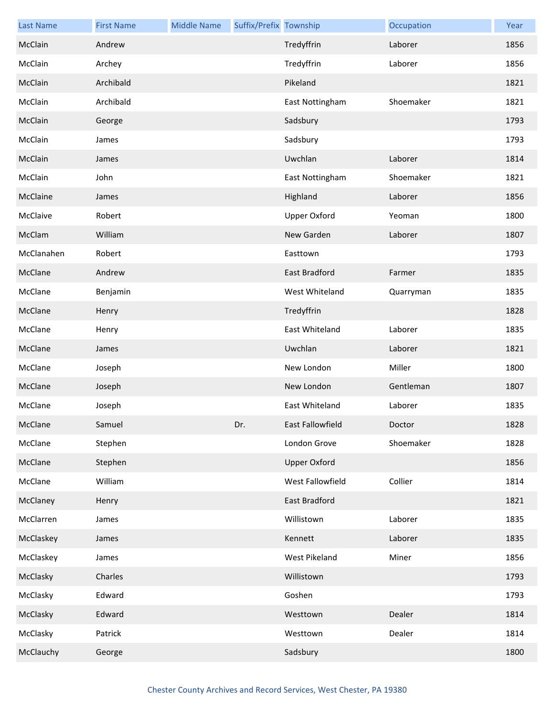| <b>Last Name</b> | <b>First Name</b> | <b>Middle Name</b> | Suffix/Prefix Township |                     | Occupation | Year |
|------------------|-------------------|--------------------|------------------------|---------------------|------------|------|
| McClain          | Andrew            |                    |                        | Tredyffrin          | Laborer    | 1856 |
| McClain          | Archey            |                    |                        | Tredyffrin          | Laborer    | 1856 |
| McClain          | Archibald         |                    |                        | Pikeland            |            | 1821 |
| McClain          | Archibald         |                    |                        | East Nottingham     | Shoemaker  | 1821 |
| McClain          | George            |                    |                        | Sadsbury            |            | 1793 |
| McClain          | James             |                    |                        | Sadsbury            |            | 1793 |
| McClain          | James             |                    |                        | Uwchlan             | Laborer    | 1814 |
| McClain          | John              |                    |                        | East Nottingham     | Shoemaker  | 1821 |
| McClaine         | James             |                    |                        | Highland            | Laborer    | 1856 |
| McClaive         | Robert            |                    |                        | <b>Upper Oxford</b> | Yeoman     | 1800 |
| McClam           | William           |                    |                        | New Garden          | Laborer    | 1807 |
| McClanahen       | Robert            |                    |                        | Easttown            |            | 1793 |
| McClane          | Andrew            |                    |                        | East Bradford       | Farmer     | 1835 |
| McClane          | Benjamin          |                    |                        | West Whiteland      | Quarryman  | 1835 |
| McClane          | Henry             |                    |                        | Tredyffrin          |            | 1828 |
| McClane          | Henry             |                    |                        | East Whiteland      | Laborer    | 1835 |
| McClane          | James             |                    |                        | Uwchlan             | Laborer    | 1821 |
| McClane          | Joseph            |                    |                        | New London          | Miller     | 1800 |
| McClane          | Joseph            |                    |                        | New London          | Gentleman  | 1807 |
| McClane          | Joseph            |                    |                        | East Whiteland      | Laborer    | 1835 |
| McClane          | Samuel            |                    | Dr.                    | East Fallowfield    | Doctor     | 1828 |
| McClane          | Stephen           |                    |                        | London Grove        | Shoemaker  | 1828 |
| McClane          | Stephen           |                    |                        | <b>Upper Oxford</b> |            | 1856 |
| McClane          | William           |                    |                        | West Fallowfield    | Collier    | 1814 |
| McClaney         | Henry             |                    |                        | East Bradford       |            | 1821 |
| McClarren        | James             |                    |                        | Willistown          | Laborer    | 1835 |
| McClaskey        | James             |                    |                        | Kennett             | Laborer    | 1835 |
| McClaskey        | James             |                    |                        | West Pikeland       | Miner      | 1856 |
| McClasky         | Charles           |                    |                        | Willistown          |            | 1793 |
| McClasky         | Edward            |                    |                        | Goshen              |            | 1793 |
| McClasky         | Edward            |                    |                        | Westtown            | Dealer     | 1814 |
| McClasky         | Patrick           |                    |                        | Westtown            | Dealer     | 1814 |
| McClauchy        | George            |                    |                        | Sadsbury            |            | 1800 |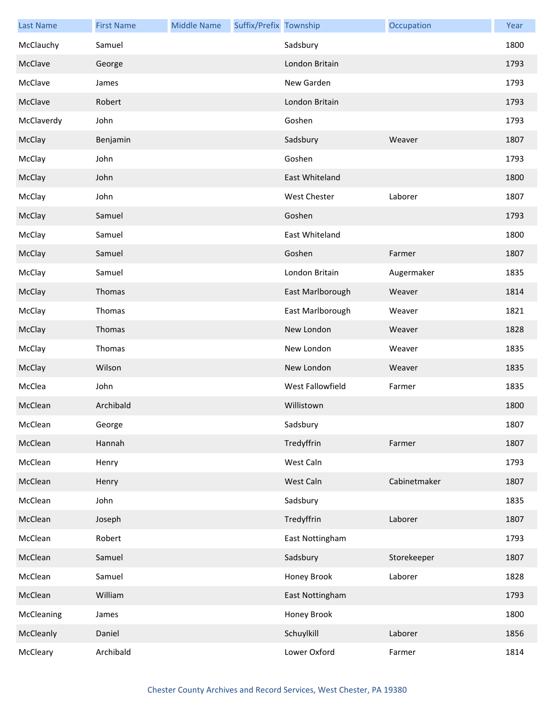| <b>Last Name</b> | <b>First Name</b> | <b>Middle Name</b> | Suffix/Prefix Township |                     | Occupation   | Year |
|------------------|-------------------|--------------------|------------------------|---------------------|--------------|------|
| McClauchy        | Samuel            |                    |                        | Sadsbury            |              | 1800 |
| McClave          | George            |                    |                        | London Britain      |              | 1793 |
| McClave          | James             |                    |                        | New Garden          |              | 1793 |
| McClave          | Robert            |                    |                        | London Britain      |              | 1793 |
| McClaverdy       | John              |                    |                        | Goshen              |              | 1793 |
| McClay           | Benjamin          |                    |                        | Sadsbury            | Weaver       | 1807 |
| McClay           | John              |                    |                        | Goshen              |              | 1793 |
| McClay           | John              |                    |                        | East Whiteland      |              | 1800 |
| McClay           | John              |                    |                        | <b>West Chester</b> | Laborer      | 1807 |
| McClay           | Samuel            |                    |                        | Goshen              |              | 1793 |
| McClay           | Samuel            |                    |                        | East Whiteland      |              | 1800 |
| McClay           | Samuel            |                    |                        | Goshen              | Farmer       | 1807 |
| McClay           | Samuel            |                    |                        | London Britain      | Augermaker   | 1835 |
| McClay           | Thomas            |                    |                        | East Marlborough    | Weaver       | 1814 |
| McClay           | Thomas            |                    |                        | East Marlborough    | Weaver       | 1821 |
| McClay           | Thomas            |                    |                        | New London          | Weaver       | 1828 |
| McClay           | Thomas            |                    |                        | New London          | Weaver       | 1835 |
| McClay           | Wilson            |                    |                        | New London          | Weaver       | 1835 |
| McClea           | John              |                    |                        | West Fallowfield    | Farmer       | 1835 |
| McClean          | Archibald         |                    |                        | Willistown          |              | 1800 |
| McClean          | George            |                    |                        | Sadsbury            |              | 1807 |
| McClean          | Hannah            |                    |                        | Tredyffrin          | Farmer       | 1807 |
| McClean          | Henry             |                    |                        | West Caln           |              | 1793 |
| McClean          | Henry             |                    |                        | West Caln           | Cabinetmaker | 1807 |
| McClean          | John              |                    |                        | Sadsbury            |              | 1835 |
| McClean          | Joseph            |                    |                        | Tredyffrin          | Laborer      | 1807 |
| McClean          | Robert            |                    |                        | East Nottingham     |              | 1793 |
| McClean          | Samuel            |                    |                        | Sadsbury            | Storekeeper  | 1807 |
| McClean          | Samuel            |                    |                        | Honey Brook         | Laborer      | 1828 |
| McClean          | William           |                    |                        | East Nottingham     |              | 1793 |
| McCleaning       | James             |                    |                        | Honey Brook         |              | 1800 |
| McCleanly        | Daniel            |                    |                        | Schuylkill          | Laborer      | 1856 |
| McCleary         | Archibald         |                    |                        | Lower Oxford        | Farmer       | 1814 |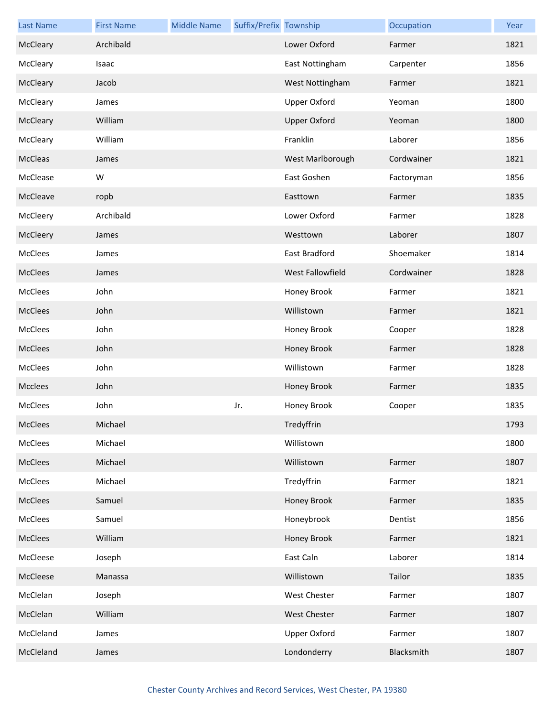| <b>Last Name</b> | <b>First Name</b> | <b>Middle Name</b> | Suffix/Prefix Township |                     | Occupation | Year |
|------------------|-------------------|--------------------|------------------------|---------------------|------------|------|
| McCleary         | Archibald         |                    |                        | Lower Oxford        | Farmer     | 1821 |
| McCleary         | Isaac             |                    |                        | East Nottingham     | Carpenter  | 1856 |
| McCleary         | Jacob             |                    |                        | West Nottingham     | Farmer     | 1821 |
| McCleary         | James             |                    |                        | <b>Upper Oxford</b> | Yeoman     | 1800 |
| McCleary         | William           |                    |                        | <b>Upper Oxford</b> | Yeoman     | 1800 |
| McCleary         | William           |                    |                        | Franklin            | Laborer    | 1856 |
| McCleas          | James             |                    |                        | West Marlborough    | Cordwainer | 1821 |
| McClease         | W                 |                    |                        | East Goshen         | Factoryman | 1856 |
| McCleave         | ropb              |                    |                        | Easttown            | Farmer     | 1835 |
| McCleery         | Archibald         |                    |                        | Lower Oxford        | Farmer     | 1828 |
| McCleery         | James             |                    |                        | Westtown            | Laborer    | 1807 |
| McClees          | James             |                    |                        | East Bradford       | Shoemaker  | 1814 |
| McClees          | James             |                    |                        | West Fallowfield    | Cordwainer | 1828 |
| McClees          | John              |                    |                        | Honey Brook         | Farmer     | 1821 |
| McClees          | John              |                    |                        | Willistown          | Farmer     | 1821 |
| McClees          | John              |                    |                        | Honey Brook         | Cooper     | 1828 |
| McClees          | John              |                    |                        | Honey Brook         | Farmer     | 1828 |
| McClees          | John              |                    |                        | Willistown          | Farmer     | 1828 |
| Mcclees          | John              |                    |                        | Honey Brook         | Farmer     | 1835 |
| McClees          | John              |                    | Jr.                    | Honey Brook         | Cooper     | 1835 |
| McClees          | Michael           |                    |                        | Tredyffrin          |            | 1793 |
| McClees          | Michael           |                    |                        | Willistown          |            | 1800 |
| McClees          | Michael           |                    |                        | Willistown          | Farmer     | 1807 |
| McClees          | Michael           |                    |                        | Tredyffrin          | Farmer     | 1821 |
| McClees          | Samuel            |                    |                        | Honey Brook         | Farmer     | 1835 |
| McClees          | Samuel            |                    |                        | Honeybrook          | Dentist    | 1856 |
| McClees          | William           |                    |                        | Honey Brook         | Farmer     | 1821 |
| McCleese         | Joseph            |                    |                        | East Caln           | Laborer    | 1814 |
| McCleese         | Manassa           |                    |                        | Willistown          | Tailor     | 1835 |
| McClelan         | Joseph            |                    |                        | West Chester        | Farmer     | 1807 |
| McClelan         | William           |                    |                        | West Chester        | Farmer     | 1807 |
| McCleland        | James             |                    |                        | Upper Oxford        | Farmer     | 1807 |
| McCleland        | James             |                    |                        | Londonderry         | Blacksmith | 1807 |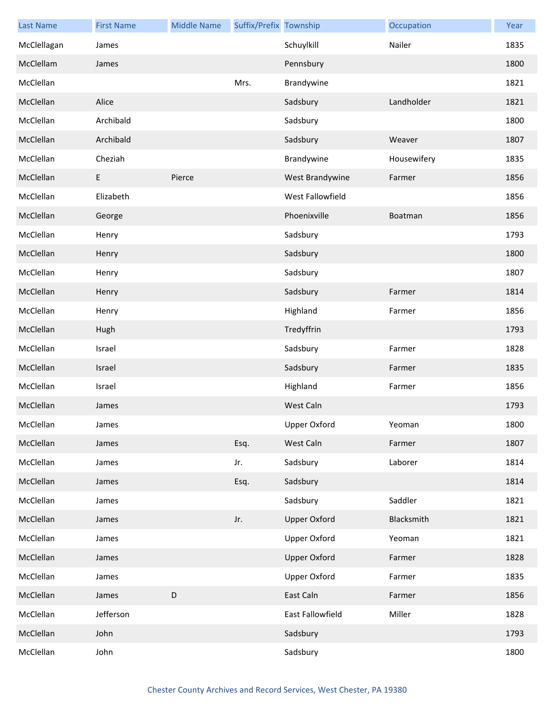| <b>Last Name</b> | <b>First Name</b> | <b>Middle Name</b> | Suffix/Prefix Township |                     | Occupation     | Year |
|------------------|-------------------|--------------------|------------------------|---------------------|----------------|------|
| McClellagan      | James             |                    |                        | Schuylkill          | Nailer         | 1835 |
| McClellam        | James             |                    |                        | Pennsbury           |                | 1800 |
| McClellan        |                   |                    | Mrs.                   | Brandywine          |                | 1821 |
| McClellan        | Alice             |                    |                        | Sadsbury            | Landholder     | 1821 |
| McClellan        | Archibald         |                    |                        | Sadsbury            |                | 1800 |
| McClellan        | Archibald         |                    |                        | Sadsbury            | Weaver         | 1807 |
| McClellan        | Cheziah           |                    |                        | Brandywine          | Housewifery    | 1835 |
| McClellan        | E                 | Pierce             |                        | West Brandywine     | Farmer         | 1856 |
| McClellan        | Elizabeth         |                    |                        | West Fallowfield    |                | 1856 |
| McClellan        | George            |                    |                        | Phoenixville        | <b>Boatman</b> | 1856 |
| McClellan        | Henry             |                    |                        | Sadsbury            |                | 1793 |
| McClellan        | Henry             |                    |                        | Sadsbury            |                | 1800 |
| McClellan        | Henry             |                    |                        | Sadsbury            |                | 1807 |
| McClellan        | Henry             |                    |                        | Sadsbury            | Farmer         | 1814 |
| McClellan        | Henry             |                    |                        | Highland            | Farmer         | 1856 |
| McClellan        | Hugh              |                    |                        | Tredyffrin          |                | 1793 |
| McClellan        | Israel            |                    |                        | Sadsbury            | Farmer         | 1828 |
| McClellan        | Israel            |                    |                        | Sadsbury            | Farmer         | 1835 |
| McClellan        | Israel            |                    |                        | Highland            | Farmer         | 1856 |
| McClellan        | James             |                    |                        | West Caln           |                | 1793 |
| McClellan        | James             |                    |                        | Upper Oxford        | Yeoman         | 1800 |
| McClellan        | James             |                    | Esq.                   | West Caln           | Farmer         | 1807 |
| McClellan        | James             |                    | Jr.                    | Sadsbury            | Laborer        | 1814 |
| McClellan        | James             |                    | Esq.                   | Sadsbury            |                | 1814 |
| McClellan        | James             |                    |                        | Sadsbury            | Saddler        | 1821 |
| McClellan        | James             |                    | Jr.                    | <b>Upper Oxford</b> | Blacksmith     | 1821 |
| McClellan        | James             |                    |                        | <b>Upper Oxford</b> | Yeoman         | 1821 |
| McClellan        | James             |                    |                        | <b>Upper Oxford</b> | Farmer         | 1828 |
| McClellan        | James             |                    |                        | <b>Upper Oxford</b> | Farmer         | 1835 |
| McClellan        | James             | D                  |                        | East Caln           | Farmer         | 1856 |
| McClellan        | Jefferson         |                    |                        | East Fallowfield    | Miller         | 1828 |
| McClellan        | John              |                    |                        | Sadsbury            |                | 1793 |
| McClellan        | John              |                    |                        | Sadsbury            |                | 1800 |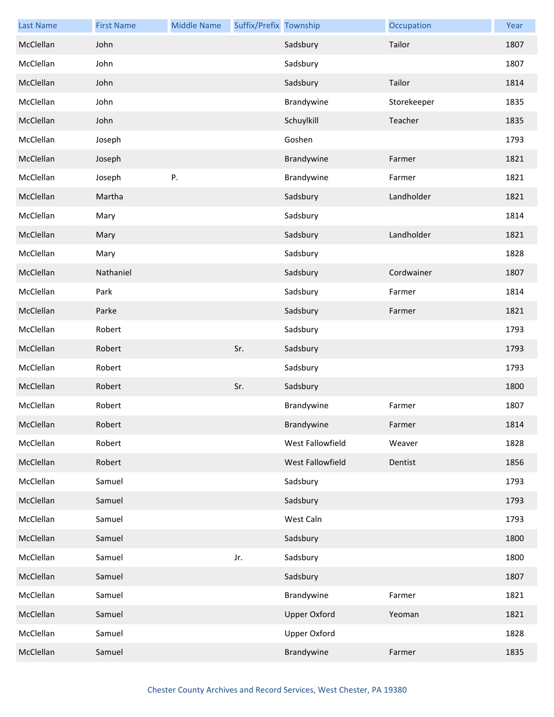| <b>Last Name</b> | <b>First Name</b> | <b>Middle Name</b> | Suffix/Prefix Township |                     | Occupation  | Year |
|------------------|-------------------|--------------------|------------------------|---------------------|-------------|------|
| McClellan        | John              |                    |                        | Sadsbury            | Tailor      | 1807 |
| McClellan        | John              |                    |                        | Sadsbury            |             | 1807 |
| McClellan        | John              |                    |                        | Sadsbury            | Tailor      | 1814 |
| McClellan        | John              |                    |                        | Brandywine          | Storekeeper | 1835 |
| McClellan        | John              |                    |                        | Schuylkill          | Teacher     | 1835 |
| McClellan        | Joseph            |                    |                        | Goshen              |             | 1793 |
| McClellan        | Joseph            |                    |                        | Brandywine          | Farmer      | 1821 |
| McClellan        | Joseph            | ${\sf P}.$         |                        | Brandywine          | Farmer      | 1821 |
| McClellan        | Martha            |                    |                        | Sadsbury            | Landholder  | 1821 |
| McClellan        | Mary              |                    |                        | Sadsbury            |             | 1814 |
| McClellan        | Mary              |                    |                        | Sadsbury            | Landholder  | 1821 |
| McClellan        | Mary              |                    |                        | Sadsbury            |             | 1828 |
| McClellan        | Nathaniel         |                    |                        | Sadsbury            | Cordwainer  | 1807 |
| McClellan        | Park              |                    |                        | Sadsbury            | Farmer      | 1814 |
| McClellan        | Parke             |                    |                        | Sadsbury            | Farmer      | 1821 |
| McClellan        | Robert            |                    |                        | Sadsbury            |             | 1793 |
| McClellan        | Robert            |                    | Sr.                    | Sadsbury            |             | 1793 |
| McClellan        | Robert            |                    |                        | Sadsbury            |             | 1793 |
| McClellan        | Robert            |                    | Sr.                    | Sadsbury            |             | 1800 |
| McClellan        | Robert            |                    |                        | Brandywine          | Farmer      | 1807 |
| McClellan        | Robert            |                    |                        | Brandywine          | Farmer      | 1814 |
| McClellan        | Robert            |                    |                        | West Fallowfield    | Weaver      | 1828 |
| McClellan        | Robert            |                    |                        | West Fallowfield    | Dentist     | 1856 |
| McClellan        | Samuel            |                    |                        | Sadsbury            |             | 1793 |
| McClellan        | Samuel            |                    |                        | Sadsbury            |             | 1793 |
| McClellan        | Samuel            |                    |                        | West Caln           |             | 1793 |
| McClellan        | Samuel            |                    |                        | Sadsbury            |             | 1800 |
| McClellan        | Samuel            |                    | Jr.                    | Sadsbury            |             | 1800 |
| McClellan        | Samuel            |                    |                        | Sadsbury            |             | 1807 |
| McClellan        | Samuel            |                    |                        | Brandywine          | Farmer      | 1821 |
| McClellan        | Samuel            |                    |                        | <b>Upper Oxford</b> | Yeoman      | 1821 |
| McClellan        | Samuel            |                    |                        | <b>Upper Oxford</b> |             | 1828 |
| McClellan        | Samuel            |                    |                        | Brandywine          | Farmer      | 1835 |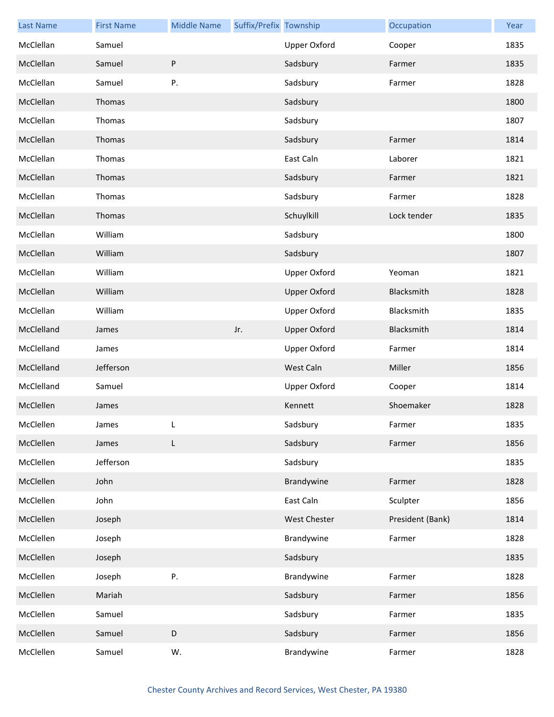| <b>Last Name</b> | <b>First Name</b> | <b>Middle Name</b> | Suffix/Prefix Township |                     | Occupation       | Year |
|------------------|-------------------|--------------------|------------------------|---------------------|------------------|------|
| McClellan        | Samuel            |                    |                        | <b>Upper Oxford</b> | Cooper           | 1835 |
| McClellan        | Samuel            | P                  |                        | Sadsbury            | Farmer           | 1835 |
| McClellan        | Samuel            | Ρ.                 |                        | Sadsbury            | Farmer           | 1828 |
| McClellan        | Thomas            |                    |                        | Sadsbury            |                  | 1800 |
| McClellan        | Thomas            |                    |                        | Sadsbury            |                  | 1807 |
| McClellan        | Thomas            |                    |                        | Sadsbury            | Farmer           | 1814 |
| McClellan        | Thomas            |                    |                        | East Caln           | Laborer          | 1821 |
| McClellan        | Thomas            |                    |                        | Sadsbury            | Farmer           | 1821 |
| McClellan        | Thomas            |                    |                        | Sadsbury            | Farmer           | 1828 |
| McClellan        | Thomas            |                    |                        | Schuylkill          | Lock tender      | 1835 |
| McClellan        | William           |                    |                        | Sadsbury            |                  | 1800 |
| McClellan        | William           |                    |                        | Sadsbury            |                  | 1807 |
| McClellan        | William           |                    |                        | <b>Upper Oxford</b> | Yeoman           | 1821 |
| McClellan        | William           |                    |                        | <b>Upper Oxford</b> | Blacksmith       | 1828 |
| McClellan        | William           |                    |                        | <b>Upper Oxford</b> | Blacksmith       | 1835 |
| McClelland       | James             |                    | Jr.                    | <b>Upper Oxford</b> | Blacksmith       | 1814 |
| McClelland       | James             |                    |                        | <b>Upper Oxford</b> | Farmer           | 1814 |
| McClelland       | Jefferson         |                    |                        | West Caln           | Miller           | 1856 |
| McClelland       | Samuel            |                    |                        | <b>Upper Oxford</b> | Cooper           | 1814 |
| McClellen        | James             |                    |                        | Kennett             | Shoemaker        | 1828 |
| McClellen        | James             |                    |                        | Sadsbury            | Farmer           | 1835 |
| McClellen        | James             | L                  |                        | Sadsbury            | Farmer           | 1856 |
| McClellen        | Jefferson         |                    |                        | Sadsbury            |                  | 1835 |
| McClellen        | John              |                    |                        | Brandywine          | Farmer           | 1828 |
| McClellen        | John              |                    |                        | East Caln           | Sculpter         | 1856 |
| McClellen        | Joseph            |                    |                        | West Chester        | President (Bank) | 1814 |
| McClellen        | Joseph            |                    |                        | Brandywine          | Farmer           | 1828 |
| McClellen        | Joseph            |                    |                        | Sadsbury            |                  | 1835 |
| McClellen        | Joseph            | Ρ.                 |                        | Brandywine          | Farmer           | 1828 |
| McClellen        | Mariah            |                    |                        | Sadsbury            | Farmer           | 1856 |
| McClellen        | Samuel            |                    |                        | Sadsbury            | Farmer           | 1835 |
| McClellen        | Samuel            | D                  |                        | Sadsbury            | Farmer           | 1856 |
| McClellen        | Samuel            | W.                 |                        | Brandywine          | Farmer           | 1828 |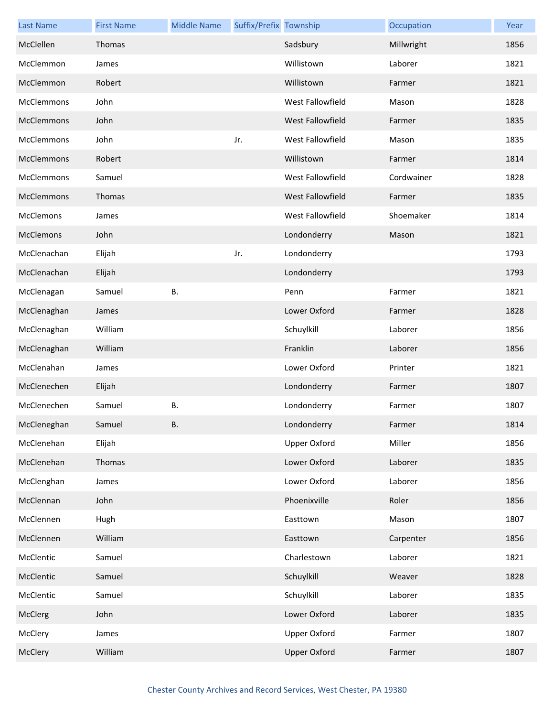| <b>Last Name</b>  | <b>First Name</b> | <b>Middle Name</b> | Suffix/Prefix Township |                     | Occupation | Year |
|-------------------|-------------------|--------------------|------------------------|---------------------|------------|------|
| McClellen         | Thomas            |                    |                        | Sadsbury            | Millwright | 1856 |
| McClemmon         | James             |                    |                        | Willistown          | Laborer    | 1821 |
| McClemmon         | Robert            |                    |                        | Willistown          | Farmer     | 1821 |
| McClemmons        | John              |                    |                        | West Fallowfield    | Mason      | 1828 |
| McClemmons        | John              |                    |                        | West Fallowfield    | Farmer     | 1835 |
| <b>McClemmons</b> | John              |                    | Jr.                    | West Fallowfield    | Mason      | 1835 |
| McClemmons        | Robert            |                    |                        | Willistown          | Farmer     | 1814 |
| McClemmons        | Samuel            |                    |                        | West Fallowfield    | Cordwainer | 1828 |
| McClemmons        | Thomas            |                    |                        | West Fallowfield    | Farmer     | 1835 |
| <b>McClemons</b>  | James             |                    |                        | West Fallowfield    | Shoemaker  | 1814 |
| McClemons         | John              |                    |                        | Londonderry         | Mason      | 1821 |
| McClenachan       | Elijah            |                    | Jr.                    | Londonderry         |            | 1793 |
| McClenachan       | Elijah            |                    |                        | Londonderry         |            | 1793 |
| McClenagan        | Samuel            | <b>B.</b>          |                        | Penn                | Farmer     | 1821 |
| McClenaghan       | James             |                    |                        | Lower Oxford        | Farmer     | 1828 |
| McClenaghan       | William           |                    |                        | Schuylkill          | Laborer    | 1856 |
| McClenaghan       | William           |                    |                        | Franklin            | Laborer    | 1856 |
| McClenahan        | James             |                    |                        | Lower Oxford        | Printer    | 1821 |
| McClenechen       | Elijah            |                    |                        | Londonderry         | Farmer     | 1807 |
| McClenechen       | Samuel            | <b>B.</b>          |                        | Londonderry         | Farmer     | 1807 |
| McCleneghan       | Samuel            | В.                 |                        | Londonderry         | Farmer     | 1814 |
| McClenehan        | Elijah            |                    |                        | <b>Upper Oxford</b> | Miller     | 1856 |
| McClenehan        | Thomas            |                    |                        | Lower Oxford        | Laborer    | 1835 |
| McClenghan        | James             |                    |                        | Lower Oxford        | Laborer    | 1856 |
| McClennan         | John              |                    |                        | Phoenixville        | Roler      | 1856 |
| McClennen         | Hugh              |                    |                        | Easttown            | Mason      | 1807 |
| McClennen         | William           |                    |                        | Easttown            | Carpenter  | 1856 |
| McClentic         | Samuel            |                    |                        | Charlestown         | Laborer    | 1821 |
| McClentic         | Samuel            |                    |                        | Schuylkill          | Weaver     | 1828 |
| McClentic         | Samuel            |                    |                        | Schuylkill          | Laborer    | 1835 |
| McClerg           | John              |                    |                        | Lower Oxford        | Laborer    | 1835 |
| McClery           | James             |                    |                        | <b>Upper Oxford</b> | Farmer     | 1807 |
| McClery           | William           |                    |                        | <b>Upper Oxford</b> | Farmer     | 1807 |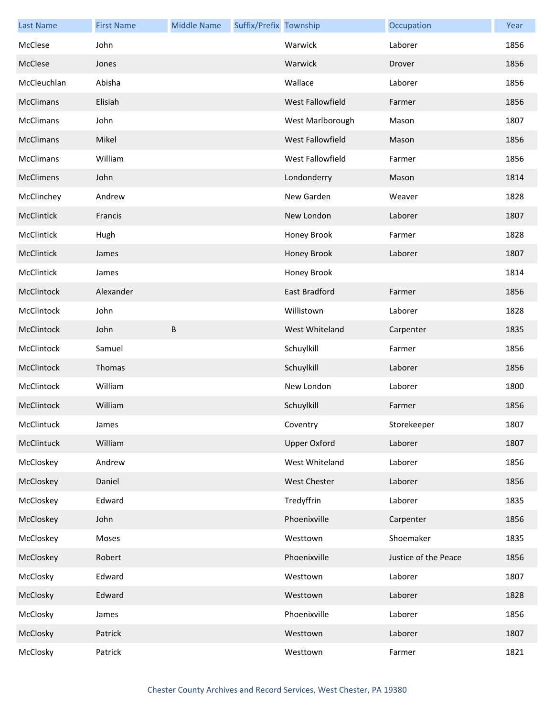| <b>Last Name</b> | <b>First Name</b> | <b>Middle Name</b> | Suffix/Prefix Township |                         | Occupation           | Year |
|------------------|-------------------|--------------------|------------------------|-------------------------|----------------------|------|
| McClese          | John              |                    |                        | Warwick                 | Laborer              | 1856 |
| McClese          | Jones             |                    |                        | Warwick                 | Drover               | 1856 |
| McCleuchlan      | Abisha            |                    |                        | Wallace                 | Laborer              | 1856 |
| <b>McClimans</b> | Elisiah           |                    |                        | West Fallowfield        | Farmer               | 1856 |
| <b>McClimans</b> | John              |                    |                        | West Marlborough        | Mason                | 1807 |
| <b>McClimans</b> | Mikel             |                    |                        | <b>West Fallowfield</b> | Mason                | 1856 |
| <b>McClimans</b> | William           |                    |                        | West Fallowfield        | Farmer               | 1856 |
| McClimens        | John              |                    |                        | Londonderry             | Mason                | 1814 |
| McClinchey       | Andrew            |                    |                        | New Garden              | Weaver               | 1828 |
| McClintick       | Francis           |                    |                        | New London              | Laborer              | 1807 |
| McClintick       | Hugh              |                    |                        | Honey Brook             | Farmer               | 1828 |
| McClintick       | James             |                    |                        | Honey Brook             | Laborer              | 1807 |
| McClintick       | James             |                    |                        | Honey Brook             |                      | 1814 |
| McClintock       | Alexander         |                    |                        | East Bradford           | Farmer               | 1856 |
| McClintock       | John              |                    |                        | Willistown              | Laborer              | 1828 |
| McClintock       | John              | $\sf B$            |                        | West Whiteland          | Carpenter            | 1835 |
| McClintock       | Samuel            |                    |                        | Schuylkill              | Farmer               | 1856 |
| McClintock       | Thomas            |                    |                        | Schuylkill              | Laborer              | 1856 |
| McClintock       | William           |                    |                        | New London              | Laborer              | 1800 |
| McClintock       | William           |                    |                        | Schuylkill              | Farmer               | 1856 |
| McClintuck       | James             |                    |                        | Coventry                | Storekeeper          | 1807 |
| McClintuck       | William           |                    |                        | <b>Upper Oxford</b>     | Laborer              | 1807 |
| McCloskey        | Andrew            |                    |                        | West Whiteland          | Laborer              | 1856 |
| McCloskey        | Daniel            |                    |                        | West Chester            | Laborer              | 1856 |
| McCloskey        | Edward            |                    |                        | Tredyffrin              | Laborer              | 1835 |
| McCloskey        | John              |                    |                        | Phoenixville            | Carpenter            | 1856 |
| McCloskey        | Moses             |                    |                        | Westtown                | Shoemaker            | 1835 |
| McCloskey        | Robert            |                    |                        | Phoenixville            | Justice of the Peace | 1856 |
| McClosky         | Edward            |                    |                        | Westtown                | Laborer              | 1807 |
| McClosky         | Edward            |                    |                        | Westtown                | Laborer              | 1828 |
| McClosky         | James             |                    |                        | Phoenixville            | Laborer              | 1856 |
| McClosky         | Patrick           |                    |                        | Westtown                | Laborer              | 1807 |
| McClosky         | Patrick           |                    |                        | Westtown                | Farmer               | 1821 |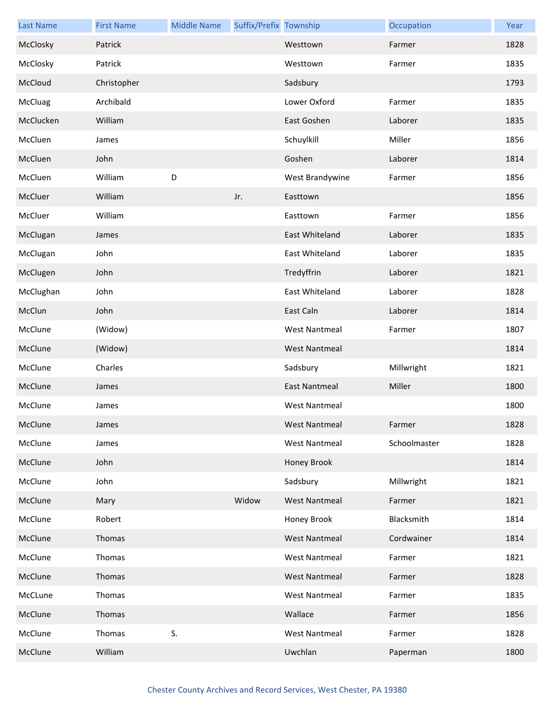| <b>Last Name</b> | <b>First Name</b> | <b>Middle Name</b> | Suffix/Prefix Township |                      | Occupation   | Year |
|------------------|-------------------|--------------------|------------------------|----------------------|--------------|------|
| McClosky         | Patrick           |                    |                        | Westtown             | Farmer       | 1828 |
| McClosky         | Patrick           |                    |                        | Westtown             | Farmer       | 1835 |
| McCloud          | Christopher       |                    |                        | Sadsbury             |              | 1793 |
| McCluag          | Archibald         |                    |                        | Lower Oxford         | Farmer       | 1835 |
| McClucken        | William           |                    |                        | East Goshen          | Laborer      | 1835 |
| McCluen          | James             |                    |                        | Schuylkill           | Miller       | 1856 |
| McCluen          | John              |                    |                        | Goshen               | Laborer      | 1814 |
| McCluen          | William           | D                  |                        | West Brandywine      | Farmer       | 1856 |
| McCluer          | William           |                    | Jr.                    | Easttown             |              | 1856 |
| McCluer          | William           |                    |                        | Easttown             | Farmer       | 1856 |
| McClugan         | James             |                    |                        | East Whiteland       | Laborer      | 1835 |
| McClugan         | John              |                    |                        | East Whiteland       | Laborer      | 1835 |
| McClugen         | John              |                    |                        | Tredyffrin           | Laborer      | 1821 |
| McClughan        | John              |                    |                        | East Whiteland       | Laborer      | 1828 |
| McClun           | John              |                    |                        | East Caln            | Laborer      | 1814 |
| McClune          | (Widow)           |                    |                        | <b>West Nantmeal</b> | Farmer       | 1807 |
| McClune          | (Widow)           |                    |                        | <b>West Nantmeal</b> |              | 1814 |
| McClune          | Charles           |                    |                        | Sadsbury             | Millwright   | 1821 |
| McClune          | James             |                    |                        | <b>East Nantmeal</b> | Miller       | 1800 |
| McClune          | James             |                    |                        | <b>West Nantmeal</b> |              | 1800 |
| McClune          | James             |                    |                        | <b>West Nantmeal</b> | Farmer       | 1828 |
| McClune          | James             |                    |                        | <b>West Nantmeal</b> | Schoolmaster | 1828 |
| McClune          | John              |                    |                        | Honey Brook          |              | 1814 |
| McClune          | John              |                    |                        | Sadsbury             | Millwright   | 1821 |
| McClune          | Mary              |                    | Widow                  | <b>West Nantmeal</b> | Farmer       | 1821 |
| McClune          | Robert            |                    |                        | Honey Brook          | Blacksmith   | 1814 |
| McClune          | Thomas            |                    |                        | <b>West Nantmeal</b> | Cordwainer   | 1814 |
| McClune          | Thomas            |                    |                        | <b>West Nantmeal</b> | Farmer       | 1821 |
| McClune          | Thomas            |                    |                        | <b>West Nantmeal</b> | Farmer       | 1828 |
| McCLune          | Thomas            |                    |                        | <b>West Nantmeal</b> | Farmer       | 1835 |
| McClune          | Thomas            |                    |                        | Wallace              | Farmer       | 1856 |
| McClune          | Thomas            | S.                 |                        | <b>West Nantmeal</b> | Farmer       | 1828 |
| McClune          | William           |                    |                        | Uwchlan              | Paperman     | 1800 |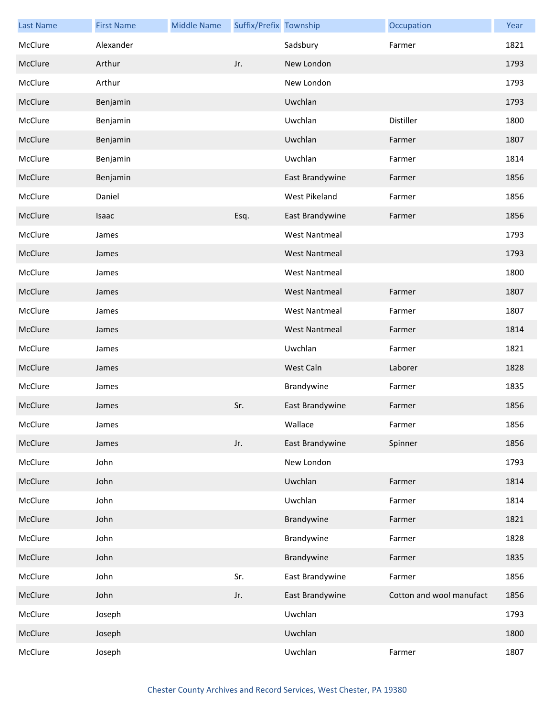| <b>Last Name</b> | <b>First Name</b> | <b>Middle Name</b> | Suffix/Prefix Township |                      | Occupation               | Year |
|------------------|-------------------|--------------------|------------------------|----------------------|--------------------------|------|
| McClure          | Alexander         |                    |                        | Sadsbury             | Farmer                   | 1821 |
| McClure          | Arthur            |                    | Jr.                    | New London           |                          | 1793 |
| McClure          | Arthur            |                    |                        | New London           |                          | 1793 |
| McClure          | Benjamin          |                    |                        | Uwchlan              |                          | 1793 |
| McClure          | Benjamin          |                    |                        | Uwchlan              | Distiller                | 1800 |
| McClure          | Benjamin          |                    |                        | Uwchlan              | Farmer                   | 1807 |
| McClure          | Benjamin          |                    |                        | Uwchlan              | Farmer                   | 1814 |
| McClure          | Benjamin          |                    |                        | East Brandywine      | Farmer                   | 1856 |
| McClure          | Daniel            |                    |                        | West Pikeland        | Farmer                   | 1856 |
| McClure          | Isaac             |                    | Esq.                   | East Brandywine      | Farmer                   | 1856 |
| McClure          | James             |                    |                        | <b>West Nantmeal</b> |                          | 1793 |
| McClure          | James             |                    |                        | <b>West Nantmeal</b> |                          | 1793 |
| McClure          | James             |                    |                        | <b>West Nantmeal</b> |                          | 1800 |
| McClure          | James             |                    |                        | <b>West Nantmeal</b> | Farmer                   | 1807 |
| McClure          | James             |                    |                        | <b>West Nantmeal</b> | Farmer                   | 1807 |
| McClure          | James             |                    |                        | <b>West Nantmeal</b> | Farmer                   | 1814 |
| McClure          | James             |                    |                        | Uwchlan              | Farmer                   | 1821 |
| McClure          | James             |                    |                        | West Caln            | Laborer                  | 1828 |
| McClure          | James             |                    |                        | Brandywine           | Farmer                   | 1835 |
| McClure          | James             |                    | Sr.                    | East Brandywine      | Farmer                   | 1856 |
| McClure          | James             |                    |                        | Wallace              | Farmer                   | 1856 |
| McClure          | James             |                    | Jr.                    | East Brandywine      | Spinner                  | 1856 |
| McClure          | John              |                    |                        | New London           |                          | 1793 |
| McClure          | John              |                    |                        | Uwchlan              | Farmer                   | 1814 |
| McClure          | John              |                    |                        | Uwchlan              | Farmer                   | 1814 |
| McClure          | John              |                    |                        | Brandywine           | Farmer                   | 1821 |
| McClure          | John              |                    |                        | Brandywine           | Farmer                   | 1828 |
| McClure          | John              |                    |                        | Brandywine           | Farmer                   | 1835 |
| McClure          | John              |                    | Sr.                    | East Brandywine      | Farmer                   | 1856 |
| McClure          | John              |                    | Jr.                    | East Brandywine      | Cotton and wool manufact | 1856 |
| McClure          | Joseph            |                    |                        | Uwchlan              |                          | 1793 |
| McClure          | Joseph            |                    |                        | Uwchlan              |                          | 1800 |
| McClure          | Joseph            |                    |                        | Uwchlan              | Farmer                   | 1807 |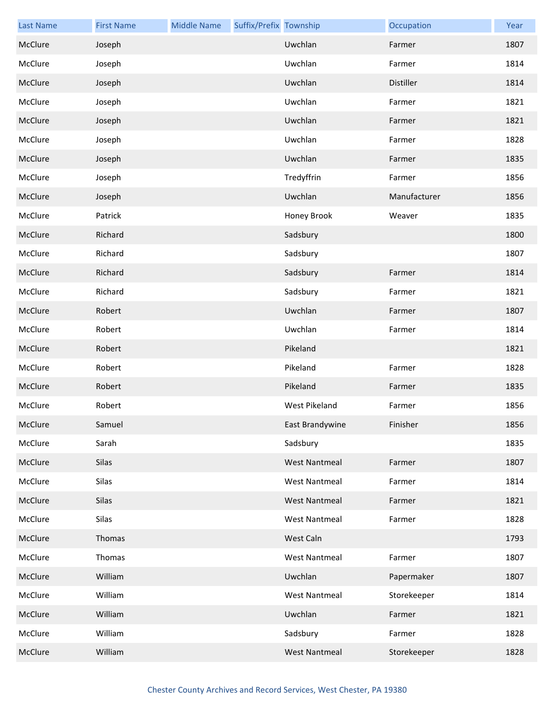| <b>Last Name</b> | <b>First Name</b> | <b>Middle Name</b> | Suffix/Prefix Township |                      | Occupation   | Year |
|------------------|-------------------|--------------------|------------------------|----------------------|--------------|------|
| McClure          | Joseph            |                    |                        | Uwchlan              | Farmer       | 1807 |
| McClure          | Joseph            |                    |                        | Uwchlan              | Farmer       | 1814 |
| McClure          | Joseph            |                    |                        | Uwchlan              | Distiller    | 1814 |
| McClure          | Joseph            |                    |                        | Uwchlan              | Farmer       | 1821 |
| McClure          | Joseph            |                    |                        | Uwchlan              | Farmer       | 1821 |
| McClure          | Joseph            |                    |                        | Uwchlan              | Farmer       | 1828 |
| McClure          | Joseph            |                    |                        | Uwchlan              | Farmer       | 1835 |
| McClure          | Joseph            |                    |                        | Tredyffrin           | Farmer       | 1856 |
| McClure          | Joseph            |                    |                        | Uwchlan              | Manufacturer | 1856 |
| McClure          | Patrick           |                    |                        | Honey Brook          | Weaver       | 1835 |
| McClure          | Richard           |                    |                        | Sadsbury             |              | 1800 |
| McClure          | Richard           |                    |                        | Sadsbury             |              | 1807 |
| McClure          | Richard           |                    |                        | Sadsbury             | Farmer       | 1814 |
| McClure          | Richard           |                    |                        | Sadsbury             | Farmer       | 1821 |
| McClure          | Robert            |                    |                        | Uwchlan              | Farmer       | 1807 |
| McClure          | Robert            |                    |                        | Uwchlan              | Farmer       | 1814 |
| McClure          | Robert            |                    |                        | Pikeland             |              | 1821 |
| McClure          | Robert            |                    |                        | Pikeland             | Farmer       | 1828 |
| McClure          | Robert            |                    |                        | Pikeland             | Farmer       | 1835 |
| McClure          | Robert            |                    |                        | <b>West Pikeland</b> | Farmer       | 1856 |
| McClure          | Samuel            |                    |                        | East Brandywine      | Finisher     | 1856 |
| McClure          | Sarah             |                    |                        | Sadsbury             |              | 1835 |
| McClure          | Silas             |                    |                        | <b>West Nantmeal</b> | Farmer       | 1807 |
| McClure          | Silas             |                    |                        | <b>West Nantmeal</b> | Farmer       | 1814 |
| McClure          | Silas             |                    |                        | <b>West Nantmeal</b> | Farmer       | 1821 |
| McClure          | Silas             |                    |                        | <b>West Nantmeal</b> | Farmer       | 1828 |
| McClure          | Thomas            |                    |                        | West Caln            |              | 1793 |
| McClure          | Thomas            |                    |                        | <b>West Nantmeal</b> | Farmer       | 1807 |
| McClure          | William           |                    |                        | Uwchlan              | Papermaker   | 1807 |
| McClure          | William           |                    |                        | <b>West Nantmeal</b> | Storekeeper  | 1814 |
| McClure          | William           |                    |                        | Uwchlan              | Farmer       | 1821 |
| McClure          | William           |                    |                        | Sadsbury             | Farmer       | 1828 |
| McClure          | William           |                    |                        | <b>West Nantmeal</b> | Storekeeper  | 1828 |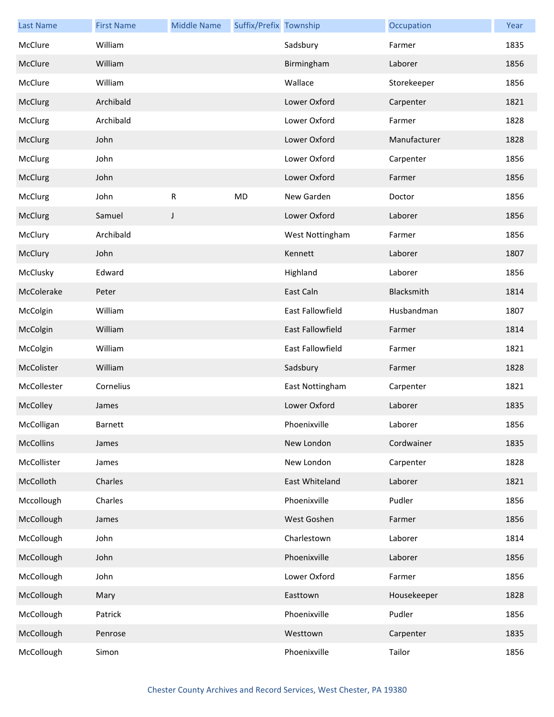| <b>Last Name</b> | <b>First Name</b> | <b>Middle Name</b> | Suffix/Prefix Township |                         | Occupation   | Year |
|------------------|-------------------|--------------------|------------------------|-------------------------|--------------|------|
| McClure          | William           |                    |                        | Sadsbury                | Farmer       | 1835 |
| McClure          | William           |                    |                        | Birmingham              | Laborer      | 1856 |
| McClure          | William           |                    |                        | Wallace                 | Storekeeper  | 1856 |
| McClurg          | Archibald         |                    |                        | Lower Oxford            | Carpenter    | 1821 |
| McClurg          | Archibald         |                    |                        | Lower Oxford            | Farmer       | 1828 |
| McClurg          | John              |                    |                        | Lower Oxford            | Manufacturer | 1828 |
| McClurg          | John              |                    |                        | Lower Oxford            | Carpenter    | 1856 |
| McClurg          | John              |                    |                        | Lower Oxford            | Farmer       | 1856 |
| McClurg          | John              | $\mathsf{R}$       | MD                     | New Garden              | Doctor       | 1856 |
| McClurg          | Samuel            | J                  |                        | Lower Oxford            | Laborer      | 1856 |
| McClury          | Archibald         |                    |                        | West Nottingham         | Farmer       | 1856 |
| McClury          | John              |                    |                        | Kennett                 | Laborer      | 1807 |
| McClusky         | Edward            |                    |                        | Highland                | Laborer      | 1856 |
| McColerake       | Peter             |                    |                        | East Caln               | Blacksmith   | 1814 |
| McColgin         | William           |                    |                        | East Fallowfield        | Husbandman   | 1807 |
| McColgin         | William           |                    |                        | <b>East Fallowfield</b> | Farmer       | 1814 |
| McColgin         | William           |                    |                        | East Fallowfield        | Farmer       | 1821 |
| McColister       | William           |                    |                        | Sadsbury                | Farmer       | 1828 |
| McCollester      | Cornelius         |                    |                        | East Nottingham         | Carpenter    | 1821 |
| McColley         | James             |                    |                        | Lower Oxford            | Laborer      | 1835 |
| McColligan       | Barnett           |                    |                        | Phoenixville            | Laborer      | 1856 |
| <b>McCollins</b> | James             |                    |                        | New London              | Cordwainer   | 1835 |
| McCollister      | James             |                    |                        | New London              | Carpenter    | 1828 |
| McColloth        | Charles           |                    |                        | East Whiteland          | Laborer      | 1821 |
| Mccollough       | Charles           |                    |                        | Phoenixville            | Pudler       | 1856 |
| McCollough       | James             |                    |                        | West Goshen             | Farmer       | 1856 |
| McCollough       | John              |                    |                        | Charlestown             | Laborer      | 1814 |
| McCollough       | John              |                    |                        | Phoenixville            | Laborer      | 1856 |
| McCollough       | John              |                    |                        | Lower Oxford            | Farmer       | 1856 |
| McCollough       | Mary              |                    |                        | Easttown                | Housekeeper  | 1828 |
| McCollough       | Patrick           |                    |                        | Phoenixville            | Pudler       | 1856 |
| McCollough       | Penrose           |                    |                        | Westtown                | Carpenter    | 1835 |
| McCollough       | Simon             |                    |                        | Phoenixville            | Tailor       | 1856 |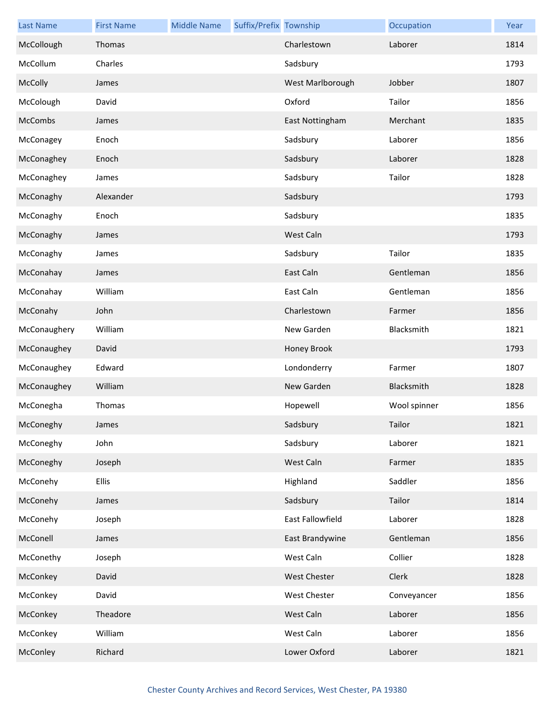| <b>Last Name</b> | <b>First Name</b> | <b>Middle Name</b> | Suffix/Prefix Township |                     | Occupation   | Year |
|------------------|-------------------|--------------------|------------------------|---------------------|--------------|------|
| McCollough       | Thomas            |                    |                        | Charlestown         | Laborer      | 1814 |
| McCollum         | Charles           |                    |                        | Sadsbury            |              | 1793 |
| McColly          | James             |                    |                        | West Marlborough    | Jobber       | 1807 |
| McColough        | David             |                    |                        | Oxford              | Tailor       | 1856 |
| McCombs          | James             |                    |                        | East Nottingham     | Merchant     | 1835 |
| McConagey        | Enoch             |                    |                        | Sadsbury            | Laborer      | 1856 |
| McConaghey       | Enoch             |                    |                        | Sadsbury            | Laborer      | 1828 |
| McConaghey       | James             |                    |                        | Sadsbury            | Tailor       | 1828 |
| McConaghy        | Alexander         |                    |                        | Sadsbury            |              | 1793 |
| McConaghy        | Enoch             |                    |                        | Sadsbury            |              | 1835 |
| McConaghy        | James             |                    |                        | West Caln           |              | 1793 |
| McConaghy        | James             |                    |                        | Sadsbury            | Tailor       | 1835 |
| McConahay        | James             |                    |                        | East Caln           | Gentleman    | 1856 |
| McConahay        | William           |                    |                        | East Caln           | Gentleman    | 1856 |
| McConahy         | John              |                    |                        | Charlestown         | Farmer       | 1856 |
| McConaughery     | William           |                    |                        | New Garden          | Blacksmith   | 1821 |
| McConaughey      | David             |                    |                        | Honey Brook         |              | 1793 |
| McConaughey      | Edward            |                    |                        | Londonderry         | Farmer       | 1807 |
| McConaughey      | William           |                    |                        | New Garden          | Blacksmith   | 1828 |
| McConegha        | Thomas            |                    |                        | Hopewell            | Wool spinner | 1856 |
| McConeghy        | James             |                    |                        | Sadsbury            | Tailor       | 1821 |
| McConeghy        | John              |                    |                        | Sadsbury            | Laborer      | 1821 |
| McConeghy        | Joseph            |                    |                        | West Caln           | Farmer       | 1835 |
| McConehy         | <b>Ellis</b>      |                    |                        | Highland            | Saddler      | 1856 |
| McConehy         | James             |                    |                        | Sadsbury            | Tailor       | 1814 |
| McConehy         | Joseph            |                    |                        | East Fallowfield    | Laborer      | 1828 |
| McConell         | James             |                    |                        | East Brandywine     | Gentleman    | 1856 |
| McConethy        | Joseph            |                    |                        | West Caln           | Collier      | 1828 |
| McConkey         | David             |                    |                        | <b>West Chester</b> | Clerk        | 1828 |
| McConkey         | David             |                    |                        | West Chester        | Conveyancer  | 1856 |
| McConkey         | Theadore          |                    |                        | West Caln           | Laborer      | 1856 |
| McConkey         | William           |                    |                        | West Caln           | Laborer      | 1856 |
| McConley         | Richard           |                    |                        | Lower Oxford        | Laborer      | 1821 |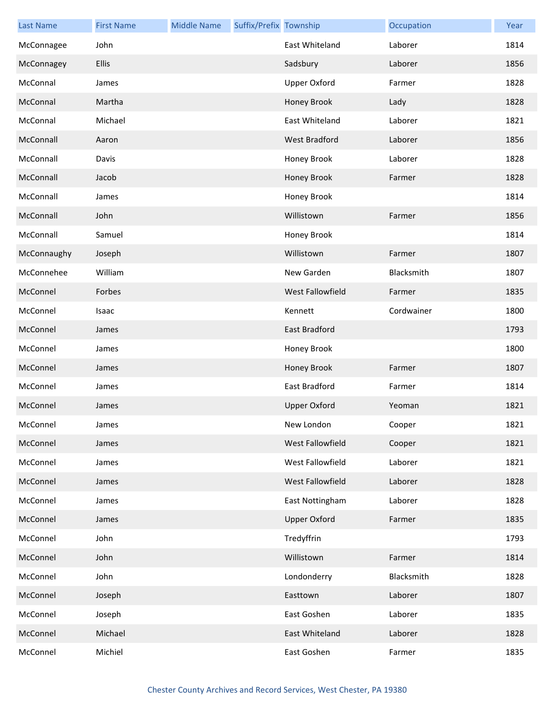| <b>Last Name</b> | <b>First Name</b> | <b>Middle Name</b> | Suffix/Prefix Township |                      | Occupation | Year |
|------------------|-------------------|--------------------|------------------------|----------------------|------------|------|
| McConnagee       | John              |                    |                        | East Whiteland       | Laborer    | 1814 |
| McConnagey       | Ellis             |                    |                        | Sadsbury             | Laborer    | 1856 |
| McConnal         | James             |                    |                        | <b>Upper Oxford</b>  | Farmer     | 1828 |
| McConnal         | Martha            |                    |                        | Honey Brook          | Lady       | 1828 |
| McConnal         | Michael           |                    |                        | East Whiteland       | Laborer    | 1821 |
| McConnall        | Aaron             |                    |                        | <b>West Bradford</b> | Laborer    | 1856 |
| McConnall        | Davis             |                    |                        | Honey Brook          | Laborer    | 1828 |
| McConnall        | Jacob             |                    |                        | Honey Brook          | Farmer     | 1828 |
| McConnall        | James             |                    |                        | Honey Brook          |            | 1814 |
| McConnall        | John              |                    |                        | Willistown           | Farmer     | 1856 |
| McConnall        | Samuel            |                    |                        | Honey Brook          |            | 1814 |
| McConnaughy      | Joseph            |                    |                        | Willistown           | Farmer     | 1807 |
| McConnehee       | William           |                    |                        | New Garden           | Blacksmith | 1807 |
| McConnel         | Forbes            |                    |                        | West Fallowfield     | Farmer     | 1835 |
| McConnel         | Isaac             |                    |                        | Kennett              | Cordwainer | 1800 |
| McConnel         | James             |                    |                        | <b>East Bradford</b> |            | 1793 |
| McConnel         | James             |                    |                        | Honey Brook          |            | 1800 |
| McConnel         | James             |                    |                        | Honey Brook          | Farmer     | 1807 |
| McConnel         | James             |                    |                        | East Bradford        | Farmer     | 1814 |
| McConnel         | James             |                    |                        | <b>Upper Oxford</b>  | Yeoman     | 1821 |
| McConnel         | James             |                    |                        | New London           | Cooper     | 1821 |
| McConnel         | James             |                    |                        | West Fallowfield     | Cooper     | 1821 |
| McConnel         | James             |                    |                        | West Fallowfield     | Laborer    | 1821 |
| McConnel         | James             |                    |                        | West Fallowfield     | Laborer    | 1828 |
| McConnel         | James             |                    |                        | East Nottingham      | Laborer    | 1828 |
| McConnel         | James             |                    |                        | <b>Upper Oxford</b>  | Farmer     | 1835 |
| McConnel         | John              |                    |                        | Tredyffrin           |            | 1793 |
| McConnel         | John              |                    |                        | Willistown           | Farmer     | 1814 |
| McConnel         | John              |                    |                        | Londonderry          | Blacksmith | 1828 |
| McConnel         | Joseph            |                    |                        | Easttown             | Laborer    | 1807 |
| McConnel         | Joseph            |                    |                        | East Goshen          | Laborer    | 1835 |
| McConnel         | Michael           |                    |                        | East Whiteland       | Laborer    | 1828 |
| McConnel         | Michiel           |                    |                        | East Goshen          | Farmer     | 1835 |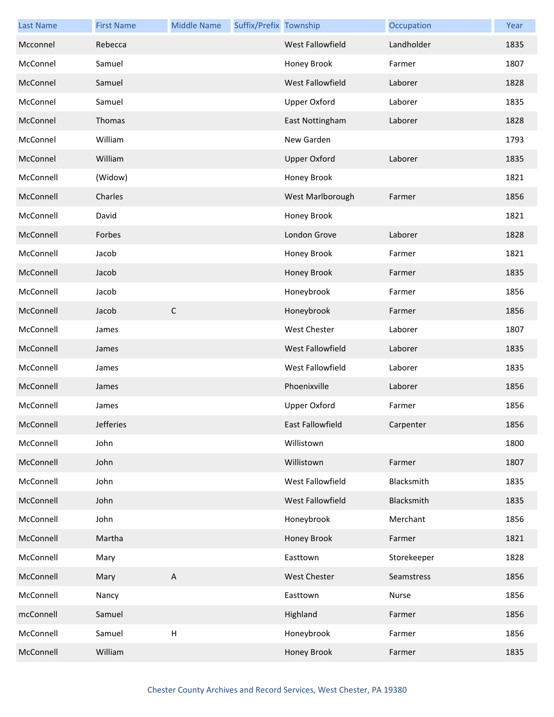| <b>Last Name</b> | <b>First Name</b> | <b>Middle Name</b> | Suffix/Prefix Township |                     | Occupation  | Year |
|------------------|-------------------|--------------------|------------------------|---------------------|-------------|------|
| Mcconnel         | Rebecca           |                    |                        | West Fallowfield    | Landholder  | 1835 |
| McConnel         | Samuel            |                    |                        | Honey Brook         | Farmer      | 1807 |
| McConnel         | Samuel            |                    |                        | West Fallowfield    | Laborer     | 1828 |
| McConnel         | Samuel            |                    |                        | <b>Upper Oxford</b> | Laborer     | 1835 |
| McConnel         | Thomas            |                    |                        | East Nottingham     | Laborer     | 1828 |
| McConnel         | William           |                    |                        | New Garden          |             | 1793 |
| McConnel         | William           |                    |                        | <b>Upper Oxford</b> | Laborer     | 1835 |
| McConnell        | (Widow)           |                    |                        | Honey Brook         |             | 1821 |
| McConnell        | Charles           |                    |                        | West Marlborough    | Farmer      | 1856 |
| McConnell        | David             |                    |                        | Honey Brook         |             | 1821 |
| McConnell        | Forbes            |                    |                        | London Grove        | Laborer     | 1828 |
| McConnell        | Jacob             |                    |                        | Honey Brook         | Farmer      | 1821 |
| McConnell        | Jacob             |                    |                        | Honey Brook         | Farmer      | 1835 |
| McConnell        | Jacob             |                    |                        | Honeybrook          | Farmer      | 1856 |
| McConnell        | Jacob             | $\mathsf{C}$       |                        | Honeybrook          | Farmer      | 1856 |
| McConnell        | James             |                    |                        | West Chester        | Laborer     | 1807 |
| McConnell        | James             |                    |                        | West Fallowfield    | Laborer     | 1835 |
| McConnell        | James             |                    |                        | West Fallowfield    | Laborer     | 1835 |
| McConnell        | James             |                    |                        | Phoenixville        | Laborer     | 1856 |
| McConnell        | James             |                    |                        | Upper Oxford        | Farmer      | 1856 |
| McConnell        | <b>Jefferies</b>  |                    |                        | East Fallowfield    | Carpenter   | 1856 |
| McConnell        | John              |                    |                        | Willistown          |             | 1800 |
| McConnell        | John              |                    |                        | Willistown          | Farmer      | 1807 |
| McConnell        | John              |                    |                        | West Fallowfield    | Blacksmith  | 1835 |
| McConnell        | John              |                    |                        | West Fallowfield    | Blacksmith  | 1835 |
| McConnell        | John              |                    |                        | Honeybrook          | Merchant    | 1856 |
| McConnell        | Martha            |                    |                        | Honey Brook         | Farmer      | 1821 |
| McConnell        | Mary              |                    |                        | Easttown            | Storekeeper | 1828 |
| McConnell        | Mary              | $\mathsf{A}$       |                        | <b>West Chester</b> | Seamstress  | 1856 |
| McConnell        | Nancy             |                    |                        | Easttown            | Nurse       | 1856 |
| mcConnell        | Samuel            |                    |                        | Highland            | Farmer      | 1856 |
| McConnell        | Samuel            | $\sf H$            |                        | Honeybrook          | Farmer      | 1856 |
| McConnell        | William           |                    |                        | Honey Brook         | Farmer      | 1835 |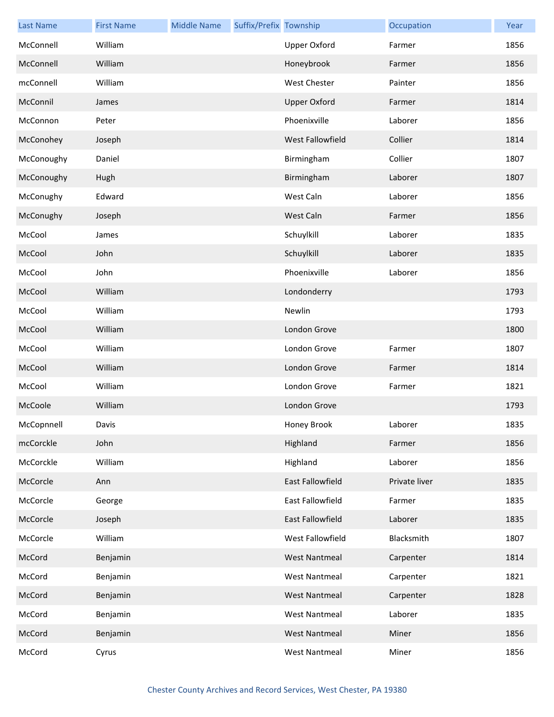| <b>Last Name</b> | <b>First Name</b> | <b>Middle Name</b> | Suffix/Prefix Township |                         | Occupation    | Year |
|------------------|-------------------|--------------------|------------------------|-------------------------|---------------|------|
| McConnell        | William           |                    |                        | <b>Upper Oxford</b>     | Farmer        | 1856 |
| McConnell        | William           |                    |                        | Honeybrook              | Farmer        | 1856 |
| mcConnell        | William           |                    |                        | West Chester            | Painter       | 1856 |
| McConnil         | James             |                    |                        | <b>Upper Oxford</b>     | Farmer        | 1814 |
| McConnon         | Peter             |                    |                        | Phoenixville            | Laborer       | 1856 |
| McConohey        | Joseph            |                    |                        | <b>West Fallowfield</b> | Collier       | 1814 |
| McConoughy       | Daniel            |                    |                        | Birmingham              | Collier       | 1807 |
| McConoughy       | Hugh              |                    |                        | Birmingham              | Laborer       | 1807 |
| McConughy        | Edward            |                    |                        | West Caln               | Laborer       | 1856 |
| McConughy        | Joseph            |                    |                        | West Caln               | Farmer        | 1856 |
| McCool           | James             |                    |                        | Schuylkill              | Laborer       | 1835 |
| McCool           | John              |                    |                        | Schuylkill              | Laborer       | 1835 |
| McCool           | John              |                    |                        | Phoenixville            | Laborer       | 1856 |
| McCool           | William           |                    |                        | Londonderry             |               | 1793 |
| McCool           | William           |                    |                        | Newlin                  |               | 1793 |
| McCool           | William           |                    |                        | London Grove            |               | 1800 |
| McCool           | William           |                    |                        | London Grove            | Farmer        | 1807 |
| McCool           | William           |                    |                        | London Grove            | Farmer        | 1814 |
| McCool           | William           |                    |                        | London Grove            | Farmer        | 1821 |
| McCoole          | William           |                    |                        | London Grove            |               | 1793 |
| McCopnnell       | Davis             |                    |                        | Honey Brook             | Laborer       | 1835 |
| mcCorckle        | John              |                    |                        | Highland                | Farmer        | 1856 |
| McCorckle        | William           |                    |                        | Highland                | Laborer       | 1856 |
| McCorcle         | Ann               |                    |                        | East Fallowfield        | Private liver | 1835 |
| McCorcle         | George            |                    |                        | East Fallowfield        | Farmer        | 1835 |
| McCorcle         | Joseph            |                    |                        | East Fallowfield        | Laborer       | 1835 |
| McCorcle         | William           |                    |                        | West Fallowfield        | Blacksmith    | 1807 |
| McCord           | Benjamin          |                    |                        | <b>West Nantmeal</b>    | Carpenter     | 1814 |
| McCord           | Benjamin          |                    |                        | <b>West Nantmeal</b>    | Carpenter     | 1821 |
| McCord           | Benjamin          |                    |                        | <b>West Nantmeal</b>    | Carpenter     | 1828 |
| McCord           | Benjamin          |                    |                        | <b>West Nantmeal</b>    | Laborer       | 1835 |
| McCord           | Benjamin          |                    |                        | West Nantmeal           | Miner         | 1856 |
| McCord           | Cyrus             |                    |                        | <b>West Nantmeal</b>    | Miner         | 1856 |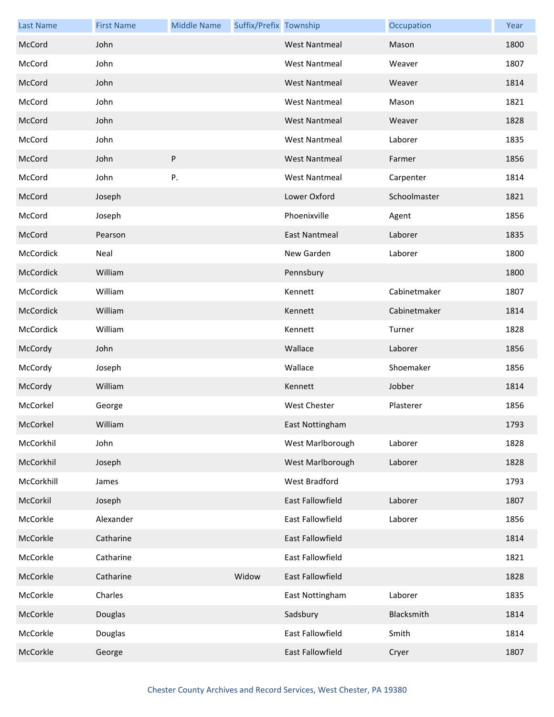| <b>Last Name</b> | <b>First Name</b> | <b>Middle Name</b> | Suffix/Prefix Township |                         | Occupation   | Year |
|------------------|-------------------|--------------------|------------------------|-------------------------|--------------|------|
| McCord           | John              |                    |                        | <b>West Nantmeal</b>    | Mason        | 1800 |
| McCord           | John              |                    |                        | <b>West Nantmeal</b>    | Weaver       | 1807 |
| McCord           | John              |                    |                        | <b>West Nantmeal</b>    | Weaver       | 1814 |
| McCord           | John              |                    |                        | <b>West Nantmeal</b>    | Mason        | 1821 |
| McCord           | John              |                    |                        | <b>West Nantmeal</b>    | Weaver       | 1828 |
| McCord           | John              |                    |                        | <b>West Nantmeal</b>    | Laborer      | 1835 |
| McCord           | John              | P                  |                        | <b>West Nantmeal</b>    | Farmer       | 1856 |
| McCord           | John              | Ρ.                 |                        | <b>West Nantmeal</b>    | Carpenter    | 1814 |
| McCord           | Joseph            |                    |                        | Lower Oxford            | Schoolmaster | 1821 |
| McCord           | Joseph            |                    |                        | Phoenixville            | Agent        | 1856 |
| McCord           | Pearson           |                    |                        | <b>East Nantmeal</b>    | Laborer      | 1835 |
| McCordick        | Neal              |                    |                        | New Garden              | Laborer      | 1800 |
| McCordick        | William           |                    |                        | Pennsbury               |              | 1800 |
| McCordick        | William           |                    |                        | Kennett                 | Cabinetmaker | 1807 |
| McCordick        | William           |                    |                        | Kennett                 | Cabinetmaker | 1814 |
| McCordick        | William           |                    |                        | Kennett                 | Turner       | 1828 |
| McCordy          | John              |                    |                        | Wallace                 | Laborer      | 1856 |
| McCordy          | Joseph            |                    |                        | Wallace                 | Shoemaker    | 1856 |
| McCordy          | William           |                    |                        | Kennett                 | Jobber       | 1814 |
| McCorkel         | George            |                    |                        | <b>West Chester</b>     | Plasterer    | 1856 |
| McCorkel         | William           |                    |                        | East Nottingham         |              | 1793 |
| McCorkhil        | John              |                    |                        | West Marlborough        | Laborer      | 1828 |
| McCorkhil        | Joseph            |                    |                        | West Marlborough        | Laborer      | 1828 |
| McCorkhill       | James             |                    |                        | West Bradford           |              | 1793 |
| McCorkil         | Joseph            |                    |                        | <b>East Fallowfield</b> | Laborer      | 1807 |
| McCorkle         | Alexander         |                    |                        | East Fallowfield        | Laborer      | 1856 |
| McCorkle         | Catharine         |                    |                        | East Fallowfield        |              | 1814 |
| McCorkle         | Catharine         |                    |                        | East Fallowfield        |              | 1821 |
| McCorkle         | Catharine         |                    | Widow                  | East Fallowfield        |              | 1828 |
| McCorkle         | Charles           |                    |                        | East Nottingham         | Laborer      | 1835 |
| McCorkle         | Douglas           |                    |                        | Sadsbury                | Blacksmith   | 1814 |
| McCorkle         | Douglas           |                    |                        | East Fallowfield        | Smith        | 1814 |
| McCorkle         | George            |                    |                        | East Fallowfield        | Cryer        | 1807 |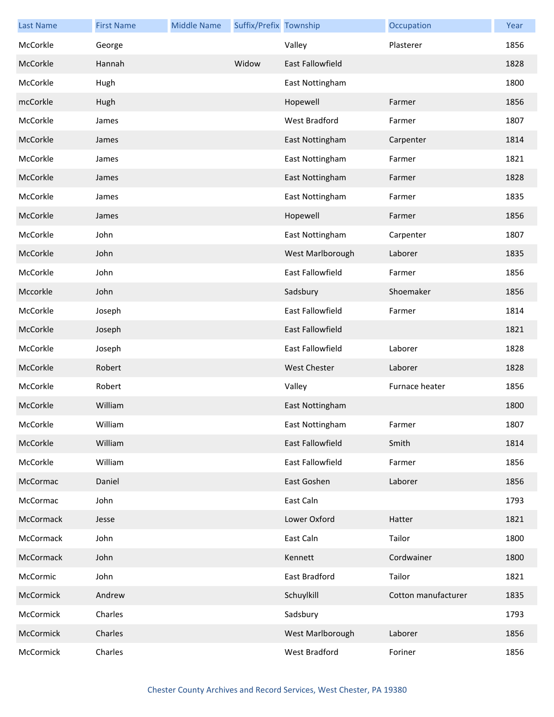| <b>Last Name</b> | <b>First Name</b> | <b>Middle Name</b> | Suffix/Prefix Township |                         | Occupation          | Year |
|------------------|-------------------|--------------------|------------------------|-------------------------|---------------------|------|
| McCorkle         | George            |                    |                        | Valley                  | Plasterer           | 1856 |
| McCorkle         | Hannah            |                    | Widow                  | <b>East Fallowfield</b> |                     | 1828 |
| McCorkle         | Hugh              |                    |                        | East Nottingham         |                     | 1800 |
| mcCorkle         | Hugh              |                    |                        | Hopewell                | Farmer              | 1856 |
| McCorkle         | James             |                    |                        | West Bradford           | Farmer              | 1807 |
| McCorkle         | James             |                    |                        | East Nottingham         | Carpenter           | 1814 |
| McCorkle         | James             |                    |                        | East Nottingham         | Farmer              | 1821 |
| McCorkle         | James             |                    |                        | East Nottingham         | Farmer              | 1828 |
| McCorkle         | James             |                    |                        | East Nottingham         | Farmer              | 1835 |
| McCorkle         | James             |                    |                        | Hopewell                | Farmer              | 1856 |
| McCorkle         | John              |                    |                        | East Nottingham         | Carpenter           | 1807 |
| McCorkle         | John              |                    |                        | West Marlborough        | Laborer             | 1835 |
| McCorkle         | John              |                    |                        | East Fallowfield        | Farmer              | 1856 |
| Mccorkle         | John              |                    |                        | Sadsbury                | Shoemaker           | 1856 |
| McCorkle         | Joseph            |                    |                        | East Fallowfield        | Farmer              | 1814 |
| McCorkle         | Joseph            |                    |                        | East Fallowfield        |                     | 1821 |
| McCorkle         | Joseph            |                    |                        | East Fallowfield        | Laborer             | 1828 |
| McCorkle         | Robert            |                    |                        | <b>West Chester</b>     | Laborer             | 1828 |
| McCorkle         | Robert            |                    |                        | Valley                  | Furnace heater      | 1856 |
| McCorkle         | William           |                    |                        | East Nottingham         |                     | 1800 |
| McCorkle         | William           |                    |                        | East Nottingham         | Farmer              | 1807 |
| McCorkle         | William           |                    |                        | <b>East Fallowfield</b> | Smith               | 1814 |
| McCorkle         | William           |                    |                        | East Fallowfield        | Farmer              | 1856 |
| McCormac         | Daniel            |                    |                        | East Goshen             | Laborer             | 1856 |
| McCormac         | John              |                    |                        | East Caln               |                     | 1793 |
| McCormack        | Jesse             |                    |                        | Lower Oxford            | Hatter              | 1821 |
| McCormack        | John              |                    |                        | East Caln               | Tailor              | 1800 |
| McCormack        | John              |                    |                        | Kennett                 | Cordwainer          | 1800 |
| McCormic         | John              |                    |                        | East Bradford           | Tailor              | 1821 |
| McCormick        | Andrew            |                    |                        | Schuylkill              | Cotton manufacturer | 1835 |
| McCormick        | Charles           |                    |                        | Sadsbury                |                     | 1793 |
| McCormick        | Charles           |                    |                        | West Marlborough        | Laborer             | 1856 |
| McCormick        | Charles           |                    |                        | West Bradford           | Foriner             | 1856 |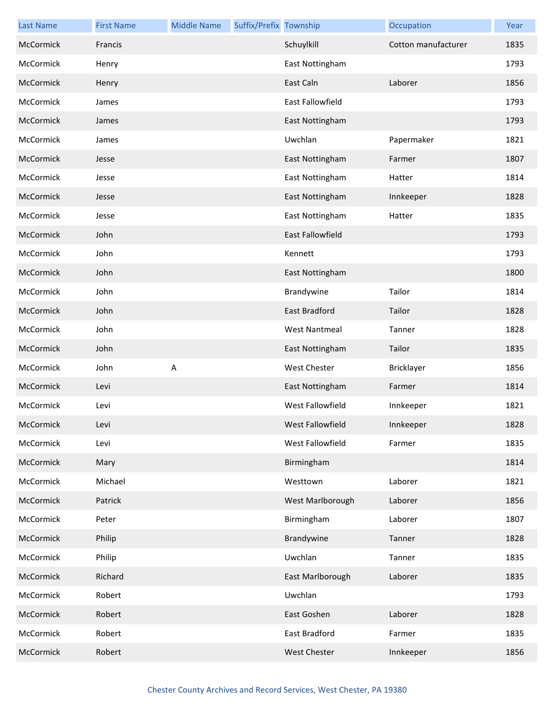| <b>Last Name</b> | <b>First Name</b> | <b>Middle Name</b> | Suffix/Prefix Township |                      | Occupation          | Year |
|------------------|-------------------|--------------------|------------------------|----------------------|---------------------|------|
| McCormick        | Francis           |                    |                        | Schuylkill           | Cotton manufacturer | 1835 |
| McCormick        | Henry             |                    |                        | East Nottingham      |                     | 1793 |
| McCormick        | Henry             |                    |                        | East Caln            | Laborer             | 1856 |
| McCormick        | James             |                    |                        | East Fallowfield     |                     | 1793 |
| McCormick        | James             |                    |                        | East Nottingham      |                     | 1793 |
| McCormick        | James             |                    |                        | Uwchlan              | Papermaker          | 1821 |
| McCormick        | Jesse             |                    |                        | East Nottingham      | Farmer              | 1807 |
| McCormick        | Jesse             |                    |                        | East Nottingham      | Hatter              | 1814 |
| McCormick        | Jesse             |                    |                        | East Nottingham      | Innkeeper           | 1828 |
| McCormick        | Jesse             |                    |                        | East Nottingham      | Hatter              | 1835 |
| McCormick        | John              |                    |                        | East Fallowfield     |                     | 1793 |
| McCormick        | John              |                    |                        | Kennett              |                     | 1793 |
| McCormick        | John              |                    |                        | East Nottingham      |                     | 1800 |
| McCormick        | John              |                    |                        | Brandywine           | Tailor              | 1814 |
| McCormick        | John              |                    |                        | <b>East Bradford</b> | Tailor              | 1828 |
| McCormick        | John              |                    |                        | <b>West Nantmeal</b> | Tanner              | 1828 |
| McCormick        | John              |                    |                        | East Nottingham      | Tailor              | 1835 |
| McCormick        | John              | Α                  |                        | <b>West Chester</b>  | Bricklayer          | 1856 |
| McCormick        | Levi              |                    |                        | East Nottingham      | Farmer              | 1814 |
| McCormick        | Levi              |                    |                        | West Fallowfield     | Innkeeper           | 1821 |
| McCormick        | Levi              |                    |                        | West Fallowfield     | Innkeeper           | 1828 |
| McCormick        | Levi              |                    |                        | West Fallowfield     | Farmer              | 1835 |
| McCormick        | Mary              |                    |                        | Birmingham           |                     | 1814 |
| McCormick        | Michael           |                    |                        | Westtown             | Laborer             | 1821 |
| McCormick        | Patrick           |                    |                        | West Marlborough     | Laborer             | 1856 |
| McCormick        | Peter             |                    |                        | Birmingham           | Laborer             | 1807 |
| McCormick        | Philip            |                    |                        | Brandywine           | Tanner              | 1828 |
| McCormick        | Philip            |                    |                        | Uwchlan              | Tanner              | 1835 |
| McCormick        | Richard           |                    |                        | East Marlborough     | Laborer             | 1835 |
| McCormick        | Robert            |                    |                        | Uwchlan              |                     | 1793 |
| McCormick        | Robert            |                    |                        | East Goshen          | Laborer             | 1828 |
| McCormick        | Robert            |                    |                        | East Bradford        | Farmer              | 1835 |
| McCormick        | Robert            |                    |                        | West Chester         | Innkeeper           | 1856 |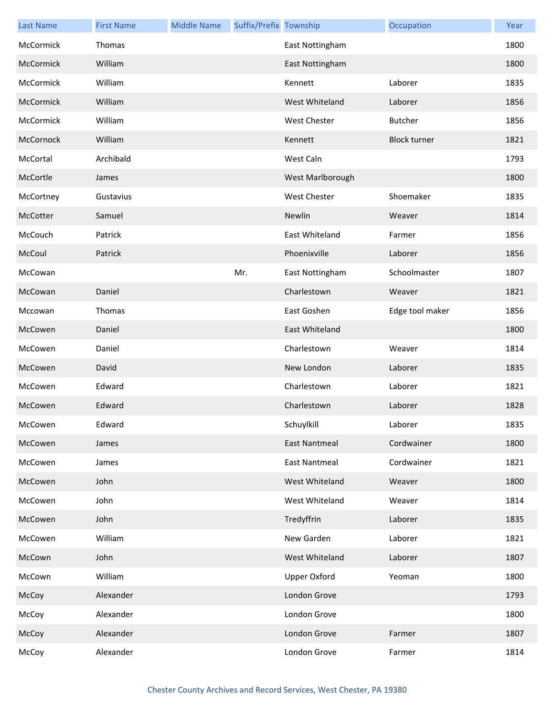| <b>Last Name</b> | <b>First Name</b> | <b>Middle Name</b> | Suffix/Prefix Township |                      | Occupation          | Year |
|------------------|-------------------|--------------------|------------------------|----------------------|---------------------|------|
| McCormick        | Thomas            |                    |                        | East Nottingham      |                     | 1800 |
| McCormick        | William           |                    |                        | East Nottingham      |                     | 1800 |
| McCormick        | William           |                    |                        | Kennett              | Laborer             | 1835 |
| McCormick        | William           |                    |                        | West Whiteland       | Laborer             | 1856 |
| McCormick        | William           |                    |                        | West Chester         | <b>Butcher</b>      | 1856 |
| McCornock        | William           |                    |                        | Kennett              | <b>Block turner</b> | 1821 |
| McCortal         | Archibald         |                    |                        | West Caln            |                     | 1793 |
| McCortle         | James             |                    |                        | West Marlborough     |                     | 1800 |
| McCortney        | Gustavius         |                    |                        | <b>West Chester</b>  | Shoemaker           | 1835 |
| McCotter         | Samuel            |                    |                        | Newlin               | Weaver              | 1814 |
| McCouch          | Patrick           |                    |                        | East Whiteland       | Farmer              | 1856 |
| McCoul           | Patrick           |                    |                        | Phoenixville         | Laborer             | 1856 |
| McCowan          |                   |                    | Mr.                    | East Nottingham      | Schoolmaster        | 1807 |
| McCowan          | Daniel            |                    |                        | Charlestown          | Weaver              | 1821 |
| Mccowan          | Thomas            |                    |                        | East Goshen          | Edge tool maker     | 1856 |
| McCowen          | Daniel            |                    |                        | East Whiteland       |                     | 1800 |
| McCowen          | Daniel            |                    |                        | Charlestown          | Weaver              | 1814 |
| McCowen          | David             |                    |                        | New London           | Laborer             | 1835 |
| McCowen          | Edward            |                    |                        | Charlestown          | Laborer             | 1821 |
| McCowen          | Edward            |                    |                        | Charlestown          | Laborer             | 1828 |
| McCowen          | Edward            |                    |                        | Schuylkill           | Laborer             | 1835 |
| McCowen          | James             |                    |                        | <b>East Nantmeal</b> | Cordwainer          | 1800 |
| McCowen          | James             |                    |                        | <b>East Nantmeal</b> | Cordwainer          | 1821 |
| McCowen          | John              |                    |                        | West Whiteland       | Weaver              | 1800 |
| McCowen          | John              |                    |                        | West Whiteland       | Weaver              | 1814 |
| McCowen          | John              |                    |                        | Tredyffrin           | Laborer             | 1835 |
| McCowen          | William           |                    |                        | New Garden           | Laborer             | 1821 |
| McCown           | John              |                    |                        | West Whiteland       | Laborer             | 1807 |
| McCown           | William           |                    |                        | Upper Oxford         | Yeoman              | 1800 |
| McCoy            | Alexander         |                    |                        | London Grove         |                     | 1793 |
| McCoy            | Alexander         |                    |                        | London Grove         |                     | 1800 |
| McCoy            | Alexander         |                    |                        | London Grove         | Farmer              | 1807 |
| McCoy            | Alexander         |                    |                        | London Grove         | Farmer              | 1814 |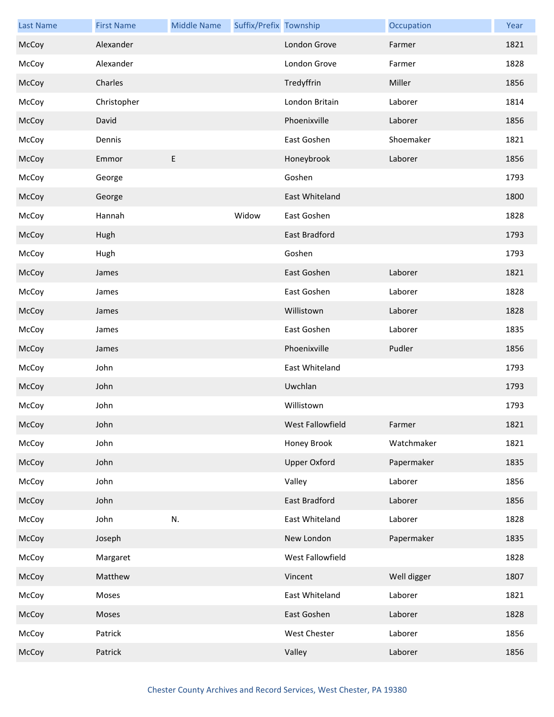| <b>Last Name</b> | <b>First Name</b> | <b>Middle Name</b> | Suffix/Prefix Township |                      | Occupation  | Year |
|------------------|-------------------|--------------------|------------------------|----------------------|-------------|------|
| McCoy            | Alexander         |                    |                        | London Grove         | Farmer      | 1821 |
| McCoy            | Alexander         |                    |                        | London Grove         | Farmer      | 1828 |
| McCoy            | Charles           |                    |                        | Tredyffrin           | Miller      | 1856 |
| McCoy            | Christopher       |                    |                        | London Britain       | Laborer     | 1814 |
| McCoy            | David             |                    |                        | Phoenixville         | Laborer     | 1856 |
| McCoy            | Dennis            |                    |                        | East Goshen          | Shoemaker   | 1821 |
| McCoy            | Emmor             | E                  |                        | Honeybrook           | Laborer     | 1856 |
| McCoy            | George            |                    |                        | Goshen               |             | 1793 |
| McCoy            | George            |                    |                        | East Whiteland       |             | 1800 |
| McCoy            | Hannah            |                    | Widow                  | East Goshen          |             | 1828 |
| McCoy            | Hugh              |                    |                        | East Bradford        |             | 1793 |
| McCoy            | Hugh              |                    |                        | Goshen               |             | 1793 |
| McCoy            | James             |                    |                        | East Goshen          | Laborer     | 1821 |
| McCoy            | James             |                    |                        | East Goshen          | Laborer     | 1828 |
| McCoy            | James             |                    |                        | Willistown           | Laborer     | 1828 |
| McCoy            | James             |                    |                        | East Goshen          | Laborer     | 1835 |
| McCoy            | James             |                    |                        | Phoenixville         | Pudler      | 1856 |
| McCoy            | John              |                    |                        | East Whiteland       |             | 1793 |
| McCoy            | John              |                    |                        | Uwchlan              |             | 1793 |
| McCoy            | John              |                    |                        | Willistown           |             | 1793 |
| McCoy            | John              |                    |                        | West Fallowfield     | Farmer      | 1821 |
| McCoy            | John              |                    |                        | Honey Brook          | Watchmaker  | 1821 |
| McCoy            | John              |                    |                        | <b>Upper Oxford</b>  | Papermaker  | 1835 |
| McCoy            | John              |                    |                        | Valley               | Laborer     | 1856 |
| McCoy            | John              |                    |                        | <b>East Bradford</b> | Laborer     | 1856 |
| McCoy            | John              | N.                 |                        | East Whiteland       | Laborer     | 1828 |
| McCoy            | Joseph            |                    |                        | New London           | Papermaker  | 1835 |
| McCoy            | Margaret          |                    |                        | West Fallowfield     |             | 1828 |
| McCoy            | Matthew           |                    |                        | Vincent              | Well digger | 1807 |
| McCoy            | Moses             |                    |                        | East Whiteland       | Laborer     | 1821 |
| McCoy            | Moses             |                    |                        | East Goshen          | Laborer     | 1828 |
| McCoy            | Patrick           |                    |                        | West Chester         | Laborer     | 1856 |
| McCoy            | Patrick           |                    |                        | Valley               | Laborer     | 1856 |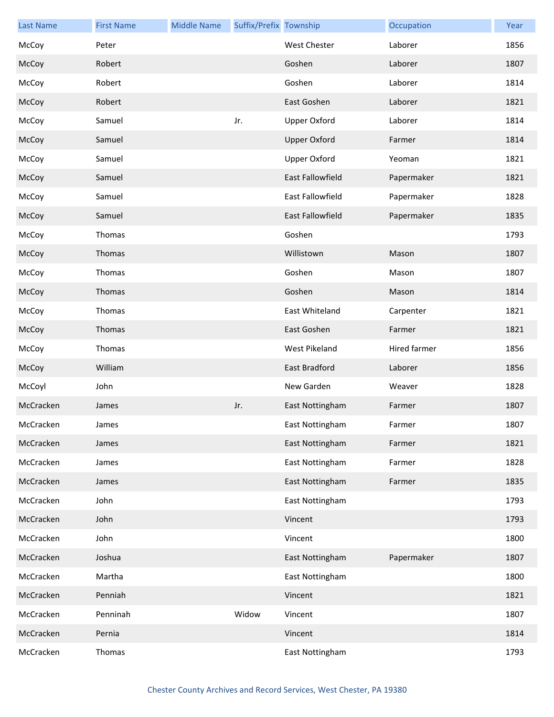| <b>Last Name</b> | <b>First Name</b> | <b>Middle Name</b> | Suffix/Prefix Township |                         | Occupation   | Year |
|------------------|-------------------|--------------------|------------------------|-------------------------|--------------|------|
| McCoy            | Peter             |                    |                        | West Chester            | Laborer      | 1856 |
| McCoy            | Robert            |                    |                        | Goshen                  | Laborer      | 1807 |
| McCoy            | Robert            |                    |                        | Goshen                  | Laborer      | 1814 |
| McCoy            | Robert            |                    |                        | East Goshen             | Laborer      | 1821 |
| McCoy            | Samuel            |                    | Jr.                    | <b>Upper Oxford</b>     | Laborer      | 1814 |
| McCoy            | Samuel            |                    |                        | <b>Upper Oxford</b>     | Farmer       | 1814 |
| McCoy            | Samuel            |                    |                        | <b>Upper Oxford</b>     | Yeoman       | 1821 |
| McCoy            | Samuel            |                    |                        | East Fallowfield        | Papermaker   | 1821 |
| McCoy            | Samuel            |                    |                        | East Fallowfield        | Papermaker   | 1828 |
| McCoy            | Samuel            |                    |                        | <b>East Fallowfield</b> | Papermaker   | 1835 |
| McCoy            | Thomas            |                    |                        | Goshen                  |              | 1793 |
| McCoy            | Thomas            |                    |                        | Willistown              | Mason        | 1807 |
| McCoy            | Thomas            |                    |                        | Goshen                  | Mason        | 1807 |
| McCoy            | Thomas            |                    |                        | Goshen                  | Mason        | 1814 |
| McCoy            | Thomas            |                    |                        | East Whiteland          | Carpenter    | 1821 |
| McCoy            | Thomas            |                    |                        | East Goshen             | Farmer       | 1821 |
| McCoy            | Thomas            |                    |                        | West Pikeland           | Hired farmer | 1856 |
| McCoy            | William           |                    |                        | East Bradford           | Laborer      | 1856 |
| McCoyl           | John              |                    |                        | New Garden              | Weaver       | 1828 |
| McCracken        | James             |                    | Jr.                    | East Nottingham         | Farmer       | 1807 |
| McCracken        | James             |                    |                        | East Nottingham         | Farmer       | 1807 |
| McCracken        | James             |                    |                        | East Nottingham         | Farmer       | 1821 |
| McCracken        | James             |                    |                        | East Nottingham         | Farmer       | 1828 |
| McCracken        | James             |                    |                        | East Nottingham         | Farmer       | 1835 |
| McCracken        | John              |                    |                        | East Nottingham         |              | 1793 |
| McCracken        | John              |                    |                        | Vincent                 |              | 1793 |
| McCracken        | John              |                    |                        | Vincent                 |              | 1800 |
| McCracken        | Joshua            |                    |                        | East Nottingham         | Papermaker   | 1807 |
| McCracken        | Martha            |                    |                        | East Nottingham         |              | 1800 |
| McCracken        | Penniah           |                    |                        | Vincent                 |              | 1821 |
| McCracken        | Penninah          |                    | Widow                  | Vincent                 |              | 1807 |
| McCracken        | Pernia            |                    |                        | Vincent                 |              | 1814 |
| McCracken        | Thomas            |                    |                        | East Nottingham         |              | 1793 |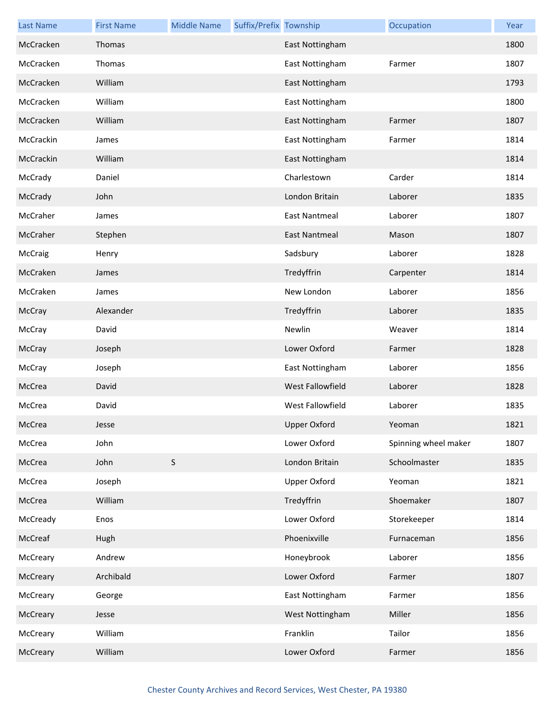| <b>Last Name</b> | <b>First Name</b> | <b>Middle Name</b> | Suffix/Prefix Township |                         | Occupation           | Year |
|------------------|-------------------|--------------------|------------------------|-------------------------|----------------------|------|
| McCracken        | Thomas            |                    |                        | East Nottingham         |                      | 1800 |
| McCracken        | Thomas            |                    |                        | East Nottingham         | Farmer               | 1807 |
| McCracken        | William           |                    |                        | East Nottingham         |                      | 1793 |
| McCracken        | William           |                    |                        | East Nottingham         |                      | 1800 |
| McCracken        | William           |                    |                        | East Nottingham         | Farmer               | 1807 |
| McCrackin        | James             |                    |                        | East Nottingham         | Farmer               | 1814 |
| McCrackin        | William           |                    |                        | East Nottingham         |                      | 1814 |
| McCrady          | Daniel            |                    |                        | Charlestown             | Carder               | 1814 |
| McCrady          | John              |                    |                        | London Britain          | Laborer              | 1835 |
| McCraher         | James             |                    |                        | <b>East Nantmeal</b>    | Laborer              | 1807 |
| McCraher         | Stephen           |                    |                        | <b>East Nantmeal</b>    | Mason                | 1807 |
| McCraig          | Henry             |                    |                        | Sadsbury                | Laborer              | 1828 |
| McCraken         | James             |                    |                        | Tredyffrin              | Carpenter            | 1814 |
| McCraken         | James             |                    |                        | New London              | Laborer              | 1856 |
| McCray           | Alexander         |                    |                        | Tredyffrin              | Laborer              | 1835 |
| McCray           | David             |                    |                        | Newlin                  | Weaver               | 1814 |
| McCray           | Joseph            |                    |                        | Lower Oxford            | Farmer               | 1828 |
| McCray           | Joseph            |                    |                        | East Nottingham         | Laborer              | 1856 |
| McCrea           | David             |                    |                        | West Fallowfield        | Laborer              | 1828 |
| McCrea           | David             |                    |                        | <b>West Fallowfield</b> | Laborer              | 1835 |
| McCrea           | Jesse             |                    |                        | <b>Upper Oxford</b>     | Yeoman               | 1821 |
| McCrea           | John              |                    |                        | Lower Oxford            | Spinning wheel maker | 1807 |
| McCrea           | John              | S                  |                        | London Britain          | Schoolmaster         | 1835 |
| McCrea           | Joseph            |                    |                        | Upper Oxford            | Yeoman               | 1821 |
| McCrea           | William           |                    |                        | Tredyffrin              | Shoemaker            | 1807 |
| McCready         | Enos              |                    |                        | Lower Oxford            | Storekeeper          | 1814 |
| McCreaf          | Hugh              |                    |                        | Phoenixville            | Furnaceman           | 1856 |
| McCreary         | Andrew            |                    |                        | Honeybrook              | Laborer              | 1856 |
| McCreary         | Archibald         |                    |                        | Lower Oxford            | Farmer               | 1807 |
| McCreary         | George            |                    |                        | East Nottingham         | Farmer               | 1856 |
| McCreary         | Jesse             |                    |                        | West Nottingham         | Miller               | 1856 |
| McCreary         | William           |                    |                        | Franklin                | Tailor               | 1856 |
| McCreary         | William           |                    |                        | Lower Oxford            | Farmer               | 1856 |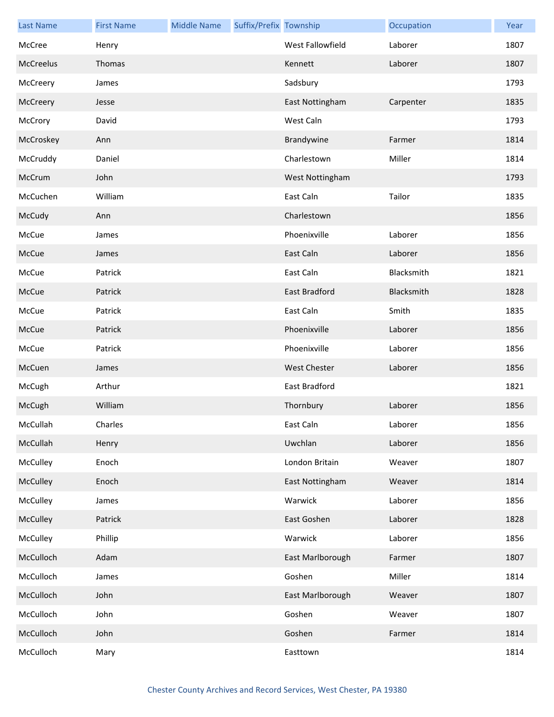| <b>Last Name</b> | <b>First Name</b> | <b>Middle Name</b> | Suffix/Prefix Township |                     | Occupation | Year |
|------------------|-------------------|--------------------|------------------------|---------------------|------------|------|
| McCree           | Henry             |                    |                        | West Fallowfield    | Laborer    | 1807 |
| McCreelus        | Thomas            |                    |                        | Kennett             | Laborer    | 1807 |
| McCreery         | James             |                    |                        | Sadsbury            |            | 1793 |
| McCreery         | Jesse             |                    |                        | East Nottingham     | Carpenter  | 1835 |
| McCrory          | David             |                    |                        | West Caln           |            | 1793 |
| McCroskey        | Ann               |                    |                        | Brandywine          | Farmer     | 1814 |
| McCruddy         | Daniel            |                    |                        | Charlestown         | Miller     | 1814 |
| McCrum           | John              |                    |                        | West Nottingham     |            | 1793 |
| McCuchen         | William           |                    |                        | East Caln           | Tailor     | 1835 |
| McCudy           | Ann               |                    |                        | Charlestown         |            | 1856 |
| McCue            | James             |                    |                        | Phoenixville        | Laborer    | 1856 |
| McCue            | James             |                    |                        | East Caln           | Laborer    | 1856 |
| McCue            | Patrick           |                    |                        | East Caln           | Blacksmith | 1821 |
| McCue            | Patrick           |                    |                        | East Bradford       | Blacksmith | 1828 |
| McCue            | Patrick           |                    |                        | East Caln           | Smith      | 1835 |
| McCue            | Patrick           |                    |                        | Phoenixville        | Laborer    | 1856 |
| McCue            | Patrick           |                    |                        | Phoenixville        | Laborer    | 1856 |
| McCuen           | James             |                    |                        | <b>West Chester</b> | Laborer    | 1856 |
| McCugh           | Arthur            |                    |                        | East Bradford       |            | 1821 |
| McCugh           | William           |                    |                        | Thornbury           | Laborer    | 1856 |
| McCullah         | Charles           |                    |                        | East Caln           | Laborer    | 1856 |
| McCullah         | Henry             |                    |                        | Uwchlan             | Laborer    | 1856 |
| McCulley         | Enoch             |                    |                        | London Britain      | Weaver     | 1807 |
| McCulley         | Enoch             |                    |                        | East Nottingham     | Weaver     | 1814 |
| McCulley         | James             |                    |                        | Warwick             | Laborer    | 1856 |
| McCulley         | Patrick           |                    |                        | East Goshen         | Laborer    | 1828 |
| McCulley         | Phillip           |                    |                        | Warwick             | Laborer    | 1856 |
| McCulloch        | Adam              |                    |                        | East Marlborough    | Farmer     | 1807 |
| McCulloch        | James             |                    |                        | Goshen              | Miller     | 1814 |
| McCulloch        | John              |                    |                        | East Marlborough    | Weaver     | 1807 |
| McCulloch        | John              |                    |                        | Goshen              | Weaver     | 1807 |
| McCulloch        | John              |                    |                        | Goshen              | Farmer     | 1814 |
| McCulloch        | Mary              |                    |                        | Easttown            |            | 1814 |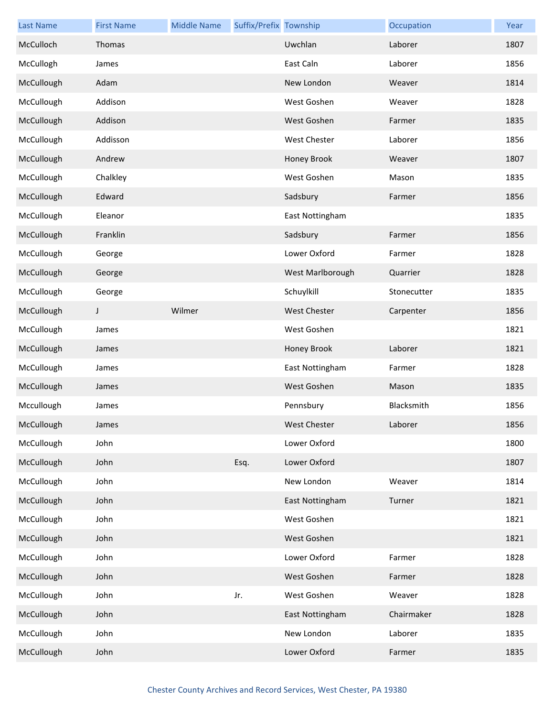| <b>Last Name</b> | <b>First Name</b> | <b>Middle Name</b> | Suffix/Prefix Township |                     | Occupation  | Year |
|------------------|-------------------|--------------------|------------------------|---------------------|-------------|------|
| McCulloch        | Thomas            |                    |                        | Uwchlan             | Laborer     | 1807 |
| McCullogh        | James             |                    |                        | East Caln           | Laborer     | 1856 |
| McCullough       | Adam              |                    |                        | New London          | Weaver      | 1814 |
| McCullough       | Addison           |                    |                        | West Goshen         | Weaver      | 1828 |
| McCullough       | Addison           |                    |                        | West Goshen         | Farmer      | 1835 |
| McCullough       | Addisson          |                    |                        | West Chester        | Laborer     | 1856 |
| McCullough       | Andrew            |                    |                        | Honey Brook         | Weaver      | 1807 |
| McCullough       | Chalkley          |                    |                        | West Goshen         | Mason       | 1835 |
| McCullough       | Edward            |                    |                        | Sadsbury            | Farmer      | 1856 |
| McCullough       | Eleanor           |                    |                        | East Nottingham     |             | 1835 |
| McCullough       | Franklin          |                    |                        | Sadsbury            | Farmer      | 1856 |
| McCullough       | George            |                    |                        | Lower Oxford        | Farmer      | 1828 |
| McCullough       | George            |                    |                        | West Marlborough    | Quarrier    | 1828 |
| McCullough       | George            |                    |                        | Schuylkill          | Stonecutter | 1835 |
| McCullough       | J                 | Wilmer             |                        | <b>West Chester</b> | Carpenter   | 1856 |
| McCullough       | James             |                    |                        | West Goshen         |             | 1821 |
| McCullough       | James             |                    |                        | Honey Brook         | Laborer     | 1821 |
| McCullough       | James             |                    |                        | East Nottingham     | Farmer      | 1828 |
| McCullough       | James             |                    |                        | West Goshen         | Mason       | 1835 |
| Mccullough       | James             |                    |                        | Pennsbury           | Blacksmith  | 1856 |
| McCullough       | James             |                    |                        | West Chester        | Laborer     | 1856 |
| McCullough       | John              |                    |                        | Lower Oxford        |             | 1800 |
| McCullough       | John              |                    | Esq.                   | Lower Oxford        |             | 1807 |
| McCullough       | John              |                    |                        | New London          | Weaver      | 1814 |
| McCullough       | John              |                    |                        | East Nottingham     | Turner      | 1821 |
| McCullough       | John              |                    |                        | West Goshen         |             | 1821 |
| McCullough       | John              |                    |                        | West Goshen         |             | 1821 |
| McCullough       | John              |                    |                        | Lower Oxford        | Farmer      | 1828 |
| McCullough       | John              |                    |                        | West Goshen         | Farmer      | 1828 |
| McCullough       | John              |                    | Jr.                    | West Goshen         | Weaver      | 1828 |
| McCullough       | John              |                    |                        | East Nottingham     | Chairmaker  | 1828 |
| McCullough       | John              |                    |                        | New London          | Laborer     | 1835 |
| McCullough       | John              |                    |                        | Lower Oxford        | Farmer      | 1835 |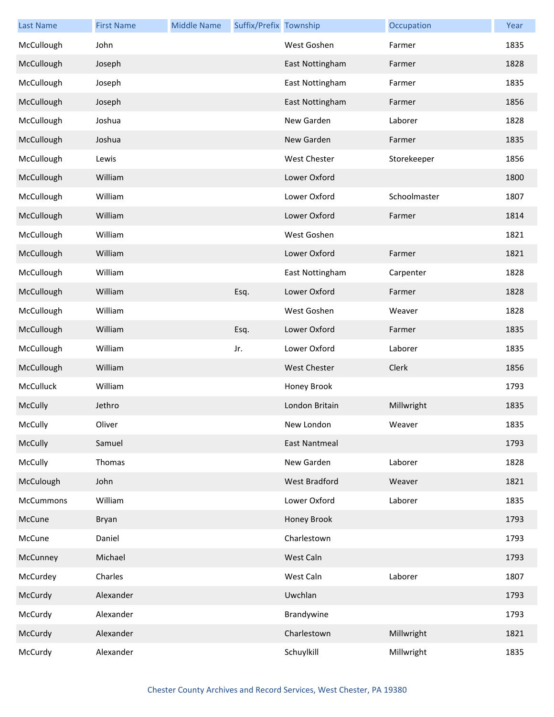| <b>Last Name</b> | <b>First Name</b> | <b>Middle Name</b> | Suffix/Prefix Township |                      | Occupation   | Year |
|------------------|-------------------|--------------------|------------------------|----------------------|--------------|------|
| McCullough       | John              |                    |                        | West Goshen          | Farmer       | 1835 |
| McCullough       | Joseph            |                    |                        | East Nottingham      | Farmer       | 1828 |
| McCullough       | Joseph            |                    |                        | East Nottingham      | Farmer       | 1835 |
| McCullough       | Joseph            |                    |                        | East Nottingham      | Farmer       | 1856 |
| McCullough       | Joshua            |                    |                        | New Garden           | Laborer      | 1828 |
| McCullough       | Joshua            |                    |                        | New Garden           | Farmer       | 1835 |
| McCullough       | Lewis             |                    |                        | <b>West Chester</b>  | Storekeeper  | 1856 |
| McCullough       | William           |                    |                        | Lower Oxford         |              | 1800 |
| McCullough       | William           |                    |                        | Lower Oxford         | Schoolmaster | 1807 |
| McCullough       | William           |                    |                        | Lower Oxford         | Farmer       | 1814 |
| McCullough       | William           |                    |                        | West Goshen          |              | 1821 |
| McCullough       | William           |                    |                        | Lower Oxford         | Farmer       | 1821 |
| McCullough       | William           |                    |                        | East Nottingham      | Carpenter    | 1828 |
| McCullough       | William           |                    | Esq.                   | Lower Oxford         | Farmer       | 1828 |
| McCullough       | William           |                    |                        | West Goshen          | Weaver       | 1828 |
| McCullough       | William           |                    | Esq.                   | Lower Oxford         | Farmer       | 1835 |
| McCullough       | William           |                    | Jr.                    | Lower Oxford         | Laborer      | 1835 |
| McCullough       | William           |                    |                        | <b>West Chester</b>  | Clerk        | 1856 |
| McCulluck        | William           |                    |                        | Honey Brook          |              | 1793 |
| McCully          | Jethro            |                    |                        | London Britain       | Millwright   | 1835 |
| McCully          | Oliver            |                    |                        | New London           | Weaver       | 1835 |
| McCully          | Samuel            |                    |                        | <b>East Nantmeal</b> |              | 1793 |
| McCully          | Thomas            |                    |                        | New Garden           | Laborer      | 1828 |
| McCulough        | John              |                    |                        | West Bradford        | Weaver       | 1821 |
| McCummons        | William           |                    |                        | Lower Oxford         | Laborer      | 1835 |
| McCune           | Bryan             |                    |                        | Honey Brook          |              | 1793 |
| McCune           | Daniel            |                    |                        | Charlestown          |              | 1793 |
| McCunney         | Michael           |                    |                        | West Caln            |              | 1793 |
| McCurdey         | Charles           |                    |                        | West Caln            | Laborer      | 1807 |
| McCurdy          | Alexander         |                    |                        | Uwchlan              |              | 1793 |
| McCurdy          | Alexander         |                    |                        | Brandywine           |              | 1793 |
| McCurdy          | Alexander         |                    |                        | Charlestown          | Millwright   | 1821 |
| McCurdy          | Alexander         |                    |                        | Schuylkill           | Millwright   | 1835 |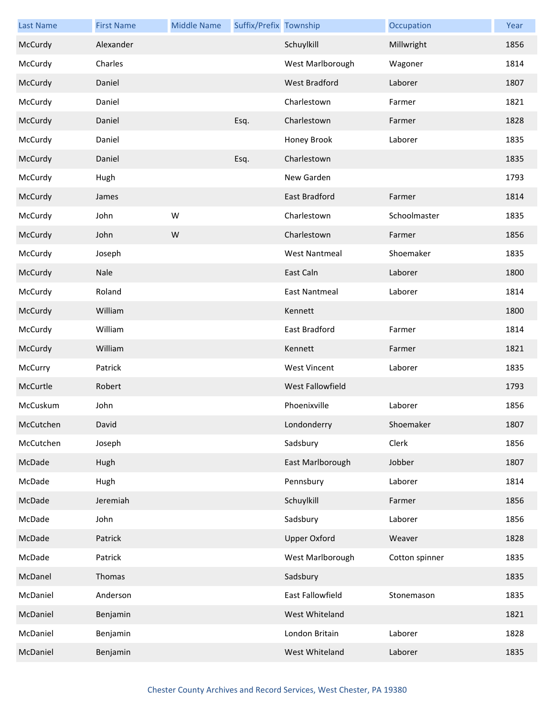| <b>Last Name</b> | <b>First Name</b> | <b>Middle Name</b> | Suffix/Prefix Township |                      | Occupation     | Year |
|------------------|-------------------|--------------------|------------------------|----------------------|----------------|------|
| McCurdy          | Alexander         |                    |                        | Schuylkill           | Millwright     | 1856 |
| McCurdy          | Charles           |                    |                        | West Marlborough     | Wagoner        | 1814 |
| McCurdy          | Daniel            |                    |                        | <b>West Bradford</b> | Laborer        | 1807 |
| McCurdy          | Daniel            |                    |                        | Charlestown          | Farmer         | 1821 |
| McCurdy          | Daniel            |                    | Esq.                   | Charlestown          | Farmer         | 1828 |
| McCurdy          | Daniel            |                    |                        | Honey Brook          | Laborer        | 1835 |
| McCurdy          | Daniel            |                    | Esq.                   | Charlestown          |                | 1835 |
| McCurdy          | Hugh              |                    |                        | New Garden           |                | 1793 |
| McCurdy          | James             |                    |                        | <b>East Bradford</b> | Farmer         | 1814 |
| McCurdy          | John              | W                  |                        | Charlestown          | Schoolmaster   | 1835 |
| McCurdy          | John              | W                  |                        | Charlestown          | Farmer         | 1856 |
| McCurdy          | Joseph            |                    |                        | <b>West Nantmeal</b> | Shoemaker      | 1835 |
| McCurdy          | Nale              |                    |                        | East Caln            | Laborer        | 1800 |
| McCurdy          | Roland            |                    |                        | <b>East Nantmeal</b> | Laborer        | 1814 |
| McCurdy          | William           |                    |                        | Kennett              |                | 1800 |
| McCurdy          | William           |                    |                        | East Bradford        | Farmer         | 1814 |
| McCurdy          | William           |                    |                        | Kennett              | Farmer         | 1821 |
| McCurry          | Patrick           |                    |                        | <b>West Vincent</b>  | Laborer        | 1835 |
| McCurtle         | Robert            |                    |                        | West Fallowfield     |                | 1793 |
| McCuskum         | John              |                    |                        | Phoenixville         | Laborer        | 1856 |
| McCutchen        | David             |                    |                        | Londonderry          | Shoemaker      | 1807 |
| McCutchen        | Joseph            |                    |                        | Sadsbury             | Clerk          | 1856 |
| McDade           | Hugh              |                    |                        | East Marlborough     | Jobber         | 1807 |
| McDade           | Hugh              |                    |                        | Pennsbury            | Laborer        | 1814 |
| McDade           | Jeremiah          |                    |                        | Schuylkill           | Farmer         | 1856 |
| McDade           | John              |                    |                        | Sadsbury             | Laborer        | 1856 |
| McDade           | Patrick           |                    |                        | <b>Upper Oxford</b>  | Weaver         | 1828 |
| McDade           | Patrick           |                    |                        | West Marlborough     | Cotton spinner | 1835 |
| McDanel          | Thomas            |                    |                        | Sadsbury             |                | 1835 |
| McDaniel         | Anderson          |                    |                        | East Fallowfield     | Stonemason     | 1835 |
| McDaniel         | Benjamin          |                    |                        | West Whiteland       |                | 1821 |
| McDaniel         | Benjamin          |                    |                        | London Britain       | Laborer        | 1828 |
| McDaniel         | Benjamin          |                    |                        | West Whiteland       | Laborer        | 1835 |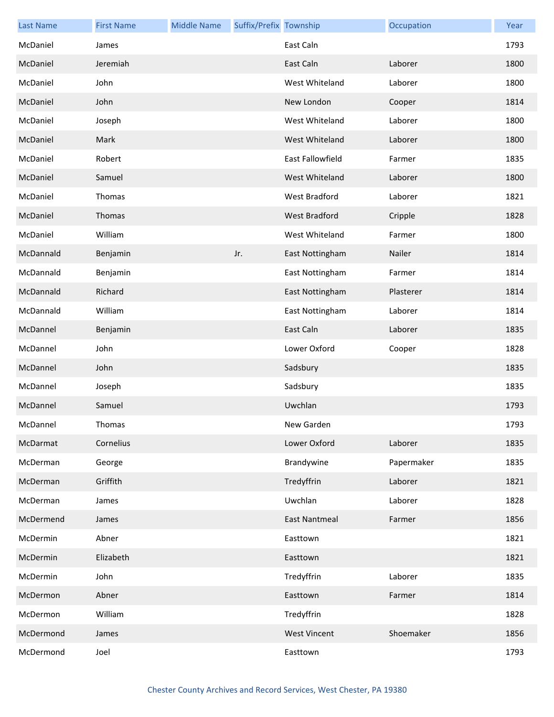| <b>Last Name</b> | <b>First Name</b> | <b>Middle Name</b> | Suffix/Prefix Township |                      | Occupation | Year |
|------------------|-------------------|--------------------|------------------------|----------------------|------------|------|
| McDaniel         | James             |                    |                        | East Caln            |            | 1793 |
| McDaniel         | Jeremiah          |                    |                        | East Caln            | Laborer    | 1800 |
| McDaniel         | John              |                    |                        | West Whiteland       | Laborer    | 1800 |
| McDaniel         | John              |                    |                        | New London           | Cooper     | 1814 |
| McDaniel         | Joseph            |                    |                        | West Whiteland       | Laborer    | 1800 |
| McDaniel         | Mark              |                    |                        | West Whiteland       | Laborer    | 1800 |
| McDaniel         | Robert            |                    |                        | East Fallowfield     | Farmer     | 1835 |
| McDaniel         | Samuel            |                    |                        | West Whiteland       | Laborer    | 1800 |
| McDaniel         | Thomas            |                    |                        | West Bradford        | Laborer    | 1821 |
| McDaniel         | Thomas            |                    |                        | <b>West Bradford</b> | Cripple    | 1828 |
| McDaniel         | William           |                    |                        | West Whiteland       | Farmer     | 1800 |
| McDannald        | Benjamin          |                    | Jr.                    | East Nottingham      | Nailer     | 1814 |
| McDannald        | Benjamin          |                    |                        | East Nottingham      | Farmer     | 1814 |
| McDannald        | Richard           |                    |                        | East Nottingham      | Plasterer  | 1814 |
| McDannald        | William           |                    |                        | East Nottingham      | Laborer    | 1814 |
| McDannel         | Benjamin          |                    |                        | East Caln            | Laborer    | 1835 |
| McDannel         | John              |                    |                        | Lower Oxford         | Cooper     | 1828 |
| McDannel         | John              |                    |                        | Sadsbury             |            | 1835 |
| McDannel         | Joseph            |                    |                        | Sadsbury             |            | 1835 |
| McDannel         | Samuel            |                    |                        | Uwchlan              |            | 1793 |
| McDannel         | Thomas            |                    |                        | New Garden           |            | 1793 |
| McDarmat         | Cornelius         |                    |                        | Lower Oxford         | Laborer    | 1835 |
| McDerman         | George            |                    |                        | Brandywine           | Papermaker | 1835 |
| McDerman         | Griffith          |                    |                        | Tredyffrin           | Laborer    | 1821 |
| McDerman         | James             |                    |                        | Uwchlan              | Laborer    | 1828 |
| McDermend        | James             |                    |                        | <b>East Nantmeal</b> | Farmer     | 1856 |
| McDermin         | Abner             |                    |                        | Easttown             |            | 1821 |
| McDermin         | Elizabeth         |                    |                        | Easttown             |            | 1821 |
| McDermin         | John              |                    |                        | Tredyffrin           | Laborer    | 1835 |
| McDermon         | Abner             |                    |                        | Easttown             | Farmer     | 1814 |
| McDermon         | William           |                    |                        | Tredyffrin           |            | 1828 |
| McDermond        | James             |                    |                        | <b>West Vincent</b>  | Shoemaker  | 1856 |
| McDermond        | Joel              |                    |                        | Easttown             |            | 1793 |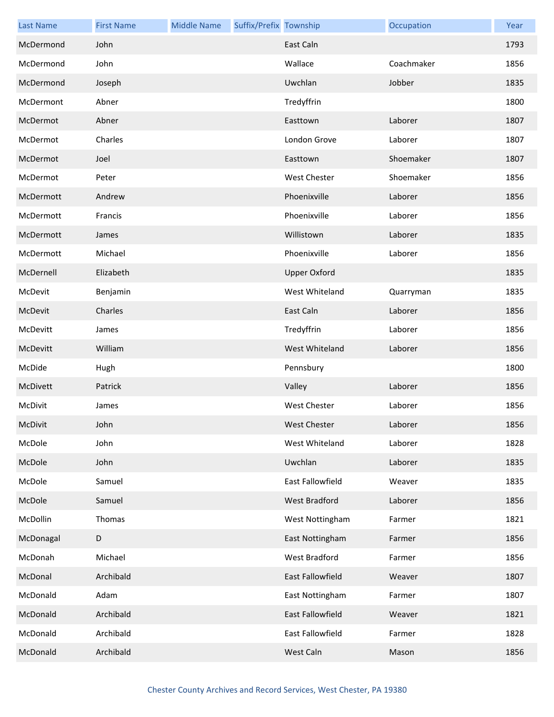| <b>Last Name</b> | <b>First Name</b> | <b>Middle Name</b> | Suffix/Prefix Township |                     | Occupation | Year |
|------------------|-------------------|--------------------|------------------------|---------------------|------------|------|
| McDermond        | John              |                    |                        | East Caln           |            | 1793 |
| McDermond        | John              |                    |                        | Wallace             | Coachmaker | 1856 |
| McDermond        | Joseph            |                    |                        | Uwchlan             | Jobber     | 1835 |
| McDermont        | Abner             |                    |                        | Tredyffrin          |            | 1800 |
| McDermot         | Abner             |                    |                        | Easttown            | Laborer    | 1807 |
| McDermot         | Charles           |                    |                        | London Grove        | Laborer    | 1807 |
| McDermot         | Joel              |                    |                        | Easttown            | Shoemaker  | 1807 |
| McDermot         | Peter             |                    |                        | <b>West Chester</b> | Shoemaker  | 1856 |
| McDermott        | Andrew            |                    |                        | Phoenixville        | Laborer    | 1856 |
| McDermott        | Francis           |                    |                        | Phoenixville        | Laborer    | 1856 |
| McDermott        | James             |                    |                        | Willistown          | Laborer    | 1835 |
| McDermott        | Michael           |                    |                        | Phoenixville        | Laborer    | 1856 |
| McDernell        | Elizabeth         |                    |                        | <b>Upper Oxford</b> |            | 1835 |
| McDevit          | Benjamin          |                    |                        | West Whiteland      | Quarryman  | 1835 |
| McDevit          | Charles           |                    |                        | East Caln           | Laborer    | 1856 |
| McDevitt         | James             |                    |                        | Tredyffrin          | Laborer    | 1856 |
| McDevitt         | William           |                    |                        | West Whiteland      | Laborer    | 1856 |
| McDide           | Hugh              |                    |                        | Pennsbury           |            | 1800 |
| McDivett         | Patrick           |                    |                        | Valley              | Laborer    | 1856 |
| McDivit          | James             |                    |                        | <b>West Chester</b> | Laborer    | 1856 |
| McDivit          | John              |                    |                        | <b>West Chester</b> | Laborer    | 1856 |
| McDole           | John              |                    |                        | West Whiteland      | Laborer    | 1828 |
| McDole           | John              |                    |                        | Uwchlan             | Laborer    | 1835 |
| McDole           | Samuel            |                    |                        | East Fallowfield    | Weaver     | 1835 |
| McDole           | Samuel            |                    |                        | West Bradford       | Laborer    | 1856 |
| McDollin         | Thomas            |                    |                        | West Nottingham     | Farmer     | 1821 |
| McDonagal        | D                 |                    |                        | East Nottingham     | Farmer     | 1856 |
| McDonah          | Michael           |                    |                        | West Bradford       | Farmer     | 1856 |
| McDonal          | Archibald         |                    |                        | East Fallowfield    | Weaver     | 1807 |
| McDonald         | Adam              |                    |                        | East Nottingham     | Farmer     | 1807 |
| McDonald         | Archibald         |                    |                        | East Fallowfield    | Weaver     | 1821 |
| McDonald         | Archibald         |                    |                        | East Fallowfield    | Farmer     | 1828 |
| McDonald         | Archibald         |                    |                        | West Caln           | Mason      | 1856 |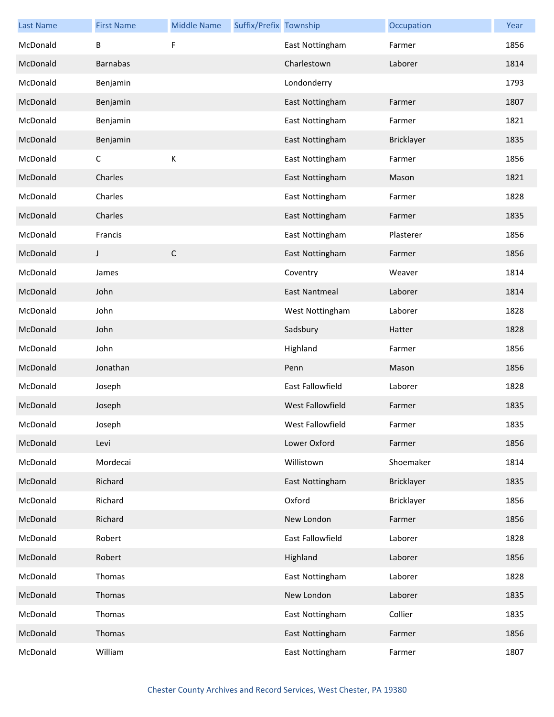| <b>Last Name</b> | <b>First Name</b> | <b>Middle Name</b> | Suffix/Prefix Township |                         | Occupation        | Year |
|------------------|-------------------|--------------------|------------------------|-------------------------|-------------------|------|
| McDonald         | В                 | F                  |                        | East Nottingham         | Farmer            | 1856 |
| McDonald         | <b>Barnabas</b>   |                    |                        | Charlestown             | Laborer           | 1814 |
| McDonald         | Benjamin          |                    |                        | Londonderry             |                   | 1793 |
| McDonald         | Benjamin          |                    |                        | East Nottingham         | Farmer            | 1807 |
| McDonald         | Benjamin          |                    |                        | East Nottingham         | Farmer            | 1821 |
| McDonald         | Benjamin          |                    |                        | East Nottingham         | <b>Bricklayer</b> | 1835 |
| McDonald         | $\mathsf C$       | К                  |                        | East Nottingham         | Farmer            | 1856 |
| McDonald         | Charles           |                    |                        | East Nottingham         | Mason             | 1821 |
| McDonald         | Charles           |                    |                        | East Nottingham         | Farmer            | 1828 |
| McDonald         | Charles           |                    |                        | East Nottingham         | Farmer            | 1835 |
| McDonald         | Francis           |                    |                        | East Nottingham         | Plasterer         | 1856 |
| McDonald         | J                 | $\mathsf C$        |                        | East Nottingham         | Farmer            | 1856 |
| McDonald         | James             |                    |                        | Coventry                | Weaver            | 1814 |
| McDonald         | John              |                    |                        | <b>East Nantmeal</b>    | Laborer           | 1814 |
| McDonald         | John              |                    |                        | West Nottingham         | Laborer           | 1828 |
| McDonald         | John              |                    |                        | Sadsbury                | Hatter            | 1828 |
| McDonald         | John              |                    |                        | Highland                | Farmer            | 1856 |
| McDonald         | Jonathan          |                    |                        | Penn                    | Mason             | 1856 |
| McDonald         | Joseph            |                    |                        | East Fallowfield        | Laborer           | 1828 |
| McDonald         | Joseph            |                    |                        | <b>West Fallowfield</b> | Farmer            | 1835 |
| McDonald         | Joseph            |                    |                        | West Fallowfield        | Farmer            | 1835 |
| McDonald         | Levi              |                    |                        | Lower Oxford            | Farmer            | 1856 |
| McDonald         | Mordecai          |                    |                        | Willistown              | Shoemaker         | 1814 |
| McDonald         | Richard           |                    |                        | East Nottingham         | <b>Bricklayer</b> | 1835 |
| McDonald         | Richard           |                    |                        | Oxford                  | Bricklayer        | 1856 |
| McDonald         | Richard           |                    |                        | New London              | Farmer            | 1856 |
| McDonald         | Robert            |                    |                        | East Fallowfield        | Laborer           | 1828 |
| McDonald         | Robert            |                    |                        | Highland                | Laborer           | 1856 |
| McDonald         | Thomas            |                    |                        | East Nottingham         | Laborer           | 1828 |
| McDonald         | Thomas            |                    |                        | New London              | Laborer           | 1835 |
| McDonald         | Thomas            |                    |                        | East Nottingham         | Collier           | 1835 |
| McDonald         | Thomas            |                    |                        | East Nottingham         | Farmer            | 1856 |
| McDonald         | William           |                    |                        | East Nottingham         | Farmer            | 1807 |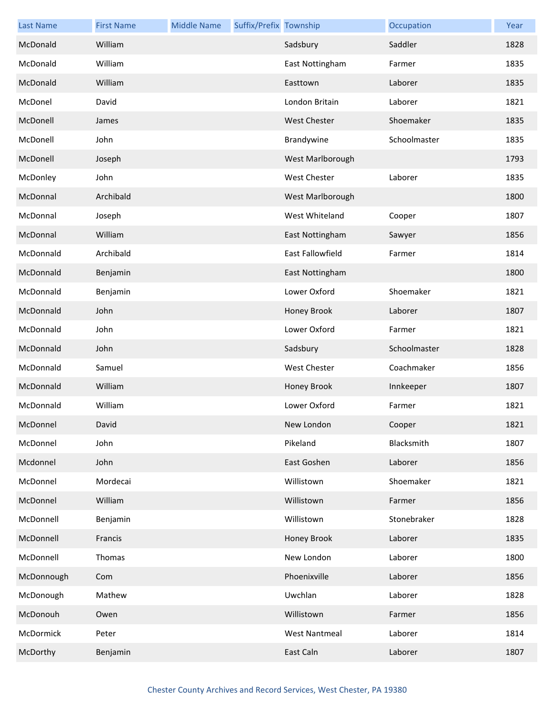| <b>Last Name</b> | <b>First Name</b> | <b>Middle Name</b> | Suffix/Prefix Township |                      | Occupation   | Year |
|------------------|-------------------|--------------------|------------------------|----------------------|--------------|------|
| McDonald         | William           |                    |                        | Sadsbury             | Saddler      | 1828 |
| McDonald         | William           |                    |                        | East Nottingham      | Farmer       | 1835 |
| McDonald         | William           |                    |                        | Easttown             | Laborer      | 1835 |
| McDonel          | David             |                    |                        | London Britain       | Laborer      | 1821 |
| McDonell         | James             |                    |                        | <b>West Chester</b>  | Shoemaker    | 1835 |
| McDonell         | John              |                    |                        | Brandywine           | Schoolmaster | 1835 |
| McDonell         | Joseph            |                    |                        | West Marlborough     |              | 1793 |
| McDonley         | John              |                    |                        | <b>West Chester</b>  | Laborer      | 1835 |
| McDonnal         | Archibald         |                    |                        | West Marlborough     |              | 1800 |
| McDonnal         | Joseph            |                    |                        | West Whiteland       | Cooper       | 1807 |
| McDonnal         | William           |                    |                        | East Nottingham      | Sawyer       | 1856 |
| McDonnald        | Archibald         |                    |                        | East Fallowfield     | Farmer       | 1814 |
| McDonnald        | Benjamin          |                    |                        | East Nottingham      |              | 1800 |
| McDonnald        | Benjamin          |                    |                        | Lower Oxford         | Shoemaker    | 1821 |
| McDonnald        | John              |                    |                        | Honey Brook          | Laborer      | 1807 |
| McDonnald        | John              |                    |                        | Lower Oxford         | Farmer       | 1821 |
| McDonnald        | John              |                    |                        | Sadsbury             | Schoolmaster | 1828 |
| McDonnald        | Samuel            |                    |                        | <b>West Chester</b>  | Coachmaker   | 1856 |
| McDonnald        | William           |                    |                        | Honey Brook          | Innkeeper    | 1807 |
| McDonnald        | William           |                    |                        | Lower Oxford         | Farmer       | 1821 |
| McDonnel         | David             |                    |                        | New London           | Cooper       | 1821 |
| McDonnel         | John              |                    |                        | Pikeland             | Blacksmith   | 1807 |
| Mcdonnel         | John              |                    |                        | East Goshen          | Laborer      | 1856 |
| McDonnel         | Mordecai          |                    |                        | Willistown           | Shoemaker    | 1821 |
| McDonnel         | William           |                    |                        | Willistown           | Farmer       | 1856 |
| McDonnell        | Benjamin          |                    |                        | Willistown           | Stonebraker  | 1828 |
| McDonnell        | Francis           |                    |                        | Honey Brook          | Laborer      | 1835 |
| McDonnell        | Thomas            |                    |                        | New London           | Laborer      | 1800 |
| McDonnough       | Com               |                    |                        | Phoenixville         | Laborer      | 1856 |
| McDonough        | Mathew            |                    |                        | Uwchlan              | Laborer      | 1828 |
| McDonouh         | Owen              |                    |                        | Willistown           | Farmer       | 1856 |
| McDormick        | Peter             |                    |                        | <b>West Nantmeal</b> | Laborer      | 1814 |
| McDorthy         | Benjamin          |                    |                        | East Caln            | Laborer      | 1807 |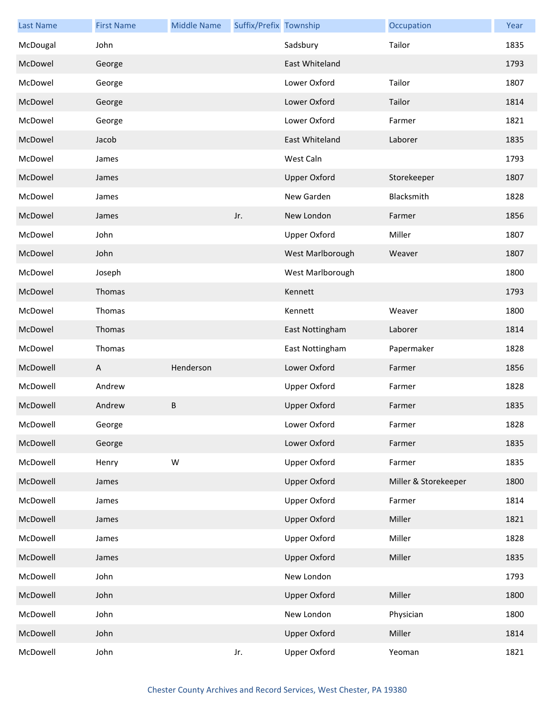| <b>Last Name</b> | <b>First Name</b> | <b>Middle Name</b> | Suffix/Prefix Township |                     | Occupation           | Year |
|------------------|-------------------|--------------------|------------------------|---------------------|----------------------|------|
| McDougal         | John              |                    |                        | Sadsbury            | Tailor               | 1835 |
| McDowel          | George            |                    |                        | East Whiteland      |                      | 1793 |
| McDowel          | George            |                    |                        | Lower Oxford        | Tailor               | 1807 |
| McDowel          | George            |                    |                        | Lower Oxford        | Tailor               | 1814 |
| McDowel          | George            |                    |                        | Lower Oxford        | Farmer               | 1821 |
| McDowel          | Jacob             |                    |                        | East Whiteland      | Laborer              | 1835 |
| McDowel          | James             |                    |                        | West Caln           |                      | 1793 |
| McDowel          | James             |                    |                        | <b>Upper Oxford</b> | Storekeeper          | 1807 |
| McDowel          | James             |                    |                        | New Garden          | Blacksmith           | 1828 |
| McDowel          | James             |                    | Jr.                    | New London          | Farmer               | 1856 |
| McDowel          | John              |                    |                        | <b>Upper Oxford</b> | Miller               | 1807 |
| McDowel          | John              |                    |                        | West Marlborough    | Weaver               | 1807 |
| McDowel          | Joseph            |                    |                        | West Marlborough    |                      | 1800 |
| McDowel          | Thomas            |                    |                        | Kennett             |                      | 1793 |
| McDowel          | Thomas            |                    |                        | Kennett             | Weaver               | 1800 |
| McDowel          | Thomas            |                    |                        | East Nottingham     | Laborer              | 1814 |
| McDowel          | Thomas            |                    |                        | East Nottingham     | Papermaker           | 1828 |
| McDowell         | A                 | Henderson          |                        | Lower Oxford        | Farmer               | 1856 |
| McDowell         | Andrew            |                    |                        | <b>Upper Oxford</b> | Farmer               | 1828 |
| McDowell         | Andrew            | $\sf B$            |                        | <b>Upper Oxford</b> | Farmer               | 1835 |
| McDowell         | George            |                    |                        | Lower Oxford        | Farmer               | 1828 |
| McDowell         | George            |                    |                        | Lower Oxford        | Farmer               | 1835 |
| McDowell         | Henry             | ${\sf W}$          |                        | <b>Upper Oxford</b> | Farmer               | 1835 |
| McDowell         | James             |                    |                        | <b>Upper Oxford</b> | Miller & Storekeeper | 1800 |
| McDowell         | James             |                    |                        | <b>Upper Oxford</b> | Farmer               | 1814 |
| McDowell         | James             |                    |                        | <b>Upper Oxford</b> | Miller               | 1821 |
| McDowell         | James             |                    |                        | <b>Upper Oxford</b> | Miller               | 1828 |
| McDowell         | James             |                    |                        | <b>Upper Oxford</b> | Miller               | 1835 |
| McDowell         | John              |                    |                        | New London          |                      | 1793 |
| McDowell         | John              |                    |                        | <b>Upper Oxford</b> | Miller               | 1800 |
| McDowell         | John              |                    |                        | New London          | Physician            | 1800 |
| McDowell         | John              |                    |                        | <b>Upper Oxford</b> | Miller               | 1814 |
| McDowell         | John              |                    | Jr.                    | <b>Upper Oxford</b> | Yeoman               | 1821 |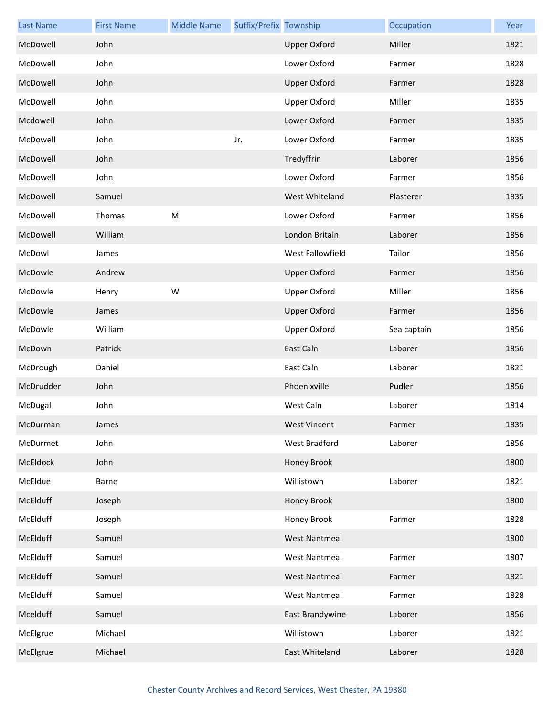| <b>Last Name</b> | <b>First Name</b> | <b>Middle Name</b> | Suffix/Prefix Township |                      | Occupation  | Year |
|------------------|-------------------|--------------------|------------------------|----------------------|-------------|------|
| McDowell         | John              |                    |                        | <b>Upper Oxford</b>  | Miller      | 1821 |
| McDowell         | John              |                    |                        | Lower Oxford         | Farmer      | 1828 |
| McDowell         | John              |                    |                        | <b>Upper Oxford</b>  | Farmer      | 1828 |
| McDowell         | John              |                    |                        | <b>Upper Oxford</b>  | Miller      | 1835 |
| Mcdowell         | John              |                    |                        | Lower Oxford         | Farmer      | 1835 |
| McDowell         | John              |                    | Jr.                    | Lower Oxford         | Farmer      | 1835 |
| McDowell         | John              |                    |                        | Tredyffrin           | Laborer     | 1856 |
| McDowell         | John              |                    |                        | Lower Oxford         | Farmer      | 1856 |
| McDowell         | Samuel            |                    |                        | West Whiteland       | Plasterer   | 1835 |
| McDowell         | Thomas            | ${\sf M}$          |                        | Lower Oxford         | Farmer      | 1856 |
| McDowell         | William           |                    |                        | London Britain       | Laborer     | 1856 |
| McDowl           | James             |                    |                        | West Fallowfield     | Tailor      | 1856 |
| McDowle          | Andrew            |                    |                        | <b>Upper Oxford</b>  | Farmer      | 1856 |
| McDowle          | Henry             | W                  |                        | <b>Upper Oxford</b>  | Miller      | 1856 |
| McDowle          | James             |                    |                        | <b>Upper Oxford</b>  | Farmer      | 1856 |
| McDowle          | William           |                    |                        | Upper Oxford         | Sea captain | 1856 |
| McDown           | Patrick           |                    |                        | East Caln            | Laborer     | 1856 |
| McDrough         | Daniel            |                    |                        | East Caln            | Laborer     | 1821 |
| McDrudder        | John              |                    |                        | Phoenixville         | Pudler      | 1856 |
| McDugal          | John              |                    |                        | West Caln            | Laborer     | 1814 |
| McDurman         | James             |                    |                        | West Vincent         | Farmer      | 1835 |
| McDurmet         | John              |                    |                        | <b>West Bradford</b> | Laborer     | 1856 |
| McEldock         | John              |                    |                        | Honey Brook          |             | 1800 |
| McEldue          | Barne             |                    |                        | Willistown           | Laborer     | 1821 |
| McElduff         | Joseph            |                    |                        | Honey Brook          |             | 1800 |
| McElduff         | Joseph            |                    |                        | Honey Brook          | Farmer      | 1828 |
| McElduff         | Samuel            |                    |                        | <b>West Nantmeal</b> |             | 1800 |
| McElduff         | Samuel            |                    |                        | <b>West Nantmeal</b> | Farmer      | 1807 |
| McElduff         | Samuel            |                    |                        | <b>West Nantmeal</b> | Farmer      | 1821 |
| McElduff         | Samuel            |                    |                        | <b>West Nantmeal</b> | Farmer      | 1828 |
| Mcelduff         | Samuel            |                    |                        | East Brandywine      | Laborer     | 1856 |
| McElgrue         | Michael           |                    |                        | Willistown           | Laborer     | 1821 |
| McElgrue         | Michael           |                    |                        | East Whiteland       | Laborer     | 1828 |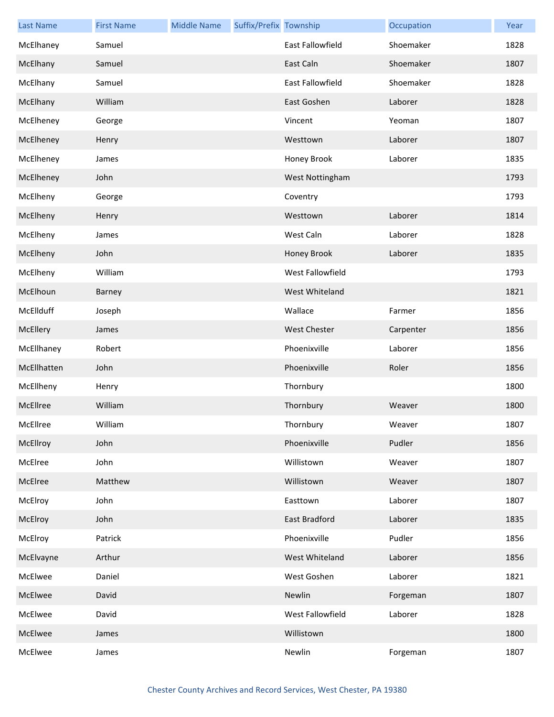| <b>Last Name</b> | <b>First Name</b> | <b>Middle Name</b> | Suffix/Prefix Township |                      | Occupation | Year |
|------------------|-------------------|--------------------|------------------------|----------------------|------------|------|
| McElhaney        | Samuel            |                    |                        | East Fallowfield     | Shoemaker  | 1828 |
| McElhany         | Samuel            |                    |                        | East Caln            | Shoemaker  | 1807 |
| McElhany         | Samuel            |                    |                        | East Fallowfield     | Shoemaker  | 1828 |
| McElhany         | William           |                    |                        | East Goshen          | Laborer    | 1828 |
| McElheney        | George            |                    |                        | Vincent              | Yeoman     | 1807 |
| McElheney        | Henry             |                    |                        | Westtown             | Laborer    | 1807 |
| McElheney        | James             |                    |                        | Honey Brook          | Laborer    | 1835 |
| McElheney        | John              |                    |                        | West Nottingham      |            | 1793 |
| McElheny         | George            |                    |                        | Coventry             |            | 1793 |
| McElheny         | Henry             |                    |                        | Westtown             | Laborer    | 1814 |
| McElheny         | James             |                    |                        | West Caln            | Laborer    | 1828 |
| McElheny         | John              |                    |                        | Honey Brook          | Laborer    | 1835 |
| McElheny         | William           |                    |                        | West Fallowfield     |            | 1793 |
| McElhoun         | Barney            |                    |                        | West Whiteland       |            | 1821 |
| McEllduff        | Joseph            |                    |                        | Wallace              | Farmer     | 1856 |
| McEllery         | James             |                    |                        | <b>West Chester</b>  | Carpenter  | 1856 |
| McEllhaney       | Robert            |                    |                        | Phoenixville         | Laborer    | 1856 |
| McEllhatten      | John              |                    |                        | Phoenixville         | Roler      | 1856 |
| McEllheny        | Henry             |                    |                        | Thornbury            |            | 1800 |
| McEllree         | William           |                    |                        | Thornbury            | Weaver     | 1800 |
| McEllree         | William           |                    |                        | Thornbury            | Weaver     | 1807 |
| McEllroy         | John              |                    |                        | Phoenixville         | Pudler     | 1856 |
| McElree          | John              |                    |                        | Willistown           | Weaver     | 1807 |
| McElree          | Matthew           |                    |                        | Willistown           | Weaver     | 1807 |
| McElroy          | John              |                    |                        | Easttown             | Laborer    | 1807 |
| McElroy          | John              |                    |                        | <b>East Bradford</b> | Laborer    | 1835 |
| McElroy          | Patrick           |                    |                        | Phoenixville         | Pudler     | 1856 |
| McElvayne        | Arthur            |                    |                        | West Whiteland       | Laborer    | 1856 |
| McElwee          | Daniel            |                    |                        | West Goshen          | Laborer    | 1821 |
| McElwee          | David             |                    |                        | Newlin               | Forgeman   | 1807 |
| McElwee          | David             |                    |                        | West Fallowfield     | Laborer    | 1828 |
| McElwee          | James             |                    |                        | Willistown           |            | 1800 |
| McElwee          | James             |                    |                        | Newlin               | Forgeman   | 1807 |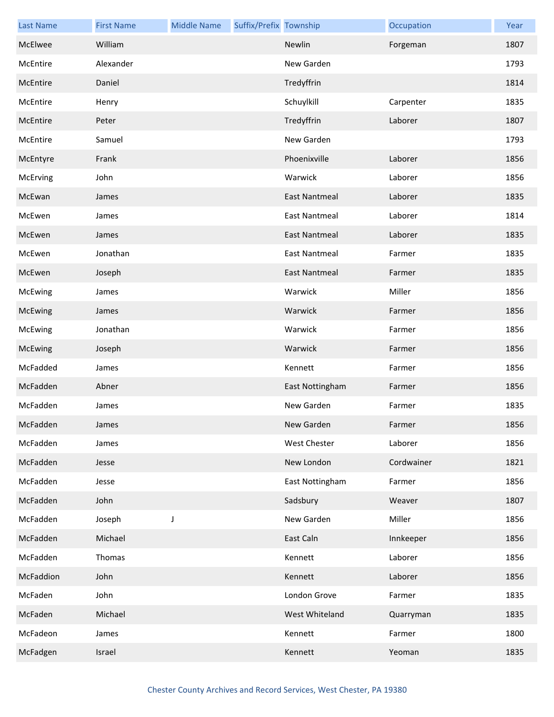| <b>Last Name</b> | <b>First Name</b> | <b>Middle Name</b> | Suffix/Prefix Township |                      | Occupation | Year |
|------------------|-------------------|--------------------|------------------------|----------------------|------------|------|
| McElwee          | William           |                    |                        | Newlin               | Forgeman   | 1807 |
| McEntire         | Alexander         |                    |                        | New Garden           |            | 1793 |
| McEntire         | Daniel            |                    |                        | Tredyffrin           |            | 1814 |
| McEntire         | Henry             |                    |                        | Schuylkill           | Carpenter  | 1835 |
| McEntire         | Peter             |                    |                        | Tredyffrin           | Laborer    | 1807 |
| McEntire         | Samuel            |                    |                        | New Garden           |            | 1793 |
| McEntyre         | Frank             |                    |                        | Phoenixville         | Laborer    | 1856 |
| McErving         | John              |                    |                        | Warwick              | Laborer    | 1856 |
| McEwan           | James             |                    |                        | <b>East Nantmeal</b> | Laborer    | 1835 |
| McEwen           | James             |                    |                        | <b>East Nantmeal</b> | Laborer    | 1814 |
| McEwen           | James             |                    |                        | <b>East Nantmeal</b> | Laborer    | 1835 |
| McEwen           | Jonathan          |                    |                        | <b>East Nantmeal</b> | Farmer     | 1835 |
| McEwen           | Joseph            |                    |                        | <b>East Nantmeal</b> | Farmer     | 1835 |
| McEwing          | James             |                    |                        | Warwick              | Miller     | 1856 |
| McEwing          | James             |                    |                        | Warwick              | Farmer     | 1856 |
| McEwing          | Jonathan          |                    |                        | Warwick              | Farmer     | 1856 |
| McEwing          | Joseph            |                    |                        | Warwick              | Farmer     | 1856 |
| McFadded         | James             |                    |                        | Kennett              | Farmer     | 1856 |
| McFadden         | Abner             |                    |                        | East Nottingham      | Farmer     | 1856 |
| McFadden         | James             |                    |                        | New Garden           | Farmer     | 1835 |
| McFadden         | James             |                    |                        | New Garden           | Farmer     | 1856 |
| McFadden         | James             |                    |                        | <b>West Chester</b>  | Laborer    | 1856 |
| McFadden         | Jesse             |                    |                        | New London           | Cordwainer | 1821 |
| McFadden         | Jesse             |                    |                        | East Nottingham      | Farmer     | 1856 |
| McFadden         | John              |                    |                        | Sadsbury             | Weaver     | 1807 |
| McFadden         | Joseph            | $\mathsf J$        |                        | New Garden           | Miller     | 1856 |
| McFadden         | Michael           |                    |                        | East Caln            | Innkeeper  | 1856 |
| McFadden         | Thomas            |                    |                        | Kennett              | Laborer    | 1856 |
| McFaddion        | John              |                    |                        | Kennett              | Laborer    | 1856 |
| McFaden          | John              |                    |                        | London Grove         | Farmer     | 1835 |
| McFaden          | Michael           |                    |                        | West Whiteland       | Quarryman  | 1835 |
| McFadeon         | James             |                    |                        | Kennett              | Farmer     | 1800 |
| McFadgen         | Israel            |                    |                        | Kennett              | Yeoman     | 1835 |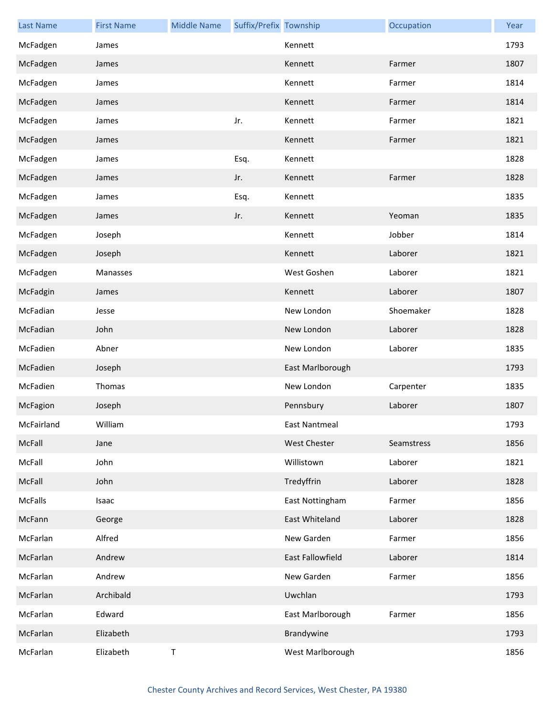| <b>Last Name</b> | <b>First Name</b> | <b>Middle Name</b> | Suffix/Prefix Township |                     | Occupation | Year |
|------------------|-------------------|--------------------|------------------------|---------------------|------------|------|
| McFadgen         | James             |                    |                        | Kennett             |            | 1793 |
| McFadgen         | James             |                    |                        | Kennett             | Farmer     | 1807 |
| McFadgen         | James             |                    |                        | Kennett             | Farmer     | 1814 |
| McFadgen         | James             |                    |                        | Kennett             | Farmer     | 1814 |
| McFadgen         | James             |                    | Jr.                    | Kennett             | Farmer     | 1821 |
| McFadgen         | James             |                    |                        | Kennett             | Farmer     | 1821 |
| McFadgen         | James             |                    | Esq.                   | Kennett             |            | 1828 |
| McFadgen         | James             |                    | Jr.                    | Kennett             | Farmer     | 1828 |
| McFadgen         | James             |                    | Esq.                   | Kennett             |            | 1835 |
| McFadgen         | James             |                    | Jr.                    | Kennett             | Yeoman     | 1835 |
| McFadgen         | Joseph            |                    |                        | Kennett             | Jobber     | 1814 |
| McFadgen         | Joseph            |                    |                        | Kennett             | Laborer    | 1821 |
| McFadgen         | Manasses          |                    |                        | West Goshen         | Laborer    | 1821 |
| McFadgin         | James             |                    |                        | Kennett             | Laborer    | 1807 |
| McFadian         | Jesse             |                    |                        | New London          | Shoemaker  | 1828 |
| McFadian         | John              |                    |                        | New London          | Laborer    | 1828 |
| McFadien         | Abner             |                    |                        | New London          | Laborer    | 1835 |
| McFadien         | Joseph            |                    |                        | East Marlborough    |            | 1793 |
| McFadien         | Thomas            |                    |                        | New London          | Carpenter  | 1835 |
| McFagion         | Joseph            |                    |                        | Pennsbury           | Laborer    | 1807 |
| McFairland       | William           |                    |                        | East Nantmeal       |            | 1793 |
| McFall           | Jane              |                    |                        | <b>West Chester</b> | Seamstress | 1856 |
| McFall           | John              |                    |                        | Willistown          | Laborer    | 1821 |
| McFall           | John              |                    |                        | Tredyffrin          | Laborer    | 1828 |
| McFalls          | Isaac             |                    |                        | East Nottingham     | Farmer     | 1856 |
| McFann           | George            |                    |                        | East Whiteland      | Laborer    | 1828 |
| McFarlan         | Alfred            |                    |                        | New Garden          | Farmer     | 1856 |
| McFarlan         | Andrew            |                    |                        | East Fallowfield    | Laborer    | 1814 |
| McFarlan         | Andrew            |                    |                        | New Garden          | Farmer     | 1856 |
| McFarlan         | Archibald         |                    |                        | Uwchlan             |            | 1793 |
| McFarlan         | Edward            |                    |                        | East Marlborough    | Farmer     | 1856 |
| McFarlan         | Elizabeth         |                    |                        | Brandywine          |            | 1793 |
| McFarlan         | Elizabeth         | T                  |                        | West Marlborough    |            | 1856 |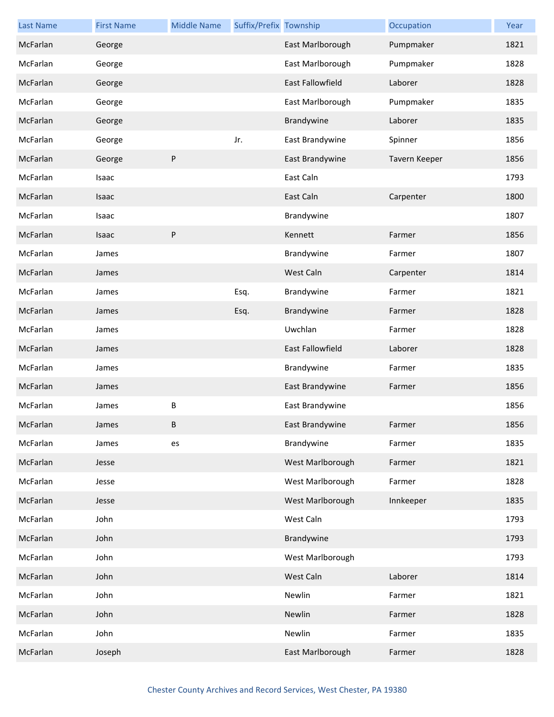| <b>Last Name</b> | <b>First Name</b> | <b>Middle Name</b> | Suffix/Prefix Township |                  | Occupation    | Year |
|------------------|-------------------|--------------------|------------------------|------------------|---------------|------|
| McFarlan         | George            |                    |                        | East Marlborough | Pumpmaker     | 1821 |
| McFarlan         | George            |                    |                        | East Marlborough | Pumpmaker     | 1828 |
| McFarlan         | George            |                    |                        | East Fallowfield | Laborer       | 1828 |
| McFarlan         | George            |                    |                        | East Marlborough | Pumpmaker     | 1835 |
| McFarlan         | George            |                    |                        | Brandywine       | Laborer       | 1835 |
| McFarlan         | George            |                    | Jr.                    | East Brandywine  | Spinner       | 1856 |
| McFarlan         | George            | P                  |                        | East Brandywine  | Tavern Keeper | 1856 |
| McFarlan         | Isaac             |                    |                        | East Caln        |               | 1793 |
| McFarlan         | Isaac             |                    |                        | East Caln        | Carpenter     | 1800 |
| McFarlan         | Isaac             |                    |                        | Brandywine       |               | 1807 |
| McFarlan         | Isaac             | P                  |                        | Kennett          | Farmer        | 1856 |
| McFarlan         | James             |                    |                        | Brandywine       | Farmer        | 1807 |
| McFarlan         | James             |                    |                        | West Caln        | Carpenter     | 1814 |
| McFarlan         | James             |                    | Esq.                   | Brandywine       | Farmer        | 1821 |
| McFarlan         | James             |                    | Esq.                   | Brandywine       | Farmer        | 1828 |
| McFarlan         | James             |                    |                        | Uwchlan          | Farmer        | 1828 |
| McFarlan         | James             |                    |                        | East Fallowfield | Laborer       | 1828 |
| McFarlan         | James             |                    |                        | Brandywine       | Farmer        | 1835 |
| McFarlan         | James             |                    |                        | East Brandywine  | Farmer        | 1856 |
| McFarlan         | James             | B                  |                        | East Brandywine  |               | 1856 |
| McFarlan         | James             | B.                 |                        | East Brandywine  | Farmer        | 1856 |
| McFarlan         | James             | es                 |                        | Brandywine       | Farmer        | 1835 |
| McFarlan         | Jesse             |                    |                        | West Marlborough | Farmer        | 1821 |
| McFarlan         | Jesse             |                    |                        | West Marlborough | Farmer        | 1828 |
| McFarlan         | Jesse             |                    |                        | West Marlborough | Innkeeper     | 1835 |
| McFarlan         | John              |                    |                        | West Caln        |               | 1793 |
| McFarlan         | John              |                    |                        | Brandywine       |               | 1793 |
| McFarlan         | John              |                    |                        | West Marlborough |               | 1793 |
| McFarlan         | John              |                    |                        | West Caln        | Laborer       | 1814 |
| McFarlan         | John              |                    |                        | Newlin           | Farmer        | 1821 |
| McFarlan         | John              |                    |                        | Newlin           | Farmer        | 1828 |
| McFarlan         | John              |                    |                        | Newlin           | Farmer        | 1835 |
| McFarlan         | Joseph            |                    |                        | East Marlborough | Farmer        | 1828 |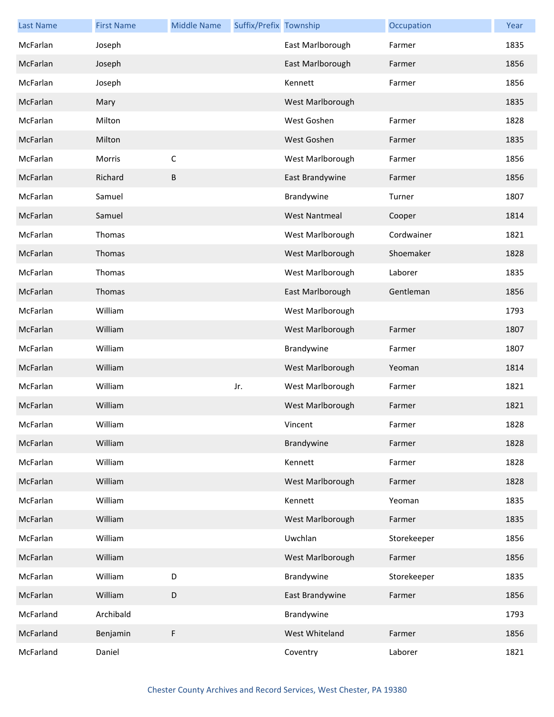| <b>Last Name</b> | <b>First Name</b> | <b>Middle Name</b> | Suffix/Prefix Township |                      | Occupation  | Year |
|------------------|-------------------|--------------------|------------------------|----------------------|-------------|------|
| McFarlan         | Joseph            |                    |                        | East Marlborough     | Farmer      | 1835 |
| McFarlan         | Joseph            |                    |                        | East Marlborough     | Farmer      | 1856 |
| McFarlan         | Joseph            |                    |                        | Kennett              | Farmer      | 1856 |
| McFarlan         | Mary              |                    |                        | West Marlborough     |             | 1835 |
| McFarlan         | Milton            |                    |                        | West Goshen          | Farmer      | 1828 |
| McFarlan         | Milton            |                    |                        | West Goshen          | Farmer      | 1835 |
| McFarlan         | Morris            | $\mathsf C$        |                        | West Marlborough     | Farmer      | 1856 |
| McFarlan         | Richard           | В                  |                        | East Brandywine      | Farmer      | 1856 |
| McFarlan         | Samuel            |                    |                        | Brandywine           | Turner      | 1807 |
| McFarlan         | Samuel            |                    |                        | <b>West Nantmeal</b> | Cooper      | 1814 |
| McFarlan         | Thomas            |                    |                        | West Marlborough     | Cordwainer  | 1821 |
| McFarlan         | Thomas            |                    |                        | West Marlborough     | Shoemaker   | 1828 |
| McFarlan         | Thomas            |                    |                        | West Marlborough     | Laborer     | 1835 |
| McFarlan         | Thomas            |                    |                        | East Marlborough     | Gentleman   | 1856 |
| McFarlan         | William           |                    |                        | West Marlborough     |             | 1793 |
| McFarlan         | William           |                    |                        | West Marlborough     | Farmer      | 1807 |
| McFarlan         | William           |                    |                        | Brandywine           | Farmer      | 1807 |
| McFarlan         | William           |                    |                        | West Marlborough     | Yeoman      | 1814 |
| McFarlan         | William           |                    | Jr.                    | West Marlborough     | Farmer      | 1821 |
| McFarlan         | William           |                    |                        | West Marlborough     | Farmer      | 1821 |
| McFarlan         | William           |                    |                        | Vincent              | Farmer      | 1828 |
| McFarlan         | William           |                    |                        | Brandywine           | Farmer      | 1828 |
| McFarlan         | William           |                    |                        | Kennett              | Farmer      | 1828 |
| McFarlan         | William           |                    |                        | West Marlborough     | Farmer      | 1828 |
| McFarlan         | William           |                    |                        | Kennett              | Yeoman      | 1835 |
| McFarlan         | William           |                    |                        | West Marlborough     | Farmer      | 1835 |
| McFarlan         | William           |                    |                        | Uwchlan              | Storekeeper | 1856 |
| McFarlan         | William           |                    |                        | West Marlborough     | Farmer      | 1856 |
| McFarlan         | William           | D                  |                        | Brandywine           | Storekeeper | 1835 |
| McFarlan         | William           | D                  |                        | East Brandywine      | Farmer      | 1856 |
| McFarland        | Archibald         |                    |                        | Brandywine           |             | 1793 |
| McFarland        | Benjamin          | F                  |                        | West Whiteland       | Farmer      | 1856 |
| McFarland        | Daniel            |                    |                        | Coventry             | Laborer     | 1821 |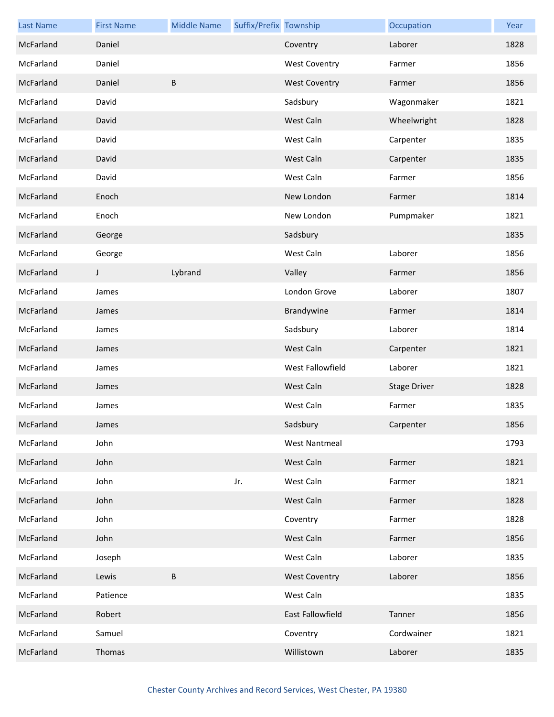| <b>Last Name</b> | <b>First Name</b> | <b>Middle Name</b> | Suffix/Prefix Township |                      | Occupation          | Year |
|------------------|-------------------|--------------------|------------------------|----------------------|---------------------|------|
| McFarland        | Daniel            |                    |                        | Coventry             | Laborer             | 1828 |
| McFarland        | Daniel            |                    |                        | <b>West Coventry</b> | Farmer              | 1856 |
| McFarland        | Daniel            | B                  |                        | <b>West Coventry</b> | Farmer              | 1856 |
| McFarland        | David             |                    |                        | Sadsbury             | Wagonmaker          | 1821 |
| McFarland        | David             |                    |                        | West Caln            | Wheelwright         | 1828 |
| McFarland        | David             |                    |                        | West Caln            | Carpenter           | 1835 |
| McFarland        | David             |                    |                        | West Caln            | Carpenter           | 1835 |
| McFarland        | David             |                    |                        | West Caln            | Farmer              | 1856 |
| McFarland        | Enoch             |                    |                        | New London           | Farmer              | 1814 |
| McFarland        | Enoch             |                    |                        | New London           | Pumpmaker           | 1821 |
| McFarland        | George            |                    |                        | Sadsbury             |                     | 1835 |
| McFarland        | George            |                    |                        | West Caln            | Laborer             | 1856 |
| McFarland        | J                 | Lybrand            |                        | Valley               | Farmer              | 1856 |
| McFarland        | James             |                    |                        | London Grove         | Laborer             | 1807 |
| McFarland        | James             |                    |                        | Brandywine           | Farmer              | 1814 |
| McFarland        | James             |                    |                        | Sadsbury             | Laborer             | 1814 |
| McFarland        | James             |                    |                        | West Caln            | Carpenter           | 1821 |
| McFarland        | James             |                    |                        | West Fallowfield     | Laborer             | 1821 |
| McFarland        | James             |                    |                        | West Caln            | <b>Stage Driver</b> | 1828 |
| McFarland        | James             |                    |                        | West Caln            | Farmer              | 1835 |
| McFarland        | James             |                    |                        | Sadsbury             | Carpenter           | 1856 |
| McFarland        | John              |                    |                        | <b>West Nantmeal</b> |                     | 1793 |
| McFarland        | John              |                    |                        | West Caln            | Farmer              | 1821 |
| McFarland        | John              |                    | Jr.                    | West Caln            | Farmer              | 1821 |
| McFarland        | John              |                    |                        | West Caln            | Farmer              | 1828 |
| McFarland        | John              |                    |                        | Coventry             | Farmer              | 1828 |
| McFarland        | John              |                    |                        | West Caln            | Farmer              | 1856 |
| McFarland        | Joseph            |                    |                        | West Caln            | Laborer             | 1835 |
| McFarland        | Lewis             | B                  |                        | <b>West Coventry</b> | Laborer             | 1856 |
| McFarland        | Patience          |                    |                        | West Caln            |                     | 1835 |
| McFarland        | Robert            |                    |                        | East Fallowfield     | Tanner              | 1856 |
| McFarland        | Samuel            |                    |                        | Coventry             | Cordwainer          | 1821 |
| McFarland        | Thomas            |                    |                        | Willistown           | Laborer             | 1835 |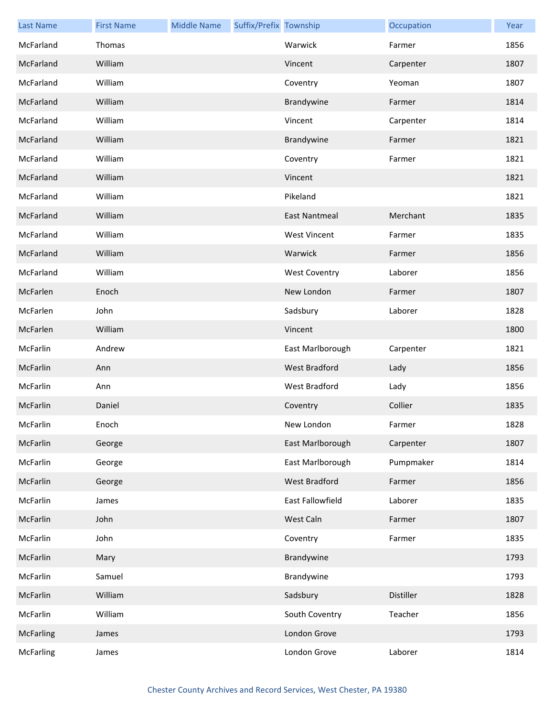| <b>Last Name</b> | <b>First Name</b> | <b>Middle Name</b> | Suffix/Prefix Township |                      | Occupation | Year |
|------------------|-------------------|--------------------|------------------------|----------------------|------------|------|
| McFarland        | Thomas            |                    |                        | Warwick              | Farmer     | 1856 |
| McFarland        | William           |                    |                        | Vincent              | Carpenter  | 1807 |
| McFarland        | William           |                    |                        | Coventry             | Yeoman     | 1807 |
| McFarland        | William           |                    |                        | Brandywine           | Farmer     | 1814 |
| McFarland        | William           |                    |                        | Vincent              | Carpenter  | 1814 |
| McFarland        | William           |                    |                        | Brandywine           | Farmer     | 1821 |
| McFarland        | William           |                    |                        | Coventry             | Farmer     | 1821 |
| McFarland        | William           |                    |                        | Vincent              |            | 1821 |
| McFarland        | William           |                    |                        | Pikeland             |            | 1821 |
| McFarland        | William           |                    |                        | <b>East Nantmeal</b> | Merchant   | 1835 |
| McFarland        | William           |                    |                        | <b>West Vincent</b>  | Farmer     | 1835 |
| McFarland        | William           |                    |                        | Warwick              | Farmer     | 1856 |
| McFarland        | William           |                    |                        | <b>West Coventry</b> | Laborer    | 1856 |
| McFarlen         | Enoch             |                    |                        | New London           | Farmer     | 1807 |
| McFarlen         | John              |                    |                        | Sadsbury             | Laborer    | 1828 |
| McFarlen         | William           |                    |                        | Vincent              |            | 1800 |
| McFarlin         | Andrew            |                    |                        | East Marlborough     | Carpenter  | 1821 |
| McFarlin         | Ann               |                    |                        | West Bradford        | Lady       | 1856 |
| McFarlin         | Ann               |                    |                        | West Bradford        | Lady       | 1856 |
| McFarlin         | Daniel            |                    |                        | Coventry             | Collier    | 1835 |
| McFarlin         | Enoch             |                    |                        | New London           | Farmer     | 1828 |
| McFarlin         | George            |                    |                        | East Marlborough     | Carpenter  | 1807 |
| McFarlin         | George            |                    |                        | East Marlborough     | Pumpmaker  | 1814 |
| McFarlin         | George            |                    |                        | <b>West Bradford</b> | Farmer     | 1856 |
| McFarlin         | James             |                    |                        | East Fallowfield     | Laborer    | 1835 |
| McFarlin         | John              |                    |                        | West Caln            | Farmer     | 1807 |
| McFarlin         | John              |                    |                        | Coventry             | Farmer     | 1835 |
| McFarlin         | Mary              |                    |                        | Brandywine           |            | 1793 |
| McFarlin         | Samuel            |                    |                        | Brandywine           |            | 1793 |
| McFarlin         | William           |                    |                        | Sadsbury             | Distiller  | 1828 |
| McFarlin         | William           |                    |                        | South Coventry       | Teacher    | 1856 |
| <b>McFarling</b> | James             |                    |                        | London Grove         |            | 1793 |
| <b>McFarling</b> | James             |                    |                        | London Grove         | Laborer    | 1814 |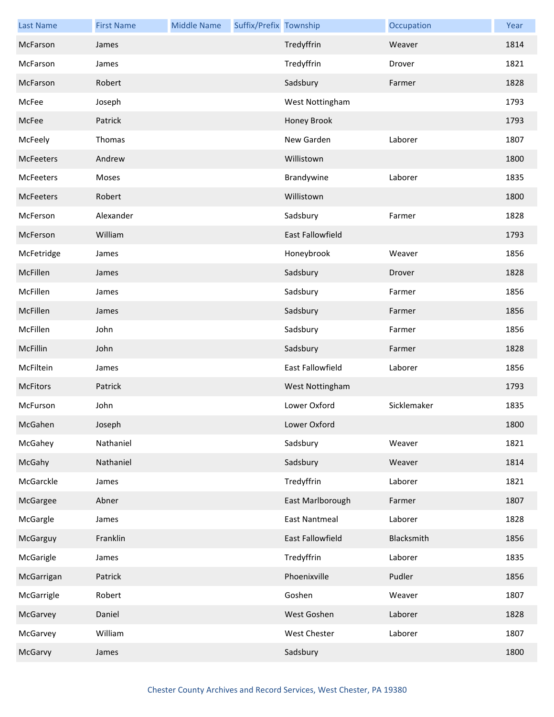| <b>Last Name</b> | <b>First Name</b> | <b>Middle Name</b> | Suffix/Prefix Township |                         | Occupation  | Year |
|------------------|-------------------|--------------------|------------------------|-------------------------|-------------|------|
| McFarson         | James             |                    |                        | Tredyffrin              | Weaver      | 1814 |
| McFarson         | James             |                    |                        | Tredyffrin              | Drover      | 1821 |
| McFarson         | Robert            |                    |                        | Sadsbury                | Farmer      | 1828 |
| McFee            | Joseph            |                    |                        | West Nottingham         |             | 1793 |
| McFee            | Patrick           |                    |                        | Honey Brook             |             | 1793 |
| McFeely          | Thomas            |                    |                        | New Garden              | Laborer     | 1807 |
| <b>McFeeters</b> | Andrew            |                    |                        | Willistown              |             | 1800 |
| McFeeters        | Moses             |                    |                        | Brandywine              | Laborer     | 1835 |
| <b>McFeeters</b> | Robert            |                    |                        | Willistown              |             | 1800 |
| McFerson         | Alexander         |                    |                        | Sadsbury                | Farmer      | 1828 |
| McFerson         | William           |                    |                        | <b>East Fallowfield</b> |             | 1793 |
| McFetridge       | James             |                    |                        | Honeybrook              | Weaver      | 1856 |
| McFillen         | James             |                    |                        | Sadsbury                | Drover      | 1828 |
| McFillen         | James             |                    |                        | Sadsbury                | Farmer      | 1856 |
| McFillen         | James             |                    |                        | Sadsbury                | Farmer      | 1856 |
| McFillen         | John              |                    |                        | Sadsbury                | Farmer      | 1856 |
| McFillin         | John              |                    |                        | Sadsbury                | Farmer      | 1828 |
| McFiltein        | James             |                    |                        | East Fallowfield        | Laborer     | 1856 |
| <b>McFitors</b>  | Patrick           |                    |                        | West Nottingham         |             | 1793 |
| McFurson         | John              |                    |                        | Lower Oxford            | Sicklemaker | 1835 |
| McGahen          | Joseph            |                    |                        | Lower Oxford            |             | 1800 |
| McGahey          | Nathaniel         |                    |                        | Sadsbury                | Weaver      | 1821 |
| McGahy           | Nathaniel         |                    |                        | Sadsbury                | Weaver      | 1814 |
| McGarckle        | James             |                    |                        | Tredyffrin              | Laborer     | 1821 |
| McGargee         | Abner             |                    |                        | East Marlborough        | Farmer      | 1807 |
| McGargle         | James             |                    |                        | <b>East Nantmeal</b>    | Laborer     | 1828 |
| McGarguy         | Franklin          |                    |                        | East Fallowfield        | Blacksmith  | 1856 |
| McGarigle        | James             |                    |                        | Tredyffrin              | Laborer     | 1835 |
| McGarrigan       | Patrick           |                    |                        | Phoenixville            | Pudler      | 1856 |
| McGarrigle       | Robert            |                    |                        | Goshen                  | Weaver      | 1807 |
| McGarvey         | Daniel            |                    |                        | West Goshen             | Laborer     | 1828 |
| McGarvey         | William           |                    |                        | West Chester            | Laborer     | 1807 |
| McGarvy          | James             |                    |                        | Sadsbury                |             | 1800 |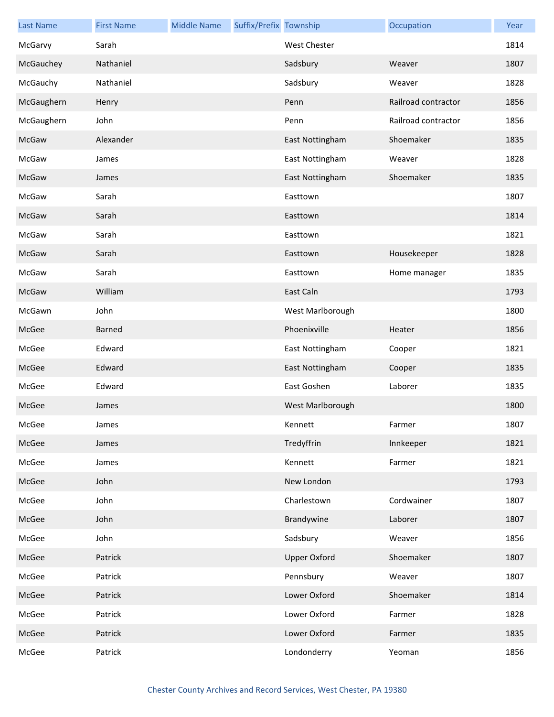| <b>Last Name</b> | <b>First Name</b> | <b>Middle Name</b> | Suffix/Prefix Township |                     | Occupation          | Year |
|------------------|-------------------|--------------------|------------------------|---------------------|---------------------|------|
| McGarvy          | Sarah             |                    |                        | <b>West Chester</b> |                     | 1814 |
| McGauchey        | Nathaniel         |                    |                        | Sadsbury            | Weaver              | 1807 |
| McGauchy         | Nathaniel         |                    |                        | Sadsbury            | Weaver              | 1828 |
| McGaughern       | Henry             |                    |                        | Penn                | Railroad contractor | 1856 |
| McGaughern       | John              |                    |                        | Penn                | Railroad contractor | 1856 |
| McGaw            | Alexander         |                    |                        | East Nottingham     | Shoemaker           | 1835 |
| McGaw            | James             |                    |                        | East Nottingham     | Weaver              | 1828 |
| McGaw            | James             |                    |                        | East Nottingham     | Shoemaker           | 1835 |
| McGaw            | Sarah             |                    |                        | Easttown            |                     | 1807 |
| McGaw            | Sarah             |                    |                        | Easttown            |                     | 1814 |
| McGaw            | Sarah             |                    |                        | Easttown            |                     | 1821 |
| McGaw            | Sarah             |                    |                        | Easttown            | Housekeeper         | 1828 |
| McGaw            | Sarah             |                    |                        | Easttown            | Home manager        | 1835 |
| McGaw            | William           |                    |                        | East Caln           |                     | 1793 |
| McGawn           | John              |                    |                        | West Marlborough    |                     | 1800 |
| McGee            | <b>Barned</b>     |                    |                        | Phoenixville        | Heater              | 1856 |
| McGee            | Edward            |                    |                        | East Nottingham     | Cooper              | 1821 |
| McGee            | Edward            |                    |                        | East Nottingham     | Cooper              | 1835 |
| McGee            | Edward            |                    |                        | East Goshen         | Laborer             | 1835 |
| McGee            | James             |                    |                        | West Marlborough    |                     | 1800 |
| McGee            | James             |                    |                        | Kennett             | Farmer              | 1807 |
| McGee            | James             |                    |                        | Tredyffrin          | Innkeeper           | 1821 |
| McGee            | James             |                    |                        | Kennett             | Farmer              | 1821 |
| McGee            | John              |                    |                        | New London          |                     | 1793 |
| McGee            | John              |                    |                        | Charlestown         | Cordwainer          | 1807 |
| McGee            | John              |                    |                        | Brandywine          | Laborer             | 1807 |
| McGee            | John              |                    |                        | Sadsbury            | Weaver              | 1856 |
| McGee            | Patrick           |                    |                        | <b>Upper Oxford</b> | Shoemaker           | 1807 |
| McGee            | Patrick           |                    |                        | Pennsbury           | Weaver              | 1807 |
| McGee            | Patrick           |                    |                        | Lower Oxford        | Shoemaker           | 1814 |
| McGee            | Patrick           |                    |                        | Lower Oxford        | Farmer              | 1828 |
| McGee            | Patrick           |                    |                        | Lower Oxford        | Farmer              | 1835 |
| McGee            | Patrick           |                    |                        | Londonderry         | Yeoman              | 1856 |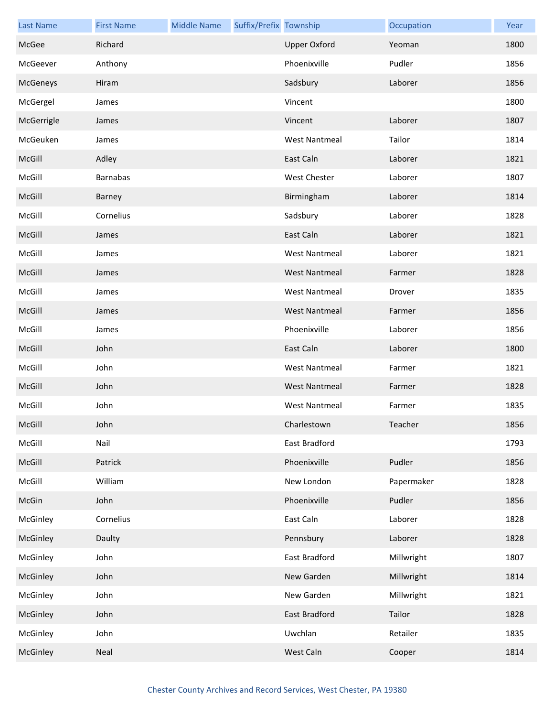| <b>Last Name</b> | <b>First Name</b> | <b>Middle Name</b> | Suffix/Prefix Township |                      | Occupation | Year |
|------------------|-------------------|--------------------|------------------------|----------------------|------------|------|
| McGee            | Richard           |                    |                        | <b>Upper Oxford</b>  | Yeoman     | 1800 |
| McGeever         | Anthony           |                    |                        | Phoenixville         | Pudler     | 1856 |
| McGeneys         | Hiram             |                    |                        | Sadsbury             | Laborer    | 1856 |
| McGergel         | James             |                    |                        | Vincent              |            | 1800 |
| McGerrigle       | James             |                    |                        | Vincent              | Laborer    | 1807 |
| McGeuken         | James             |                    |                        | <b>West Nantmeal</b> | Tailor     | 1814 |
| McGill           | Adley             |                    |                        | East Caln            | Laborer    | 1821 |
| McGill           | <b>Barnabas</b>   |                    |                        | West Chester         | Laborer    | 1807 |
| McGill           | Barney            |                    |                        | Birmingham           | Laborer    | 1814 |
| McGill           | Cornelius         |                    |                        | Sadsbury             | Laborer    | 1828 |
| McGill           | James             |                    |                        | East Caln            | Laborer    | 1821 |
| McGill           | James             |                    |                        | <b>West Nantmeal</b> | Laborer    | 1821 |
| McGill           | James             |                    |                        | <b>West Nantmeal</b> | Farmer     | 1828 |
| McGill           | James             |                    |                        | <b>West Nantmeal</b> | Drover     | 1835 |
| McGill           | James             |                    |                        | <b>West Nantmeal</b> | Farmer     | 1856 |
| McGill           | James             |                    |                        | Phoenixville         | Laborer    | 1856 |
| McGill           | John              |                    |                        | East Caln            | Laborer    | 1800 |
| McGill           | John              |                    |                        | <b>West Nantmeal</b> | Farmer     | 1821 |
| McGill           | John              |                    |                        | <b>West Nantmeal</b> | Farmer     | 1828 |
| McGill           | John              |                    |                        | <b>West Nantmeal</b> | Farmer     | 1835 |
| McGill           | John              |                    |                        | Charlestown          | Teacher    | 1856 |
| McGill           | Nail              |                    |                        | East Bradford        |            | 1793 |
| McGill           | Patrick           |                    |                        | Phoenixville         | Pudler     | 1856 |
| McGill           | William           |                    |                        | New London           | Papermaker | 1828 |
| McGin            | John              |                    |                        | Phoenixville         | Pudler     | 1856 |
| McGinley         | Cornelius         |                    |                        | East Caln            | Laborer    | 1828 |
| McGinley         | Daulty            |                    |                        | Pennsbury            | Laborer    | 1828 |
| McGinley         | John              |                    |                        | East Bradford        | Millwright | 1807 |
| McGinley         | John              |                    |                        | New Garden           | Millwright | 1814 |
| McGinley         | John              |                    |                        | New Garden           | Millwright | 1821 |
| McGinley         | John              |                    |                        | East Bradford        | Tailor     | 1828 |
| McGinley         | John              |                    |                        | Uwchlan              | Retailer   | 1835 |
| McGinley         | Neal              |                    |                        | West Caln            | Cooper     | 1814 |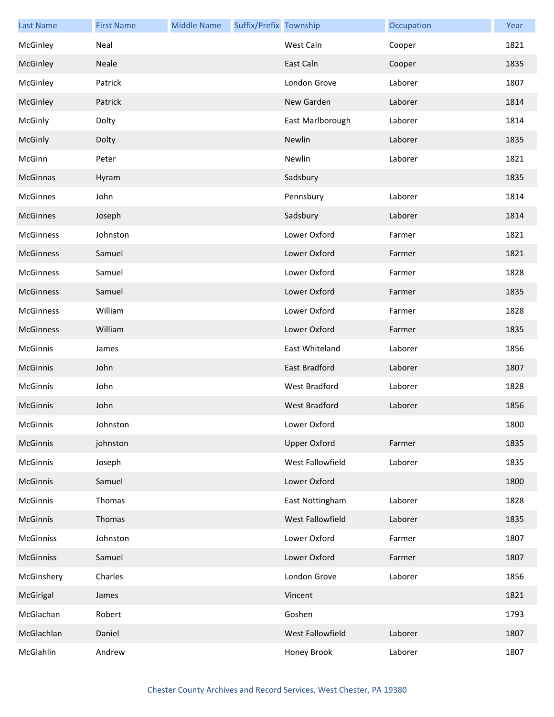| <b>Last Name</b> | <b>First Name</b> | <b>Middle Name</b> | Suffix/Prefix Township |                         | Occupation | Year |
|------------------|-------------------|--------------------|------------------------|-------------------------|------------|------|
| McGinley         | Neal              |                    |                        | West Caln               | Cooper     | 1821 |
| McGinley         | Neale             |                    |                        | East Caln               | Cooper     | 1835 |
| McGinley         | Patrick           |                    |                        | London Grove            | Laborer    | 1807 |
| McGinley         | Patrick           |                    |                        | New Garden              | Laborer    | 1814 |
| McGinly          | Dolty             |                    |                        | East Marlborough        | Laborer    | 1814 |
| McGinly          | Dolty             |                    |                        | Newlin                  | Laborer    | 1835 |
| McGinn           | Peter             |                    |                        | Newlin                  | Laborer    | 1821 |
| McGinnas         | Hyram             |                    |                        | Sadsbury                |            | 1835 |
| <b>McGinnes</b>  | John              |                    |                        | Pennsbury               | Laborer    | 1814 |
| <b>McGinnes</b>  | Joseph            |                    |                        | Sadsbury                | Laborer    | 1814 |
| <b>McGinness</b> | Johnston          |                    |                        | Lower Oxford            | Farmer     | 1821 |
| <b>McGinness</b> | Samuel            |                    |                        | Lower Oxford            | Farmer     | 1821 |
| McGinness        | Samuel            |                    |                        | Lower Oxford            | Farmer     | 1828 |
| McGinness        | Samuel            |                    |                        | Lower Oxford            | Farmer     | 1835 |
| McGinness        | William           |                    |                        | Lower Oxford            | Farmer     | 1828 |
| McGinness        | William           |                    |                        | Lower Oxford            | Farmer     | 1835 |
| McGinnis         | James             |                    |                        | East Whiteland          | Laborer    | 1856 |
| McGinnis         | John              |                    |                        | East Bradford           | Laborer    | 1807 |
| McGinnis         | John              |                    |                        | West Bradford           | Laborer    | 1828 |
| <b>McGinnis</b>  | John              |                    |                        | <b>West Bradford</b>    | Laborer    | 1856 |
| McGinnis         | Johnston          |                    |                        | Lower Oxford            |            | 1800 |
| McGinnis         | johnston          |                    |                        | <b>Upper Oxford</b>     | Farmer     | 1835 |
| McGinnis         | Joseph            |                    |                        | <b>West Fallowfield</b> | Laborer    | 1835 |
| McGinnis         | Samuel            |                    |                        | Lower Oxford            |            | 1800 |
| McGinnis         | Thomas            |                    |                        | East Nottingham         | Laborer    | 1828 |
| McGinnis         | Thomas            |                    |                        | West Fallowfield        | Laborer    | 1835 |
| <b>McGinniss</b> | Johnston          |                    |                        | Lower Oxford            | Farmer     | 1807 |
| <b>McGinniss</b> | Samuel            |                    |                        | Lower Oxford            | Farmer     | 1807 |
| McGinshery       | Charles           |                    |                        | London Grove            | Laborer    | 1856 |
| McGirigal        | James             |                    |                        | Vincent                 |            | 1821 |
| McGlachan        | Robert            |                    |                        | Goshen                  |            | 1793 |
| McGlachlan       | Daniel            |                    |                        | West Fallowfield        | Laborer    | 1807 |
| McGlahlin        | Andrew            |                    |                        | Honey Brook             | Laborer    | 1807 |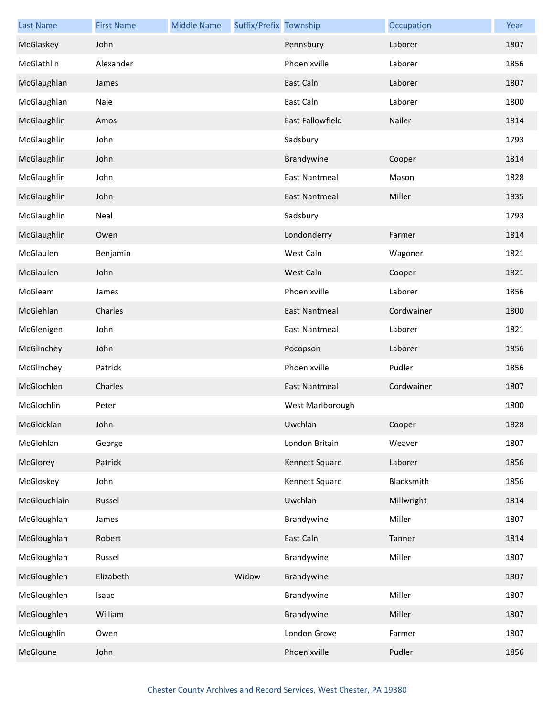| <b>Last Name</b> | <b>First Name</b> | <b>Middle Name</b> | Suffix/Prefix Township |                      | Occupation | Year |
|------------------|-------------------|--------------------|------------------------|----------------------|------------|------|
| McGlaskey        | John              |                    |                        | Pennsbury            | Laborer    | 1807 |
| McGlathlin       | Alexander         |                    |                        | Phoenixville         | Laborer    | 1856 |
| McGlaughlan      | James             |                    |                        | East Caln            | Laborer    | 1807 |
| McGlaughlan      | Nale              |                    |                        | East Caln            | Laborer    | 1800 |
| McGlaughlin      | Amos              |                    |                        | East Fallowfield     | Nailer     | 1814 |
| McGlaughlin      | John              |                    |                        | Sadsbury             |            | 1793 |
| McGlaughlin      | John              |                    |                        | Brandywine           | Cooper     | 1814 |
| McGlaughlin      | John              |                    |                        | <b>East Nantmeal</b> | Mason      | 1828 |
| McGlaughlin      | John              |                    |                        | <b>East Nantmeal</b> | Miller     | 1835 |
| McGlaughlin      | Neal              |                    |                        | Sadsbury             |            | 1793 |
| McGlaughlin      | Owen              |                    |                        | Londonderry          | Farmer     | 1814 |
| McGlaulen        | Benjamin          |                    |                        | West Caln            | Wagoner    | 1821 |
| McGlaulen        | John              |                    |                        | West Caln            | Cooper     | 1821 |
| McGleam          | James             |                    |                        | Phoenixville         | Laborer    | 1856 |
| McGlehlan        | Charles           |                    |                        | <b>East Nantmeal</b> | Cordwainer | 1800 |
| McGlenigen       | John              |                    |                        | <b>East Nantmeal</b> | Laborer    | 1821 |
| McGlinchey       | John              |                    |                        | Pocopson             | Laborer    | 1856 |
| McGlinchey       | Patrick           |                    |                        | Phoenixville         | Pudler     | 1856 |
| McGlochlen       | Charles           |                    |                        | <b>East Nantmeal</b> | Cordwainer | 1807 |
| McGlochlin       | Peter             |                    |                        | West Marlborough     |            | 1800 |
| McGlocklan       | John              |                    |                        | Uwchlan              | Cooper     | 1828 |
| McGlohlan        | George            |                    |                        | London Britain       | Weaver     | 1807 |
| McGlorey         | Patrick           |                    |                        | Kennett Square       | Laborer    | 1856 |
| McGloskey        | John              |                    |                        | Kennett Square       | Blacksmith | 1856 |
| McGlouchlain     | Russel            |                    |                        | Uwchlan              | Millwright | 1814 |
| McGloughlan      | James             |                    |                        | Brandywine           | Miller     | 1807 |
| McGloughlan      | Robert            |                    |                        | East Caln            | Tanner     | 1814 |
| McGloughlan      | Russel            |                    |                        | Brandywine           | Miller     | 1807 |
| McGloughlen      | Elizabeth         |                    | Widow                  | Brandywine           |            | 1807 |
| McGloughlen      | Isaac             |                    |                        | Brandywine           | Miller     | 1807 |
| McGloughlen      | William           |                    |                        | Brandywine           | Miller     | 1807 |
| McGloughlin      | Owen              |                    |                        | London Grove         | Farmer     | 1807 |
| McGloune         | John              |                    |                        | Phoenixville         | Pudler     | 1856 |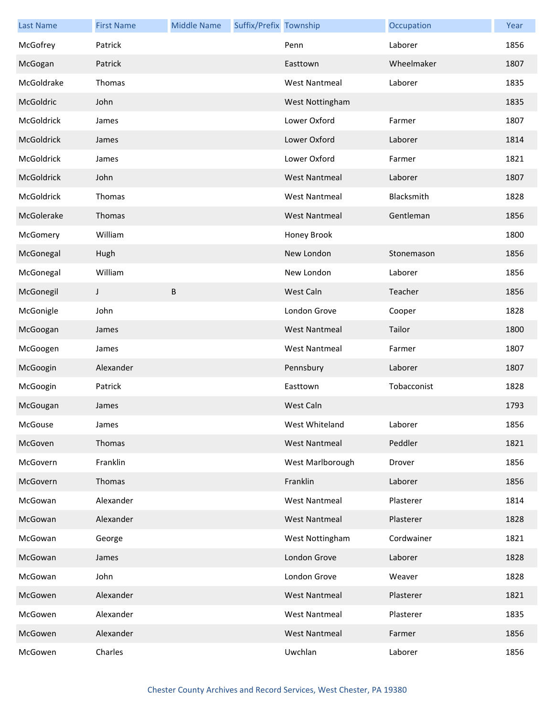| <b>Last Name</b> | <b>First Name</b> | <b>Middle Name</b> | Suffix/Prefix Township |                      | Occupation  | Year |
|------------------|-------------------|--------------------|------------------------|----------------------|-------------|------|
| McGofrey         | Patrick           |                    |                        | Penn                 | Laborer     | 1856 |
| McGogan          | Patrick           |                    |                        | Easttown             | Wheelmaker  | 1807 |
| McGoldrake       | Thomas            |                    |                        | <b>West Nantmeal</b> | Laborer     | 1835 |
| McGoldric        | John              |                    |                        | West Nottingham      |             | 1835 |
| McGoldrick       | James             |                    |                        | Lower Oxford         | Farmer      | 1807 |
| McGoldrick       | James             |                    |                        | Lower Oxford         | Laborer     | 1814 |
| McGoldrick       | James             |                    |                        | Lower Oxford         | Farmer      | 1821 |
| McGoldrick       | John              |                    |                        | <b>West Nantmeal</b> | Laborer     | 1807 |
| McGoldrick       | Thomas            |                    |                        | <b>West Nantmeal</b> | Blacksmith  | 1828 |
| McGolerake       | Thomas            |                    |                        | <b>West Nantmeal</b> | Gentleman   | 1856 |
| McGomery         | William           |                    |                        | Honey Brook          |             | 1800 |
| McGonegal        | Hugh              |                    |                        | New London           | Stonemason  | 1856 |
| McGonegal        | William           |                    |                        | New London           | Laborer     | 1856 |
| McGonegil        | J                 | B                  |                        | West Caln            | Teacher     | 1856 |
| McGonigle        | John              |                    |                        | London Grove         | Cooper      | 1828 |
| McGoogan         | James             |                    |                        | <b>West Nantmeal</b> | Tailor      | 1800 |
| McGoogen         | James             |                    |                        | <b>West Nantmeal</b> | Farmer      | 1807 |
| McGoogin         | Alexander         |                    |                        | Pennsbury            | Laborer     | 1807 |
| McGoogin         | Patrick           |                    |                        | Easttown             | Tobacconist | 1828 |
| McGougan         | James             |                    |                        | West Caln            |             | 1793 |
| McGouse          | James             |                    |                        | West Whiteland       | Laborer     | 1856 |
| McGoven          | Thomas            |                    |                        | <b>West Nantmeal</b> | Peddler     | 1821 |
| McGovern         | Franklin          |                    |                        | West Marlborough     | Drover      | 1856 |
| McGovern         | Thomas            |                    |                        | Franklin             | Laborer     | 1856 |
| McGowan          | Alexander         |                    |                        | <b>West Nantmeal</b> | Plasterer   | 1814 |
| McGowan          | Alexander         |                    |                        | <b>West Nantmeal</b> | Plasterer   | 1828 |
| McGowan          | George            |                    |                        | West Nottingham      | Cordwainer  | 1821 |
| McGowan          | James             |                    |                        | London Grove         | Laborer     | 1828 |
| McGowan          | John              |                    |                        | London Grove         | Weaver      | 1828 |
| McGowen          | Alexander         |                    |                        | <b>West Nantmeal</b> | Plasterer   | 1821 |
| McGowen          | Alexander         |                    |                        | <b>West Nantmeal</b> | Plasterer   | 1835 |
| McGowen          | Alexander         |                    |                        | <b>West Nantmeal</b> | Farmer      | 1856 |
| McGowen          | Charles           |                    |                        | Uwchlan              | Laborer     | 1856 |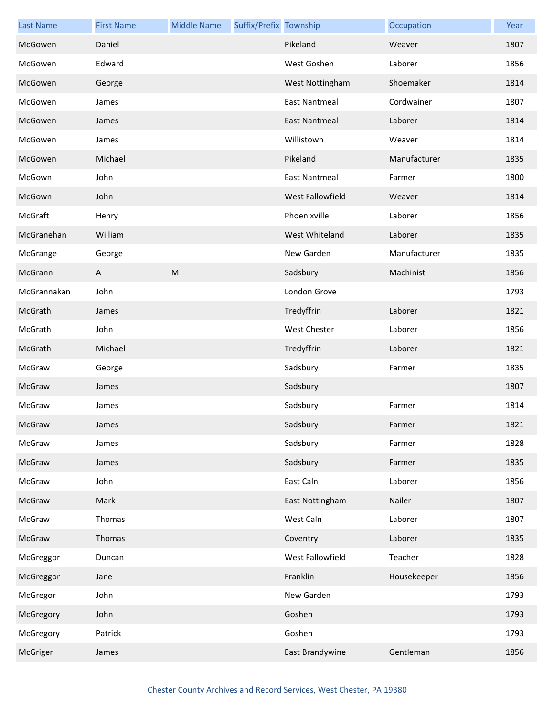| <b>Last Name</b> | <b>First Name</b> | <b>Middle Name</b> | Suffix/Prefix Township |                      | Occupation   | Year |
|------------------|-------------------|--------------------|------------------------|----------------------|--------------|------|
| McGowen          | Daniel            |                    |                        | Pikeland             | Weaver       | 1807 |
| McGowen          | Edward            |                    |                        | West Goshen          | Laborer      | 1856 |
| McGowen          | George            |                    |                        | West Nottingham      | Shoemaker    | 1814 |
| McGowen          | James             |                    |                        | <b>East Nantmeal</b> | Cordwainer   | 1807 |
| McGowen          | James             |                    |                        | <b>East Nantmeal</b> | Laborer      | 1814 |
| McGowen          | James             |                    |                        | Willistown           | Weaver       | 1814 |
| McGowen          | Michael           |                    |                        | Pikeland             | Manufacturer | 1835 |
| McGown           | John              |                    |                        | <b>East Nantmeal</b> | Farmer       | 1800 |
| McGown           | John              |                    |                        | West Fallowfield     | Weaver       | 1814 |
| McGraft          | Henry             |                    |                        | Phoenixville         | Laborer      | 1856 |
| McGranehan       | William           |                    |                        | West Whiteland       | Laborer      | 1835 |
| McGrange         | George            |                    |                        | New Garden           | Manufacturer | 1835 |
| McGrann          | A                 | M                  |                        | Sadsbury             | Machinist    | 1856 |
| McGrannakan      | John              |                    |                        | London Grove         |              | 1793 |
| McGrath          | James             |                    |                        | Tredyffrin           | Laborer      | 1821 |
| McGrath          | John              |                    |                        | <b>West Chester</b>  | Laborer      | 1856 |
| McGrath          | Michael           |                    |                        | Tredyffrin           | Laborer      | 1821 |
| McGraw           | George            |                    |                        | Sadsbury             | Farmer       | 1835 |
| McGraw           | James             |                    |                        | Sadsbury             |              | 1807 |
| McGraw           | James             |                    |                        | Sadsbury             | Farmer       | 1814 |
| McGraw           | James             |                    |                        | Sadsbury             | Farmer       | 1821 |
| McGraw           | James             |                    |                        | Sadsbury             | Farmer       | 1828 |
| McGraw           | James             |                    |                        | Sadsbury             | Farmer       | 1835 |
| McGraw           | John              |                    |                        | East Caln            | Laborer      | 1856 |
| McGraw           | Mark              |                    |                        | East Nottingham      | Nailer       | 1807 |
| McGraw           | Thomas            |                    |                        | West Caln            | Laborer      | 1807 |
| McGraw           | Thomas            |                    |                        | Coventry             | Laborer      | 1835 |
| McGreggor        | Duncan            |                    |                        | West Fallowfield     | Teacher      | 1828 |
| McGreggor        | Jane              |                    |                        | Franklin             | Housekeeper  | 1856 |
| McGregor         | John              |                    |                        | New Garden           |              | 1793 |
| McGregory        | John              |                    |                        | Goshen               |              | 1793 |
| McGregory        | Patrick           |                    |                        | Goshen               |              | 1793 |
| McGriger         | James             |                    |                        | East Brandywine      | Gentleman    | 1856 |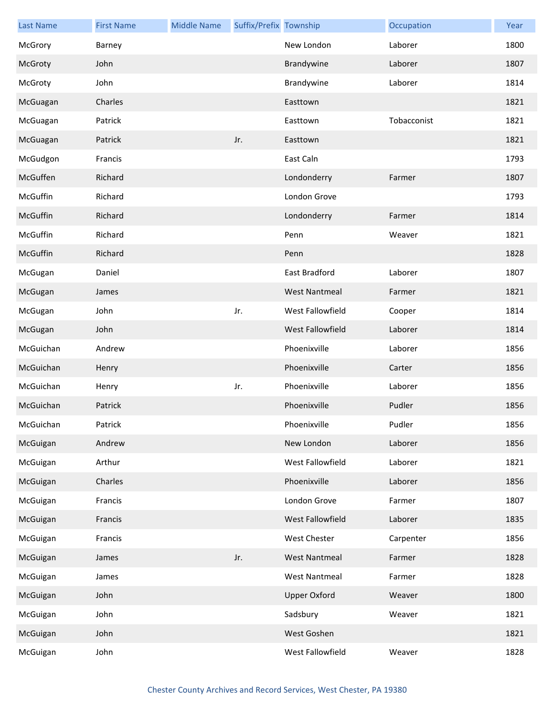| <b>Last Name</b> | <b>First Name</b> | <b>Middle Name</b> | Suffix/Prefix Township |                         | Occupation  | Year |
|------------------|-------------------|--------------------|------------------------|-------------------------|-------------|------|
| McGrory          | Barney            |                    |                        | New London              | Laborer     | 1800 |
| McGroty          | John              |                    |                        | Brandywine              | Laborer     | 1807 |
| McGroty          | John              |                    |                        | Brandywine              | Laborer     | 1814 |
| McGuagan         | Charles           |                    |                        | Easttown                |             | 1821 |
| McGuagan         | Patrick           |                    |                        | Easttown                | Tobacconist | 1821 |
| McGuagan         | Patrick           |                    | Jr.                    | Easttown                |             | 1821 |
| McGudgon         | Francis           |                    |                        | East Caln               |             | 1793 |
| McGuffen         | Richard           |                    |                        | Londonderry             | Farmer      | 1807 |
| McGuffin         | Richard           |                    |                        | London Grove            |             | 1793 |
| McGuffin         | Richard           |                    |                        | Londonderry             | Farmer      | 1814 |
| McGuffin         | Richard           |                    |                        | Penn                    | Weaver      | 1821 |
| McGuffin         | Richard           |                    |                        | Penn                    |             | 1828 |
| McGugan          | Daniel            |                    |                        | East Bradford           | Laborer     | 1807 |
| McGugan          | James             |                    |                        | <b>West Nantmeal</b>    | Farmer      | 1821 |
| McGugan          | John              |                    | Jr.                    | West Fallowfield        | Cooper      | 1814 |
| McGugan          | John              |                    |                        | <b>West Fallowfield</b> | Laborer     | 1814 |
| McGuichan        | Andrew            |                    |                        | Phoenixville            | Laborer     | 1856 |
| McGuichan        | Henry             |                    |                        | Phoenixville            | Carter      | 1856 |
| McGuichan        | Henry             |                    | Jr.                    | Phoenixville            | Laborer     | 1856 |
| McGuichan        | Patrick           |                    |                        | Phoenixville            | Pudler      | 1856 |
| McGuichan        | Patrick           |                    |                        | Phoenixville            | Pudler      | 1856 |
| McGuigan         | Andrew            |                    |                        | New London              | Laborer     | 1856 |
| McGuigan         | Arthur            |                    |                        | West Fallowfield        | Laborer     | 1821 |
| McGuigan         | Charles           |                    |                        | Phoenixville            | Laborer     | 1856 |
| McGuigan         | Francis           |                    |                        | London Grove            | Farmer      | 1807 |
| McGuigan         | Francis           |                    |                        | West Fallowfield        | Laborer     | 1835 |
| McGuigan         | Francis           |                    |                        | <b>West Chester</b>     | Carpenter   | 1856 |
| McGuigan         | James             |                    | Jr.                    | <b>West Nantmeal</b>    | Farmer      | 1828 |
| McGuigan         | James             |                    |                        | <b>West Nantmeal</b>    | Farmer      | 1828 |
| McGuigan         | John              |                    |                        | <b>Upper Oxford</b>     | Weaver      | 1800 |
| McGuigan         | John              |                    |                        | Sadsbury                | Weaver      | 1821 |
| McGuigan         | John              |                    |                        | West Goshen             |             | 1821 |
| McGuigan         | John              |                    |                        | West Fallowfield        | Weaver      | 1828 |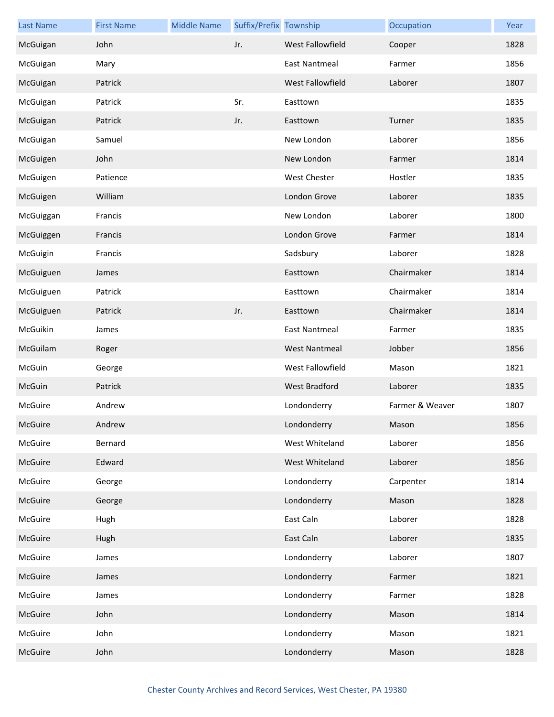| <b>Last Name</b> | <b>First Name</b> | <b>Middle Name</b> | Suffix/Prefix Township |                         | Occupation      | Year |
|------------------|-------------------|--------------------|------------------------|-------------------------|-----------------|------|
| McGuigan         | John              |                    | Jr.                    | <b>West Fallowfield</b> | Cooper          | 1828 |
| McGuigan         | Mary              |                    |                        | East Nantmeal           | Farmer          | 1856 |
| McGuigan         | Patrick           |                    |                        | West Fallowfield        | Laborer         | 1807 |
| McGuigan         | Patrick           |                    | Sr.                    | Easttown                |                 | 1835 |
| McGuigan         | Patrick           |                    | Jr.                    | Easttown                | Turner          | 1835 |
| McGuigan         | Samuel            |                    |                        | New London              | Laborer         | 1856 |
| McGuigen         | John              |                    |                        | New London              | Farmer          | 1814 |
| McGuigen         | Patience          |                    |                        | West Chester            | Hostler         | 1835 |
| McGuigen         | William           |                    |                        | London Grove            | Laborer         | 1835 |
| McGuiggan        | Francis           |                    |                        | New London              | Laborer         | 1800 |
| McGuiggen        | Francis           |                    |                        | London Grove            | Farmer          | 1814 |
| McGuigin         | Francis           |                    |                        | Sadsbury                | Laborer         | 1828 |
| McGuiguen        | James             |                    |                        | Easttown                | Chairmaker      | 1814 |
| McGuiguen        | Patrick           |                    |                        | Easttown                | Chairmaker      | 1814 |
| McGuiguen        | Patrick           |                    | Jr.                    | Easttown                | Chairmaker      | 1814 |
| McGuikin         | James             |                    |                        | East Nantmeal           | Farmer          | 1835 |
| McGuilam         | Roger             |                    |                        | <b>West Nantmeal</b>    | Jobber          | 1856 |
| McGuin           | George            |                    |                        | West Fallowfield        | Mason           | 1821 |
| McGuin           | Patrick           |                    |                        | West Bradford           | Laborer         | 1835 |
| McGuire          | Andrew            |                    |                        | Londonderry             | Farmer & Weaver | 1807 |
| McGuire          | Andrew            |                    |                        | Londonderry             | Mason           | 1856 |
| McGuire          | Bernard           |                    |                        | West Whiteland          | Laborer         | 1856 |
| McGuire          | Edward            |                    |                        | West Whiteland          | Laborer         | 1856 |
| McGuire          | George            |                    |                        | Londonderry             | Carpenter       | 1814 |
| McGuire          | George            |                    |                        | Londonderry             | Mason           | 1828 |
| McGuire          | Hugh              |                    |                        | East Caln               | Laborer         | 1828 |
| McGuire          | Hugh              |                    |                        | East Caln               | Laborer         | 1835 |
| McGuire          | James             |                    |                        | Londonderry             | Laborer         | 1807 |
| McGuire          | James             |                    |                        | Londonderry             | Farmer          | 1821 |
| McGuire          | James             |                    |                        | Londonderry             | Farmer          | 1828 |
| McGuire          | John              |                    |                        | Londonderry             | Mason           | 1814 |
| McGuire          | John              |                    |                        | Londonderry             | Mason           | 1821 |
| McGuire          | John              |                    |                        | Londonderry             | Mason           | 1828 |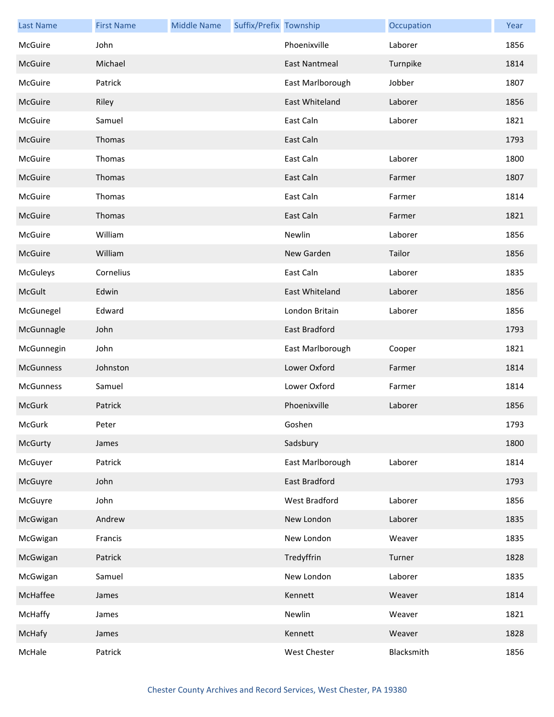| <b>Last Name</b> | <b>First Name</b> | <b>Middle Name</b> | Suffix/Prefix Township |                      | Occupation | Year |
|------------------|-------------------|--------------------|------------------------|----------------------|------------|------|
| McGuire          | John              |                    |                        | Phoenixville         | Laborer    | 1856 |
| McGuire          | Michael           |                    |                        | <b>East Nantmeal</b> | Turnpike   | 1814 |
| McGuire          | Patrick           |                    |                        | East Marlborough     | Jobber     | 1807 |
| McGuire          | Riley             |                    |                        | East Whiteland       | Laborer    | 1856 |
| McGuire          | Samuel            |                    |                        | East Caln            | Laborer    | 1821 |
| McGuire          | Thomas            |                    |                        | East Caln            |            | 1793 |
| McGuire          | Thomas            |                    |                        | East Caln            | Laborer    | 1800 |
| McGuire          | Thomas            |                    |                        | East Caln            | Farmer     | 1807 |
| McGuire          | Thomas            |                    |                        | East Caln            | Farmer     | 1814 |
| McGuire          | Thomas            |                    |                        | East Caln            | Farmer     | 1821 |
| McGuire          | William           |                    |                        | Newlin               | Laborer    | 1856 |
| McGuire          | William           |                    |                        | New Garden           | Tailor     | 1856 |
| <b>McGuleys</b>  | Cornelius         |                    |                        | East Caln            | Laborer    | 1835 |
| McGult           | Edwin             |                    |                        | East Whiteland       | Laborer    | 1856 |
| McGunegel        | Edward            |                    |                        | London Britain       | Laborer    | 1856 |
| McGunnagle       | John              |                    |                        | East Bradford        |            | 1793 |
| McGunnegin       | John              |                    |                        | East Marlborough     | Cooper     | 1821 |
| McGunness        | Johnston          |                    |                        | Lower Oxford         | Farmer     | 1814 |
| McGunness        | Samuel            |                    |                        | Lower Oxford         | Farmer     | 1814 |
| McGurk           | Patrick           |                    |                        | Phoenixville         | Laborer    | 1856 |
| McGurk           | Peter             |                    |                        | Goshen               |            | 1793 |
| McGurty          | James             |                    |                        | Sadsbury             |            | 1800 |
| McGuyer          | Patrick           |                    |                        | East Marlborough     | Laborer    | 1814 |
| McGuyre          | John              |                    |                        | East Bradford        |            | 1793 |
| McGuyre          | John              |                    |                        | West Bradford        | Laborer    | 1856 |
| McGwigan         | Andrew            |                    |                        | New London           | Laborer    | 1835 |
| McGwigan         | Francis           |                    |                        | New London           | Weaver     | 1835 |
| McGwigan         | Patrick           |                    |                        | Tredyffrin           | Turner     | 1828 |
| McGwigan         | Samuel            |                    |                        | New London           | Laborer    | 1835 |
| McHaffee         | James             |                    |                        | Kennett              | Weaver     | 1814 |
| McHaffy          | James             |                    |                        | Newlin               | Weaver     | 1821 |
| McHafy           | James             |                    |                        | Kennett              | Weaver     | 1828 |
| McHale           | Patrick           |                    |                        | West Chester         | Blacksmith | 1856 |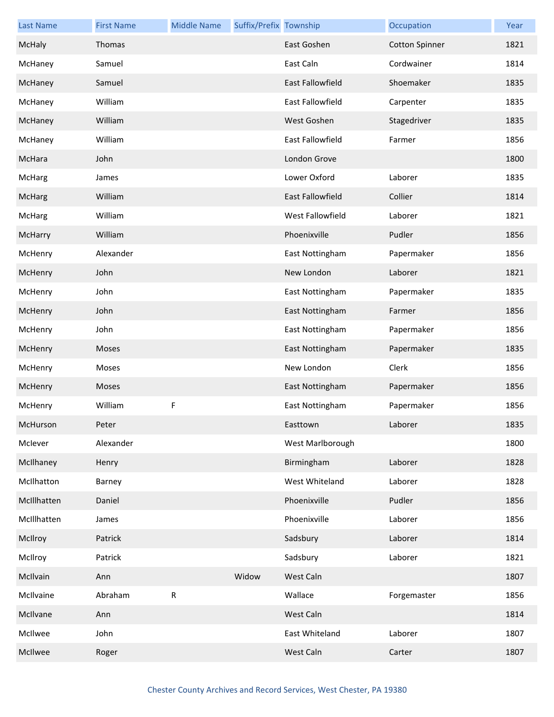| <b>Last Name</b> | <b>First Name</b> | <b>Middle Name</b> | Suffix/Prefix Township |                         | Occupation            | Year |
|------------------|-------------------|--------------------|------------------------|-------------------------|-----------------------|------|
| <b>McHaly</b>    | Thomas            |                    |                        | East Goshen             | <b>Cotton Spinner</b> | 1821 |
| McHaney          | Samuel            |                    |                        | East Caln               | Cordwainer            | 1814 |
| McHaney          | Samuel            |                    |                        | <b>East Fallowfield</b> | Shoemaker             | 1835 |
| McHaney          | William           |                    |                        | East Fallowfield        | Carpenter             | 1835 |
| McHaney          | William           |                    |                        | West Goshen             | Stagedriver           | 1835 |
| McHaney          | William           |                    |                        | East Fallowfield        | Farmer                | 1856 |
| McHara           | John              |                    |                        | London Grove            |                       | 1800 |
| McHarg           | James             |                    |                        | Lower Oxford            | Laborer               | 1835 |
| McHarg           | William           |                    |                        | East Fallowfield        | Collier               | 1814 |
| McHarg           | William           |                    |                        | West Fallowfield        | Laborer               | 1821 |
| McHarry          | William           |                    |                        | Phoenixville            | Pudler                | 1856 |
| McHenry          | Alexander         |                    |                        | East Nottingham         | Papermaker            | 1856 |
| McHenry          | John              |                    |                        | New London              | Laborer               | 1821 |
| McHenry          | John              |                    |                        | East Nottingham         | Papermaker            | 1835 |
| McHenry          | John              |                    |                        | East Nottingham         | Farmer                | 1856 |
| McHenry          | John              |                    |                        | East Nottingham         | Papermaker            | 1856 |
| McHenry          | Moses             |                    |                        | East Nottingham         | Papermaker            | 1835 |
| McHenry          | Moses             |                    |                        | New London              | Clerk                 | 1856 |
| McHenry          | Moses             |                    |                        | East Nottingham         | Papermaker            | 1856 |
| McHenry          | William           | F                  |                        | East Nottingham         | Papermaker            | 1856 |
| McHurson         | Peter             |                    |                        | Easttown                | Laborer               | 1835 |
| Mclever          | Alexander         |                    |                        | West Marlborough        |                       | 1800 |
| McIlhaney        | Henry             |                    |                        | Birmingham              | Laborer               | 1828 |
| McIlhatton       | Barney            |                    |                        | West Whiteland          | Laborer               | 1828 |
| McIllhatten      | Daniel            |                    |                        | Phoenixville            | Pudler                | 1856 |
| McIllhatten      | James             |                    |                        | Phoenixville            | Laborer               | 1856 |
| McIlroy          | Patrick           |                    |                        | Sadsbury                | Laborer               | 1814 |
| McIlroy          | Patrick           |                    |                        | Sadsbury                | Laborer               | 1821 |
| McIlvain         | Ann               |                    | Widow                  | West Caln               |                       | 1807 |
| McIlvaine        | Abraham           | R                  |                        | Wallace                 | Forgemaster           | 1856 |
| McIlvane         | Ann               |                    |                        | West Caln               |                       | 1814 |
| McIlwee          | John              |                    |                        | East Whiteland          | Laborer               | 1807 |
| McIlwee          | Roger             |                    |                        | West Caln               | Carter                | 1807 |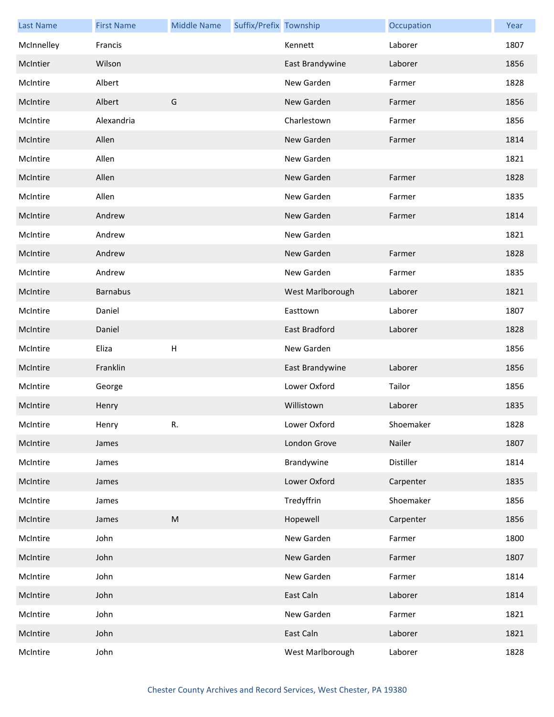| <b>Last Name</b> | <b>First Name</b> | <b>Middle Name</b>                                                                                         | Suffix/Prefix Township |                  | Occupation | Year |
|------------------|-------------------|------------------------------------------------------------------------------------------------------------|------------------------|------------------|------------|------|
| McInnelley       | Francis           |                                                                                                            |                        | Kennett          | Laborer    | 1807 |
| McIntier         | Wilson            |                                                                                                            |                        | East Brandywine  | Laborer    | 1856 |
| McIntire         | Albert            |                                                                                                            |                        | New Garden       | Farmer     | 1828 |
| McIntire         | Albert            | G                                                                                                          |                        | New Garden       | Farmer     | 1856 |
| McIntire         | Alexandria        |                                                                                                            |                        | Charlestown      | Farmer     | 1856 |
| McIntire         | Allen             |                                                                                                            |                        | New Garden       | Farmer     | 1814 |
| McIntire         | Allen             |                                                                                                            |                        | New Garden       |            | 1821 |
| McIntire         | Allen             |                                                                                                            |                        | New Garden       | Farmer     | 1828 |
| McIntire         | Allen             |                                                                                                            |                        | New Garden       | Farmer     | 1835 |
| McIntire         | Andrew            |                                                                                                            |                        | New Garden       | Farmer     | 1814 |
| McIntire         | Andrew            |                                                                                                            |                        | New Garden       |            | 1821 |
| McIntire         | Andrew            |                                                                                                            |                        | New Garden       | Farmer     | 1828 |
| McIntire         | Andrew            |                                                                                                            |                        | New Garden       | Farmer     | 1835 |
| McIntire         | <b>Barnabus</b>   |                                                                                                            |                        | West Marlborough | Laborer    | 1821 |
| McIntire         | Daniel            |                                                                                                            |                        | Easttown         | Laborer    | 1807 |
| McIntire         | Daniel            |                                                                                                            |                        | East Bradford    | Laborer    | 1828 |
| McIntire         | Eliza             | $\sf H$                                                                                                    |                        | New Garden       |            | 1856 |
| McIntire         | Franklin          |                                                                                                            |                        | East Brandywine  | Laborer    | 1856 |
| McIntire         | George            |                                                                                                            |                        | Lower Oxford     | Tailor     | 1856 |
| McIntire         | Henry             |                                                                                                            |                        | Willistown       | Laborer    | 1835 |
| McIntire         | Henry             | R.                                                                                                         |                        | Lower Oxford     | Shoemaker  | 1828 |
| McIntire         | James             |                                                                                                            |                        | London Grove     | Nailer     | 1807 |
| McIntire         | James             |                                                                                                            |                        | Brandywine       | Distiller  | 1814 |
| McIntire         | James             |                                                                                                            |                        | Lower Oxford     | Carpenter  | 1835 |
| McIntire         | James             |                                                                                                            |                        | Tredyffrin       | Shoemaker  | 1856 |
| McIntire         | James             | $\mathsf{M}% _{T}=\mathsf{M}_{T}\!\left( a,b\right) ,\ \mathsf{M}_{T}=\mathsf{M}_{T}\!\left( a,b\right) ,$ |                        | Hopewell         | Carpenter  | 1856 |
| McIntire         | John              |                                                                                                            |                        | New Garden       | Farmer     | 1800 |
| McIntire         | John              |                                                                                                            |                        | New Garden       | Farmer     | 1807 |
| McIntire         | John              |                                                                                                            |                        | New Garden       | Farmer     | 1814 |
| McIntire         | John              |                                                                                                            |                        | East Caln        | Laborer    | 1814 |
| McIntire         | John              |                                                                                                            |                        | New Garden       | Farmer     | 1821 |
| McIntire         | John              |                                                                                                            |                        | East Caln        | Laborer    | 1821 |
| McIntire         | John              |                                                                                                            |                        | West Marlborough | Laborer    | 1828 |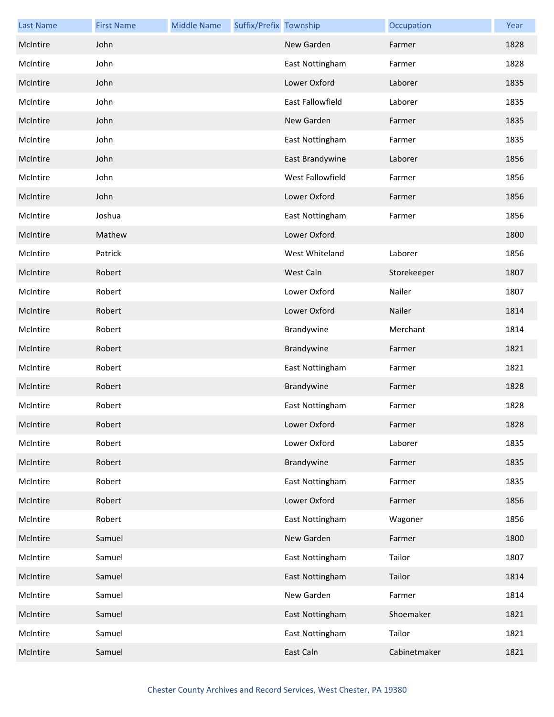| <b>Last Name</b> | <b>First Name</b> | <b>Middle Name</b> | Suffix/Prefix Township |                  | Occupation   | Year |
|------------------|-------------------|--------------------|------------------------|------------------|--------------|------|
| McIntire         | John              |                    |                        | New Garden       | Farmer       | 1828 |
| McIntire         | John              |                    |                        | East Nottingham  | Farmer       | 1828 |
| McIntire         | John              |                    |                        | Lower Oxford     | Laborer      | 1835 |
| McIntire         | John              |                    |                        | East Fallowfield | Laborer      | 1835 |
| McIntire         | John              |                    |                        | New Garden       | Farmer       | 1835 |
| McIntire         | John              |                    |                        | East Nottingham  | Farmer       | 1835 |
| McIntire         | John              |                    |                        | East Brandywine  | Laborer      | 1856 |
| McIntire         | John              |                    |                        | West Fallowfield | Farmer       | 1856 |
| McIntire         | John              |                    |                        | Lower Oxford     | Farmer       | 1856 |
| McIntire         | Joshua            |                    |                        | East Nottingham  | Farmer       | 1856 |
| McIntire         | Mathew            |                    |                        | Lower Oxford     |              | 1800 |
| McIntire         | Patrick           |                    |                        | West Whiteland   | Laborer      | 1856 |
| McIntire         | Robert            |                    |                        | West Caln        | Storekeeper  | 1807 |
| McIntire         | Robert            |                    |                        | Lower Oxford     | Nailer       | 1807 |
| McIntire         | Robert            |                    |                        | Lower Oxford     | Nailer       | 1814 |
| McIntire         | Robert            |                    |                        | Brandywine       | Merchant     | 1814 |
| McIntire         | Robert            |                    |                        | Brandywine       | Farmer       | 1821 |
| McIntire         | Robert            |                    |                        | East Nottingham  | Farmer       | 1821 |
| McIntire         | Robert            |                    |                        | Brandywine       | Farmer       | 1828 |
| McIntire         | Robert            |                    |                        | East Nottingham  | Farmer       | 1828 |
| McIntire         | Robert            |                    |                        | Lower Oxford     | Farmer       | 1828 |
| McIntire         | Robert            |                    |                        | Lower Oxford     | Laborer      | 1835 |
| McIntire         | Robert            |                    |                        | Brandywine       | Farmer       | 1835 |
| McIntire         | Robert            |                    |                        | East Nottingham  | Farmer       | 1835 |
| McIntire         | Robert            |                    |                        | Lower Oxford     | Farmer       | 1856 |
| McIntire         | Robert            |                    |                        | East Nottingham  | Wagoner      | 1856 |
| McIntire         | Samuel            |                    |                        | New Garden       | Farmer       | 1800 |
| McIntire         | Samuel            |                    |                        | East Nottingham  | Tailor       | 1807 |
| McIntire         | Samuel            |                    |                        | East Nottingham  | Tailor       | 1814 |
| McIntire         | Samuel            |                    |                        | New Garden       | Farmer       | 1814 |
| McIntire         | Samuel            |                    |                        | East Nottingham  | Shoemaker    | 1821 |
| McIntire         | Samuel            |                    |                        | East Nottingham  | Tailor       | 1821 |
| McIntire         | Samuel            |                    |                        | East Caln        | Cabinetmaker | 1821 |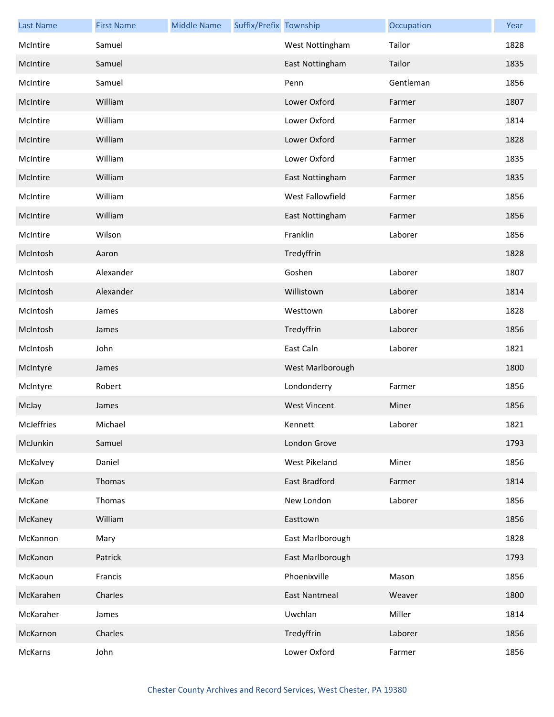| <b>Last Name</b> | <b>First Name</b> | <b>Middle Name</b> | Suffix/Prefix Township |                     | Occupation | Year |
|------------------|-------------------|--------------------|------------------------|---------------------|------------|------|
| McIntire         | Samuel            |                    |                        | West Nottingham     | Tailor     | 1828 |
| McIntire         | Samuel            |                    |                        | East Nottingham     | Tailor     | 1835 |
| McIntire         | Samuel            |                    |                        | Penn                | Gentleman  | 1856 |
| McIntire         | William           |                    |                        | Lower Oxford        | Farmer     | 1807 |
| McIntire         | William           |                    |                        | Lower Oxford        | Farmer     | 1814 |
| McIntire         | William           |                    |                        | Lower Oxford        | Farmer     | 1828 |
| McIntire         | William           |                    |                        | Lower Oxford        | Farmer     | 1835 |
| McIntire         | William           |                    |                        | East Nottingham     | Farmer     | 1835 |
| McIntire         | William           |                    |                        | West Fallowfield    | Farmer     | 1856 |
| McIntire         | William           |                    |                        | East Nottingham     | Farmer     | 1856 |
| McIntire         | Wilson            |                    |                        | Franklin            | Laborer    | 1856 |
| McIntosh         | Aaron             |                    |                        | Tredyffrin          |            | 1828 |
| McIntosh         | Alexander         |                    |                        | Goshen              | Laborer    | 1807 |
| McIntosh         | Alexander         |                    |                        | Willistown          | Laborer    | 1814 |
| McIntosh         | James             |                    |                        | Westtown            | Laborer    | 1828 |
| McIntosh         | James             |                    |                        | Tredyffrin          | Laborer    | 1856 |
| McIntosh         | John              |                    |                        | East Caln           | Laborer    | 1821 |
| McIntyre         | James             |                    |                        | West Marlborough    |            | 1800 |
| McIntyre         | Robert            |                    |                        | Londonderry         | Farmer     | 1856 |
| McJay            | James             |                    |                        | <b>West Vincent</b> | Miner      | 1856 |
| McJeffries       | Michael           |                    |                        | Kennett             | Laborer    | 1821 |
| McJunkin         | Samuel            |                    |                        | London Grove        |            | 1793 |
| McKalvey         | Daniel            |                    |                        | West Pikeland       | Miner      | 1856 |
| McKan            | Thomas            |                    |                        | East Bradford       | Farmer     | 1814 |
| McKane           | Thomas            |                    |                        | New London          | Laborer    | 1856 |
| McKaney          | William           |                    |                        | Easttown            |            | 1856 |
| McKannon         | Mary              |                    |                        | East Marlborough    |            | 1828 |
| McKanon          | Patrick           |                    |                        | East Marlborough    |            | 1793 |
| McKaoun          | Francis           |                    |                        | Phoenixville        | Mason      | 1856 |
| McKarahen        | Charles           |                    |                        | East Nantmeal       | Weaver     | 1800 |
| McKaraher        | James             |                    |                        | Uwchlan             | Miller     | 1814 |
| McKarnon         | Charles           |                    |                        | Tredyffrin          | Laborer    | 1856 |
| McKarns          | John              |                    |                        | Lower Oxford        | Farmer     | 1856 |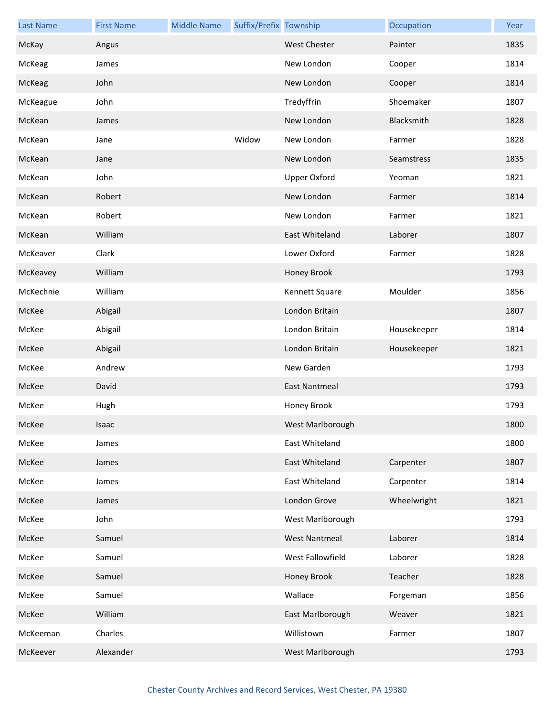| <b>Last Name</b> | <b>First Name</b> | <b>Middle Name</b> | Suffix/Prefix Township |                      | Occupation  | Year |
|------------------|-------------------|--------------------|------------------------|----------------------|-------------|------|
| McKay            | Angus             |                    |                        | <b>West Chester</b>  | Painter     | 1835 |
| McKeag           | James             |                    |                        | New London           | Cooper      | 1814 |
| McKeag           | John              |                    |                        | New London           | Cooper      | 1814 |
| McKeague         | John              |                    |                        | Tredyffrin           | Shoemaker   | 1807 |
| McKean           | James             |                    |                        | New London           | Blacksmith  | 1828 |
| McKean           | Jane              |                    | Widow                  | New London           | Farmer      | 1828 |
| McKean           | Jane              |                    |                        | New London           | Seamstress  | 1835 |
| McKean           | John              |                    |                        | <b>Upper Oxford</b>  | Yeoman      | 1821 |
| McKean           | Robert            |                    |                        | New London           | Farmer      | 1814 |
| McKean           | Robert            |                    |                        | New London           | Farmer      | 1821 |
| McKean           | William           |                    |                        | East Whiteland       | Laborer     | 1807 |
| McKeaver         | Clark             |                    |                        | Lower Oxford         | Farmer      | 1828 |
| McKeavey         | William           |                    |                        | Honey Brook          |             | 1793 |
| McKechnie        | William           |                    |                        | Kennett Square       | Moulder     | 1856 |
| McKee            | Abigail           |                    |                        | London Britain       |             | 1807 |
| McKee            | Abigail           |                    |                        | London Britain       | Housekeeper | 1814 |
| McKee            | Abigail           |                    |                        | London Britain       | Housekeeper | 1821 |
| McKee            | Andrew            |                    |                        | New Garden           |             | 1793 |
| McKee            | David             |                    |                        | <b>East Nantmeal</b> |             | 1793 |
| McKee            | Hugh              |                    |                        | Honey Brook          |             | 1793 |
| McKee            | Isaac             |                    |                        | West Marlborough     |             | 1800 |
| McKee            | James             |                    |                        | East Whiteland       |             | 1800 |
| McKee            | James             |                    |                        | East Whiteland       | Carpenter   | 1807 |
| McKee            | James             |                    |                        | East Whiteland       | Carpenter   | 1814 |
| McKee            | James             |                    |                        | London Grove         | Wheelwright | 1821 |
| McKee            | John              |                    |                        | West Marlborough     |             | 1793 |
| McKee            | Samuel            |                    |                        | <b>West Nantmeal</b> | Laborer     | 1814 |
| McKee            | Samuel            |                    |                        | West Fallowfield     | Laborer     | 1828 |
| McKee            | Samuel            |                    |                        | Honey Brook          | Teacher     | 1828 |
| McKee            | Samuel            |                    |                        | Wallace              | Forgeman    | 1856 |
| McKee            | William           |                    |                        | East Marlborough     | Weaver      | 1821 |
| McKeeman         | Charles           |                    |                        | Willistown           | Farmer      | 1807 |
| McKeever         | Alexander         |                    |                        | West Marlborough     |             | 1793 |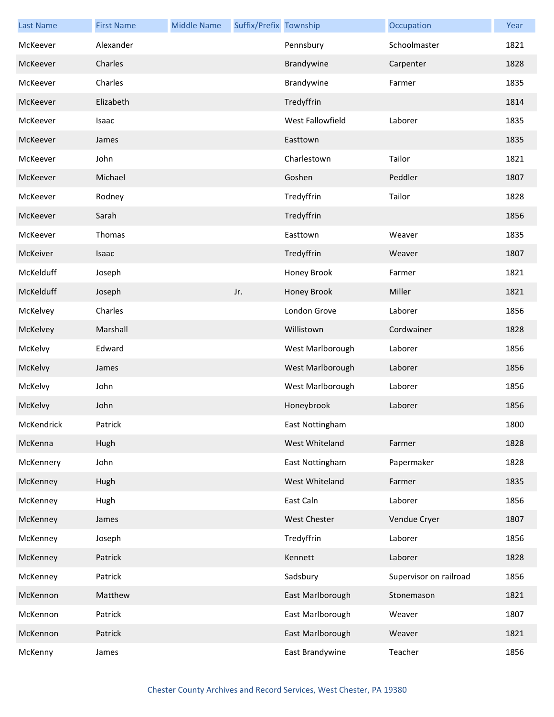| <b>Last Name</b> | <b>First Name</b> | <b>Middle Name</b> | Suffix/Prefix Township |                     | Occupation             | Year |
|------------------|-------------------|--------------------|------------------------|---------------------|------------------------|------|
| McKeever         | Alexander         |                    |                        | Pennsbury           | Schoolmaster           | 1821 |
| McKeever         | Charles           |                    |                        | Brandywine          | Carpenter              | 1828 |
| McKeever         | Charles           |                    |                        | Brandywine          | Farmer                 | 1835 |
| McKeever         | Elizabeth         |                    |                        | Tredyffrin          |                        | 1814 |
| McKeever         | Isaac             |                    |                        | West Fallowfield    | Laborer                | 1835 |
| McKeever         | James             |                    |                        | Easttown            |                        | 1835 |
| McKeever         | John              |                    |                        | Charlestown         | Tailor                 | 1821 |
| McKeever         | Michael           |                    |                        | Goshen              | Peddler                | 1807 |
| McKeever         | Rodney            |                    |                        | Tredyffrin          | Tailor                 | 1828 |
| McKeever         | Sarah             |                    |                        | Tredyffrin          |                        | 1856 |
| McKeever         | Thomas            |                    |                        | Easttown            | Weaver                 | 1835 |
| McKeiver         | Isaac             |                    |                        | Tredyffrin          | Weaver                 | 1807 |
| McKelduff        | Joseph            |                    |                        | Honey Brook         | Farmer                 | 1821 |
| McKelduff        | Joseph            |                    | Jr.                    | Honey Brook         | Miller                 | 1821 |
| McKelvey         | Charles           |                    |                        | London Grove        | Laborer                | 1856 |
| McKelvey         | Marshall          |                    |                        | Willistown          | Cordwainer             | 1828 |
| McKelvy          | Edward            |                    |                        | West Marlborough    | Laborer                | 1856 |
| McKelvy          | James             |                    |                        | West Marlborough    | Laborer                | 1856 |
| McKelvy          | John              |                    |                        | West Marlborough    | Laborer                | 1856 |
| McKelvy          | John              |                    |                        | Honeybrook          | Laborer                | 1856 |
| McKendrick       | Patrick           |                    |                        | East Nottingham     |                        | 1800 |
| McKenna          | Hugh              |                    |                        | West Whiteland      | Farmer                 | 1828 |
| McKennery        | John              |                    |                        | East Nottingham     | Papermaker             | 1828 |
| McKenney         | Hugh              |                    |                        | West Whiteland      | Farmer                 | 1835 |
| McKenney         | Hugh              |                    |                        | East Caln           | Laborer                | 1856 |
| McKenney         | James             |                    |                        | <b>West Chester</b> | Vendue Cryer           | 1807 |
| McKenney         | Joseph            |                    |                        | Tredyffrin          | Laborer                | 1856 |
| McKenney         | Patrick           |                    |                        | Kennett             | Laborer                | 1828 |
| McKenney         | Patrick           |                    |                        | Sadsbury            | Supervisor on railroad | 1856 |
| McKennon         | Matthew           |                    |                        | East Marlborough    | Stonemason             | 1821 |
| McKennon         | Patrick           |                    |                        | East Marlborough    | Weaver                 | 1807 |
| McKennon         | Patrick           |                    |                        | East Marlborough    | Weaver                 | 1821 |
| McKenny          | James             |                    |                        | East Brandywine     | Teacher                | 1856 |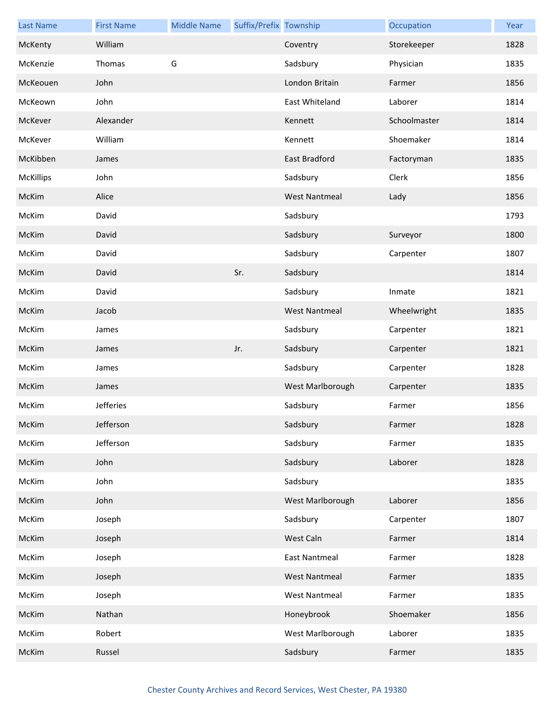| <b>Last Name</b> | <b>First Name</b> | <b>Middle Name</b> | Suffix/Prefix Township |                      | Occupation   | Year |
|------------------|-------------------|--------------------|------------------------|----------------------|--------------|------|
| McKenty          | William           |                    |                        | Coventry             | Storekeeper  | 1828 |
| McKenzie         | Thomas            | G                  |                        | Sadsbury             | Physician    | 1835 |
| McKeouen         | John              |                    |                        | London Britain       | Farmer       | 1856 |
| McKeown          | John              |                    |                        | East Whiteland       | Laborer      | 1814 |
| McKever          | Alexander         |                    |                        | Kennett              | Schoolmaster | 1814 |
| McKever          | William           |                    |                        | Kennett              | Shoemaker    | 1814 |
| McKibben         | James             |                    |                        | East Bradford        | Factoryman   | 1835 |
| <b>McKillips</b> | John              |                    |                        | Sadsbury             | Clerk        | 1856 |
| McKim            | Alice             |                    |                        | <b>West Nantmeal</b> | Lady         | 1856 |
| McKim            | David             |                    |                        | Sadsbury             |              | 1793 |
| McKim            | David             |                    |                        | Sadsbury             | Surveyor     | 1800 |
| McKim            | David             |                    |                        | Sadsbury             | Carpenter    | 1807 |
| McKim            | David             |                    | Sr.                    | Sadsbury             |              | 1814 |
| McKim            | David             |                    |                        | Sadsbury             | Inmate       | 1821 |
| McKim            | Jacob             |                    |                        | <b>West Nantmeal</b> | Wheelwright  | 1835 |
| McKim            | James             |                    |                        | Sadsbury             | Carpenter    | 1821 |
| McKim            | James             |                    | Jr.                    | Sadsbury             | Carpenter    | 1821 |
| McKim            | James             |                    |                        | Sadsbury             | Carpenter    | 1828 |
| McKim            | James             |                    |                        | West Marlborough     | Carpenter    | 1835 |
| McKim            | <b>Jefferies</b>  |                    |                        | Sadsbury             | Farmer       | 1856 |
| McKim            | Jefferson         |                    |                        | Sadsbury             | Farmer       | 1828 |
| McKim            | Jefferson         |                    |                        | Sadsbury             | Farmer       | 1835 |
| McKim            | John              |                    |                        | Sadsbury             | Laborer      | 1828 |
| McKim            | John              |                    |                        | Sadsbury             |              | 1835 |
| McKim            | John              |                    |                        | West Marlborough     | Laborer      | 1856 |
| McKim            | Joseph            |                    |                        | Sadsbury             | Carpenter    | 1807 |
| McKim            | Joseph            |                    |                        | West Caln            | Farmer       | 1814 |
| McKim            | Joseph            |                    |                        | <b>East Nantmeal</b> | Farmer       | 1828 |
| McKim            | Joseph            |                    |                        | <b>West Nantmeal</b> | Farmer       | 1835 |
| McKim            | Joseph            |                    |                        | <b>West Nantmeal</b> | Farmer       | 1835 |
| McKim            | Nathan            |                    |                        | Honeybrook           | Shoemaker    | 1856 |
| McKim            | Robert            |                    |                        | West Marlborough     | Laborer      | 1835 |
| McKim            | Russel            |                    |                        | Sadsbury             | Farmer       | 1835 |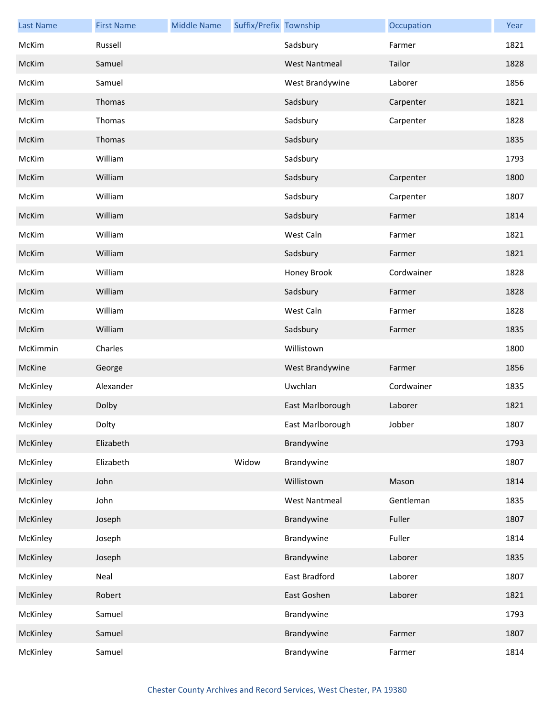| <b>Last Name</b> | <b>First Name</b> | <b>Middle Name</b> | Suffix/Prefix Township |                      | Occupation | Year |
|------------------|-------------------|--------------------|------------------------|----------------------|------------|------|
| McKim            | Russell           |                    |                        | Sadsbury             | Farmer     | 1821 |
| McKim            | Samuel            |                    |                        | <b>West Nantmeal</b> | Tailor     | 1828 |
| McKim            | Samuel            |                    |                        | West Brandywine      | Laborer    | 1856 |
| McKim            | Thomas            |                    |                        | Sadsbury             | Carpenter  | 1821 |
| McKim            | Thomas            |                    |                        | Sadsbury             | Carpenter  | 1828 |
| McKim            | Thomas            |                    |                        | Sadsbury             |            | 1835 |
| McKim            | William           |                    |                        | Sadsbury             |            | 1793 |
| McKim            | William           |                    |                        | Sadsbury             | Carpenter  | 1800 |
| McKim            | William           |                    |                        | Sadsbury             | Carpenter  | 1807 |
| McKim            | William           |                    |                        | Sadsbury             | Farmer     | 1814 |
| McKim            | William           |                    |                        | West Caln            | Farmer     | 1821 |
| McKim            | William           |                    |                        | Sadsbury             | Farmer     | 1821 |
| McKim            | William           |                    |                        | Honey Brook          | Cordwainer | 1828 |
| McKim            | William           |                    |                        | Sadsbury             | Farmer     | 1828 |
| McKim            | William           |                    |                        | West Caln            | Farmer     | 1828 |
| McKim            | William           |                    |                        | Sadsbury             | Farmer     | 1835 |
| McKimmin         | Charles           |                    |                        | Willistown           |            | 1800 |
| McKine           | George            |                    |                        | West Brandywine      | Farmer     | 1856 |
| McKinley         | Alexander         |                    |                        | Uwchlan              | Cordwainer | 1835 |
| McKinley         | Dolby             |                    |                        | East Marlborough     | Laborer    | 1821 |
| McKinley         | Dolty             |                    |                        | East Marlborough     | Jobber     | 1807 |
| McKinley         | Elizabeth         |                    |                        | Brandywine           |            | 1793 |
| McKinley         | Elizabeth         |                    | Widow                  | Brandywine           |            | 1807 |
| McKinley         | John              |                    |                        | Willistown           | Mason      | 1814 |
| McKinley         | John              |                    |                        | <b>West Nantmeal</b> | Gentleman  | 1835 |
| McKinley         | Joseph            |                    |                        | Brandywine           | Fuller     | 1807 |
| McKinley         | Joseph            |                    |                        | Brandywine           | Fuller     | 1814 |
| McKinley         | Joseph            |                    |                        | Brandywine           | Laborer    | 1835 |
| McKinley         | Neal              |                    |                        | East Bradford        | Laborer    | 1807 |
| McKinley         | Robert            |                    |                        | East Goshen          | Laborer    | 1821 |
| McKinley         | Samuel            |                    |                        | Brandywine           |            | 1793 |
| McKinley         | Samuel            |                    |                        | Brandywine           | Farmer     | 1807 |
| McKinley         | Samuel            |                    |                        | Brandywine           | Farmer     | 1814 |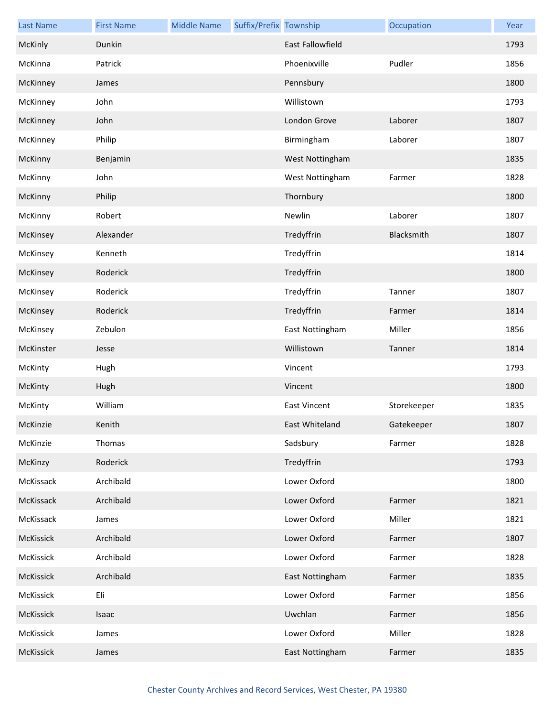| <b>Last Name</b> | <b>First Name</b> | <b>Middle Name</b> | Suffix/Prefix Township |                         | Occupation  | Year |
|------------------|-------------------|--------------------|------------------------|-------------------------|-------------|------|
| McKinly          | Dunkin            |                    |                        | <b>East Fallowfield</b> |             | 1793 |
| McKinna          | Patrick           |                    |                        | Phoenixville            | Pudler      | 1856 |
| McKinney         | James             |                    |                        | Pennsbury               |             | 1800 |
| McKinney         | John              |                    |                        | Willistown              |             | 1793 |
| McKinney         | John              |                    |                        | London Grove            | Laborer     | 1807 |
| McKinney         | Philip            |                    |                        | Birmingham              | Laborer     | 1807 |
| McKinny          | Benjamin          |                    |                        | West Nottingham         |             | 1835 |
| McKinny          | John              |                    |                        | West Nottingham         | Farmer      | 1828 |
| McKinny          | Philip            |                    |                        | Thornbury               |             | 1800 |
| McKinny          | Robert            |                    |                        | Newlin                  | Laborer     | 1807 |
| McKinsey         | Alexander         |                    |                        | Tredyffrin              | Blacksmith  | 1807 |
| McKinsey         | Kenneth           |                    |                        | Tredyffrin              |             | 1814 |
| McKinsey         | Roderick          |                    |                        | Tredyffrin              |             | 1800 |
| McKinsey         | Roderick          |                    |                        | Tredyffrin              | Tanner      | 1807 |
| McKinsey         | Roderick          |                    |                        | Tredyffrin              | Farmer      | 1814 |
| McKinsey         | Zebulon           |                    |                        | East Nottingham         | Miller      | 1856 |
| McKinster        | Jesse             |                    |                        | Willistown              | Tanner      | 1814 |
| McKinty          | Hugh              |                    |                        | Vincent                 |             | 1793 |
| McKinty          | Hugh              |                    |                        | Vincent                 |             | 1800 |
| McKinty          | William           |                    |                        | <b>East Vincent</b>     | Storekeeper | 1835 |
| McKinzie         | Kenith            |                    |                        | East Whiteland          | Gatekeeper  | 1807 |
| McKinzie         | Thomas            |                    |                        | Sadsbury                | Farmer      | 1828 |
| McKinzy          | Roderick          |                    |                        | Tredyffrin              |             | 1793 |
| McKissack        | Archibald         |                    |                        | Lower Oxford            |             | 1800 |
| McKissack        | Archibald         |                    |                        | Lower Oxford            | Farmer      | 1821 |
| McKissack        | James             |                    |                        | Lower Oxford            | Miller      | 1821 |
| McKissick        | Archibald         |                    |                        | Lower Oxford            | Farmer      | 1807 |
| McKissick        | Archibald         |                    |                        | Lower Oxford            | Farmer      | 1828 |
| McKissick        | Archibald         |                    |                        | East Nottingham         | Farmer      | 1835 |
| McKissick        | Eli               |                    |                        | Lower Oxford            | Farmer      | 1856 |
| McKissick        | Isaac             |                    |                        | Uwchlan                 | Farmer      | 1856 |
| McKissick        | James             |                    |                        | Lower Oxford            | Miller      | 1828 |
| McKissick        | James             |                    |                        | East Nottingham         | Farmer      | 1835 |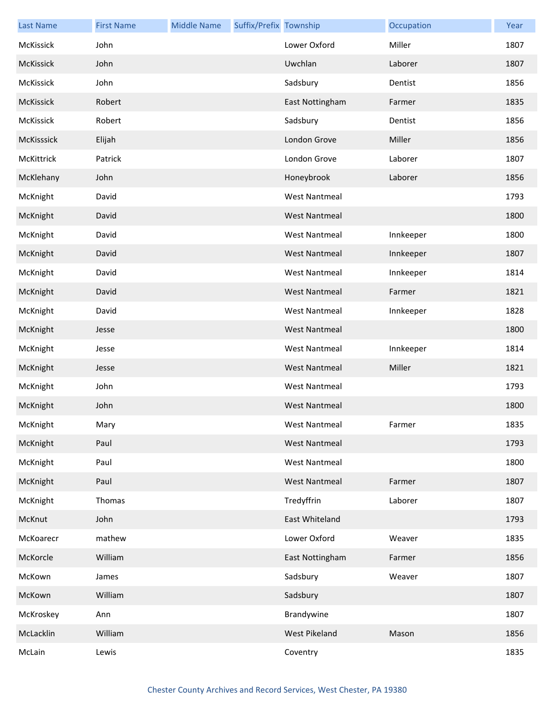| <b>Last Name</b> | <b>First Name</b> | <b>Middle Name</b> | Suffix/Prefix Township |                      | Occupation | Year |
|------------------|-------------------|--------------------|------------------------|----------------------|------------|------|
| McKissick        | John              |                    |                        | Lower Oxford         | Miller     | 1807 |
| McKissick        | John              |                    |                        | Uwchlan              | Laborer    | 1807 |
| McKissick        | John              |                    |                        | Sadsbury             | Dentist    | 1856 |
| McKissick        | Robert            |                    |                        | East Nottingham      | Farmer     | 1835 |
| McKissick        | Robert            |                    |                        | Sadsbury             | Dentist    | 1856 |
| McKisssick       | Elijah            |                    |                        | London Grove         | Miller     | 1856 |
| McKittrick       | Patrick           |                    |                        | London Grove         | Laborer    | 1807 |
| McKlehany        | John              |                    |                        | Honeybrook           | Laborer    | 1856 |
| McKnight         | David             |                    |                        | <b>West Nantmeal</b> |            | 1793 |
| McKnight         | David             |                    |                        | <b>West Nantmeal</b> |            | 1800 |
| McKnight         | David             |                    |                        | <b>West Nantmeal</b> | Innkeeper  | 1800 |
| McKnight         | David             |                    |                        | <b>West Nantmeal</b> | Innkeeper  | 1807 |
| McKnight         | David             |                    |                        | <b>West Nantmeal</b> | Innkeeper  | 1814 |
| McKnight         | David             |                    |                        | <b>West Nantmeal</b> | Farmer     | 1821 |
| McKnight         | David             |                    |                        | <b>West Nantmeal</b> | Innkeeper  | 1828 |
| McKnight         | Jesse             |                    |                        | <b>West Nantmeal</b> |            | 1800 |
| McKnight         | Jesse             |                    |                        | <b>West Nantmeal</b> | Innkeeper  | 1814 |
| McKnight         | Jesse             |                    |                        | <b>West Nantmeal</b> | Miller     | 1821 |
| McKnight         | John              |                    |                        | <b>West Nantmeal</b> |            | 1793 |
| McKnight         | John              |                    |                        | <b>West Nantmeal</b> |            | 1800 |
| McKnight         | Mary              |                    |                        | West Nantmeal        | Farmer     | 1835 |
| McKnight         | Paul              |                    |                        | <b>West Nantmeal</b> |            | 1793 |
| McKnight         | Paul              |                    |                        | <b>West Nantmeal</b> |            | 1800 |
| McKnight         | Paul              |                    |                        | <b>West Nantmeal</b> | Farmer     | 1807 |
| McKnight         | Thomas            |                    |                        | Tredyffrin           | Laborer    | 1807 |
| McKnut           | John              |                    |                        | East Whiteland       |            | 1793 |
| McKoarecr        | mathew            |                    |                        | Lower Oxford         | Weaver     | 1835 |
| McKorcle         | William           |                    |                        | East Nottingham      | Farmer     | 1856 |
| McKown           | James             |                    |                        | Sadsbury             | Weaver     | 1807 |
| McKown           | William           |                    |                        | Sadsbury             |            | 1807 |
| McKroskey        | Ann               |                    |                        | Brandywine           |            | 1807 |
| McLacklin        | William           |                    |                        | West Pikeland        | Mason      | 1856 |
| McLain           | Lewis             |                    |                        | Coventry             |            | 1835 |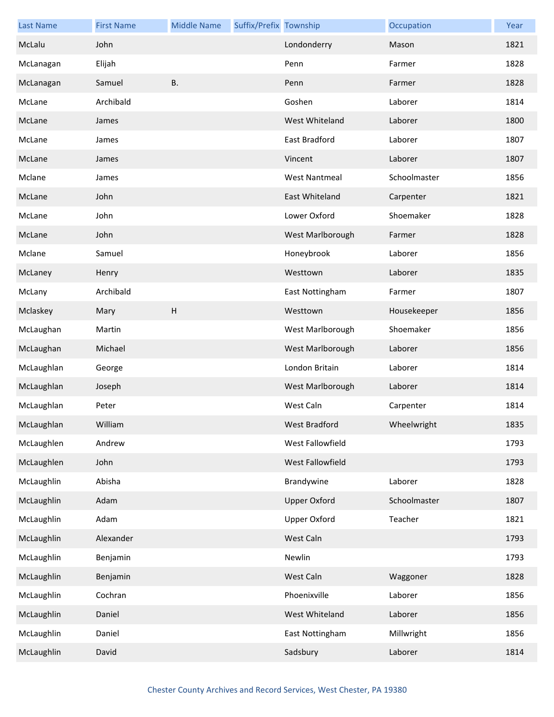| <b>Last Name</b> | <b>First Name</b> | <b>Middle Name</b> | Suffix/Prefix Township |                      | Occupation   | Year |
|------------------|-------------------|--------------------|------------------------|----------------------|--------------|------|
| McLalu           | John              |                    |                        | Londonderry          | Mason        | 1821 |
| McLanagan        | Elijah            |                    |                        | Penn                 | Farmer       | 1828 |
| McLanagan        | Samuel            | B.                 |                        | Penn                 | Farmer       | 1828 |
| McLane           | Archibald         |                    |                        | Goshen               | Laborer      | 1814 |
| McLane           | James             |                    |                        | West Whiteland       | Laborer      | 1800 |
| McLane           | James             |                    |                        | East Bradford        | Laborer      | 1807 |
| McLane           | James             |                    |                        | Vincent              | Laborer      | 1807 |
| Mclane           | James             |                    |                        | <b>West Nantmeal</b> | Schoolmaster | 1856 |
| McLane           | John              |                    |                        | East Whiteland       | Carpenter    | 1821 |
| McLane           | John              |                    |                        | Lower Oxford         | Shoemaker    | 1828 |
| McLane           | John              |                    |                        | West Marlborough     | Farmer       | 1828 |
| Mclane           | Samuel            |                    |                        | Honeybrook           | Laborer      | 1856 |
| McLaney          | Henry             |                    |                        | Westtown             | Laborer      | 1835 |
| McLany           | Archibald         |                    |                        | East Nottingham      | Farmer       | 1807 |
| Mclaskey         | Mary              | H                  |                        | Westtown             | Housekeeper  | 1856 |
| McLaughan        | Martin            |                    |                        | West Marlborough     | Shoemaker    | 1856 |
| McLaughan        | Michael           |                    |                        | West Marlborough     | Laborer      | 1856 |
| McLaughlan       | George            |                    |                        | London Britain       | Laborer      | 1814 |
| McLaughlan       | Joseph            |                    |                        | West Marlborough     | Laborer      | 1814 |
| McLaughlan       | Peter             |                    |                        | West Caln            | Carpenter    | 1814 |
| McLaughlan       | William           |                    |                        | West Bradford        | Wheelwright  | 1835 |
| McLaughlen       | Andrew            |                    |                        | West Fallowfield     |              | 1793 |
| McLaughlen       | John              |                    |                        | West Fallowfield     |              | 1793 |
| McLaughlin       | Abisha            |                    |                        | Brandywine           | Laborer      | 1828 |
| McLaughlin       | Adam              |                    |                        | <b>Upper Oxford</b>  | Schoolmaster | 1807 |
| McLaughlin       | Adam              |                    |                        | <b>Upper Oxford</b>  | Teacher      | 1821 |
| McLaughlin       | Alexander         |                    |                        | West Caln            |              | 1793 |
| McLaughlin       | Benjamin          |                    |                        | Newlin               |              | 1793 |
| McLaughlin       | Benjamin          |                    |                        | West Caln            | Waggoner     | 1828 |
| McLaughlin       | Cochran           |                    |                        | Phoenixville         | Laborer      | 1856 |
| McLaughlin       | Daniel            |                    |                        | West Whiteland       | Laborer      | 1856 |
| McLaughlin       | Daniel            |                    |                        | East Nottingham      | Millwright   | 1856 |
| McLaughlin       | David             |                    |                        | Sadsbury             | Laborer      | 1814 |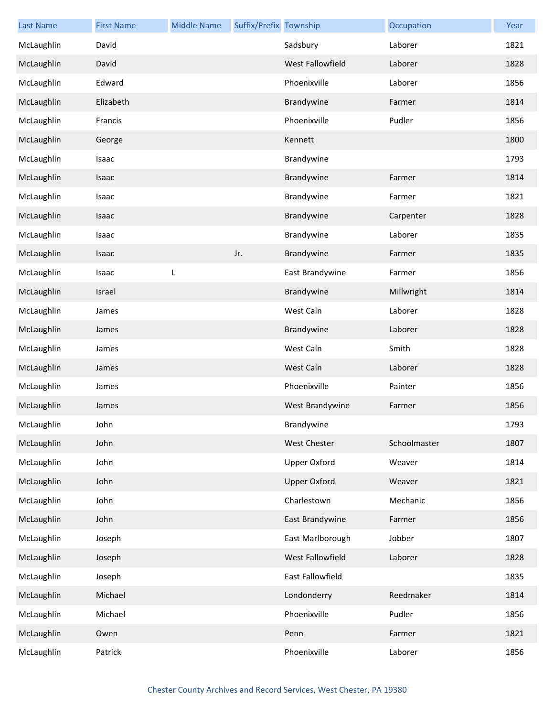| <b>Last Name</b> | <b>First Name</b> | <b>Middle Name</b> | Suffix/Prefix Township |                     | Occupation   | Year |
|------------------|-------------------|--------------------|------------------------|---------------------|--------------|------|
| McLaughlin       | David             |                    |                        | Sadsbury            | Laborer      | 1821 |
| McLaughlin       | David             |                    |                        | West Fallowfield    | Laborer      | 1828 |
| McLaughlin       | Edward            |                    |                        | Phoenixville        | Laborer      | 1856 |
| McLaughlin       | Elizabeth         |                    |                        | Brandywine          | Farmer       | 1814 |
| McLaughlin       | Francis           |                    |                        | Phoenixville        | Pudler       | 1856 |
| McLaughlin       | George            |                    |                        | Kennett             |              | 1800 |
| McLaughlin       | Isaac             |                    |                        | Brandywine          |              | 1793 |
| McLaughlin       | Isaac             |                    |                        | Brandywine          | Farmer       | 1814 |
| McLaughlin       | Isaac             |                    |                        | Brandywine          | Farmer       | 1821 |
| McLaughlin       | Isaac             |                    |                        | Brandywine          | Carpenter    | 1828 |
| McLaughlin       | Isaac             |                    |                        | Brandywine          | Laborer      | 1835 |
| McLaughlin       | Isaac             |                    | Jr.                    | Brandywine          | Farmer       | 1835 |
| McLaughlin       | Isaac             | L                  |                        | East Brandywine     | Farmer       | 1856 |
| McLaughlin       | Israel            |                    |                        | Brandywine          | Millwright   | 1814 |
| McLaughlin       | James             |                    |                        | West Caln           | Laborer      | 1828 |
| McLaughlin       | James             |                    |                        | Brandywine          | Laborer      | 1828 |
| McLaughlin       | James             |                    |                        | West Caln           | Smith        | 1828 |
| McLaughlin       | James             |                    |                        | West Caln           | Laborer      | 1828 |
| McLaughlin       | James             |                    |                        | Phoenixville        | Painter      | 1856 |
| McLaughlin       | James             |                    |                        | West Brandywine     | Farmer       | 1856 |
| McLaughlin       | John              |                    |                        | Brandywine          |              | 1793 |
| McLaughlin       | John              |                    |                        | <b>West Chester</b> | Schoolmaster | 1807 |
| McLaughlin       | John              |                    |                        | <b>Upper Oxford</b> | Weaver       | 1814 |
| McLaughlin       | John              |                    |                        | <b>Upper Oxford</b> | Weaver       | 1821 |
| McLaughlin       | John              |                    |                        | Charlestown         | Mechanic     | 1856 |
| McLaughlin       | John              |                    |                        | East Brandywine     | Farmer       | 1856 |
| McLaughlin       | Joseph            |                    |                        | East Marlborough    | Jobber       | 1807 |
| McLaughlin       | Joseph            |                    |                        | West Fallowfield    | Laborer      | 1828 |
| McLaughlin       | Joseph            |                    |                        | East Fallowfield    |              | 1835 |
| McLaughlin       | Michael           |                    |                        | Londonderry         | Reedmaker    | 1814 |
| McLaughlin       | Michael           |                    |                        | Phoenixville        | Pudler       | 1856 |
| McLaughlin       | Owen              |                    |                        | Penn                | Farmer       | 1821 |
| McLaughlin       | Patrick           |                    |                        | Phoenixville        | Laborer      | 1856 |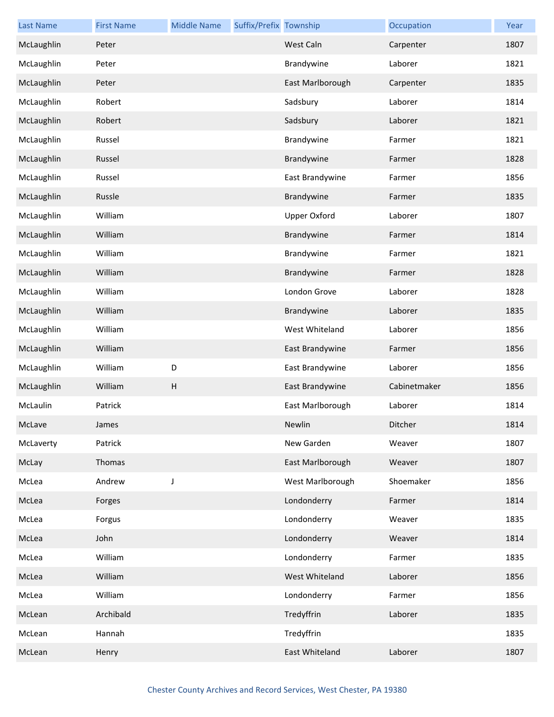| <b>Last Name</b> | <b>First Name</b> | <b>Middle Name</b> | Suffix/Prefix Township |                     | Occupation   | Year |
|------------------|-------------------|--------------------|------------------------|---------------------|--------------|------|
| McLaughlin       | Peter             |                    |                        | West Caln           | Carpenter    | 1807 |
| McLaughlin       | Peter             |                    |                        | Brandywine          | Laborer      | 1821 |
| McLaughlin       | Peter             |                    |                        | East Marlborough    | Carpenter    | 1835 |
| McLaughlin       | Robert            |                    |                        | Sadsbury            | Laborer      | 1814 |
| McLaughlin       | Robert            |                    |                        | Sadsbury            | Laborer      | 1821 |
| McLaughlin       | Russel            |                    |                        | Brandywine          | Farmer       | 1821 |
| McLaughlin       | Russel            |                    |                        | Brandywine          | Farmer       | 1828 |
| McLaughlin       | Russel            |                    |                        | East Brandywine     | Farmer       | 1856 |
| McLaughlin       | Russle            |                    |                        | Brandywine          | Farmer       | 1835 |
| McLaughlin       | William           |                    |                        | <b>Upper Oxford</b> | Laborer      | 1807 |
| McLaughlin       | William           |                    |                        | Brandywine          | Farmer       | 1814 |
| McLaughlin       | William           |                    |                        | Brandywine          | Farmer       | 1821 |
| McLaughlin       | William           |                    |                        | Brandywine          | Farmer       | 1828 |
| McLaughlin       | William           |                    |                        | London Grove        | Laborer      | 1828 |
| McLaughlin       | William           |                    |                        | Brandywine          | Laborer      | 1835 |
| McLaughlin       | William           |                    |                        | West Whiteland      | Laborer      | 1856 |
| McLaughlin       | William           |                    |                        | East Brandywine     | Farmer       | 1856 |
| McLaughlin       | William           | D                  |                        | East Brandywine     | Laborer      | 1856 |
| McLaughlin       | William           | H                  |                        | East Brandywine     | Cabinetmaker | 1856 |
| McLaulin         | Patrick           |                    |                        | East Marlborough    | Laborer      | 1814 |
| McLave           | James             |                    |                        | Newlin              | Ditcher      | 1814 |
| McLaverty        | Patrick           |                    |                        | New Garden          | Weaver       | 1807 |
| McLay            | Thomas            |                    |                        | East Marlborough    | Weaver       | 1807 |
| McLea            | Andrew            | $\mathsf J$        |                        | West Marlborough    | Shoemaker    | 1856 |
| McLea            | Forges            |                    |                        | Londonderry         | Farmer       | 1814 |
| McLea            | Forgus            |                    |                        | Londonderry         | Weaver       | 1835 |
| McLea            | John              |                    |                        | Londonderry         | Weaver       | 1814 |
| McLea            | William           |                    |                        | Londonderry         | Farmer       | 1835 |
| McLea            | William           |                    |                        | West Whiteland      | Laborer      | 1856 |
| McLea            | William           |                    |                        | Londonderry         | Farmer       | 1856 |
| McLean           | Archibald         |                    |                        | Tredyffrin          | Laborer      | 1835 |
| McLean           | Hannah            |                    |                        | Tredyffrin          |              | 1835 |
| McLean           | Henry             |                    |                        | East Whiteland      | Laborer      | 1807 |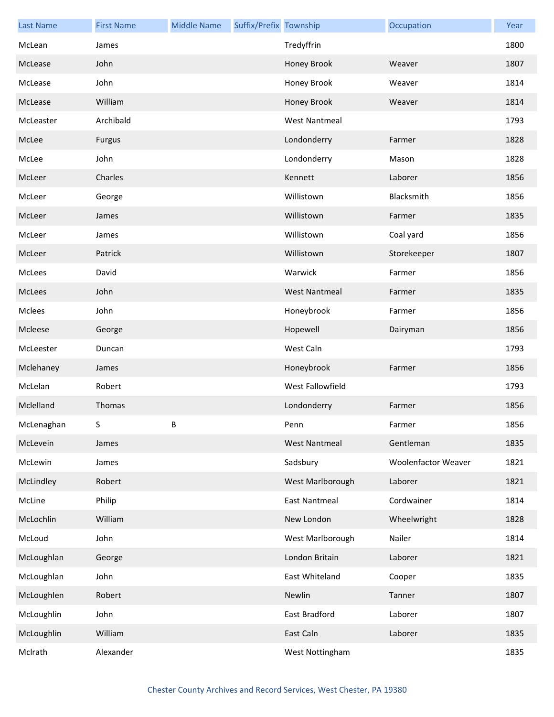| <b>Last Name</b> | <b>First Name</b> | <b>Middle Name</b> | Suffix/Prefix Township |                      | Occupation                 | Year |
|------------------|-------------------|--------------------|------------------------|----------------------|----------------------------|------|
| McLean           | James             |                    |                        | Tredyffrin           |                            | 1800 |
| McLease          | John              |                    |                        | Honey Brook          | Weaver                     | 1807 |
| McLease          | John              |                    |                        | Honey Brook          | Weaver                     | 1814 |
| McLease          | William           |                    |                        | Honey Brook          | Weaver                     | 1814 |
| McLeaster        | Archibald         |                    |                        | <b>West Nantmeal</b> |                            | 1793 |
| McLee            | Furgus            |                    |                        | Londonderry          | Farmer                     | 1828 |
| McLee            | John              |                    |                        | Londonderry          | Mason                      | 1828 |
| McLeer           | Charles           |                    |                        | Kennett              | Laborer                    | 1856 |
| McLeer           | George            |                    |                        | Willistown           | Blacksmith                 | 1856 |
| McLeer           | James             |                    |                        | Willistown           | Farmer                     | 1835 |
| McLeer           | James             |                    |                        | Willistown           | Coal yard                  | 1856 |
| McLeer           | Patrick           |                    |                        | Willistown           | Storekeeper                | 1807 |
| McLees           | David             |                    |                        | Warwick              | Farmer                     | 1856 |
| McLees           | John              |                    |                        | <b>West Nantmeal</b> | Farmer                     | 1835 |
| Mclees           | John              |                    |                        | Honeybrook           | Farmer                     | 1856 |
| Mcleese          | George            |                    |                        | Hopewell             | Dairyman                   | 1856 |
| McLeester        | Duncan            |                    |                        | West Caln            |                            | 1793 |
| Mclehaney        | James             |                    |                        | Honeybrook           | Farmer                     | 1856 |
| McLelan          | Robert            |                    |                        | West Fallowfield     |                            | 1793 |
| Mclelland        | Thomas            |                    |                        | Londonderry          | Farmer                     | 1856 |
| McLenaghan       | ς.                | B                  |                        | Penn                 | Farmer                     | 1856 |
| McLevein         | James             |                    |                        | <b>West Nantmeal</b> | Gentleman                  | 1835 |
| McLewin          | James             |                    |                        | Sadsbury             | <b>Woolenfactor Weaver</b> | 1821 |
| McLindley        | Robert            |                    |                        | West Marlborough     | Laborer                    | 1821 |
| McLine           | Philip            |                    |                        | <b>East Nantmeal</b> | Cordwainer                 | 1814 |
| McLochlin        | William           |                    |                        | New London           | Wheelwright                | 1828 |
| McLoud           | John              |                    |                        | West Marlborough     | Nailer                     | 1814 |
| McLoughlan       | George            |                    |                        | London Britain       | Laborer                    | 1821 |
| McLoughlan       | John              |                    |                        | East Whiteland       | Cooper                     | 1835 |
| McLoughlen       | Robert            |                    |                        | Newlin               | Tanner                     | 1807 |
| McLoughlin       | John              |                    |                        | East Bradford        | Laborer                    | 1807 |
| McLoughlin       | William           |                    |                        | East Caln            | Laborer                    | 1835 |
| McIrath          | Alexander         |                    |                        | West Nottingham      |                            | 1835 |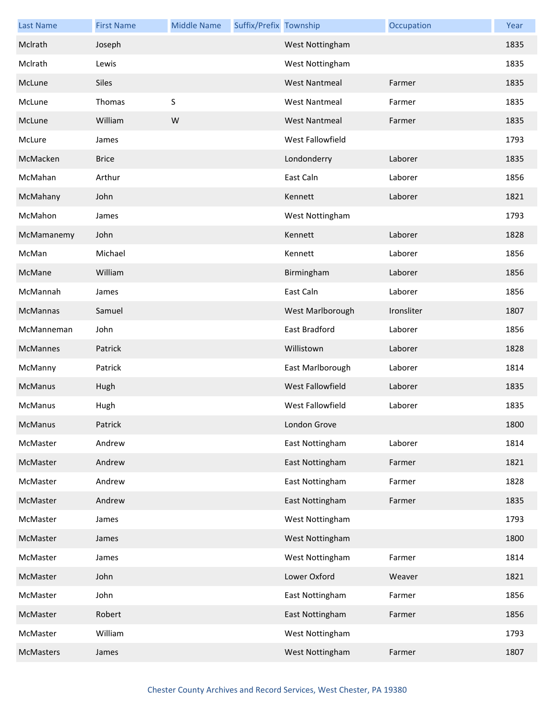| <b>Last Name</b> | <b>First Name</b> | <b>Middle Name</b> | Suffix/Prefix Township |                      | Occupation | Year |
|------------------|-------------------|--------------------|------------------------|----------------------|------------|------|
| McIrath          | Joseph            |                    |                        | West Nottingham      |            | 1835 |
| McIrath          | Lewis             |                    |                        | West Nottingham      |            | 1835 |
| McLune           | Siles             |                    |                        | <b>West Nantmeal</b> | Farmer     | 1835 |
| McLune           | Thomas            | S                  |                        | <b>West Nantmeal</b> | Farmer     | 1835 |
| McLune           | William           | W                  |                        | <b>West Nantmeal</b> | Farmer     | 1835 |
| McLure           | James             |                    |                        | West Fallowfield     |            | 1793 |
| McMacken         | <b>Brice</b>      |                    |                        | Londonderry          | Laborer    | 1835 |
| McMahan          | Arthur            |                    |                        | East Caln            | Laborer    | 1856 |
| McMahany         | John              |                    |                        | Kennett              | Laborer    | 1821 |
| McMahon          | James             |                    |                        | West Nottingham      |            | 1793 |
| McMamanemy       | John              |                    |                        | Kennett              | Laborer    | 1828 |
| McMan            | Michael           |                    |                        | Kennett              | Laborer    | 1856 |
| McMane           | William           |                    |                        | Birmingham           | Laborer    | 1856 |
| McMannah         | James             |                    |                        | East Caln            | Laborer    | 1856 |
| McMannas         | Samuel            |                    |                        | West Marlborough     | Ironsliter | 1807 |
| McManneman       | John              |                    |                        | East Bradford        | Laborer    | 1856 |
| McMannes         | Patrick           |                    |                        | Willistown           | Laborer    | 1828 |
| McManny          | Patrick           |                    |                        | East Marlborough     | Laborer    | 1814 |
| McManus          | Hugh              |                    |                        | West Fallowfield     | Laborer    | 1835 |
| McManus          | Hugh              |                    |                        | West Fallowfield     | Laborer    | 1835 |
| McManus          | Patrick           |                    |                        | London Grove         |            | 1800 |
| McMaster         | Andrew            |                    |                        | East Nottingham      | Laborer    | 1814 |
| McMaster         | Andrew            |                    |                        | East Nottingham      | Farmer     | 1821 |
| McMaster         | Andrew            |                    |                        | East Nottingham      | Farmer     | 1828 |
| McMaster         | Andrew            |                    |                        | East Nottingham      | Farmer     | 1835 |
| McMaster         | James             |                    |                        | West Nottingham      |            | 1793 |
| McMaster         | James             |                    |                        | West Nottingham      |            | 1800 |
| McMaster         | James             |                    |                        | West Nottingham      | Farmer     | 1814 |
| McMaster         | John              |                    |                        | Lower Oxford         | Weaver     | 1821 |
| McMaster         | John              |                    |                        | East Nottingham      | Farmer     | 1856 |
| McMaster         | Robert            |                    |                        | East Nottingham      | Farmer     | 1856 |
| McMaster         | William           |                    |                        | West Nottingham      |            | 1793 |
| McMasters        | James             |                    |                        | West Nottingham      | Farmer     | 1807 |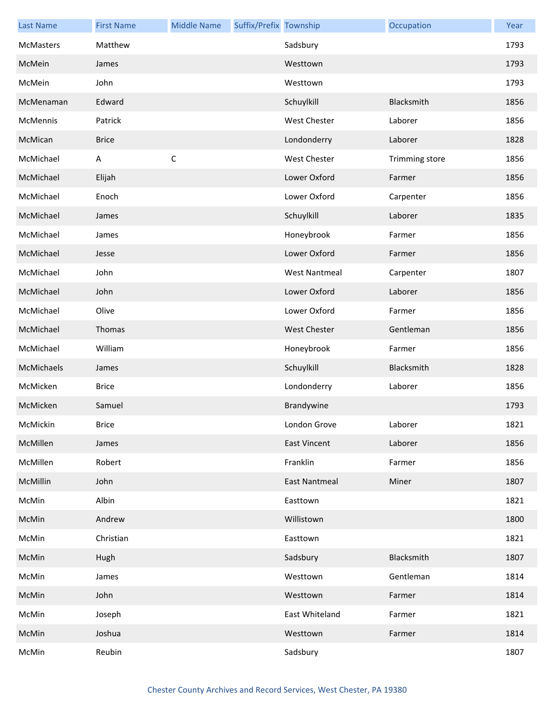| <b>Last Name</b> | <b>First Name</b> | <b>Middle Name</b> | Suffix/Prefix Township |                      | Occupation     | Year |
|------------------|-------------------|--------------------|------------------------|----------------------|----------------|------|
| <b>McMasters</b> | Matthew           |                    |                        | Sadsbury             |                | 1793 |
| McMein           | James             |                    |                        | Westtown             |                | 1793 |
| McMein           | John              |                    |                        | Westtown             |                | 1793 |
| McMenaman        | Edward            |                    |                        | Schuylkill           | Blacksmith     | 1856 |
| McMennis         | Patrick           |                    |                        | <b>West Chester</b>  | Laborer        | 1856 |
| McMican          | <b>Brice</b>      |                    |                        | Londonderry          | Laborer        | 1828 |
| McMichael        | Α                 | $\mathsf C$        |                        | <b>West Chester</b>  | Trimming store | 1856 |
| McMichael        | Elijah            |                    |                        | Lower Oxford         | Farmer         | 1856 |
| McMichael        | Enoch             |                    |                        | Lower Oxford         | Carpenter      | 1856 |
| McMichael        | James             |                    |                        | Schuylkill           | Laborer        | 1835 |
| McMichael        | James             |                    |                        | Honeybrook           | Farmer         | 1856 |
| McMichael        | Jesse             |                    |                        | Lower Oxford         | Farmer         | 1856 |
| McMichael        | John              |                    |                        | <b>West Nantmeal</b> | Carpenter      | 1807 |
| McMichael        | John              |                    |                        | Lower Oxford         | Laborer        | 1856 |
| McMichael        | Olive             |                    |                        | Lower Oxford         | Farmer         | 1856 |
| McMichael        | Thomas            |                    |                        | <b>West Chester</b>  | Gentleman      | 1856 |
| McMichael        | William           |                    |                        | Honeybrook           | Farmer         | 1856 |
| McMichaels       | James             |                    |                        | Schuylkill           | Blacksmith     | 1828 |
| McMicken         | <b>Brice</b>      |                    |                        | Londonderry          | Laborer        | 1856 |
| McMicken         | Samuel            |                    |                        | Brandywine           |                | 1793 |
| McMickin         | <b>Brice</b>      |                    |                        | London Grove         | Laborer        | 1821 |
| McMillen         | James             |                    |                        | <b>East Vincent</b>  | Laborer        | 1856 |
| McMillen         | Robert            |                    |                        | Franklin             | Farmer         | 1856 |
| McMillin         | John              |                    |                        | <b>East Nantmeal</b> | Miner          | 1807 |
| McMin            | Albin             |                    |                        | Easttown             |                | 1821 |
| McMin            | Andrew            |                    |                        | Willistown           |                | 1800 |
| McMin            | Christian         |                    |                        | Easttown             |                | 1821 |
| McMin            | Hugh              |                    |                        | Sadsbury             | Blacksmith     | 1807 |
| McMin            | James             |                    |                        | Westtown             | Gentleman      | 1814 |
| McMin            | John              |                    |                        | Westtown             | Farmer         | 1814 |
| McMin            | Joseph            |                    |                        | East Whiteland       | Farmer         | 1821 |
| McMin            | Joshua            |                    |                        | Westtown             | Farmer         | 1814 |
| McMin            | Reubin            |                    |                        | Sadsbury             |                | 1807 |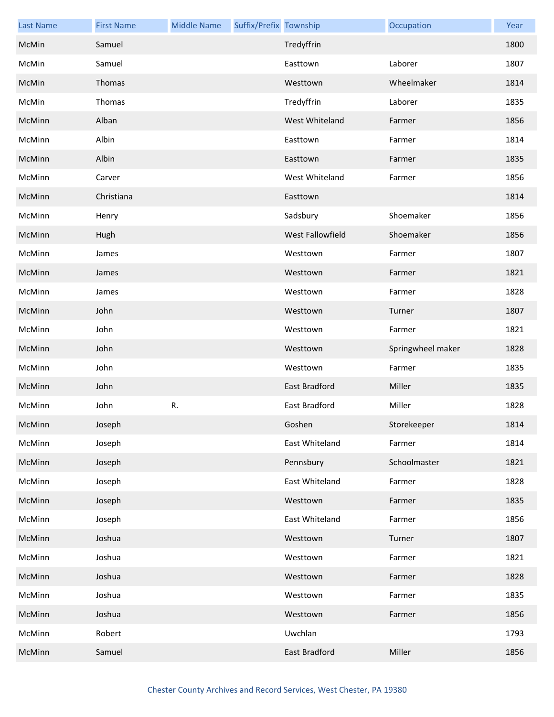| <b>Last Name</b> | <b>First Name</b> | <b>Middle Name</b> | Suffix/Prefix Township |                      | Occupation        | Year |
|------------------|-------------------|--------------------|------------------------|----------------------|-------------------|------|
| McMin            | Samuel            |                    |                        | Tredyffrin           |                   | 1800 |
| McMin            | Samuel            |                    |                        | Easttown             | Laborer           | 1807 |
| McMin            | Thomas            |                    |                        | Westtown             | Wheelmaker        | 1814 |
| McMin            | Thomas            |                    |                        | Tredyffrin           | Laborer           | 1835 |
| McMinn           | Alban             |                    |                        | West Whiteland       | Farmer            | 1856 |
| McMinn           | Albin             |                    |                        | Easttown             | Farmer            | 1814 |
| McMinn           | Albin             |                    |                        | Easttown             | Farmer            | 1835 |
| McMinn           | Carver            |                    |                        | West Whiteland       | Farmer            | 1856 |
| McMinn           | Christiana        |                    |                        | Easttown             |                   | 1814 |
| McMinn           | Henry             |                    |                        | Sadsbury             | Shoemaker         | 1856 |
| McMinn           | Hugh              |                    |                        | West Fallowfield     | Shoemaker         | 1856 |
| McMinn           | James             |                    |                        | Westtown             | Farmer            | 1807 |
| McMinn           | James             |                    |                        | Westtown             | Farmer            | 1821 |
| McMinn           | James             |                    |                        | Westtown             | Farmer            | 1828 |
| McMinn           | John              |                    |                        | Westtown             | Turner            | 1807 |
| McMinn           | John              |                    |                        | Westtown             | Farmer            | 1821 |
| McMinn           | John              |                    |                        | Westtown             | Springwheel maker | 1828 |
| McMinn           | John              |                    |                        | Westtown             | Farmer            | 1835 |
| McMinn           | John              |                    |                        | <b>East Bradford</b> | Miller            | 1835 |
| McMinn           | John              | R.                 |                        | East Bradford        | Miller            | 1828 |
| McMinn           | Joseph            |                    |                        | Goshen               | Storekeeper       | 1814 |
| McMinn           | Joseph            |                    |                        | East Whiteland       | Farmer            | 1814 |
| McMinn           | Joseph            |                    |                        | Pennsbury            | Schoolmaster      | 1821 |
| McMinn           | Joseph            |                    |                        | East Whiteland       | Farmer            | 1828 |
| McMinn           | Joseph            |                    |                        | Westtown             | Farmer            | 1835 |
| McMinn           | Joseph            |                    |                        | East Whiteland       | Farmer            | 1856 |
| McMinn           | Joshua            |                    |                        | Westtown             | Turner            | 1807 |
| McMinn           | Joshua            |                    |                        | Westtown             | Farmer            | 1821 |
| McMinn           | Joshua            |                    |                        | Westtown             | Farmer            | 1828 |
| McMinn           | Joshua            |                    |                        | Westtown             | Farmer            | 1835 |
| McMinn           | Joshua            |                    |                        | Westtown             | Farmer            | 1856 |
| McMinn           | Robert            |                    |                        | Uwchlan              |                   | 1793 |
| McMinn           | Samuel            |                    |                        | East Bradford        | Miller            | 1856 |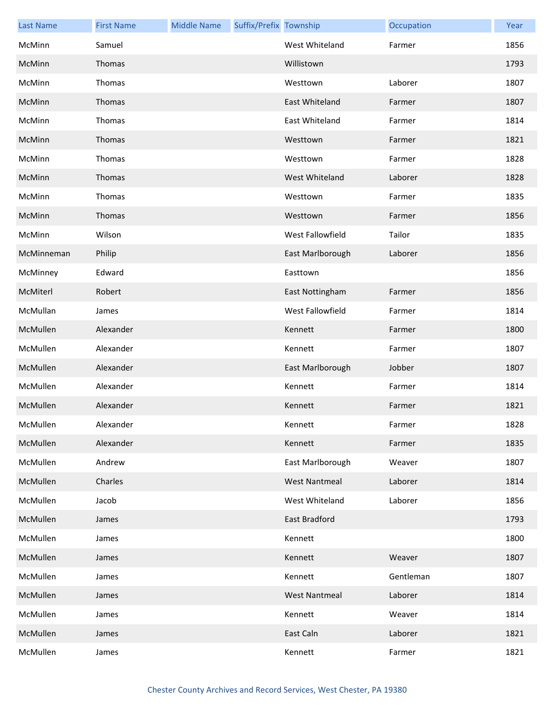| <b>Last Name</b> | <b>First Name</b> | <b>Middle Name</b> | Suffix/Prefix Township |                      | Occupation | Year |
|------------------|-------------------|--------------------|------------------------|----------------------|------------|------|
| McMinn           | Samuel            |                    |                        | West Whiteland       | Farmer     | 1856 |
| McMinn           | Thomas            |                    |                        | Willistown           |            | 1793 |
| McMinn           | Thomas            |                    |                        | Westtown             | Laborer    | 1807 |
| McMinn           | Thomas            |                    |                        | East Whiteland       | Farmer     | 1807 |
| McMinn           | Thomas            |                    |                        | East Whiteland       | Farmer     | 1814 |
| McMinn           | Thomas            |                    |                        | Westtown             | Farmer     | 1821 |
| McMinn           | Thomas            |                    |                        | Westtown             | Farmer     | 1828 |
| McMinn           | Thomas            |                    |                        | West Whiteland       | Laborer    | 1828 |
| McMinn           | Thomas            |                    |                        | Westtown             | Farmer     | 1835 |
| McMinn           | Thomas            |                    |                        | Westtown             | Farmer     | 1856 |
| McMinn           | Wilson            |                    |                        | West Fallowfield     | Tailor     | 1835 |
| McMinneman       | Philip            |                    |                        | East Marlborough     | Laborer    | 1856 |
| McMinney         | Edward            |                    |                        | Easttown             |            | 1856 |
| McMiterl         | Robert            |                    |                        | East Nottingham      | Farmer     | 1856 |
| McMullan         | James             |                    |                        | West Fallowfield     | Farmer     | 1814 |
| McMullen         | Alexander         |                    |                        | Kennett              | Farmer     | 1800 |
| McMullen         | Alexander         |                    |                        | Kennett              | Farmer     | 1807 |
| McMullen         | Alexander         |                    |                        | East Marlborough     | Jobber     | 1807 |
| McMullen         | Alexander         |                    |                        | Kennett              | Farmer     | 1814 |
| McMullen         | Alexander         |                    |                        | Kennett              | Farmer     | 1821 |
| McMullen         | Alexander         |                    |                        | Kennett              | Farmer     | 1828 |
| McMullen         | Alexander         |                    |                        | Kennett              | Farmer     | 1835 |
| McMullen         | Andrew            |                    |                        | East Marlborough     | Weaver     | 1807 |
| McMullen         | Charles           |                    |                        | <b>West Nantmeal</b> | Laborer    | 1814 |
| McMullen         | Jacob             |                    |                        | West Whiteland       | Laborer    | 1856 |
| McMullen         | James             |                    |                        | East Bradford        |            | 1793 |
| McMullen         | James             |                    |                        | Kennett              |            | 1800 |
| McMullen         | James             |                    |                        | Kennett              | Weaver     | 1807 |
| McMullen         | James             |                    |                        | Kennett              | Gentleman  | 1807 |
| McMullen         | James             |                    |                        | <b>West Nantmeal</b> | Laborer    | 1814 |
| McMullen         | James             |                    |                        | Kennett              | Weaver     | 1814 |
| McMullen         | James             |                    |                        | East Caln            | Laborer    | 1821 |
| McMullen         | James             |                    |                        | Kennett              | Farmer     | 1821 |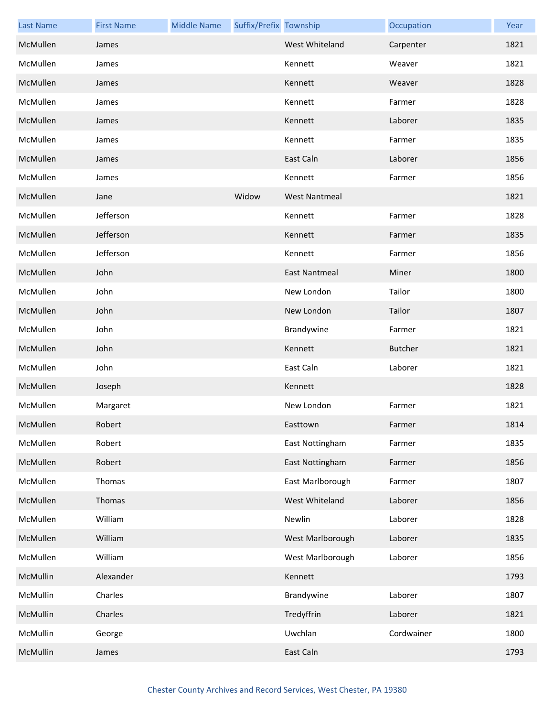| <b>Last Name</b> | <b>First Name</b> | <b>Middle Name</b> | Suffix/Prefix Township |                      | Occupation     | Year |
|------------------|-------------------|--------------------|------------------------|----------------------|----------------|------|
| McMullen         | James             |                    |                        | West Whiteland       | Carpenter      | 1821 |
| McMullen         | James             |                    |                        | Kennett              | Weaver         | 1821 |
| McMullen         | James             |                    |                        | Kennett              | Weaver         | 1828 |
| McMullen         | James             |                    |                        | Kennett              | Farmer         | 1828 |
| McMullen         | James             |                    |                        | Kennett              | Laborer        | 1835 |
| McMullen         | James             |                    |                        | Kennett              | Farmer         | 1835 |
| McMullen         | James             |                    |                        | East Caln            | Laborer        | 1856 |
| McMullen         | James             |                    |                        | Kennett              | Farmer         | 1856 |
| McMullen         | Jane              |                    | Widow                  | <b>West Nantmeal</b> |                | 1821 |
| McMullen         | Jefferson         |                    |                        | Kennett              | Farmer         | 1828 |
| McMullen         | Jefferson         |                    |                        | Kennett              | Farmer         | 1835 |
| McMullen         | Jefferson         |                    |                        | Kennett              | Farmer         | 1856 |
| McMullen         | John              |                    |                        | <b>East Nantmeal</b> | Miner          | 1800 |
| McMullen         | John              |                    |                        | New London           | Tailor         | 1800 |
| McMullen         | John              |                    |                        | New London           | Tailor         | 1807 |
| McMullen         | John              |                    |                        | Brandywine           | Farmer         | 1821 |
| McMullen         | John              |                    |                        | Kennett              | <b>Butcher</b> | 1821 |
| McMullen         | John              |                    |                        | East Caln            | Laborer        | 1821 |
| McMullen         | Joseph            |                    |                        | Kennett              |                | 1828 |
| McMullen         | Margaret          |                    |                        | New London           | Farmer         | 1821 |
| McMullen         | Robert            |                    |                        | Easttown             | Farmer         | 1814 |
| McMullen         | Robert            |                    |                        | East Nottingham      | Farmer         | 1835 |
| McMullen         | Robert            |                    |                        | East Nottingham      | Farmer         | 1856 |
| McMullen         | Thomas            |                    |                        | East Marlborough     | Farmer         | 1807 |
| McMullen         | Thomas            |                    |                        | West Whiteland       | Laborer        | 1856 |
| McMullen         | William           |                    |                        | Newlin               | Laborer        | 1828 |
| McMullen         | William           |                    |                        | West Marlborough     | Laborer        | 1835 |
| McMullen         | William           |                    |                        | West Marlborough     | Laborer        | 1856 |
| McMullin         | Alexander         |                    |                        | Kennett              |                | 1793 |
| McMullin         | Charles           |                    |                        | Brandywine           | Laborer        | 1807 |
| McMullin         | Charles           |                    |                        | Tredyffrin           | Laborer        | 1821 |
| McMullin         | George            |                    |                        | Uwchlan              | Cordwainer     | 1800 |
| McMullin         | James             |                    |                        | East Caln            |                | 1793 |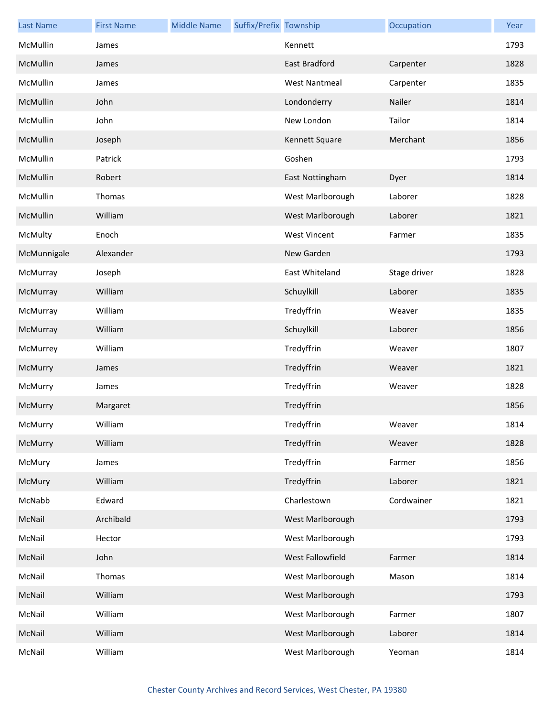| <b>Last Name</b> | <b>First Name</b> | <b>Middle Name</b> | Suffix/Prefix Township |                      | Occupation   | Year |
|------------------|-------------------|--------------------|------------------------|----------------------|--------------|------|
| McMullin         | James             |                    |                        | Kennett              |              | 1793 |
| McMullin         | James             |                    |                        | East Bradford        | Carpenter    | 1828 |
| McMullin         | James             |                    |                        | <b>West Nantmeal</b> | Carpenter    | 1835 |
| McMullin         | John              |                    |                        | Londonderry          | Nailer       | 1814 |
| McMullin         | John              |                    |                        | New London           | Tailor       | 1814 |
| McMullin         | Joseph            |                    |                        | Kennett Square       | Merchant     | 1856 |
| McMullin         | Patrick           |                    |                        | Goshen               |              | 1793 |
| McMullin         | Robert            |                    |                        | East Nottingham      | Dyer         | 1814 |
| McMullin         | Thomas            |                    |                        | West Marlborough     | Laborer      | 1828 |
| McMullin         | William           |                    |                        | West Marlborough     | Laborer      | 1821 |
| McMulty          | Enoch             |                    |                        | <b>West Vincent</b>  | Farmer       | 1835 |
| McMunnigale      | Alexander         |                    |                        | New Garden           |              | 1793 |
| McMurray         | Joseph            |                    |                        | East Whiteland       | Stage driver | 1828 |
| McMurray         | William           |                    |                        | Schuylkill           | Laborer      | 1835 |
| McMurray         | William           |                    |                        | Tredyffrin           | Weaver       | 1835 |
| McMurray         | William           |                    |                        | Schuylkill           | Laborer      | 1856 |
| McMurrey         | William           |                    |                        | Tredyffrin           | Weaver       | 1807 |
| McMurry          | James             |                    |                        | Tredyffrin           | Weaver       | 1821 |
| McMurry          | James             |                    |                        | Tredyffrin           | Weaver       | 1828 |
| McMurry          | Margaret          |                    |                        | Tredyffrin           |              | 1856 |
| McMurry          | William           |                    |                        | Tredyffrin           | Weaver       | 1814 |
| McMurry          | William           |                    |                        | Tredyffrin           | Weaver       | 1828 |
| McMury           | James             |                    |                        | Tredyffrin           | Farmer       | 1856 |
| McMury           | William           |                    |                        | Tredyffrin           | Laborer      | 1821 |
| McNabb           | Edward            |                    |                        | Charlestown          | Cordwainer   | 1821 |
| McNail           | Archibald         |                    |                        | West Marlborough     |              | 1793 |
| McNail           | Hector            |                    |                        | West Marlborough     |              | 1793 |
| McNail           | John              |                    |                        | West Fallowfield     | Farmer       | 1814 |
| McNail           | Thomas            |                    |                        | West Marlborough     | Mason        | 1814 |
| McNail           | William           |                    |                        | West Marlborough     |              | 1793 |
| McNail           | William           |                    |                        | West Marlborough     | Farmer       | 1807 |
| McNail           | William           |                    |                        | West Marlborough     | Laborer      | 1814 |
| McNail           | William           |                    |                        | West Marlborough     | Yeoman       | 1814 |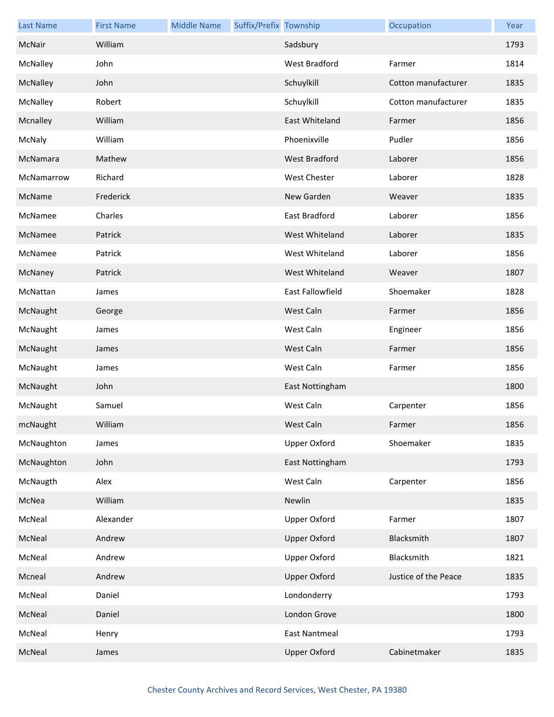| <b>Last Name</b> | <b>First Name</b> | <b>Middle Name</b> | Suffix/Prefix Township |                      | Occupation           | Year |
|------------------|-------------------|--------------------|------------------------|----------------------|----------------------|------|
| McNair           | William           |                    |                        | Sadsbury             |                      | 1793 |
| McNalley         | John              |                    |                        | West Bradford        | Farmer               | 1814 |
| McNalley         | John              |                    |                        | Schuylkill           | Cotton manufacturer  | 1835 |
| McNalley         | Robert            |                    |                        | Schuylkill           | Cotton manufacturer  | 1835 |
| Mcnalley         | William           |                    |                        | East Whiteland       | Farmer               | 1856 |
| McNaly           | William           |                    |                        | Phoenixville         | Pudler               | 1856 |
| McNamara         | Mathew            |                    |                        | West Bradford        | Laborer              | 1856 |
| McNamarrow       | Richard           |                    |                        | <b>West Chester</b>  | Laborer              | 1828 |
| McName           | Frederick         |                    |                        | New Garden           | Weaver               | 1835 |
| McNamee          | Charles           |                    |                        | East Bradford        | Laborer              | 1856 |
| McNamee          | Patrick           |                    |                        | West Whiteland       | Laborer              | 1835 |
| McNamee          | Patrick           |                    |                        | West Whiteland       | Laborer              | 1856 |
| McNaney          | Patrick           |                    |                        | West Whiteland       | Weaver               | 1807 |
| McNattan         | James             |                    |                        | East Fallowfield     | Shoemaker            | 1828 |
| McNaught         | George            |                    |                        | West Caln            | Farmer               | 1856 |
| McNaught         | James             |                    |                        | West Caln            | Engineer             | 1856 |
| McNaught         | James             |                    |                        | West Caln            | Farmer               | 1856 |
| McNaught         | James             |                    |                        | West Caln            | Farmer               | 1856 |
| McNaught         | John              |                    |                        | East Nottingham      |                      | 1800 |
| McNaught         | Samuel            |                    |                        | West Caln            | Carpenter            | 1856 |
| mcNaught         | William           |                    |                        | West Caln            | Farmer               | 1856 |
| McNaughton       | James             |                    |                        | <b>Upper Oxford</b>  | Shoemaker            | 1835 |
| McNaughton       | John              |                    |                        | East Nottingham      |                      | 1793 |
| McNaugth         | Alex              |                    |                        | West Caln            | Carpenter            | 1856 |
| McNea            | William           |                    |                        | Newlin               |                      | 1835 |
| McNeal           | Alexander         |                    |                        | <b>Upper Oxford</b>  | Farmer               | 1807 |
| McNeal           | Andrew            |                    |                        | <b>Upper Oxford</b>  | Blacksmith           | 1807 |
| McNeal           | Andrew            |                    |                        | Upper Oxford         | Blacksmith           | 1821 |
| Mcneal           | Andrew            |                    |                        | <b>Upper Oxford</b>  | Justice of the Peace | 1835 |
| McNeal           | Daniel            |                    |                        | Londonderry          |                      | 1793 |
| McNeal           | Daniel            |                    |                        | London Grove         |                      | 1800 |
| McNeal           | Henry             |                    |                        | <b>East Nantmeal</b> |                      | 1793 |
| McNeal           | James             |                    |                        | <b>Upper Oxford</b>  | Cabinetmaker         | 1835 |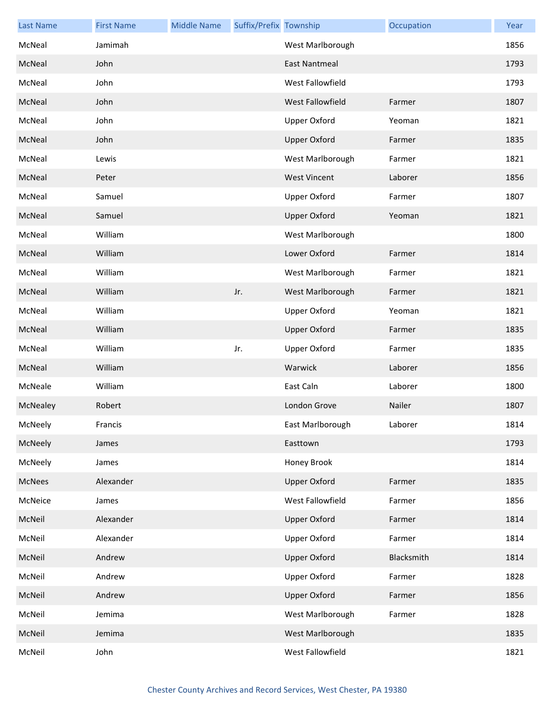| <b>Last Name</b> | <b>First Name</b> | <b>Middle Name</b> | Suffix/Prefix Township |                      | Occupation | Year |
|------------------|-------------------|--------------------|------------------------|----------------------|------------|------|
| McNeal           | Jamimah           |                    |                        | West Marlborough     |            | 1856 |
| McNeal           | John              |                    |                        | <b>East Nantmeal</b> |            | 1793 |
| McNeal           | John              |                    |                        | West Fallowfield     |            | 1793 |
| McNeal           | John              |                    |                        | West Fallowfield     | Farmer     | 1807 |
| McNeal           | John              |                    |                        | <b>Upper Oxford</b>  | Yeoman     | 1821 |
| McNeal           | John              |                    |                        | <b>Upper Oxford</b>  | Farmer     | 1835 |
| McNeal           | Lewis             |                    |                        | West Marlborough     | Farmer     | 1821 |
| McNeal           | Peter             |                    |                        | <b>West Vincent</b>  | Laborer    | 1856 |
| McNeal           | Samuel            |                    |                        | <b>Upper Oxford</b>  | Farmer     | 1807 |
| McNeal           | Samuel            |                    |                        | <b>Upper Oxford</b>  | Yeoman     | 1821 |
| McNeal           | William           |                    |                        | West Marlborough     |            | 1800 |
| McNeal           | William           |                    |                        | Lower Oxford         | Farmer     | 1814 |
| McNeal           | William           |                    |                        | West Marlborough     | Farmer     | 1821 |
| McNeal           | William           |                    | Jr.                    | West Marlborough     | Farmer     | 1821 |
| McNeal           | William           |                    |                        | Upper Oxford         | Yeoman     | 1821 |
| McNeal           | William           |                    |                        | <b>Upper Oxford</b>  | Farmer     | 1835 |
| McNeal           | William           |                    | Jr.                    | Upper Oxford         | Farmer     | 1835 |
| McNeal           | William           |                    |                        | Warwick              | Laborer    | 1856 |
| McNeale          | William           |                    |                        | East Caln            | Laborer    | 1800 |
| McNealey         | Robert            |                    |                        | London Grove         | Nailer     | 1807 |
| McNeely          | Francis           |                    |                        | East Marlborough     | Laborer    | 1814 |
| McNeely          | James             |                    |                        | Easttown             |            | 1793 |
| McNeely          | James             |                    |                        | Honey Brook          |            | 1814 |
| McNees           | Alexander         |                    |                        | <b>Upper Oxford</b>  | Farmer     | 1835 |
| McNeice          | James             |                    |                        | West Fallowfield     | Farmer     | 1856 |
| McNeil           | Alexander         |                    |                        | <b>Upper Oxford</b>  | Farmer     | 1814 |
| McNeil           | Alexander         |                    |                        | Upper Oxford         | Farmer     | 1814 |
| McNeil           | Andrew            |                    |                        | <b>Upper Oxford</b>  | Blacksmith | 1814 |
| McNeil           | Andrew            |                    |                        | <b>Upper Oxford</b>  | Farmer     | 1828 |
| McNeil           | Andrew            |                    |                        | <b>Upper Oxford</b>  | Farmer     | 1856 |
| McNeil           | Jemima            |                    |                        | West Marlborough     | Farmer     | 1828 |
| McNeil           | Jemima            |                    |                        | West Marlborough     |            | 1835 |
| McNeil           | John              |                    |                        | West Fallowfield     |            | 1821 |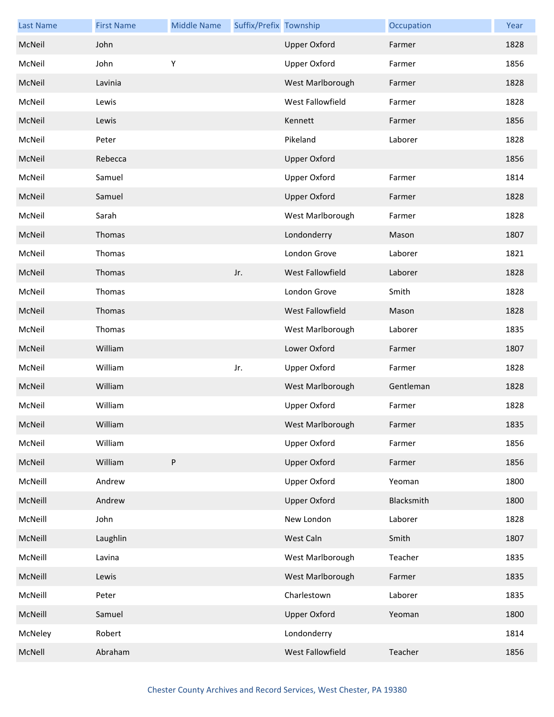| <b>Last Name</b> | <b>First Name</b> | <b>Middle Name</b> | Suffix/Prefix Township |                     | Occupation | Year |
|------------------|-------------------|--------------------|------------------------|---------------------|------------|------|
| McNeil           | John              |                    |                        | <b>Upper Oxford</b> | Farmer     | 1828 |
| McNeil           | John              | Υ                  |                        | <b>Upper Oxford</b> | Farmer     | 1856 |
| McNeil           | Lavinia           |                    |                        | West Marlborough    | Farmer     | 1828 |
| McNeil           | Lewis             |                    |                        | West Fallowfield    | Farmer     | 1828 |
| McNeil           | Lewis             |                    |                        | Kennett             | Farmer     | 1856 |
| McNeil           | Peter             |                    |                        | Pikeland            | Laborer    | 1828 |
| McNeil           | Rebecca           |                    |                        | <b>Upper Oxford</b> |            | 1856 |
| McNeil           | Samuel            |                    |                        | <b>Upper Oxford</b> | Farmer     | 1814 |
| McNeil           | Samuel            |                    |                        | <b>Upper Oxford</b> | Farmer     | 1828 |
| McNeil           | Sarah             |                    |                        | West Marlborough    | Farmer     | 1828 |
| McNeil           | Thomas            |                    |                        | Londonderry         | Mason      | 1807 |
| McNeil           | Thomas            |                    |                        | London Grove        | Laborer    | 1821 |
| McNeil           | Thomas            |                    | Jr.                    | West Fallowfield    | Laborer    | 1828 |
| McNeil           | Thomas            |                    |                        | London Grove        | Smith      | 1828 |
| McNeil           | Thomas            |                    |                        | West Fallowfield    | Mason      | 1828 |
| McNeil           | Thomas            |                    |                        | West Marlborough    | Laborer    | 1835 |
| McNeil           | William           |                    |                        | Lower Oxford        | Farmer     | 1807 |
| McNeil           | William           |                    | Jr.                    | Upper Oxford        | Farmer     | 1828 |
| McNeil           | William           |                    |                        | West Marlborough    | Gentleman  | 1828 |
| McNeil           | William           |                    |                        | <b>Upper Oxford</b> | Farmer     | 1828 |
| McNeil           | William           |                    |                        | West Marlborough    | Farmer     | 1835 |
| McNeil           | William           |                    |                        | <b>Upper Oxford</b> | Farmer     | 1856 |
| McNeil           | William           | ${\sf P}$          |                        | <b>Upper Oxford</b> | Farmer     | 1856 |
| McNeill          | Andrew            |                    |                        | <b>Upper Oxford</b> | Yeoman     | 1800 |
| McNeill          | Andrew            |                    |                        | <b>Upper Oxford</b> | Blacksmith | 1800 |
| McNeill          | John              |                    |                        | New London          | Laborer    | 1828 |
| McNeill          | Laughlin          |                    |                        | West Caln           | Smith      | 1807 |
| McNeill          | Lavina            |                    |                        | West Marlborough    | Teacher    | 1835 |
| McNeill          | Lewis             |                    |                        | West Marlborough    | Farmer     | 1835 |
| McNeill          | Peter             |                    |                        | Charlestown         | Laborer    | 1835 |
| McNeill          | Samuel            |                    |                        | <b>Upper Oxford</b> | Yeoman     | 1800 |
| McNeley          | Robert            |                    |                        | Londonderry         |            | 1814 |
| McNell           | Abraham           |                    |                        | West Fallowfield    | Teacher    | 1856 |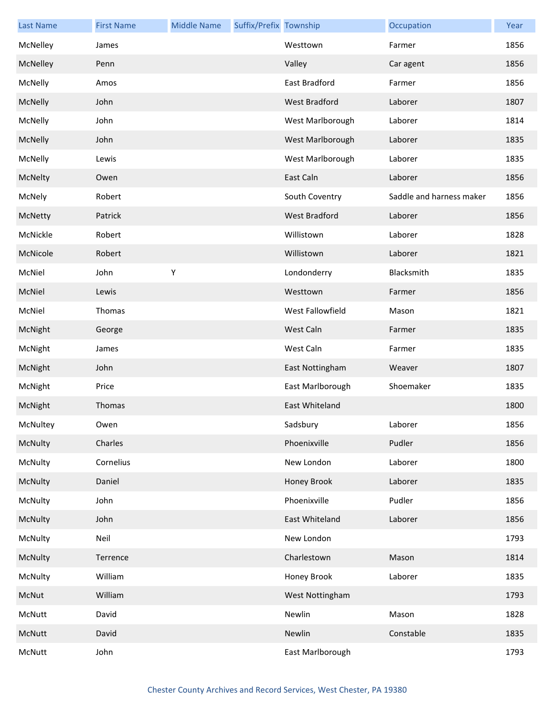| <b>Last Name</b> | <b>First Name</b> | <b>Middle Name</b> | Suffix/Prefix Township |                  | Occupation               | Year |
|------------------|-------------------|--------------------|------------------------|------------------|--------------------------|------|
| McNelley         | James             |                    |                        | Westtown         | Farmer                   | 1856 |
| McNelley         | Penn              |                    |                        | Valley           | Car agent                | 1856 |
| McNelly          | Amos              |                    |                        | East Bradford    | Farmer                   | 1856 |
| McNelly          | John              |                    |                        | West Bradford    | Laborer                  | 1807 |
| McNelly          | John              |                    |                        | West Marlborough | Laborer                  | 1814 |
| McNelly          | John              |                    |                        | West Marlborough | Laborer                  | 1835 |
| McNelly          | Lewis             |                    |                        | West Marlborough | Laborer                  | 1835 |
| McNelty          | Owen              |                    |                        | East Caln        | Laborer                  | 1856 |
| McNely           | Robert            |                    |                        | South Coventry   | Saddle and harness maker | 1856 |
| McNetty          | Patrick           |                    |                        | West Bradford    | Laborer                  | 1856 |
| McNickle         | Robert            |                    |                        | Willistown       | Laborer                  | 1828 |
| McNicole         | Robert            |                    |                        | Willistown       | Laborer                  | 1821 |
| McNiel           | John              | Υ                  |                        | Londonderry      | Blacksmith               | 1835 |
| McNiel           | Lewis             |                    |                        | Westtown         | Farmer                   | 1856 |
| McNiel           | Thomas            |                    |                        | West Fallowfield | Mason                    | 1821 |
| McNight          | George            |                    |                        | West Caln        | Farmer                   | 1835 |
| McNight          | James             |                    |                        | West Caln        | Farmer                   | 1835 |
| McNight          | John              |                    |                        | East Nottingham  | Weaver                   | 1807 |
| McNight          | Price             |                    |                        | East Marlborough | Shoemaker                | 1835 |
| McNight          | Thomas            |                    |                        | East Whiteland   |                          | 1800 |
| McNultey         | Owen              |                    |                        | Sadsbury         | Laborer                  | 1856 |
| McNulty          | Charles           |                    |                        | Phoenixville     | Pudler                   | 1856 |
| McNulty          | Cornelius         |                    |                        | New London       | Laborer                  | 1800 |
| McNulty          | Daniel            |                    |                        | Honey Brook      | Laborer                  | 1835 |
| McNulty          | John              |                    |                        | Phoenixville     | Pudler                   | 1856 |
| McNulty          | John              |                    |                        | East Whiteland   | Laborer                  | 1856 |
| McNulty          | Neil              |                    |                        | New London       |                          | 1793 |
| McNulty          | Terrence          |                    |                        | Charlestown      | Mason                    | 1814 |
| McNulty          | William           |                    |                        | Honey Brook      | Laborer                  | 1835 |
| McNut            | William           |                    |                        | West Nottingham  |                          | 1793 |
| McNutt           | David             |                    |                        | Newlin           | Mason                    | 1828 |
| McNutt           | David             |                    |                        | Newlin           | Constable                | 1835 |
| McNutt           | John              |                    |                        | East Marlborough |                          | 1793 |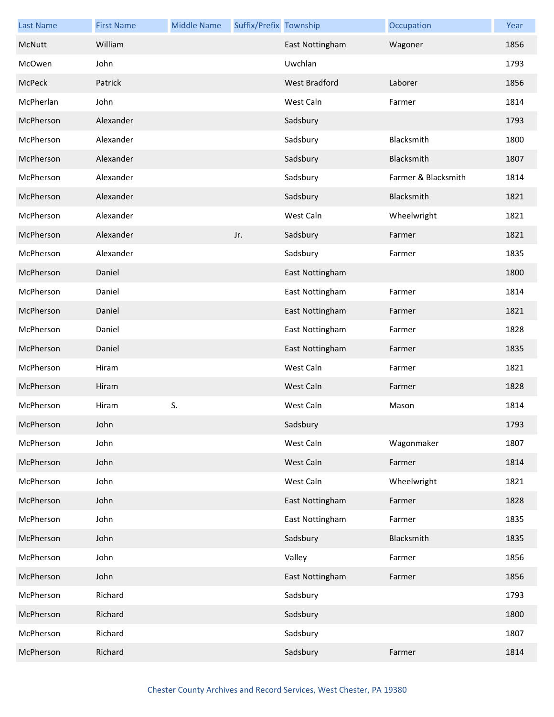| <b>Last Name</b> | <b>First Name</b> | <b>Middle Name</b> | Suffix/Prefix Township |                      | Occupation          | Year |
|------------------|-------------------|--------------------|------------------------|----------------------|---------------------|------|
| McNutt           | William           |                    |                        | East Nottingham      | Wagoner             | 1856 |
| McOwen           | John              |                    |                        | Uwchlan              |                     | 1793 |
| McPeck           | Patrick           |                    |                        | <b>West Bradford</b> | Laborer             | 1856 |
| McPherlan        | John              |                    |                        | West Caln            | Farmer              | 1814 |
| McPherson        | Alexander         |                    |                        | Sadsbury             |                     | 1793 |
| McPherson        | Alexander         |                    |                        | Sadsbury             | Blacksmith          | 1800 |
| McPherson        | Alexander         |                    |                        | Sadsbury             | Blacksmith          | 1807 |
| McPherson        | Alexander         |                    |                        | Sadsbury             | Farmer & Blacksmith | 1814 |
| McPherson        | Alexander         |                    |                        | Sadsbury             | Blacksmith          | 1821 |
| McPherson        | Alexander         |                    |                        | West Caln            | Wheelwright         | 1821 |
| McPherson        | Alexander         |                    | Jr.                    | Sadsbury             | Farmer              | 1821 |
| McPherson        | Alexander         |                    |                        | Sadsbury             | Farmer              | 1835 |
| McPherson        | Daniel            |                    |                        | East Nottingham      |                     | 1800 |
| McPherson        | Daniel            |                    |                        | East Nottingham      | Farmer              | 1814 |
| McPherson        | Daniel            |                    |                        | East Nottingham      | Farmer              | 1821 |
| McPherson        | Daniel            |                    |                        | East Nottingham      | Farmer              | 1828 |
| McPherson        | Daniel            |                    |                        | East Nottingham      | Farmer              | 1835 |
| McPherson        | Hiram             |                    |                        | West Caln            | Farmer              | 1821 |
| McPherson        | Hiram             |                    |                        | West Caln            | Farmer              | 1828 |
| McPherson        | Hiram             | S.                 |                        | West Caln            | Mason               | 1814 |
| McPherson        | John              |                    |                        | Sadsbury             |                     | 1793 |
| McPherson        | John              |                    |                        | West Caln            | Wagonmaker          | 1807 |
| McPherson        | John              |                    |                        | West Caln            | Farmer              | 1814 |
| McPherson        | John              |                    |                        | West Caln            | Wheelwright         | 1821 |
| McPherson        | John              |                    |                        | East Nottingham      | Farmer              | 1828 |
| McPherson        | John              |                    |                        | East Nottingham      | Farmer              | 1835 |
| McPherson        | John              |                    |                        | Sadsbury             | Blacksmith          | 1835 |
| McPherson        | John              |                    |                        | Valley               | Farmer              | 1856 |
| McPherson        | John              |                    |                        | East Nottingham      | Farmer              | 1856 |
| McPherson        | Richard           |                    |                        | Sadsbury             |                     | 1793 |
| McPherson        | Richard           |                    |                        | Sadsbury             |                     | 1800 |
| McPherson        | Richard           |                    |                        | Sadsbury             |                     | 1807 |
| McPherson        | Richard           |                    |                        | Sadsbury             | Farmer              | 1814 |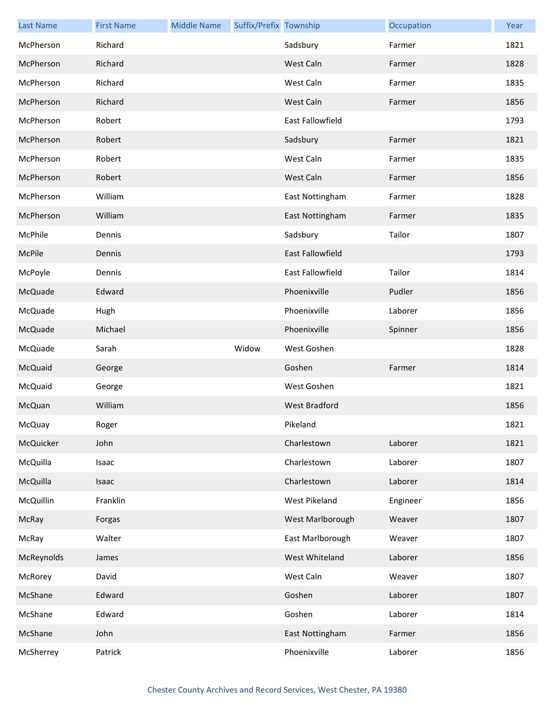| <b>Last Name</b> | <b>First Name</b> | <b>Middle Name</b> | Suffix/Prefix Township |                  | Occupation | Year |
|------------------|-------------------|--------------------|------------------------|------------------|------------|------|
| McPherson        | Richard           |                    |                        | Sadsbury         | Farmer     | 1821 |
| McPherson        | Richard           |                    |                        | West Caln        | Farmer     | 1828 |
| McPherson        | Richard           |                    |                        | West Caln        | Farmer     | 1835 |
| McPherson        | Richard           |                    |                        | West Caln        | Farmer     | 1856 |
| McPherson        | Robert            |                    |                        | East Fallowfield |            | 1793 |
| McPherson        | Robert            |                    |                        | Sadsbury         | Farmer     | 1821 |
| McPherson        | Robert            |                    |                        | West Caln        | Farmer     | 1835 |
| McPherson        | Robert            |                    |                        | West Caln        | Farmer     | 1856 |
| McPherson        | William           |                    |                        | East Nottingham  | Farmer     | 1828 |
| McPherson        | William           |                    |                        | East Nottingham  | Farmer     | 1835 |
| McPhile          | Dennis            |                    |                        | Sadsbury         | Tailor     | 1807 |
| McPile           | Dennis            |                    |                        | East Fallowfield |            | 1793 |
| McPoyle          | Dennis            |                    |                        | East Fallowfield | Tailor     | 1814 |
| McQuade          | Edward            |                    |                        | Phoenixville     | Pudler     | 1856 |
| McQuade          | Hugh              |                    |                        | Phoenixville     | Laborer    | 1856 |
| McQuade          | Michael           |                    |                        | Phoenixville     | Spinner    | 1856 |
| McQuade          | Sarah             |                    | Widow                  | West Goshen      |            | 1828 |
| McQuaid          |                   |                    |                        | Goshen           | Farmer     | 1814 |
|                  | George            |                    |                        |                  |            |      |
| McQuaid          | George            |                    |                        | West Goshen      |            | 1821 |
| McQuan           | William           |                    |                        | West Bradford    |            | 1856 |
| McQuay           | Roger             |                    |                        | Pikeland         |            | 1821 |
| McQuicker        | John              |                    |                        | Charlestown      | Laborer    | 1821 |
| McQuilla         | Isaac             |                    |                        | Charlestown      | Laborer    | 1807 |
| McQuilla         | Isaac             |                    |                        | Charlestown      | Laborer    | 1814 |
| McQuillin        | Franklin          |                    |                        | West Pikeland    | Engineer   | 1856 |
| McRay            | Forgas            |                    |                        | West Marlborough | Weaver     | 1807 |
| McRay            | Walter            |                    |                        | East Marlborough | Weaver     | 1807 |
| McReynolds       | James             |                    |                        | West Whiteland   | Laborer    | 1856 |
| McRorey          | David             |                    |                        | West Caln        | Weaver     | 1807 |
| McShane          | Edward            |                    |                        | Goshen           | Laborer    | 1807 |
| McShane          | Edward            |                    |                        | Goshen           | Laborer    | 1814 |
| McShane          | John              |                    |                        | East Nottingham  | Farmer     | 1856 |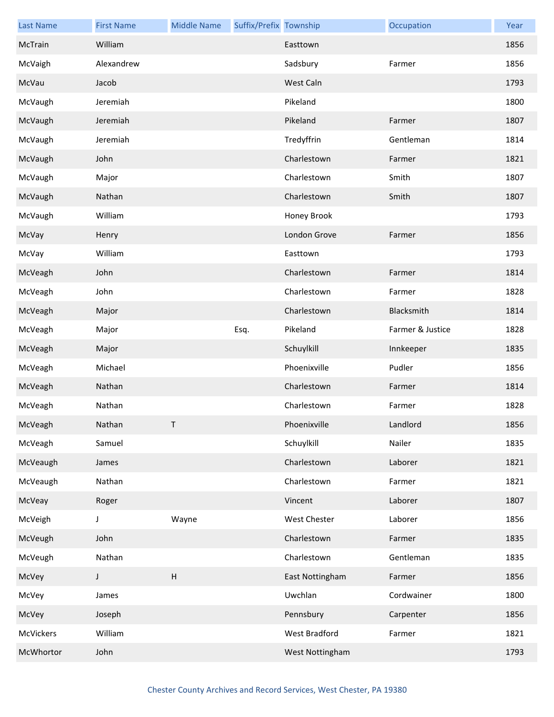| <b>Last Name</b> | <b>First Name</b> | <b>Middle Name</b>        | Suffix/Prefix Township |                     | Occupation       | Year |
|------------------|-------------------|---------------------------|------------------------|---------------------|------------------|------|
| McTrain          | William           |                           |                        | Easttown            |                  | 1856 |
| McVaigh          | Alexandrew        |                           |                        | Sadsbury            | Farmer           | 1856 |
| McVau            | Jacob             |                           |                        | West Caln           |                  | 1793 |
| McVaugh          | Jeremiah          |                           |                        | Pikeland            |                  | 1800 |
| McVaugh          | Jeremiah          |                           |                        | Pikeland            | Farmer           | 1807 |
| McVaugh          | Jeremiah          |                           |                        | Tredyffrin          | Gentleman        | 1814 |
| McVaugh          | John              |                           |                        | Charlestown         | Farmer           | 1821 |
| McVaugh          | Major             |                           |                        | Charlestown         | Smith            | 1807 |
| McVaugh          | Nathan            |                           |                        | Charlestown         | Smith            | 1807 |
| McVaugh          | William           |                           |                        | Honey Brook         |                  | 1793 |
| McVay            | Henry             |                           |                        | London Grove        | Farmer           | 1856 |
| McVay            | William           |                           |                        | Easttown            |                  | 1793 |
| McVeagh          | John              |                           |                        | Charlestown         | Farmer           | 1814 |
| McVeagh          | John              |                           |                        | Charlestown         | Farmer           | 1828 |
| McVeagh          | Major             |                           |                        | Charlestown         | Blacksmith       | 1814 |
| McVeagh          | Major             |                           | Esq.                   | Pikeland            | Farmer & Justice | 1828 |
| McVeagh          | Major             |                           |                        | Schuylkill          | Innkeeper        | 1835 |
| McVeagh          | Michael           |                           |                        | Phoenixville        | Pudler           | 1856 |
| McVeagh          | Nathan            |                           |                        | Charlestown         | Farmer           | 1814 |
| McVeagh          | Nathan            |                           |                        | Charlestown         | Farmer           | 1828 |
| McVeagh          | Nathan            | T.                        |                        | Phoenixville        | Landlord         | 1856 |
| McVeagh          | Samuel            |                           |                        | Schuylkill          | Nailer           | 1835 |
| McVeaugh         | James             |                           |                        | Charlestown         | Laborer          | 1821 |
| McVeaugh         | Nathan            |                           |                        | Charlestown         | Farmer           | 1821 |
| McVeay           | Roger             |                           |                        | Vincent             | Laborer          | 1807 |
| McVeigh          | J                 | Wayne                     |                        | <b>West Chester</b> | Laborer          | 1856 |
| McVeugh          | John              |                           |                        | Charlestown         | Farmer           | 1835 |
| McVeugh          | Nathan            |                           |                        | Charlestown         | Gentleman        | 1835 |
| McVey            | J                 | $\boldsymbol{\mathsf{H}}$ |                        | East Nottingham     | Farmer           | 1856 |
| McVey            | James             |                           |                        | Uwchlan             | Cordwainer       | 1800 |
| McVey            | Joseph            |                           |                        | Pennsbury           | Carpenter        | 1856 |
| McVickers        | William           |                           |                        | West Bradford       | Farmer           | 1821 |
| McWhortor        | John              |                           |                        | West Nottingham     |                  | 1793 |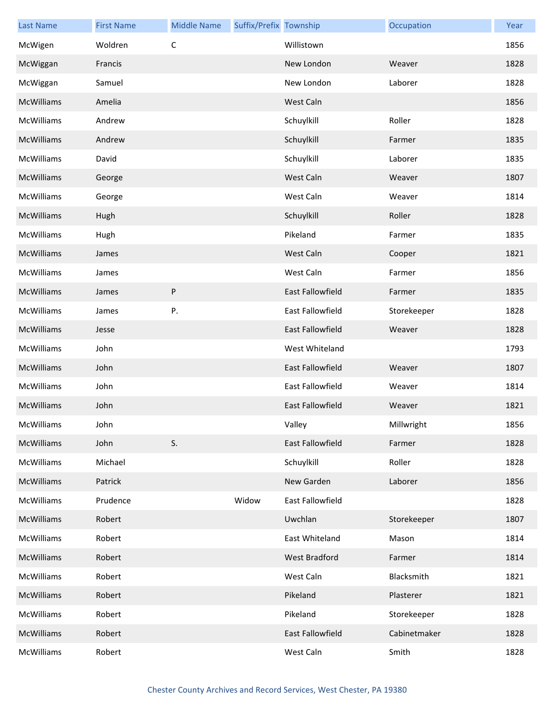| <b>Last Name</b>  | <b>First Name</b> | <b>Middle Name</b> | Suffix/Prefix Township |                         | Occupation   | Year |
|-------------------|-------------------|--------------------|------------------------|-------------------------|--------------|------|
| McWigen           | Woldren           | C                  |                        | Willistown              |              | 1856 |
| McWiggan          | Francis           |                    |                        | New London              | Weaver       | 1828 |
| McWiggan          | Samuel            |                    |                        | New London              | Laborer      | 1828 |
| McWilliams        | Amelia            |                    |                        | West Caln               |              | 1856 |
| McWilliams        | Andrew            |                    |                        | Schuylkill              | Roller       | 1828 |
| <b>McWilliams</b> | Andrew            |                    |                        | Schuylkill              | Farmer       | 1835 |
| McWilliams        | David             |                    |                        | Schuylkill              | Laborer      | 1835 |
| McWilliams        | George            |                    |                        | West Caln               | Weaver       | 1807 |
| McWilliams        | George            |                    |                        | West Caln               | Weaver       | 1814 |
| <b>McWilliams</b> | Hugh              |                    |                        | Schuylkill              | Roller       | 1828 |
| McWilliams        | Hugh              |                    |                        | Pikeland                | Farmer       | 1835 |
| McWilliams        | James             |                    |                        | West Caln               | Cooper       | 1821 |
| McWilliams        | James             |                    |                        | West Caln               | Farmer       | 1856 |
| McWilliams        | James             | P                  |                        | <b>East Fallowfield</b> | Farmer       | 1835 |
| McWilliams        | James             | Ρ.                 |                        | East Fallowfield        | Storekeeper  | 1828 |
| McWilliams        | Jesse             |                    |                        | East Fallowfield        | Weaver       | 1828 |
| McWilliams        | John              |                    |                        | West Whiteland          |              | 1793 |
| <b>McWilliams</b> | John              |                    |                        | <b>East Fallowfield</b> | Weaver       | 1807 |
| McWilliams        | John              |                    |                        | East Fallowfield        | Weaver       | 1814 |
| McWilliams        | John              |                    |                        | <b>East Fallowfield</b> | Weaver       | 1821 |
| McWilliams        | John              |                    |                        | Valley                  | Millwright   | 1856 |
| McWilliams        | John              | S.                 |                        | East Fallowfield        | Farmer       | 1828 |
| <b>McWilliams</b> | Michael           |                    |                        | Schuylkill              | Roller       | 1828 |
| McWilliams        | Patrick           |                    |                        | New Garden              | Laborer      | 1856 |
| McWilliams        | Prudence          |                    | Widow                  | East Fallowfield        |              | 1828 |
| McWilliams        | Robert            |                    |                        | Uwchlan                 | Storekeeper  | 1807 |
| McWilliams        | Robert            |                    |                        | East Whiteland          | Mason        | 1814 |
| McWilliams        | Robert            |                    |                        | West Bradford           | Farmer       | 1814 |
| McWilliams        | Robert            |                    |                        | West Caln               | Blacksmith   | 1821 |
| McWilliams        | Robert            |                    |                        | Pikeland                | Plasterer    | 1821 |
| McWilliams        | Robert            |                    |                        | Pikeland                | Storekeeper  | 1828 |
| McWilliams        | Robert            |                    |                        | East Fallowfield        | Cabinetmaker | 1828 |
| McWilliams        | Robert            |                    |                        | West Caln               | Smith        | 1828 |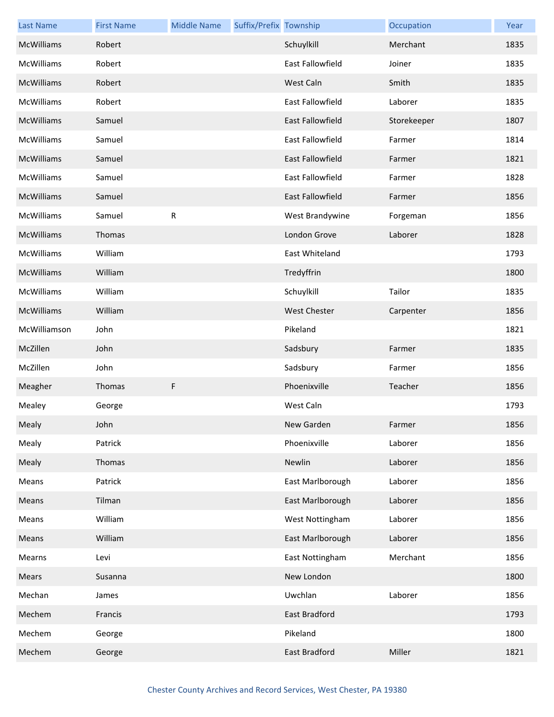| <b>Last Name</b>  | <b>First Name</b> | <b>Middle Name</b> | Suffix/Prefix Township |                         | Occupation  | Year |
|-------------------|-------------------|--------------------|------------------------|-------------------------|-------------|------|
| <b>McWilliams</b> | Robert            |                    |                        | Schuylkill              | Merchant    | 1835 |
| McWilliams        | Robert            |                    |                        | East Fallowfield        | Joiner      | 1835 |
| McWilliams        | Robert            |                    |                        | West Caln               | Smith       | 1835 |
| McWilliams        | Robert            |                    |                        | East Fallowfield        | Laborer     | 1835 |
| McWilliams        | Samuel            |                    |                        | <b>East Fallowfield</b> | Storekeeper | 1807 |
| McWilliams        | Samuel            |                    |                        | East Fallowfield        | Farmer      | 1814 |
| McWilliams        | Samuel            |                    |                        | East Fallowfield        | Farmer      | 1821 |
| McWilliams        | Samuel            |                    |                        | East Fallowfield        | Farmer      | 1828 |
| <b>McWilliams</b> | Samuel            |                    |                        | East Fallowfield        | Farmer      | 1856 |
| McWilliams        | Samuel            | ${\sf R}$          |                        | West Brandywine         | Forgeman    | 1856 |
| McWilliams        | Thomas            |                    |                        | London Grove            | Laborer     | 1828 |
| McWilliams        | William           |                    |                        | East Whiteland          |             | 1793 |
| <b>McWilliams</b> | William           |                    |                        | Tredyffrin              |             | 1800 |
| McWilliams        | William           |                    |                        | Schuylkill              | Tailor      | 1835 |
| McWilliams        | William           |                    |                        | <b>West Chester</b>     | Carpenter   | 1856 |
| McWilliamson      | John              |                    |                        | Pikeland                |             | 1821 |
| McZillen          | John              |                    |                        | Sadsbury                | Farmer      | 1835 |
| McZillen          | John              |                    |                        | Sadsbury                | Farmer      | 1856 |
| Meagher           | Thomas            | F                  |                        | Phoenixville            | Teacher     | 1856 |
| Mealey            | George            |                    |                        | West Caln               |             | 1793 |
| Mealy             | John              |                    |                        | New Garden              | Farmer      | 1856 |
| Mealy             | Patrick           |                    |                        | Phoenixville            | Laborer     | 1856 |
| Mealy             | Thomas            |                    |                        | Newlin                  | Laborer     | 1856 |
| Means             | Patrick           |                    |                        | East Marlborough        | Laborer     | 1856 |
| Means             | Tilman            |                    |                        | East Marlborough        | Laborer     | 1856 |
| Means             | William           |                    |                        | West Nottingham         | Laborer     | 1856 |
| Means             | William           |                    |                        | East Marlborough        | Laborer     | 1856 |
| Mearns            | Levi              |                    |                        | East Nottingham         | Merchant    | 1856 |
| Mears             | Susanna           |                    |                        | New London              |             | 1800 |
| Mechan            | James             |                    |                        | Uwchlan                 | Laborer     | 1856 |
| Mechem            | Francis           |                    |                        | East Bradford           |             | 1793 |
| Mechem            | George            |                    |                        | Pikeland                |             | 1800 |
| Mechem            | George            |                    |                        | East Bradford           | Miller      | 1821 |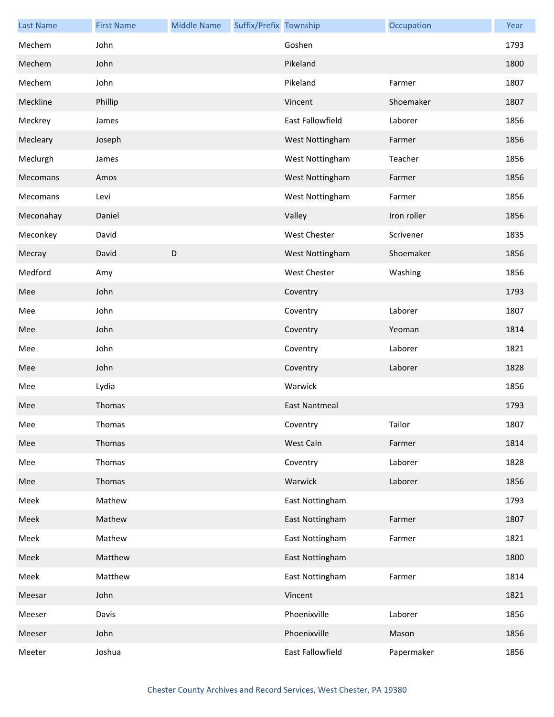| <b>Last Name</b> | <b>First Name</b> | <b>Middle Name</b> | Suffix/Prefix Township |                      | Occupation  | Year |
|------------------|-------------------|--------------------|------------------------|----------------------|-------------|------|
| Mechem           | John              |                    |                        | Goshen               |             | 1793 |
| Mechem           | John              |                    |                        | Pikeland             |             | 1800 |
| Mechem           | John              |                    |                        | Pikeland             | Farmer      | 1807 |
| Meckline         | Phillip           |                    |                        | Vincent              | Shoemaker   | 1807 |
| Meckrey          | James             |                    |                        | East Fallowfield     | Laborer     | 1856 |
| Mecleary         | Joseph            |                    |                        | West Nottingham      | Farmer      | 1856 |
| Meclurgh         | James             |                    |                        | West Nottingham      | Teacher     | 1856 |
| Mecomans         | Amos              |                    |                        | West Nottingham      | Farmer      | 1856 |
| Mecomans         | Levi              |                    |                        | West Nottingham      | Farmer      | 1856 |
| Meconahay        | Daniel            |                    |                        | Valley               | Iron roller | 1856 |
| Meconkey         | David             |                    |                        | <b>West Chester</b>  | Scrivener   | 1835 |
| Mecray           | David             | D                  |                        | West Nottingham      | Shoemaker   | 1856 |
| Medford          | Amy               |                    |                        | <b>West Chester</b>  | Washing     | 1856 |
| Mee              | John              |                    |                        | Coventry             |             | 1793 |
| Mee              | John              |                    |                        | Coventry             | Laborer     | 1807 |
| Mee              | John              |                    |                        | Coventry             | Yeoman      | 1814 |
| Mee              | John              |                    |                        | Coventry             | Laborer     | 1821 |
| Mee              | John              |                    |                        | Coventry             | Laborer     | 1828 |
| Mee              | Lydia             |                    |                        | Warwick              |             | 1856 |
| Mee              | Thomas            |                    |                        | <b>East Nantmeal</b> |             | 1793 |
| Mee              | Thomas            |                    |                        | Coventry             | Tailor      | 1807 |
| Mee              | Thomas            |                    |                        | West Caln            | Farmer      | 1814 |
| Mee              | Thomas            |                    |                        | Coventry             | Laborer     | 1828 |
| Mee              | Thomas            |                    |                        | Warwick              | Laborer     | 1856 |
| Meek             | Mathew            |                    |                        | East Nottingham      |             | 1793 |
| Meek             | Mathew            |                    |                        | East Nottingham      | Farmer      | 1807 |
| Meek             | Mathew            |                    |                        | East Nottingham      | Farmer      | 1821 |
| Meek             | Matthew           |                    |                        | East Nottingham      |             | 1800 |
| Meek             | Matthew           |                    |                        | East Nottingham      | Farmer      | 1814 |
| Meesar           | John              |                    |                        | Vincent              |             | 1821 |
| Meeser           | Davis             |                    |                        | Phoenixville         | Laborer     | 1856 |
| Meeser           | John              |                    |                        | Phoenixville         | Mason       | 1856 |
| Meeter           | Joshua            |                    |                        | East Fallowfield     | Papermaker  | 1856 |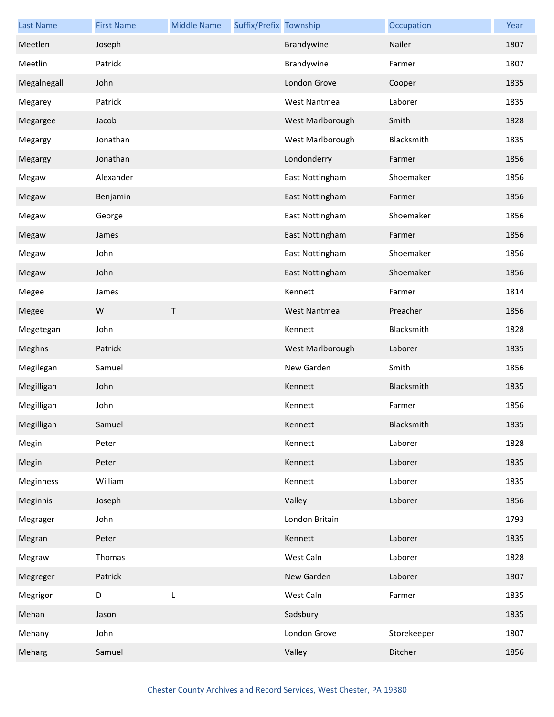| <b>Last Name</b> | <b>First Name</b> | <b>Middle Name</b> | Suffix/Prefix Township |                      | Occupation  | Year |
|------------------|-------------------|--------------------|------------------------|----------------------|-------------|------|
| Meetlen          | Joseph            |                    |                        | Brandywine           | Nailer      | 1807 |
| Meetlin          | Patrick           |                    |                        | Brandywine           | Farmer      | 1807 |
| Megalnegall      | John              |                    |                        | London Grove         | Cooper      | 1835 |
| Megarey          | Patrick           |                    |                        | <b>West Nantmeal</b> | Laborer     | 1835 |
| Megargee         | Jacob             |                    |                        | West Marlborough     | Smith       | 1828 |
| Megargy          | Jonathan          |                    |                        | West Marlborough     | Blacksmith  | 1835 |
| Megargy          | Jonathan          |                    |                        | Londonderry          | Farmer      | 1856 |
| Megaw            | Alexander         |                    |                        | East Nottingham      | Shoemaker   | 1856 |
| Megaw            | Benjamin          |                    |                        | East Nottingham      | Farmer      | 1856 |
| Megaw            | George            |                    |                        | East Nottingham      | Shoemaker   | 1856 |
| Megaw            | James             |                    |                        | East Nottingham      | Farmer      | 1856 |
| Megaw            | John              |                    |                        | East Nottingham      | Shoemaker   | 1856 |
| Megaw            | John              |                    |                        | East Nottingham      | Shoemaker   | 1856 |
| Megee            | James             |                    |                        | Kennett              | Farmer      | 1814 |
| Megee            | W                 | T.                 |                        | <b>West Nantmeal</b> | Preacher    | 1856 |
| Megetegan        | John              |                    |                        | Kennett              | Blacksmith  | 1828 |
| Meghns           | Patrick           |                    |                        | West Marlborough     | Laborer     | 1835 |
| Megilegan        | Samuel            |                    |                        | New Garden           | Smith       | 1856 |
| Megilligan       | John              |                    |                        | Kennett              | Blacksmith  | 1835 |
| Megilligan       | John              |                    |                        | Kennett              | Farmer      | 1856 |
| Megilligan       | Samuel            |                    |                        | Kennett              | Blacksmith  | 1835 |
| Megin            | Peter             |                    |                        | Kennett              | Laborer     | 1828 |
| Megin            | Peter             |                    |                        | Kennett              | Laborer     | 1835 |
| Meginness        | William           |                    |                        | Kennett              | Laborer     | 1835 |
| Meginnis         | Joseph            |                    |                        | Valley               | Laborer     | 1856 |
| Megrager         | John              |                    |                        | London Britain       |             | 1793 |
| Megran           | Peter             |                    |                        | Kennett              | Laborer     | 1835 |
| Megraw           | Thomas            |                    |                        | West Caln            | Laborer     | 1828 |
| Megreger         | Patrick           |                    |                        | New Garden           | Laborer     | 1807 |
| Megrigor         | D                 | L                  |                        | West Caln            | Farmer      | 1835 |
| Mehan            | Jason             |                    |                        | Sadsbury             |             | 1835 |
| Mehany           | John              |                    |                        | London Grove         | Storekeeper | 1807 |
| Meharg           | Samuel            |                    |                        | Valley               | Ditcher     | 1856 |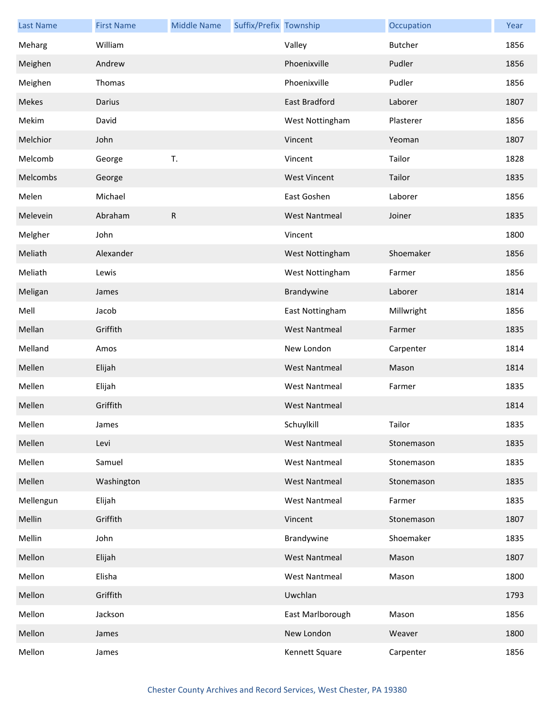| <b>Last Name</b> | <b>First Name</b> | <b>Middle Name</b> | Suffix/Prefix Township |                      | Occupation     | Year |
|------------------|-------------------|--------------------|------------------------|----------------------|----------------|------|
| Meharg           | William           |                    |                        | Valley               | <b>Butcher</b> | 1856 |
| Meighen          | Andrew            |                    |                        | Phoenixville         | Pudler         | 1856 |
| Meighen          | Thomas            |                    |                        | Phoenixville         | Pudler         | 1856 |
| Mekes            | Darius            |                    |                        | <b>East Bradford</b> | Laborer        | 1807 |
| Mekim            | David             |                    |                        | West Nottingham      | Plasterer      | 1856 |
| Melchior         | John              |                    |                        | Vincent              | Yeoman         | 1807 |
| Melcomb          | George            | T.                 |                        | Vincent              | Tailor         | 1828 |
| Melcombs         | George            |                    |                        | <b>West Vincent</b>  | Tailor         | 1835 |
| Melen            | Michael           |                    |                        | East Goshen          | Laborer        | 1856 |
| Melevein         | Abraham           | R                  |                        | <b>West Nantmeal</b> | Joiner         | 1835 |
| Melgher          | John              |                    |                        | Vincent              |                | 1800 |
| Meliath          | Alexander         |                    |                        | West Nottingham      | Shoemaker      | 1856 |
| Meliath          | Lewis             |                    |                        | West Nottingham      | Farmer         | 1856 |
| Meligan          | James             |                    |                        | Brandywine           | Laborer        | 1814 |
| Mell             | Jacob             |                    |                        | East Nottingham      | Millwright     | 1856 |
| Mellan           | Griffith          |                    |                        | <b>West Nantmeal</b> | Farmer         | 1835 |
| Melland          | Amos              |                    |                        | New London           | Carpenter      | 1814 |
| Mellen           | Elijah            |                    |                        | <b>West Nantmeal</b> | Mason          | 1814 |
| Mellen           | Elijah            |                    |                        | <b>West Nantmeal</b> | Farmer         | 1835 |
| Mellen           | Griffith          |                    |                        | <b>West Nantmeal</b> |                | 1814 |
| Mellen           | James             |                    |                        | Schuylkill           | Tailor         | 1835 |
| Mellen           | Levi              |                    |                        | <b>West Nantmeal</b> | Stonemason     | 1835 |
| Mellen           | Samuel            |                    |                        | <b>West Nantmeal</b> | Stonemason     | 1835 |
| Mellen           | Washington        |                    |                        | <b>West Nantmeal</b> | Stonemason     | 1835 |
| Mellengun        | Elijah            |                    |                        | <b>West Nantmeal</b> | Farmer         | 1835 |
| Mellin           | Griffith          |                    |                        | Vincent              | Stonemason     | 1807 |
| Mellin           | John              |                    |                        | Brandywine           | Shoemaker      | 1835 |
| Mellon           | Elijah            |                    |                        | <b>West Nantmeal</b> | Mason          | 1807 |
| Mellon           | Elisha            |                    |                        | <b>West Nantmeal</b> | Mason          | 1800 |
| Mellon           | Griffith          |                    |                        | Uwchlan              |                | 1793 |
| Mellon           | Jackson           |                    |                        | East Marlborough     | Mason          | 1856 |
| Mellon           | James             |                    |                        | New London           | Weaver         | 1800 |
| Mellon           | James             |                    |                        | Kennett Square       | Carpenter      | 1856 |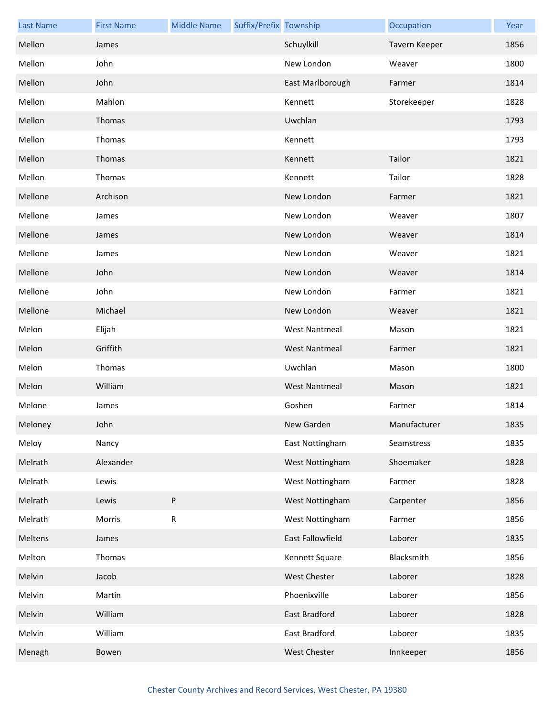| <b>Last Name</b> | <b>First Name</b> | <b>Middle Name</b> | Suffix/Prefix Township |                      | Occupation    | Year |
|------------------|-------------------|--------------------|------------------------|----------------------|---------------|------|
| Mellon           | James             |                    |                        | Schuylkill           | Tavern Keeper | 1856 |
| Mellon           | John              |                    |                        | New London           | Weaver        | 1800 |
| Mellon           | John              |                    |                        | East Marlborough     | Farmer        | 1814 |
| Mellon           | Mahlon            |                    |                        | Kennett              | Storekeeper   | 1828 |
| Mellon           | Thomas            |                    |                        | Uwchlan              |               | 1793 |
| Mellon           | Thomas            |                    |                        | Kennett              |               | 1793 |
| Mellon           | Thomas            |                    |                        | Kennett              | Tailor        | 1821 |
| Mellon           | Thomas            |                    |                        | Kennett              | Tailor        | 1828 |
| Mellone          | Archison          |                    |                        | New London           | Farmer        | 1821 |
| Mellone          | James             |                    |                        | New London           | Weaver        | 1807 |
| Mellone          | James             |                    |                        | New London           | Weaver        | 1814 |
| Mellone          | James             |                    |                        | New London           | Weaver        | 1821 |
| Mellone          | John              |                    |                        | New London           | Weaver        | 1814 |
| Mellone          | John              |                    |                        | New London           | Farmer        | 1821 |
| Mellone          | Michael           |                    |                        | New London           | Weaver        | 1821 |
| Melon            | Elijah            |                    |                        | <b>West Nantmeal</b> | Mason         | 1821 |
| Melon            | Griffith          |                    |                        | <b>West Nantmeal</b> | Farmer        | 1821 |
| Melon            | Thomas            |                    |                        | Uwchlan              | Mason         | 1800 |
| Melon            | William           |                    |                        | <b>West Nantmeal</b> | Mason         | 1821 |
| Melone           | James             |                    |                        | Goshen               | Farmer        | 1814 |
| Meloney          | John              |                    |                        | New Garden           | Manufacturer  | 1835 |
| Meloy            | Nancy             |                    |                        | East Nottingham      | Seamstress    | 1835 |
| Melrath          | Alexander         |                    |                        | West Nottingham      | Shoemaker     | 1828 |
| Melrath          | Lewis             |                    |                        | West Nottingham      | Farmer        | 1828 |
| Melrath          | Lewis             | P                  |                        | West Nottingham      | Carpenter     | 1856 |
| Melrath          | Morris            | ${\sf R}$          |                        | West Nottingham      | Farmer        | 1856 |
| Meltens          | James             |                    |                        | East Fallowfield     | Laborer       | 1835 |
| Melton           | Thomas            |                    |                        | Kennett Square       | Blacksmith    | 1856 |
| Melvin           | Jacob             |                    |                        | <b>West Chester</b>  | Laborer       | 1828 |
| Melvin           | Martin            |                    |                        | Phoenixville         | Laborer       | 1856 |
| Melvin           | William           |                    |                        | East Bradford        | Laborer       | 1828 |
| Melvin           | William           |                    |                        | East Bradford        | Laborer       | 1835 |
| Menagh           | Bowen             |                    |                        | West Chester         | Innkeeper     | 1856 |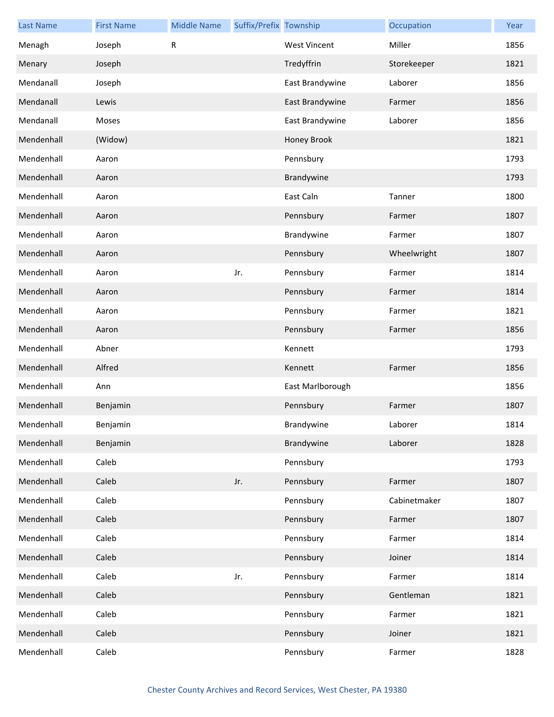| <b>Last Name</b> | <b>First Name</b> | <b>Middle Name</b> | Suffix/Prefix Township |                     | Occupation   | Year |
|------------------|-------------------|--------------------|------------------------|---------------------|--------------|------|
| Menagh           | Joseph            | R                  |                        | <b>West Vincent</b> | Miller       | 1856 |
| Menary           | Joseph            |                    |                        | Tredyffrin          | Storekeeper  | 1821 |
| Mendanall        | Joseph            |                    |                        | East Brandywine     | Laborer      | 1856 |
| Mendanall        | Lewis             |                    |                        | East Brandywine     | Farmer       | 1856 |
| Mendanall        | Moses             |                    |                        | East Brandywine     | Laborer      | 1856 |
| Mendenhall       | (Widow)           |                    |                        | Honey Brook         |              | 1821 |
| Mendenhall       | Aaron             |                    |                        | Pennsbury           |              | 1793 |
| Mendenhall       | Aaron             |                    |                        | Brandywine          |              | 1793 |
| Mendenhall       | Aaron             |                    |                        | East Caln           | Tanner       | 1800 |
| Mendenhall       | Aaron             |                    |                        | Pennsbury           | Farmer       | 1807 |
| Mendenhall       | Aaron             |                    |                        | Brandywine          | Farmer       | 1807 |
| Mendenhall       | Aaron             |                    |                        | Pennsbury           | Wheelwright  | 1807 |
| Mendenhall       | Aaron             |                    | Jr.                    | Pennsbury           | Farmer       | 1814 |
| Mendenhall       | Aaron             |                    |                        | Pennsbury           | Farmer       | 1814 |
| Mendenhall       | Aaron             |                    |                        | Pennsbury           | Farmer       | 1821 |
| Mendenhall       | Aaron             |                    |                        | Pennsbury           | Farmer       | 1856 |
| Mendenhall       | Abner             |                    |                        | Kennett             |              | 1793 |
| Mendenhall       | Alfred            |                    |                        | Kennett             | Farmer       | 1856 |
| Mendenhall       | Ann               |                    |                        | East Marlborough    |              | 1856 |
| Mendenhall       | Benjamin          |                    |                        | Pennsbury           | Farmer       | 1807 |
| Mendenhall       | Benjamin          |                    |                        | Brandywine          | Laborer      | 1814 |
| Mendenhall       | Benjamin          |                    |                        | Brandywine          | Laborer      | 1828 |
| Mendenhall       | Caleb             |                    |                        | Pennsbury           |              | 1793 |
| Mendenhall       | Caleb             |                    | Jr.                    | Pennsbury           | Farmer       | 1807 |
| Mendenhall       | Caleb             |                    |                        | Pennsbury           | Cabinetmaker | 1807 |
| Mendenhall       | Caleb             |                    |                        | Pennsbury           | Farmer       | 1807 |
| Mendenhall       | Caleb             |                    |                        | Pennsbury           | Farmer       | 1814 |
| Mendenhall       | Caleb             |                    |                        | Pennsbury           | Joiner       | 1814 |
| Mendenhall       | Caleb             |                    | Jr.                    | Pennsbury           | Farmer       | 1814 |
| Mendenhall       | Caleb             |                    |                        | Pennsbury           | Gentleman    | 1821 |
| Mendenhall       | Caleb             |                    |                        | Pennsbury           | Farmer       | 1821 |
| Mendenhall       | Caleb             |                    |                        | Pennsbury           | Joiner       | 1821 |
| Mendenhall       | Caleb             |                    |                        | Pennsbury           | Farmer       | 1828 |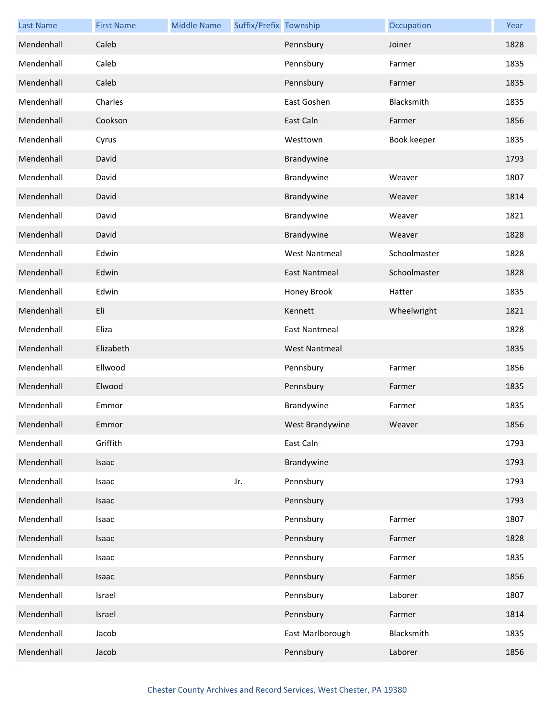| <b>Last Name</b> | <b>First Name</b> | <b>Middle Name</b> | Suffix/Prefix Township |                      | Occupation   | Year |
|------------------|-------------------|--------------------|------------------------|----------------------|--------------|------|
| Mendenhall       | Caleb             |                    |                        | Pennsbury            | Joiner       | 1828 |
| Mendenhall       | Caleb             |                    |                        | Pennsbury            | Farmer       | 1835 |
| Mendenhall       | Caleb             |                    |                        | Pennsbury            | Farmer       | 1835 |
| Mendenhall       | Charles           |                    |                        | East Goshen          | Blacksmith   | 1835 |
| Mendenhall       | Cookson           |                    |                        | East Caln            | Farmer       | 1856 |
| Mendenhall       | Cyrus             |                    |                        | Westtown             | Book keeper  | 1835 |
| Mendenhall       | David             |                    |                        | Brandywine           |              | 1793 |
| Mendenhall       | David             |                    |                        | Brandywine           | Weaver       | 1807 |
| Mendenhall       | David             |                    |                        | Brandywine           | Weaver       | 1814 |
| Mendenhall       | David             |                    |                        | Brandywine           | Weaver       | 1821 |
| Mendenhall       | David             |                    |                        | Brandywine           | Weaver       | 1828 |
| Mendenhall       | Edwin             |                    |                        | <b>West Nantmeal</b> | Schoolmaster | 1828 |
| Mendenhall       | Edwin             |                    |                        | <b>East Nantmeal</b> | Schoolmaster | 1828 |
| Mendenhall       | Edwin             |                    |                        | Honey Brook          | Hatter       | 1835 |
| Mendenhall       | Eli               |                    |                        | Kennett              | Wheelwright  | 1821 |
| Mendenhall       | Eliza             |                    |                        | <b>East Nantmeal</b> |              | 1828 |
| Mendenhall       | Elizabeth         |                    |                        | <b>West Nantmeal</b> |              | 1835 |
| Mendenhall       | Ellwood           |                    |                        | Pennsbury            | Farmer       | 1856 |
| Mendenhall       | Elwood            |                    |                        | Pennsbury            | Farmer       | 1835 |
| Mendenhall       | Emmor             |                    |                        | Brandywine           | Farmer       | 1835 |
| Mendenhall       | Emmor             |                    |                        | West Brandywine      | Weaver       | 1856 |
| Mendenhall       | Griffith          |                    |                        | East Caln            |              | 1793 |
| Mendenhall       | Isaac             |                    |                        | Brandywine           |              | 1793 |
| Mendenhall       | Isaac             |                    | Jr.                    | Pennsbury            |              | 1793 |
| Mendenhall       | Isaac             |                    |                        | Pennsbury            |              | 1793 |
| Mendenhall       | Isaac             |                    |                        | Pennsbury            | Farmer       | 1807 |
| Mendenhall       | Isaac             |                    |                        | Pennsbury            | Farmer       | 1828 |
| Mendenhall       | Isaac             |                    |                        | Pennsbury            | Farmer       | 1835 |
| Mendenhall       | Isaac             |                    |                        | Pennsbury            | Farmer       | 1856 |
| Mendenhall       | Israel            |                    |                        | Pennsbury            | Laborer      | 1807 |
| Mendenhall       | Israel            |                    |                        | Pennsbury            | Farmer       | 1814 |
| Mendenhall       | Jacob             |                    |                        | East Marlborough     | Blacksmith   | 1835 |
| Mendenhall       | Jacob             |                    |                        | Pennsbury            | Laborer      | 1856 |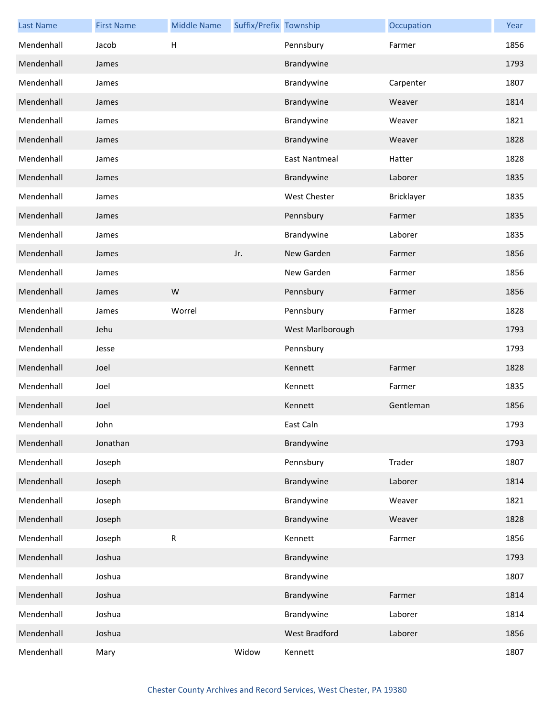| <b>Last Name</b> | <b>First Name</b> | <b>Middle Name</b> | Suffix/Prefix Township |                      | Occupation | Year |
|------------------|-------------------|--------------------|------------------------|----------------------|------------|------|
| Mendenhall       | Jacob             | Н                  |                        | Pennsbury            | Farmer     | 1856 |
| Mendenhall       | James             |                    |                        | Brandywine           |            | 1793 |
| Mendenhall       | James             |                    |                        | Brandywine           | Carpenter  | 1807 |
| Mendenhall       | James             |                    |                        | Brandywine           | Weaver     | 1814 |
| Mendenhall       | James             |                    |                        | Brandywine           | Weaver     | 1821 |
| Mendenhall       | James             |                    |                        | Brandywine           | Weaver     | 1828 |
| Mendenhall       | James             |                    |                        | <b>East Nantmeal</b> | Hatter     | 1828 |
| Mendenhall       | James             |                    |                        | Brandywine           | Laborer    | 1835 |
| Mendenhall       | James             |                    |                        | <b>West Chester</b>  | Bricklayer | 1835 |
| Mendenhall       | James             |                    |                        | Pennsbury            | Farmer     | 1835 |
| Mendenhall       | James             |                    |                        | Brandywine           | Laborer    | 1835 |
| Mendenhall       | James             |                    | Jr.                    | New Garden           | Farmer     | 1856 |
| Mendenhall       | James             |                    |                        | New Garden           | Farmer     | 1856 |
| Mendenhall       | James             | W                  |                        | Pennsbury            | Farmer     | 1856 |
| Mendenhall       | James             | Worrel             |                        | Pennsbury            | Farmer     | 1828 |
| Mendenhall       | Jehu              |                    |                        | West Marlborough     |            | 1793 |
| Mendenhall       | Jesse             |                    |                        | Pennsbury            |            | 1793 |
| Mendenhall       | Joel              |                    |                        | Kennett              | Farmer     | 1828 |
| Mendenhall       | Joel              |                    |                        | Kennett              | Farmer     | 1835 |
| Mendenhall       | Joel              |                    |                        | Kennett              | Gentleman  | 1856 |
| Mendenhall       | John              |                    |                        | East Caln            |            | 1793 |
| Mendenhall       | Jonathan          |                    |                        | Brandywine           |            | 1793 |
| Mendenhall       | Joseph            |                    |                        | Pennsbury            | Trader     | 1807 |
| Mendenhall       | Joseph            |                    |                        | Brandywine           | Laborer    | 1814 |
| Mendenhall       | Joseph            |                    |                        | Brandywine           | Weaver     | 1821 |
| Mendenhall       | Joseph            |                    |                        | Brandywine           | Weaver     | 1828 |
| Mendenhall       | Joseph            | ${\sf R}$          |                        | Kennett              | Farmer     | 1856 |
| Mendenhall       | Joshua            |                    |                        | Brandywine           |            | 1793 |
| Mendenhall       | Joshua            |                    |                        | Brandywine           |            | 1807 |
| Mendenhall       | Joshua            |                    |                        | Brandywine           | Farmer     | 1814 |
| Mendenhall       | Joshua            |                    |                        | Brandywine           | Laborer    | 1814 |
| Mendenhall       | Joshua            |                    |                        | West Bradford        | Laborer    | 1856 |
| Mendenhall       | Mary              |                    | Widow                  | Kennett              |            | 1807 |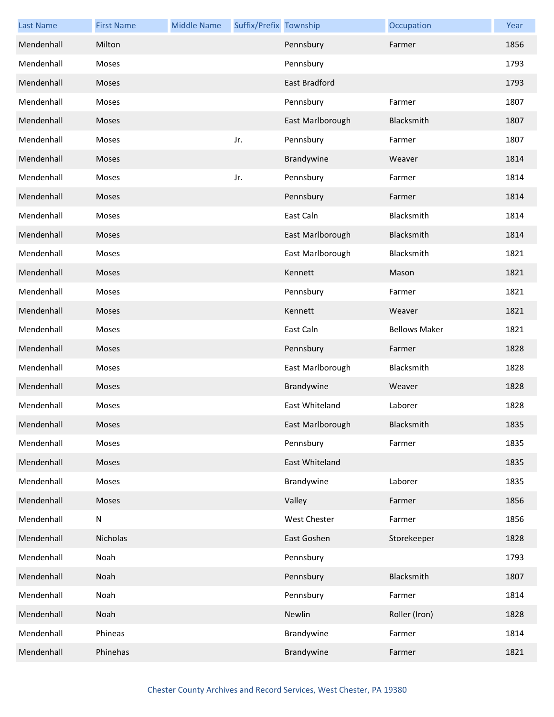| <b>Last Name</b> | <b>First Name</b> | <b>Middle Name</b> | Suffix/Prefix Township |                      | Occupation           | Year |
|------------------|-------------------|--------------------|------------------------|----------------------|----------------------|------|
| Mendenhall       | Milton            |                    |                        | Pennsbury            | Farmer               | 1856 |
| Mendenhall       | Moses             |                    |                        | Pennsbury            |                      | 1793 |
| Mendenhall       | Moses             |                    |                        | <b>East Bradford</b> |                      | 1793 |
| Mendenhall       | Moses             |                    |                        | Pennsbury            | Farmer               | 1807 |
| Mendenhall       | <b>Moses</b>      |                    |                        | East Marlborough     | Blacksmith           | 1807 |
| Mendenhall       | Moses             |                    | Jr.                    | Pennsbury            | Farmer               | 1807 |
| Mendenhall       | Moses             |                    |                        | Brandywine           | Weaver               | 1814 |
| Mendenhall       | Moses             |                    | Jr.                    | Pennsbury            | Farmer               | 1814 |
| Mendenhall       | Moses             |                    |                        | Pennsbury            | Farmer               | 1814 |
| Mendenhall       | Moses             |                    |                        | East Caln            | Blacksmith           | 1814 |
| Mendenhall       | <b>Moses</b>      |                    |                        | East Marlborough     | Blacksmith           | 1814 |
| Mendenhall       | Moses             |                    |                        | East Marlborough     | Blacksmith           | 1821 |
| Mendenhall       | Moses             |                    |                        | Kennett              | Mason                | 1821 |
| Mendenhall       | Moses             |                    |                        | Pennsbury            | Farmer               | 1821 |
| Mendenhall       | Moses             |                    |                        | Kennett              | Weaver               | 1821 |
| Mendenhall       | Moses             |                    |                        | East Caln            | <b>Bellows Maker</b> | 1821 |
| Mendenhall       | Moses             |                    |                        | Pennsbury            | Farmer               | 1828 |
| Mendenhall       | Moses             |                    |                        | East Marlborough     | Blacksmith           | 1828 |
| Mendenhall       | Moses             |                    |                        | Brandywine           | Weaver               | 1828 |
| Mendenhall       | Moses             |                    |                        | East Whiteland       | Laborer              | 1828 |
| Mendenhall       | Moses             |                    |                        | East Marlborough     | Blacksmith           | 1835 |
| Mendenhall       | Moses             |                    |                        | Pennsbury            | Farmer               | 1835 |
| Mendenhall       | Moses             |                    |                        | East Whiteland       |                      | 1835 |
| Mendenhall       | Moses             |                    |                        | Brandywine           | Laborer              | 1835 |
| Mendenhall       | Moses             |                    |                        | Valley               | Farmer               | 1856 |
| Mendenhall       | ${\sf N}$         |                    |                        | <b>West Chester</b>  | Farmer               | 1856 |
| Mendenhall       | Nicholas          |                    |                        | East Goshen          | Storekeeper          | 1828 |
| Mendenhall       | Noah              |                    |                        | Pennsbury            |                      | 1793 |
| Mendenhall       | Noah              |                    |                        | Pennsbury            | Blacksmith           | 1807 |
| Mendenhall       | Noah              |                    |                        | Pennsbury            | Farmer               | 1814 |
| Mendenhall       | Noah              |                    |                        | Newlin               | Roller (Iron)        | 1828 |
| Mendenhall       | Phineas           |                    |                        | Brandywine           | Farmer               | 1814 |
| Mendenhall       | Phinehas          |                    |                        | Brandywine           | Farmer               | 1821 |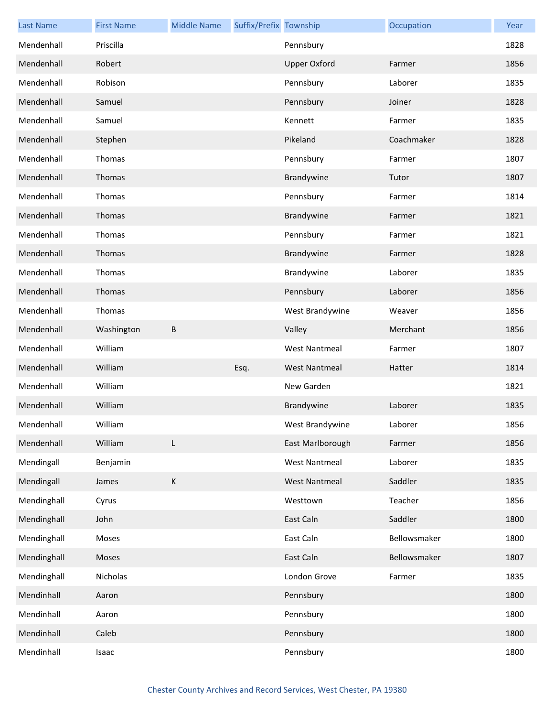| <b>Last Name</b> | <b>First Name</b> | <b>Middle Name</b> | Suffix/Prefix Township |                      | Occupation   | Year |
|------------------|-------------------|--------------------|------------------------|----------------------|--------------|------|
| Mendenhall       | Priscilla         |                    |                        | Pennsbury            |              | 1828 |
| Mendenhall       | Robert            |                    |                        | <b>Upper Oxford</b>  | Farmer       | 1856 |
| Mendenhall       | Robison           |                    |                        | Pennsbury            | Laborer      | 1835 |
| Mendenhall       | Samuel            |                    |                        | Pennsbury            | Joiner       | 1828 |
| Mendenhall       | Samuel            |                    |                        | Kennett              | Farmer       | 1835 |
| Mendenhall       | Stephen           |                    |                        | Pikeland             | Coachmaker   | 1828 |
| Mendenhall       | Thomas            |                    |                        | Pennsbury            | Farmer       | 1807 |
| Mendenhall       | Thomas            |                    |                        | Brandywine           | Tutor        | 1807 |
| Mendenhall       | Thomas            |                    |                        | Pennsbury            | Farmer       | 1814 |
| Mendenhall       | Thomas            |                    |                        | Brandywine           | Farmer       | 1821 |
| Mendenhall       | Thomas            |                    |                        | Pennsbury            | Farmer       | 1821 |
| Mendenhall       | Thomas            |                    |                        | Brandywine           | Farmer       | 1828 |
| Mendenhall       | Thomas            |                    |                        | Brandywine           | Laborer      | 1835 |
| Mendenhall       | Thomas            |                    |                        | Pennsbury            | Laborer      | 1856 |
| Mendenhall       | Thomas            |                    |                        | West Brandywine      | Weaver       | 1856 |
| Mendenhall       | Washington        | В                  |                        | Valley               | Merchant     | 1856 |
| Mendenhall       | William           |                    |                        | <b>West Nantmeal</b> | Farmer       | 1807 |
| Mendenhall       | William           |                    | Esq.                   | <b>West Nantmeal</b> | Hatter       | 1814 |
| Mendenhall       | William           |                    |                        | New Garden           |              | 1821 |
| Mendenhall       | William           |                    |                        | Brandywine           | Laborer      | 1835 |
| Mendenhall       | William           |                    |                        | West Brandywine      | Laborer      | 1856 |
| Mendenhall       | William           | L                  |                        | East Marlborough     | Farmer       | 1856 |
| Mendingall       | Benjamin          |                    |                        | <b>West Nantmeal</b> | Laborer      | 1835 |
| Mendingall       | James             | К                  |                        | <b>West Nantmeal</b> | Saddler      | 1835 |
| Mendinghall      | Cyrus             |                    |                        | Westtown             | Teacher      | 1856 |
| Mendinghall      | John              |                    |                        | East Caln            | Saddler      | 1800 |
| Mendinghall      | Moses             |                    |                        | East Caln            | Bellowsmaker | 1800 |
| Mendinghall      | Moses             |                    |                        | East Caln            | Bellowsmaker | 1807 |
| Mendinghall      | Nicholas          |                    |                        | London Grove         | Farmer       | 1835 |
| Mendinhall       | Aaron             |                    |                        | Pennsbury            |              | 1800 |
| Mendinhall       | Aaron             |                    |                        | Pennsbury            |              | 1800 |
| Mendinhall       | Caleb             |                    |                        | Pennsbury            |              | 1800 |
| Mendinhall       | Isaac             |                    |                        | Pennsbury            |              | 1800 |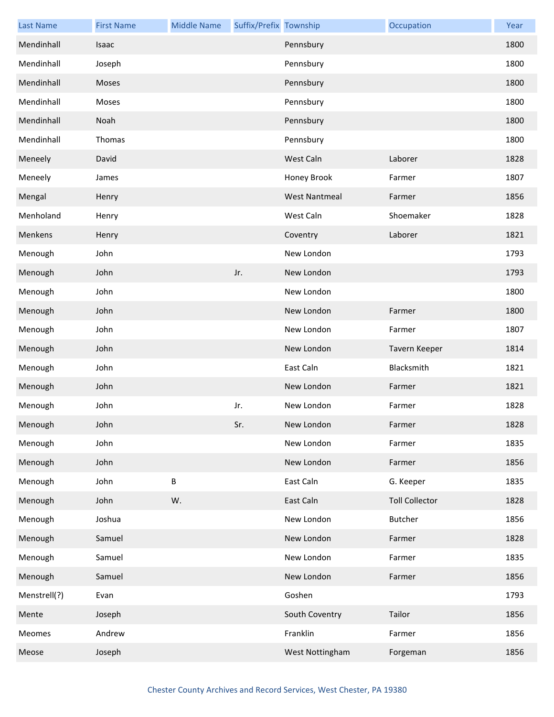| <b>Last Name</b> | <b>First Name</b> | <b>Middle Name</b> | Suffix/Prefix Township |                      | Occupation            | Year |
|------------------|-------------------|--------------------|------------------------|----------------------|-----------------------|------|
| Mendinhall       | Isaac             |                    |                        | Pennsbury            |                       | 1800 |
| Mendinhall       | Joseph            |                    |                        | Pennsbury            |                       | 1800 |
| Mendinhall       | Moses             |                    |                        | Pennsbury            |                       | 1800 |
| Mendinhall       | Moses             |                    |                        | Pennsbury            |                       | 1800 |
| Mendinhall       | Noah              |                    |                        | Pennsbury            |                       | 1800 |
| Mendinhall       | Thomas            |                    |                        | Pennsbury            |                       | 1800 |
| Meneely          | David             |                    |                        | West Caln            | Laborer               | 1828 |
| Meneely          | James             |                    |                        | Honey Brook          | Farmer                | 1807 |
| Mengal           | Henry             |                    |                        | <b>West Nantmeal</b> | Farmer                | 1856 |
| Menholand        | Henry             |                    |                        | West Caln            | Shoemaker             | 1828 |
| Menkens          | Henry             |                    |                        | Coventry             | Laborer               | 1821 |
| Menough          | John              |                    |                        | New London           |                       | 1793 |
| Menough          | John              |                    | Jr.                    | New London           |                       | 1793 |
| Menough          | John              |                    |                        | New London           |                       | 1800 |
| Menough          | John              |                    |                        | New London           | Farmer                | 1800 |
| Menough          | John              |                    |                        | New London           | Farmer                | 1807 |
| Menough          | John              |                    |                        | New London           | Tavern Keeper         | 1814 |
| Menough          | John              |                    |                        | East Caln            | Blacksmith            | 1821 |
| Menough          | John              |                    |                        | New London           | Farmer                | 1821 |
| Menough          | John              |                    | Jr.                    | New London           | Farmer                | 1828 |
| Menough          | John              |                    | Sr.                    | New London           | Farmer                | 1828 |
| Menough          | John              |                    |                        | New London           | Farmer                | 1835 |
| Menough          | John              |                    |                        | New London           | Farmer                | 1856 |
| Menough          | John              | B                  |                        | East Caln            | G. Keeper             | 1835 |
| Menough          | John              | W.                 |                        | East Caln            | <b>Toll Collector</b> | 1828 |
| Menough          | Joshua            |                    |                        | New London           | <b>Butcher</b>        | 1856 |
| Menough          | Samuel            |                    |                        | New London           | Farmer                | 1828 |
| Menough          | Samuel            |                    |                        | New London           | Farmer                | 1835 |
| Menough          | Samuel            |                    |                        | New London           | Farmer                | 1856 |
| Menstrell(?)     | Evan              |                    |                        | Goshen               |                       | 1793 |
| Mente            | Joseph            |                    |                        | South Coventry       | Tailor                | 1856 |
| Meomes           | Andrew            |                    |                        | Franklin             | Farmer                | 1856 |
| Meose            | Joseph            |                    |                        | West Nottingham      | Forgeman              | 1856 |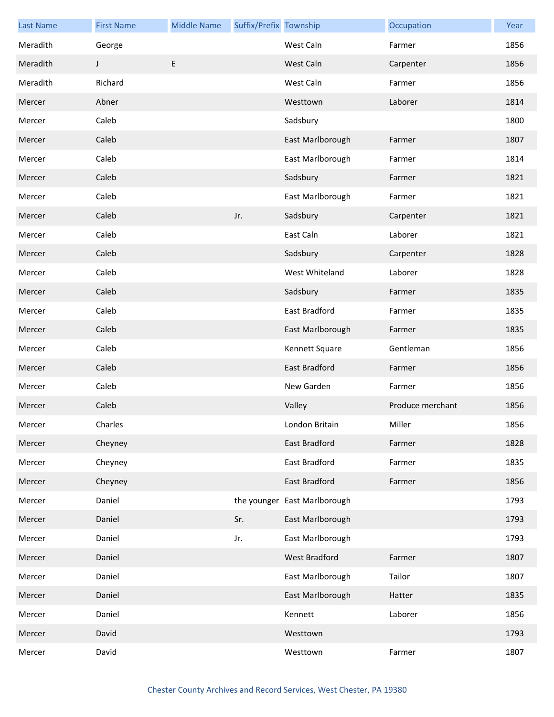| <b>Last Name</b> | <b>First Name</b> | <b>Middle Name</b> | Suffix/Prefix Township |                              | Occupation       | Year |
|------------------|-------------------|--------------------|------------------------|------------------------------|------------------|------|
| Meradith         | George            |                    |                        | West Caln                    | Farmer           | 1856 |
| Meradith         | J                 | E                  |                        | West Caln                    | Carpenter        | 1856 |
| Meradith         | Richard           |                    |                        | West Caln                    | Farmer           | 1856 |
| Mercer           | Abner             |                    |                        | Westtown                     | Laborer          | 1814 |
| Mercer           | Caleb             |                    |                        | Sadsbury                     |                  | 1800 |
| Mercer           | Caleb             |                    |                        | East Marlborough             | Farmer           | 1807 |
| Mercer           | Caleb             |                    |                        | East Marlborough             | Farmer           | 1814 |
| Mercer           | Caleb             |                    |                        | Sadsbury                     | Farmer           | 1821 |
| Mercer           | Caleb             |                    |                        | East Marlborough             | Farmer           | 1821 |
| Mercer           | Caleb             |                    | Jr.                    | Sadsbury                     | Carpenter        | 1821 |
| Mercer           | Caleb             |                    |                        | East Caln                    | Laborer          | 1821 |
| Mercer           | Caleb             |                    |                        | Sadsbury                     | Carpenter        | 1828 |
| Mercer           | Caleb             |                    |                        | West Whiteland               | Laborer          | 1828 |
| Mercer           | Caleb             |                    |                        | Sadsbury                     | Farmer           | 1835 |
| Mercer           | Caleb             |                    |                        | East Bradford                | Farmer           | 1835 |
| Mercer           | Caleb             |                    |                        | East Marlborough             | Farmer           | 1835 |
| Mercer           | Caleb             |                    |                        | Kennett Square               | Gentleman        | 1856 |
| Mercer           | Caleb             |                    |                        | <b>East Bradford</b>         | Farmer           | 1856 |
| Mercer           | Caleb             |                    |                        | New Garden                   | Farmer           | 1856 |
| Mercer           | Caleb             |                    |                        | Valley                       | Produce merchant | 1856 |
| Mercer           | Charles           |                    |                        | London Britain               | Miller           | 1856 |
| Mercer           | Cheyney           |                    |                        | East Bradford                | Farmer           | 1828 |
| Mercer           | Cheyney           |                    |                        | East Bradford                | Farmer           | 1835 |
| Mercer           | Cheyney           |                    |                        | East Bradford                | Farmer           | 1856 |
| Mercer           | Daniel            |                    |                        | the younger East Marlborough |                  | 1793 |
| Mercer           | Daniel            |                    | Sr.                    | East Marlborough             |                  | 1793 |
| Mercer           | Daniel            |                    | Jr.                    | East Marlborough             |                  | 1793 |
| Mercer           | Daniel            |                    |                        | West Bradford                | Farmer           | 1807 |
| Mercer           | Daniel            |                    |                        | East Marlborough             | Tailor           | 1807 |
| Mercer           | Daniel            |                    |                        | East Marlborough             | Hatter           | 1835 |
| Mercer           | Daniel            |                    |                        | Kennett                      | Laborer          | 1856 |
| Mercer           | David             |                    |                        | Westtown                     |                  | 1793 |
| Mercer           | David             |                    |                        | Westtown                     | Farmer           | 1807 |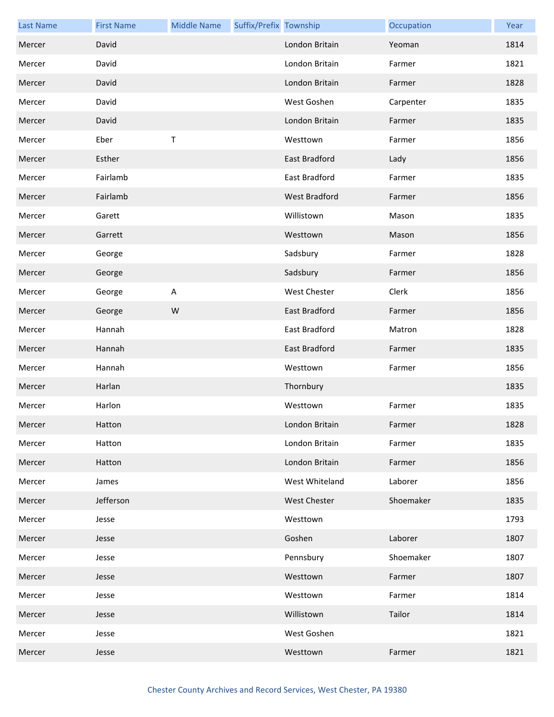| <b>Last Name</b> | <b>First Name</b> | <b>Middle Name</b>      | Suffix/Prefix Township |                      | Occupation | Year |
|------------------|-------------------|-------------------------|------------------------|----------------------|------------|------|
| Mercer           | David             |                         |                        | London Britain       | Yeoman     | 1814 |
| Mercer           | David             |                         |                        | London Britain       | Farmer     | 1821 |
| Mercer           | David             |                         |                        | London Britain       | Farmer     | 1828 |
| Mercer           | David             |                         |                        | West Goshen          | Carpenter  | 1835 |
| Mercer           | David             |                         |                        | London Britain       | Farmer     | 1835 |
| Mercer           | Eber              | $\sf T$                 |                        | Westtown             | Farmer     | 1856 |
| Mercer           | Esther            |                         |                        | East Bradford        | Lady       | 1856 |
| Mercer           | Fairlamb          |                         |                        | East Bradford        | Farmer     | 1835 |
| Mercer           | Fairlamb          |                         |                        | <b>West Bradford</b> | Farmer     | 1856 |
| Mercer           | Garett            |                         |                        | Willistown           | Mason      | 1835 |
| Mercer           | Garrett           |                         |                        | Westtown             | Mason      | 1856 |
| Mercer           | George            |                         |                        | Sadsbury             | Farmer     | 1828 |
| Mercer           | George            |                         |                        | Sadsbury             | Farmer     | 1856 |
| Mercer           | George            | $\overline{\mathsf{A}}$ |                        | West Chester         | Clerk      | 1856 |
| Mercer           | George            | W                       |                        | East Bradford        | Farmer     | 1856 |
| Mercer           | Hannah            |                         |                        | <b>East Bradford</b> | Matron     | 1828 |
| Mercer           | Hannah            |                         |                        | East Bradford        | Farmer     | 1835 |
| Mercer           | Hannah            |                         |                        | Westtown             | Farmer     | 1856 |
| Mercer           | Harlan            |                         |                        | Thornbury            |            | 1835 |
| Mercer           | Harlon            |                         |                        | Westtown             | Farmer     | 1835 |
| Mercer           | Hatton            |                         |                        | London Britain       | Farmer     | 1828 |
| Mercer           | Hatton            |                         |                        | London Britain       | Farmer     | 1835 |
| Mercer           | Hatton            |                         |                        | London Britain       | Farmer     | 1856 |
| Mercer           | James             |                         |                        | West Whiteland       | Laborer    | 1856 |
| Mercer           | Jefferson         |                         |                        | West Chester         | Shoemaker  | 1835 |
| Mercer           | Jesse             |                         |                        | Westtown             |            | 1793 |
| Mercer           | Jesse             |                         |                        | Goshen               | Laborer    | 1807 |
| Mercer           | Jesse             |                         |                        | Pennsbury            | Shoemaker  | 1807 |
| Mercer           | Jesse             |                         |                        | Westtown             | Farmer     | 1807 |
| Mercer           | Jesse             |                         |                        | Westtown             | Farmer     | 1814 |
| Mercer           | Jesse             |                         |                        | Willistown           | Tailor     | 1814 |
| Mercer           | Jesse             |                         |                        | West Goshen          |            | 1821 |
| Mercer           | Jesse             |                         |                        | Westtown             | Farmer     | 1821 |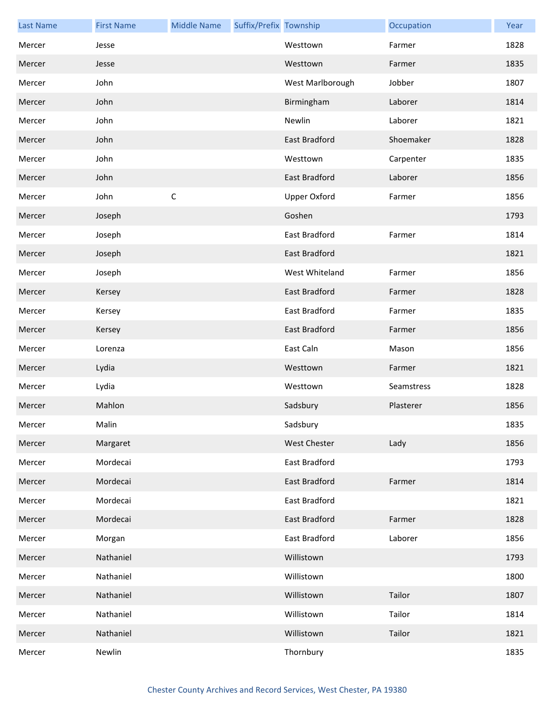| <b>Last Name</b> | <b>First Name</b> | <b>Middle Name</b> | Suffix/Prefix Township |                      | Occupation | Year |
|------------------|-------------------|--------------------|------------------------|----------------------|------------|------|
| Mercer           | Jesse             |                    |                        | Westtown             | Farmer     | 1828 |
| Mercer           | Jesse             |                    |                        | Westtown             | Farmer     | 1835 |
| Mercer           | John              |                    |                        | West Marlborough     | Jobber     | 1807 |
| Mercer           | John              |                    |                        | Birmingham           | Laborer    | 1814 |
| Mercer           | John              |                    |                        | Newlin               | Laborer    | 1821 |
| Mercer           | John              |                    |                        | East Bradford        | Shoemaker  | 1828 |
| Mercer           | John              |                    |                        | Westtown             | Carpenter  | 1835 |
| Mercer           | John              |                    |                        | East Bradford        | Laborer    | 1856 |
| Mercer           | John              | $\mathsf C$        |                        | Upper Oxford         | Farmer     | 1856 |
| Mercer           | Joseph            |                    |                        | Goshen               |            | 1793 |
| Mercer           | Joseph            |                    |                        | East Bradford        | Farmer     | 1814 |
| Mercer           | Joseph            |                    |                        | East Bradford        |            | 1821 |
| Mercer           | Joseph            |                    |                        | West Whiteland       | Farmer     | 1856 |
| Mercer           | Kersey            |                    |                        | East Bradford        | Farmer     | 1828 |
| Mercer           | Kersey            |                    |                        | East Bradford        | Farmer     | 1835 |
| Mercer           | Kersey            |                    |                        | East Bradford        | Farmer     | 1856 |
| Mercer           | Lorenza           |                    |                        | East Caln            | Mason      | 1856 |
| Mercer           | Lydia             |                    |                        | Westtown             | Farmer     | 1821 |
| Mercer           | Lydia             |                    |                        | Westtown             | Seamstress | 1828 |
| Mercer           | Mahlon            |                    |                        | Sadsbury             | Plasterer  | 1856 |
| Mercer           | Malin             |                    |                        | Sadsbury             |            | 1835 |
| Mercer           | Margaret          |                    |                        | West Chester         | Lady       | 1856 |
| Mercer           | Mordecai          |                    |                        | East Bradford        |            | 1793 |
| Mercer           | Mordecai          |                    |                        | <b>East Bradford</b> | Farmer     | 1814 |
| Mercer           | Mordecai          |                    |                        | East Bradford        |            | 1821 |
| Mercer           | Mordecai          |                    |                        | East Bradford        | Farmer     | 1828 |
| Mercer           | Morgan            |                    |                        | East Bradford        | Laborer    | 1856 |
| Mercer           | Nathaniel         |                    |                        | Willistown           |            | 1793 |
| Mercer           | Nathaniel         |                    |                        | Willistown           |            | 1800 |
| Mercer           | Nathaniel         |                    |                        | Willistown           | Tailor     | 1807 |
| Mercer           | Nathaniel         |                    |                        | Willistown           | Tailor     | 1814 |
| Mercer           | Nathaniel         |                    |                        | Willistown           | Tailor     | 1821 |
| Mercer           | Newlin            |                    |                        | Thornbury            |            | 1835 |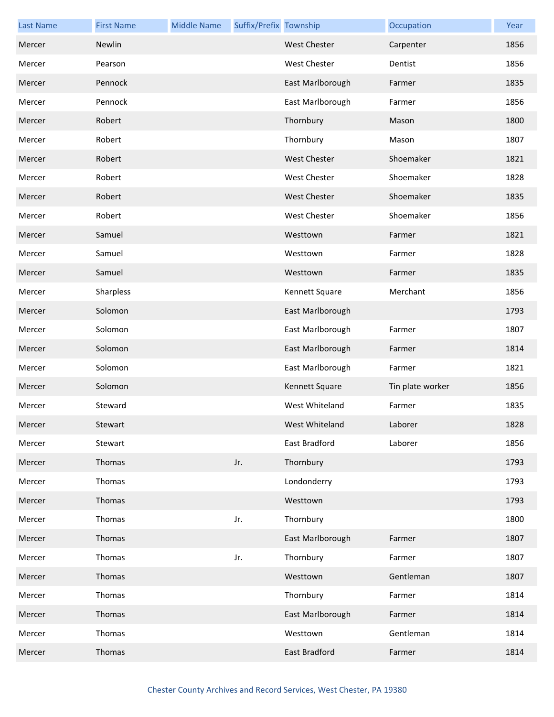| <b>Last Name</b> | <b>First Name</b> | <b>Middle Name</b> | Suffix/Prefix Township |                     | Occupation       | Year |
|------------------|-------------------|--------------------|------------------------|---------------------|------------------|------|
| Mercer           | Newlin            |                    |                        | <b>West Chester</b> | Carpenter        | 1856 |
| Mercer           | Pearson           |                    |                        | <b>West Chester</b> | Dentist          | 1856 |
| Mercer           | Pennock           |                    |                        | East Marlborough    | Farmer           | 1835 |
| Mercer           | Pennock           |                    |                        | East Marlborough    | Farmer           | 1856 |
| Mercer           | Robert            |                    |                        | Thornbury           | Mason            | 1800 |
| Mercer           | Robert            |                    |                        | Thornbury           | Mason            | 1807 |
| Mercer           | Robert            |                    |                        | <b>West Chester</b> | Shoemaker        | 1821 |
| Mercer           | Robert            |                    |                        | <b>West Chester</b> | Shoemaker        | 1828 |
| Mercer           | Robert            |                    |                        | <b>West Chester</b> | Shoemaker        | 1835 |
| Mercer           | Robert            |                    |                        | <b>West Chester</b> | Shoemaker        | 1856 |
| Mercer           | Samuel            |                    |                        | Westtown            | Farmer           | 1821 |
| Mercer           | Samuel            |                    |                        | Westtown            | Farmer           | 1828 |
| Mercer           | Samuel            |                    |                        | Westtown            | Farmer           | 1835 |
| Mercer           | Sharpless         |                    |                        | Kennett Square      | Merchant         | 1856 |
| Mercer           | Solomon           |                    |                        | East Marlborough    |                  | 1793 |
| Mercer           | Solomon           |                    |                        | East Marlborough    | Farmer           | 1807 |
| Mercer           | Solomon           |                    |                        | East Marlborough    | Farmer           | 1814 |
| Mercer           | Solomon           |                    |                        | East Marlborough    | Farmer           | 1821 |
| Mercer           | Solomon           |                    |                        | Kennett Square      | Tin plate worker | 1856 |
| Mercer           | Steward           |                    |                        | West Whiteland      | Farmer           | 1835 |
| Mercer           | Stewart           |                    |                        | West Whiteland      | Laborer          | 1828 |
| Mercer           | Stewart           |                    |                        | East Bradford       | Laborer          | 1856 |
| Mercer           | Thomas            |                    | Jr.                    | Thornbury           |                  | 1793 |
| Mercer           | Thomas            |                    |                        | Londonderry         |                  | 1793 |
| Mercer           | Thomas            |                    |                        | Westtown            |                  | 1793 |
| Mercer           | Thomas            |                    | Jr.                    | Thornbury           |                  | 1800 |
| Mercer           | Thomas            |                    |                        | East Marlborough    | Farmer           | 1807 |
| Mercer           | Thomas            |                    | Jr.                    | Thornbury           | Farmer           | 1807 |
| Mercer           | Thomas            |                    |                        | Westtown            | Gentleman        | 1807 |
| Mercer           | Thomas            |                    |                        | Thornbury           | Farmer           | 1814 |
| Mercer           | Thomas            |                    |                        | East Marlborough    | Farmer           | 1814 |
| Mercer           | Thomas            |                    |                        | Westtown            | Gentleman        | 1814 |
| Mercer           | Thomas            |                    |                        | East Bradford       | Farmer           | 1814 |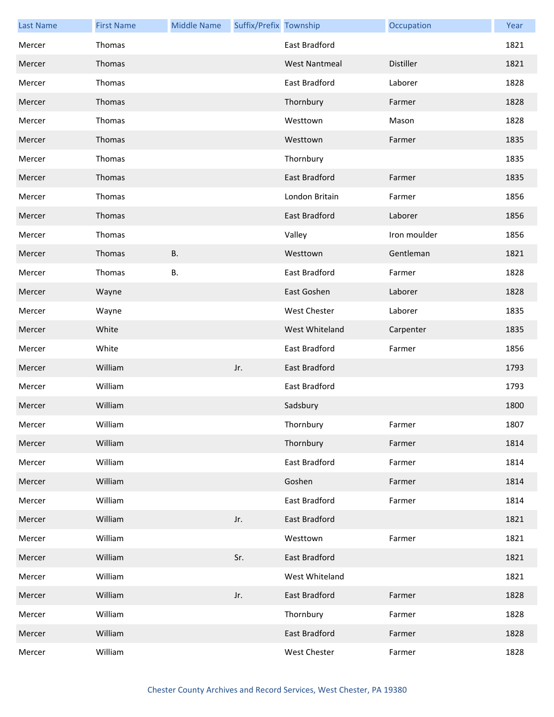| <b>Last Name</b> | <b>First Name</b> | <b>Middle Name</b> | Suffix/Prefix Township |                      | Occupation       | Year |
|------------------|-------------------|--------------------|------------------------|----------------------|------------------|------|
| Mercer           | Thomas            |                    |                        | East Bradford        |                  | 1821 |
| Mercer           | Thomas            |                    |                        | <b>West Nantmeal</b> | <b>Distiller</b> | 1821 |
| Mercer           | Thomas            |                    |                        | East Bradford        | Laborer          | 1828 |
| Mercer           | Thomas            |                    |                        | Thornbury            | Farmer           | 1828 |
| Mercer           | Thomas            |                    |                        | Westtown             | Mason            | 1828 |
| Mercer           | Thomas            |                    |                        | Westtown             | Farmer           | 1835 |
| Mercer           | Thomas            |                    |                        | Thornbury            |                  | 1835 |
| Mercer           | Thomas            |                    |                        | <b>East Bradford</b> | Farmer           | 1835 |
| Mercer           | Thomas            |                    |                        | London Britain       | Farmer           | 1856 |
| Mercer           | Thomas            |                    |                        | <b>East Bradford</b> | Laborer          | 1856 |
| Mercer           | Thomas            |                    |                        | Valley               | Iron moulder     | 1856 |
| Mercer           | Thomas            | <b>B.</b>          |                        | Westtown             | Gentleman        | 1821 |
| Mercer           | Thomas            | <b>B.</b>          |                        | East Bradford        | Farmer           | 1828 |
| Mercer           | Wayne             |                    |                        | East Goshen          | Laborer          | 1828 |
| Mercer           | Wayne             |                    |                        | West Chester         | Laborer          | 1835 |
| Mercer           | White             |                    |                        | West Whiteland       | Carpenter        | 1835 |
| Mercer           | White             |                    |                        | East Bradford        | Farmer           | 1856 |
| Mercer           | William           |                    | Jr.                    | East Bradford        |                  | 1793 |
| Mercer           | William           |                    |                        | East Bradford        |                  | 1793 |
| Mercer           | William           |                    |                        | Sadsbury             |                  | 1800 |
| Mercer           | William           |                    |                        | Thornbury            | Farmer           | 1807 |
| Mercer           | William           |                    |                        | Thornbury            | Farmer           | 1814 |
| Mercer           | William           |                    |                        | East Bradford        | Farmer           | 1814 |
| Mercer           | William           |                    |                        | Goshen               | Farmer           | 1814 |
| Mercer           | William           |                    |                        | East Bradford        | Farmer           | 1814 |
| Mercer           | William           |                    | Jr.                    | <b>East Bradford</b> |                  | 1821 |
| Mercer           | William           |                    |                        | Westtown             | Farmer           | 1821 |
| Mercer           | William           |                    | Sr.                    | East Bradford        |                  | 1821 |
| Mercer           | William           |                    |                        | West Whiteland       |                  | 1821 |
| Mercer           | William           |                    | Jr.                    | East Bradford        | Farmer           | 1828 |
| Mercer           | William           |                    |                        | Thornbury            | Farmer           | 1828 |
| Mercer           | William           |                    |                        | East Bradford        | Farmer           | 1828 |
| Mercer           | William           |                    |                        | West Chester         | Farmer           | 1828 |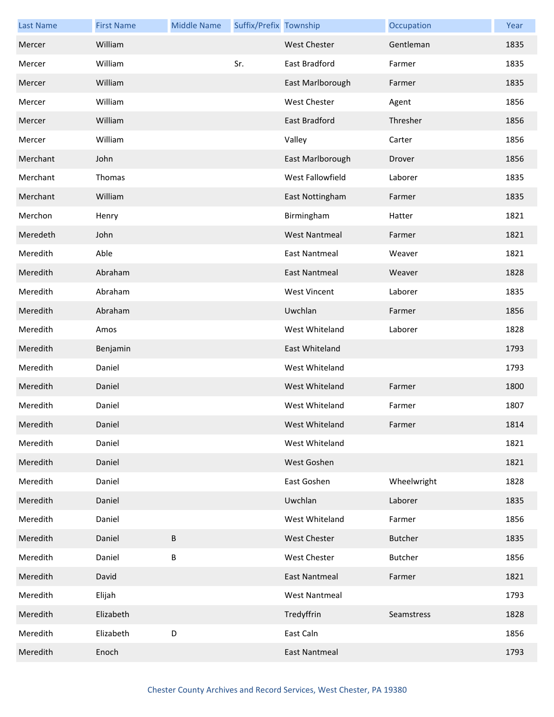| <b>Last Name</b> | <b>First Name</b> | <b>Middle Name</b> | Suffix/Prefix Township |                      | Occupation     | Year |
|------------------|-------------------|--------------------|------------------------|----------------------|----------------|------|
| Mercer           | William           |                    |                        | <b>West Chester</b>  | Gentleman      | 1835 |
| Mercer           | William           |                    | Sr.                    | East Bradford        | Farmer         | 1835 |
| Mercer           | William           |                    |                        | East Marlborough     | Farmer         | 1835 |
| Mercer           | William           |                    |                        | West Chester         | Agent          | 1856 |
| Mercer           | William           |                    |                        | East Bradford        | Thresher       | 1856 |
| Mercer           | William           |                    |                        | Valley               | Carter         | 1856 |
| Merchant         | John              |                    |                        | East Marlborough     | Drover         | 1856 |
| Merchant         | Thomas            |                    |                        | West Fallowfield     | Laborer        | 1835 |
| Merchant         | William           |                    |                        | East Nottingham      | Farmer         | 1835 |
| Merchon          | Henry             |                    |                        | Birmingham           | Hatter         | 1821 |
| Meredeth         | John              |                    |                        | <b>West Nantmeal</b> | Farmer         | 1821 |
| Meredith         | Able              |                    |                        | <b>East Nantmeal</b> | Weaver         | 1821 |
| Meredith         | Abraham           |                    |                        | <b>East Nantmeal</b> | Weaver         | 1828 |
| Meredith         | Abraham           |                    |                        | <b>West Vincent</b>  | Laborer        | 1835 |
| Meredith         | Abraham           |                    |                        | Uwchlan              | Farmer         | 1856 |
| Meredith         | Amos              |                    |                        | West Whiteland       | Laborer        | 1828 |
| Meredith         | Benjamin          |                    |                        | East Whiteland       |                | 1793 |
| Meredith         | Daniel            |                    |                        | West Whiteland       |                | 1793 |
| Meredith         | Daniel            |                    |                        | West Whiteland       | Farmer         | 1800 |
| Meredith         | Daniel            |                    |                        | West Whiteland       | Farmer         | 1807 |
| Meredith         | Daniel            |                    |                        | West Whiteland       | Farmer         | 1814 |
| Meredith         | Daniel            |                    |                        | West Whiteland       |                | 1821 |
| Meredith         | Daniel            |                    |                        | West Goshen          |                | 1821 |
| Meredith         | Daniel            |                    |                        | East Goshen          | Wheelwright    | 1828 |
| Meredith         | Daniel            |                    |                        | Uwchlan              | Laborer        | 1835 |
| Meredith         | Daniel            |                    |                        | West Whiteland       | Farmer         | 1856 |
| Meredith         | Daniel            | B                  |                        | <b>West Chester</b>  | <b>Butcher</b> | 1835 |
| Meredith         | Daniel            | B                  |                        | <b>West Chester</b>  | <b>Butcher</b> | 1856 |
| Meredith         | David             |                    |                        | <b>East Nantmeal</b> | Farmer         | 1821 |
| Meredith         | Elijah            |                    |                        | <b>West Nantmeal</b> |                | 1793 |
| Meredith         | Elizabeth         |                    |                        | Tredyffrin           | Seamstress     | 1828 |
| Meredith         | Elizabeth         | $\mathsf D$        |                        | East Caln            |                | 1856 |
| Meredith         | Enoch             |                    |                        | <b>East Nantmeal</b> |                | 1793 |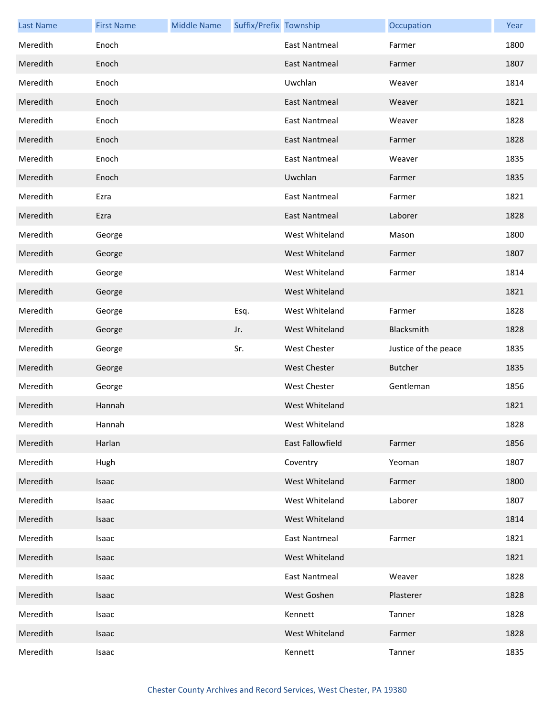| <b>Last Name</b> | <b>First Name</b> | <b>Middle Name</b> | Suffix/Prefix Township |                         | Occupation           | Year |
|------------------|-------------------|--------------------|------------------------|-------------------------|----------------------|------|
| Meredith         | Enoch             |                    |                        | <b>East Nantmeal</b>    | Farmer               | 1800 |
| Meredith         | Enoch             |                    |                        | <b>East Nantmeal</b>    | Farmer               | 1807 |
| Meredith         | Enoch             |                    |                        | Uwchlan                 | Weaver               | 1814 |
| Meredith         | Enoch             |                    |                        | East Nantmeal           | Weaver               | 1821 |
| Meredith         | Enoch             |                    |                        | <b>East Nantmeal</b>    | Weaver               | 1828 |
| Meredith         | Enoch             |                    |                        | <b>East Nantmeal</b>    | Farmer               | 1828 |
| Meredith         | Enoch             |                    |                        | East Nantmeal           | Weaver               | 1835 |
| Meredith         | Enoch             |                    |                        | Uwchlan                 | Farmer               | 1835 |
| Meredith         | Ezra              |                    |                        | <b>East Nantmeal</b>    | Farmer               | 1821 |
| Meredith         | Ezra              |                    |                        | <b>East Nantmeal</b>    | Laborer              | 1828 |
| Meredith         | George            |                    |                        | West Whiteland          | Mason                | 1800 |
| Meredith         | George            |                    |                        | West Whiteland          | Farmer               | 1807 |
| Meredith         | George            |                    |                        | West Whiteland          | Farmer               | 1814 |
| Meredith         | George            |                    |                        | West Whiteland          |                      | 1821 |
| Meredith         | George            |                    | Esq.                   | West Whiteland          | Farmer               | 1828 |
| Meredith         | George            |                    | Jr.                    | West Whiteland          | Blacksmith           | 1828 |
| Meredith         | George            |                    | Sr.                    | <b>West Chester</b>     | Justice of the peace | 1835 |
| Meredith         | George            |                    |                        | <b>West Chester</b>     | <b>Butcher</b>       | 1835 |
| Meredith         | George            |                    |                        | <b>West Chester</b>     | Gentleman            | 1856 |
| Meredith         | Hannah            |                    |                        | West Whiteland          |                      | 1821 |
| Meredith         | Hannah            |                    |                        | West Whiteland          |                      | 1828 |
| Meredith         | Harlan            |                    |                        | <b>East Fallowfield</b> | Farmer               | 1856 |
| Meredith         | Hugh              |                    |                        | Coventry                | Yeoman               | 1807 |
| Meredith         | Isaac             |                    |                        | West Whiteland          | Farmer               | 1800 |
| Meredith         | Isaac             |                    |                        | West Whiteland          | Laborer              | 1807 |
| Meredith         | Isaac             |                    |                        | West Whiteland          |                      | 1814 |
| Meredith         | Isaac             |                    |                        | <b>East Nantmeal</b>    | Farmer               | 1821 |
| Meredith         | Isaac             |                    |                        | West Whiteland          |                      | 1821 |
| Meredith         | Isaac             |                    |                        | <b>East Nantmeal</b>    | Weaver               | 1828 |
| Meredith         | Isaac             |                    |                        | West Goshen             | Plasterer            | 1828 |
| Meredith         | Isaac             |                    |                        | Kennett                 | Tanner               | 1828 |
| Meredith         | Isaac             |                    |                        | West Whiteland          | Farmer               | 1828 |
| Meredith         | Isaac             |                    |                        | Kennett                 | Tanner               | 1835 |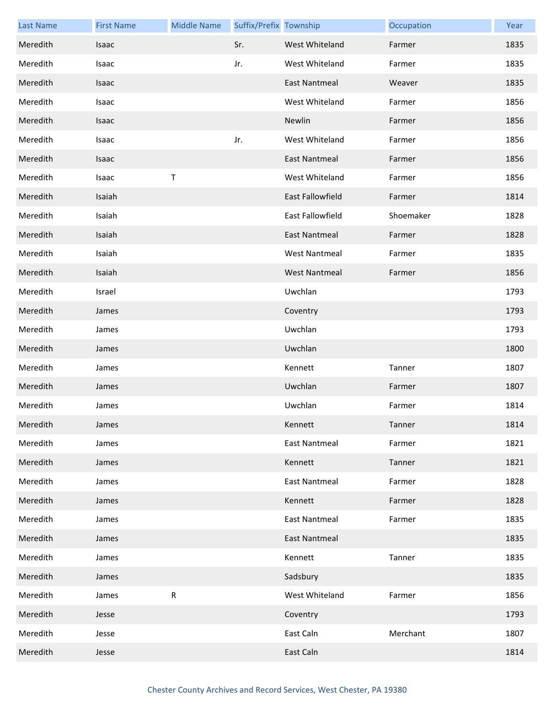| <b>Last Name</b> | <b>First Name</b> | <b>Middle Name</b> | Suffix/Prefix Township |                         | Occupation | Year |
|------------------|-------------------|--------------------|------------------------|-------------------------|------------|------|
| Meredith         | Isaac             |                    | Sr.                    | West Whiteland          | Farmer     | 1835 |
| Meredith         | Isaac             |                    | Jr.                    | West Whiteland          | Farmer     | 1835 |
| Meredith         | Isaac             |                    |                        | <b>East Nantmeal</b>    | Weaver     | 1835 |
| Meredith         | Isaac             |                    |                        | West Whiteland          | Farmer     | 1856 |
| Meredith         | Isaac             |                    |                        | Newlin                  | Farmer     | 1856 |
| Meredith         | Isaac             |                    | Jr.                    | West Whiteland          | Farmer     | 1856 |
| Meredith         | Isaac             |                    |                        | <b>East Nantmeal</b>    | Farmer     | 1856 |
| Meredith         | Isaac             | $\sf T$            |                        | West Whiteland          | Farmer     | 1856 |
| Meredith         | Isaiah            |                    |                        | East Fallowfield        | Farmer     | 1814 |
| Meredith         | Isaiah            |                    |                        | <b>East Fallowfield</b> | Shoemaker  | 1828 |
| Meredith         | Isaiah            |                    |                        | <b>East Nantmeal</b>    | Farmer     | 1828 |
| Meredith         | Isaiah            |                    |                        | <b>West Nantmeal</b>    | Farmer     | 1835 |
| Meredith         | Isaiah            |                    |                        | <b>West Nantmeal</b>    | Farmer     | 1856 |
| Meredith         | Israel            |                    |                        | Uwchlan                 |            | 1793 |
| Meredith         | James             |                    |                        | Coventry                |            | 1793 |
| Meredith         | James             |                    |                        | Uwchlan                 |            | 1793 |
| Meredith         | James             |                    |                        | Uwchlan                 |            | 1800 |
| Meredith         | James             |                    |                        | Kennett                 | Tanner     | 1807 |
| Meredith         | James             |                    |                        | Uwchlan                 | Farmer     | 1807 |
| Meredith         | James             |                    |                        | Uwchlan                 | Farmer     | 1814 |
| Meredith         | James             |                    |                        | Kennett                 | Tanner     | 1814 |
| Meredith         | James             |                    |                        | East Nantmeal           | Farmer     | 1821 |
| Meredith         | James             |                    |                        | Kennett                 | Tanner     | 1821 |
| Meredith         | James             |                    |                        | <b>East Nantmeal</b>    | Farmer     | 1828 |
| Meredith         | James             |                    |                        | Kennett                 | Farmer     | 1828 |
| Meredith         | James             |                    |                        | <b>East Nantmeal</b>    | Farmer     | 1835 |
| Meredith         | James             |                    |                        | <b>East Nantmeal</b>    |            | 1835 |
| Meredith         | James             |                    |                        | Kennett                 | Tanner     | 1835 |
| Meredith         | James             |                    |                        | Sadsbury                |            | 1835 |
| Meredith         | James             | ${\sf R}$          |                        | West Whiteland          | Farmer     | 1856 |
| Meredith         | Jesse             |                    |                        | Coventry                |            | 1793 |
| Meredith         | Jesse             |                    |                        | East Caln               | Merchant   | 1807 |
| Meredith         | Jesse             |                    |                        | East Caln               |            | 1814 |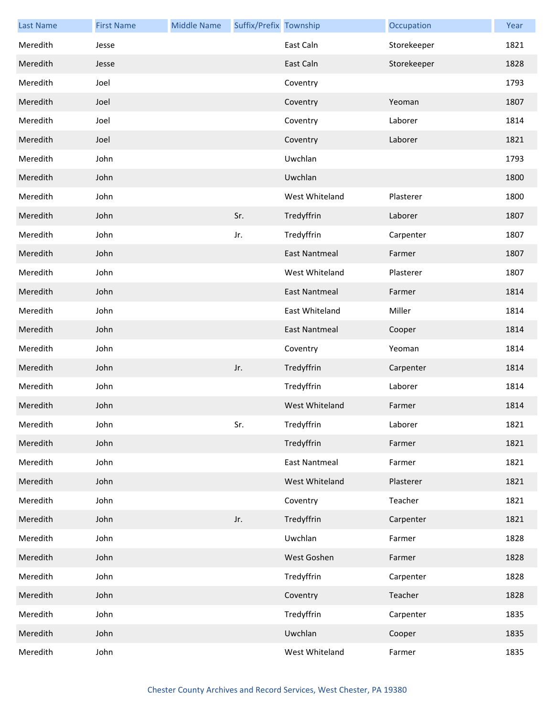| <b>Last Name</b> | <b>First Name</b> | <b>Middle Name</b> | Suffix/Prefix Township |                      | Occupation  | Year |
|------------------|-------------------|--------------------|------------------------|----------------------|-------------|------|
| Meredith         | Jesse             |                    |                        | East Caln            | Storekeeper | 1821 |
| Meredith         | Jesse             |                    |                        | East Caln            | Storekeeper | 1828 |
| Meredith         | Joel              |                    |                        | Coventry             |             | 1793 |
| Meredith         | Joel              |                    |                        | Coventry             | Yeoman      | 1807 |
| Meredith         | Joel              |                    |                        | Coventry             | Laborer     | 1814 |
| Meredith         | Joel              |                    |                        | Coventry             | Laborer     | 1821 |
| Meredith         | John              |                    |                        | Uwchlan              |             | 1793 |
| Meredith         | John              |                    |                        | Uwchlan              |             | 1800 |
| Meredith         | John              |                    |                        | West Whiteland       | Plasterer   | 1800 |
| Meredith         | John              |                    | Sr.                    | Tredyffrin           | Laborer     | 1807 |
| Meredith         | John              |                    | Jr.                    | Tredyffrin           | Carpenter   | 1807 |
| Meredith         | John              |                    |                        | <b>East Nantmeal</b> | Farmer      | 1807 |
| Meredith         | John              |                    |                        | West Whiteland       | Plasterer   | 1807 |
| Meredith         | John              |                    |                        | <b>East Nantmeal</b> | Farmer      | 1814 |
| Meredith         | John              |                    |                        | East Whiteland       | Miller      | 1814 |
| Meredith         | John              |                    |                        | <b>East Nantmeal</b> | Cooper      | 1814 |
| Meredith         | John              |                    |                        | Coventry             | Yeoman      | 1814 |
| Meredith         | John              |                    | Jr.                    | Tredyffrin           | Carpenter   | 1814 |
| Meredith         | John              |                    |                        | Tredyffrin           | Laborer     | 1814 |
| Meredith         | John              |                    |                        | West Whiteland       | Farmer      | 1814 |
| Meredith         | John              |                    | Sr.                    | Tredyffrin           | Laborer     | 1821 |
| Meredith         | John              |                    |                        | Tredyffrin           | Farmer      | 1821 |
| Meredith         | John              |                    |                        | <b>East Nantmeal</b> | Farmer      | 1821 |
| Meredith         | John              |                    |                        | West Whiteland       | Plasterer   | 1821 |
| Meredith         | John              |                    |                        | Coventry             | Teacher     | 1821 |
| Meredith         | John              |                    | Jr.                    | Tredyffrin           | Carpenter   | 1821 |
| Meredith         | John              |                    |                        | Uwchlan              | Farmer      | 1828 |
| Meredith         | John              |                    |                        | West Goshen          | Farmer      | 1828 |
| Meredith         | John              |                    |                        | Tredyffrin           | Carpenter   | 1828 |
| Meredith         | John              |                    |                        | Coventry             | Teacher     | 1828 |
| Meredith         | John              |                    |                        | Tredyffrin           | Carpenter   | 1835 |
| Meredith         | John              |                    |                        | Uwchlan              | Cooper      | 1835 |
| Meredith         | John              |                    |                        | West Whiteland       | Farmer      | 1835 |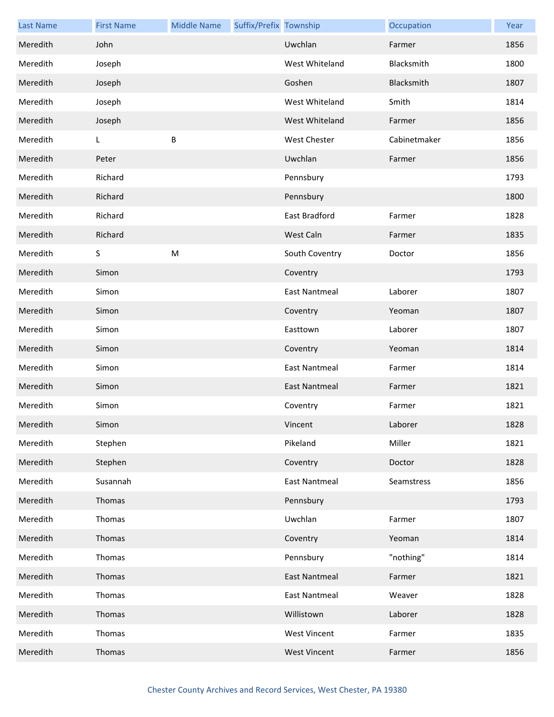| <b>Last Name</b> | <b>First Name</b> | <b>Middle Name</b> | Suffix/Prefix Township |                      | Occupation   | Year |
|------------------|-------------------|--------------------|------------------------|----------------------|--------------|------|
| Meredith         | John              |                    |                        | Uwchlan              | Farmer       | 1856 |
| Meredith         | Joseph            |                    |                        | West Whiteland       | Blacksmith   | 1800 |
| Meredith         | Joseph            |                    |                        | Goshen               | Blacksmith   | 1807 |
| Meredith         | Joseph            |                    |                        | West Whiteland       | Smith        | 1814 |
| Meredith         | Joseph            |                    |                        | West Whiteland       | Farmer       | 1856 |
| Meredith         | L.                | B                  |                        | <b>West Chester</b>  | Cabinetmaker | 1856 |
| Meredith         | Peter             |                    |                        | Uwchlan              | Farmer       | 1856 |
| Meredith         | Richard           |                    |                        | Pennsbury            |              | 1793 |
| Meredith         | Richard           |                    |                        | Pennsbury            |              | 1800 |
| Meredith         | Richard           |                    |                        | East Bradford        | Farmer       | 1828 |
| Meredith         | Richard           |                    |                        | West Caln            | Farmer       | 1835 |
| Meredith         | S                 | ${\sf M}$          |                        | South Coventry       | Doctor       | 1856 |
| Meredith         | Simon             |                    |                        | Coventry             |              | 1793 |
| Meredith         | Simon             |                    |                        | East Nantmeal        | Laborer      | 1807 |
| Meredith         | Simon             |                    |                        | Coventry             | Yeoman       | 1807 |
| Meredith         | Simon             |                    |                        | Easttown             | Laborer      | 1807 |
| Meredith         | Simon             |                    |                        | Coventry             | Yeoman       | 1814 |
| Meredith         | Simon             |                    |                        | East Nantmeal        | Farmer       | 1814 |
| Meredith         | Simon             |                    |                        | <b>East Nantmeal</b> | Farmer       | 1821 |
| Meredith         | Simon             |                    |                        | Coventry             | Farmer       | 1821 |
| Meredith         | Simon             |                    |                        | Vincent              | Laborer      | 1828 |
| Meredith         | Stephen           |                    |                        | Pikeland             | Miller       | 1821 |
| Meredith         | Stephen           |                    |                        | Coventry             | Doctor       | 1828 |
| Meredith         | Susannah          |                    |                        | <b>East Nantmeal</b> | Seamstress   | 1856 |
| Meredith         | Thomas            |                    |                        | Pennsbury            |              | 1793 |
| Meredith         | Thomas            |                    |                        | Uwchlan              | Farmer       | 1807 |
| Meredith         | Thomas            |                    |                        | Coventry             | Yeoman       | 1814 |
| Meredith         | Thomas            |                    |                        | Pennsbury            | "nothing"    | 1814 |
| Meredith         | Thomas            |                    |                        | <b>East Nantmeal</b> | Farmer       | 1821 |
| Meredith         | Thomas            |                    |                        | <b>East Nantmeal</b> | Weaver       | 1828 |
| Meredith         | Thomas            |                    |                        | Willistown           | Laborer      | 1828 |
| Meredith         | Thomas            |                    |                        | <b>West Vincent</b>  | Farmer       | 1835 |
| Meredith         | Thomas            |                    |                        | <b>West Vincent</b>  | Farmer       | 1856 |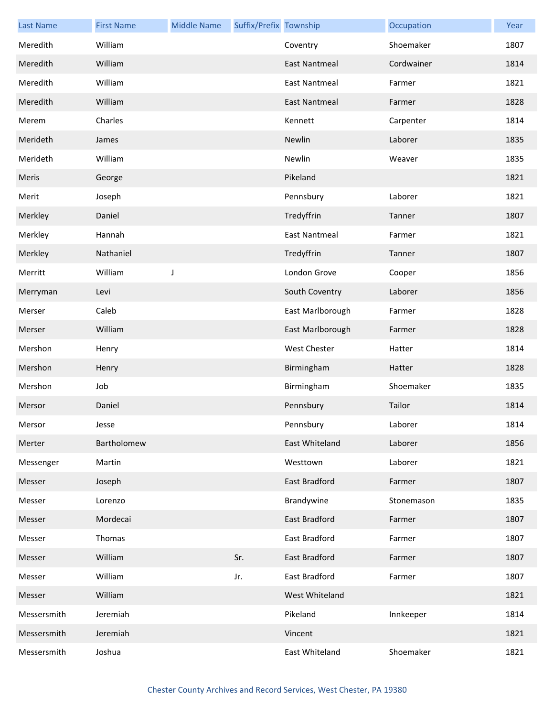| <b>Last Name</b> | <b>First Name</b> | <b>Middle Name</b> | Suffix/Prefix Township |                      | Occupation | Year |
|------------------|-------------------|--------------------|------------------------|----------------------|------------|------|
| Meredith         | William           |                    |                        | Coventry             | Shoemaker  | 1807 |
| Meredith         | William           |                    |                        | <b>East Nantmeal</b> | Cordwainer | 1814 |
| Meredith         | William           |                    |                        | East Nantmeal        | Farmer     | 1821 |
| Meredith         | William           |                    |                        | <b>East Nantmeal</b> | Farmer     | 1828 |
| Merem            | Charles           |                    |                        | Kennett              | Carpenter  | 1814 |
| Merideth         | James             |                    |                        | Newlin               | Laborer    | 1835 |
| Merideth         | William           |                    |                        | Newlin               | Weaver     | 1835 |
| Meris            | George            |                    |                        | Pikeland             |            | 1821 |
| Merit            | Joseph            |                    |                        | Pennsbury            | Laborer    | 1821 |
| Merkley          | Daniel            |                    |                        | Tredyffrin           | Tanner     | 1807 |
| Merkley          | Hannah            |                    |                        | East Nantmeal        | Farmer     | 1821 |
| Merkley          | Nathaniel         |                    |                        | Tredyffrin           | Tanner     | 1807 |
| Merritt          | William           | J                  |                        | London Grove         | Cooper     | 1856 |
| Merryman         | Levi              |                    |                        | South Coventry       | Laborer    | 1856 |
| Merser           | Caleb             |                    |                        | East Marlborough     | Farmer     | 1828 |
| Merser           | William           |                    |                        | East Marlborough     | Farmer     | 1828 |
| Mershon          | Henry             |                    |                        | <b>West Chester</b>  | Hatter     | 1814 |
| Mershon          | Henry             |                    |                        | Birmingham           | Hatter     | 1828 |
| Mershon          | Job               |                    |                        | Birmingham           | Shoemaker  | 1835 |
| Mersor           | Daniel            |                    |                        | Pennsbury            | Tailor     | 1814 |
| Mersor           | Jesse             |                    |                        | Pennsbury            | Laborer    | 1814 |
| Merter           | Bartholomew       |                    |                        | East Whiteland       | Laborer    | 1856 |
| Messenger        | Martin            |                    |                        | Westtown             | Laborer    | 1821 |
| Messer           | Joseph            |                    |                        | East Bradford        | Farmer     | 1807 |
| Messer           | Lorenzo           |                    |                        | Brandywine           | Stonemason | 1835 |
| Messer           | Mordecai          |                    |                        | East Bradford        | Farmer     | 1807 |
| Messer           | Thomas            |                    |                        | East Bradford        | Farmer     | 1807 |
| Messer           | William           |                    | Sr.                    | East Bradford        | Farmer     | 1807 |
| Messer           | William           |                    | Jr.                    | East Bradford        | Farmer     | 1807 |
| Messer           | William           |                    |                        | West Whiteland       |            | 1821 |
| Messersmith      | Jeremiah          |                    |                        | Pikeland             | Innkeeper  | 1814 |
| Messersmith      | Jeremiah          |                    |                        | Vincent              |            | 1821 |
| Messersmith      | Joshua            |                    |                        | East Whiteland       | Shoemaker  | 1821 |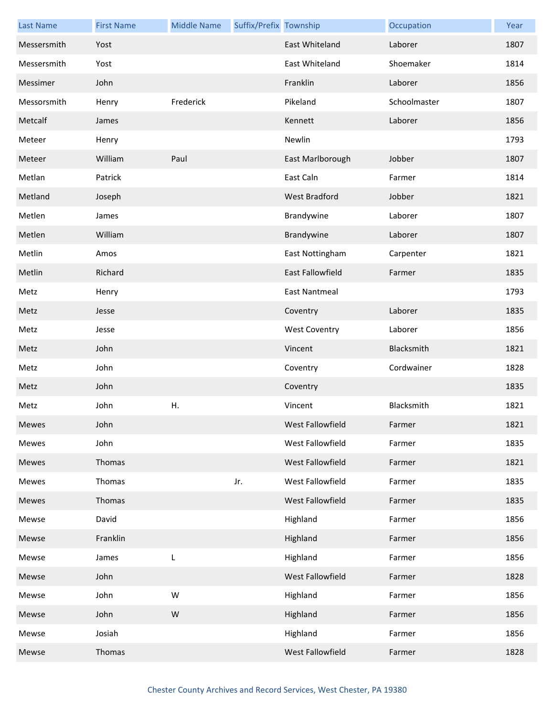| <b>Last Name</b> | <b>First Name</b> | <b>Middle Name</b> | Suffix/Prefix Township |                      | Occupation   | Year |
|------------------|-------------------|--------------------|------------------------|----------------------|--------------|------|
| Messersmith      | Yost              |                    |                        | East Whiteland       | Laborer      | 1807 |
| Messersmith      | Yost              |                    |                        | East Whiteland       | Shoemaker    | 1814 |
| Messimer         | John              |                    |                        | Franklin             | Laborer      | 1856 |
| Messorsmith      | Henry             | Frederick          |                        | Pikeland             | Schoolmaster | 1807 |
| Metcalf          | James             |                    |                        | Kennett              | Laborer      | 1856 |
| Meteer           | Henry             |                    |                        | Newlin               |              | 1793 |
| Meteer           | William           | Paul               |                        | East Marlborough     | Jobber       | 1807 |
| Metlan           | Patrick           |                    |                        | East Caln            | Farmer       | 1814 |
| Metland          | Joseph            |                    |                        | West Bradford        | Jobber       | 1821 |
| Metlen           | James             |                    |                        | Brandywine           | Laborer      | 1807 |
| Metlen           | William           |                    |                        | Brandywine           | Laborer      | 1807 |
| Metlin           | Amos              |                    |                        | East Nottingham      | Carpenter    | 1821 |
| Metlin           | Richard           |                    |                        | East Fallowfield     | Farmer       | 1835 |
| Metz             | Henry             |                    |                        | East Nantmeal        |              | 1793 |
| Metz             | Jesse             |                    |                        | Coventry             | Laborer      | 1835 |
| Metz             | Jesse             |                    |                        | <b>West Coventry</b> | Laborer      | 1856 |
| Metz             | John              |                    |                        | Vincent              | Blacksmith   | 1821 |
| Metz             | John              |                    |                        | Coventry             | Cordwainer   | 1828 |
| Metz             | John              |                    |                        | Coventry             |              | 1835 |
| Metz             | John              | Η.                 |                        | Vincent              | Blacksmith   | 1821 |
| Mewes            | John              |                    |                        | West Fallowfield     | Farmer       | 1821 |
| Mewes            | John              |                    |                        | West Fallowfield     | Farmer       | 1835 |
| Mewes            | Thomas            |                    |                        | West Fallowfield     | Farmer       | 1821 |
| Mewes            | Thomas            |                    | Jr.                    | West Fallowfield     | Farmer       | 1835 |
| Mewes            | Thomas            |                    |                        | West Fallowfield     | Farmer       | 1835 |
| Mewse            | David             |                    |                        | Highland             | Farmer       | 1856 |
| Mewse            | Franklin          |                    |                        | Highland             | Farmer       | 1856 |
| Mewse            | James             | L                  |                        | Highland             | Farmer       | 1856 |
| Mewse            | John              |                    |                        | West Fallowfield     | Farmer       | 1828 |
| Mewse            | John              | W                  |                        | Highland             | Farmer       | 1856 |
| Mewse            | John              | ${\sf W}$          |                        | Highland             | Farmer       | 1856 |
| Mewse            | Josiah            |                    |                        | Highland             | Farmer       | 1856 |
| Mewse            | Thomas            |                    |                        | West Fallowfield     | Farmer       | 1828 |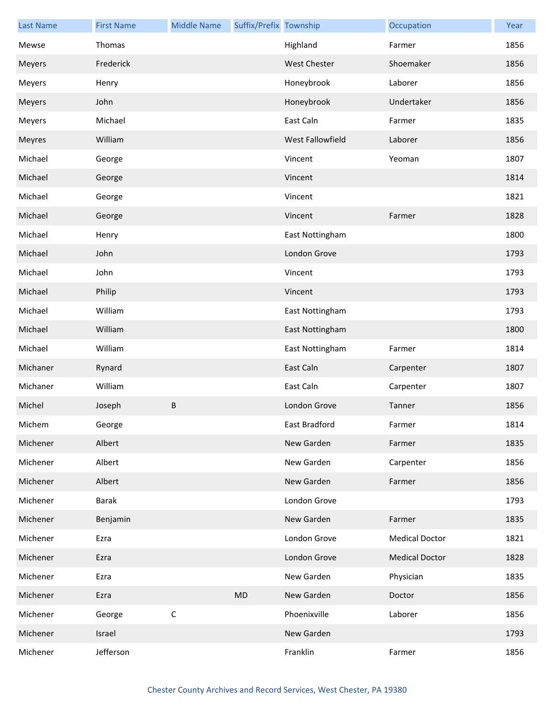| <b>Last Name</b> | <b>First Name</b> | <b>Middle Name</b> | Suffix/Prefix Township |                  | Occupation            | Year |
|------------------|-------------------|--------------------|------------------------|------------------|-----------------------|------|
| Mewse            | Thomas            |                    |                        | Highland         | Farmer                | 1856 |
| Meyers           | Frederick         |                    |                        | West Chester     | Shoemaker             | 1856 |
| Meyers           | Henry             |                    |                        | Honeybrook       | Laborer               | 1856 |
| Meyers           | John              |                    |                        | Honeybrook       | Undertaker            | 1856 |
| Meyers           | Michael           |                    |                        | East Caln        | Farmer                | 1835 |
| Meyres           | William           |                    |                        | West Fallowfield | Laborer               | 1856 |
| Michael          | George            |                    |                        | Vincent          | Yeoman                | 1807 |
| Michael          | George            |                    |                        | Vincent          |                       | 1814 |
| Michael          | George            |                    |                        | Vincent          |                       | 1821 |
| Michael          | George            |                    |                        | Vincent          | Farmer                | 1828 |
| Michael          | Henry             |                    |                        | East Nottingham  |                       | 1800 |
| Michael          | John              |                    |                        | London Grove     |                       | 1793 |
| Michael          | John              |                    |                        | Vincent          |                       | 1793 |
| Michael          | Philip            |                    |                        | Vincent          |                       | 1793 |
| Michael          | William           |                    |                        | East Nottingham  |                       | 1793 |
| Michael          | William           |                    |                        | East Nottingham  |                       | 1800 |
| Michael          | William           |                    |                        | East Nottingham  | Farmer                | 1814 |
| Michaner         | Rynard            |                    |                        | East Caln        | Carpenter             | 1807 |
| Michaner         | William           |                    |                        | East Caln        | Carpenter             | 1807 |
| Michel           | Joseph            | B                  |                        | London Grove     | Tanner                | 1856 |
| Michem           | George            |                    |                        | East Bradford    | Farmer                | 1814 |
| Michener         | Albert            |                    |                        | New Garden       | Farmer                | 1835 |
| Michener         | Albert            |                    |                        | New Garden       | Carpenter             | 1856 |
| Michener         | Albert            |                    |                        | New Garden       | Farmer                | 1856 |
| Michener         | <b>Barak</b>      |                    |                        | London Grove     |                       | 1793 |
| Michener         | Benjamin          |                    |                        | New Garden       | Farmer                | 1835 |
| Michener         | Ezra              |                    |                        | London Grove     | <b>Medical Doctor</b> | 1821 |
| Michener         | Ezra              |                    |                        | London Grove     | <b>Medical Doctor</b> | 1828 |
| Michener         | Ezra              |                    |                        | New Garden       | Physician             | 1835 |
| Michener         | Ezra              |                    | <b>MD</b>              | New Garden       | Doctor                | 1856 |
| Michener         | George            | $\mathsf C$        |                        | Phoenixville     | Laborer               | 1856 |
| Michener         | Israel            |                    |                        | New Garden       |                       | 1793 |
| Michener         | Jefferson         |                    |                        | Franklin         | Farmer                | 1856 |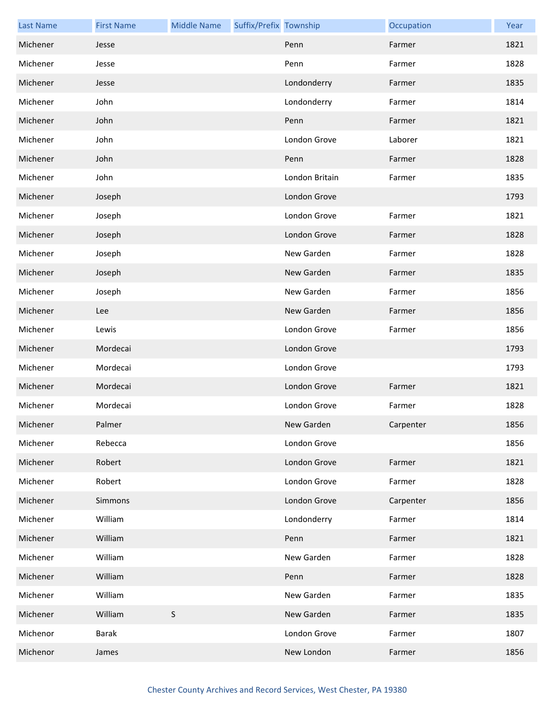| <b>Last Name</b> | <b>First Name</b> | <b>Middle Name</b> | Suffix/Prefix Township |                | Occupation | Year |
|------------------|-------------------|--------------------|------------------------|----------------|------------|------|
| Michener         | Jesse             |                    |                        | Penn           | Farmer     | 1821 |
| Michener         | Jesse             |                    |                        | Penn           | Farmer     | 1828 |
| Michener         | Jesse             |                    |                        | Londonderry    | Farmer     | 1835 |
| Michener         | John              |                    |                        | Londonderry    | Farmer     | 1814 |
| Michener         | John              |                    |                        | Penn           | Farmer     | 1821 |
| Michener         | John              |                    |                        | London Grove   | Laborer    | 1821 |
| Michener         | John              |                    |                        | Penn           | Farmer     | 1828 |
| Michener         | John              |                    |                        | London Britain | Farmer     | 1835 |
| Michener         | Joseph            |                    |                        | London Grove   |            | 1793 |
| Michener         | Joseph            |                    |                        | London Grove   | Farmer     | 1821 |
| Michener         | Joseph            |                    |                        | London Grove   | Farmer     | 1828 |
| Michener         | Joseph            |                    |                        | New Garden     | Farmer     | 1828 |
| Michener         | Joseph            |                    |                        | New Garden     | Farmer     | 1835 |
| Michener         | Joseph            |                    |                        | New Garden     | Farmer     | 1856 |
| Michener         | Lee               |                    |                        | New Garden     | Farmer     | 1856 |
| Michener         | Lewis             |                    |                        | London Grove   | Farmer     | 1856 |
| Michener         | Mordecai          |                    |                        | London Grove   |            | 1793 |
| Michener         | Mordecai          |                    |                        | London Grove   |            | 1793 |
| Michener         | Mordecai          |                    |                        | London Grove   | Farmer     | 1821 |
| Michener         | Mordecai          |                    |                        | London Grove   | Farmer     | 1828 |
| Michener         | Palmer            |                    |                        | New Garden     | Carpenter  | 1856 |
| Michener         | Rebecca           |                    |                        | London Grove   |            | 1856 |
| Michener         | Robert            |                    |                        | London Grove   | Farmer     | 1821 |
| Michener         | Robert            |                    |                        | London Grove   | Farmer     | 1828 |
| Michener         | Simmons           |                    |                        | London Grove   | Carpenter  | 1856 |
| Michener         | William           |                    |                        | Londonderry    | Farmer     | 1814 |
| Michener         | William           |                    |                        | Penn           | Farmer     | 1821 |
| Michener         | William           |                    |                        | New Garden     | Farmer     | 1828 |
| Michener         | William           |                    |                        | Penn           | Farmer     | 1828 |
| Michener         | William           |                    |                        | New Garden     | Farmer     | 1835 |
| Michener         | William           | $\mathsf S$        |                        | New Garden     | Farmer     | 1835 |
| Michenor         | <b>Barak</b>      |                    |                        | London Grove   | Farmer     | 1807 |
| Michenor         | James             |                    |                        | New London     | Farmer     | 1856 |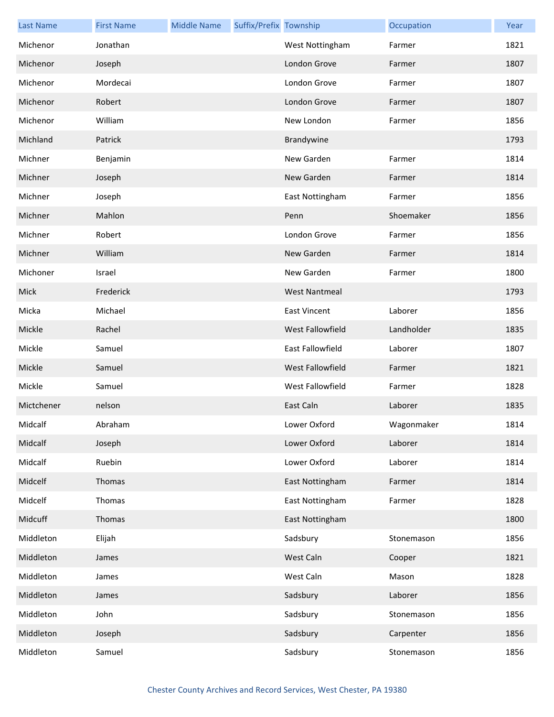| <b>Last Name</b> | <b>First Name</b> | <b>Middle Name</b> | Suffix/Prefix Township |                         | Occupation | Year |
|------------------|-------------------|--------------------|------------------------|-------------------------|------------|------|
| Michenor         | Jonathan          |                    |                        | West Nottingham         | Farmer     | 1821 |
| Michenor         | Joseph            |                    |                        | London Grove            | Farmer     | 1807 |
| Michenor         | Mordecai          |                    |                        | London Grove            | Farmer     | 1807 |
| Michenor         | Robert            |                    |                        | London Grove            | Farmer     | 1807 |
| Michenor         | William           |                    |                        | New London              | Farmer     | 1856 |
| Michland         | Patrick           |                    |                        | Brandywine              |            | 1793 |
| Michner          | Benjamin          |                    |                        | New Garden              | Farmer     | 1814 |
| Michner          | Joseph            |                    |                        | New Garden              | Farmer     | 1814 |
| Michner          | Joseph            |                    |                        | East Nottingham         | Farmer     | 1856 |
| Michner          | Mahlon            |                    |                        | Penn                    | Shoemaker  | 1856 |
| Michner          | Robert            |                    |                        | London Grove            | Farmer     | 1856 |
| Michner          | William           |                    |                        | New Garden              | Farmer     | 1814 |
| Michoner         | Israel            |                    |                        | New Garden              | Farmer     | 1800 |
| Mick             | Frederick         |                    |                        | <b>West Nantmeal</b>    |            | 1793 |
| Micka            | Michael           |                    |                        | <b>East Vincent</b>     | Laborer    | 1856 |
| Mickle           | Rachel            |                    |                        | <b>West Fallowfield</b> | Landholder | 1835 |
| Mickle           | Samuel            |                    |                        | East Fallowfield        | Laborer    | 1807 |
| Mickle           | Samuel            |                    |                        | West Fallowfield        | Farmer     | 1821 |
| Mickle           | Samuel            |                    |                        | West Fallowfield        | Farmer     | 1828 |
| Mictchener       | nelson            |                    |                        | East Caln               | Laborer    | 1835 |
| Midcalf          | Abraham           |                    |                        | Lower Oxford            | Wagonmaker | 1814 |
| Midcalf          | Joseph            |                    |                        | Lower Oxford            | Laborer    | 1814 |
| Midcalf          | Ruebin            |                    |                        | Lower Oxford            | Laborer    | 1814 |
| Midcelf          | Thomas            |                    |                        | East Nottingham         | Farmer     | 1814 |
| Midcelf          | Thomas            |                    |                        | East Nottingham         | Farmer     | 1828 |
| Midcuff          | Thomas            |                    |                        | East Nottingham         |            | 1800 |
| Middleton        | Elijah            |                    |                        | Sadsbury                | Stonemason | 1856 |
| Middleton        | James             |                    |                        | West Caln               | Cooper     | 1821 |
| Middleton        | James             |                    |                        | West Caln               | Mason      | 1828 |
| Middleton        | James             |                    |                        | Sadsbury                | Laborer    | 1856 |
| Middleton        | John              |                    |                        | Sadsbury                | Stonemason | 1856 |
| Middleton        | Joseph            |                    |                        | Sadsbury                | Carpenter  | 1856 |
| Middleton        | Samuel            |                    |                        | Sadsbury                | Stonemason | 1856 |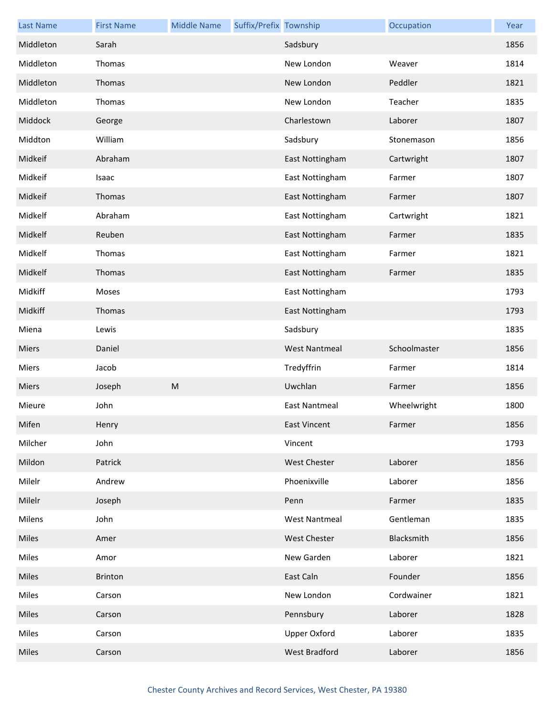| <b>Last Name</b> | <b>First Name</b> | <b>Middle Name</b> | Suffix/Prefix Township |                      | Occupation   | Year |
|------------------|-------------------|--------------------|------------------------|----------------------|--------------|------|
| Middleton        | Sarah             |                    |                        | Sadsbury             |              | 1856 |
| Middleton        | Thomas            |                    |                        | New London           | Weaver       | 1814 |
| Middleton        | Thomas            |                    |                        | New London           | Peddler      | 1821 |
| Middleton        | Thomas            |                    |                        | New London           | Teacher      | 1835 |
| Middock          | George            |                    |                        | Charlestown          | Laborer      | 1807 |
| Middton          | William           |                    |                        | Sadsbury             | Stonemason   | 1856 |
| Midkeif          | Abraham           |                    |                        | East Nottingham      | Cartwright   | 1807 |
| Midkeif          | Isaac             |                    |                        | East Nottingham      | Farmer       | 1807 |
| Midkeif          | Thomas            |                    |                        | East Nottingham      | Farmer       | 1807 |
| Midkelf          | Abraham           |                    |                        | East Nottingham      | Cartwright   | 1821 |
| Midkelf          | Reuben            |                    |                        | East Nottingham      | Farmer       | 1835 |
| Midkelf          | Thomas            |                    |                        | East Nottingham      | Farmer       | 1821 |
| Midkelf          | Thomas            |                    |                        | East Nottingham      | Farmer       | 1835 |
| Midkiff          | Moses             |                    |                        | East Nottingham      |              | 1793 |
| Midkiff          | Thomas            |                    |                        | East Nottingham      |              | 1793 |
| Miena            | Lewis             |                    |                        | Sadsbury             |              | 1835 |
| Miers            | Daniel            |                    |                        | <b>West Nantmeal</b> | Schoolmaster | 1856 |
| Miers            | Jacob             |                    |                        | Tredyffrin           | Farmer       | 1814 |
| Miers            | Joseph            | M                  |                        | Uwchlan              | Farmer       | 1856 |
| Mieure           | John              |                    |                        | <b>East Nantmeal</b> | Wheelwright  | 1800 |
| Mifen            | Henry             |                    |                        | East Vincent         | Farmer       | 1856 |
| Milcher          | John              |                    |                        | Vincent              |              | 1793 |
| Mildon           | Patrick           |                    |                        | <b>West Chester</b>  | Laborer      | 1856 |
| Milelr           | Andrew            |                    |                        | Phoenixville         | Laborer      | 1856 |
| Milelr           | Joseph            |                    |                        | Penn                 | Farmer       | 1835 |
| Milens           | John              |                    |                        | <b>West Nantmeal</b> | Gentleman    | 1835 |
| Miles            | Amer              |                    |                        | <b>West Chester</b>  | Blacksmith   | 1856 |
| Miles            | Amor              |                    |                        | New Garden           | Laborer      | 1821 |
| Miles            | Brinton           |                    |                        | East Caln            | Founder      | 1856 |
| Miles            | Carson            |                    |                        | New London           | Cordwainer   | 1821 |
| Miles            | Carson            |                    |                        | Pennsbury            | Laborer      | 1828 |
| Miles            | Carson            |                    |                        | <b>Upper Oxford</b>  | Laborer      | 1835 |
| Miles            | Carson            |                    |                        | West Bradford        | Laborer      | 1856 |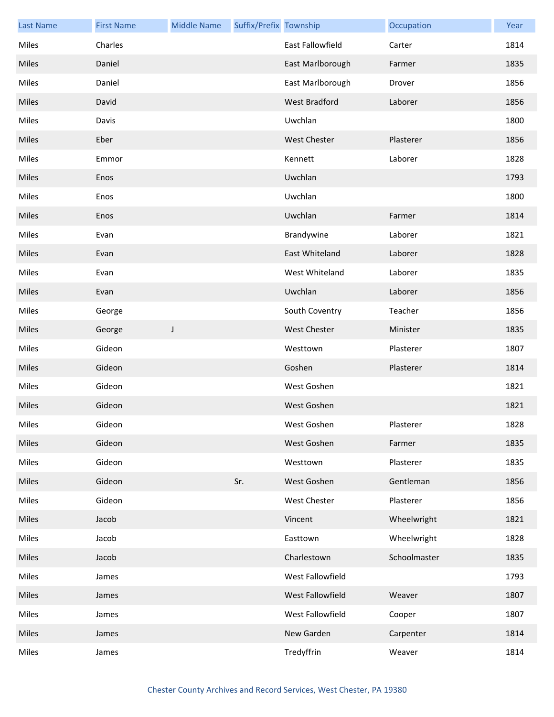| <b>Last Name</b> | <b>First Name</b> | <b>Middle Name</b> | Suffix/Prefix Township |                         | Occupation   | Year |
|------------------|-------------------|--------------------|------------------------|-------------------------|--------------|------|
| Miles            | Charles           |                    |                        | <b>East Fallowfield</b> | Carter       | 1814 |
| Miles            | Daniel            |                    |                        | East Marlborough        | Farmer       | 1835 |
| Miles            | Daniel            |                    |                        | East Marlborough        | Drover       | 1856 |
| Miles            | David             |                    |                        | West Bradford           | Laborer      | 1856 |
| Miles            | Davis             |                    |                        | Uwchlan                 |              | 1800 |
| Miles            | Eber              |                    |                        | <b>West Chester</b>     | Plasterer    | 1856 |
| Miles            | Emmor             |                    |                        | Kennett                 | Laborer      | 1828 |
| Miles            | Enos              |                    |                        | Uwchlan                 |              | 1793 |
| Miles            | Enos              |                    |                        | Uwchlan                 |              | 1800 |
| Miles            | Enos              |                    |                        | Uwchlan                 | Farmer       | 1814 |
| Miles            | Evan              |                    |                        | Brandywine              | Laborer      | 1821 |
| Miles            | Evan              |                    |                        | East Whiteland          | Laborer      | 1828 |
| Miles            | Evan              |                    |                        | West Whiteland          | Laborer      | 1835 |
| Miles            | Evan              |                    |                        | Uwchlan                 | Laborer      | 1856 |
| Miles            | George            |                    |                        | South Coventry          | Teacher      | 1856 |
| Miles            | George            | J                  |                        | <b>West Chester</b>     | Minister     | 1835 |
| Miles            | Gideon            |                    |                        | Westtown                | Plasterer    | 1807 |
| Miles            | Gideon            |                    |                        | Goshen                  | Plasterer    | 1814 |
| Miles            | Gideon            |                    |                        | West Goshen             |              | 1821 |
| Miles            | Gideon            |                    |                        | West Goshen             |              | 1821 |
| Miles            | Gideon            |                    |                        | West Goshen             | Plasterer    | 1828 |
| Miles            | Gideon            |                    |                        | West Goshen             | Farmer       | 1835 |
| Miles            | Gideon            |                    |                        | Westtown                | Plasterer    | 1835 |
| Miles            | Gideon            |                    | Sr.                    | West Goshen             | Gentleman    | 1856 |
| Miles            | Gideon            |                    |                        | West Chester            | Plasterer    | 1856 |
| Miles            | Jacob             |                    |                        | Vincent                 | Wheelwright  | 1821 |
| Miles            | Jacob             |                    |                        | Easttown                | Wheelwright  | 1828 |
| Miles            | Jacob             |                    |                        | Charlestown             | Schoolmaster | 1835 |
| Miles            | James             |                    |                        | West Fallowfield        |              | 1793 |
| Miles            | James             |                    |                        | West Fallowfield        | Weaver       | 1807 |
| Miles            | James             |                    |                        | West Fallowfield        | Cooper       | 1807 |
| Miles            | James             |                    |                        | New Garden              | Carpenter    | 1814 |
| Miles            | James             |                    |                        | Tredyffrin              | Weaver       | 1814 |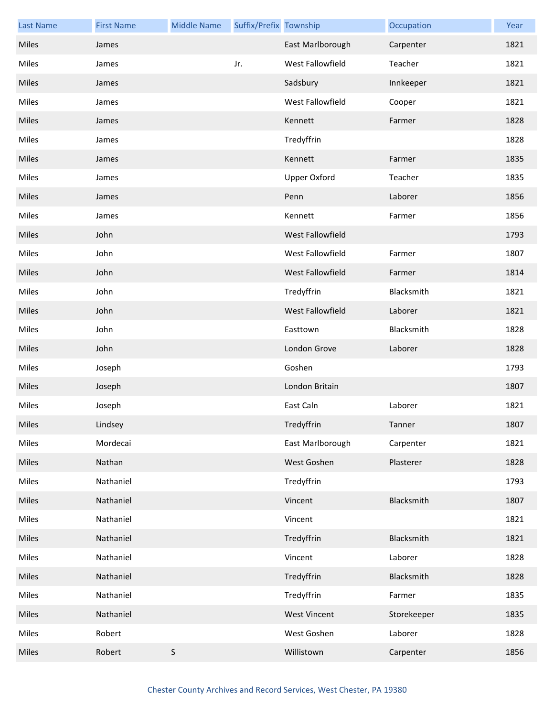| <b>Last Name</b> | <b>First Name</b> | <b>Middle Name</b> | Suffix/Prefix Township |                     | Occupation  | Year |
|------------------|-------------------|--------------------|------------------------|---------------------|-------------|------|
| Miles            | James             |                    |                        | East Marlborough    | Carpenter   | 1821 |
| Miles            | James             |                    | Jr.                    | West Fallowfield    | Teacher     | 1821 |
| Miles            | James             |                    |                        | Sadsbury            | Innkeeper   | 1821 |
| Miles            | James             |                    |                        | West Fallowfield    | Cooper      | 1821 |
| Miles            | James             |                    |                        | Kennett             | Farmer      | 1828 |
| Miles            | James             |                    |                        | Tredyffrin          |             | 1828 |
| Miles            | James             |                    |                        | Kennett             | Farmer      | 1835 |
| Miles            | James             |                    |                        | <b>Upper Oxford</b> | Teacher     | 1835 |
| Miles            | James             |                    |                        | Penn                | Laborer     | 1856 |
| Miles            | James             |                    |                        | Kennett             | Farmer      | 1856 |
| Miles            | John              |                    |                        | West Fallowfield    |             | 1793 |
| Miles            | John              |                    |                        | West Fallowfield    | Farmer      | 1807 |
| Miles            | John              |                    |                        | West Fallowfield    | Farmer      | 1814 |
| Miles            | John              |                    |                        | Tredyffrin          | Blacksmith  | 1821 |
| Miles            | John              |                    |                        | West Fallowfield    | Laborer     | 1821 |
| Miles            | John              |                    |                        | Easttown            | Blacksmith  | 1828 |
| Miles            | John              |                    |                        | London Grove        | Laborer     | 1828 |
| Miles            | Joseph            |                    |                        | Goshen              |             | 1793 |
| Miles            | Joseph            |                    |                        | London Britain      |             | 1807 |
| Miles            | Joseph            |                    |                        | East Caln           | Laborer     | 1821 |
| Miles            | Lindsey           |                    |                        | Tredyffrin          | Tanner      | 1807 |
| Miles            | Mordecai          |                    |                        | East Marlborough    | Carpenter   | 1821 |
| Miles            | Nathan            |                    |                        | West Goshen         | Plasterer   | 1828 |
| Miles            | Nathaniel         |                    |                        | Tredyffrin          |             | 1793 |
| Miles            | Nathaniel         |                    |                        | Vincent             | Blacksmith  | 1807 |
| Miles            | Nathaniel         |                    |                        | Vincent             |             | 1821 |
| Miles            | Nathaniel         |                    |                        | Tredyffrin          | Blacksmith  | 1821 |
| Miles            | Nathaniel         |                    |                        | Vincent             | Laborer     | 1828 |
| Miles            | Nathaniel         |                    |                        | Tredyffrin          | Blacksmith  | 1828 |
| Miles            | Nathaniel         |                    |                        | Tredyffrin          | Farmer      | 1835 |
| Miles            | Nathaniel         |                    |                        | <b>West Vincent</b> | Storekeeper | 1835 |
| Miles            | Robert            |                    |                        | West Goshen         | Laborer     | 1828 |
| Miles            | Robert            | S                  |                        | Willistown          | Carpenter   | 1856 |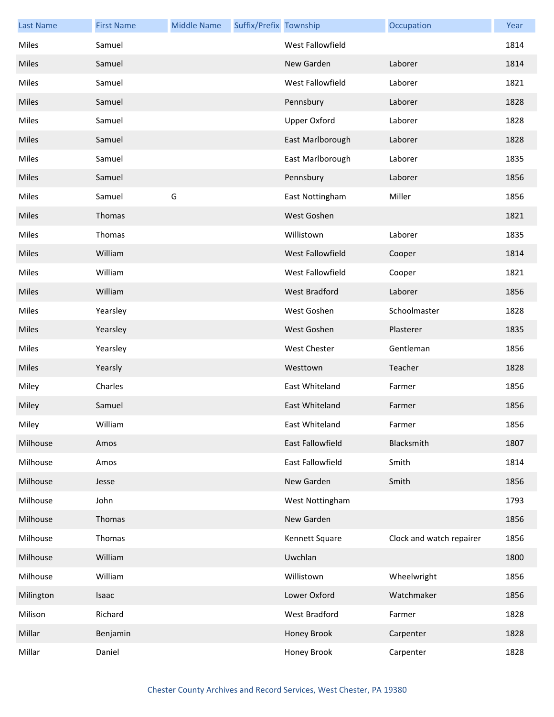| <b>Last Name</b> | <b>First Name</b> | <b>Middle Name</b> | Suffix/Prefix Township |                         | Occupation               | Year |
|------------------|-------------------|--------------------|------------------------|-------------------------|--------------------------|------|
| Miles            | Samuel            |                    |                        | West Fallowfield        |                          | 1814 |
| Miles            | Samuel            |                    |                        | New Garden              | Laborer                  | 1814 |
| Miles            | Samuel            |                    |                        | West Fallowfield        | Laborer                  | 1821 |
| Miles            | Samuel            |                    |                        | Pennsbury               | Laborer                  | 1828 |
| Miles            | Samuel            |                    |                        | <b>Upper Oxford</b>     | Laborer                  | 1828 |
| Miles            | Samuel            |                    |                        | East Marlborough        | Laborer                  | 1828 |
| Miles            | Samuel            |                    |                        | East Marlborough        | Laborer                  | 1835 |
| Miles            | Samuel            |                    |                        | Pennsbury               | Laborer                  | 1856 |
| Miles            | Samuel            | G                  |                        | East Nottingham         | Miller                   | 1856 |
| Miles            | Thomas            |                    |                        | West Goshen             |                          | 1821 |
| Miles            | Thomas            |                    |                        | Willistown              | Laborer                  | 1835 |
| Miles            | William           |                    |                        | West Fallowfield        | Cooper                   | 1814 |
| Miles            | William           |                    |                        | West Fallowfield        | Cooper                   | 1821 |
| Miles            | William           |                    |                        | <b>West Bradford</b>    | Laborer                  | 1856 |
| Miles            | Yearsley          |                    |                        | West Goshen             | Schoolmaster             | 1828 |
| Miles            | Yearsley          |                    |                        | West Goshen             | Plasterer                | 1835 |
| Miles            | Yearsley          |                    |                        | <b>West Chester</b>     | Gentleman                | 1856 |
| Miles            | Yearsly           |                    |                        | Westtown                | Teacher                  | 1828 |
| Miley            | Charles           |                    |                        | East Whiteland          | Farmer                   | 1856 |
| Miley            | Samuel            |                    |                        | East Whiteland          | Farmer                   | 1856 |
| Miley            | William           |                    |                        | East Whiteland          | Farmer                   | 1856 |
| Milhouse         | Amos              |                    |                        | <b>East Fallowfield</b> | Blacksmith               | 1807 |
| Milhouse         | Amos              |                    |                        | East Fallowfield        | Smith                    | 1814 |
| Milhouse         | Jesse             |                    |                        | New Garden              | Smith                    | 1856 |
| Milhouse         | John              |                    |                        | West Nottingham         |                          | 1793 |
| Milhouse         | Thomas            |                    |                        | New Garden              |                          | 1856 |
| Milhouse         | Thomas            |                    |                        | Kennett Square          | Clock and watch repairer | 1856 |
| Milhouse         | William           |                    |                        | Uwchlan                 |                          | 1800 |
| Milhouse         | William           |                    |                        | Willistown              | Wheelwright              | 1856 |
| Milington        | Isaac             |                    |                        | Lower Oxford            | Watchmaker               | 1856 |
| Milison          | Richard           |                    |                        | West Bradford           | Farmer                   | 1828 |
| Millar           | Benjamin          |                    |                        | Honey Brook             | Carpenter                | 1828 |
| Millar           | Daniel            |                    |                        | Honey Brook             | Carpenter                | 1828 |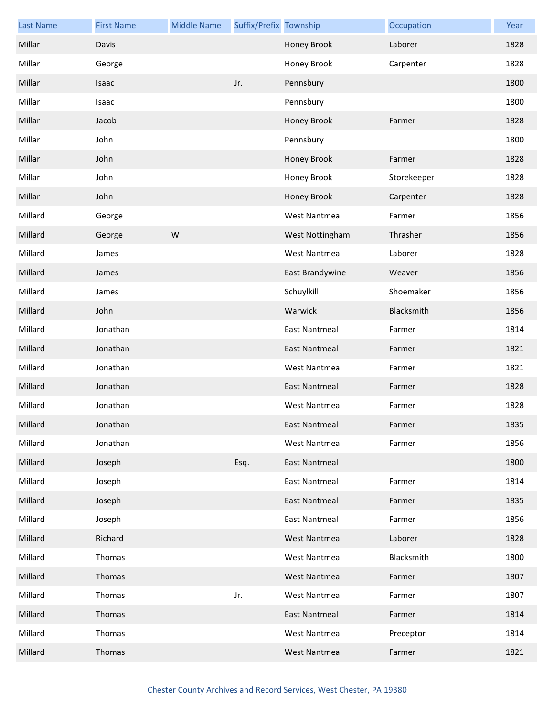| <b>Last Name</b> | <b>First Name</b> | <b>Middle Name</b> | Suffix/Prefix Township |                      | Occupation  | Year |
|------------------|-------------------|--------------------|------------------------|----------------------|-------------|------|
| Millar           | Davis             |                    |                        | Honey Brook          | Laborer     | 1828 |
| Millar           | George            |                    |                        | Honey Brook          | Carpenter   | 1828 |
| Millar           | Isaac             |                    | Jr.                    | Pennsbury            |             | 1800 |
| Millar           | Isaac             |                    |                        | Pennsbury            |             | 1800 |
| Millar           | Jacob             |                    |                        | Honey Brook          | Farmer      | 1828 |
| Millar           | John              |                    |                        | Pennsbury            |             | 1800 |
| Millar           | John              |                    |                        | Honey Brook          | Farmer      | 1828 |
| Millar           | John              |                    |                        | Honey Brook          | Storekeeper | 1828 |
| Millar           | John              |                    |                        | Honey Brook          | Carpenter   | 1828 |
| Millard          | George            |                    |                        | <b>West Nantmeal</b> | Farmer      | 1856 |
| Millard          | George            | W                  |                        | West Nottingham      | Thrasher    | 1856 |
| Millard          | James             |                    |                        | <b>West Nantmeal</b> | Laborer     | 1828 |
| Millard          | James             |                    |                        | East Brandywine      | Weaver      | 1856 |
| Millard          | James             |                    |                        | Schuylkill           | Shoemaker   | 1856 |
| Millard          | John              |                    |                        | Warwick              | Blacksmith  | 1856 |
| Millard          | Jonathan          |                    |                        | <b>East Nantmeal</b> | Farmer      | 1814 |
| Millard          | Jonathan          |                    |                        | East Nantmeal        | Farmer      | 1821 |
| Millard          | Jonathan          |                    |                        | <b>West Nantmeal</b> | Farmer      | 1821 |
| Millard          | Jonathan          |                    |                        | <b>East Nantmeal</b> | Farmer      | 1828 |
| Millard          | Jonathan          |                    |                        | <b>West Nantmeal</b> | Farmer      | 1828 |
| Millard          | Jonathan          |                    |                        | East Nantmeal        | Farmer      | 1835 |
| Millard          | Jonathan          |                    |                        | <b>West Nantmeal</b> | Farmer      | 1856 |
| Millard          | Joseph            |                    | Esq.                   | <b>East Nantmeal</b> |             | 1800 |
| Millard          | Joseph            |                    |                        | <b>East Nantmeal</b> | Farmer      | 1814 |
| Millard          | Joseph            |                    |                        | <b>East Nantmeal</b> | Farmer      | 1835 |
| Millard          | Joseph            |                    |                        | <b>East Nantmeal</b> | Farmer      | 1856 |
| Millard          | Richard           |                    |                        | <b>West Nantmeal</b> | Laborer     | 1828 |
| Millard          | Thomas            |                    |                        | <b>West Nantmeal</b> | Blacksmith  | 1800 |
| Millard          | Thomas            |                    |                        | <b>West Nantmeal</b> | Farmer      | 1807 |
| Millard          | Thomas            |                    | Jr.                    | <b>West Nantmeal</b> | Farmer      | 1807 |
| Millard          | Thomas            |                    |                        | <b>East Nantmeal</b> | Farmer      | 1814 |
| Millard          | Thomas            |                    |                        | <b>West Nantmeal</b> | Preceptor   | 1814 |
| Millard          | Thomas            |                    |                        | <b>West Nantmeal</b> | Farmer      | 1821 |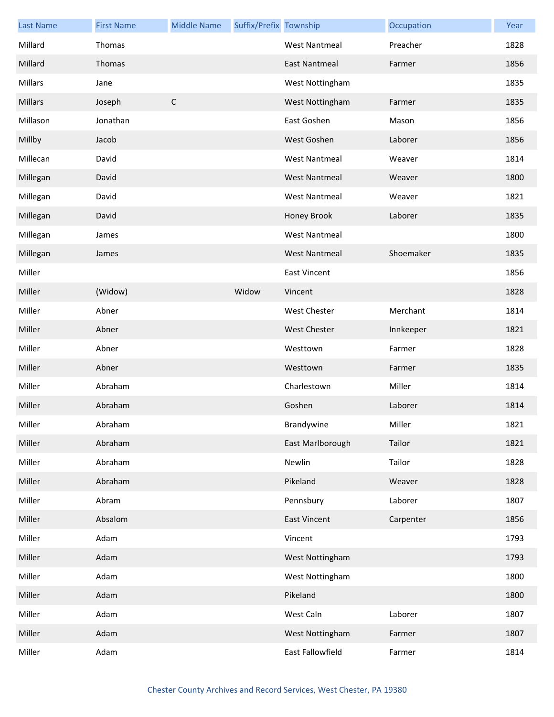| <b>Last Name</b> | <b>First Name</b> | <b>Middle Name</b> | Suffix/Prefix Township |                      | Occupation | Year |
|------------------|-------------------|--------------------|------------------------|----------------------|------------|------|
| Millard          | Thomas            |                    |                        | <b>West Nantmeal</b> | Preacher   | 1828 |
| Millard          | Thomas            |                    |                        | <b>East Nantmeal</b> | Farmer     | 1856 |
| Millars          | Jane              |                    |                        | West Nottingham      |            | 1835 |
| Millars          | Joseph            | $\mathsf C$        |                        | West Nottingham      | Farmer     | 1835 |
| Millason         | Jonathan          |                    |                        | East Goshen          | Mason      | 1856 |
| Millby           | Jacob             |                    |                        | West Goshen          | Laborer    | 1856 |
| Millecan         | David             |                    |                        | <b>West Nantmeal</b> | Weaver     | 1814 |
| Millegan         | David             |                    |                        | <b>West Nantmeal</b> | Weaver     | 1800 |
| Millegan         | David             |                    |                        | <b>West Nantmeal</b> | Weaver     | 1821 |
| Millegan         | David             |                    |                        | Honey Brook          | Laborer    | 1835 |
| Millegan         | James             |                    |                        | <b>West Nantmeal</b> |            | 1800 |
| Millegan         | James             |                    |                        | <b>West Nantmeal</b> | Shoemaker  | 1835 |
| Miller           |                   |                    |                        | <b>East Vincent</b>  |            | 1856 |
| Miller           | (Widow)           |                    | Widow                  | Vincent              |            | 1828 |
| Miller           | Abner             |                    |                        | <b>West Chester</b>  | Merchant   | 1814 |
| Miller           | Abner             |                    |                        | <b>West Chester</b>  | Innkeeper  | 1821 |
| Miller           | Abner             |                    |                        | Westtown             | Farmer     | 1828 |
| Miller           | Abner             |                    |                        | Westtown             | Farmer     | 1835 |
| Miller           | Abraham           |                    |                        | Charlestown          | Miller     | 1814 |
| Miller           | Abraham           |                    |                        | Goshen               | Laborer    | 1814 |
| Miller           | Abraham           |                    |                        | Brandywine           | Miller     | 1821 |
| Miller           | Abraham           |                    |                        | East Marlborough     | Tailor     | 1821 |
| Miller           | Abraham           |                    |                        | Newlin               | Tailor     | 1828 |
| Miller           | Abraham           |                    |                        | Pikeland             | Weaver     | 1828 |
| Miller           | Abram             |                    |                        | Pennsbury            | Laborer    | 1807 |
| Miller           | Absalom           |                    |                        | <b>East Vincent</b>  | Carpenter  | 1856 |
| Miller           | Adam              |                    |                        | Vincent              |            | 1793 |
| Miller           | Adam              |                    |                        | West Nottingham      |            | 1793 |
| Miller           | Adam              |                    |                        | West Nottingham      |            | 1800 |
| Miller           | Adam              |                    |                        | Pikeland             |            | 1800 |
| Miller           | Adam              |                    |                        | West Caln            | Laborer    | 1807 |
| Miller           | Adam              |                    |                        | West Nottingham      | Farmer     | 1807 |
| Miller           | Adam              |                    |                        | East Fallowfield     | Farmer     | 1814 |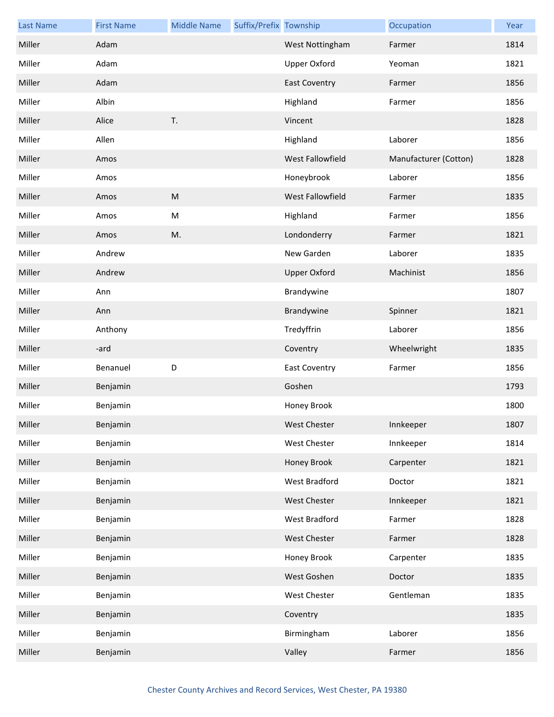| <b>Last Name</b> | <b>First Name</b> | <b>Middle Name</b> | Suffix/Prefix Township |                      | Occupation            | Year |
|------------------|-------------------|--------------------|------------------------|----------------------|-----------------------|------|
| Miller           | Adam              |                    |                        | West Nottingham      | Farmer                | 1814 |
| Miller           | Adam              |                    |                        | <b>Upper Oxford</b>  | Yeoman                | 1821 |
| Miller           | Adam              |                    |                        | <b>East Coventry</b> | Farmer                | 1856 |
| Miller           | Albin             |                    |                        | Highland             | Farmer                | 1856 |
| Miller           | Alice             | T.                 |                        | Vincent              |                       | 1828 |
| Miller           | Allen             |                    |                        | Highland             | Laborer               | 1856 |
| Miller           | Amos              |                    |                        | West Fallowfield     | Manufacturer (Cotton) | 1828 |
| Miller           | Amos              |                    |                        | Honeybrook           | Laborer               | 1856 |
| Miller           | Amos              | ${\sf M}$          |                        | West Fallowfield     | Farmer                | 1835 |
| Miller           | Amos              | M                  |                        | Highland             | Farmer                | 1856 |
| Miller           | Amos              | M.                 |                        | Londonderry          | Farmer                | 1821 |
| Miller           | Andrew            |                    |                        | New Garden           | Laborer               | 1835 |
| Miller           | Andrew            |                    |                        | <b>Upper Oxford</b>  | Machinist             | 1856 |
| Miller           | Ann               |                    |                        | Brandywine           |                       | 1807 |
| Miller           | Ann               |                    |                        | Brandywine           | Spinner               | 1821 |
| Miller           | Anthony           |                    |                        | Tredyffrin           | Laborer               | 1856 |
| Miller           | -ard              |                    |                        | Coventry             | Wheelwright           | 1835 |
| Miller           | Benanuel          | D                  |                        | <b>East Coventry</b> | Farmer                | 1856 |
| Miller           | Benjamin          |                    |                        | Goshen               |                       | 1793 |
| Miller           | Benjamin          |                    |                        | Honey Brook          |                       | 1800 |
| Miller           | Benjamin          |                    |                        | <b>West Chester</b>  | Innkeeper             | 1807 |
| Miller           | Benjamin          |                    |                        | <b>West Chester</b>  | Innkeeper             | 1814 |
| Miller           | Benjamin          |                    |                        | Honey Brook          | Carpenter             | 1821 |
| Miller           | Benjamin          |                    |                        | West Bradford        | Doctor                | 1821 |
| Miller           | Benjamin          |                    |                        | West Chester         | Innkeeper             | 1821 |
| Miller           | Benjamin          |                    |                        | West Bradford        | Farmer                | 1828 |
| Miller           | Benjamin          |                    |                        | West Chester         | Farmer                | 1828 |
| Miller           | Benjamin          |                    |                        | Honey Brook          | Carpenter             | 1835 |
| Miller           | Benjamin          |                    |                        | West Goshen          | Doctor                | 1835 |
| Miller           | Benjamin          |                    |                        | West Chester         | Gentleman             | 1835 |
| Miller           | Benjamin          |                    |                        | Coventry             |                       | 1835 |
| Miller           | Benjamin          |                    |                        | Birmingham           | Laborer               | 1856 |
| Miller           | Benjamin          |                    |                        | Valley               | Farmer                | 1856 |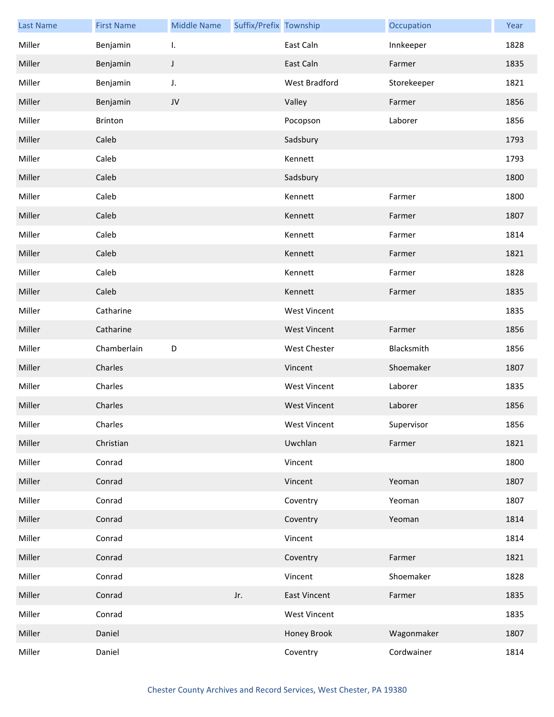| <b>Last Name</b> | <b>First Name</b> | <b>Middle Name</b> | Suffix/Prefix Township |                     | Occupation  | Year |
|------------------|-------------------|--------------------|------------------------|---------------------|-------------|------|
| Miller           | Benjamin          | I.                 |                        | East Caln           | Innkeeper   | 1828 |
| Miller           | Benjamin          | J                  |                        | East Caln           | Farmer      | 1835 |
| Miller           | Benjamin          | J.                 |                        | West Bradford       | Storekeeper | 1821 |
| Miller           | Benjamin          | JV                 |                        | Valley              | Farmer      | 1856 |
| Miller           | Brinton           |                    |                        | Pocopson            | Laborer     | 1856 |
| Miller           | Caleb             |                    |                        | Sadsbury            |             | 1793 |
| Miller           | Caleb             |                    |                        | Kennett             |             | 1793 |
| Miller           | Caleb             |                    |                        | Sadsbury            |             | 1800 |
| Miller           | Caleb             |                    |                        | Kennett             | Farmer      | 1800 |
| Miller           | Caleb             |                    |                        | Kennett             | Farmer      | 1807 |
| Miller           | Caleb             |                    |                        | Kennett             | Farmer      | 1814 |
| Miller           | Caleb             |                    |                        | Kennett             | Farmer      | 1821 |
| Miller           | Caleb             |                    |                        | Kennett             | Farmer      | 1828 |
| Miller           | Caleb             |                    |                        | Kennett             | Farmer      | 1835 |
| Miller           | Catharine         |                    |                        | <b>West Vincent</b> |             | 1835 |
| Miller           | Catharine         |                    |                        | <b>West Vincent</b> | Farmer      | 1856 |
| Miller           | Chamberlain       | D                  |                        | <b>West Chester</b> | Blacksmith  | 1856 |
| Miller           | Charles           |                    |                        | Vincent             | Shoemaker   | 1807 |
| Miller           | Charles           |                    |                        | <b>West Vincent</b> | Laborer     | 1835 |
| Miller           | Charles           |                    |                        | <b>West Vincent</b> | Laborer     | 1856 |
| Miller           | Charles           |                    |                        | West Vincent        | Supervisor  | 1856 |
| Miller           | Christian         |                    |                        | Uwchlan             | Farmer      | 1821 |
| Miller           | Conrad            |                    |                        | Vincent             |             | 1800 |
| Miller           | Conrad            |                    |                        | Vincent             | Yeoman      | 1807 |
| Miller           | Conrad            |                    |                        | Coventry            | Yeoman      | 1807 |
| Miller           | Conrad            |                    |                        | Coventry            | Yeoman      | 1814 |
| Miller           | Conrad            |                    |                        | Vincent             |             | 1814 |
| Miller           | Conrad            |                    |                        | Coventry            | Farmer      | 1821 |
| Miller           | Conrad            |                    |                        | Vincent             | Shoemaker   | 1828 |
| Miller           | Conrad            |                    | Jr.                    | <b>East Vincent</b> | Farmer      | 1835 |
| Miller           | Conrad            |                    |                        | <b>West Vincent</b> |             | 1835 |
| Miller           | Daniel            |                    |                        | Honey Brook         | Wagonmaker  | 1807 |
| Miller           | Daniel            |                    |                        | Coventry            | Cordwainer  | 1814 |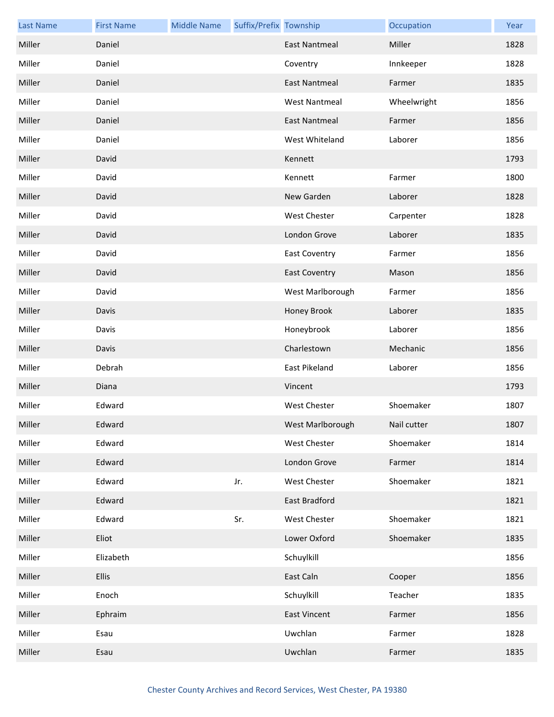| <b>Last Name</b> | <b>First Name</b> | <b>Middle Name</b> | Suffix/Prefix Township |                      | Occupation  | Year |
|------------------|-------------------|--------------------|------------------------|----------------------|-------------|------|
| Miller           | Daniel            |                    |                        | <b>East Nantmeal</b> | Miller      | 1828 |
| Miller           | Daniel            |                    |                        | Coventry             | Innkeeper   | 1828 |
| Miller           | Daniel            |                    |                        | <b>East Nantmeal</b> | Farmer      | 1835 |
| Miller           | Daniel            |                    |                        | <b>West Nantmeal</b> | Wheelwright | 1856 |
| Miller           | Daniel            |                    |                        | East Nantmeal        | Farmer      | 1856 |
| Miller           | Daniel            |                    |                        | West Whiteland       | Laborer     | 1856 |
| Miller           | David             |                    |                        | Kennett              |             | 1793 |
| Miller           | David             |                    |                        | Kennett              | Farmer      | 1800 |
| Miller           | David             |                    |                        | New Garden           | Laborer     | 1828 |
| Miller           | David             |                    |                        | West Chester         | Carpenter   | 1828 |
| Miller           | David             |                    |                        | London Grove         | Laborer     | 1835 |
| Miller           | David             |                    |                        | <b>East Coventry</b> | Farmer      | 1856 |
| Miller           | David             |                    |                        | <b>East Coventry</b> | Mason       | 1856 |
| Miller           | David             |                    |                        | West Marlborough     | Farmer      | 1856 |
| Miller           | Davis             |                    |                        | Honey Brook          | Laborer     | 1835 |
| Miller           | Davis             |                    |                        | Honeybrook           | Laborer     | 1856 |
| Miller           | Davis             |                    |                        | Charlestown          | Mechanic    | 1856 |
| Miller           | Debrah            |                    |                        | East Pikeland        | Laborer     | 1856 |
| Miller           | Diana             |                    |                        | Vincent              |             | 1793 |
| Miller           | Edward            |                    |                        | West Chester         | Shoemaker   | 1807 |
| Miller           | Edward            |                    |                        | West Marlborough     | Nail cutter | 1807 |
| Miller           | Edward            |                    |                        | <b>West Chester</b>  | Shoemaker   | 1814 |
| Miller           | Edward            |                    |                        | London Grove         | Farmer      | 1814 |
| Miller           | Edward            |                    | Jr.                    | <b>West Chester</b>  | Shoemaker   | 1821 |
| Miller           | Edward            |                    |                        | East Bradford        |             | 1821 |
| Miller           | Edward            |                    | Sr.                    | <b>West Chester</b>  | Shoemaker   | 1821 |
| Miller           | Eliot             |                    |                        | Lower Oxford         | Shoemaker   | 1835 |
| Miller           | Elizabeth         |                    |                        | Schuylkill           |             | 1856 |
| Miller           | <b>Ellis</b>      |                    |                        | East Caln            | Cooper      | 1856 |
| Miller           | Enoch             |                    |                        | Schuylkill           | Teacher     | 1835 |
| Miller           | Ephraim           |                    |                        | <b>East Vincent</b>  | Farmer      | 1856 |
| Miller           | Esau              |                    |                        | Uwchlan              | Farmer      | 1828 |
| Miller           | Esau              |                    |                        | Uwchlan              | Farmer      | 1835 |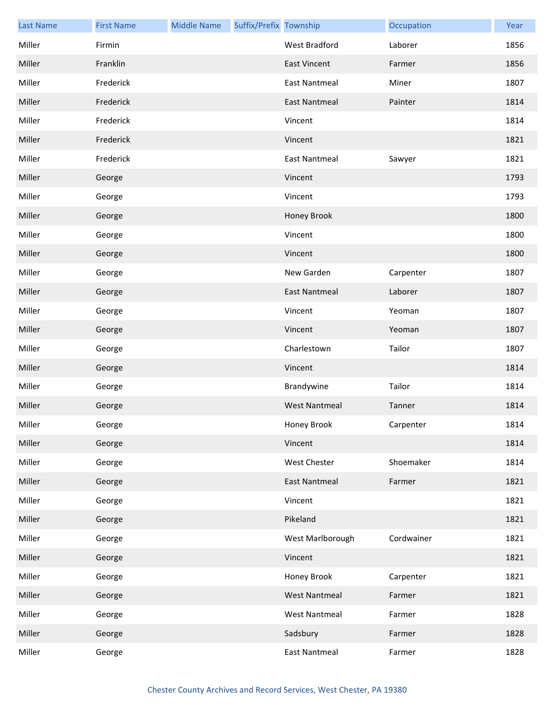| <b>Last Name</b> | <b>First Name</b> | <b>Middle Name</b> | Suffix/Prefix Township |                      | Occupation | Year |
|------------------|-------------------|--------------------|------------------------|----------------------|------------|------|
| Miller           | Firmin            |                    |                        | West Bradford        | Laborer    | 1856 |
| Miller           | Franklin          |                    |                        | <b>East Vincent</b>  | Farmer     | 1856 |
| Miller           | Frederick         |                    |                        | <b>East Nantmeal</b> | Miner      | 1807 |
| Miller           | Frederick         |                    |                        | <b>East Nantmeal</b> | Painter    | 1814 |
| Miller           | Frederick         |                    |                        | Vincent              |            | 1814 |
| Miller           | Frederick         |                    |                        | Vincent              |            | 1821 |
| Miller           | Frederick         |                    |                        | <b>East Nantmeal</b> | Sawyer     | 1821 |
| Miller           | George            |                    |                        | Vincent              |            | 1793 |
| Miller           | George            |                    |                        | Vincent              |            | 1793 |
| Miller           | George            |                    |                        | Honey Brook          |            | 1800 |
| Miller           | George            |                    |                        | Vincent              |            | 1800 |
| Miller           | George            |                    |                        | Vincent              |            | 1800 |
| Miller           | George            |                    |                        | New Garden           | Carpenter  | 1807 |
| Miller           | George            |                    |                        | <b>East Nantmeal</b> | Laborer    | 1807 |
| Miller           | George            |                    |                        | Vincent              | Yeoman     | 1807 |
| Miller           | George            |                    |                        | Vincent              | Yeoman     | 1807 |
| Miller           | George            |                    |                        | Charlestown          | Tailor     | 1807 |
| Miller           | George            |                    |                        | Vincent              |            | 1814 |
| Miller           | George            |                    |                        | Brandywine           | Tailor     | 1814 |
| Miller           | George            |                    |                        | <b>West Nantmeal</b> | Tanner     | 1814 |
| Miller           | George            |                    |                        | Honey Brook          | Carpenter  | 1814 |
| Miller           | George            |                    |                        | Vincent              |            | 1814 |
| Miller           | George            |                    |                        | West Chester         | Shoemaker  | 1814 |
| Miller           | George            |                    |                        | <b>East Nantmeal</b> | Farmer     | 1821 |
| Miller           | George            |                    |                        | Vincent              |            | 1821 |
| Miller           | George            |                    |                        | Pikeland             |            | 1821 |
| Miller           | George            |                    |                        | West Marlborough     | Cordwainer | 1821 |
| Miller           | George            |                    |                        | Vincent              |            | 1821 |
| Miller           | George            |                    |                        | Honey Brook          | Carpenter  | 1821 |
| Miller           | George            |                    |                        | <b>West Nantmeal</b> | Farmer     | 1821 |
| Miller           | George            |                    |                        | <b>West Nantmeal</b> | Farmer     | 1828 |
| Miller           | George            |                    |                        | Sadsbury             | Farmer     | 1828 |
| Miller           | George            |                    |                        | <b>East Nantmeal</b> | Farmer     | 1828 |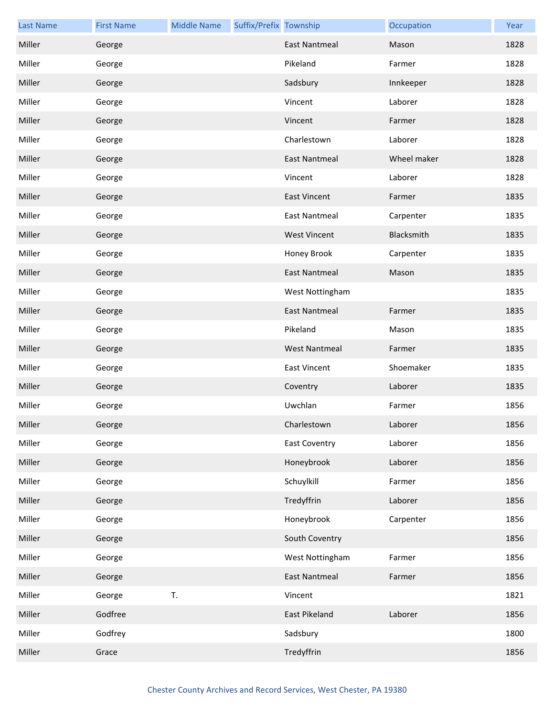| <b>Last Name</b> | <b>First Name</b> | <b>Middle Name</b> | Suffix/Prefix Township |                      | Occupation  | Year |
|------------------|-------------------|--------------------|------------------------|----------------------|-------------|------|
| Miller           | George            |                    |                        | <b>East Nantmeal</b> | Mason       | 1828 |
| Miller           | George            |                    |                        | Pikeland             | Farmer      | 1828 |
| Miller           | George            |                    |                        | Sadsbury             | Innkeeper   | 1828 |
| Miller           | George            |                    |                        | Vincent              | Laborer     | 1828 |
| Miller           | George            |                    |                        | Vincent              | Farmer      | 1828 |
| Miller           | George            |                    |                        | Charlestown          | Laborer     | 1828 |
| Miller           | George            |                    |                        | <b>East Nantmeal</b> | Wheel maker | 1828 |
| Miller           | George            |                    |                        | Vincent              | Laborer     | 1828 |
| Miller           | George            |                    |                        | <b>East Vincent</b>  | Farmer      | 1835 |
| Miller           | George            |                    |                        | <b>East Nantmeal</b> | Carpenter   | 1835 |
| Miller           | George            |                    |                        | <b>West Vincent</b>  | Blacksmith  | 1835 |
| Miller           | George            |                    |                        | Honey Brook          | Carpenter   | 1835 |
| Miller           | George            |                    |                        | <b>East Nantmeal</b> | Mason       | 1835 |
| Miller           | George            |                    |                        | West Nottingham      |             | 1835 |
| Miller           | George            |                    |                        | <b>East Nantmeal</b> | Farmer      | 1835 |
| Miller           | George            |                    |                        | Pikeland             | Mason       | 1835 |
| Miller           | George            |                    |                        | <b>West Nantmeal</b> | Farmer      | 1835 |
| Miller           | George            |                    |                        | <b>East Vincent</b>  | Shoemaker   | 1835 |
| Miller           | George            |                    |                        | Coventry             | Laborer     | 1835 |
| Miller           | George            |                    |                        | Uwchlan              | Farmer      | 1856 |
| Miller           | George            |                    |                        | Charlestown          | Laborer     | 1856 |
| Miller           | George            |                    |                        | <b>East Coventry</b> | Laborer     | 1856 |
| Miller           | George            |                    |                        | Honeybrook           | Laborer     | 1856 |
| Miller           | George            |                    |                        | Schuylkill           | Farmer      | 1856 |
| Miller           | George            |                    |                        | Tredyffrin           | Laborer     | 1856 |
| Miller           | George            |                    |                        | Honeybrook           | Carpenter   | 1856 |
| Miller           | George            |                    |                        | South Coventry       |             | 1856 |
| Miller           | George            |                    |                        | West Nottingham      | Farmer      | 1856 |
| Miller           | George            |                    |                        | <b>East Nantmeal</b> | Farmer      | 1856 |
| Miller           | George            | T.                 |                        | Vincent              |             | 1821 |
| Miller           | Godfree           |                    |                        | East Pikeland        | Laborer     | 1856 |
| Miller           | Godfrey           |                    |                        | Sadsbury             |             | 1800 |
| Miller           | Grace             |                    |                        | Tredyffrin           |             | 1856 |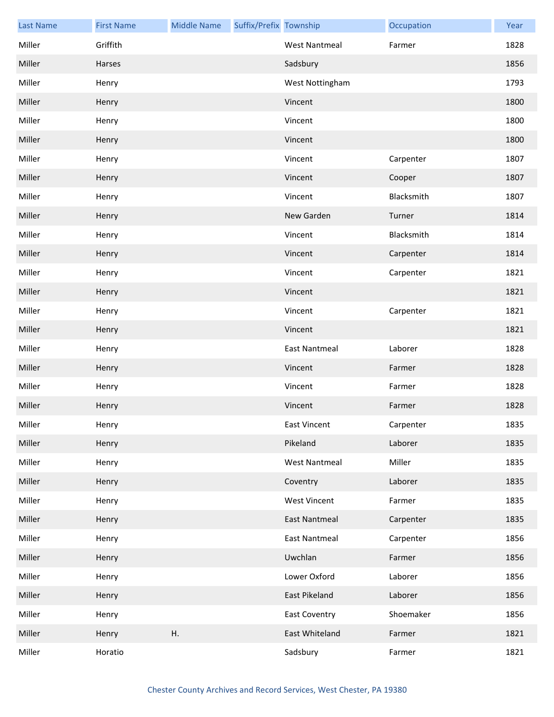| <b>Last Name</b> | <b>First Name</b> | <b>Middle Name</b> | Suffix/Prefix Township |                      | Occupation | Year |
|------------------|-------------------|--------------------|------------------------|----------------------|------------|------|
| Miller           | Griffith          |                    |                        | <b>West Nantmeal</b> | Farmer     | 1828 |
| Miller           | Harses            |                    |                        | Sadsbury             |            | 1856 |
| Miller           | Henry             |                    |                        | West Nottingham      |            | 1793 |
| Miller           | Henry             |                    |                        | Vincent              |            | 1800 |
| Miller           | Henry             |                    |                        | Vincent              |            | 1800 |
| Miller           | Henry             |                    |                        | Vincent              |            | 1800 |
| Miller           | Henry             |                    |                        | Vincent              | Carpenter  | 1807 |
| Miller           | Henry             |                    |                        | Vincent              | Cooper     | 1807 |
| Miller           | Henry             |                    |                        | Vincent              | Blacksmith | 1807 |
| Miller           | Henry             |                    |                        | New Garden           | Turner     | 1814 |
| Miller           | Henry             |                    |                        | Vincent              | Blacksmith | 1814 |
| Miller           | Henry             |                    |                        | Vincent              | Carpenter  | 1814 |
| Miller           | Henry             |                    |                        | Vincent              | Carpenter  | 1821 |
| Miller           | Henry             |                    |                        | Vincent              |            | 1821 |
| Miller           | Henry             |                    |                        | Vincent              | Carpenter  | 1821 |
| Miller           | Henry             |                    |                        | Vincent              |            | 1821 |
| Miller           | Henry             |                    |                        | <b>East Nantmeal</b> | Laborer    | 1828 |
| Miller           | Henry             |                    |                        | Vincent              | Farmer     | 1828 |
| Miller           | Henry             |                    |                        | Vincent              | Farmer     | 1828 |
| Miller           | Henry             |                    |                        | Vincent              | Farmer     | 1828 |
| Miller           | Henry             |                    |                        | East Vincent         | Carpenter  | 1835 |
| Miller           | Henry             |                    |                        | Pikeland             | Laborer    | 1835 |
| Miller           | Henry             |                    |                        | <b>West Nantmeal</b> | Miller     | 1835 |
| Miller           | Henry             |                    |                        | Coventry             | Laborer    | 1835 |
| Miller           | Henry             |                    |                        | <b>West Vincent</b>  | Farmer     | 1835 |
| Miller           | Henry             |                    |                        | <b>East Nantmeal</b> | Carpenter  | 1835 |
| Miller           | Henry             |                    |                        | East Nantmeal        | Carpenter  | 1856 |
| Miller           | Henry             |                    |                        | Uwchlan              | Farmer     | 1856 |
| Miller           | Henry             |                    |                        | Lower Oxford         | Laborer    | 1856 |
| Miller           | Henry             |                    |                        | East Pikeland        | Laborer    | 1856 |
| Miller           | Henry             |                    |                        | <b>East Coventry</b> | Shoemaker  | 1856 |
| Miller           | Henry             | Η.                 |                        | East Whiteland       | Farmer     | 1821 |
| Miller           | Horatio           |                    |                        | Sadsbury             | Farmer     | 1821 |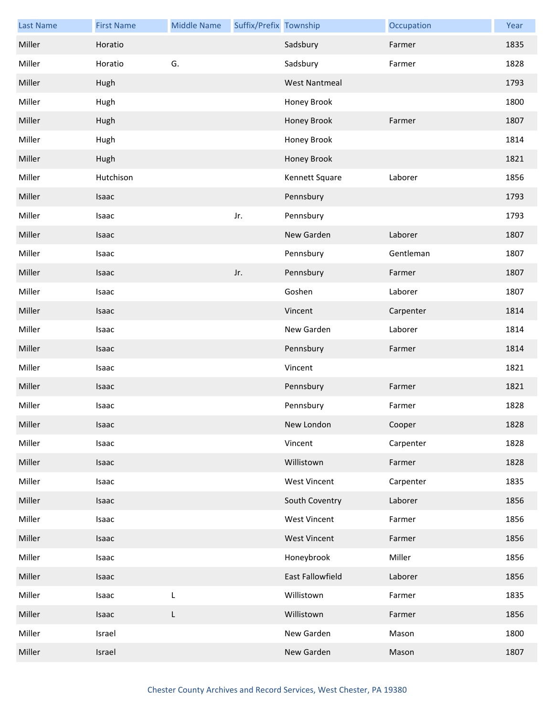| <b>Last Name</b> | <b>First Name</b> | <b>Middle Name</b> | Suffix/Prefix Township |                      | Occupation | Year |
|------------------|-------------------|--------------------|------------------------|----------------------|------------|------|
| Miller           | Horatio           |                    |                        | Sadsbury             | Farmer     | 1835 |
| Miller           | Horatio           | G.                 |                        | Sadsbury             | Farmer     | 1828 |
| Miller           | Hugh              |                    |                        | <b>West Nantmeal</b> |            | 1793 |
| Miller           | Hugh              |                    |                        | Honey Brook          |            | 1800 |
| Miller           | Hugh              |                    |                        | Honey Brook          | Farmer     | 1807 |
| Miller           | Hugh              |                    |                        | Honey Brook          |            | 1814 |
| Miller           | Hugh              |                    |                        | Honey Brook          |            | 1821 |
| Miller           | Hutchison         |                    |                        | Kennett Square       | Laborer    | 1856 |
| Miller           | Isaac             |                    |                        | Pennsbury            |            | 1793 |
| Miller           | Isaac             |                    | Jr.                    | Pennsbury            |            | 1793 |
| Miller           | Isaac             |                    |                        | New Garden           | Laborer    | 1807 |
| Miller           | Isaac             |                    |                        | Pennsbury            | Gentleman  | 1807 |
| Miller           | Isaac             |                    | Jr.                    | Pennsbury            | Farmer     | 1807 |
| Miller           | Isaac             |                    |                        | Goshen               | Laborer    | 1807 |
| Miller           | Isaac             |                    |                        | Vincent              | Carpenter  | 1814 |
| Miller           | Isaac             |                    |                        | New Garden           | Laborer    | 1814 |
| Miller           | Isaac             |                    |                        | Pennsbury            | Farmer     | 1814 |
| Miller           | Isaac             |                    |                        | Vincent              |            | 1821 |
| Miller           | Isaac             |                    |                        | Pennsbury            | Farmer     | 1821 |
| Miller           | Isaac             |                    |                        | Pennsbury            | Farmer     | 1828 |
| Miller           | Isaac             |                    |                        | New London           | Cooper     | 1828 |
| Miller           | Isaac             |                    |                        | Vincent              | Carpenter  | 1828 |
| Miller           | Isaac             |                    |                        | Willistown           | Farmer     | 1828 |
| Miller           | Isaac             |                    |                        | <b>West Vincent</b>  | Carpenter  | 1835 |
| Miller           | Isaac             |                    |                        | South Coventry       | Laborer    | 1856 |
| Miller           | Isaac             |                    |                        | <b>West Vincent</b>  | Farmer     | 1856 |
| Miller           | Isaac             |                    |                        | <b>West Vincent</b>  | Farmer     | 1856 |
| Miller           | Isaac             |                    |                        | Honeybrook           | Miller     | 1856 |
| Miller           | Isaac             |                    |                        | East Fallowfield     | Laborer    | 1856 |
| Miller           | Isaac             | L                  |                        | Willistown           | Farmer     | 1835 |
| Miller           | Isaac             | L                  |                        | Willistown           | Farmer     | 1856 |
| Miller           | Israel            |                    |                        | New Garden           | Mason      | 1800 |
| Miller           | Israel            |                    |                        | New Garden           | Mason      | 1807 |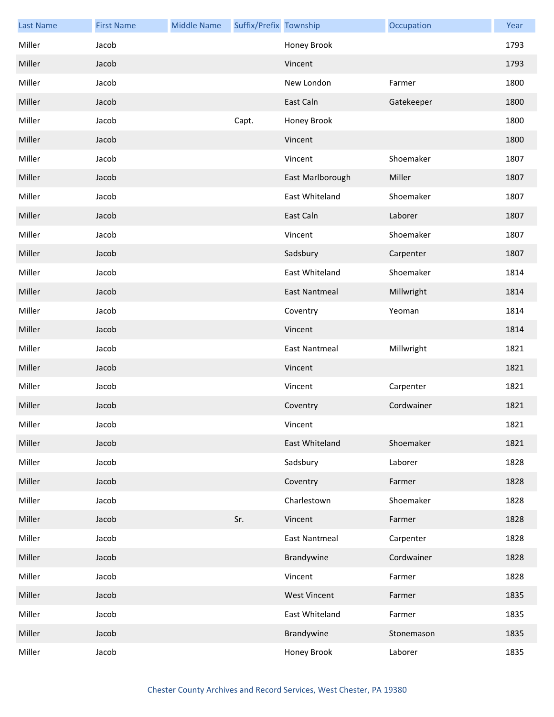| <b>Last Name</b> | <b>First Name</b> | <b>Middle Name</b> | Suffix/Prefix Township |                      | Occupation | Year |
|------------------|-------------------|--------------------|------------------------|----------------------|------------|------|
| Miller           | Jacob             |                    |                        | Honey Brook          |            | 1793 |
| Miller           | Jacob             |                    |                        | Vincent              |            | 1793 |
| Miller           | Jacob             |                    |                        | New London           | Farmer     | 1800 |
| Miller           | Jacob             |                    |                        | East Caln            | Gatekeeper | 1800 |
| Miller           | Jacob             |                    | Capt.                  | Honey Brook          |            | 1800 |
| Miller           | Jacob             |                    |                        | Vincent              |            | 1800 |
| Miller           | Jacob             |                    |                        | Vincent              | Shoemaker  | 1807 |
| Miller           | Jacob             |                    |                        | East Marlborough     | Miller     | 1807 |
| Miller           | Jacob             |                    |                        | East Whiteland       | Shoemaker  | 1807 |
| Miller           | Jacob             |                    |                        | East Caln            | Laborer    | 1807 |
| Miller           | Jacob             |                    |                        | Vincent              | Shoemaker  | 1807 |
| Miller           | Jacob             |                    |                        | Sadsbury             | Carpenter  | 1807 |
| Miller           | Jacob             |                    |                        | East Whiteland       | Shoemaker  | 1814 |
| Miller           | Jacob             |                    |                        | <b>East Nantmeal</b> | Millwright | 1814 |
| Miller           | Jacob             |                    |                        | Coventry             | Yeoman     | 1814 |
| Miller           | Jacob             |                    |                        | Vincent              |            | 1814 |
| Miller           | Jacob             |                    |                        | <b>East Nantmeal</b> | Millwright | 1821 |
| Miller           | Jacob             |                    |                        | Vincent              |            | 1821 |
| Miller           | Jacob             |                    |                        | Vincent              | Carpenter  | 1821 |
| Miller           | Jacob             |                    |                        | Coventry             | Cordwainer | 1821 |
| Miller           | Jacob             |                    |                        | Vincent              |            | 1821 |
| Miller           | Jacob             |                    |                        | East Whiteland       | Shoemaker  | 1821 |
| Miller           | Jacob             |                    |                        | Sadsbury             | Laborer    | 1828 |
| Miller           | Jacob             |                    |                        | Coventry             | Farmer     | 1828 |
| Miller           | Jacob             |                    |                        | Charlestown          | Shoemaker  | 1828 |
| Miller           | Jacob             |                    | Sr.                    | Vincent              | Farmer     | 1828 |
| Miller           | Jacob             |                    |                        | <b>East Nantmeal</b> | Carpenter  | 1828 |
| Miller           | Jacob             |                    |                        | Brandywine           | Cordwainer | 1828 |
| Miller           | Jacob             |                    |                        | Vincent              | Farmer     | 1828 |
| Miller           | Jacob             |                    |                        | <b>West Vincent</b>  | Farmer     | 1835 |
| Miller           | Jacob             |                    |                        | East Whiteland       | Farmer     | 1835 |
| Miller           | Jacob             |                    |                        | Brandywine           | Stonemason | 1835 |
| Miller           | Jacob             |                    |                        | Honey Brook          | Laborer    | 1835 |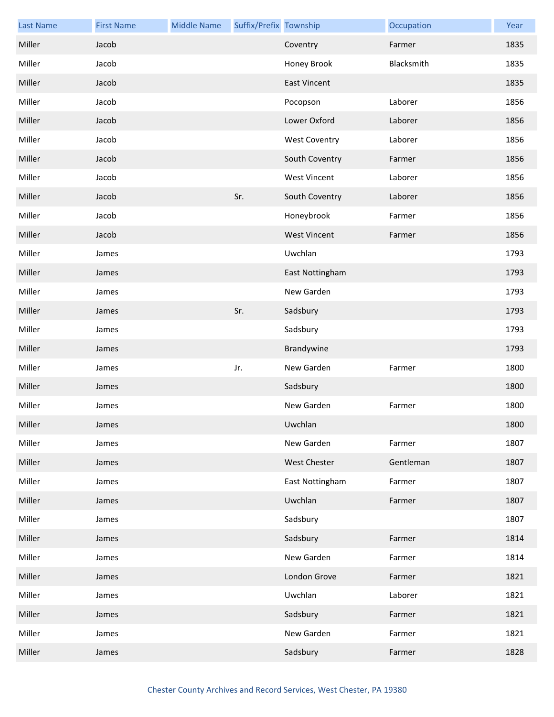| <b>Last Name</b> | <b>First Name</b> | <b>Middle Name</b> | Suffix/Prefix Township |                      | Occupation | Year |
|------------------|-------------------|--------------------|------------------------|----------------------|------------|------|
| Miller           | Jacob             |                    |                        | Coventry             | Farmer     | 1835 |
| Miller           | Jacob             |                    |                        | Honey Brook          | Blacksmith | 1835 |
| Miller           | Jacob             |                    |                        | <b>East Vincent</b>  |            | 1835 |
| Miller           | Jacob             |                    |                        | Pocopson             | Laborer    | 1856 |
| Miller           | Jacob             |                    |                        | Lower Oxford         | Laborer    | 1856 |
| Miller           | Jacob             |                    |                        | <b>West Coventry</b> | Laborer    | 1856 |
| Miller           | Jacob             |                    |                        | South Coventry       | Farmer     | 1856 |
| Miller           | Jacob             |                    |                        | <b>West Vincent</b>  | Laborer    | 1856 |
| Miller           | Jacob             |                    | Sr.                    | South Coventry       | Laborer    | 1856 |
| Miller           | Jacob             |                    |                        | Honeybrook           | Farmer     | 1856 |
| Miller           | Jacob             |                    |                        | <b>West Vincent</b>  | Farmer     | 1856 |
| Miller           | James             |                    |                        | Uwchlan              |            | 1793 |
| Miller           | James             |                    |                        | East Nottingham      |            | 1793 |
| Miller           | James             |                    |                        | New Garden           |            | 1793 |
| Miller           | James             |                    | Sr.                    | Sadsbury             |            | 1793 |
| Miller           | James             |                    |                        | Sadsbury             |            | 1793 |
| Miller           | James             |                    |                        | Brandywine           |            | 1793 |
| Miller           | James             |                    | Jr.                    | New Garden           | Farmer     | 1800 |
| Miller           | James             |                    |                        | Sadsbury             |            | 1800 |
| Miller           | James             |                    |                        | New Garden           | Farmer     | 1800 |
| Miller           | James             |                    |                        | Uwchlan              |            | 1800 |
| Miller           | James             |                    |                        | New Garden           | Farmer     | 1807 |
| Miller           | James             |                    |                        | West Chester         | Gentleman  | 1807 |
| Miller           | James             |                    |                        | East Nottingham      | Farmer     | 1807 |
| Miller           | James             |                    |                        | Uwchlan              | Farmer     | 1807 |
| Miller           | James             |                    |                        | Sadsbury             |            | 1807 |
| Miller           | James             |                    |                        | Sadsbury             | Farmer     | 1814 |
| Miller           | James             |                    |                        | New Garden           | Farmer     | 1814 |
| Miller           | James             |                    |                        | London Grove         | Farmer     | 1821 |
| Miller           | James             |                    |                        | Uwchlan              | Laborer    | 1821 |
| Miller           | James             |                    |                        | Sadsbury             | Farmer     | 1821 |
| Miller           | James             |                    |                        | New Garden           | Farmer     | 1821 |
| Miller           | James             |                    |                        | Sadsbury             | Farmer     | 1828 |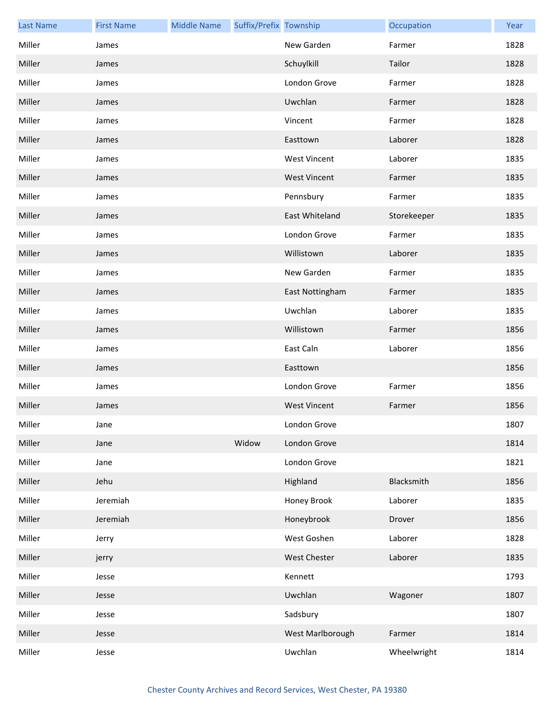| <b>Last Name</b> | <b>First Name</b> | <b>Middle Name</b> | Suffix/Prefix Township |                     | Occupation  | Year |
|------------------|-------------------|--------------------|------------------------|---------------------|-------------|------|
| Miller           | James             |                    |                        | New Garden          | Farmer      | 1828 |
| Miller           | James             |                    |                        | Schuylkill          | Tailor      | 1828 |
| Miller           | James             |                    |                        | London Grove        | Farmer      | 1828 |
| Miller           | James             |                    |                        | Uwchlan             | Farmer      | 1828 |
| Miller           | James             |                    |                        | Vincent             | Farmer      | 1828 |
| Miller           | James             |                    |                        | Easttown            | Laborer     | 1828 |
| Miller           | James             |                    |                        | <b>West Vincent</b> | Laborer     | 1835 |
| Miller           | James             |                    |                        | <b>West Vincent</b> | Farmer      | 1835 |
| Miller           | James             |                    |                        | Pennsbury           | Farmer      | 1835 |
| Miller           | James             |                    |                        | East Whiteland      | Storekeeper | 1835 |
| Miller           | James             |                    |                        | London Grove        | Farmer      | 1835 |
| Miller           | James             |                    |                        | Willistown          | Laborer     | 1835 |
| Miller           | James             |                    |                        | New Garden          | Farmer      | 1835 |
| Miller           | James             |                    |                        | East Nottingham     | Farmer      | 1835 |
| Miller           | James             |                    |                        | Uwchlan             | Laborer     | 1835 |
| Miller           | James             |                    |                        | Willistown          | Farmer      | 1856 |
| Miller           | James             |                    |                        | East Caln           | Laborer     | 1856 |
| Miller           | James             |                    |                        | Easttown            |             | 1856 |
| Miller           | James             |                    |                        | London Grove        | Farmer      | 1856 |
| Miller           | James             |                    |                        | <b>West Vincent</b> | Farmer      | 1856 |
| Miller           | Jane              |                    |                        | London Grove        |             | 1807 |
| Miller           | Jane              |                    | Widow                  | London Grove        |             | 1814 |
| Miller           | Jane              |                    |                        | London Grove        |             | 1821 |
| Miller           | Jehu              |                    |                        | Highland            | Blacksmith  | 1856 |
| Miller           | Jeremiah          |                    |                        | Honey Brook         | Laborer     | 1835 |
| Miller           | Jeremiah          |                    |                        | Honeybrook          | Drover      | 1856 |
| Miller           | Jerry             |                    |                        | West Goshen         | Laborer     | 1828 |
| Miller           | jerry             |                    |                        | West Chester        | Laborer     | 1835 |
| Miller           | Jesse             |                    |                        | Kennett             |             | 1793 |
| Miller           | Jesse             |                    |                        | Uwchlan             | Wagoner     | 1807 |
| Miller           | Jesse             |                    |                        | Sadsbury            |             | 1807 |
| Miller           | Jesse             |                    |                        | West Marlborough    | Farmer      | 1814 |
| Miller           | Jesse             |                    |                        | Uwchlan             | Wheelwright | 1814 |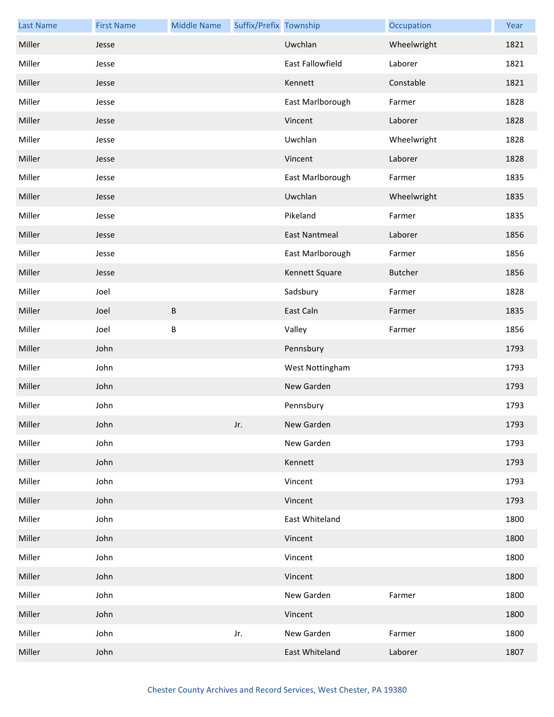| <b>Last Name</b> | <b>First Name</b> | <b>Middle Name</b> | Suffix/Prefix Township |                      | Occupation  | Year |
|------------------|-------------------|--------------------|------------------------|----------------------|-------------|------|
| Miller           | Jesse             |                    |                        | Uwchlan              | Wheelwright | 1821 |
| Miller           | Jesse             |                    |                        | East Fallowfield     | Laborer     | 1821 |
| Miller           | Jesse             |                    |                        | Kennett              | Constable   | 1821 |
| Miller           | Jesse             |                    |                        | East Marlborough     | Farmer      | 1828 |
| Miller           | Jesse             |                    |                        | Vincent              | Laborer     | 1828 |
| Miller           | Jesse             |                    |                        | Uwchlan              | Wheelwright | 1828 |
| Miller           | Jesse             |                    |                        | Vincent              | Laborer     | 1828 |
| Miller           | Jesse             |                    |                        | East Marlborough     | Farmer      | 1835 |
| Miller           | Jesse             |                    |                        | Uwchlan              | Wheelwright | 1835 |
| Miller           | Jesse             |                    |                        | Pikeland             | Farmer      | 1835 |
| Miller           | Jesse             |                    |                        | <b>East Nantmeal</b> | Laborer     | 1856 |
| Miller           | Jesse             |                    |                        | East Marlborough     | Farmer      | 1856 |
| Miller           | Jesse             |                    |                        | Kennett Square       | Butcher     | 1856 |
| Miller           | Joel              |                    |                        | Sadsbury             | Farmer      | 1828 |
| Miller           | Joel              | $\sf B$            |                        | East Caln            | Farmer      | 1835 |
| Miller           | Joel              | $\sf B$            |                        | Valley               | Farmer      | 1856 |
| Miller           | John              |                    |                        | Pennsbury            |             | 1793 |
| Miller           | John              |                    |                        | West Nottingham      |             | 1793 |
| Miller           | John              |                    |                        | New Garden           |             | 1793 |
| Miller           | John              |                    |                        | Pennsbury            |             | 1793 |
| Miller           | John              |                    | Jr.                    | New Garden           |             | 1793 |
| Miller           | John              |                    |                        | New Garden           |             | 1793 |
| Miller           | John              |                    |                        | Kennett              |             | 1793 |
| Miller           | John              |                    |                        | Vincent              |             | 1793 |
| Miller           | John              |                    |                        | Vincent              |             | 1793 |
| Miller           | John              |                    |                        | East Whiteland       |             | 1800 |
| Miller           | John              |                    |                        | Vincent              |             | 1800 |
| Miller           | John              |                    |                        | Vincent              |             | 1800 |
| Miller           | John              |                    |                        | Vincent              |             | 1800 |
| Miller           | John              |                    |                        | New Garden           | Farmer      | 1800 |
| Miller           | John              |                    |                        | Vincent              |             | 1800 |
| Miller           | John              |                    | Jr.                    | New Garden           | Farmer      | 1800 |
| Miller           | John              |                    |                        | East Whiteland       | Laborer     | 1807 |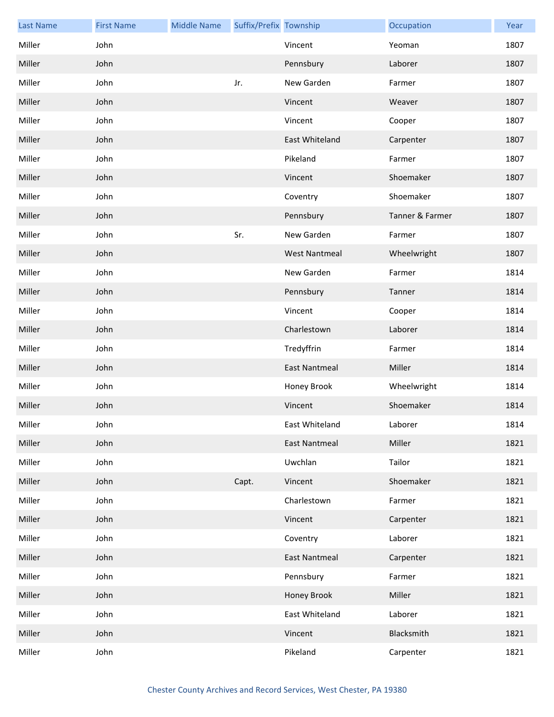| <b>Last Name</b> | <b>First Name</b> | <b>Middle Name</b> | Suffix/Prefix Township |                      | Occupation      | Year |
|------------------|-------------------|--------------------|------------------------|----------------------|-----------------|------|
| Miller           | John              |                    |                        | Vincent              | Yeoman          | 1807 |
| Miller           | John              |                    |                        | Pennsbury            | Laborer         | 1807 |
| Miller           | John              |                    | Jr.                    | New Garden           | Farmer          | 1807 |
| Miller           | John              |                    |                        | Vincent              | Weaver          | 1807 |
| Miller           | John              |                    |                        | Vincent              | Cooper          | 1807 |
| Miller           | John              |                    |                        | East Whiteland       | Carpenter       | 1807 |
| Miller           | John              |                    |                        | Pikeland             | Farmer          | 1807 |
| Miller           | John              |                    |                        | Vincent              | Shoemaker       | 1807 |
| Miller           | John              |                    |                        | Coventry             | Shoemaker       | 1807 |
| Miller           | John              |                    |                        | Pennsbury            | Tanner & Farmer | 1807 |
| Miller           | John              |                    | Sr.                    | New Garden           | Farmer          | 1807 |
| Miller           | John              |                    |                        | <b>West Nantmeal</b> | Wheelwright     | 1807 |
| Miller           | John              |                    |                        | New Garden           | Farmer          | 1814 |
| Miller           | John              |                    |                        | Pennsbury            | Tanner          | 1814 |
| Miller           | John              |                    |                        | Vincent              | Cooper          | 1814 |
| Miller           | John              |                    |                        | Charlestown          | Laborer         | 1814 |
| Miller           | John              |                    |                        | Tredyffrin           | Farmer          | 1814 |
| Miller           | John              |                    |                        | <b>East Nantmeal</b> | Miller          | 1814 |
| Miller           | John              |                    |                        | Honey Brook          | Wheelwright     | 1814 |
| Miller           | John              |                    |                        | Vincent              | Shoemaker       | 1814 |
| Miller           | John              |                    |                        | East Whiteland       | Laborer         | 1814 |
| Miller           | John              |                    |                        | East Nantmeal        | Miller          | 1821 |
| Miller           | John              |                    |                        | Uwchlan              | Tailor          | 1821 |
| Miller           | John              |                    | Capt.                  | Vincent              | Shoemaker       | 1821 |
| Miller           | John              |                    |                        | Charlestown          | Farmer          | 1821 |
| Miller           | John              |                    |                        | Vincent              | Carpenter       | 1821 |
| Miller           | John              |                    |                        | Coventry             | Laborer         | 1821 |
| Miller           | John              |                    |                        | <b>East Nantmeal</b> | Carpenter       | 1821 |
| Miller           | John              |                    |                        | Pennsbury            | Farmer          | 1821 |
| Miller           | John              |                    |                        | Honey Brook          | Miller          | 1821 |
| Miller           | John              |                    |                        | East Whiteland       | Laborer         | 1821 |
| Miller           | John              |                    |                        | Vincent              | Blacksmith      | 1821 |
| Miller           | John              |                    |                        | Pikeland             | Carpenter       | 1821 |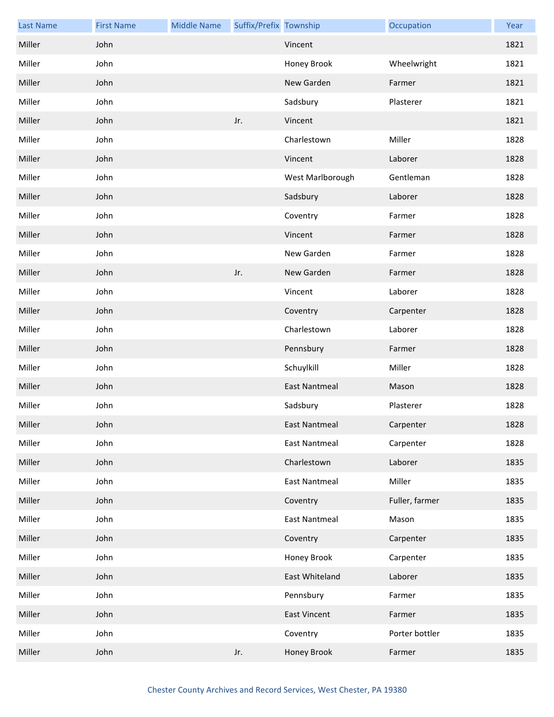| <b>Last Name</b> | <b>First Name</b> | <b>Middle Name</b> | Suffix/Prefix Township |                      | Occupation     | Year |
|------------------|-------------------|--------------------|------------------------|----------------------|----------------|------|
| Miller           | John              |                    |                        | Vincent              |                | 1821 |
| Miller           | John              |                    |                        | Honey Brook          | Wheelwright    | 1821 |
| Miller           | John              |                    |                        | New Garden           | Farmer         | 1821 |
| Miller           | John              |                    |                        | Sadsbury             | Plasterer      | 1821 |
| Miller           | John              |                    | Jr.                    | Vincent              |                | 1821 |
| Miller           | John              |                    |                        | Charlestown          | Miller         | 1828 |
| Miller           | John              |                    |                        | Vincent              | Laborer        | 1828 |
| Miller           | John              |                    |                        | West Marlborough     | Gentleman      | 1828 |
| Miller           | John              |                    |                        | Sadsbury             | Laborer        | 1828 |
| Miller           | John              |                    |                        | Coventry             | Farmer         | 1828 |
| Miller           | John              |                    |                        | Vincent              | Farmer         | 1828 |
| Miller           | John              |                    |                        | New Garden           | Farmer         | 1828 |
| Miller           | John              |                    | Jr.                    | New Garden           | Farmer         | 1828 |
| Miller           | John              |                    |                        | Vincent              | Laborer        | 1828 |
| Miller           | John              |                    |                        | Coventry             | Carpenter      | 1828 |
| Miller           | John              |                    |                        | Charlestown          | Laborer        | 1828 |
| Miller           | John              |                    |                        | Pennsbury            | Farmer         | 1828 |
| Miller           | John              |                    |                        | Schuylkill           | Miller         | 1828 |
| Miller           | John              |                    |                        | <b>East Nantmeal</b> | Mason          | 1828 |
| Miller           | John              |                    |                        | Sadsbury             | Plasterer      | 1828 |
| Miller           | John              |                    |                        | East Nantmeal        | Carpenter      | 1828 |
| Miller           | John              |                    |                        | East Nantmeal        | Carpenter      | 1828 |
| Miller           | John              |                    |                        | Charlestown          | Laborer        | 1835 |
| Miller           | John              |                    |                        | <b>East Nantmeal</b> | Miller         | 1835 |
| Miller           | John              |                    |                        | Coventry             | Fuller, farmer | 1835 |
| Miller           | John              |                    |                        | <b>East Nantmeal</b> | Mason          | 1835 |
| Miller           | John              |                    |                        | Coventry             | Carpenter      | 1835 |
| Miller           | John              |                    |                        | Honey Brook          | Carpenter      | 1835 |
| Miller           | John              |                    |                        | East Whiteland       | Laborer        | 1835 |
| Miller           | John              |                    |                        | Pennsbury            | Farmer         | 1835 |
| Miller           | John              |                    |                        | East Vincent         | Farmer         | 1835 |
| Miller           | John              |                    |                        | Coventry             | Porter bottler | 1835 |
| Miller           | John              |                    | Jr.                    | Honey Brook          | Farmer         | 1835 |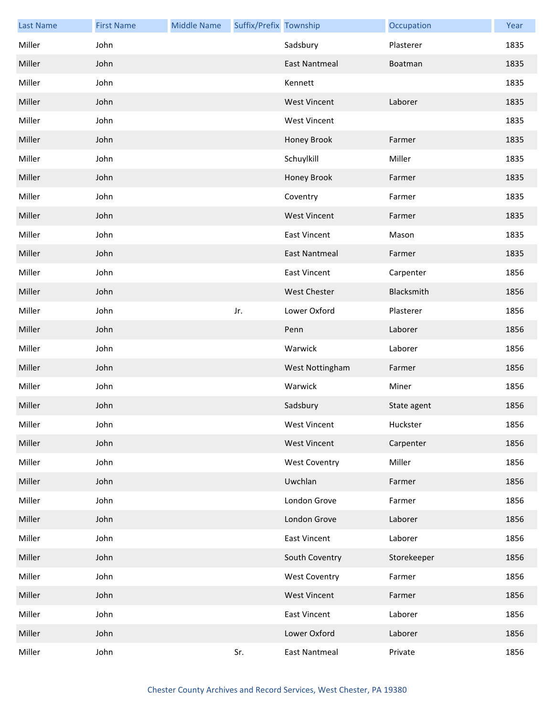| <b>Last Name</b> | <b>First Name</b> | <b>Middle Name</b> | Suffix/Prefix Township |                      | Occupation  | Year |
|------------------|-------------------|--------------------|------------------------|----------------------|-------------|------|
| Miller           | John              |                    |                        | Sadsbury             | Plasterer   | 1835 |
| Miller           | John              |                    |                        | <b>East Nantmeal</b> | Boatman     | 1835 |
| Miller           | John              |                    |                        | Kennett              |             | 1835 |
| Miller           | John              |                    |                        | <b>West Vincent</b>  | Laborer     | 1835 |
| Miller           | John              |                    |                        | <b>West Vincent</b>  |             | 1835 |
| Miller           | John              |                    |                        | Honey Brook          | Farmer      | 1835 |
| Miller           | John              |                    |                        | Schuylkill           | Miller      | 1835 |
| Miller           | John              |                    |                        | Honey Brook          | Farmer      | 1835 |
| Miller           | John              |                    |                        | Coventry             | Farmer      | 1835 |
| Miller           | John              |                    |                        | <b>West Vincent</b>  | Farmer      | 1835 |
| Miller           | John              |                    |                        | <b>East Vincent</b>  | Mason       | 1835 |
| Miller           | John              |                    |                        | East Nantmeal        | Farmer      | 1835 |
| Miller           | John              |                    |                        | <b>East Vincent</b>  | Carpenter   | 1856 |
| Miller           | John              |                    |                        | <b>West Chester</b>  | Blacksmith  | 1856 |
| Miller           | John              |                    | Jr.                    | Lower Oxford         | Plasterer   | 1856 |
| Miller           | John              |                    |                        | Penn                 | Laborer     | 1856 |
| Miller           | John              |                    |                        | Warwick              | Laborer     | 1856 |
| Miller           | John              |                    |                        | West Nottingham      | Farmer      | 1856 |
| Miller           | John              |                    |                        | Warwick              | Miner       | 1856 |
| Miller           | John              |                    |                        | Sadsbury             | State agent | 1856 |
| Miller           | John              |                    |                        | <b>West Vincent</b>  | Huckster    | 1856 |
| Miller           | John              |                    |                        | <b>West Vincent</b>  | Carpenter   | 1856 |
| Miller           | John              |                    |                        | <b>West Coventry</b> | Miller      | 1856 |
| Miller           | John              |                    |                        | Uwchlan              | Farmer      | 1856 |
| Miller           | John              |                    |                        | London Grove         | Farmer      | 1856 |
| Miller           | John              |                    |                        | London Grove         | Laborer     | 1856 |
| Miller           | John              |                    |                        | <b>East Vincent</b>  | Laborer     | 1856 |
| Miller           | John              |                    |                        | South Coventry       | Storekeeper | 1856 |
| Miller           | John              |                    |                        | <b>West Coventry</b> | Farmer      | 1856 |
| Miller           | John              |                    |                        | <b>West Vincent</b>  | Farmer      | 1856 |
| Miller           | John              |                    |                        | East Vincent         | Laborer     | 1856 |
| Miller           | John              |                    |                        | Lower Oxford         | Laborer     | 1856 |
| Miller           | John              |                    | Sr.                    | East Nantmeal        | Private     | 1856 |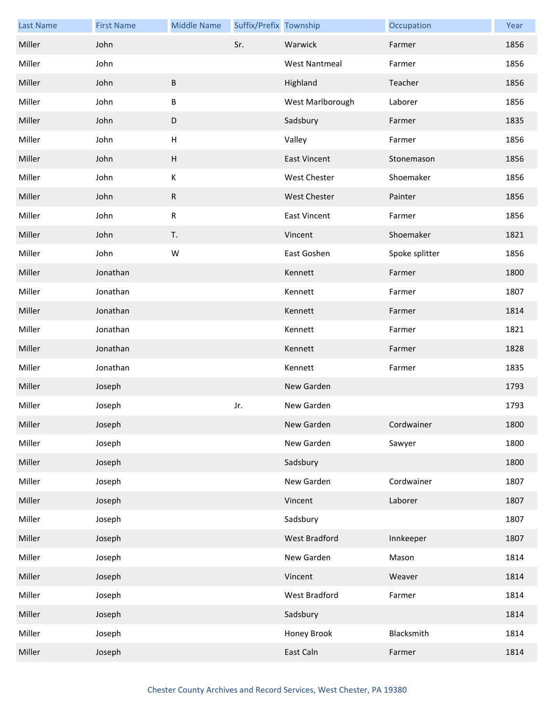| <b>Last Name</b> | <b>First Name</b> | <b>Middle Name</b> | Suffix/Prefix Township |                      | Occupation     | Year |
|------------------|-------------------|--------------------|------------------------|----------------------|----------------|------|
| Miller           | John              |                    | Sr.                    | Warwick              | Farmer         | 1856 |
| Miller           | John              |                    |                        | <b>West Nantmeal</b> | Farmer         | 1856 |
| Miller           | John              | $\sf B$            |                        | Highland             | Teacher        | 1856 |
| Miller           | John              | B                  |                        | West Marlborough     | Laborer        | 1856 |
| Miller           | John              | $\mathsf D$        |                        | Sadsbury             | Farmer         | 1835 |
| Miller           | John              | $\sf H$            |                        | Valley               | Farmer         | 1856 |
| Miller           | John              | $\sf H$            |                        | <b>East Vincent</b>  | Stonemason     | 1856 |
| Miller           | John              | $\mathsf K$        |                        | <b>West Chester</b>  | Shoemaker      | 1856 |
| Miller           | John              | ${\sf R}$          |                        | West Chester         | Painter        | 1856 |
| Miller           | John              | ${\sf R}$          |                        | <b>East Vincent</b>  | Farmer         | 1856 |
| Miller           | John              | T.                 |                        | Vincent              | Shoemaker      | 1821 |
| Miller           | John              | W                  |                        | East Goshen          | Spoke splitter | 1856 |
| Miller           | Jonathan          |                    |                        | Kennett              | Farmer         | 1800 |
| Miller           | Jonathan          |                    |                        | Kennett              | Farmer         | 1807 |
| Miller           | Jonathan          |                    |                        | Kennett              | Farmer         | 1814 |
| Miller           | Jonathan          |                    |                        | Kennett              | Farmer         | 1821 |
| Miller           | Jonathan          |                    |                        | Kennett              | Farmer         | 1828 |
| Miller           | Jonathan          |                    |                        | Kennett              | Farmer         | 1835 |
| Miller           | Joseph            |                    |                        | New Garden           |                | 1793 |
| Miller           | Joseph            |                    | Jr.                    | New Garden           |                | 1793 |
| Miller           | Joseph            |                    |                        | New Garden           | Cordwainer     | 1800 |
| Miller           | Joseph            |                    |                        | New Garden           | Sawyer         | 1800 |
| Miller           | Joseph            |                    |                        | Sadsbury             |                | 1800 |
| Miller           | Joseph            |                    |                        | New Garden           | Cordwainer     | 1807 |
| Miller           | Joseph            |                    |                        | Vincent              | Laborer        | 1807 |
| Miller           | Joseph            |                    |                        | Sadsbury             |                | 1807 |
| Miller           | Joseph            |                    |                        | <b>West Bradford</b> | Innkeeper      | 1807 |
| Miller           | Joseph            |                    |                        | New Garden           | Mason          | 1814 |
| Miller           | Joseph            |                    |                        | Vincent              | Weaver         | 1814 |
| Miller           | Joseph            |                    |                        | West Bradford        | Farmer         | 1814 |
| Miller           | Joseph            |                    |                        | Sadsbury             |                | 1814 |
| Miller           | Joseph            |                    |                        | Honey Brook          | Blacksmith     | 1814 |
| Miller           | Joseph            |                    |                        | East Caln            | Farmer         | 1814 |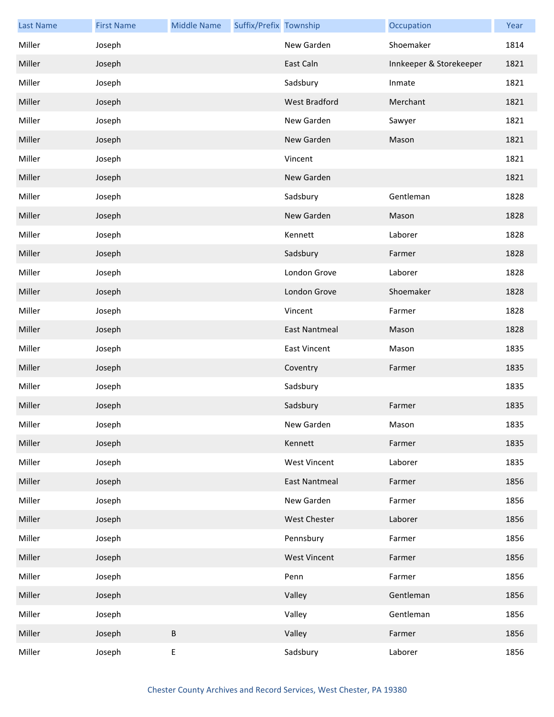| <b>Last Name</b> | <b>First Name</b> | <b>Middle Name</b> | Suffix/Prefix Township |                      | Occupation              | Year |
|------------------|-------------------|--------------------|------------------------|----------------------|-------------------------|------|
| Miller           | Joseph            |                    |                        | New Garden           | Shoemaker               | 1814 |
| Miller           | Joseph            |                    |                        | East Caln            | Innkeeper & Storekeeper | 1821 |
| Miller           | Joseph            |                    |                        | Sadsbury             | Inmate                  | 1821 |
| Miller           | Joseph            |                    |                        | <b>West Bradford</b> | Merchant                | 1821 |
| Miller           | Joseph            |                    |                        | New Garden           | Sawyer                  | 1821 |
| Miller           | Joseph            |                    |                        | New Garden           | Mason                   | 1821 |
| Miller           | Joseph            |                    |                        | Vincent              |                         | 1821 |
| Miller           | Joseph            |                    |                        | New Garden           |                         | 1821 |
| Miller           | Joseph            |                    |                        | Sadsbury             | Gentleman               | 1828 |
| Miller           | Joseph            |                    |                        | New Garden           | Mason                   | 1828 |
| Miller           | Joseph            |                    |                        | Kennett              | Laborer                 | 1828 |
| Miller           | Joseph            |                    |                        | Sadsbury             | Farmer                  | 1828 |
| Miller           | Joseph            |                    |                        | London Grove         | Laborer                 | 1828 |
| Miller           | Joseph            |                    |                        | London Grove         | Shoemaker               | 1828 |
| Miller           | Joseph            |                    |                        | Vincent              | Farmer                  | 1828 |
| Miller           | Joseph            |                    |                        | <b>East Nantmeal</b> | Mason                   | 1828 |
| Miller           | Joseph            |                    |                        | <b>East Vincent</b>  | Mason                   | 1835 |
| Miller           | Joseph            |                    |                        | Coventry             | Farmer                  | 1835 |
| Miller           | Joseph            |                    |                        | Sadsbury             |                         | 1835 |
| Miller           | Joseph            |                    |                        | Sadsbury             | Farmer                  | 1835 |
| Miller           | Joseph            |                    |                        | New Garden           | Mason                   | 1835 |
| Miller           | Joseph            |                    |                        | Kennett              | Farmer                  | 1835 |
| Miller           | Joseph            |                    |                        | <b>West Vincent</b>  | Laborer                 | 1835 |
| Miller           | Joseph            |                    |                        | <b>East Nantmeal</b> | Farmer                  | 1856 |
| Miller           | Joseph            |                    |                        | New Garden           | Farmer                  | 1856 |
| Miller           | Joseph            |                    |                        | West Chester         | Laborer                 | 1856 |
| Miller           | Joseph            |                    |                        | Pennsbury            | Farmer                  | 1856 |
| Miller           | Joseph            |                    |                        | <b>West Vincent</b>  | Farmer                  | 1856 |
| Miller           | Joseph            |                    |                        | Penn                 | Farmer                  | 1856 |
| Miller           | Joseph            |                    |                        | Valley               | Gentleman               | 1856 |
| Miller           | Joseph            |                    |                        | Valley               | Gentleman               | 1856 |
| Miller           | Joseph            | $\sf B$            |                        | Valley               | Farmer                  | 1856 |
| Miller           | Joseph            | $\sf E$            |                        | Sadsbury             | Laborer                 | 1856 |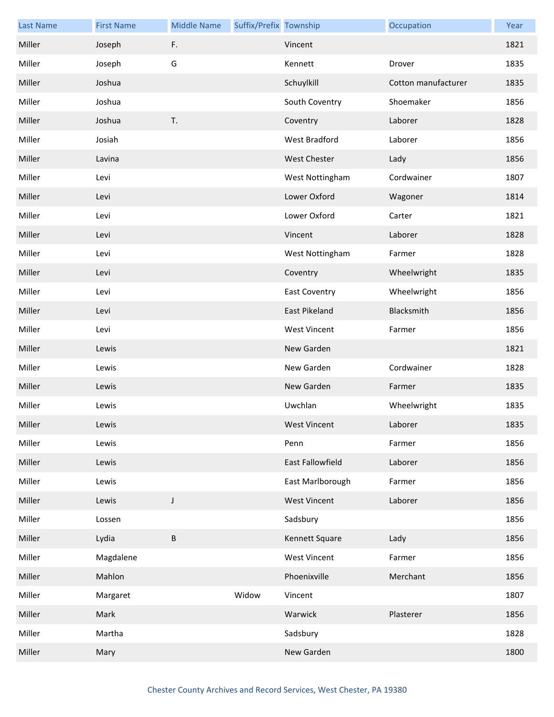| <b>Last Name</b> | <b>First Name</b> | <b>Middle Name</b> | Suffix/Prefix Township |                      | Occupation          | Year |
|------------------|-------------------|--------------------|------------------------|----------------------|---------------------|------|
| Miller           | Joseph            | F.                 |                        | Vincent              |                     | 1821 |
| Miller           | Joseph            | G                  |                        | Kennett              | Drover              | 1835 |
| Miller           | Joshua            |                    |                        | Schuylkill           | Cotton manufacturer | 1835 |
| Miller           | Joshua            |                    |                        | South Coventry       | Shoemaker           | 1856 |
| Miller           | Joshua            | T.                 |                        | Coventry             | Laborer             | 1828 |
| Miller           | Josiah            |                    |                        | <b>West Bradford</b> | Laborer             | 1856 |
| Miller           | Lavina            |                    |                        | <b>West Chester</b>  | Lady                | 1856 |
| Miller           | Levi              |                    |                        | West Nottingham      | Cordwainer          | 1807 |
| Miller           | Levi              |                    |                        | Lower Oxford         | Wagoner             | 1814 |
| Miller           | Levi              |                    |                        | Lower Oxford         | Carter              | 1821 |
| Miller           | Levi              |                    |                        | Vincent              | Laborer             | 1828 |
| Miller           | Levi              |                    |                        | West Nottingham      | Farmer              | 1828 |
| Miller           | Levi              |                    |                        | Coventry             | Wheelwright         | 1835 |
| Miller           | Levi              |                    |                        | <b>East Coventry</b> | Wheelwright         | 1856 |
| Miller           | Levi              |                    |                        | East Pikeland        | Blacksmith          | 1856 |
| Miller           | Levi              |                    |                        | <b>West Vincent</b>  | Farmer              | 1856 |
| Miller           | Lewis             |                    |                        | New Garden           |                     | 1821 |
| Miller           | Lewis             |                    |                        | New Garden           | Cordwainer          | 1828 |
| Miller           | Lewis             |                    |                        | New Garden           | Farmer              | 1835 |
| Miller           | Lewis             |                    |                        | Uwchlan              | Wheelwright         | 1835 |
| Miller           | Lewis             |                    |                        | West Vincent         | Laborer             | 1835 |
| Miller           | Lewis             |                    |                        | Penn                 | Farmer              | 1856 |
| Miller           | Lewis             |                    |                        | East Fallowfield     | Laborer             | 1856 |
| Miller           | Lewis             |                    |                        | East Marlborough     | Farmer              | 1856 |
| Miller           | Lewis             | $\mathsf J$        |                        | <b>West Vincent</b>  | Laborer             | 1856 |
| Miller           | Lossen            |                    |                        | Sadsbury             |                     | 1856 |
| Miller           | Lydia             | $\sf B$            |                        | Kennett Square       | Lady                | 1856 |
| Miller           | Magdalene         |                    |                        | <b>West Vincent</b>  | Farmer              | 1856 |
| Miller           | Mahlon            |                    |                        | Phoenixville         | Merchant            | 1856 |
| Miller           | Margaret          |                    | Widow                  | Vincent              |                     | 1807 |
| Miller           | Mark              |                    |                        | Warwick              | Plasterer           | 1856 |
| Miller           | Martha            |                    |                        | Sadsbury             |                     | 1828 |
| Miller           | Mary              |                    |                        | New Garden           |                     | 1800 |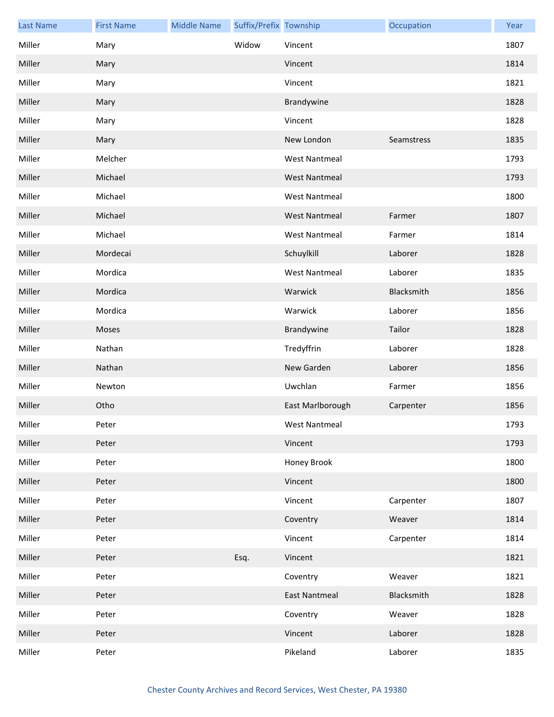| <b>Last Name</b> | <b>First Name</b> | <b>Middle Name</b> | Suffix/Prefix Township |                      | Occupation | Year |
|------------------|-------------------|--------------------|------------------------|----------------------|------------|------|
| Miller           | Mary              |                    | Widow                  | Vincent              |            | 1807 |
| Miller           | Mary              |                    |                        | Vincent              |            | 1814 |
| Miller           | Mary              |                    |                        | Vincent              |            | 1821 |
| Miller           | Mary              |                    |                        | Brandywine           |            | 1828 |
| Miller           | Mary              |                    |                        | Vincent              |            | 1828 |
| Miller           | Mary              |                    |                        | New London           | Seamstress | 1835 |
| Miller           | Melcher           |                    |                        | <b>West Nantmeal</b> |            | 1793 |
| Miller           | Michael           |                    |                        | <b>West Nantmeal</b> |            | 1793 |
| Miller           | Michael           |                    |                        | <b>West Nantmeal</b> |            | 1800 |
| Miller           | Michael           |                    |                        | <b>West Nantmeal</b> | Farmer     | 1807 |
| Miller           | Michael           |                    |                        | <b>West Nantmeal</b> | Farmer     | 1814 |
| Miller           | Mordecai          |                    |                        | Schuylkill           | Laborer    | 1828 |
| Miller           | Mordica           |                    |                        | <b>West Nantmeal</b> | Laborer    | 1835 |
| Miller           | Mordica           |                    |                        | Warwick              | Blacksmith | 1856 |
| Miller           | Mordica           |                    |                        | Warwick              | Laborer    | 1856 |
| Miller           | Moses             |                    |                        | Brandywine           | Tailor     | 1828 |
| Miller           | Nathan            |                    |                        | Tredyffrin           | Laborer    | 1828 |
| Miller           | Nathan            |                    |                        | New Garden           | Laborer    | 1856 |
| Miller           | Newton            |                    |                        | Uwchlan              | Farmer     | 1856 |
| Miller           | Otho              |                    |                        | East Marlborough     | Carpenter  | 1856 |
| Miller           | Peter             |                    |                        | West Nantmeal        |            | 1793 |
| Miller           | Peter             |                    |                        | Vincent              |            | 1793 |
| Miller           | Peter             |                    |                        | Honey Brook          |            | 1800 |
| Miller           | Peter             |                    |                        | Vincent              |            | 1800 |
| Miller           | Peter             |                    |                        | Vincent              | Carpenter  | 1807 |
| Miller           | Peter             |                    |                        | Coventry             | Weaver     | 1814 |
| Miller           | Peter             |                    |                        | Vincent              | Carpenter  | 1814 |
| Miller           | Peter             |                    | Esq.                   | Vincent              |            | 1821 |
| Miller           | Peter             |                    |                        | Coventry             | Weaver     | 1821 |
| Miller           | Peter             |                    |                        | <b>East Nantmeal</b> | Blacksmith | 1828 |
| Miller           | Peter             |                    |                        | Coventry             | Weaver     | 1828 |
| Miller           | Peter             |                    |                        | Vincent              | Laborer    | 1828 |
| Miller           | Peter             |                    |                        | Pikeland             | Laborer    | 1835 |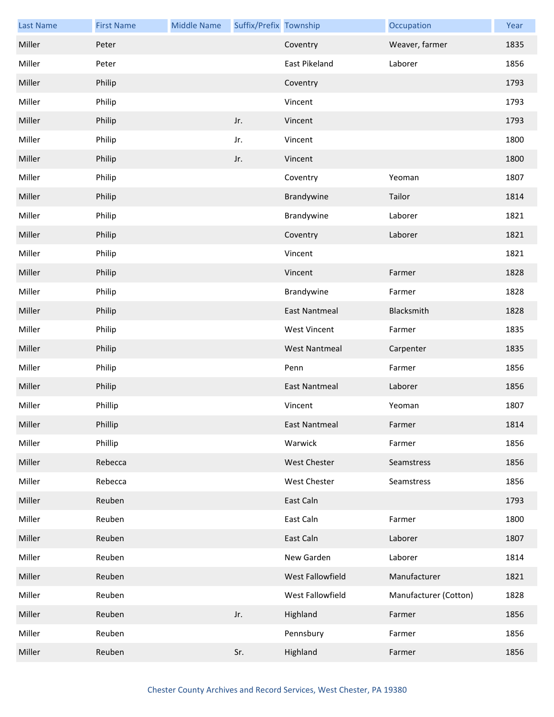| <b>Last Name</b> | <b>First Name</b> | <b>Middle Name</b> | Suffix/Prefix Township |                      | Occupation            | Year |
|------------------|-------------------|--------------------|------------------------|----------------------|-----------------------|------|
| Miller           | Peter             |                    |                        | Coventry             | Weaver, farmer        | 1835 |
| Miller           | Peter             |                    |                        | <b>East Pikeland</b> | Laborer               | 1856 |
| Miller           | Philip            |                    |                        | Coventry             |                       | 1793 |
| Miller           | Philip            |                    |                        | Vincent              |                       | 1793 |
| Miller           | Philip            |                    | Jr.                    | Vincent              |                       | 1793 |
| Miller           | Philip            |                    | Jr.                    | Vincent              |                       | 1800 |
| Miller           | Philip            |                    | Jr.                    | Vincent              |                       | 1800 |
| Miller           | Philip            |                    |                        | Coventry             | Yeoman                | 1807 |
| Miller           | Philip            |                    |                        | Brandywine           | Tailor                | 1814 |
| Miller           | Philip            |                    |                        | Brandywine           | Laborer               | 1821 |
| Miller           | Philip            |                    |                        | Coventry             | Laborer               | 1821 |
| Miller           | Philip            |                    |                        | Vincent              |                       | 1821 |
| Miller           | Philip            |                    |                        | Vincent              | Farmer                | 1828 |
| Miller           | Philip            |                    |                        | Brandywine           | Farmer                | 1828 |
| Miller           | Philip            |                    |                        | <b>East Nantmeal</b> | Blacksmith            | 1828 |
| Miller           | Philip            |                    |                        | <b>West Vincent</b>  | Farmer                | 1835 |
| Miller           | Philip            |                    |                        | <b>West Nantmeal</b> | Carpenter             | 1835 |
| Miller           | Philip            |                    |                        | Penn                 | Farmer                | 1856 |
| Miller           | Philip            |                    |                        | <b>East Nantmeal</b> | Laborer               | 1856 |
| Miller           | Phillip           |                    |                        | Vincent              | Yeoman                | 1807 |
| Miller           | Phillip           |                    |                        | <b>East Nantmeal</b> | Farmer                | 1814 |
| Miller           | Phillip           |                    |                        | Warwick              | Farmer                | 1856 |
| Miller           | Rebecca           |                    |                        | West Chester         | Seamstress            | 1856 |
| Miller           | Rebecca           |                    |                        | West Chester         | Seamstress            | 1856 |
| Miller           | Reuben            |                    |                        | East Caln            |                       | 1793 |
| Miller           | Reuben            |                    |                        | East Caln            | Farmer                | 1800 |
| Miller           | Reuben            |                    |                        | East Caln            | Laborer               | 1807 |
| Miller           | Reuben            |                    |                        | New Garden           | Laborer               | 1814 |
| Miller           | Reuben            |                    |                        | West Fallowfield     | Manufacturer          | 1821 |
| Miller           | Reuben            |                    |                        | West Fallowfield     | Manufacturer (Cotton) | 1828 |
| Miller           | Reuben            |                    | Jr.                    | Highland             | Farmer                | 1856 |
| Miller           | Reuben            |                    |                        | Pennsbury            | Farmer                | 1856 |
| Miller           | Reuben            |                    | Sr.                    | Highland             | Farmer                | 1856 |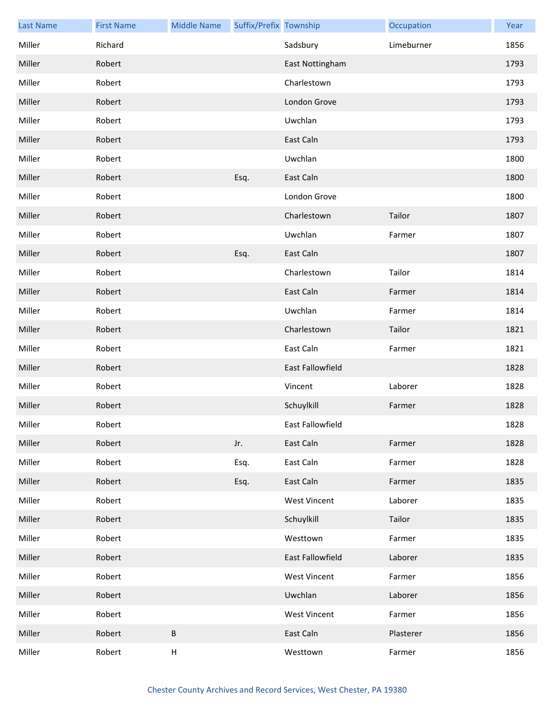| <b>Last Name</b> | <b>First Name</b> | <b>Middle Name</b>        | Suffix/Prefix Township |                     | Occupation | Year |
|------------------|-------------------|---------------------------|------------------------|---------------------|------------|------|
| Miller           | Richard           |                           |                        | Sadsbury            | Limeburner | 1856 |
| Miller           | Robert            |                           |                        | East Nottingham     |            | 1793 |
| Miller           | Robert            |                           |                        | Charlestown         |            | 1793 |
| Miller           | Robert            |                           |                        | London Grove        |            | 1793 |
| Miller           | Robert            |                           |                        | Uwchlan             |            | 1793 |
| Miller           | Robert            |                           |                        | East Caln           |            | 1793 |
| Miller           | Robert            |                           |                        | Uwchlan             |            | 1800 |
| Miller           | Robert            |                           | Esq.                   | East Caln           |            | 1800 |
| Miller           | Robert            |                           |                        | London Grove        |            | 1800 |
| Miller           | Robert            |                           |                        | Charlestown         | Tailor     | 1807 |
| Miller           | Robert            |                           |                        | Uwchlan             | Farmer     | 1807 |
| Miller           | Robert            |                           | Esq.                   | East Caln           |            | 1807 |
| Miller           | Robert            |                           |                        | Charlestown         | Tailor     | 1814 |
| Miller           | Robert            |                           |                        | East Caln           | Farmer     | 1814 |
| Miller           | Robert            |                           |                        | Uwchlan             | Farmer     | 1814 |
| Miller           | Robert            |                           |                        | Charlestown         | Tailor     | 1821 |
| Miller           | Robert            |                           |                        | East Caln           | Farmer     | 1821 |
| Miller           | Robert            |                           |                        | East Fallowfield    |            | 1828 |
| Miller           | Robert            |                           |                        | Vincent             | Laborer    | 1828 |
| Miller           | Robert            |                           |                        | Schuylkill          | Farmer     | 1828 |
| Miller           | Robert            |                           |                        | East Fallowfield    |            | 1828 |
| Miller           | Robert            |                           | Jr.                    | East Caln           | Farmer     | 1828 |
| Miller           | Robert            |                           | Esq.                   | East Caln           | Farmer     | 1828 |
| Miller           | Robert            |                           | Esq.                   | East Caln           | Farmer     | 1835 |
| Miller           | Robert            |                           |                        | <b>West Vincent</b> | Laborer    | 1835 |
| Miller           | Robert            |                           |                        | Schuylkill          | Tailor     | 1835 |
| Miller           | Robert            |                           |                        | Westtown            | Farmer     | 1835 |
| Miller           | Robert            |                           |                        | East Fallowfield    | Laborer    | 1835 |
| Miller           | Robert            |                           |                        | <b>West Vincent</b> | Farmer     | 1856 |
| Miller           | Robert            |                           |                        | Uwchlan             | Laborer    | 1856 |
| Miller           | Robert            |                           |                        | <b>West Vincent</b> | Farmer     | 1856 |
| Miller           | Robert            | $\sf B$                   |                        | East Caln           | Plasterer  | 1856 |
| Miller           | Robert            | $\boldsymbol{\mathsf{H}}$ |                        | Westtown            | Farmer     | 1856 |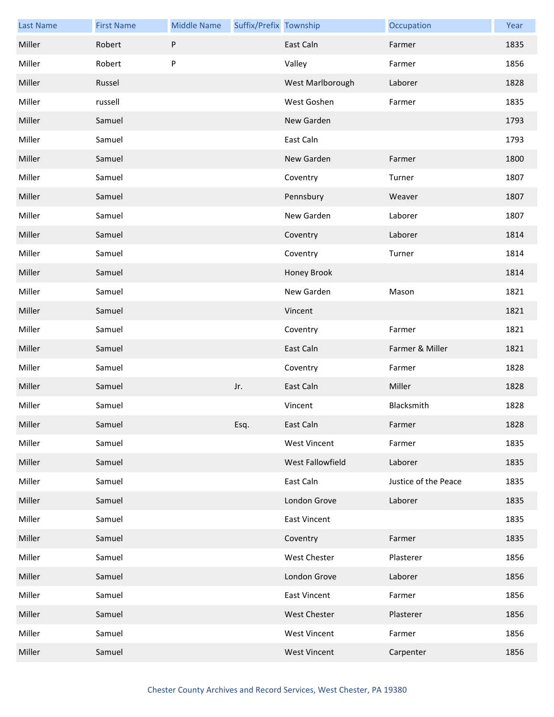| <b>Last Name</b> | <b>First Name</b> | <b>Middle Name</b> | Suffix/Prefix Township |                     | Occupation           | Year |
|------------------|-------------------|--------------------|------------------------|---------------------|----------------------|------|
| Miller           | Robert            | $\sf P$            |                        | East Caln           | Farmer               | 1835 |
| Miller           | Robert            | ${\sf P}$          |                        | Valley              | Farmer               | 1856 |
| Miller           | Russel            |                    |                        | West Marlborough    | Laborer              | 1828 |
| Miller           | russell           |                    |                        | West Goshen         | Farmer               | 1835 |
| Miller           | Samuel            |                    |                        | New Garden          |                      | 1793 |
| Miller           | Samuel            |                    |                        | East Caln           |                      | 1793 |
| Miller           | Samuel            |                    |                        | New Garden          | Farmer               | 1800 |
| Miller           | Samuel            |                    |                        | Coventry            | Turner               | 1807 |
| Miller           | Samuel            |                    |                        | Pennsbury           | Weaver               | 1807 |
| Miller           | Samuel            |                    |                        | New Garden          | Laborer              | 1807 |
| Miller           | Samuel            |                    |                        | Coventry            | Laborer              | 1814 |
| Miller           | Samuel            |                    |                        | Coventry            | Turner               | 1814 |
| Miller           | Samuel            |                    |                        | Honey Brook         |                      | 1814 |
| Miller           | Samuel            |                    |                        | New Garden          | Mason                | 1821 |
| Miller           | Samuel            |                    |                        | Vincent             |                      | 1821 |
| Miller           | Samuel            |                    |                        | Coventry            | Farmer               | 1821 |
| Miller           | Samuel            |                    |                        | East Caln           | Farmer & Miller      | 1821 |
| Miller           | Samuel            |                    |                        | Coventry            | Farmer               | 1828 |
| Miller           | Samuel            |                    | Jr.                    | East Caln           | Miller               | 1828 |
| Miller           | Samuel            |                    |                        | Vincent             | Blacksmith           | 1828 |
| Miller           | Samuel            |                    | Esq.                   | East Caln           | Farmer               | 1828 |
| Miller           | Samuel            |                    |                        | <b>West Vincent</b> | Farmer               | 1835 |
| Miller           | Samuel            |                    |                        | West Fallowfield    | Laborer              | 1835 |
| Miller           | Samuel            |                    |                        | East Caln           | Justice of the Peace | 1835 |
| Miller           | Samuel            |                    |                        | London Grove        | Laborer              | 1835 |
| Miller           | Samuel            |                    |                        | <b>East Vincent</b> |                      | 1835 |
| Miller           | Samuel            |                    |                        | Coventry            | Farmer               | 1835 |
| Miller           | Samuel            |                    |                        | West Chester        | Plasterer            | 1856 |
| Miller           | Samuel            |                    |                        | London Grove        | Laborer              | 1856 |
| Miller           | Samuel            |                    |                        | <b>East Vincent</b> | Farmer               | 1856 |
| Miller           | Samuel            |                    |                        | <b>West Chester</b> | Plasterer            | 1856 |
| Miller           | Samuel            |                    |                        | <b>West Vincent</b> | Farmer               | 1856 |
| Miller           | Samuel            |                    |                        | <b>West Vincent</b> | Carpenter            | 1856 |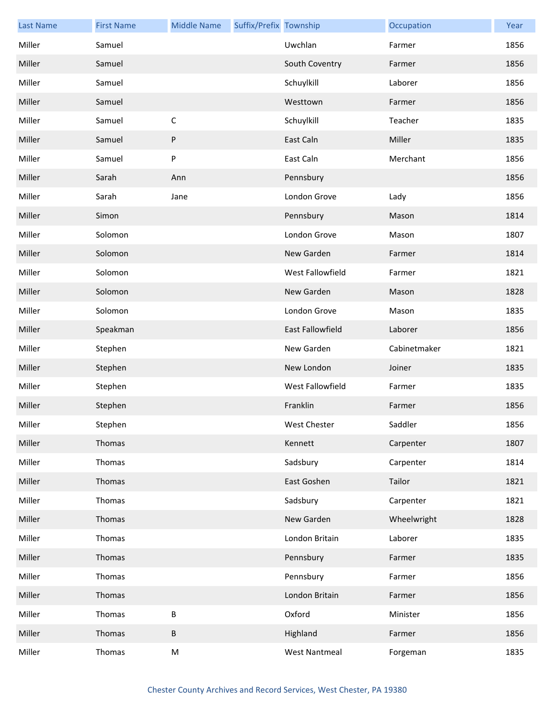| <b>Last Name</b> | <b>First Name</b> | <b>Middle Name</b> | Suffix/Prefix Township |                      | Occupation   | Year |
|------------------|-------------------|--------------------|------------------------|----------------------|--------------|------|
| Miller           | Samuel            |                    |                        | Uwchlan              | Farmer       | 1856 |
| Miller           | Samuel            |                    |                        | South Coventry       | Farmer       | 1856 |
| Miller           | Samuel            |                    |                        | Schuylkill           | Laborer      | 1856 |
| Miller           | Samuel            |                    |                        | Westtown             | Farmer       | 1856 |
| Miller           | Samuel            | $\mathsf C$        |                        | Schuylkill           | Teacher      | 1835 |
| Miller           | Samuel            | ${\sf P}$          |                        | East Caln            | Miller       | 1835 |
| Miller           | Samuel            | ${\sf P}$          |                        | East Caln            | Merchant     | 1856 |
| Miller           | Sarah             | Ann                |                        | Pennsbury            |              | 1856 |
| Miller           | Sarah             | Jane               |                        | London Grove         | Lady         | 1856 |
| Miller           | Simon             |                    |                        | Pennsbury            | Mason        | 1814 |
| Miller           | Solomon           |                    |                        | London Grove         | Mason        | 1807 |
| Miller           | Solomon           |                    |                        | New Garden           | Farmer       | 1814 |
| Miller           | Solomon           |                    |                        | West Fallowfield     | Farmer       | 1821 |
| Miller           | Solomon           |                    |                        | New Garden           | Mason        | 1828 |
| Miller           | Solomon           |                    |                        | London Grove         | Mason        | 1835 |
| Miller           | Speakman          |                    |                        | East Fallowfield     | Laborer      | 1856 |
| Miller           | Stephen           |                    |                        | New Garden           | Cabinetmaker | 1821 |
| Miller           | Stephen           |                    |                        | New London           | Joiner       | 1835 |
| Miller           | Stephen           |                    |                        | West Fallowfield     | Farmer       | 1835 |
| Miller           | Stephen           |                    |                        | Franklin             | Farmer       | 1856 |
| Miller           | Stephen           |                    |                        | West Chester         | Saddler      | 1856 |
| Miller           | Thomas            |                    |                        | Kennett              | Carpenter    | 1807 |
| Miller           | Thomas            |                    |                        | Sadsbury             | Carpenter    | 1814 |
| Miller           | Thomas            |                    |                        | East Goshen          | Tailor       | 1821 |
| Miller           | Thomas            |                    |                        | Sadsbury             | Carpenter    | 1821 |
| Miller           | Thomas            |                    |                        | New Garden           | Wheelwright  | 1828 |
| Miller           | Thomas            |                    |                        | London Britain       | Laborer      | 1835 |
| Miller           | Thomas            |                    |                        | Pennsbury            | Farmer       | 1835 |
| Miller           | Thomas            |                    |                        | Pennsbury            | Farmer       | 1856 |
| Miller           | Thomas            |                    |                        | London Britain       | Farmer       | 1856 |
| Miller           | Thomas            | $\sf B$            |                        | Oxford               | Minister     | 1856 |
| Miller           | Thomas            | $\sf B$            |                        | Highland             | Farmer       | 1856 |
| Miller           | Thomas            | ${\sf M}$          |                        | <b>West Nantmeal</b> | Forgeman     | 1835 |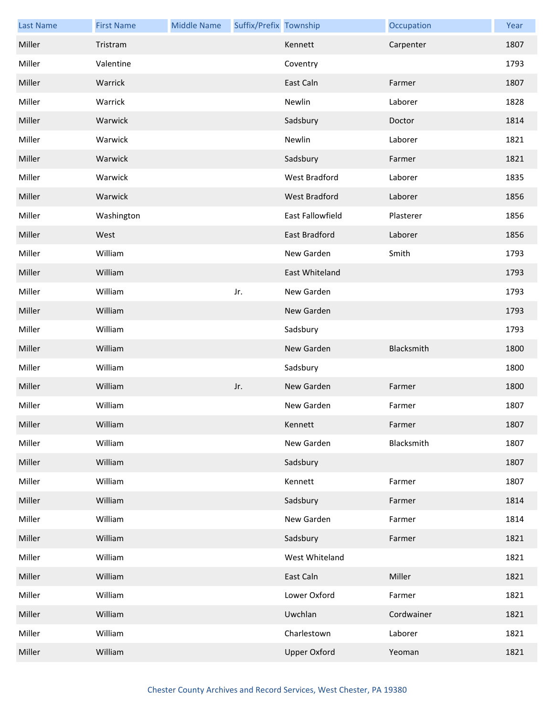| <b>Last Name</b> | <b>First Name</b> | <b>Middle Name</b> | Suffix/Prefix Township |                         | Occupation | Year |
|------------------|-------------------|--------------------|------------------------|-------------------------|------------|------|
| Miller           | Tristram          |                    |                        | Kennett                 | Carpenter  | 1807 |
| Miller           | Valentine         |                    |                        | Coventry                |            | 1793 |
| Miller           | Warrick           |                    |                        | East Caln               | Farmer     | 1807 |
| Miller           | Warrick           |                    |                        | Newlin                  | Laborer    | 1828 |
| Miller           | Warwick           |                    |                        | Sadsbury                | Doctor     | 1814 |
| Miller           | Warwick           |                    |                        | Newlin                  | Laborer    | 1821 |
| Miller           | Warwick           |                    |                        | Sadsbury                | Farmer     | 1821 |
| Miller           | Warwick           |                    |                        | West Bradford           | Laborer    | 1835 |
| Miller           | Warwick           |                    |                        | West Bradford           | Laborer    | 1856 |
| Miller           | Washington        |                    |                        | <b>East Fallowfield</b> | Plasterer  | 1856 |
| Miller           | West              |                    |                        | East Bradford           | Laborer    | 1856 |
| Miller           | William           |                    |                        | New Garden              | Smith      | 1793 |
| Miller           | William           |                    |                        | East Whiteland          |            | 1793 |
| Miller           | William           |                    | Jr.                    | New Garden              |            | 1793 |
| Miller           | William           |                    |                        | New Garden              |            | 1793 |
| Miller           | William           |                    |                        | Sadsbury                |            | 1793 |
| Miller           | William           |                    |                        | New Garden              | Blacksmith | 1800 |
| Miller           | William           |                    |                        | Sadsbury                |            | 1800 |
| Miller           | William           |                    | Jr.                    | New Garden              | Farmer     | 1800 |
| Miller           | William           |                    |                        | New Garden              | Farmer     | 1807 |
| Miller           | William           |                    |                        | Kennett                 | Farmer     | 1807 |
| Miller           | William           |                    |                        | New Garden              | Blacksmith | 1807 |
| Miller           | William           |                    |                        | Sadsbury                |            | 1807 |
| Miller           | William           |                    |                        | Kennett                 | Farmer     | 1807 |
| Miller           | William           |                    |                        | Sadsbury                | Farmer     | 1814 |
| Miller           | William           |                    |                        | New Garden              | Farmer     | 1814 |
| Miller           | William           |                    |                        | Sadsbury                | Farmer     | 1821 |
| Miller           | William           |                    |                        | West Whiteland          |            | 1821 |
| Miller           | William           |                    |                        | East Caln               | Miller     | 1821 |
| Miller           | William           |                    |                        | Lower Oxford            | Farmer     | 1821 |
| Miller           | William           |                    |                        | Uwchlan                 | Cordwainer | 1821 |
| Miller           | William           |                    |                        | Charlestown             | Laborer    | 1821 |
| Miller           | William           |                    |                        | <b>Upper Oxford</b>     | Yeoman     | 1821 |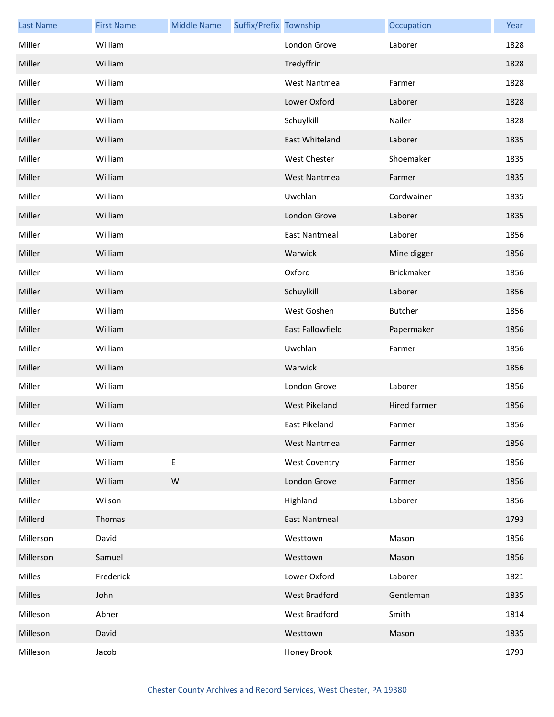| <b>Last Name</b> | <b>First Name</b> | <b>Middle Name</b> | Suffix/Prefix Township |                      | Occupation   | Year |
|------------------|-------------------|--------------------|------------------------|----------------------|--------------|------|
| Miller           | William           |                    |                        | London Grove         | Laborer      | 1828 |
| Miller           | William           |                    |                        | Tredyffrin           |              | 1828 |
| Miller           | William           |                    |                        | <b>West Nantmeal</b> | Farmer       | 1828 |
| Miller           | William           |                    |                        | Lower Oxford         | Laborer      | 1828 |
| Miller           | William           |                    |                        | Schuylkill           | Nailer       | 1828 |
| Miller           | William           |                    |                        | East Whiteland       | Laborer      | 1835 |
| Miller           | William           |                    |                        | <b>West Chester</b>  | Shoemaker    | 1835 |
| Miller           | William           |                    |                        | <b>West Nantmeal</b> | Farmer       | 1835 |
| Miller           | William           |                    |                        | Uwchlan              | Cordwainer   | 1835 |
| Miller           | William           |                    |                        | London Grove         | Laborer      | 1835 |
| Miller           | William           |                    |                        | <b>East Nantmeal</b> | Laborer      | 1856 |
| Miller           | William           |                    |                        | Warwick              | Mine digger  | 1856 |
| Miller           | William           |                    |                        | Oxford               | Brickmaker   | 1856 |
| Miller           | William           |                    |                        | Schuylkill           | Laborer      | 1856 |
| Miller           | William           |                    |                        | West Goshen          | Butcher      | 1856 |
| Miller           | William           |                    |                        | East Fallowfield     | Papermaker   | 1856 |
| Miller           | William           |                    |                        | Uwchlan              | Farmer       | 1856 |
| Miller           | William           |                    |                        | Warwick              |              | 1856 |
| Miller           | William           |                    |                        | London Grove         | Laborer      | 1856 |
| Miller           | William           |                    |                        | West Pikeland        | Hired farmer | 1856 |
| Miller           | William           |                    |                        | East Pikeland        | Farmer       | 1856 |
| Miller           | William           |                    |                        | <b>West Nantmeal</b> | Farmer       | 1856 |
| Miller           | William           | E                  |                        | <b>West Coventry</b> | Farmer       | 1856 |
| Miller           | William           | ${\sf W}$          |                        | London Grove         | Farmer       | 1856 |
| Miller           | Wilson            |                    |                        | Highland             | Laborer      | 1856 |
| Millerd          | Thomas            |                    |                        | <b>East Nantmeal</b> |              | 1793 |
| Millerson        | David             |                    |                        | Westtown             | Mason        | 1856 |
| Millerson        | Samuel            |                    |                        | Westtown             | Mason        | 1856 |
| Milles           | Frederick         |                    |                        | Lower Oxford         | Laborer      | 1821 |
| Milles           | John              |                    |                        | <b>West Bradford</b> | Gentleman    | 1835 |
| Milleson         | Abner             |                    |                        | West Bradford        | Smith        | 1814 |
| Milleson         | David             |                    |                        | Westtown             | Mason        | 1835 |
| Milleson         | Jacob             |                    |                        | Honey Brook          |              | 1793 |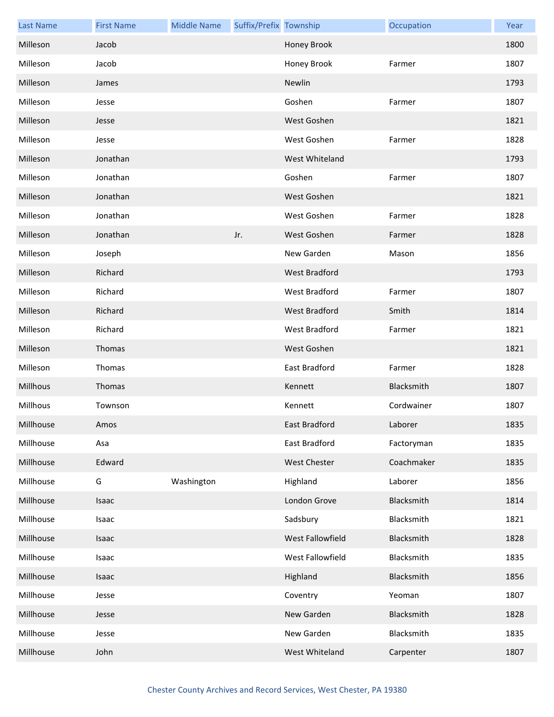| <b>Last Name</b> | <b>First Name</b> | <b>Middle Name</b> | Suffix/Prefix Township |                  | Occupation | Year |
|------------------|-------------------|--------------------|------------------------|------------------|------------|------|
| Milleson         | Jacob             |                    |                        | Honey Brook      |            | 1800 |
| Milleson         | Jacob             |                    |                        | Honey Brook      | Farmer     | 1807 |
| Milleson         | James             |                    |                        | Newlin           |            | 1793 |
| Milleson         | Jesse             |                    |                        | Goshen           | Farmer     | 1807 |
| Milleson         | Jesse             |                    |                        | West Goshen      |            | 1821 |
| Milleson         | Jesse             |                    |                        | West Goshen      | Farmer     | 1828 |
| Milleson         | Jonathan          |                    |                        | West Whiteland   |            | 1793 |
| Milleson         | Jonathan          |                    |                        | Goshen           | Farmer     | 1807 |
| Milleson         | Jonathan          |                    |                        | West Goshen      |            | 1821 |
| Milleson         | Jonathan          |                    |                        | West Goshen      | Farmer     | 1828 |
| Milleson         | Jonathan          |                    | Jr.                    | West Goshen      | Farmer     | 1828 |
| Milleson         | Joseph            |                    |                        | New Garden       | Mason      | 1856 |
| Milleson         | Richard           |                    |                        | West Bradford    |            | 1793 |
| Milleson         | Richard           |                    |                        | West Bradford    | Farmer     | 1807 |
| Milleson         | Richard           |                    |                        | West Bradford    | Smith      | 1814 |
| Milleson         | Richard           |                    |                        | West Bradford    | Farmer     | 1821 |
| Milleson         | Thomas            |                    |                        | West Goshen      |            | 1821 |
| Milleson         | Thomas            |                    |                        | East Bradford    | Farmer     | 1828 |
| Millhous         | Thomas            |                    |                        | Kennett          | Blacksmith | 1807 |
| Millhous         | Townson           |                    |                        | Kennett          | Cordwainer | 1807 |
| Millhouse        | Amos              |                    |                        | East Bradford    | Laborer    | 1835 |
| Millhouse        | Asa               |                    |                        | East Bradford    | Factoryman | 1835 |
| Millhouse        | Edward            |                    |                        | West Chester     | Coachmaker | 1835 |
| Millhouse        | G                 | Washington         |                        | Highland         | Laborer    | 1856 |
| Millhouse        | Isaac             |                    |                        | London Grove     | Blacksmith | 1814 |
| Millhouse        | Isaac             |                    |                        | Sadsbury         | Blacksmith | 1821 |
| Millhouse        | Isaac             |                    |                        | West Fallowfield | Blacksmith | 1828 |
| Millhouse        | Isaac             |                    |                        | West Fallowfield | Blacksmith | 1835 |
| Millhouse        | Isaac             |                    |                        | Highland         | Blacksmith | 1856 |
| Millhouse        | Jesse             |                    |                        | Coventry         | Yeoman     | 1807 |
| Millhouse        | Jesse             |                    |                        | New Garden       | Blacksmith | 1828 |
| Millhouse        | Jesse             |                    |                        | New Garden       | Blacksmith | 1835 |
| Millhouse        | John              |                    |                        | West Whiteland   | Carpenter  | 1807 |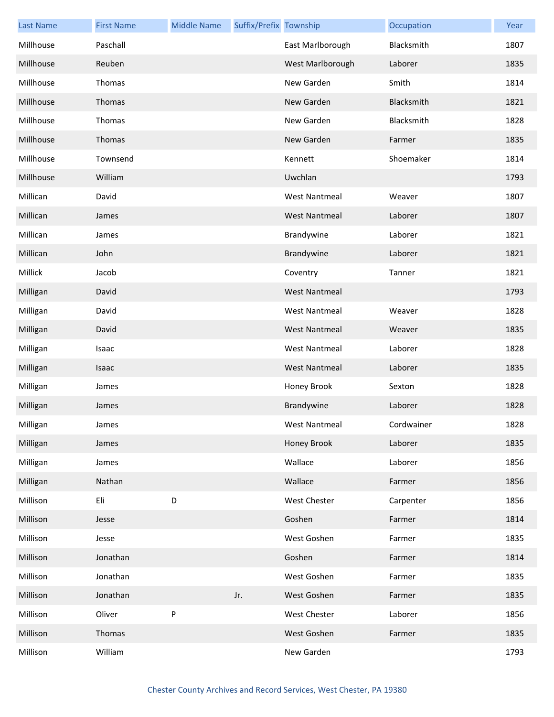| <b>Last Name</b> | <b>First Name</b> | <b>Middle Name</b> | Suffix/Prefix Township |                      | Occupation | Year |
|------------------|-------------------|--------------------|------------------------|----------------------|------------|------|
| Millhouse        | Paschall          |                    |                        | East Marlborough     | Blacksmith | 1807 |
| Millhouse        | Reuben            |                    |                        | West Marlborough     | Laborer    | 1835 |
| Millhouse        | Thomas            |                    |                        | New Garden           | Smith      | 1814 |
| Millhouse        | Thomas            |                    |                        | New Garden           | Blacksmith | 1821 |
| Millhouse        | Thomas            |                    |                        | New Garden           | Blacksmith | 1828 |
| Millhouse        | Thomas            |                    |                        | New Garden           | Farmer     | 1835 |
| Millhouse        | Townsend          |                    |                        | Kennett              | Shoemaker  | 1814 |
| Millhouse        | William           |                    |                        | Uwchlan              |            | 1793 |
| Millican         | David             |                    |                        | <b>West Nantmeal</b> | Weaver     | 1807 |
| Millican         | James             |                    |                        | <b>West Nantmeal</b> | Laborer    | 1807 |
| Millican         | James             |                    |                        | Brandywine           | Laborer    | 1821 |
| Millican         | John              |                    |                        | Brandywine           | Laborer    | 1821 |
| Millick          | Jacob             |                    |                        | Coventry             | Tanner     | 1821 |
| Milligan         | David             |                    |                        | <b>West Nantmeal</b> |            | 1793 |
| Milligan         | David             |                    |                        | <b>West Nantmeal</b> | Weaver     | 1828 |
| Milligan         | David             |                    |                        | <b>West Nantmeal</b> | Weaver     | 1835 |
| Milligan         | Isaac             |                    |                        | <b>West Nantmeal</b> | Laborer    | 1828 |
| Milligan         | Isaac             |                    |                        | <b>West Nantmeal</b> | Laborer    | 1835 |
| Milligan         | James             |                    |                        | Honey Brook          | Sexton     | 1828 |
| Milligan         | James             |                    |                        | Brandywine           | Laborer    | 1828 |
| Milligan         | James             |                    |                        | West Nantmeal        | Cordwainer | 1828 |
| Milligan         | James             |                    |                        | Honey Brook          | Laborer    | 1835 |
| Milligan         | James             |                    |                        | Wallace              | Laborer    | 1856 |
| Milligan         | Nathan            |                    |                        | Wallace              | Farmer     | 1856 |
| Millison         | Eli               | D                  |                        | West Chester         | Carpenter  | 1856 |
| Millison         | Jesse             |                    |                        | Goshen               | Farmer     | 1814 |
| Millison         | Jesse             |                    |                        | West Goshen          | Farmer     | 1835 |
| Millison         | Jonathan          |                    |                        | Goshen               | Farmer     | 1814 |
| Millison         | Jonathan          |                    |                        | West Goshen          | Farmer     | 1835 |
| Millison         | Jonathan          |                    | Jr.                    | West Goshen          | Farmer     | 1835 |
| Millison         | Oliver            | P                  |                        | West Chester         | Laborer    | 1856 |
| Millison         | Thomas            |                    |                        | West Goshen          | Farmer     | 1835 |
| Millison         | William           |                    |                        | New Garden           |            | 1793 |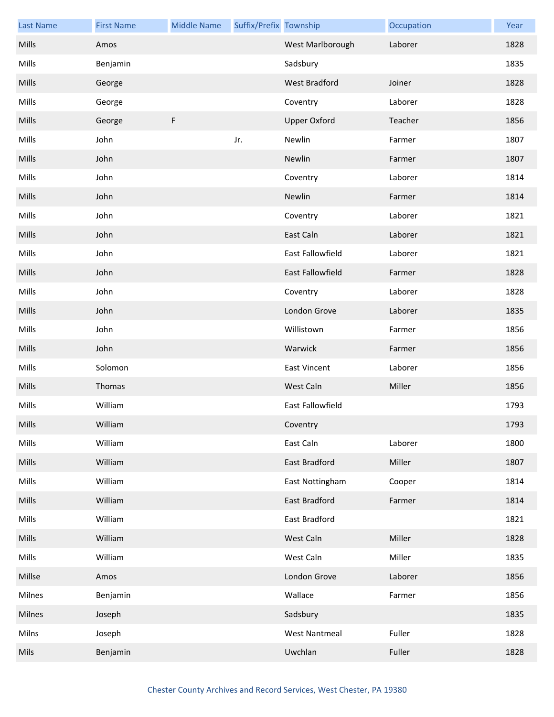| <b>Last Name</b> | <b>First Name</b> | <b>Middle Name</b> | Suffix/Prefix Township |                         | Occupation | Year |
|------------------|-------------------|--------------------|------------------------|-------------------------|------------|------|
| Mills            | Amos              |                    |                        | West Marlborough        | Laborer    | 1828 |
| Mills            | Benjamin          |                    |                        | Sadsbury                |            | 1835 |
| Mills            | George            |                    |                        | West Bradford           | Joiner     | 1828 |
| Mills            | George            |                    |                        | Coventry                | Laborer    | 1828 |
| Mills            | George            | F                  |                        | <b>Upper Oxford</b>     | Teacher    | 1856 |
| Mills            | John              |                    | Jr.                    | Newlin                  | Farmer     | 1807 |
| Mills            | John              |                    |                        | Newlin                  | Farmer     | 1807 |
| Mills            | John              |                    |                        | Coventry                | Laborer    | 1814 |
| Mills            | John              |                    |                        | Newlin                  | Farmer     | 1814 |
| Mills            | John              |                    |                        | Coventry                | Laborer    | 1821 |
| Mills            | John              |                    |                        | East Caln               | Laborer    | 1821 |
| Mills            | John              |                    |                        | East Fallowfield        | Laborer    | 1821 |
| Mills            | John              |                    |                        | East Fallowfield        | Farmer     | 1828 |
| Mills            | John              |                    |                        | Coventry                | Laborer    | 1828 |
| Mills            | John              |                    |                        | London Grove            | Laborer    | 1835 |
| Mills            | John              |                    |                        | Willistown              | Farmer     | 1856 |
| Mills            | John              |                    |                        | Warwick                 | Farmer     | 1856 |
| Mills            | Solomon           |                    |                        | <b>East Vincent</b>     | Laborer    | 1856 |
| Mills            | Thomas            |                    |                        | West Caln               | Miller     | 1856 |
| Mills            | William           |                    |                        | <b>East Fallowfield</b> |            | 1793 |
| Mills            | William           |                    |                        | Coventry                |            | 1793 |
| Mills            | William           |                    |                        | East Caln               | Laborer    | 1800 |
| Mills            | William           |                    |                        | East Bradford           | Miller     | 1807 |
| Mills            | William           |                    |                        | East Nottingham         | Cooper     | 1814 |
| Mills            | William           |                    |                        | East Bradford           | Farmer     | 1814 |
| Mills            | William           |                    |                        | East Bradford           |            | 1821 |
| Mills            | William           |                    |                        | West Caln               | Miller     | 1828 |
| Mills            | William           |                    |                        | West Caln               | Miller     | 1835 |
| Millse           | Amos              |                    |                        | London Grove            | Laborer    | 1856 |
| Milnes           | Benjamin          |                    |                        | Wallace                 | Farmer     | 1856 |
| Milnes           | Joseph            |                    |                        | Sadsbury                |            | 1835 |
| Milns            | Joseph            |                    |                        | <b>West Nantmeal</b>    | Fuller     | 1828 |
| Mils             | Benjamin          |                    |                        | Uwchlan                 | Fuller     | 1828 |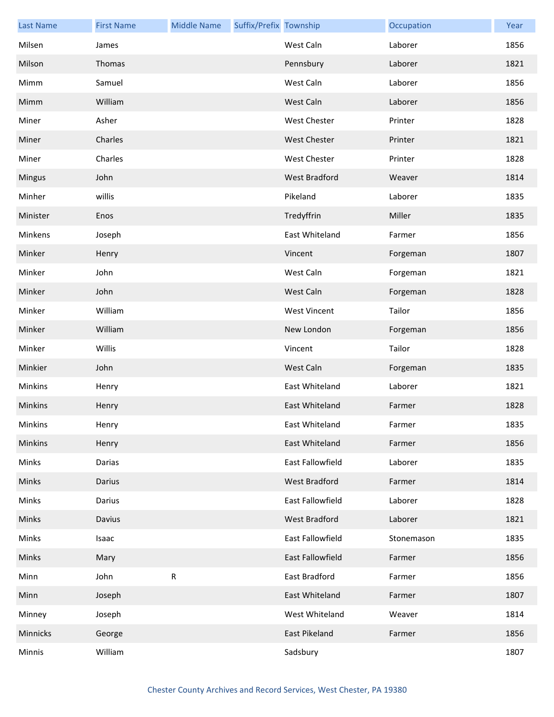| <b>Last Name</b> | <b>First Name</b> | <b>Middle Name</b> | Suffix/Prefix Township |                      | Occupation | Year |
|------------------|-------------------|--------------------|------------------------|----------------------|------------|------|
| Milsen           | James             |                    |                        | West Caln            | Laborer    | 1856 |
| Milson           | Thomas            |                    |                        | Pennsbury            | Laborer    | 1821 |
| Mimm             | Samuel            |                    |                        | West Caln            | Laborer    | 1856 |
| Mimm             | William           |                    |                        | West Caln            | Laborer    | 1856 |
| Miner            | Asher             |                    |                        | <b>West Chester</b>  | Printer    | 1828 |
| Miner            | Charles           |                    |                        | <b>West Chester</b>  | Printer    | 1821 |
| Miner            | Charles           |                    |                        | <b>West Chester</b>  | Printer    | 1828 |
| <b>Mingus</b>    | John              |                    |                        | <b>West Bradford</b> | Weaver     | 1814 |
| Minher           | willis            |                    |                        | Pikeland             | Laborer    | 1835 |
| Minister         | Enos              |                    |                        | Tredyffrin           | Miller     | 1835 |
| Minkens          | Joseph            |                    |                        | East Whiteland       | Farmer     | 1856 |
| Minker           | Henry             |                    |                        | Vincent              | Forgeman   | 1807 |
| Minker           | John              |                    |                        | West Caln            | Forgeman   | 1821 |
| Minker           | John              |                    |                        | West Caln            | Forgeman   | 1828 |
| Minker           | William           |                    |                        | <b>West Vincent</b>  | Tailor     | 1856 |
| Minker           | William           |                    |                        | New London           | Forgeman   | 1856 |
| Minker           | Willis            |                    |                        | Vincent              | Tailor     | 1828 |
| Minkier          | John              |                    |                        | West Caln            | Forgeman   | 1835 |
| Minkins          | Henry             |                    |                        | East Whiteland       | Laborer    | 1821 |
| Minkins          | Henry             |                    |                        | East Whiteland       | Farmer     | 1828 |
| Minkins          | Henry             |                    |                        | East Whiteland       | Farmer     | 1835 |
| Minkins          | Henry             |                    |                        | East Whiteland       | Farmer     | 1856 |
| Minks            | Darias            |                    |                        | East Fallowfield     | Laborer    | 1835 |
| Minks            | Darius            |                    |                        | West Bradford        | Farmer     | 1814 |
| Minks            | Darius            |                    |                        | East Fallowfield     | Laborer    | 1828 |
| Minks            | Davius            |                    |                        | West Bradford        | Laborer    | 1821 |
| Minks            | Isaac             |                    |                        | East Fallowfield     | Stonemason | 1835 |
| Minks            | Mary              |                    |                        | East Fallowfield     | Farmer     | 1856 |
| Minn             | John              | ${\sf R}$          |                        | East Bradford        | Farmer     | 1856 |
| Minn             | Joseph            |                    |                        | East Whiteland       | Farmer     | 1807 |
| Minney           | Joseph            |                    |                        | West Whiteland       | Weaver     | 1814 |
| Minnicks         | George            |                    |                        | East Pikeland        | Farmer     | 1856 |
| Minnis           | William           |                    |                        | Sadsbury             |            | 1807 |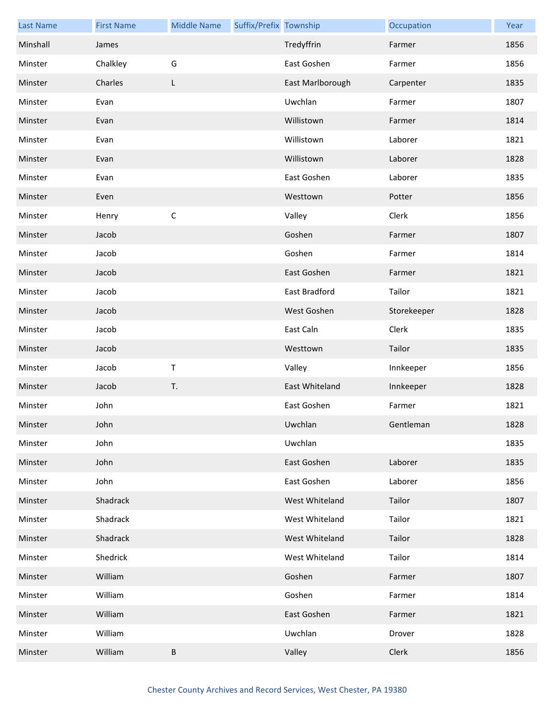| <b>Last Name</b> | <b>First Name</b> | <b>Middle Name</b> | Suffix/Prefix Township |                  | Occupation  | Year |
|------------------|-------------------|--------------------|------------------------|------------------|-------------|------|
| Minshall         | James             |                    |                        | Tredyffrin       | Farmer      | 1856 |
| Minster          | Chalkley          | G                  |                        | East Goshen      | Farmer      | 1856 |
| Minster          | Charles           | L                  |                        | East Marlborough | Carpenter   | 1835 |
| Minster          | Evan              |                    |                        | Uwchlan          | Farmer      | 1807 |
| Minster          | Evan              |                    |                        | Willistown       | Farmer      | 1814 |
| Minster          | Evan              |                    |                        | Willistown       | Laborer     | 1821 |
| Minster          | Evan              |                    |                        | Willistown       | Laborer     | 1828 |
| Minster          | Evan              |                    |                        | East Goshen      | Laborer     | 1835 |
| Minster          | Even              |                    |                        | Westtown         | Potter      | 1856 |
| Minster          | Henry             | $\mathsf C$        |                        | Valley           | Clerk       | 1856 |
| Minster          | Jacob             |                    |                        | Goshen           | Farmer      | 1807 |
| Minster          | Jacob             |                    |                        | Goshen           | Farmer      | 1814 |
| Minster          | Jacob             |                    |                        | East Goshen      | Farmer      | 1821 |
| Minster          | Jacob             |                    |                        | East Bradford    | Tailor      | 1821 |
| Minster          | Jacob             |                    |                        | West Goshen      | Storekeeper | 1828 |
| Minster          | Jacob             |                    |                        | East Caln        | Clerk       | 1835 |
| Minster          | Jacob             |                    |                        | Westtown         | Tailor      | 1835 |
| Minster          | Jacob             | $\sf T$            |                        | Valley           | Innkeeper   | 1856 |
| Minster          | Jacob             | T.                 |                        | East Whiteland   | Innkeeper   | 1828 |
| Minster          | John              |                    |                        | East Goshen      | Farmer      | 1821 |
| Minster          | John              |                    |                        | Uwchlan          | Gentleman   | 1828 |
| Minster          | John              |                    |                        | Uwchlan          |             | 1835 |
| Minster          | John              |                    |                        | East Goshen      | Laborer     | 1835 |
| Minster          | John              |                    |                        | East Goshen      | Laborer     | 1856 |
| Minster          | Shadrack          |                    |                        | West Whiteland   | Tailor      | 1807 |
| Minster          | Shadrack          |                    |                        | West Whiteland   | Tailor      | 1821 |
| Minster          | Shadrack          |                    |                        | West Whiteland   | Tailor      | 1828 |
| Minster          | Shedrick          |                    |                        | West Whiteland   | Tailor      | 1814 |
| Minster          | William           |                    |                        | Goshen           | Farmer      | 1807 |
| Minster          | William           |                    |                        | Goshen           | Farmer      | 1814 |
| Minster          | William           |                    |                        | East Goshen      | Farmer      | 1821 |
| Minster          | William           |                    |                        | Uwchlan          | Drover      | 1828 |
| Minster          | William           | B                  |                        | Valley           | Clerk       | 1856 |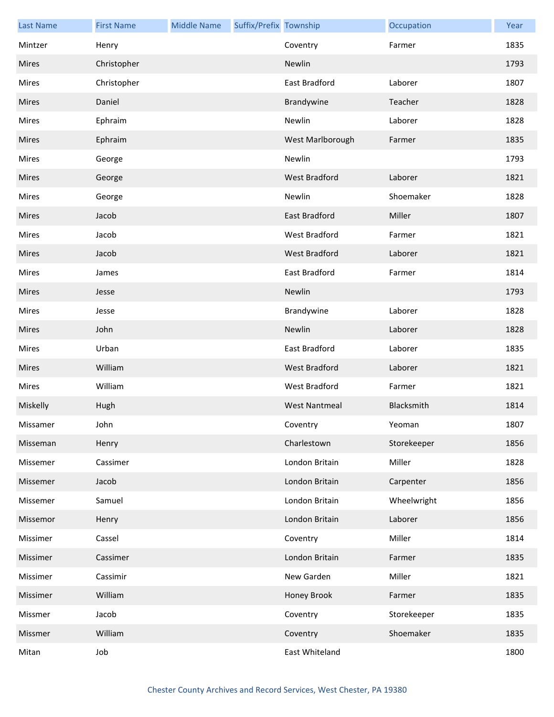| <b>Last Name</b> | <b>First Name</b> | <b>Middle Name</b> | Suffix/Prefix Township |                      | Occupation  | Year |
|------------------|-------------------|--------------------|------------------------|----------------------|-------------|------|
| Mintzer          | Henry             |                    |                        | Coventry             | Farmer      | 1835 |
| <b>Mires</b>     | Christopher       |                    |                        | Newlin               |             | 1793 |
| <b>Mires</b>     | Christopher       |                    |                        | East Bradford        | Laborer     | 1807 |
| <b>Mires</b>     | Daniel            |                    |                        | Brandywine           | Teacher     | 1828 |
| Mires            | Ephraim           |                    |                        | Newlin               | Laborer     | 1828 |
| <b>Mires</b>     | Ephraim           |                    |                        | West Marlborough     | Farmer      | 1835 |
| Mires            | George            |                    |                        | Newlin               |             | 1793 |
| Mires            | George            |                    |                        | <b>West Bradford</b> | Laborer     | 1821 |
| Mires            | George            |                    |                        | Newlin               | Shoemaker   | 1828 |
| <b>Mires</b>     | Jacob             |                    |                        | East Bradford        | Miller      | 1807 |
| <b>Mires</b>     | Jacob             |                    |                        | West Bradford        | Farmer      | 1821 |
| <b>Mires</b>     | Jacob             |                    |                        | West Bradford        | Laborer     | 1821 |
| Mires            | James             |                    |                        | East Bradford        | Farmer      | 1814 |
| <b>Mires</b>     | Jesse             |                    |                        | Newlin               |             | 1793 |
| Mires            | Jesse             |                    |                        | Brandywine           | Laborer     | 1828 |
| <b>Mires</b>     | John              |                    |                        | Newlin               | Laborer     | 1828 |
| <b>Mires</b>     | Urban             |                    |                        | East Bradford        | Laborer     | 1835 |
| Mires            | William           |                    |                        | West Bradford        | Laborer     | 1821 |
| Mires            | William           |                    |                        | West Bradford        | Farmer      | 1821 |
| Miskelly         | Hugh              |                    |                        | <b>West Nantmeal</b> | Blacksmith  | 1814 |
| Missamer         | John              |                    |                        | Coventry             | Yeoman      | 1807 |
| Misseman         | Henry             |                    |                        | Charlestown          | Storekeeper | 1856 |
| Missemer         | Cassimer          |                    |                        | London Britain       | Miller      | 1828 |
| Missemer         | Jacob             |                    |                        | London Britain       | Carpenter   | 1856 |
| Missemer         | Samuel            |                    |                        | London Britain       | Wheelwright | 1856 |
| Missemor         | Henry             |                    |                        | London Britain       | Laborer     | 1856 |
| Missimer         | Cassel            |                    |                        | Coventry             | Miller      | 1814 |
| Missimer         | Cassimer          |                    |                        | London Britain       | Farmer      | 1835 |
| Missimer         | Cassimir          |                    |                        | New Garden           | Miller      | 1821 |
| Missimer         | William           |                    |                        | Honey Brook          | Farmer      | 1835 |
| Missmer          | Jacob             |                    |                        | Coventry             | Storekeeper | 1835 |
| Missmer          | William           |                    |                        | Coventry             | Shoemaker   | 1835 |
| Mitan            | Job               |                    |                        | East Whiteland       |             | 1800 |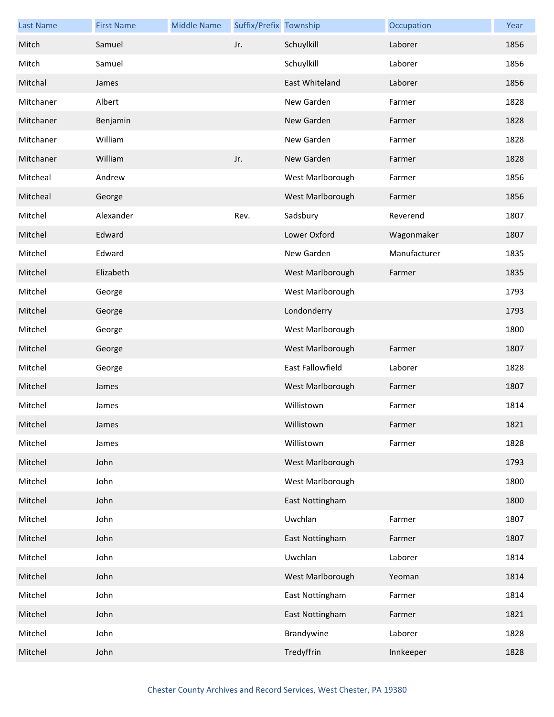| <b>Last Name</b> | <b>First Name</b> | <b>Middle Name</b> | Suffix/Prefix Township |                         | Occupation   | Year |
|------------------|-------------------|--------------------|------------------------|-------------------------|--------------|------|
| Mitch            | Samuel            |                    | Jr.                    | Schuylkill              | Laborer      | 1856 |
| Mitch            | Samuel            |                    |                        | Schuylkill              | Laborer      | 1856 |
| Mitchal          | James             |                    |                        | East Whiteland          | Laborer      | 1856 |
| Mitchaner        | Albert            |                    |                        | New Garden              | Farmer       | 1828 |
| Mitchaner        | Benjamin          |                    |                        | New Garden              | Farmer       | 1828 |
| Mitchaner        | William           |                    |                        | New Garden              | Farmer       | 1828 |
| Mitchaner        | William           |                    | Jr.                    | New Garden              | Farmer       | 1828 |
| Mitcheal         | Andrew            |                    |                        | West Marlborough        | Farmer       | 1856 |
| Mitcheal         | George            |                    |                        | West Marlborough        | Farmer       | 1856 |
| Mitchel          | Alexander         |                    | Rev.                   | Sadsbury                | Reverend     | 1807 |
| Mitchel          | Edward            |                    |                        | Lower Oxford            | Wagonmaker   | 1807 |
| Mitchel          | Edward            |                    |                        | New Garden              | Manufacturer | 1835 |
| Mitchel          | Elizabeth         |                    |                        | West Marlborough        | Farmer       | 1835 |
| Mitchel          | George            |                    |                        | West Marlborough        |              | 1793 |
| Mitchel          | George            |                    |                        | Londonderry             |              | 1793 |
| Mitchel          | George            |                    |                        | West Marlborough        |              | 1800 |
| Mitchel          | George            |                    |                        | West Marlborough        | Farmer       | 1807 |
| Mitchel          | George            |                    |                        | <b>East Fallowfield</b> | Laborer      | 1828 |
| Mitchel          | James             |                    |                        | West Marlborough        | Farmer       | 1807 |
| Mitchel          | James             |                    |                        | Willistown              | Farmer       | 1814 |
| Mitchel          | James             |                    |                        | Willistown              | Farmer       | 1821 |
| Mitchel          | James             |                    |                        | Willistown              | Farmer       | 1828 |
| Mitchel          | John              |                    |                        | West Marlborough        |              | 1793 |
| Mitchel          | John              |                    |                        | West Marlborough        |              | 1800 |
| Mitchel          | John              |                    |                        | East Nottingham         |              | 1800 |
| Mitchel          | John              |                    |                        | Uwchlan                 | Farmer       | 1807 |
| Mitchel          | John              |                    |                        | East Nottingham         | Farmer       | 1807 |
| Mitchel          | John              |                    |                        | Uwchlan                 | Laborer      | 1814 |
| Mitchel          | John              |                    |                        | West Marlborough        | Yeoman       | 1814 |
| Mitchel          | John              |                    |                        | East Nottingham         | Farmer       | 1814 |
| Mitchel          | John              |                    |                        | East Nottingham         | Farmer       | 1821 |
| Mitchel          | John              |                    |                        | Brandywine              | Laborer      | 1828 |
| Mitchel          | John              |                    |                        | Tredyffrin              | Innkeeper    | 1828 |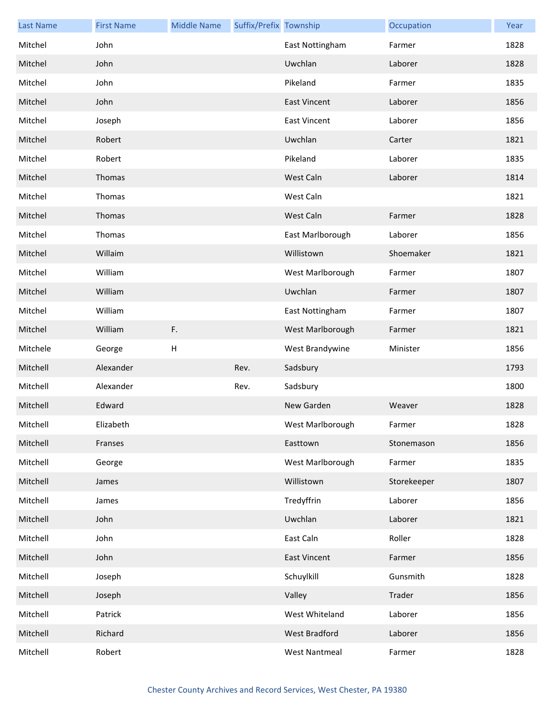| <b>Last Name</b> | <b>First Name</b> | <b>Middle Name</b> | Suffix/Prefix Township |                      | Occupation  | Year |
|------------------|-------------------|--------------------|------------------------|----------------------|-------------|------|
| Mitchel          | John              |                    |                        | East Nottingham      | Farmer      | 1828 |
| Mitchel          | John              |                    |                        | Uwchlan              | Laborer     | 1828 |
| Mitchel          | John              |                    |                        | Pikeland             | Farmer      | 1835 |
| Mitchel          | John              |                    |                        | <b>East Vincent</b>  | Laborer     | 1856 |
| Mitchel          | Joseph            |                    |                        | <b>East Vincent</b>  | Laborer     | 1856 |
| Mitchel          | Robert            |                    |                        | Uwchlan              | Carter      | 1821 |
| Mitchel          | Robert            |                    |                        | Pikeland             | Laborer     | 1835 |
| Mitchel          | Thomas            |                    |                        | West Caln            | Laborer     | 1814 |
| Mitchel          | Thomas            |                    |                        | West Caln            |             | 1821 |
| Mitchel          | Thomas            |                    |                        | West Caln            | Farmer      | 1828 |
| Mitchel          | Thomas            |                    |                        | East Marlborough     | Laborer     | 1856 |
| Mitchel          | Willaim           |                    |                        | Willistown           | Shoemaker   | 1821 |
| Mitchel          | William           |                    |                        | West Marlborough     | Farmer      | 1807 |
| Mitchel          | William           |                    |                        | Uwchlan              | Farmer      | 1807 |
| Mitchel          | William           |                    |                        | East Nottingham      | Farmer      | 1807 |
| Mitchel          | William           | F.                 |                        | West Marlborough     | Farmer      | 1821 |
| Mitchele         | George            | H                  |                        | West Brandywine      | Minister    | 1856 |
| Mitchell         | Alexander         |                    | Rev.                   | Sadsbury             |             | 1793 |
| Mitchell         | Alexander         |                    | Rev.                   | Sadsbury             |             | 1800 |
| Mitchell         | Edward            |                    |                        | New Garden           | Weaver      | 1828 |
| Mitchell         | Elizabeth         |                    |                        | West Marlborough     | Farmer      | 1828 |
| Mitchell         | Franses           |                    |                        | Easttown             | Stonemason  | 1856 |
| Mitchell         | George            |                    |                        | West Marlborough     | Farmer      | 1835 |
| Mitchell         | James             |                    |                        | Willistown           | Storekeeper | 1807 |
| Mitchell         | James             |                    |                        | Tredyffrin           | Laborer     | 1856 |
| Mitchell         | John              |                    |                        | Uwchlan              | Laborer     | 1821 |
| Mitchell         | John              |                    |                        | East Caln            | Roller      | 1828 |
| Mitchell         | John              |                    |                        | <b>East Vincent</b>  | Farmer      | 1856 |
| Mitchell         | Joseph            |                    |                        | Schuylkill           | Gunsmith    | 1828 |
| Mitchell         | Joseph            |                    |                        | Valley               | Trader      | 1856 |
| Mitchell         | Patrick           |                    |                        | West Whiteland       | Laborer     | 1856 |
| Mitchell         | Richard           |                    |                        | West Bradford        | Laborer     | 1856 |
| Mitchell         | Robert            |                    |                        | <b>West Nantmeal</b> | Farmer      | 1828 |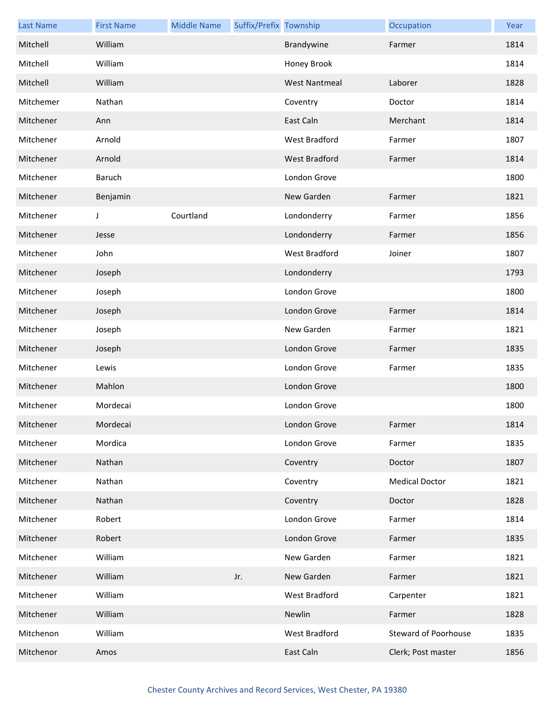| <b>Last Name</b> | <b>First Name</b> | <b>Middle Name</b> | Suffix/Prefix Township |                      | Occupation                  | Year |
|------------------|-------------------|--------------------|------------------------|----------------------|-----------------------------|------|
| Mitchell         | William           |                    |                        | Brandywine           | Farmer                      | 1814 |
| Mitchell         | William           |                    |                        | Honey Brook          |                             | 1814 |
| Mitchell         | William           |                    |                        | <b>West Nantmeal</b> | Laborer                     | 1828 |
| Mitchemer        | Nathan            |                    |                        | Coventry             | Doctor                      | 1814 |
| Mitchener        | Ann               |                    |                        | East Caln            | Merchant                    | 1814 |
| Mitchener        | Arnold            |                    |                        | West Bradford        | Farmer                      | 1807 |
| Mitchener        | Arnold            |                    |                        | West Bradford        | Farmer                      | 1814 |
| Mitchener        | Baruch            |                    |                        | London Grove         |                             | 1800 |
| Mitchener        | Benjamin          |                    |                        | New Garden           | Farmer                      | 1821 |
| Mitchener        | J                 | Courtland          |                        | Londonderry          | Farmer                      | 1856 |
| Mitchener        | Jesse             |                    |                        | Londonderry          | Farmer                      | 1856 |
| Mitchener        | John              |                    |                        | West Bradford        | Joiner                      | 1807 |
| Mitchener        | Joseph            |                    |                        | Londonderry          |                             | 1793 |
| Mitchener        | Joseph            |                    |                        | London Grove         |                             | 1800 |
| Mitchener        | Joseph            |                    |                        | London Grove         | Farmer                      | 1814 |
| Mitchener        | Joseph            |                    |                        | New Garden           | Farmer                      | 1821 |
| Mitchener        | Joseph            |                    |                        | London Grove         | Farmer                      | 1835 |
| Mitchener        | Lewis             |                    |                        | London Grove         | Farmer                      | 1835 |
| Mitchener        | Mahlon            |                    |                        | London Grove         |                             | 1800 |
| Mitchener        | Mordecai          |                    |                        | London Grove         |                             | 1800 |
| Mitchener        | Mordecai          |                    |                        | London Grove         | Farmer                      | 1814 |
| Mitchener        | Mordica           |                    |                        | London Grove         | Farmer                      | 1835 |
| Mitchener        | Nathan            |                    |                        | Coventry             | Doctor                      | 1807 |
| Mitchener        | Nathan            |                    |                        | Coventry             | <b>Medical Doctor</b>       | 1821 |
| Mitchener        | Nathan            |                    |                        | Coventry             | Doctor                      | 1828 |
| Mitchener        | Robert            |                    |                        | London Grove         | Farmer                      | 1814 |
| Mitchener        | Robert            |                    |                        | London Grove         | Farmer                      | 1835 |
| Mitchener        | William           |                    |                        | New Garden           | Farmer                      | 1821 |
| Mitchener        | William           |                    | Jr.                    | New Garden           | Farmer                      | 1821 |
| Mitchener        | William           |                    |                        | West Bradford        | Carpenter                   | 1821 |
| Mitchener        | William           |                    |                        | Newlin               | Farmer                      | 1828 |
| Mitchenon        | William           |                    |                        | West Bradford        | <b>Steward of Poorhouse</b> | 1835 |
| Mitchenor        | Amos              |                    |                        | East Caln            | Clerk; Post master          | 1856 |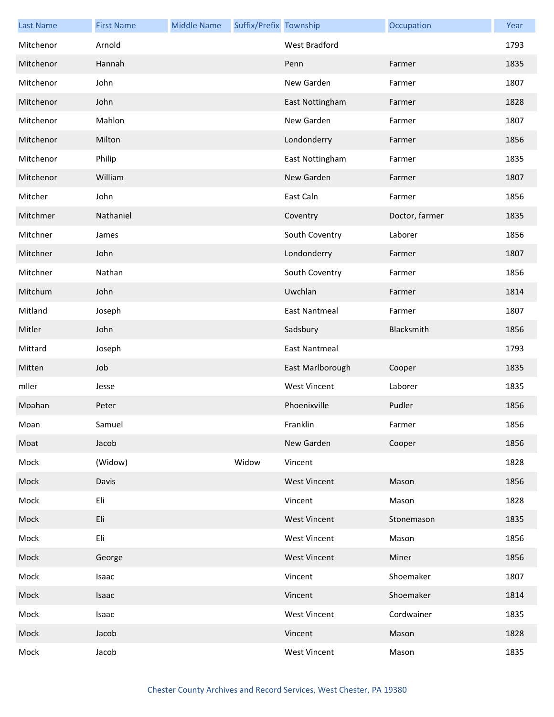| <b>Last Name</b> | <b>First Name</b> | <b>Middle Name</b> | Suffix/Prefix Township |                     | Occupation     | Year |
|------------------|-------------------|--------------------|------------------------|---------------------|----------------|------|
| Mitchenor        | Arnold            |                    |                        | West Bradford       |                | 1793 |
| Mitchenor        | Hannah            |                    |                        | Penn                | Farmer         | 1835 |
| Mitchenor        | John              |                    |                        | New Garden          | Farmer         | 1807 |
| Mitchenor        | John              |                    |                        | East Nottingham     | Farmer         | 1828 |
| Mitchenor        | Mahlon            |                    |                        | New Garden          | Farmer         | 1807 |
| Mitchenor        | Milton            |                    |                        | Londonderry         | Farmer         | 1856 |
| Mitchenor        | Philip            |                    |                        | East Nottingham     | Farmer         | 1835 |
| Mitchenor        | William           |                    |                        | New Garden          | Farmer         | 1807 |
| Mitcher          | John              |                    |                        | East Caln           | Farmer         | 1856 |
| Mitchmer         | Nathaniel         |                    |                        | Coventry            | Doctor, farmer | 1835 |
| Mitchner         | James             |                    |                        | South Coventry      | Laborer        | 1856 |
| Mitchner         | John              |                    |                        | Londonderry         | Farmer         | 1807 |
| Mitchner         | Nathan            |                    |                        | South Coventry      | Farmer         | 1856 |
| Mitchum          | John              |                    |                        | Uwchlan             | Farmer         | 1814 |
| Mitland          | Joseph            |                    |                        | East Nantmeal       | Farmer         | 1807 |
| Mitler           | John              |                    |                        | Sadsbury            | Blacksmith     | 1856 |
| Mittard          | Joseph            |                    |                        | East Nantmeal       |                | 1793 |
| Mitten           | Job               |                    |                        | East Marlborough    | Cooper         | 1835 |
| mller            | Jesse             |                    |                        | <b>West Vincent</b> | Laborer        | 1835 |
| Moahan           | Peter             |                    |                        | Phoenixville        | Pudler         | 1856 |
| Moan             | Samuel            |                    |                        | Franklin            | Farmer         | 1856 |
| Moat             | Jacob             |                    |                        | New Garden          | Cooper         | 1856 |
| Mock             | (Widow)           |                    | Widow                  | Vincent             |                | 1828 |
| Mock             | Davis             |                    |                        | <b>West Vincent</b> | Mason          | 1856 |
| Mock             | Eli               |                    |                        | Vincent             | Mason          | 1828 |
| Mock             | Eli               |                    |                        | <b>West Vincent</b> | Stonemason     | 1835 |
| Mock             | Eli               |                    |                        | <b>West Vincent</b> | Mason          | 1856 |
| Mock             | George            |                    |                        | <b>West Vincent</b> | Miner          | 1856 |
| Mock             | Isaac             |                    |                        | Vincent             | Shoemaker      | 1807 |
| Mock             | Isaac             |                    |                        | Vincent             | Shoemaker      | 1814 |
| Mock             | Isaac             |                    |                        | <b>West Vincent</b> | Cordwainer     | 1835 |
| Mock             | Jacob             |                    |                        | Vincent             | Mason          | 1828 |
| Mock             | Jacob             |                    |                        | <b>West Vincent</b> | Mason          | 1835 |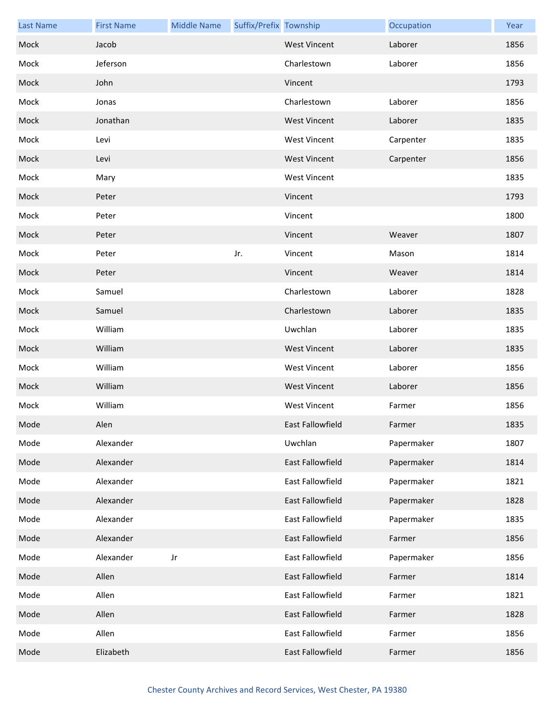| <b>Last Name</b> | <b>First Name</b> | <b>Middle Name</b> | Suffix/Prefix Township |                     | Occupation | Year |
|------------------|-------------------|--------------------|------------------------|---------------------|------------|------|
| Mock             | Jacob             |                    |                        | <b>West Vincent</b> | Laborer    | 1856 |
| Mock             | Jeferson          |                    |                        | Charlestown         | Laborer    | 1856 |
| Mock             | John              |                    |                        | Vincent             |            | 1793 |
| Mock             | Jonas             |                    |                        | Charlestown         | Laborer    | 1856 |
| Mock             | Jonathan          |                    |                        | <b>West Vincent</b> | Laborer    | 1835 |
| Mock             | Levi              |                    |                        | <b>West Vincent</b> | Carpenter  | 1835 |
| Mock             | Levi              |                    |                        | <b>West Vincent</b> | Carpenter  | 1856 |
| Mock             | Mary              |                    |                        | <b>West Vincent</b> |            | 1835 |
| Mock             | Peter             |                    |                        | Vincent             |            | 1793 |
| Mock             | Peter             |                    |                        | Vincent             |            | 1800 |
| Mock             | Peter             |                    |                        | Vincent             | Weaver     | 1807 |
| Mock             | Peter             |                    | Jr.                    | Vincent             | Mason      | 1814 |
| Mock             | Peter             |                    |                        | Vincent             | Weaver     | 1814 |
| Mock             | Samuel            |                    |                        | Charlestown         | Laborer    | 1828 |
| Mock             | Samuel            |                    |                        | Charlestown         | Laborer    | 1835 |
| Mock             | William           |                    |                        | Uwchlan             | Laborer    | 1835 |
| Mock             | William           |                    |                        | <b>West Vincent</b> | Laborer    | 1835 |
| Mock             | William           |                    |                        | <b>West Vincent</b> | Laborer    | 1856 |
| Mock             | William           |                    |                        | <b>West Vincent</b> | Laborer    | 1856 |
| Mock             | William           |                    |                        | <b>West Vincent</b> | Farmer     | 1856 |
| Mode             | Alen              |                    |                        | East Fallowfield    | Farmer     | 1835 |
| Mode             | Alexander         |                    |                        | Uwchlan             | Papermaker | 1807 |
| Mode             | Alexander         |                    |                        | East Fallowfield    | Papermaker | 1814 |
| Mode             | Alexander         |                    |                        | East Fallowfield    | Papermaker | 1821 |
| Mode             | Alexander         |                    |                        | East Fallowfield    | Papermaker | 1828 |
| Mode             | Alexander         |                    |                        | East Fallowfield    | Papermaker | 1835 |
| Mode             | Alexander         |                    |                        | East Fallowfield    | Farmer     | 1856 |
| Mode             | Alexander         | Jr                 |                        | East Fallowfield    | Papermaker | 1856 |
| Mode             | Allen             |                    |                        | East Fallowfield    | Farmer     | 1814 |
| Mode             | Allen             |                    |                        | East Fallowfield    | Farmer     | 1821 |
| Mode             | Allen             |                    |                        | East Fallowfield    | Farmer     | 1828 |
| Mode             | Allen             |                    |                        | East Fallowfield    | Farmer     | 1856 |
| Mode             | Elizabeth         |                    |                        | East Fallowfield    | Farmer     | 1856 |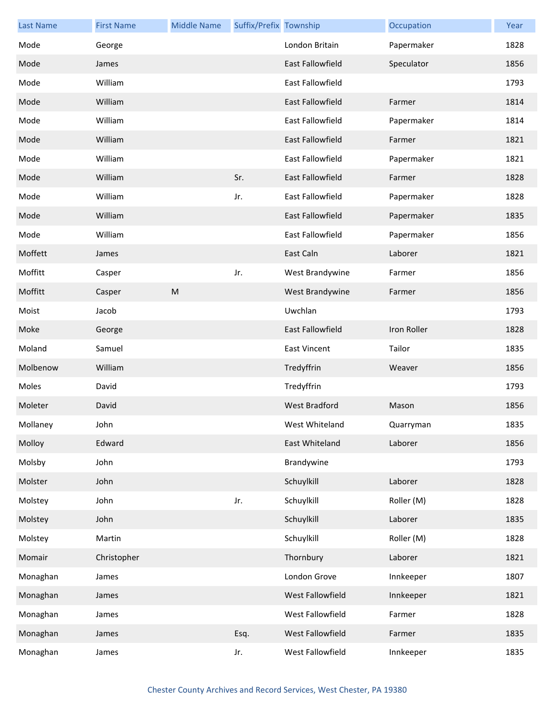| <b>Last Name</b> | <b>First Name</b> | <b>Middle Name</b> | Suffix/Prefix Township |                         | Occupation  | Year |
|------------------|-------------------|--------------------|------------------------|-------------------------|-------------|------|
| Mode             | George            |                    |                        | London Britain          | Papermaker  | 1828 |
| Mode             | James             |                    |                        | <b>East Fallowfield</b> | Speculator  | 1856 |
| Mode             | William           |                    |                        | East Fallowfield        |             | 1793 |
| Mode             | William           |                    |                        | East Fallowfield        | Farmer      | 1814 |
| Mode             | William           |                    |                        | <b>East Fallowfield</b> | Papermaker  | 1814 |
| Mode             | William           |                    |                        | <b>East Fallowfield</b> | Farmer      | 1821 |
| Mode             | William           |                    |                        | East Fallowfield        | Papermaker  | 1821 |
| Mode             | William           |                    | Sr.                    | East Fallowfield        | Farmer      | 1828 |
| Mode             | William           |                    | Jr.                    | East Fallowfield        | Papermaker  | 1828 |
| Mode             | William           |                    |                        | <b>East Fallowfield</b> | Papermaker  | 1835 |
| Mode             | William           |                    |                        | East Fallowfield        | Papermaker  | 1856 |
| Moffett          | James             |                    |                        | East Caln               | Laborer     | 1821 |
| Moffitt          | Casper            |                    | Jr.                    | West Brandywine         | Farmer      | 1856 |
| Moffitt          | Casper            | M                  |                        | West Brandywine         | Farmer      | 1856 |
| Moist            | Jacob             |                    |                        | Uwchlan                 |             | 1793 |
| Moke             | George            |                    |                        | East Fallowfield        | Iron Roller | 1828 |
| Moland           | Samuel            |                    |                        | <b>East Vincent</b>     | Tailor      | 1835 |
| Molbenow         | William           |                    |                        | Tredyffrin              | Weaver      | 1856 |
| Moles            | David             |                    |                        | Tredyffrin              |             | 1793 |
| Moleter          | David             |                    |                        | <b>West Bradford</b>    | Mason       | 1856 |
| Mollaney         | John              |                    |                        | West Whiteland          | Quarryman   | 1835 |
| Molloy           | Edward            |                    |                        | East Whiteland          | Laborer     | 1856 |
| Molsby           | John              |                    |                        | Brandywine              |             | 1793 |
| Molster          | John              |                    |                        | Schuylkill              | Laborer     | 1828 |
| Molstey          | John              |                    | Jr.                    | Schuylkill              | Roller (M)  | 1828 |
| Molstey          | John              |                    |                        | Schuylkill              | Laborer     | 1835 |
| Molstey          | Martin            |                    |                        | Schuylkill              | Roller (M)  | 1828 |
| Momair           | Christopher       |                    |                        | Thornbury               | Laborer     | 1821 |
| Monaghan         | James             |                    |                        | London Grove            | Innkeeper   | 1807 |
| Monaghan         | James             |                    |                        | West Fallowfield        | Innkeeper   | 1821 |
| Monaghan         | James             |                    |                        | West Fallowfield        | Farmer      | 1828 |
| Monaghan         | James             |                    | Esq.                   | West Fallowfield        | Farmer      | 1835 |
| Monaghan         | James             |                    | Jr.                    | West Fallowfield        | Innkeeper   | 1835 |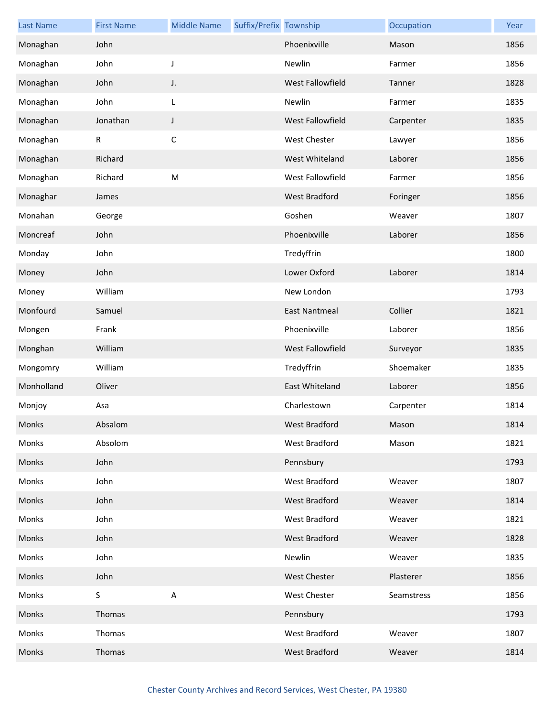| <b>Last Name</b> | <b>First Name</b> | <b>Middle Name</b>        | Suffix/Prefix Township |                      | Occupation | Year |
|------------------|-------------------|---------------------------|------------------------|----------------------|------------|------|
| Monaghan         | John              |                           |                        | Phoenixville         | Mason      | 1856 |
| Monaghan         | John              | J                         |                        | Newlin               | Farmer     | 1856 |
| Monaghan         | John              | J.                        |                        | West Fallowfield     | Tanner     | 1828 |
| Monaghan         | John              | L                         |                        | Newlin               | Farmer     | 1835 |
| Monaghan         | Jonathan          | $\mathsf J$               |                        | West Fallowfield     | Carpenter  | 1835 |
| Monaghan         | $\mathsf{R}$      | $\mathsf C$               |                        | <b>West Chester</b>  | Lawyer     | 1856 |
| Monaghan         | Richard           |                           |                        | West Whiteland       | Laborer    | 1856 |
| Monaghan         | Richard           | M                         |                        | West Fallowfield     | Farmer     | 1856 |
| Monaghar         | James             |                           |                        | West Bradford        | Foringer   | 1856 |
| Monahan          | George            |                           |                        | Goshen               | Weaver     | 1807 |
| Moncreaf         | John              |                           |                        | Phoenixville         | Laborer    | 1856 |
| Monday           | John              |                           |                        | Tredyffrin           |            | 1800 |
| Money            | John              |                           |                        | Lower Oxford         | Laborer    | 1814 |
| Money            | William           |                           |                        | New London           |            | 1793 |
| Monfourd         | Samuel            |                           |                        | <b>East Nantmeal</b> | Collier    | 1821 |
| Mongen           | Frank             |                           |                        | Phoenixville         | Laborer    | 1856 |
| Monghan          | William           |                           |                        | West Fallowfield     | Surveyor   | 1835 |
| Mongomry         | William           |                           |                        | Tredyffrin           | Shoemaker  | 1835 |
| Monholland       | Oliver            |                           |                        | East Whiteland       | Laborer    | 1856 |
| Monjoy           | Asa               |                           |                        | Charlestown          | Carpenter  | 1814 |
| Monks            | Absalom           |                           |                        | West Bradford        | Mason      | 1814 |
| Monks            | Absolom           |                           |                        | West Bradford        | Mason      | 1821 |
| Monks            | John              |                           |                        | Pennsbury            |            | 1793 |
| Monks            | John              |                           |                        | West Bradford        | Weaver     | 1807 |
| Monks            | John              |                           |                        | West Bradford        | Weaver     | 1814 |
| Monks            | John              |                           |                        | West Bradford        | Weaver     | 1821 |
| Monks            | John              |                           |                        | West Bradford        | Weaver     | 1828 |
| Monks            | John              |                           |                        | Newlin               | Weaver     | 1835 |
| Monks            | John              |                           |                        | <b>West Chester</b>  | Plasterer  | 1856 |
| Monks            | S                 | $\boldsymbol{\mathsf{A}}$ |                        | <b>West Chester</b>  | Seamstress | 1856 |
| Monks            | Thomas            |                           |                        | Pennsbury            |            | 1793 |
| Monks            | Thomas            |                           |                        | West Bradford        | Weaver     | 1807 |
| Monks            | Thomas            |                           |                        | <b>West Bradford</b> | Weaver     | 1814 |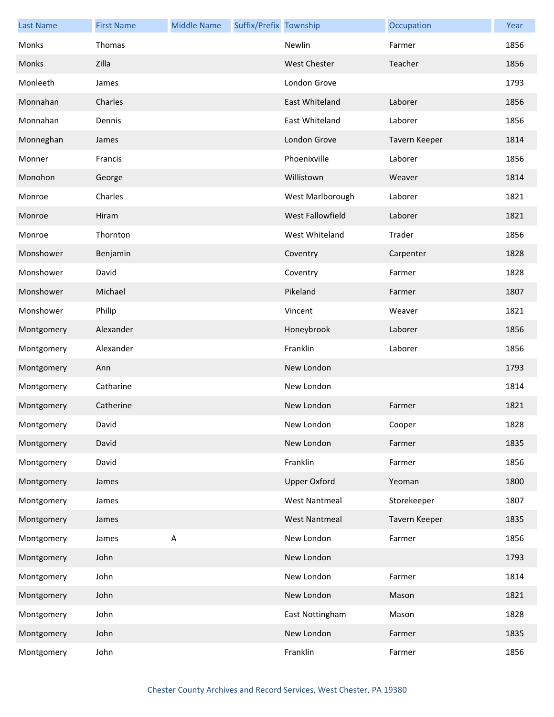| <b>Last Name</b> | <b>First Name</b> | <b>Middle Name</b> | Suffix/Prefix Township |                      | Occupation    | Year |
|------------------|-------------------|--------------------|------------------------|----------------------|---------------|------|
| Monks            | Thomas            |                    |                        | Newlin               | Farmer        | 1856 |
| Monks            | Zilla             |                    |                        | <b>West Chester</b>  | Teacher       | 1856 |
| Monleeth         | James             |                    |                        | London Grove         |               | 1793 |
| Monnahan         | Charles           |                    |                        | East Whiteland       | Laborer       | 1856 |
| Monnahan         | Dennis            |                    |                        | East Whiteland       | Laborer       | 1856 |
| Monneghan        | James             |                    |                        | London Grove         | Tavern Keeper | 1814 |
| Monner           | Francis           |                    |                        | Phoenixville         | Laborer       | 1856 |
| Monohon          | George            |                    |                        | Willistown           | Weaver        | 1814 |
| Monroe           | Charles           |                    |                        | West Marlborough     | Laborer       | 1821 |
| Monroe           | Hiram             |                    |                        | West Fallowfield     | Laborer       | 1821 |
| Monroe           | Thornton          |                    |                        | West Whiteland       | Trader        | 1856 |
| Monshower        | Benjamin          |                    |                        | Coventry             | Carpenter     | 1828 |
| Monshower        | David             |                    |                        | Coventry             | Farmer        | 1828 |
| Monshower        | Michael           |                    |                        | Pikeland             | Farmer        | 1807 |
| Monshower        | Philip            |                    |                        | Vincent              | Weaver        | 1821 |
| Montgomery       | Alexander         |                    |                        | Honeybrook           | Laborer       | 1856 |
| Montgomery       | Alexander         |                    |                        | Franklin             | Laborer       | 1856 |
| Montgomery       | Ann               |                    |                        | New London           |               | 1793 |
| Montgomery       | Catharine         |                    |                        | New London           |               | 1814 |
| Montgomery       | Catherine         |                    |                        | New London           | Farmer        | 1821 |
| Montgomery       | David             |                    |                        | New London           | Cooper        | 1828 |
| Montgomery       | David             |                    |                        | New London           | Farmer        | 1835 |
| Montgomery       | David             |                    |                        | Franklin             | Farmer        | 1856 |
| Montgomery       | James             |                    |                        | <b>Upper Oxford</b>  | Yeoman        | 1800 |
| Montgomery       | James             |                    |                        | <b>West Nantmeal</b> | Storekeeper   | 1807 |
| Montgomery       | James             |                    |                        | <b>West Nantmeal</b> | Tavern Keeper | 1835 |
| Montgomery       | James             | A                  |                        | New London           | Farmer        | 1856 |
| Montgomery       | John              |                    |                        | New London           |               | 1793 |
| Montgomery       | John              |                    |                        | New London           | Farmer        | 1814 |
| Montgomery       | John              |                    |                        | New London           | Mason         | 1821 |
| Montgomery       | John              |                    |                        | East Nottingham      | Mason         | 1828 |
| Montgomery       | John              |                    |                        | New London           | Farmer        | 1835 |
| Montgomery       | John              |                    |                        | Franklin             | Farmer        | 1856 |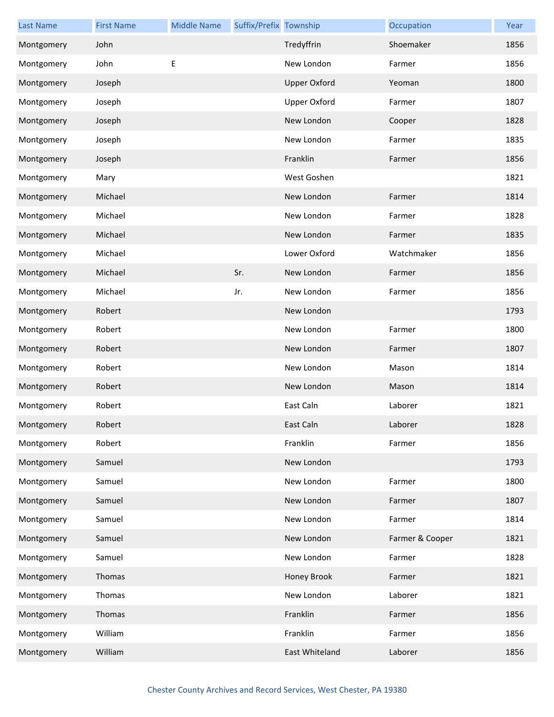| <b>Last Name</b> | <b>First Name</b> | <b>Middle Name</b> | Suffix/Prefix Township |                     | Occupation      | Year |
|------------------|-------------------|--------------------|------------------------|---------------------|-----------------|------|
| Montgomery       | John              |                    |                        | Tredyffrin          | Shoemaker       | 1856 |
| Montgomery       | John              | Е                  |                        | New London          | Farmer          | 1856 |
| Montgomery       | Joseph            |                    |                        | <b>Upper Oxford</b> | Yeoman          | 1800 |
| Montgomery       | Joseph            |                    |                        | <b>Upper Oxford</b> | Farmer          | 1807 |
| Montgomery       | Joseph            |                    |                        | New London          | Cooper          | 1828 |
| Montgomery       | Joseph            |                    |                        | New London          | Farmer          | 1835 |
| Montgomery       | Joseph            |                    |                        | Franklin            | Farmer          | 1856 |
| Montgomery       | Mary              |                    |                        | West Goshen         |                 | 1821 |
| Montgomery       | Michael           |                    |                        | New London          | Farmer          | 1814 |
| Montgomery       | Michael           |                    |                        | New London          | Farmer          | 1828 |
| Montgomery       | Michael           |                    |                        | New London          | Farmer          | 1835 |
| Montgomery       | Michael           |                    |                        | Lower Oxford        | Watchmaker      | 1856 |
| Montgomery       | Michael           |                    | Sr.                    | New London          | Farmer          | 1856 |
| Montgomery       | Michael           |                    | Jr.                    | New London          | Farmer          | 1856 |
| Montgomery       | Robert            |                    |                        | New London          |                 | 1793 |
| Montgomery       | Robert            |                    |                        | New London          | Farmer          | 1800 |
| Montgomery       | Robert            |                    |                        | New London          | Farmer          | 1807 |
| Montgomery       | Robert            |                    |                        | New London          | Mason           | 1814 |
| Montgomery       | Robert            |                    |                        | New London          | Mason           | 1814 |
| Montgomery       | Robert            |                    |                        | East Caln           | Laborer         | 1821 |
| Montgomery       | Robert            |                    |                        | East Caln           | Laborer         | 1828 |
| Montgomery       | Robert            |                    |                        | Franklin            | Farmer          | 1856 |
| Montgomery       | Samuel            |                    |                        | New London          |                 | 1793 |
| Montgomery       | Samuel            |                    |                        | New London          | Farmer          | 1800 |
| Montgomery       | Samuel            |                    |                        | New London          | Farmer          | 1807 |
| Montgomery       | Samuel            |                    |                        | New London          | Farmer          | 1814 |
| Montgomery       | Samuel            |                    |                        | New London          | Farmer & Cooper | 1821 |
| Montgomery       | Samuel            |                    |                        | New London          | Farmer          | 1828 |
| Montgomery       | Thomas            |                    |                        | Honey Brook         | Farmer          | 1821 |
| Montgomery       | Thomas            |                    |                        | New London          | Laborer         | 1821 |
| Montgomery       | Thomas            |                    |                        | Franklin            | Farmer          | 1856 |
| Montgomery       | William           |                    |                        | Franklin            | Farmer          | 1856 |
| Montgomery       | William           |                    |                        | East Whiteland      | Laborer         | 1856 |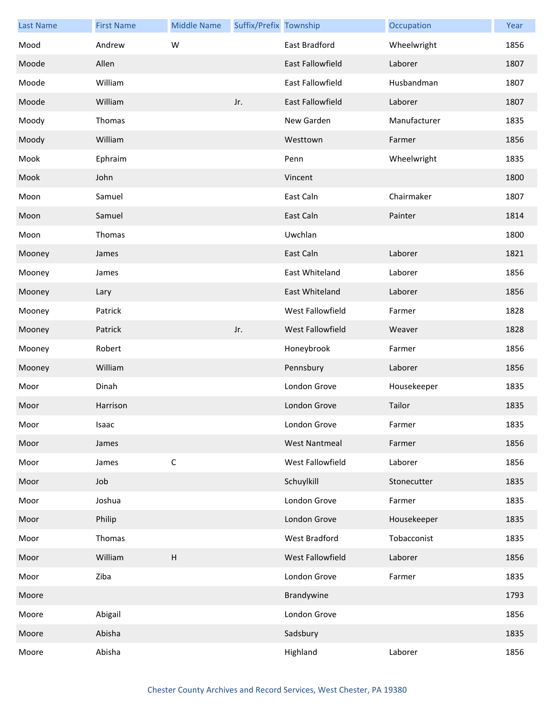| <b>Last Name</b> | <b>First Name</b> | <b>Middle Name</b>        | Suffix/Prefix Township |                         | Occupation   | Year |
|------------------|-------------------|---------------------------|------------------------|-------------------------|--------------|------|
| Mood             | Andrew            | W                         |                        | East Bradford           | Wheelwright  | 1856 |
| Moode            | Allen             |                           |                        | <b>East Fallowfield</b> | Laborer      | 1807 |
| Moode            | William           |                           |                        | East Fallowfield        | Husbandman   | 1807 |
| Moode            | William           |                           | Jr.                    | East Fallowfield        | Laborer      | 1807 |
| Moody            | Thomas            |                           |                        | New Garden              | Manufacturer | 1835 |
| Moody            | William           |                           |                        | Westtown                | Farmer       | 1856 |
| Mook             | Ephraim           |                           |                        | Penn                    | Wheelwright  | 1835 |
| Mook             | John              |                           |                        | Vincent                 |              | 1800 |
| Moon             | Samuel            |                           |                        | East Caln               | Chairmaker   | 1807 |
| Moon             | Samuel            |                           |                        | East Caln               | Painter      | 1814 |
| Moon             | Thomas            |                           |                        | Uwchlan                 |              | 1800 |
| Mooney           | James             |                           |                        | East Caln               | Laborer      | 1821 |
| Mooney           | James             |                           |                        | East Whiteland          | Laborer      | 1856 |
| Mooney           | Lary              |                           |                        | East Whiteland          | Laborer      | 1856 |
| Mooney           | Patrick           |                           |                        | West Fallowfield        | Farmer       | 1828 |
| Mooney           | Patrick           |                           | Jr.                    | <b>West Fallowfield</b> | Weaver       | 1828 |
| Mooney           | Robert            |                           |                        | Honeybrook              | Farmer       | 1856 |
| Mooney           | William           |                           |                        | Pennsbury               | Laborer      | 1856 |
| Moor             | Dinah             |                           |                        | London Grove            | Housekeeper  | 1835 |
| Moor             | Harrison          |                           |                        | London Grove            | Tailor       | 1835 |
| Moor             | Isaac             |                           |                        | London Grove            | Farmer       | 1835 |
| Moor             | James             |                           |                        | <b>West Nantmeal</b>    | Farmer       | 1856 |
| Moor             | James             | $\mathsf C$               |                        | West Fallowfield        | Laborer      | 1856 |
| Moor             | Job               |                           |                        | Schuylkill              | Stonecutter  | 1835 |
| Moor             | Joshua            |                           |                        | London Grove            | Farmer       | 1835 |
| Moor             | Philip            |                           |                        | London Grove            | Housekeeper  | 1835 |
| Moor             | Thomas            |                           |                        | West Bradford           | Tobacconist  | 1835 |
| Moor             | William           | $\boldsymbol{\mathsf{H}}$ |                        | West Fallowfield        | Laborer      | 1856 |
| Moor             | Ziba              |                           |                        | London Grove            | Farmer       | 1835 |
| Moore            |                   |                           |                        | Brandywine              |              | 1793 |
| Moore            | Abigail           |                           |                        | London Grove            |              | 1856 |
| Moore            | Abisha            |                           |                        | Sadsbury                |              | 1835 |
| Moore            | Abisha            |                           |                        | Highland                | Laborer      | 1856 |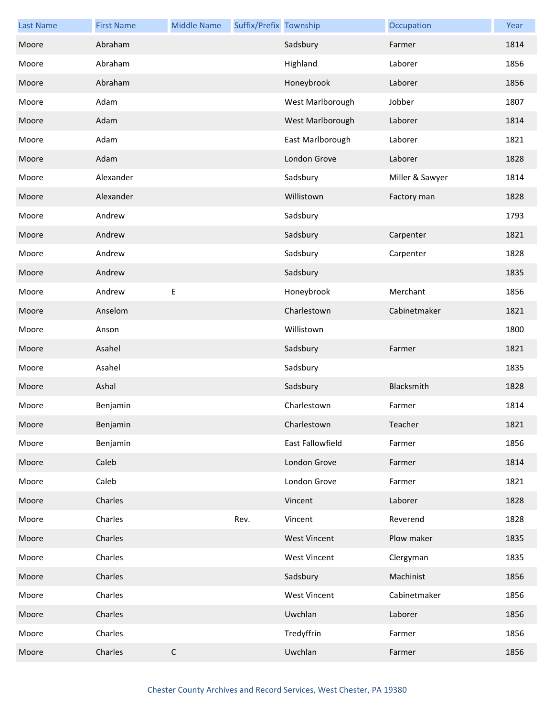| <b>Last Name</b> | <b>First Name</b> | <b>Middle Name</b> | Suffix/Prefix Township |                     | Occupation      | Year |
|------------------|-------------------|--------------------|------------------------|---------------------|-----------------|------|
| Moore            | Abraham           |                    |                        | Sadsbury            | Farmer          | 1814 |
| Moore            | Abraham           |                    |                        | Highland            | Laborer         | 1856 |
| Moore            | Abraham           |                    |                        | Honeybrook          | Laborer         | 1856 |
| Moore            | Adam              |                    |                        | West Marlborough    | Jobber          | 1807 |
| Moore            | Adam              |                    |                        | West Marlborough    | Laborer         | 1814 |
| Moore            | Adam              |                    |                        | East Marlborough    | Laborer         | 1821 |
| Moore            | Adam              |                    |                        | London Grove        | Laborer         | 1828 |
| Moore            | Alexander         |                    |                        | Sadsbury            | Miller & Sawyer | 1814 |
| Moore            | Alexander         |                    |                        | Willistown          | Factory man     | 1828 |
| Moore            | Andrew            |                    |                        | Sadsbury            |                 | 1793 |
| Moore            | Andrew            |                    |                        | Sadsbury            | Carpenter       | 1821 |
| Moore            | Andrew            |                    |                        | Sadsbury            | Carpenter       | 1828 |
| Moore            | Andrew            |                    |                        | Sadsbury            |                 | 1835 |
| Moore            | Andrew            | $\mathsf E$        |                        | Honeybrook          | Merchant        | 1856 |
| Moore            | Anselom           |                    |                        | Charlestown         | Cabinetmaker    | 1821 |
| Moore            | Anson             |                    |                        | Willistown          |                 | 1800 |
| Moore            | Asahel            |                    |                        | Sadsbury            | Farmer          | 1821 |
| Moore            | Asahel            |                    |                        | Sadsbury            |                 | 1835 |
| Moore            | Ashal             |                    |                        | Sadsbury            | Blacksmith      | 1828 |
| Moore            | Benjamin          |                    |                        | Charlestown         | Farmer          | 1814 |
| Moore            | Benjamin          |                    |                        | Charlestown         | Teacher         | 1821 |
| Moore            | Benjamin          |                    |                        | East Fallowfield    | Farmer          | 1856 |
| Moore            | Caleb             |                    |                        | London Grove        | Farmer          | 1814 |
| Moore            | Caleb             |                    |                        | London Grove        | Farmer          | 1821 |
| Moore            | Charles           |                    |                        | Vincent             | Laborer         | 1828 |
| Moore            | Charles           |                    | Rev.                   | Vincent             | Reverend        | 1828 |
| Moore            | Charles           |                    |                        | <b>West Vincent</b> | Plow maker      | 1835 |
| Moore            | Charles           |                    |                        | <b>West Vincent</b> | Clergyman       | 1835 |
| Moore            | Charles           |                    |                        | Sadsbury            | Machinist       | 1856 |
| Moore            | Charles           |                    |                        | <b>West Vincent</b> | Cabinetmaker    | 1856 |
| Moore            | Charles           |                    |                        | Uwchlan             | Laborer         | 1856 |
| Moore            | Charles           |                    |                        | Tredyffrin          | Farmer          | 1856 |
| Moore            | Charles           | $\mathsf C$        |                        | Uwchlan             | Farmer          | 1856 |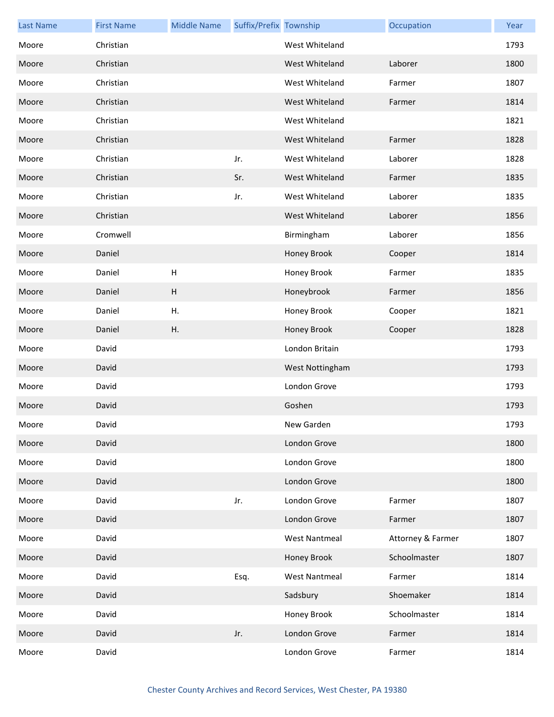| <b>Last Name</b> | <b>First Name</b> | <b>Middle Name</b>        | Suffix/Prefix Township |                      | Occupation        | Year |
|------------------|-------------------|---------------------------|------------------------|----------------------|-------------------|------|
| Moore            | Christian         |                           |                        | West Whiteland       |                   | 1793 |
| Moore            | Christian         |                           |                        | West Whiteland       | Laborer           | 1800 |
| Moore            | Christian         |                           |                        | West Whiteland       | Farmer            | 1807 |
| Moore            | Christian         |                           |                        | West Whiteland       | Farmer            | 1814 |
| Moore            | Christian         |                           |                        | West Whiteland       |                   | 1821 |
| Moore            | Christian         |                           |                        | West Whiteland       | Farmer            | 1828 |
| Moore            | Christian         |                           | Jr.                    | West Whiteland       | Laborer           | 1828 |
| Moore            | Christian         |                           | Sr.                    | West Whiteland       | Farmer            | 1835 |
| Moore            | Christian         |                           | Jr.                    | West Whiteland       | Laborer           | 1835 |
| Moore            | Christian         |                           |                        | West Whiteland       | Laborer           | 1856 |
| Moore            | Cromwell          |                           |                        | Birmingham           | Laborer           | 1856 |
| Moore            | Daniel            |                           |                        | Honey Brook          | Cooper            | 1814 |
| Moore            | Daniel            | H                         |                        | Honey Brook          | Farmer            | 1835 |
| Moore            | Daniel            | $\boldsymbol{\mathsf{H}}$ |                        | Honeybrook           | Farmer            | 1856 |
| Moore            | Daniel            | Η.                        |                        | Honey Brook          | Cooper            | 1821 |
| Moore            | Daniel            | Η.                        |                        | Honey Brook          | Cooper            | 1828 |
| Moore            | David             |                           |                        | London Britain       |                   | 1793 |
| Moore            | David             |                           |                        | West Nottingham      |                   | 1793 |
| Moore            | David             |                           |                        | London Grove         |                   | 1793 |
| Moore            | David             |                           |                        | Goshen               |                   | 1793 |
| Moore            | David             |                           |                        | New Garden           |                   | 1793 |
| Moore            | David             |                           |                        | London Grove         |                   | 1800 |
| Moore            | David             |                           |                        | London Grove         |                   | 1800 |
| Moore            | David             |                           |                        | London Grove         |                   | 1800 |
| Moore            | David             |                           | Jr.                    | London Grove         | Farmer            | 1807 |
| Moore            | David             |                           |                        | London Grove         | Farmer            | 1807 |
| Moore            | David             |                           |                        | <b>West Nantmeal</b> | Attorney & Farmer | 1807 |
| Moore            | David             |                           |                        | Honey Brook          | Schoolmaster      | 1807 |
| Moore            | David             |                           | Esq.                   | <b>West Nantmeal</b> | Farmer            | 1814 |
| Moore            | David             |                           |                        | Sadsbury             | Shoemaker         | 1814 |
| Moore            | David             |                           |                        | Honey Brook          | Schoolmaster      | 1814 |
| Moore            | David             |                           | Jr.                    | London Grove         | Farmer            | 1814 |
| Moore            | David             |                           |                        | London Grove         | Farmer            | 1814 |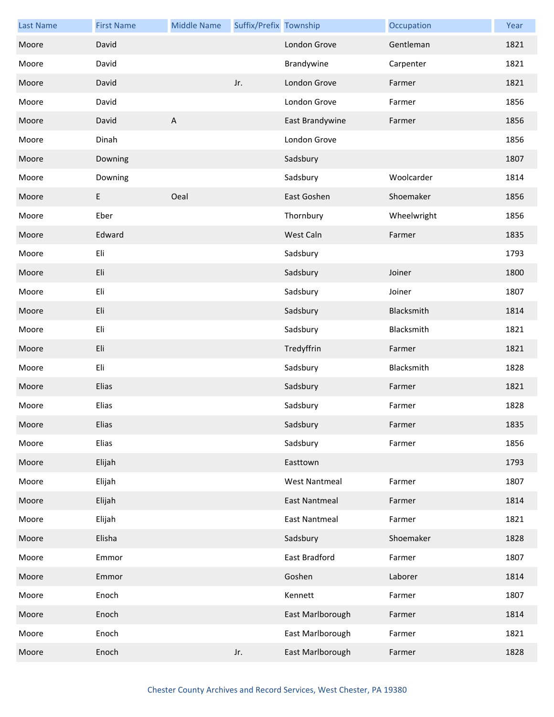| <b>Last Name</b> | <b>First Name</b> | <b>Middle Name</b>        | Suffix/Prefix Township |                      | Occupation  | Year |
|------------------|-------------------|---------------------------|------------------------|----------------------|-------------|------|
| Moore            | David             |                           |                        | London Grove         | Gentleman   | 1821 |
| Moore            | David             |                           |                        | Brandywine           | Carpenter   | 1821 |
| Moore            | David             |                           | Jr.                    | London Grove         | Farmer      | 1821 |
| Moore            | David             |                           |                        | London Grove         | Farmer      | 1856 |
| Moore            | David             | $\boldsymbol{\mathsf{A}}$ |                        | East Brandywine      | Farmer      | 1856 |
| Moore            | Dinah             |                           |                        | London Grove         |             | 1856 |
| Moore            | Downing           |                           |                        | Sadsbury             |             | 1807 |
| Moore            | Downing           |                           |                        | Sadsbury             | Woolcarder  | 1814 |
| Moore            | E                 | Oeal                      |                        | East Goshen          | Shoemaker   | 1856 |
| Moore            | Eber              |                           |                        | Thornbury            | Wheelwright | 1856 |
| Moore            | Edward            |                           |                        | West Caln            | Farmer      | 1835 |
| Moore            | Eli               |                           |                        | Sadsbury             |             | 1793 |
| Moore            | Eli               |                           |                        | Sadsbury             | Joiner      | 1800 |
| Moore            | Eli               |                           |                        | Sadsbury             | Joiner      | 1807 |
| Moore            | Eli               |                           |                        | Sadsbury             | Blacksmith  | 1814 |
| Moore            | Eli               |                           |                        | Sadsbury             | Blacksmith  | 1821 |
| Moore            | Eli               |                           |                        | Tredyffrin           | Farmer      | 1821 |
| Moore            | Eli               |                           |                        | Sadsbury             | Blacksmith  | 1828 |
| Moore            | Elias             |                           |                        | Sadsbury             | Farmer      | 1821 |
| Moore            | Elias             |                           |                        | Sadsbury             | Farmer      | 1828 |
| Moore            | Elias             |                           |                        | Sadsbury             | Farmer      | 1835 |
| Moore            | Elias             |                           |                        | Sadsbury             | Farmer      | 1856 |
| Moore            | Elijah            |                           |                        | Easttown             |             | 1793 |
| Moore            | Elijah            |                           |                        | <b>West Nantmeal</b> | Farmer      | 1807 |
| Moore            | Elijah            |                           |                        | <b>East Nantmeal</b> | Farmer      | 1814 |
| Moore            | Elijah            |                           |                        | <b>East Nantmeal</b> | Farmer      | 1821 |
| Moore            | Elisha            |                           |                        | Sadsbury             | Shoemaker   | 1828 |
| Moore            | Emmor             |                           |                        | East Bradford        | Farmer      | 1807 |
| Moore            | Emmor             |                           |                        | Goshen               | Laborer     | 1814 |
| Moore            | Enoch             |                           |                        | Kennett              | Farmer      | 1807 |
| Moore            | Enoch             |                           |                        | East Marlborough     | Farmer      | 1814 |
| Moore            | Enoch             |                           |                        | East Marlborough     | Farmer      | 1821 |
| Moore            | Enoch             |                           | Jr.                    | East Marlborough     | Farmer      | 1828 |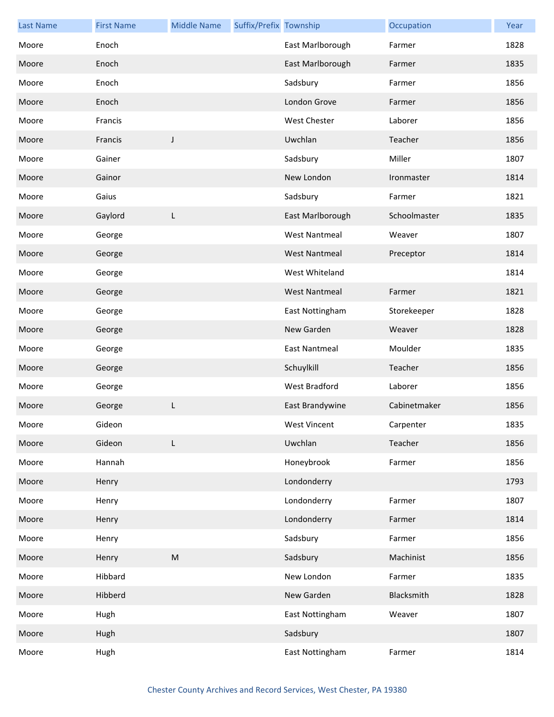| <b>Last Name</b> | <b>First Name</b> | <b>Middle Name</b> | Suffix/Prefix Township |                      | Occupation   | Year |
|------------------|-------------------|--------------------|------------------------|----------------------|--------------|------|
| Moore            | Enoch             |                    |                        | East Marlborough     | Farmer       | 1828 |
| Moore            | Enoch             |                    |                        | East Marlborough     | Farmer       | 1835 |
| Moore            | Enoch             |                    |                        | Sadsbury             | Farmer       | 1856 |
| Moore            | Enoch             |                    |                        | London Grove         | Farmer       | 1856 |
| Moore            | Francis           |                    |                        | West Chester         | Laborer      | 1856 |
| Moore            | Francis           | J                  |                        | Uwchlan              | Teacher      | 1856 |
| Moore            | Gainer            |                    |                        | Sadsbury             | Miller       | 1807 |
| Moore            | Gainor            |                    |                        | New London           | Ironmaster   | 1814 |
| Moore            | Gaius             |                    |                        | Sadsbury             | Farmer       | 1821 |
| Moore            | Gaylord           | L                  |                        | East Marlborough     | Schoolmaster | 1835 |
| Moore            | George            |                    |                        | <b>West Nantmeal</b> | Weaver       | 1807 |
| Moore            | George            |                    |                        | <b>West Nantmeal</b> | Preceptor    | 1814 |
| Moore            | George            |                    |                        | West Whiteland       |              | 1814 |
| Moore            | George            |                    |                        | <b>West Nantmeal</b> | Farmer       | 1821 |
| Moore            | George            |                    |                        | East Nottingham      | Storekeeper  | 1828 |
| Moore            | George            |                    |                        | New Garden           | Weaver       | 1828 |
| Moore            | George            |                    |                        | <b>East Nantmeal</b> | Moulder      | 1835 |
| Moore            | George            |                    |                        | Schuylkill           | Teacher      | 1856 |
| Moore            | George            |                    |                        | <b>West Bradford</b> | Laborer      | 1856 |
| Moore            | George            | L                  |                        | East Brandywine      | Cabinetmaker | 1856 |
| Moore            | Gideon            |                    |                        | West Vincent         | Carpenter    | 1835 |
| Moore            | Gideon            | L                  |                        | Uwchlan              | Teacher      | 1856 |
| Moore            | Hannah            |                    |                        | Honeybrook           | Farmer       | 1856 |
| Moore            | Henry             |                    |                        | Londonderry          |              | 1793 |
| Moore            | Henry             |                    |                        | Londonderry          | Farmer       | 1807 |
| Moore            | Henry             |                    |                        | Londonderry          | Farmer       | 1814 |
| Moore            | Henry             |                    |                        | Sadsbury             | Farmer       | 1856 |
| Moore            | Henry             | ${\sf M}$          |                        | Sadsbury             | Machinist    | 1856 |
| Moore            | Hibbard           |                    |                        | New London           | Farmer       | 1835 |
| Moore            | Hibberd           |                    |                        | New Garden           | Blacksmith   | 1828 |
| Moore            | Hugh              |                    |                        | East Nottingham      | Weaver       | 1807 |
| Moore            | Hugh              |                    |                        | Sadsbury             |              | 1807 |
| Moore            | Hugh              |                    |                        | East Nottingham      | Farmer       | 1814 |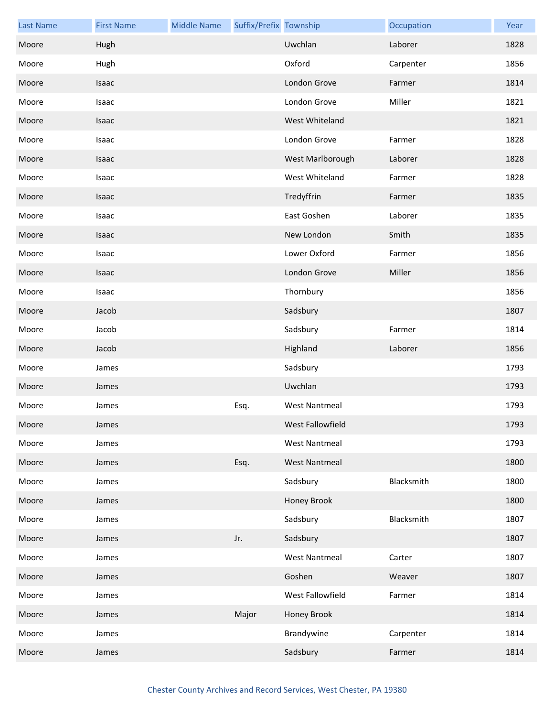| <b>Last Name</b> | <b>First Name</b> | <b>Middle Name</b> | Suffix/Prefix Township |                      | Occupation | Year |
|------------------|-------------------|--------------------|------------------------|----------------------|------------|------|
| Moore            | Hugh              |                    |                        | Uwchlan              | Laborer    | 1828 |
| Moore            | Hugh              |                    |                        | Oxford               | Carpenter  | 1856 |
| Moore            | Isaac             |                    |                        | London Grove         | Farmer     | 1814 |
| Moore            | Isaac             |                    |                        | London Grove         | Miller     | 1821 |
| Moore            | Isaac             |                    |                        | West Whiteland       |            | 1821 |
| Moore            | Isaac             |                    |                        | London Grove         | Farmer     | 1828 |
| Moore            | Isaac             |                    |                        | West Marlborough     | Laborer    | 1828 |
| Moore            | Isaac             |                    |                        | West Whiteland       | Farmer     | 1828 |
| Moore            | Isaac             |                    |                        | Tredyffrin           | Farmer     | 1835 |
| Moore            | Isaac             |                    |                        | East Goshen          | Laborer    | 1835 |
| Moore            | Isaac             |                    |                        | New London           | Smith      | 1835 |
| Moore            | Isaac             |                    |                        | Lower Oxford         | Farmer     | 1856 |
| Moore            | Isaac             |                    |                        | London Grove         | Miller     | 1856 |
| Moore            | Isaac             |                    |                        | Thornbury            |            | 1856 |
| Moore            | Jacob             |                    |                        | Sadsbury             |            | 1807 |
| Moore            | Jacob             |                    |                        | Sadsbury             | Farmer     | 1814 |
| Moore            | Jacob             |                    |                        | Highland             | Laborer    | 1856 |
| Moore            | James             |                    |                        | Sadsbury             |            | 1793 |
| Moore            | James             |                    |                        | Uwchlan              |            | 1793 |
| Moore            | James             |                    | Esq.                   | <b>West Nantmeal</b> |            | 1793 |
| Moore            | James             |                    |                        | West Fallowfield     |            | 1793 |
| Moore            | James             |                    |                        | <b>West Nantmeal</b> |            | 1793 |
| Moore            | James             |                    | Esq.                   | <b>West Nantmeal</b> |            | 1800 |
| Moore            | James             |                    |                        | Sadsbury             | Blacksmith | 1800 |
| Moore            | James             |                    |                        | Honey Brook          |            | 1800 |
| Moore            | James             |                    |                        | Sadsbury             | Blacksmith | 1807 |
| Moore            | James             |                    | Jr.                    | Sadsbury             |            | 1807 |
| Moore            | James             |                    |                        | <b>West Nantmeal</b> | Carter     | 1807 |
| Moore            | James             |                    |                        | Goshen               | Weaver     | 1807 |
| Moore            | James             |                    |                        | West Fallowfield     | Farmer     | 1814 |
| Moore            | James             |                    | Major                  | Honey Brook          |            | 1814 |
| Moore            | James             |                    |                        | Brandywine           | Carpenter  | 1814 |
| Moore            | James             |                    |                        | Sadsbury             | Farmer     | 1814 |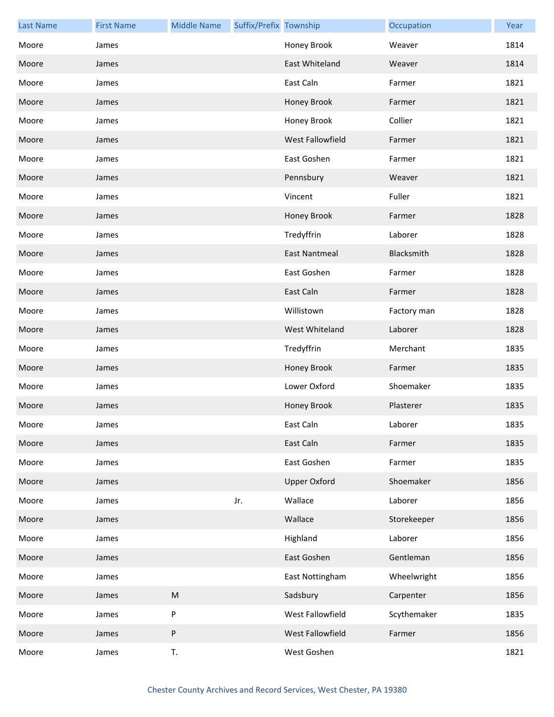| <b>Last Name</b> | <b>First Name</b> | <b>Middle Name</b> | Suffix/Prefix Township |                      | Occupation  | Year |
|------------------|-------------------|--------------------|------------------------|----------------------|-------------|------|
| Moore            | James             |                    |                        | Honey Brook          | Weaver      | 1814 |
| Moore            | James             |                    |                        | East Whiteland       | Weaver      | 1814 |
| Moore            | James             |                    |                        | East Caln            | Farmer      | 1821 |
| Moore            | James             |                    |                        | Honey Brook          | Farmer      | 1821 |
| Moore            | James             |                    |                        | Honey Brook          | Collier     | 1821 |
| Moore            | James             |                    |                        | West Fallowfield     | Farmer      | 1821 |
| Moore            | James             |                    |                        | East Goshen          | Farmer      | 1821 |
| Moore            | James             |                    |                        | Pennsbury            | Weaver      | 1821 |
| Moore            | James             |                    |                        | Vincent              | Fuller      | 1821 |
| Moore            | James             |                    |                        | Honey Brook          | Farmer      | 1828 |
| Moore            | James             |                    |                        | Tredyffrin           | Laborer     | 1828 |
| Moore            | James             |                    |                        | <b>East Nantmeal</b> | Blacksmith  | 1828 |
| Moore            | James             |                    |                        | East Goshen          | Farmer      | 1828 |
| Moore            | James             |                    |                        | East Caln            | Farmer      | 1828 |
| Moore            | James             |                    |                        | Willistown           | Factory man | 1828 |
| Moore            | James             |                    |                        | West Whiteland       | Laborer     | 1828 |
| Moore            | James             |                    |                        | Tredyffrin           | Merchant    | 1835 |
| Moore            | James             |                    |                        | Honey Brook          | Farmer      | 1835 |
| Moore            | James             |                    |                        | Lower Oxford         | Shoemaker   | 1835 |
| Moore            | James             |                    |                        | Honey Brook          | Plasterer   | 1835 |
| Moore            | James             |                    |                        | East Caln            | Laborer     | 1835 |
| Moore            | James             |                    |                        | East Caln            | Farmer      | 1835 |
| Moore            | James             |                    |                        | East Goshen          | Farmer      | 1835 |
| Moore            | James             |                    |                        | <b>Upper Oxford</b>  | Shoemaker   | 1856 |
| Moore            | James             |                    | Jr.                    | Wallace              | Laborer     | 1856 |
| Moore            | James             |                    |                        | Wallace              | Storekeeper | 1856 |
| Moore            | James             |                    |                        | Highland             | Laborer     | 1856 |
| Moore            | James             |                    |                        | East Goshen          | Gentleman   | 1856 |
| Moore            | James             |                    |                        | East Nottingham      | Wheelwright | 1856 |
| Moore            | James             | ${\sf M}$          |                        | Sadsbury             | Carpenter   | 1856 |
| Moore            | James             | P                  |                        | West Fallowfield     | Scythemaker | 1835 |
| Moore            | James             | P                  |                        | West Fallowfield     | Farmer      | 1856 |
| Moore            | James             | T.                 |                        | West Goshen          |             | 1821 |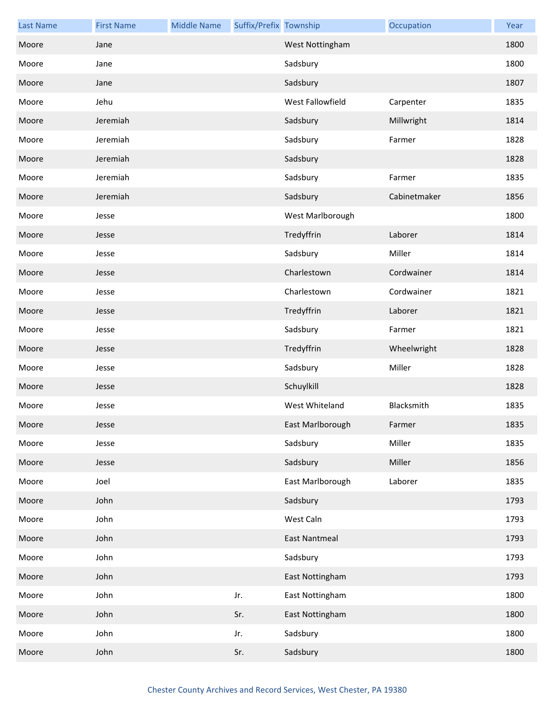| <b>Last Name</b> | <b>First Name</b> | <b>Middle Name</b> | Suffix/Prefix Township |                  | Occupation   | Year |
|------------------|-------------------|--------------------|------------------------|------------------|--------------|------|
| Moore            | Jane              |                    |                        | West Nottingham  |              | 1800 |
| Moore            | Jane              |                    |                        | Sadsbury         |              | 1800 |
| Moore            | Jane              |                    |                        | Sadsbury         |              | 1807 |
| Moore            | Jehu              |                    |                        | West Fallowfield | Carpenter    | 1835 |
| Moore            | Jeremiah          |                    |                        | Sadsbury         | Millwright   | 1814 |
| Moore            | Jeremiah          |                    |                        | Sadsbury         | Farmer       | 1828 |
| Moore            | Jeremiah          |                    |                        | Sadsbury         |              | 1828 |
| Moore            | Jeremiah          |                    |                        | Sadsbury         | Farmer       | 1835 |
| Moore            | Jeremiah          |                    |                        | Sadsbury         | Cabinetmaker | 1856 |
| Moore            | Jesse             |                    |                        | West Marlborough |              | 1800 |
| Moore            | Jesse             |                    |                        | Tredyffrin       | Laborer      | 1814 |
| Moore            | Jesse             |                    |                        | Sadsbury         | Miller       | 1814 |
| Moore            | Jesse             |                    |                        | Charlestown      | Cordwainer   | 1814 |
| Moore            | Jesse             |                    |                        | Charlestown      | Cordwainer   | 1821 |
| Moore            | Jesse             |                    |                        | Tredyffrin       | Laborer      | 1821 |
| Moore            | Jesse             |                    |                        | Sadsbury         | Farmer       | 1821 |
| Moore            | Jesse             |                    |                        | Tredyffrin       | Wheelwright  | 1828 |
| Moore            | Jesse             |                    |                        | Sadsbury         | Miller       | 1828 |
| Moore            | Jesse             |                    |                        | Schuylkill       |              | 1828 |
| Moore            | Jesse             |                    |                        | West Whiteland   | Blacksmith   | 1835 |
| Moore            | Jesse             |                    |                        | East Marlborough | Farmer       | 1835 |
| Moore            | Jesse             |                    |                        | Sadsbury         | Miller       | 1835 |
| Moore            | Jesse             |                    |                        | Sadsbury         | Miller       | 1856 |
| Moore            | Joel              |                    |                        | East Marlborough | Laborer      | 1835 |
| Moore            | John              |                    |                        | Sadsbury         |              | 1793 |
| Moore            | John              |                    |                        | West Caln        |              | 1793 |
| Moore            | John              |                    |                        | East Nantmeal    |              | 1793 |
| Moore            | John              |                    |                        | Sadsbury         |              | 1793 |
| Moore            | John              |                    |                        | East Nottingham  |              | 1793 |
| Moore            | John              |                    | Jr.                    | East Nottingham  |              | 1800 |
| Moore            | John              |                    | Sr.                    | East Nottingham  |              | 1800 |
| Moore            | John              |                    | Jr.                    | Sadsbury         |              | 1800 |
| Moore            | John              |                    | Sr.                    | Sadsbury         |              | 1800 |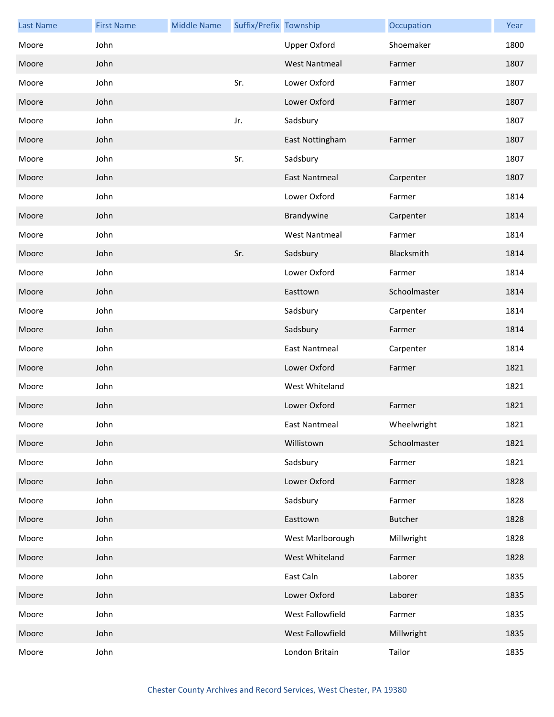| <b>Last Name</b> | <b>First Name</b> | <b>Middle Name</b> | Suffix/Prefix Township |                      | Occupation     | Year |
|------------------|-------------------|--------------------|------------------------|----------------------|----------------|------|
| Moore            | John              |                    |                        | <b>Upper Oxford</b>  | Shoemaker      | 1800 |
| Moore            | John              |                    |                        | <b>West Nantmeal</b> | Farmer         | 1807 |
| Moore            | John              |                    | Sr.                    | Lower Oxford         | Farmer         | 1807 |
| Moore            | John              |                    |                        | Lower Oxford         | Farmer         | 1807 |
| Moore            | John              |                    | Jr.                    | Sadsbury             |                | 1807 |
| Moore            | John              |                    |                        | East Nottingham      | Farmer         | 1807 |
| Moore            | John              |                    | Sr.                    | Sadsbury             |                | 1807 |
| Moore            | John              |                    |                        | <b>East Nantmeal</b> | Carpenter      | 1807 |
| Moore            | John              |                    |                        | Lower Oxford         | Farmer         | 1814 |
| Moore            | John              |                    |                        | Brandywine           | Carpenter      | 1814 |
| Moore            | John              |                    |                        | <b>West Nantmeal</b> | Farmer         | 1814 |
| Moore            | John              |                    | Sr.                    | Sadsbury             | Blacksmith     | 1814 |
| Moore            | John              |                    |                        | Lower Oxford         | Farmer         | 1814 |
| Moore            | John              |                    |                        | Easttown             | Schoolmaster   | 1814 |
| Moore            | John              |                    |                        | Sadsbury             | Carpenter      | 1814 |
| Moore            | John              |                    |                        | Sadsbury             | Farmer         | 1814 |
| Moore            | John              |                    |                        | <b>East Nantmeal</b> | Carpenter      | 1814 |
| Moore            | John              |                    |                        | Lower Oxford         | Farmer         | 1821 |
| Moore            | John              |                    |                        | West Whiteland       |                | 1821 |
| Moore            | John              |                    |                        | Lower Oxford         | Farmer         | 1821 |
| Moore            | John              |                    |                        | East Nantmeal        | Wheelwright    | 1821 |
| Moore            | John              |                    |                        | Willistown           | Schoolmaster   | 1821 |
| Moore            | John              |                    |                        | Sadsbury             | Farmer         | 1821 |
| Moore            | John              |                    |                        | Lower Oxford         | Farmer         | 1828 |
| Moore            | John              |                    |                        | Sadsbury             | Farmer         | 1828 |
| Moore            | John              |                    |                        | Easttown             | <b>Butcher</b> | 1828 |
| Moore            | John              |                    |                        | West Marlborough     | Millwright     | 1828 |
| Moore            | John              |                    |                        | West Whiteland       | Farmer         | 1828 |
| Moore            | John              |                    |                        | East Caln            | Laborer        | 1835 |
| Moore            | John              |                    |                        | Lower Oxford         | Laborer        | 1835 |
| Moore            | John              |                    |                        | West Fallowfield     | Farmer         | 1835 |
| Moore            | John              |                    |                        | West Fallowfield     | Millwright     | 1835 |
| Moore            | John              |                    |                        | London Britain       | Tailor         | 1835 |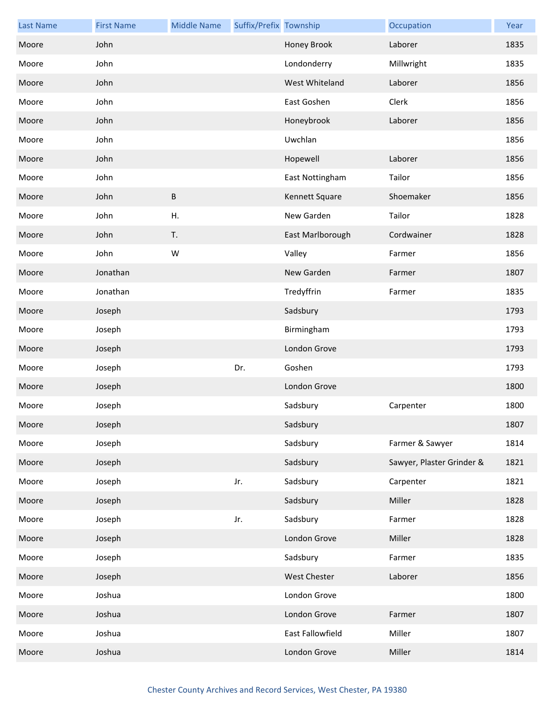| <b>Last Name</b> | <b>First Name</b> | <b>Middle Name</b> | Suffix/Prefix Township |                     | Occupation                | Year |
|------------------|-------------------|--------------------|------------------------|---------------------|---------------------------|------|
| Moore            | John              |                    |                        | Honey Brook         | Laborer                   | 1835 |
| Moore            | John              |                    |                        | Londonderry         | Millwright                | 1835 |
| Moore            | John              |                    |                        | West Whiteland      | Laborer                   | 1856 |
| Moore            | John              |                    |                        | East Goshen         | Clerk                     | 1856 |
| Moore            | John              |                    |                        | Honeybrook          | Laborer                   | 1856 |
| Moore            | John              |                    |                        | Uwchlan             |                           | 1856 |
| Moore            | John              |                    |                        | Hopewell            | Laborer                   | 1856 |
| Moore            | John              |                    |                        | East Nottingham     | Tailor                    | 1856 |
| Moore            | John              | $\sf B$            |                        | Kennett Square      | Shoemaker                 | 1856 |
| Moore            | John              | H.                 |                        | New Garden          | Tailor                    | 1828 |
| Moore            | John              | T.                 |                        | East Marlborough    | Cordwainer                | 1828 |
| Moore            | John              | W                  |                        | Valley              | Farmer                    | 1856 |
| Moore            | Jonathan          |                    |                        | New Garden          | Farmer                    | 1807 |
| Moore            | Jonathan          |                    |                        | Tredyffrin          | Farmer                    | 1835 |
| Moore            | Joseph            |                    |                        | Sadsbury            |                           | 1793 |
| Moore            | Joseph            |                    |                        | Birmingham          |                           | 1793 |
| Moore            | Joseph            |                    |                        | London Grove        |                           | 1793 |
| Moore            | Joseph            |                    | Dr.                    | Goshen              |                           | 1793 |
| Moore            | Joseph            |                    |                        | London Grove        |                           | 1800 |
| Moore            | Joseph            |                    |                        | Sadsbury            | Carpenter                 | 1800 |
| Moore            | Joseph            |                    |                        | Sadsbury            |                           | 1807 |
| Moore            | Joseph            |                    |                        | Sadsbury            | Farmer & Sawyer           | 1814 |
| Moore            | Joseph            |                    |                        | Sadsbury            | Sawyer, Plaster Grinder & | 1821 |
| Moore            | Joseph            |                    | Jr.                    | Sadsbury            | Carpenter                 | 1821 |
| Moore            | Joseph            |                    |                        | Sadsbury            | Miller                    | 1828 |
| Moore            | Joseph            |                    | Jr.                    | Sadsbury            | Farmer                    | 1828 |
| Moore            | Joseph            |                    |                        | London Grove        | Miller                    | 1828 |
| Moore            | Joseph            |                    |                        | Sadsbury            | Farmer                    | 1835 |
| Moore            | Joseph            |                    |                        | <b>West Chester</b> | Laborer                   | 1856 |
| Moore            | Joshua            |                    |                        | London Grove        |                           | 1800 |
| Moore            | Joshua            |                    |                        | London Grove        | Farmer                    | 1807 |
| Moore            | Joshua            |                    |                        | East Fallowfield    | Miller                    | 1807 |
| Moore            | Joshua            |                    |                        | London Grove        | Miller                    | 1814 |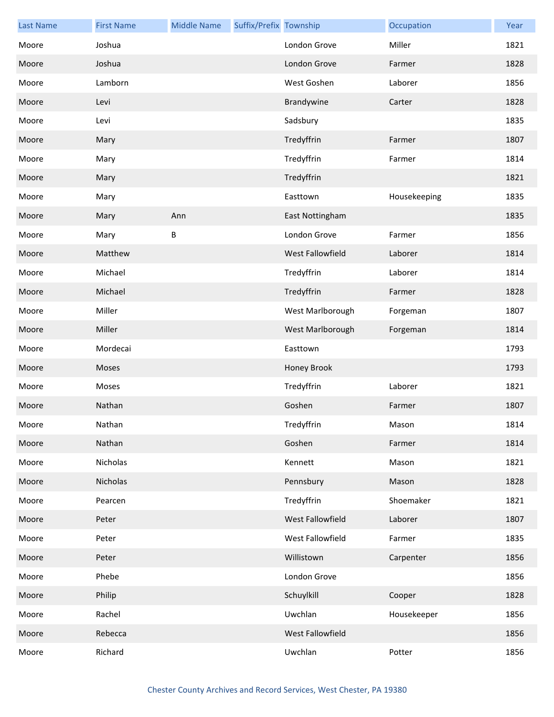| <b>Last Name</b> | <b>First Name</b> | <b>Middle Name</b> | Suffix/Prefix Township |                  | Occupation   | Year |
|------------------|-------------------|--------------------|------------------------|------------------|--------------|------|
| Moore            | Joshua            |                    |                        | London Grove     | Miller       | 1821 |
| Moore            | Joshua            |                    |                        | London Grove     | Farmer       | 1828 |
| Moore            | Lamborn           |                    |                        | West Goshen      | Laborer      | 1856 |
| Moore            | Levi              |                    |                        | Brandywine       | Carter       | 1828 |
| Moore            | Levi              |                    |                        | Sadsbury         |              | 1835 |
| Moore            | Mary              |                    |                        | Tredyffrin       | Farmer       | 1807 |
| Moore            | Mary              |                    |                        | Tredyffrin       | Farmer       | 1814 |
| Moore            | Mary              |                    |                        | Tredyffrin       |              | 1821 |
| Moore            | Mary              |                    |                        | Easttown         | Housekeeping | 1835 |
| Moore            | Mary              | Ann                |                        | East Nottingham  |              | 1835 |
| Moore            | Mary              | В                  |                        | London Grove     | Farmer       | 1856 |
| Moore            | Matthew           |                    |                        | West Fallowfield | Laborer      | 1814 |
| Moore            | Michael           |                    |                        | Tredyffrin       | Laborer      | 1814 |
| Moore            | Michael           |                    |                        | Tredyffrin       | Farmer       | 1828 |
| Moore            | Miller            |                    |                        | West Marlborough | Forgeman     | 1807 |
| Moore            | Miller            |                    |                        | West Marlborough | Forgeman     | 1814 |
| Moore            | Mordecai          |                    |                        | Easttown         |              | 1793 |
| Moore            | Moses             |                    |                        | Honey Brook      |              | 1793 |
| Moore            | Moses             |                    |                        | Tredyffrin       | Laborer      | 1821 |
| Moore            | Nathan            |                    |                        | Goshen           | Farmer       | 1807 |
| Moore            | Nathan            |                    |                        | Tredyffrin       | Mason        | 1814 |
| Moore            | Nathan            |                    |                        | Goshen           | Farmer       | 1814 |
| Moore            | Nicholas          |                    |                        | Kennett          | Mason        | 1821 |
| Moore            | Nicholas          |                    |                        | Pennsbury        | Mason        | 1828 |
| Moore            | Pearcen           |                    |                        | Tredyffrin       | Shoemaker    | 1821 |
| Moore            | Peter             |                    |                        | West Fallowfield | Laborer      | 1807 |
| Moore            | Peter             |                    |                        | West Fallowfield | Farmer       | 1835 |
| Moore            | Peter             |                    |                        | Willistown       | Carpenter    | 1856 |
| Moore            | Phebe             |                    |                        | London Grove     |              | 1856 |
| Moore            | Philip            |                    |                        | Schuylkill       | Cooper       | 1828 |
| Moore            | Rachel            |                    |                        | Uwchlan          | Housekeeper  | 1856 |
| Moore            | Rebecca           |                    |                        | West Fallowfield |              | 1856 |
| Moore            | Richard           |                    |                        | Uwchlan          | Potter       | 1856 |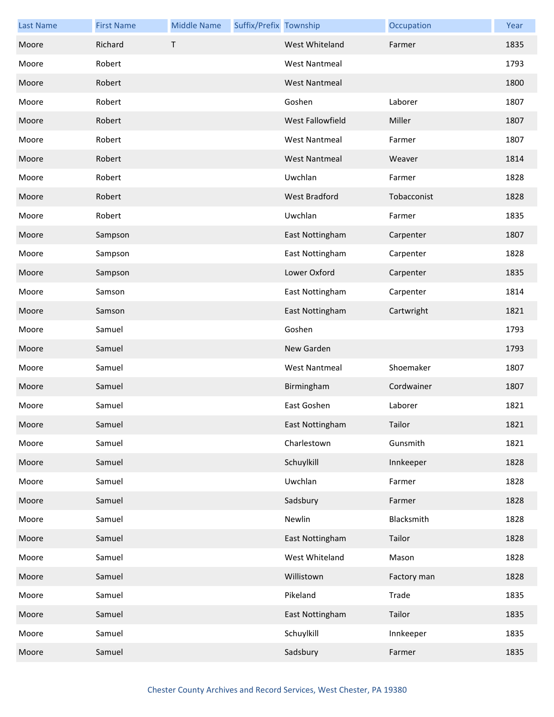| <b>Last Name</b> | <b>First Name</b> | <b>Middle Name</b> | Suffix/Prefix Township |                         | Occupation  | Year |
|------------------|-------------------|--------------------|------------------------|-------------------------|-------------|------|
| Moore            | Richard           | $\sf T$            |                        | West Whiteland          | Farmer      | 1835 |
| Moore            | Robert            |                    |                        | <b>West Nantmeal</b>    |             | 1793 |
| Moore            | Robert            |                    |                        | <b>West Nantmeal</b>    |             | 1800 |
| Moore            | Robert            |                    |                        | Goshen                  | Laborer     | 1807 |
| Moore            | Robert            |                    |                        | <b>West Fallowfield</b> | Miller      | 1807 |
| Moore            | Robert            |                    |                        | <b>West Nantmeal</b>    | Farmer      | 1807 |
| Moore            | Robert            |                    |                        | <b>West Nantmeal</b>    | Weaver      | 1814 |
| Moore            | Robert            |                    |                        | Uwchlan                 | Farmer      | 1828 |
| Moore            | Robert            |                    |                        | West Bradford           | Tobacconist | 1828 |
| Moore            | Robert            |                    |                        | Uwchlan                 | Farmer      | 1835 |
| Moore            | Sampson           |                    |                        | East Nottingham         | Carpenter   | 1807 |
| Moore            | Sampson           |                    |                        | East Nottingham         | Carpenter   | 1828 |
| Moore            | Sampson           |                    |                        | Lower Oxford            | Carpenter   | 1835 |
| Moore            | Samson            |                    |                        | East Nottingham         | Carpenter   | 1814 |
| Moore            | Samson            |                    |                        | East Nottingham         | Cartwright  | 1821 |
| Moore            | Samuel            |                    |                        | Goshen                  |             | 1793 |
| Moore            | Samuel            |                    |                        | New Garden              |             | 1793 |
| Moore            | Samuel            |                    |                        | <b>West Nantmeal</b>    | Shoemaker   | 1807 |
| Moore            | Samuel            |                    |                        | Birmingham              | Cordwainer  | 1807 |
| Moore            | Samuel            |                    |                        | East Goshen             | Laborer     | 1821 |
| Moore            | Samuel            |                    |                        | East Nottingham         | Tailor      | 1821 |
| Moore            | Samuel            |                    |                        | Charlestown             | Gunsmith    | 1821 |
| Moore            | Samuel            |                    |                        | Schuylkill              | Innkeeper   | 1828 |
| Moore            | Samuel            |                    |                        | Uwchlan                 | Farmer      | 1828 |
| Moore            | Samuel            |                    |                        | Sadsbury                | Farmer      | 1828 |
| Moore            | Samuel            |                    |                        | Newlin                  | Blacksmith  | 1828 |
| Moore            | Samuel            |                    |                        | East Nottingham         | Tailor      | 1828 |
| Moore            | Samuel            |                    |                        | West Whiteland          | Mason       | 1828 |
| Moore            | Samuel            |                    |                        | Willistown              | Factory man | 1828 |
| Moore            | Samuel            |                    |                        | Pikeland                | Trade       | 1835 |
| Moore            | Samuel            |                    |                        | East Nottingham         | Tailor      | 1835 |
| Moore            | Samuel            |                    |                        | Schuylkill              | Innkeeper   | 1835 |
| Moore            | Samuel            |                    |                        | Sadsbury                | Farmer      | 1835 |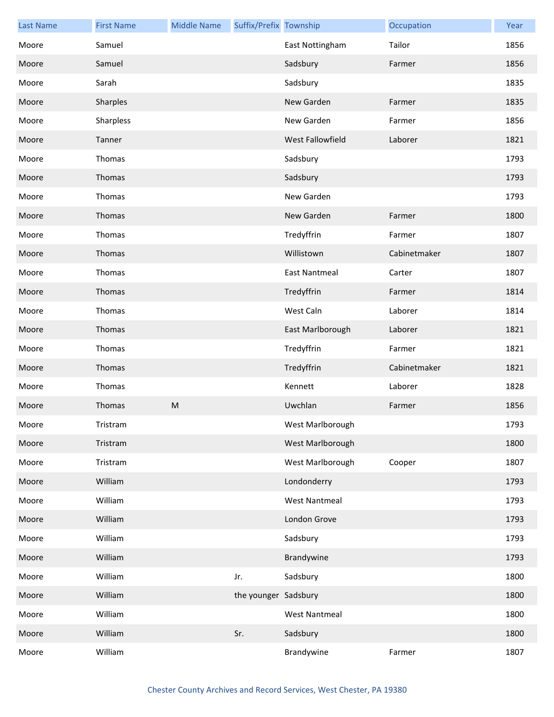| <b>Last Name</b> | <b>First Name</b> | <b>Middle Name</b> | Suffix/Prefix Township |                      | Occupation   | Year |
|------------------|-------------------|--------------------|------------------------|----------------------|--------------|------|
| Moore            | Samuel            |                    |                        | East Nottingham      | Tailor       | 1856 |
| Moore            | Samuel            |                    |                        | Sadsbury             | Farmer       | 1856 |
| Moore            | Sarah             |                    |                        | Sadsbury             |              | 1835 |
| Moore            | Sharples          |                    |                        | New Garden           | Farmer       | 1835 |
| Moore            | Sharpless         |                    |                        | New Garden           | Farmer       | 1856 |
| Moore            | Tanner            |                    |                        | West Fallowfield     | Laborer      | 1821 |
| Moore            | Thomas            |                    |                        | Sadsbury             |              | 1793 |
| Moore            | Thomas            |                    |                        | Sadsbury             |              | 1793 |
| Moore            | Thomas            |                    |                        | New Garden           |              | 1793 |
| Moore            | Thomas            |                    |                        | New Garden           | Farmer       | 1800 |
| Moore            | Thomas            |                    |                        | Tredyffrin           | Farmer       | 1807 |
| Moore            | Thomas            |                    |                        | Willistown           | Cabinetmaker | 1807 |
| Moore            | Thomas            |                    |                        | <b>East Nantmeal</b> | Carter       | 1807 |
| Moore            | Thomas            |                    |                        | Tredyffrin           | Farmer       | 1814 |
| Moore            | Thomas            |                    |                        | West Caln            | Laborer      | 1814 |
| Moore            | Thomas            |                    |                        | East Marlborough     | Laborer      | 1821 |
| Moore            | Thomas            |                    |                        | Tredyffrin           | Farmer       | 1821 |
| Moore            | Thomas            |                    |                        | Tredyffrin           | Cabinetmaker | 1821 |
| Moore            | Thomas            |                    |                        | Kennett              | Laborer      | 1828 |
| Moore            | Thomas            | ${\sf M}$          |                        | Uwchlan              | Farmer       | 1856 |
| Moore            | Tristram          |                    |                        | West Marlborough     |              | 1793 |
| Moore            | Tristram          |                    |                        | West Marlborough     |              | 1800 |
| Moore            | Tristram          |                    |                        | West Marlborough     | Cooper       | 1807 |
| Moore            | William           |                    |                        | Londonderry          |              | 1793 |
| Moore            | William           |                    |                        | <b>West Nantmeal</b> |              | 1793 |
| Moore            | William           |                    |                        | London Grove         |              | 1793 |
| Moore            | William           |                    |                        | Sadsbury             |              | 1793 |
| Moore            | William           |                    |                        | Brandywine           |              | 1793 |
| Moore            | William           |                    | Jr.                    | Sadsbury             |              | 1800 |
| Moore            | William           |                    | the younger Sadsbury   |                      |              | 1800 |
| Moore            | William           |                    |                        | <b>West Nantmeal</b> |              | 1800 |
| Moore            | William           |                    | Sr.                    | Sadsbury             |              | 1800 |
| Moore            | William           |                    |                        | Brandywine           | Farmer       | 1807 |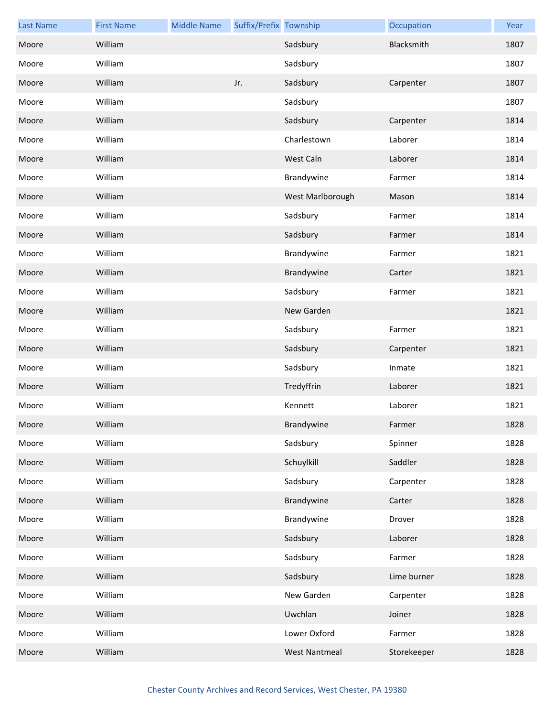| <b>Last Name</b> | <b>First Name</b> | <b>Middle Name</b> | Suffix/Prefix Township |                      | Occupation  | Year |
|------------------|-------------------|--------------------|------------------------|----------------------|-------------|------|
| Moore            | William           |                    |                        | Sadsbury             | Blacksmith  | 1807 |
| Moore            | William           |                    |                        | Sadsbury             |             | 1807 |
| Moore            | William           |                    | Jr.                    | Sadsbury             | Carpenter   | 1807 |
| Moore            | William           |                    |                        | Sadsbury             |             | 1807 |
| Moore            | William           |                    |                        | Sadsbury             | Carpenter   | 1814 |
| Moore            | William           |                    |                        | Charlestown          | Laborer     | 1814 |
| Moore            | William           |                    |                        | West Caln            | Laborer     | 1814 |
| Moore            | William           |                    |                        | Brandywine           | Farmer      | 1814 |
| Moore            | William           |                    |                        | West Marlborough     | Mason       | 1814 |
| Moore            | William           |                    |                        | Sadsbury             | Farmer      | 1814 |
| Moore            | William           |                    |                        | Sadsbury             | Farmer      | 1814 |
| Moore            | William           |                    |                        | Brandywine           | Farmer      | 1821 |
| Moore            | William           |                    |                        | Brandywine           | Carter      | 1821 |
| Moore            | William           |                    |                        | Sadsbury             | Farmer      | 1821 |
| Moore            | William           |                    |                        | New Garden           |             | 1821 |
| Moore            | William           |                    |                        | Sadsbury             | Farmer      | 1821 |
| Moore            | William           |                    |                        | Sadsbury             | Carpenter   | 1821 |
| Moore            | William           |                    |                        | Sadsbury             | Inmate      | 1821 |
| Moore            | William           |                    |                        | Tredyffrin           | Laborer     | 1821 |
| Moore            | William           |                    |                        | Kennett              | Laborer     | 1821 |
| Moore            | William           |                    |                        | Brandywine           | Farmer      | 1828 |
| Moore            | William           |                    |                        | Sadsbury             | Spinner     | 1828 |
| Moore            | William           |                    |                        | Schuylkill           | Saddler     | 1828 |
| Moore            | William           |                    |                        | Sadsbury             | Carpenter   | 1828 |
| Moore            | William           |                    |                        | Brandywine           | Carter      | 1828 |
| Moore            | William           |                    |                        | Brandywine           | Drover      | 1828 |
| Moore            | William           |                    |                        | Sadsbury             | Laborer     | 1828 |
| Moore            | William           |                    |                        | Sadsbury             | Farmer      | 1828 |
| Moore            | William           |                    |                        | Sadsbury             | Lime burner | 1828 |
| Moore            | William           |                    |                        | New Garden           | Carpenter   | 1828 |
| Moore            | William           |                    |                        | Uwchlan              | Joiner      | 1828 |
| Moore            | William           |                    |                        | Lower Oxford         | Farmer      | 1828 |
| Moore            | William           |                    |                        | <b>West Nantmeal</b> | Storekeeper | 1828 |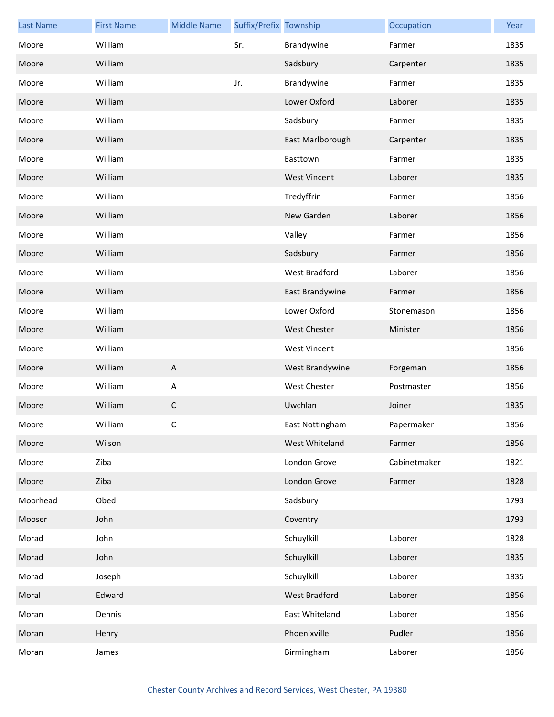| <b>Last Name</b> | <b>First Name</b> | <b>Middle Name</b> | Suffix/Prefix Township |                     | Occupation   | Year |
|------------------|-------------------|--------------------|------------------------|---------------------|--------------|------|
| Moore            | William           |                    | Sr.                    | Brandywine          | Farmer       | 1835 |
| Moore            | William           |                    |                        | Sadsbury            | Carpenter    | 1835 |
| Moore            | William           |                    | Jr.                    | Brandywine          | Farmer       | 1835 |
| Moore            | William           |                    |                        | Lower Oxford        | Laborer      | 1835 |
| Moore            | William           |                    |                        | Sadsbury            | Farmer       | 1835 |
| Moore            | William           |                    |                        | East Marlborough    | Carpenter    | 1835 |
| Moore            | William           |                    |                        | Easttown            | Farmer       | 1835 |
| Moore            | William           |                    |                        | <b>West Vincent</b> | Laborer      | 1835 |
| Moore            | William           |                    |                        | Tredyffrin          | Farmer       | 1856 |
| Moore            | William           |                    |                        | New Garden          | Laborer      | 1856 |
| Moore            | William           |                    |                        | Valley              | Farmer       | 1856 |
| Moore            | William           |                    |                        | Sadsbury            | Farmer       | 1856 |
| Moore            | William           |                    |                        | West Bradford       | Laborer      | 1856 |
| Moore            | William           |                    |                        | East Brandywine     | Farmer       | 1856 |
| Moore            | William           |                    |                        | Lower Oxford        | Stonemason   | 1856 |
| Moore            | William           |                    |                        | <b>West Chester</b> | Minister     | 1856 |
| Moore            | William           |                    |                        | <b>West Vincent</b> |              | 1856 |
| Moore            | William           | $\overline{A}$     |                        | West Brandywine     | Forgeman     | 1856 |
| Moore            | William           | A                  |                        | <b>West Chester</b> | Postmaster   | 1856 |
| Moore            | William           | $\mathsf C$        |                        | Uwchlan             | Joiner       | 1835 |
| Moore            | William           | C                  |                        | East Nottingham     | Papermaker   | 1856 |
| Moore            | Wilson            |                    |                        | West Whiteland      | Farmer       | 1856 |
| Moore            | Ziba              |                    |                        | London Grove        | Cabinetmaker | 1821 |
| Moore            | Ziba              |                    |                        | London Grove        | Farmer       | 1828 |
| Moorhead         | Obed              |                    |                        | Sadsbury            |              | 1793 |
| Mooser           | John              |                    |                        | Coventry            |              | 1793 |
| Morad            | John              |                    |                        | Schuylkill          | Laborer      | 1828 |
| Morad            | John              |                    |                        | Schuylkill          | Laborer      | 1835 |
| Morad            | Joseph            |                    |                        | Schuylkill          | Laborer      | 1835 |
| Moral            | Edward            |                    |                        | West Bradford       | Laborer      | 1856 |
| Moran            | Dennis            |                    |                        | East Whiteland      | Laborer      | 1856 |
| Moran            | Henry             |                    |                        | Phoenixville        | Pudler       | 1856 |
| Moran            | James             |                    |                        | Birmingham          | Laborer      | 1856 |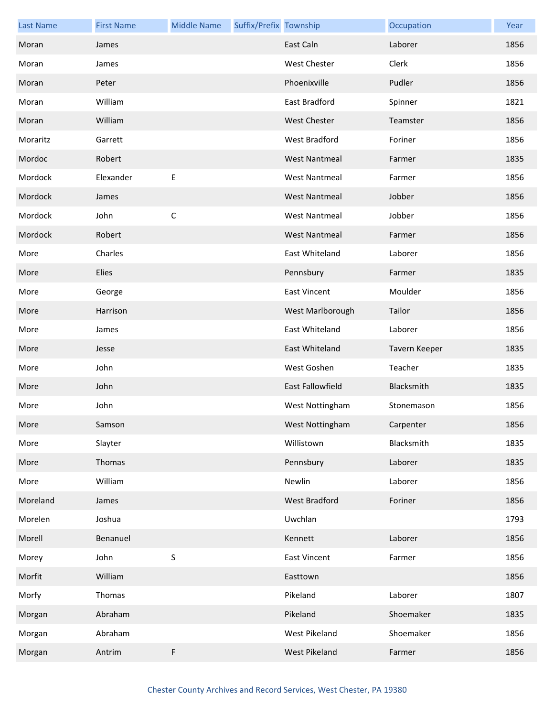| <b>Last Name</b> | <b>First Name</b> | <b>Middle Name</b> | Suffix/Prefix Township |                         | Occupation    | Year |
|------------------|-------------------|--------------------|------------------------|-------------------------|---------------|------|
| Moran            | James             |                    |                        | East Caln               | Laborer       | 1856 |
| Moran            | James             |                    |                        | <b>West Chester</b>     | Clerk         | 1856 |
| Moran            | Peter             |                    |                        | Phoenixville            | Pudler        | 1856 |
| Moran            | William           |                    |                        | East Bradford           | Spinner       | 1821 |
| Moran            | William           |                    |                        | <b>West Chester</b>     | Teamster      | 1856 |
| Moraritz         | Garrett           |                    |                        | West Bradford           | Foriner       | 1856 |
| Mordoc           | Robert            |                    |                        | <b>West Nantmeal</b>    | Farmer        | 1835 |
| Mordock          | Elexander         | Е                  |                        | <b>West Nantmeal</b>    | Farmer        | 1856 |
| Mordock          | James             |                    |                        | <b>West Nantmeal</b>    | Jobber        | 1856 |
| Mordock          | John              | $\mathsf C$        |                        | <b>West Nantmeal</b>    | Jobber        | 1856 |
| Mordock          | Robert            |                    |                        | <b>West Nantmeal</b>    | Farmer        | 1856 |
| More             | Charles           |                    |                        | East Whiteland          | Laborer       | 1856 |
| More             | Elies             |                    |                        | Pennsbury               | Farmer        | 1835 |
| More             | George            |                    |                        | <b>East Vincent</b>     | Moulder       | 1856 |
| More             | Harrison          |                    |                        | West Marlborough        | Tailor        | 1856 |
| More             | James             |                    |                        | East Whiteland          | Laborer       | 1856 |
| More             | Jesse             |                    |                        | East Whiteland          | Tavern Keeper | 1835 |
| More             | John              |                    |                        | West Goshen             | Teacher       | 1835 |
| More             | John              |                    |                        | <b>East Fallowfield</b> | Blacksmith    | 1835 |
| More             | John              |                    |                        | West Nottingham         | Stonemason    | 1856 |
| More             | Samson            |                    |                        | West Nottingham         | Carpenter     | 1856 |
| More             | Slayter           |                    |                        | Willistown              | Blacksmith    | 1835 |
| More             | Thomas            |                    |                        | Pennsbury               | Laborer       | 1835 |
| More             | William           |                    |                        | Newlin                  | Laborer       | 1856 |
| Moreland         | James             |                    |                        | West Bradford           | Foriner       | 1856 |
| Morelen          | Joshua            |                    |                        | Uwchlan                 |               | 1793 |
| Morell           | Benanuel          |                    |                        | Kennett                 | Laborer       | 1856 |
| Morey            | John              | $\sf S$            |                        | <b>East Vincent</b>     | Farmer        | 1856 |
| Morfit           | William           |                    |                        | Easttown                |               | 1856 |
| Morfy            | Thomas            |                    |                        | Pikeland                | Laborer       | 1807 |
| Morgan           | Abraham           |                    |                        | Pikeland                | Shoemaker     | 1835 |
| Morgan           | Abraham           |                    |                        | West Pikeland           | Shoemaker     | 1856 |
| Morgan           | Antrim            | F                  |                        | West Pikeland           | Farmer        | 1856 |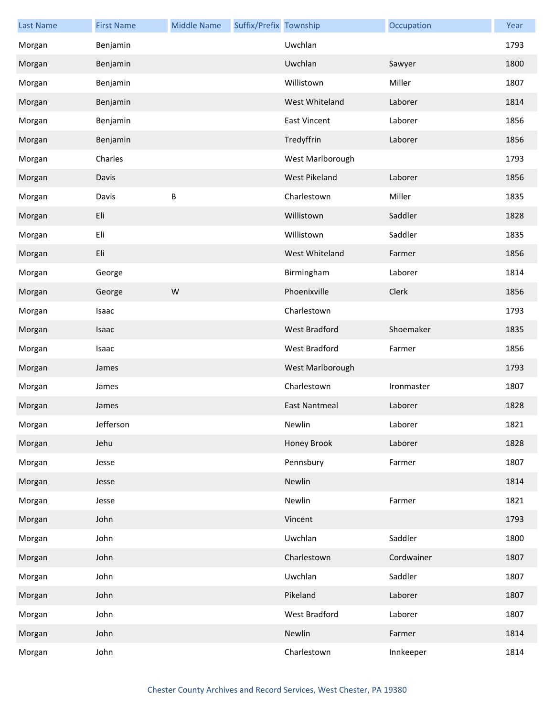| <b>Last Name</b> | <b>First Name</b> | <b>Middle Name</b> | Suffix/Prefix Township |                      | Occupation | Year |
|------------------|-------------------|--------------------|------------------------|----------------------|------------|------|
| Morgan           | Benjamin          |                    |                        | Uwchlan              |            | 1793 |
| Morgan           | Benjamin          |                    |                        | Uwchlan              | Sawyer     | 1800 |
| Morgan           | Benjamin          |                    |                        | Willistown           | Miller     | 1807 |
| Morgan           | Benjamin          |                    |                        | West Whiteland       | Laborer    | 1814 |
| Morgan           | Benjamin          |                    |                        | <b>East Vincent</b>  | Laborer    | 1856 |
| Morgan           | Benjamin          |                    |                        | Tredyffrin           | Laborer    | 1856 |
| Morgan           | Charles           |                    |                        | West Marlborough     |            | 1793 |
| Morgan           | Davis             |                    |                        | West Pikeland        | Laborer    | 1856 |
| Morgan           | Davis             | B                  |                        | Charlestown          | Miller     | 1835 |
| Morgan           | Eli               |                    |                        | Willistown           | Saddler    | 1828 |
| Morgan           | Eli               |                    |                        | Willistown           | Saddler    | 1835 |
| Morgan           | Eli               |                    |                        | West Whiteland       | Farmer     | 1856 |
| Morgan           | George            |                    |                        | Birmingham           | Laborer    | 1814 |
| Morgan           | George            | W                  |                        | Phoenixville         | Clerk      | 1856 |
| Morgan           | Isaac             |                    |                        | Charlestown          |            | 1793 |
| Morgan           | Isaac             |                    |                        | West Bradford        | Shoemaker  | 1835 |
| Morgan           | Isaac             |                    |                        | West Bradford        | Farmer     | 1856 |
| Morgan           | James             |                    |                        | West Marlborough     |            | 1793 |
| Morgan           | James             |                    |                        | Charlestown          | Ironmaster | 1807 |
| Morgan           | James             |                    |                        | <b>East Nantmeal</b> | Laborer    | 1828 |
| Morgan           | Jefferson         |                    |                        | Newlin               | Laborer    | 1821 |
| Morgan           | Jehu              |                    |                        | Honey Brook          | Laborer    | 1828 |
| Morgan           | Jesse             |                    |                        | Pennsbury            | Farmer     | 1807 |
| Morgan           | Jesse             |                    |                        | Newlin               |            | 1814 |
| Morgan           | Jesse             |                    |                        | Newlin               | Farmer     | 1821 |
| Morgan           | John              |                    |                        | Vincent              |            | 1793 |
| Morgan           | John              |                    |                        | Uwchlan              | Saddler    | 1800 |
| Morgan           | John              |                    |                        | Charlestown          | Cordwainer | 1807 |
| Morgan           | John              |                    |                        | Uwchlan              | Saddler    | 1807 |
| Morgan           | John              |                    |                        | Pikeland             | Laborer    | 1807 |
| Morgan           | John              |                    |                        | West Bradford        | Laborer    | 1807 |
| Morgan           | John              |                    |                        | Newlin               | Farmer     | 1814 |
| Morgan           | John              |                    |                        | Charlestown          | Innkeeper  | 1814 |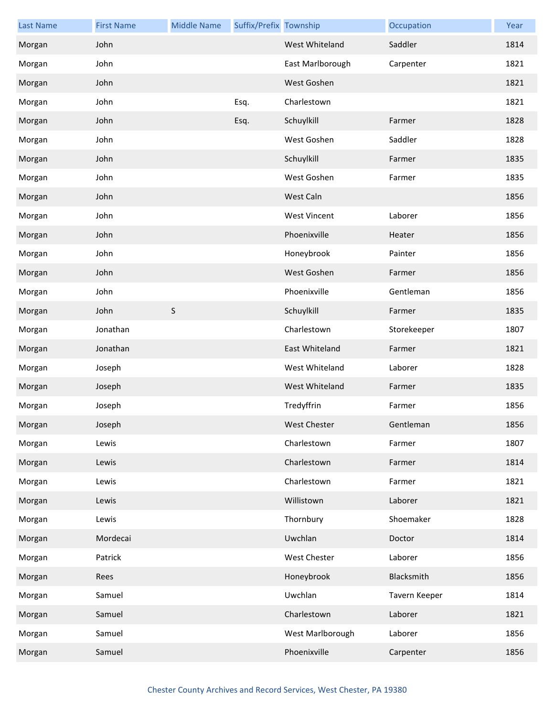| <b>Last Name</b> | <b>First Name</b> | <b>Middle Name</b> | Suffix/Prefix Township |                     | Occupation    | Year |
|------------------|-------------------|--------------------|------------------------|---------------------|---------------|------|
| Morgan           | John              |                    |                        | West Whiteland      | Saddler       | 1814 |
| Morgan           | John              |                    |                        | East Marlborough    | Carpenter     | 1821 |
| Morgan           | John              |                    |                        | West Goshen         |               | 1821 |
| Morgan           | John              |                    | Esq.                   | Charlestown         |               | 1821 |
| Morgan           | John              |                    | Esq.                   | Schuylkill          | Farmer        | 1828 |
| Morgan           | John              |                    |                        | West Goshen         | Saddler       | 1828 |
| Morgan           | John              |                    |                        | Schuylkill          | Farmer        | 1835 |
| Morgan           | John              |                    |                        | West Goshen         | Farmer        | 1835 |
| Morgan           | John              |                    |                        | West Caln           |               | 1856 |
| Morgan           | John              |                    |                        | <b>West Vincent</b> | Laborer       | 1856 |
| Morgan           | John              |                    |                        | Phoenixville        | Heater        | 1856 |
| Morgan           | John              |                    |                        | Honeybrook          | Painter       | 1856 |
| Morgan           | John              |                    |                        | West Goshen         | Farmer        | 1856 |
| Morgan           | John              |                    |                        | Phoenixville        | Gentleman     | 1856 |
| Morgan           | John              | S                  |                        | Schuylkill          | Farmer        | 1835 |
| Morgan           | Jonathan          |                    |                        | Charlestown         | Storekeeper   | 1807 |
| Morgan           | Jonathan          |                    |                        | East Whiteland      | Farmer        | 1821 |
| Morgan           | Joseph            |                    |                        | West Whiteland      | Laborer       | 1828 |
| Morgan           | Joseph            |                    |                        | West Whiteland      | Farmer        | 1835 |
| Morgan           | Joseph            |                    |                        | Tredyffrin          | Farmer        | 1856 |
| Morgan           | Joseph            |                    |                        | West Chester        | Gentleman     | 1856 |
| Morgan           | Lewis             |                    |                        | Charlestown         | Farmer        | 1807 |
| Morgan           | Lewis             |                    |                        | Charlestown         | Farmer        | 1814 |
| Morgan           | Lewis             |                    |                        | Charlestown         | Farmer        | 1821 |
| Morgan           | Lewis             |                    |                        | Willistown          | Laborer       | 1821 |
| Morgan           | Lewis             |                    |                        | Thornbury           | Shoemaker     | 1828 |
| Morgan           | Mordecai          |                    |                        | Uwchlan             | Doctor        | 1814 |
| Morgan           | Patrick           |                    |                        | West Chester        | Laborer       | 1856 |
| Morgan           | Rees              |                    |                        | Honeybrook          | Blacksmith    | 1856 |
| Morgan           | Samuel            |                    |                        | Uwchlan             | Tavern Keeper | 1814 |
| Morgan           | Samuel            |                    |                        | Charlestown         | Laborer       | 1821 |
| Morgan           | Samuel            |                    |                        | West Marlborough    | Laborer       | 1856 |
| Morgan           | Samuel            |                    |                        | Phoenixville        | Carpenter     | 1856 |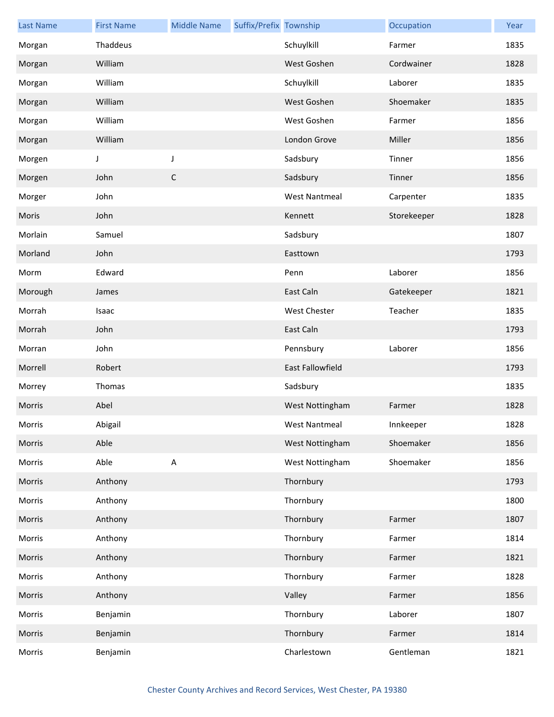| <b>Last Name</b> | <b>First Name</b> | <b>Middle Name</b> | Suffix/Prefix Township |                         | Occupation  | Year |
|------------------|-------------------|--------------------|------------------------|-------------------------|-------------|------|
| Morgan           | Thaddeus          |                    |                        | Schuylkill              | Farmer      | 1835 |
| Morgan           | William           |                    |                        | West Goshen             | Cordwainer  | 1828 |
| Morgan           | William           |                    |                        | Schuylkill              | Laborer     | 1835 |
| Morgan           | William           |                    |                        | West Goshen             | Shoemaker   | 1835 |
| Morgan           | William           |                    |                        | West Goshen             | Farmer      | 1856 |
| Morgan           | William           |                    |                        | London Grove            | Miller      | 1856 |
| Morgen           | J                 | J                  |                        | Sadsbury                | Tinner      | 1856 |
| Morgen           | John              | $\mathsf C$        |                        | Sadsbury                | Tinner      | 1856 |
| Morger           | John              |                    |                        | <b>West Nantmeal</b>    | Carpenter   | 1835 |
| Moris            | John              |                    |                        | Kennett                 | Storekeeper | 1828 |
| Morlain          | Samuel            |                    |                        | Sadsbury                |             | 1807 |
| Morland          | John              |                    |                        | Easttown                |             | 1793 |
| Morm             | Edward            |                    |                        | Penn                    | Laborer     | 1856 |
| Morough          | James             |                    |                        | East Caln               | Gatekeeper  | 1821 |
| Morrah           | Isaac             |                    |                        | West Chester            | Teacher     | 1835 |
| Morrah           | John              |                    |                        | East Caln               |             | 1793 |
| Morran           | John              |                    |                        | Pennsbury               | Laborer     | 1856 |
| Morrell          | Robert            |                    |                        | <b>East Fallowfield</b> |             | 1793 |
| Morrey           | Thomas            |                    |                        | Sadsbury                |             | 1835 |
| Morris           | Abel              |                    |                        | West Nottingham         | Farmer      | 1828 |
| Morris           | Abigail           |                    |                        | West Nantmeal           | Innkeeper   | 1828 |
| Morris           | Able              |                    |                        | West Nottingham         | Shoemaker   | 1856 |
| Morris           | Able              | $\mathsf A$        |                        | West Nottingham         | Shoemaker   | 1856 |
| Morris           | Anthony           |                    |                        | Thornbury               |             | 1793 |
| Morris           | Anthony           |                    |                        | Thornbury               |             | 1800 |
| Morris           | Anthony           |                    |                        | Thornbury               | Farmer      | 1807 |
| Morris           | Anthony           |                    |                        | Thornbury               | Farmer      | 1814 |
| Morris           | Anthony           |                    |                        | Thornbury               | Farmer      | 1821 |
| Morris           | Anthony           |                    |                        | Thornbury               | Farmer      | 1828 |
| Morris           | Anthony           |                    |                        | Valley                  | Farmer      | 1856 |
| Morris           | Benjamin          |                    |                        | Thornbury               | Laborer     | 1807 |
| Morris           | Benjamin          |                    |                        | Thornbury               | Farmer      | 1814 |
| Morris           | Benjamin          |                    |                        | Charlestown             | Gentleman   | 1821 |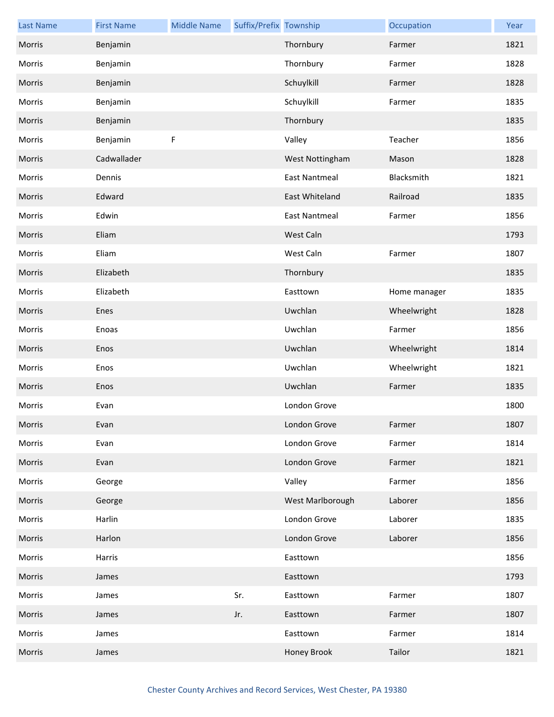| <b>Last Name</b> | <b>First Name</b> | <b>Middle Name</b> | Suffix/Prefix Township |                      | Occupation   | Year |
|------------------|-------------------|--------------------|------------------------|----------------------|--------------|------|
| Morris           | Benjamin          |                    |                        | Thornbury            | Farmer       | 1821 |
| Morris           | Benjamin          |                    |                        | Thornbury            | Farmer       | 1828 |
| Morris           | Benjamin          |                    |                        | Schuylkill           | Farmer       | 1828 |
| Morris           | Benjamin          |                    |                        | Schuylkill           | Farmer       | 1835 |
| Morris           | Benjamin          |                    |                        | Thornbury            |              | 1835 |
| Morris           | Benjamin          | F                  |                        | Valley               | Teacher      | 1856 |
| Morris           | Cadwallader       |                    |                        | West Nottingham      | Mason        | 1828 |
| Morris           | Dennis            |                    |                        | <b>East Nantmeal</b> | Blacksmith   | 1821 |
| Morris           | Edward            |                    |                        | East Whiteland       | Railroad     | 1835 |
| Morris           | Edwin             |                    |                        | <b>East Nantmeal</b> | Farmer       | 1856 |
| Morris           | Eliam             |                    |                        | West Caln            |              | 1793 |
| Morris           | Eliam             |                    |                        | West Caln            | Farmer       | 1807 |
| Morris           | Elizabeth         |                    |                        | Thornbury            |              | 1835 |
| Morris           | Elizabeth         |                    |                        | Easttown             | Home manager | 1835 |
| Morris           | Enes              |                    |                        | Uwchlan              | Wheelwright  | 1828 |
| Morris           | Enoas             |                    |                        | Uwchlan              | Farmer       | 1856 |
| Morris           | Enos              |                    |                        | Uwchlan              | Wheelwright  | 1814 |
| Morris           | Enos              |                    |                        | Uwchlan              | Wheelwright  | 1821 |
| Morris           | Enos              |                    |                        | Uwchlan              | Farmer       | 1835 |
| Morris           | Evan              |                    |                        | London Grove         |              | 1800 |
| Morris           | Evan              |                    |                        | London Grove         | Farmer       | 1807 |
| Morris           | Evan              |                    |                        | London Grove         | Farmer       | 1814 |
| Morris           | Evan              |                    |                        | London Grove         | Farmer       | 1821 |
| Morris           | George            |                    |                        | Valley               | Farmer       | 1856 |
| Morris           | George            |                    |                        | West Marlborough     | Laborer      | 1856 |
| Morris           | Harlin            |                    |                        | London Grove         | Laborer      | 1835 |
| Morris           | Harlon            |                    |                        | London Grove         | Laborer      | 1856 |
| Morris           | Harris            |                    |                        | Easttown             |              | 1856 |
| Morris           | James             |                    |                        | Easttown             |              | 1793 |
| Morris           | James             |                    | Sr.                    | Easttown             | Farmer       | 1807 |
| Morris           | James             |                    | Jr.                    | Easttown             | Farmer       | 1807 |
| Morris           | James             |                    |                        | Easttown             | Farmer       | 1814 |
| Morris           | James             |                    |                        | Honey Brook          | Tailor       | 1821 |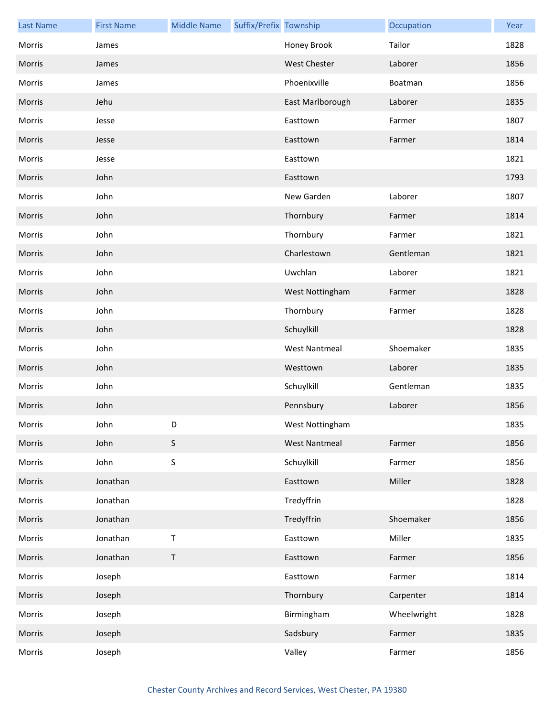| <b>Last Name</b> | <b>First Name</b> | <b>Middle Name</b> | Suffix/Prefix Township |                      | Occupation  | Year |
|------------------|-------------------|--------------------|------------------------|----------------------|-------------|------|
| Morris           | James             |                    |                        | Honey Brook          | Tailor      | 1828 |
| Morris           | James             |                    |                        | <b>West Chester</b>  | Laborer     | 1856 |
| Morris           | James             |                    |                        | Phoenixville         | Boatman     | 1856 |
| Morris           | Jehu              |                    |                        | East Marlborough     | Laborer     | 1835 |
| Morris           | Jesse             |                    |                        | Easttown             | Farmer      | 1807 |
| Morris           | Jesse             |                    |                        | Easttown             | Farmer      | 1814 |
| Morris           | Jesse             |                    |                        | Easttown             |             | 1821 |
| Morris           | John              |                    |                        | Easttown             |             | 1793 |
| Morris           | John              |                    |                        | New Garden           | Laborer     | 1807 |
| Morris           | John              |                    |                        | Thornbury            | Farmer      | 1814 |
| Morris           | John              |                    |                        | Thornbury            | Farmer      | 1821 |
| Morris           | John              |                    |                        | Charlestown          | Gentleman   | 1821 |
| Morris           | John              |                    |                        | Uwchlan              | Laborer     | 1821 |
| Morris           | John              |                    |                        | West Nottingham      | Farmer      | 1828 |
| Morris           | John              |                    |                        | Thornbury            | Farmer      | 1828 |
| Morris           | John              |                    |                        | Schuylkill           |             | 1828 |
| Morris           | John              |                    |                        | <b>West Nantmeal</b> | Shoemaker   | 1835 |
| Morris           | John              |                    |                        | Westtown             | Laborer     | 1835 |
| Morris           | John              |                    |                        | Schuylkill           | Gentleman   | 1835 |
| Morris           | John              |                    |                        | Pennsbury            | Laborer     | 1856 |
| Morris           | John              | D                  |                        | West Nottingham      |             | 1835 |
| Morris           | John              | $\mathsf S$        |                        | <b>West Nantmeal</b> | Farmer      | 1856 |
| Morris           | John              | $\mathsf S$        |                        | Schuylkill           | Farmer      | 1856 |
| Morris           | Jonathan          |                    |                        | Easttown             | Miller      | 1828 |
| Morris           | Jonathan          |                    |                        | Tredyffrin           |             | 1828 |
| Morris           | Jonathan          |                    |                        | Tredyffrin           | Shoemaker   | 1856 |
| Morris           | Jonathan          | $\sf T$            |                        | Easttown             | Miller      | 1835 |
| Morris           | Jonathan          | $\mathsf T$        |                        | Easttown             | Farmer      | 1856 |
| Morris           | Joseph            |                    |                        | Easttown             | Farmer      | 1814 |
| Morris           | Joseph            |                    |                        | Thornbury            | Carpenter   | 1814 |
| Morris           | Joseph            |                    |                        | Birmingham           | Wheelwright | 1828 |
| Morris           | Joseph            |                    |                        | Sadsbury             | Farmer      | 1835 |
| Morris           | Joseph            |                    |                        | Valley               | Farmer      | 1856 |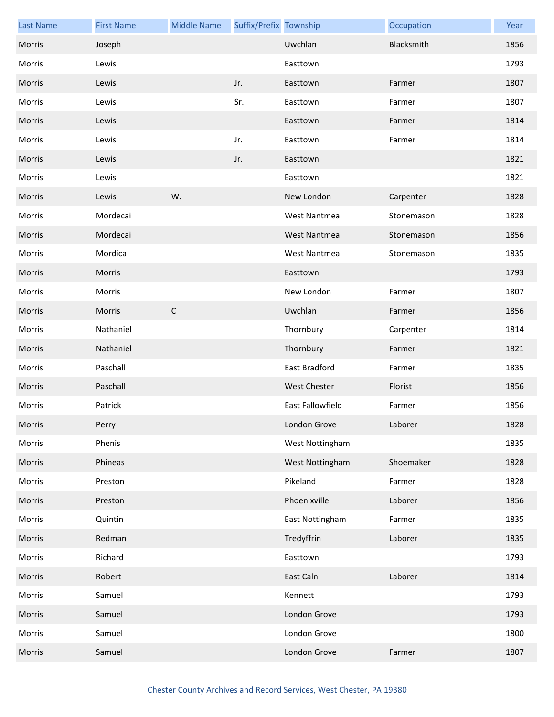| <b>Last Name</b> | <b>First Name</b> | <b>Middle Name</b> | Suffix/Prefix Township |                         | Occupation | Year |
|------------------|-------------------|--------------------|------------------------|-------------------------|------------|------|
| Morris           | Joseph            |                    |                        | Uwchlan                 | Blacksmith | 1856 |
| Morris           | Lewis             |                    |                        | Easttown                |            | 1793 |
| Morris           | Lewis             |                    | Jr.                    | Easttown                | Farmer     | 1807 |
| Morris           | Lewis             |                    | Sr.                    | Easttown                | Farmer     | 1807 |
| Morris           | Lewis             |                    |                        | Easttown                | Farmer     | 1814 |
| Morris           | Lewis             |                    | Jr.                    | Easttown                | Farmer     | 1814 |
| Morris           | Lewis             |                    | Jr.                    | Easttown                |            | 1821 |
| Morris           | Lewis             |                    |                        | Easttown                |            | 1821 |
| Morris           | Lewis             | W.                 |                        | New London              | Carpenter  | 1828 |
| Morris           | Mordecai          |                    |                        | <b>West Nantmeal</b>    | Stonemason | 1828 |
| Morris           | Mordecai          |                    |                        | <b>West Nantmeal</b>    | Stonemason | 1856 |
| Morris           | Mordica           |                    |                        | <b>West Nantmeal</b>    | Stonemason | 1835 |
| Morris           | Morris            |                    |                        | Easttown                |            | 1793 |
| Morris           | Morris            |                    |                        | New London              | Farmer     | 1807 |
| Morris           | Morris            | $\mathsf C$        |                        | Uwchlan                 | Farmer     | 1856 |
| Morris           | Nathaniel         |                    |                        | Thornbury               | Carpenter  | 1814 |
| Morris           | Nathaniel         |                    |                        | Thornbury               | Farmer     | 1821 |
| Morris           | Paschall          |                    |                        | East Bradford           | Farmer     | 1835 |
| Morris           | Paschall          |                    |                        | <b>West Chester</b>     | Florist    | 1856 |
| Morris           | Patrick           |                    |                        | <b>East Fallowfield</b> | Farmer     | 1856 |
| Morris           | Perry             |                    |                        | London Grove            | Laborer    | 1828 |
| Morris           | Phenis            |                    |                        | West Nottingham         |            | 1835 |
| Morris           | Phineas           |                    |                        | West Nottingham         | Shoemaker  | 1828 |
| Morris           | Preston           |                    |                        | Pikeland                | Farmer     | 1828 |
| Morris           | Preston           |                    |                        | Phoenixville            | Laborer    | 1856 |
| Morris           | Quintin           |                    |                        | East Nottingham         | Farmer     | 1835 |
| Morris           | Redman            |                    |                        | Tredyffrin              | Laborer    | 1835 |
| Morris           | Richard           |                    |                        | Easttown                |            | 1793 |
| Morris           | Robert            |                    |                        | East Caln               | Laborer    | 1814 |
| Morris           | Samuel            |                    |                        | Kennett                 |            | 1793 |
| Morris           | Samuel            |                    |                        | London Grove            |            | 1793 |
| Morris           | Samuel            |                    |                        | London Grove            |            | 1800 |
| Morris           | Samuel            |                    |                        | London Grove            | Farmer     | 1807 |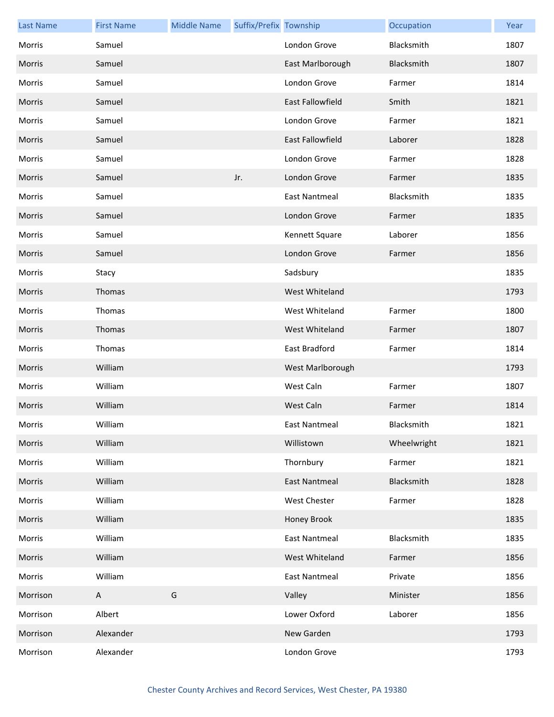| <b>Last Name</b> | <b>First Name</b> | <b>Middle Name</b> | Suffix/Prefix Township |                         | Occupation  | Year |
|------------------|-------------------|--------------------|------------------------|-------------------------|-------------|------|
| Morris           | Samuel            |                    |                        | London Grove            | Blacksmith  | 1807 |
| Morris           | Samuel            |                    |                        | East Marlborough        | Blacksmith  | 1807 |
| Morris           | Samuel            |                    |                        | London Grove            | Farmer      | 1814 |
| Morris           | Samuel            |                    |                        | East Fallowfield        | Smith       | 1821 |
| Morris           | Samuel            |                    |                        | London Grove            | Farmer      | 1821 |
| Morris           | Samuel            |                    |                        | <b>East Fallowfield</b> | Laborer     | 1828 |
| Morris           | Samuel            |                    |                        | London Grove            | Farmer      | 1828 |
| Morris           | Samuel            |                    | Jr.                    | London Grove            | Farmer      | 1835 |
| Morris           | Samuel            |                    |                        | <b>East Nantmeal</b>    | Blacksmith  | 1835 |
| Morris           | Samuel            |                    |                        | London Grove            | Farmer      | 1835 |
| Morris           | Samuel            |                    |                        | Kennett Square          | Laborer     | 1856 |
| Morris           | Samuel            |                    |                        | London Grove            | Farmer      | 1856 |
| Morris           | Stacy             |                    |                        | Sadsbury                |             | 1835 |
| Morris           | Thomas            |                    |                        | West Whiteland          |             | 1793 |
| Morris           | Thomas            |                    |                        | West Whiteland          | Farmer      | 1800 |
| Morris           | Thomas            |                    |                        | West Whiteland          | Farmer      | 1807 |
| Morris           | Thomas            |                    |                        | East Bradford           | Farmer      | 1814 |
| Morris           | William           |                    |                        | West Marlborough        |             | 1793 |
| Morris           | William           |                    |                        | West Caln               | Farmer      | 1807 |
| Morris           | William           |                    |                        | West Caln               | Farmer      | 1814 |
| Morris           | William           |                    |                        | East Nantmeal           | Blacksmith  | 1821 |
| Morris           | William           |                    |                        | Willistown              | Wheelwright | 1821 |
| Morris           | William           |                    |                        | Thornbury               | Farmer      | 1821 |
| Morris           | William           |                    |                        | <b>East Nantmeal</b>    | Blacksmith  | 1828 |
| Morris           | William           |                    |                        | West Chester            | Farmer      | 1828 |
| Morris           | William           |                    |                        | Honey Brook             |             | 1835 |
| Morris           | William           |                    |                        | <b>East Nantmeal</b>    | Blacksmith  | 1835 |
| Morris           | William           |                    |                        | West Whiteland          | Farmer      | 1856 |
| Morris           | William           |                    |                        | <b>East Nantmeal</b>    | Private     | 1856 |
| Morrison         | A                 | G                  |                        | Valley                  | Minister    | 1856 |
| Morrison         | Albert            |                    |                        | Lower Oxford            | Laborer     | 1856 |
| Morrison         | Alexander         |                    |                        | New Garden              |             | 1793 |
| Morrison         | Alexander         |                    |                        | London Grove            |             | 1793 |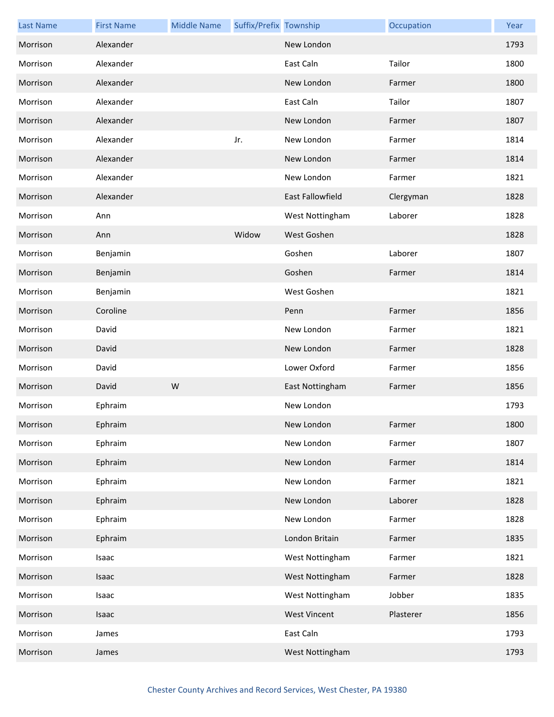| <b>Last Name</b> | <b>First Name</b> | <b>Middle Name</b> | Suffix/Prefix Township |                     | Occupation | Year |
|------------------|-------------------|--------------------|------------------------|---------------------|------------|------|
| Morrison         | Alexander         |                    |                        | New London          |            | 1793 |
| Morrison         | Alexander         |                    |                        | East Caln           | Tailor     | 1800 |
| Morrison         | Alexander         |                    |                        | New London          | Farmer     | 1800 |
| Morrison         | Alexander         |                    |                        | East Caln           | Tailor     | 1807 |
| Morrison         | Alexander         |                    |                        | New London          | Farmer     | 1807 |
| Morrison         | Alexander         |                    | Jr.                    | New London          | Farmer     | 1814 |
| Morrison         | Alexander         |                    |                        | New London          | Farmer     | 1814 |
| Morrison         | Alexander         |                    |                        | New London          | Farmer     | 1821 |
| Morrison         | Alexander         |                    |                        | East Fallowfield    | Clergyman  | 1828 |
| Morrison         | Ann               |                    |                        | West Nottingham     | Laborer    | 1828 |
| Morrison         | Ann               |                    | Widow                  | West Goshen         |            | 1828 |
| Morrison         | Benjamin          |                    |                        | Goshen              | Laborer    | 1807 |
| Morrison         | Benjamin          |                    |                        | Goshen              | Farmer     | 1814 |
| Morrison         | Benjamin          |                    |                        | West Goshen         |            | 1821 |
| Morrison         | Coroline          |                    |                        | Penn                | Farmer     | 1856 |
| Morrison         | David             |                    |                        | New London          | Farmer     | 1821 |
| Morrison         | David             |                    |                        | New London          | Farmer     | 1828 |
| Morrison         | David             |                    |                        | Lower Oxford        | Farmer     | 1856 |
| Morrison         | David             | W                  |                        | East Nottingham     | Farmer     | 1856 |
| Morrison         | Ephraim           |                    |                        | New London          |            | 1793 |
| Morrison         | Ephraim           |                    |                        | New London          | Farmer     | 1800 |
| Morrison         | Ephraim           |                    |                        | New London          | Farmer     | 1807 |
| Morrison         | Ephraim           |                    |                        | New London          | Farmer     | 1814 |
| Morrison         | Ephraim           |                    |                        | New London          | Farmer     | 1821 |
| Morrison         | Ephraim           |                    |                        | New London          | Laborer    | 1828 |
| Morrison         | Ephraim           |                    |                        | New London          | Farmer     | 1828 |
| Morrison         | Ephraim           |                    |                        | London Britain      | Farmer     | 1835 |
| Morrison         | Isaac             |                    |                        | West Nottingham     | Farmer     | 1821 |
| Morrison         | Isaac             |                    |                        | West Nottingham     | Farmer     | 1828 |
| Morrison         | Isaac             |                    |                        | West Nottingham     | Jobber     | 1835 |
| Morrison         | Isaac             |                    |                        | <b>West Vincent</b> | Plasterer  | 1856 |
| Morrison         | James             |                    |                        | East Caln           |            | 1793 |
| Morrison         | James             |                    |                        | West Nottingham     |            | 1793 |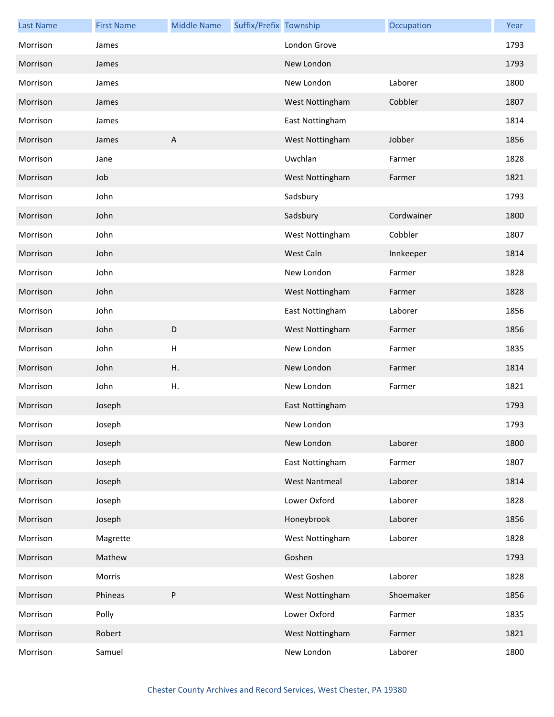| <b>Last Name</b> | <b>First Name</b> | <b>Middle Name</b> | Suffix/Prefix Township |                      | Occupation | Year |
|------------------|-------------------|--------------------|------------------------|----------------------|------------|------|
| Morrison         | James             |                    |                        | London Grove         |            | 1793 |
| Morrison         | James             |                    |                        | New London           |            | 1793 |
| Morrison         | James             |                    |                        | New London           | Laborer    | 1800 |
| Morrison         | James             |                    |                        | West Nottingham      | Cobbler    | 1807 |
| Morrison         | James             |                    |                        | East Nottingham      |            | 1814 |
| Morrison         | James             | A                  |                        | West Nottingham      | Jobber     | 1856 |
| Morrison         | Jane              |                    |                        | Uwchlan              | Farmer     | 1828 |
| Morrison         | Job               |                    |                        | West Nottingham      | Farmer     | 1821 |
| Morrison         | John              |                    |                        | Sadsbury             |            | 1793 |
| Morrison         | John              |                    |                        | Sadsbury             | Cordwainer | 1800 |
| Morrison         | John              |                    |                        | West Nottingham      | Cobbler    | 1807 |
| Morrison         | John              |                    |                        | West Caln            | Innkeeper  | 1814 |
| Morrison         | John              |                    |                        | New London           | Farmer     | 1828 |
| Morrison         | John              |                    |                        | West Nottingham      | Farmer     | 1828 |
| Morrison         | John              |                    |                        | East Nottingham      | Laborer    | 1856 |
| Morrison         | John              | D                  |                        | West Nottingham      | Farmer     | 1856 |
| Morrison         | John              | н                  |                        | New London           | Farmer     | 1835 |
| Morrison         | John              | Η.                 |                        | New London           | Farmer     | 1814 |
| Morrison         | John              | Η.                 |                        | New London           | Farmer     | 1821 |
| Morrison         | Joseph            |                    |                        | East Nottingham      |            | 1793 |
| Morrison         | Joseph            |                    |                        | New London           |            | 1793 |
| Morrison         | Joseph            |                    |                        | New London           | Laborer    | 1800 |
| Morrison         | Joseph            |                    |                        | East Nottingham      | Farmer     | 1807 |
| Morrison         | Joseph            |                    |                        | <b>West Nantmeal</b> | Laborer    | 1814 |
| Morrison         | Joseph            |                    |                        | Lower Oxford         | Laborer    | 1828 |
| Morrison         | Joseph            |                    |                        | Honeybrook           | Laborer    | 1856 |
| Morrison         | Magrette          |                    |                        | West Nottingham      | Laborer    | 1828 |
| Morrison         | Mathew            |                    |                        | Goshen               |            | 1793 |
| Morrison         | Morris            |                    |                        | West Goshen          | Laborer    | 1828 |
| Morrison         | Phineas           | P                  |                        | West Nottingham      | Shoemaker  | 1856 |
| Morrison         | Polly             |                    |                        | Lower Oxford         | Farmer     | 1835 |
| Morrison         | Robert            |                    |                        | West Nottingham      | Farmer     | 1821 |
| Morrison         | Samuel            |                    |                        | New London           | Laborer    | 1800 |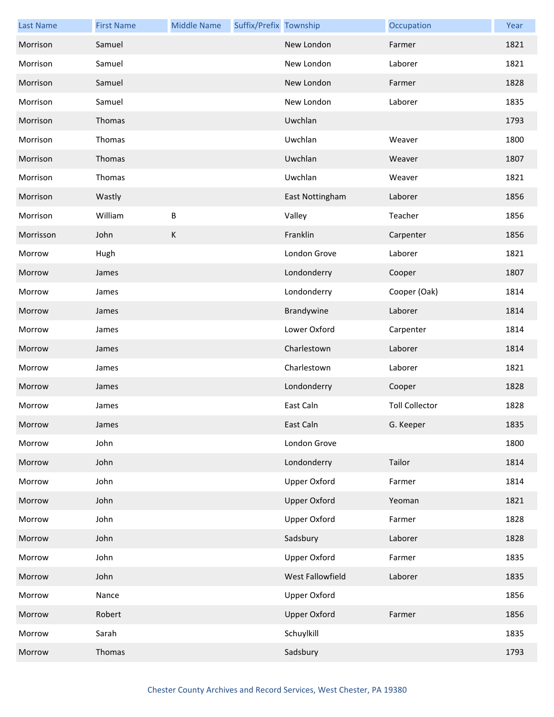| <b>Last Name</b> | <b>First Name</b> | <b>Middle Name</b> | Suffix/Prefix Township |                     | Occupation            | Year |
|------------------|-------------------|--------------------|------------------------|---------------------|-----------------------|------|
| Morrison         | Samuel            |                    |                        | New London          | Farmer                | 1821 |
| Morrison         | Samuel            |                    |                        | New London          | Laborer               | 1821 |
| Morrison         | Samuel            |                    |                        | New London          | Farmer                | 1828 |
| Morrison         | Samuel            |                    |                        | New London          | Laborer               | 1835 |
| Morrison         | Thomas            |                    |                        | Uwchlan             |                       | 1793 |
| Morrison         | Thomas            |                    |                        | Uwchlan             | Weaver                | 1800 |
| Morrison         | Thomas            |                    |                        | Uwchlan             | Weaver                | 1807 |
| Morrison         | Thomas            |                    |                        | Uwchlan             | Weaver                | 1821 |
| Morrison         | Wastly            |                    |                        | East Nottingham     | Laborer               | 1856 |
| Morrison         | William           | В                  |                        | Valley              | Teacher               | 1856 |
| Morrisson        | John              | K                  |                        | Franklin            | Carpenter             | 1856 |
| Morrow           | Hugh              |                    |                        | London Grove        | Laborer               | 1821 |
| Morrow           | James             |                    |                        | Londonderry         | Cooper                | 1807 |
| Morrow           | James             |                    |                        | Londonderry         | Cooper (Oak)          | 1814 |
| Morrow           | James             |                    |                        | Brandywine          | Laborer               | 1814 |
| Morrow           | James             |                    |                        | Lower Oxford        | Carpenter             | 1814 |
| Morrow           | James             |                    |                        | Charlestown         | Laborer               | 1814 |
| Morrow           | James             |                    |                        | Charlestown         | Laborer               | 1821 |
| Morrow           | James             |                    |                        | Londonderry         | Cooper                | 1828 |
| Morrow           | James             |                    |                        | East Caln           | <b>Toll Collector</b> | 1828 |
| Morrow           | James             |                    |                        | East Caln           | G. Keeper             | 1835 |
| Morrow           | John              |                    |                        | London Grove        |                       | 1800 |
| Morrow           | John              |                    |                        | Londonderry         | Tailor                | 1814 |
| Morrow           | John              |                    |                        | Upper Oxford        | Farmer                | 1814 |
| Morrow           | John              |                    |                        | <b>Upper Oxford</b> | Yeoman                | 1821 |
| Morrow           | John              |                    |                        | Upper Oxford        | Farmer                | 1828 |
| Morrow           | John              |                    |                        | Sadsbury            | Laborer               | 1828 |
| Morrow           | John              |                    |                        | Upper Oxford        | Farmer                | 1835 |
| Morrow           | John              |                    |                        | West Fallowfield    | Laborer               | 1835 |
| Morrow           | Nance             |                    |                        | <b>Upper Oxford</b> |                       | 1856 |
| Morrow           | Robert            |                    |                        | <b>Upper Oxford</b> | Farmer                | 1856 |
| Morrow           | Sarah             |                    |                        | Schuylkill          |                       | 1835 |
| Morrow           | Thomas            |                    |                        | Sadsbury            |                       | 1793 |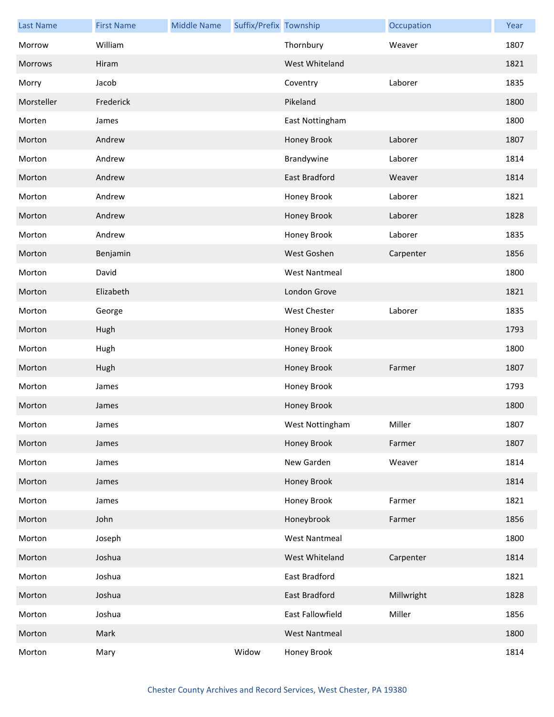| <b>Last Name</b> | <b>First Name</b> | <b>Middle Name</b> | Suffix/Prefix Township |                      | Occupation | Year |
|------------------|-------------------|--------------------|------------------------|----------------------|------------|------|
| Morrow           | William           |                    |                        | Thornbury            | Weaver     | 1807 |
| <b>Morrows</b>   | Hiram             |                    |                        | West Whiteland       |            | 1821 |
| Morry            | Jacob             |                    |                        | Coventry             | Laborer    | 1835 |
| Morsteller       | Frederick         |                    |                        | Pikeland             |            | 1800 |
| Morten           | James             |                    |                        | East Nottingham      |            | 1800 |
| Morton           | Andrew            |                    |                        | Honey Brook          | Laborer    | 1807 |
| Morton           | Andrew            |                    |                        | Brandywine           | Laborer    | 1814 |
| Morton           | Andrew            |                    |                        | East Bradford        | Weaver     | 1814 |
| Morton           | Andrew            |                    |                        | Honey Brook          | Laborer    | 1821 |
| Morton           | Andrew            |                    |                        | Honey Brook          | Laborer    | 1828 |
| Morton           | Andrew            |                    |                        | Honey Brook          | Laborer    | 1835 |
| Morton           | Benjamin          |                    |                        | West Goshen          | Carpenter  | 1856 |
| Morton           | David             |                    |                        | <b>West Nantmeal</b> |            | 1800 |
| Morton           | Elizabeth         |                    |                        | London Grove         |            | 1821 |
| Morton           | George            |                    |                        | West Chester         | Laborer    | 1835 |
| Morton           | Hugh              |                    |                        | Honey Brook          |            | 1793 |
| Morton           | Hugh              |                    |                        | Honey Brook          |            | 1800 |
| Morton           | Hugh              |                    |                        | Honey Brook          | Farmer     | 1807 |
| Morton           | James             |                    |                        | Honey Brook          |            | 1793 |
| Morton           | James             |                    |                        | Honey Brook          |            | 1800 |
| Morton           | James             |                    |                        | West Nottingham      | Miller     | 1807 |
| Morton           | James             |                    |                        | Honey Brook          | Farmer     | 1807 |
| Morton           | James             |                    |                        | New Garden           | Weaver     | 1814 |
| Morton           | James             |                    |                        | Honey Brook          |            | 1814 |
| Morton           | James             |                    |                        | Honey Brook          | Farmer     | 1821 |
| Morton           | John              |                    |                        | Honeybrook           | Farmer     | 1856 |
| Morton           | Joseph            |                    |                        | <b>West Nantmeal</b> |            | 1800 |
| Morton           | Joshua            |                    |                        | West Whiteland       | Carpenter  | 1814 |
| Morton           | Joshua            |                    |                        | East Bradford        |            | 1821 |
| Morton           | Joshua            |                    |                        | East Bradford        | Millwright | 1828 |
| Morton           | Joshua            |                    |                        | East Fallowfield     | Miller     | 1856 |
| Morton           | Mark              |                    |                        | <b>West Nantmeal</b> |            | 1800 |
| Morton           | Mary              |                    | Widow                  | Honey Brook          |            | 1814 |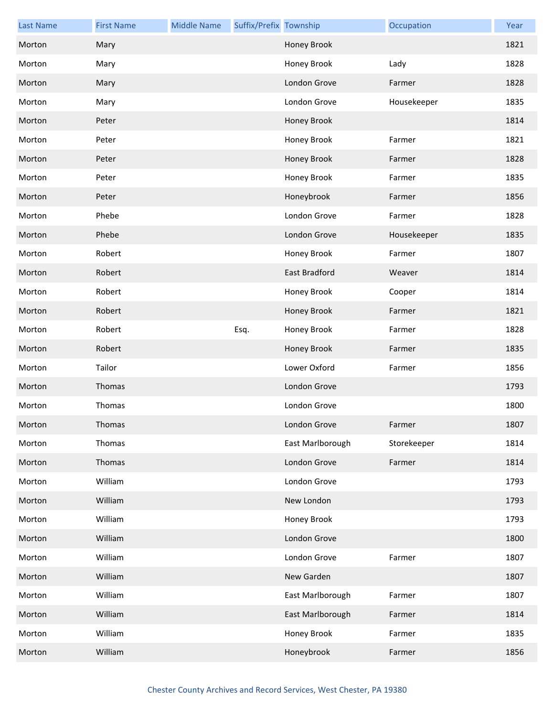| <b>Last Name</b> | <b>First Name</b> | <b>Middle Name</b> | Suffix/Prefix Township |                      | Occupation  | Year |
|------------------|-------------------|--------------------|------------------------|----------------------|-------------|------|
| Morton           | Mary              |                    |                        | Honey Brook          |             | 1821 |
| Morton           | Mary              |                    |                        | Honey Brook          | Lady        | 1828 |
| Morton           | Mary              |                    |                        | London Grove         | Farmer      | 1828 |
| Morton           | Mary              |                    |                        | London Grove         | Housekeeper | 1835 |
| Morton           | Peter             |                    |                        | Honey Brook          |             | 1814 |
| Morton           | Peter             |                    |                        | Honey Brook          | Farmer      | 1821 |
| Morton           | Peter             |                    |                        | Honey Brook          | Farmer      | 1828 |
| Morton           | Peter             |                    |                        | Honey Brook          | Farmer      | 1835 |
| Morton           | Peter             |                    |                        | Honeybrook           | Farmer      | 1856 |
| Morton           | Phebe             |                    |                        | London Grove         | Farmer      | 1828 |
| Morton           | Phebe             |                    |                        | London Grove         | Housekeeper | 1835 |
| Morton           | Robert            |                    |                        | Honey Brook          | Farmer      | 1807 |
| Morton           | Robert            |                    |                        | <b>East Bradford</b> | Weaver      | 1814 |
| Morton           | Robert            |                    |                        | Honey Brook          | Cooper      | 1814 |
| Morton           | Robert            |                    |                        | Honey Brook          | Farmer      | 1821 |
| Morton           | Robert            |                    | Esq.                   | Honey Brook          | Farmer      | 1828 |
| Morton           | Robert            |                    |                        | Honey Brook          | Farmer      | 1835 |
| Morton           | Tailor            |                    |                        | Lower Oxford         | Farmer      | 1856 |
| Morton           | Thomas            |                    |                        | London Grove         |             | 1793 |
| Morton           | Thomas            |                    |                        | London Grove         |             | 1800 |
| Morton           | <b>Thomas</b>     |                    |                        | London Grove         | Farmer      | 1807 |
| Morton           | Thomas            |                    |                        | East Marlborough     | Storekeeper | 1814 |
| Morton           | Thomas            |                    |                        | London Grove         | Farmer      | 1814 |
| Morton           | William           |                    |                        | London Grove         |             | 1793 |
| Morton           | William           |                    |                        | New London           |             | 1793 |
| Morton           | William           |                    |                        | Honey Brook          |             | 1793 |
| Morton           | William           |                    |                        | London Grove         |             | 1800 |
| Morton           | William           |                    |                        | London Grove         | Farmer      | 1807 |
| Morton           | William           |                    |                        | New Garden           |             | 1807 |
| Morton           | William           |                    |                        | East Marlborough     | Farmer      | 1807 |
| Morton           | William           |                    |                        | East Marlborough     | Farmer      | 1814 |
| Morton           | William           |                    |                        | Honey Brook          | Farmer      | 1835 |
| Morton           | William           |                    |                        | Honeybrook           | Farmer      | 1856 |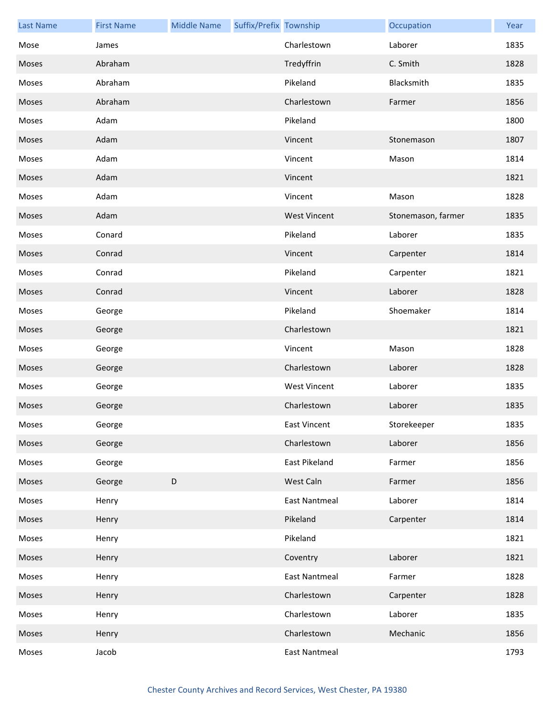| <b>Last Name</b> | <b>First Name</b> | <b>Middle Name</b> | Suffix/Prefix Township |                      | Occupation         | Year |
|------------------|-------------------|--------------------|------------------------|----------------------|--------------------|------|
| Mose             | James             |                    |                        | Charlestown          | Laborer            | 1835 |
| Moses            | Abraham           |                    |                        | Tredyffrin           | C. Smith           | 1828 |
| Moses            | Abraham           |                    |                        | Pikeland             | Blacksmith         | 1835 |
| Moses            | Abraham           |                    |                        | Charlestown          | Farmer             | 1856 |
| Moses            | Adam              |                    |                        | Pikeland             |                    | 1800 |
| Moses            | Adam              |                    |                        | Vincent              | Stonemason         | 1807 |
| Moses            | Adam              |                    |                        | Vincent              | Mason              | 1814 |
| Moses            | Adam              |                    |                        | Vincent              |                    | 1821 |
| Moses            | Adam              |                    |                        | Vincent              | Mason              | 1828 |
| Moses            | Adam              |                    |                        | <b>West Vincent</b>  | Stonemason, farmer | 1835 |
| Moses            | Conard            |                    |                        | Pikeland             | Laborer            | 1835 |
| Moses            | Conrad            |                    |                        | Vincent              | Carpenter          | 1814 |
| Moses            | Conrad            |                    |                        | Pikeland             | Carpenter          | 1821 |
| Moses            | Conrad            |                    |                        | Vincent              | Laborer            | 1828 |
| Moses            | George            |                    |                        | Pikeland             | Shoemaker          | 1814 |
| Moses            | George            |                    |                        | Charlestown          |                    | 1821 |
| Moses            | George            |                    |                        | Vincent              | Mason              | 1828 |
| Moses            | George            |                    |                        | Charlestown          | Laborer            | 1828 |
| Moses            | George            |                    |                        | <b>West Vincent</b>  | Laborer            | 1835 |
| Moses            | George            |                    |                        | Charlestown          | Laborer            | 1835 |
| Moses            | George            |                    |                        | East Vincent         | Storekeeper        | 1835 |
| Moses            | George            |                    |                        | Charlestown          | Laborer            | 1856 |
| Moses            | George            |                    |                        | <b>East Pikeland</b> | Farmer             | 1856 |
| Moses            | George            | $\mathsf D$        |                        | West Caln            | Farmer             | 1856 |
| Moses            | Henry             |                    |                        | <b>East Nantmeal</b> | Laborer            | 1814 |
| Moses            | Henry             |                    |                        | Pikeland             | Carpenter          | 1814 |
| Moses            | Henry             |                    |                        | Pikeland             |                    | 1821 |
| Moses            | Henry             |                    |                        | Coventry             | Laborer            | 1821 |
| Moses            | Henry             |                    |                        | <b>East Nantmeal</b> | Farmer             | 1828 |
| Moses            | Henry             |                    |                        | Charlestown          | Carpenter          | 1828 |
| Moses            | Henry             |                    |                        | Charlestown          | Laborer            | 1835 |
| Moses            | Henry             |                    |                        | Charlestown          | Mechanic           | 1856 |
| Moses            | Jacob             |                    |                        | <b>East Nantmeal</b> |                    | 1793 |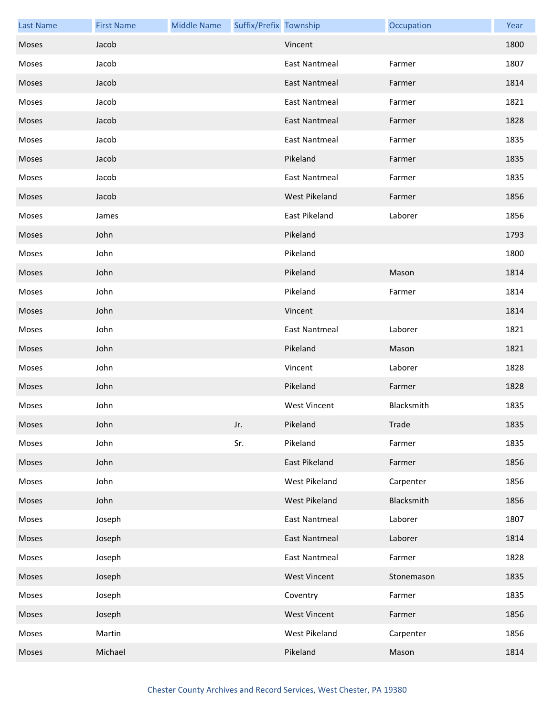| <b>Last Name</b> | <b>First Name</b> | <b>Middle Name</b> | Suffix/Prefix Township |                      | Occupation | Year |
|------------------|-------------------|--------------------|------------------------|----------------------|------------|------|
| Moses            | Jacob             |                    |                        | Vincent              |            | 1800 |
| Moses            | Jacob             |                    |                        | <b>East Nantmeal</b> | Farmer     | 1807 |
| Moses            | Jacob             |                    |                        | East Nantmeal        | Farmer     | 1814 |
| Moses            | Jacob             |                    |                        | <b>East Nantmeal</b> | Farmer     | 1821 |
| Moses            | Jacob             |                    |                        | <b>East Nantmeal</b> | Farmer     | 1828 |
| Moses            | Jacob             |                    |                        | <b>East Nantmeal</b> | Farmer     | 1835 |
| Moses            | Jacob             |                    |                        | Pikeland             | Farmer     | 1835 |
| Moses            | Jacob             |                    |                        | <b>East Nantmeal</b> | Farmer     | 1835 |
| Moses            | Jacob             |                    |                        | West Pikeland        | Farmer     | 1856 |
| Moses            | James             |                    |                        | East Pikeland        | Laborer    | 1856 |
| Moses            | John              |                    |                        | Pikeland             |            | 1793 |
| Moses            | John              |                    |                        | Pikeland             |            | 1800 |
| Moses            | John              |                    |                        | Pikeland             | Mason      | 1814 |
| Moses            | John              |                    |                        | Pikeland             | Farmer     | 1814 |
| Moses            | John              |                    |                        | Vincent              |            | 1814 |
| Moses            | John              |                    |                        | <b>East Nantmeal</b> | Laborer    | 1821 |
| Moses            | John              |                    |                        | Pikeland             | Mason      | 1821 |
| Moses            | John              |                    |                        | Vincent              | Laborer    | 1828 |
| Moses            | John              |                    |                        | Pikeland             | Farmer     | 1828 |
| Moses            | John              |                    |                        | <b>West Vincent</b>  | Blacksmith | 1835 |
| Moses            | John              |                    | Jr.                    | Pikeland             | Trade      | 1835 |
| Moses            | John              |                    | Sr.                    | Pikeland             | Farmer     | 1835 |
| Moses            | John              |                    |                        | East Pikeland        | Farmer     | 1856 |
| Moses            | John              |                    |                        | West Pikeland        | Carpenter  | 1856 |
| Moses            | John              |                    |                        | <b>West Pikeland</b> | Blacksmith | 1856 |
| Moses            | Joseph            |                    |                        | <b>East Nantmeal</b> | Laborer    | 1807 |
| Moses            | Joseph            |                    |                        | <b>East Nantmeal</b> | Laborer    | 1814 |
| Moses            | Joseph            |                    |                        | <b>East Nantmeal</b> | Farmer     | 1828 |
| Moses            | Joseph            |                    |                        | <b>West Vincent</b>  | Stonemason | 1835 |
| Moses            | Joseph            |                    |                        | Coventry             | Farmer     | 1835 |
| Moses            | Joseph            |                    |                        | <b>West Vincent</b>  | Farmer     | 1856 |
| Moses            | Martin            |                    |                        | West Pikeland        | Carpenter  | 1856 |
| Moses            | Michael           |                    |                        | Pikeland             | Mason      | 1814 |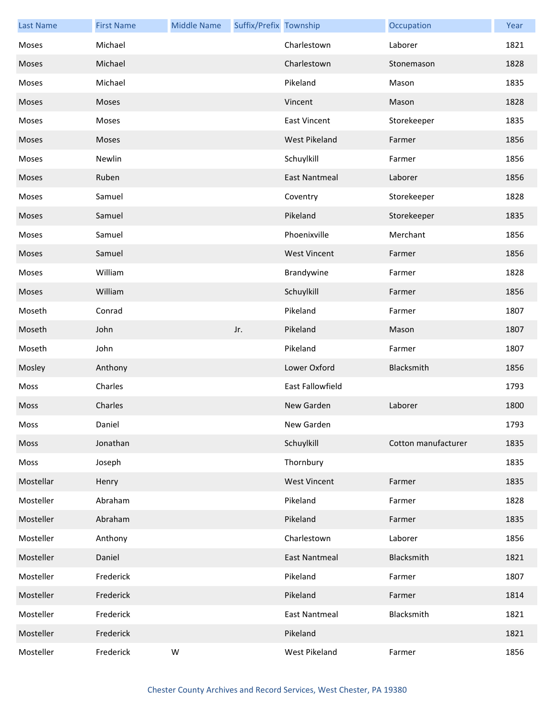| <b>Last Name</b> | <b>First Name</b> | <b>Middle Name</b> | Suffix/Prefix Township |                      | Occupation          | Year |
|------------------|-------------------|--------------------|------------------------|----------------------|---------------------|------|
| Moses            | Michael           |                    |                        | Charlestown          | Laborer             | 1821 |
| Moses            | Michael           |                    |                        | Charlestown          | Stonemason          | 1828 |
| Moses            | Michael           |                    |                        | Pikeland             | Mason               | 1835 |
| Moses            | Moses             |                    |                        | Vincent              | Mason               | 1828 |
| Moses            | Moses             |                    |                        | <b>East Vincent</b>  | Storekeeper         | 1835 |
| Moses            | Moses             |                    |                        | West Pikeland        | Farmer              | 1856 |
| Moses            | Newlin            |                    |                        | Schuylkill           | Farmer              | 1856 |
| Moses            | Ruben             |                    |                        | <b>East Nantmeal</b> | Laborer             | 1856 |
| Moses            | Samuel            |                    |                        | Coventry             | Storekeeper         | 1828 |
| Moses            | Samuel            |                    |                        | Pikeland             | Storekeeper         | 1835 |
| Moses            | Samuel            |                    |                        | Phoenixville         | Merchant            | 1856 |
| Moses            | Samuel            |                    |                        | <b>West Vincent</b>  | Farmer              | 1856 |
| Moses            | William           |                    |                        | Brandywine           | Farmer              | 1828 |
| Moses            | William           |                    |                        | Schuylkill           | Farmer              | 1856 |
| Moseth           | Conrad            |                    |                        | Pikeland             | Farmer              | 1807 |
| Moseth           | John              |                    | Jr.                    | Pikeland             | Mason               | 1807 |
| Moseth           | John              |                    |                        | Pikeland             | Farmer              | 1807 |
| Mosley           | Anthony           |                    |                        | Lower Oxford         | Blacksmith          | 1856 |
| Moss             | Charles           |                    |                        | East Fallowfield     |                     | 1793 |
| <b>Moss</b>      | Charles           |                    |                        | New Garden           | Laborer             | 1800 |
| Moss             | Daniel            |                    |                        | New Garden           |                     | 1793 |
| Moss             | Jonathan          |                    |                        | Schuylkill           | Cotton manufacturer | 1835 |
| Moss             | Joseph            |                    |                        | Thornbury            |                     | 1835 |
| Mostellar        | Henry             |                    |                        | <b>West Vincent</b>  | Farmer              | 1835 |
| Mosteller        | Abraham           |                    |                        | Pikeland             | Farmer              | 1828 |
| Mosteller        | Abraham           |                    |                        | Pikeland             | Farmer              | 1835 |
| Mosteller        | Anthony           |                    |                        | Charlestown          | Laborer             | 1856 |
| Mosteller        | Daniel            |                    |                        | <b>East Nantmeal</b> | Blacksmith          | 1821 |
| Mosteller        | Frederick         |                    |                        | Pikeland             | Farmer              | 1807 |
| Mosteller        | Frederick         |                    |                        | Pikeland             | Farmer              | 1814 |
| Mosteller        | Frederick         |                    |                        | <b>East Nantmeal</b> | Blacksmith          | 1821 |
| Mosteller        | Frederick         |                    |                        | Pikeland             |                     | 1821 |
| Mosteller        | Frederick         | W                  |                        | West Pikeland        | Farmer              | 1856 |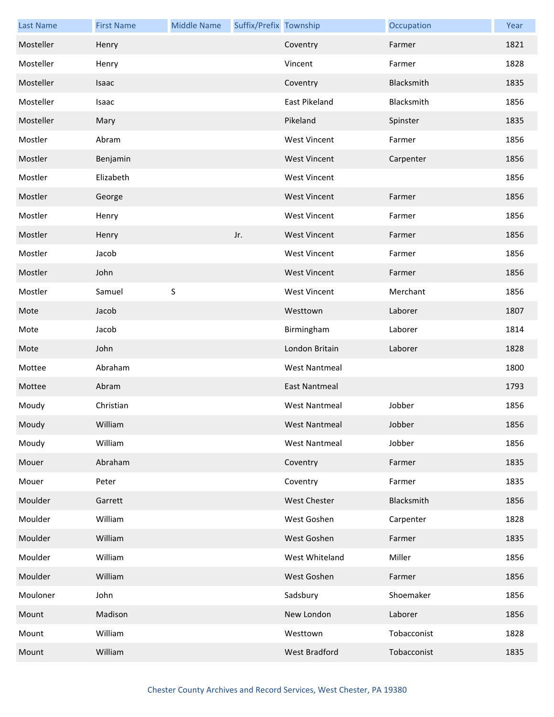| <b>Last Name</b> | <b>First Name</b> | <b>Middle Name</b> | Suffix/Prefix Township |                      | Occupation  | Year |
|------------------|-------------------|--------------------|------------------------|----------------------|-------------|------|
| Mosteller        | Henry             |                    |                        | Coventry             | Farmer      | 1821 |
| Mosteller        | Henry             |                    |                        | Vincent              | Farmer      | 1828 |
| Mosteller        | Isaac             |                    |                        | Coventry             | Blacksmith  | 1835 |
| Mosteller        | Isaac             |                    |                        | East Pikeland        | Blacksmith  | 1856 |
| Mosteller        | Mary              |                    |                        | Pikeland             | Spinster    | 1835 |
| Mostler          | Abram             |                    |                        | <b>West Vincent</b>  | Farmer      | 1856 |
| Mostler          | Benjamin          |                    |                        | <b>West Vincent</b>  | Carpenter   | 1856 |
| Mostler          | Elizabeth         |                    |                        | <b>West Vincent</b>  |             | 1856 |
| Mostler          | George            |                    |                        | <b>West Vincent</b>  | Farmer      | 1856 |
| Mostler          | Henry             |                    |                        | <b>West Vincent</b>  | Farmer      | 1856 |
| Mostler          | Henry             |                    | Jr.                    | <b>West Vincent</b>  | Farmer      | 1856 |
| Mostler          | Jacob             |                    |                        | <b>West Vincent</b>  | Farmer      | 1856 |
| Mostler          | John              |                    |                        | <b>West Vincent</b>  | Farmer      | 1856 |
| Mostler          | Samuel            | $\sf S$            |                        | <b>West Vincent</b>  | Merchant    | 1856 |
| Mote             | Jacob             |                    |                        | Westtown             | Laborer     | 1807 |
| Mote             | Jacob             |                    |                        | Birmingham           | Laborer     | 1814 |
| Mote             | John              |                    |                        | London Britain       | Laborer     | 1828 |
| Mottee           | Abraham           |                    |                        | <b>West Nantmeal</b> |             | 1800 |
| Mottee           | Abram             |                    |                        | <b>East Nantmeal</b> |             | 1793 |
| Moudy            | Christian         |                    |                        | <b>West Nantmeal</b> | Jobber      | 1856 |
| Moudy            | William           |                    |                        | West Nantmeal        | Jobber      | 1856 |
| Moudy            | William           |                    |                        | <b>West Nantmeal</b> | Jobber      | 1856 |
| Mouer            | Abraham           |                    |                        | Coventry             | Farmer      | 1835 |
| Mouer            | Peter             |                    |                        | Coventry             | Farmer      | 1835 |
| Moulder          | Garrett           |                    |                        | <b>West Chester</b>  | Blacksmith  | 1856 |
| Moulder          | William           |                    |                        | West Goshen          | Carpenter   | 1828 |
| Moulder          | William           |                    |                        | West Goshen          | Farmer      | 1835 |
| Moulder          | William           |                    |                        | West Whiteland       | Miller      | 1856 |
| Moulder          | William           |                    |                        | West Goshen          | Farmer      | 1856 |
| Mouloner         | John              |                    |                        | Sadsbury             | Shoemaker   | 1856 |
| Mount            | Madison           |                    |                        | New London           | Laborer     | 1856 |
| Mount            | William           |                    |                        | Westtown             | Tobacconist | 1828 |
| Mount            | William           |                    |                        | West Bradford        | Tobacconist | 1835 |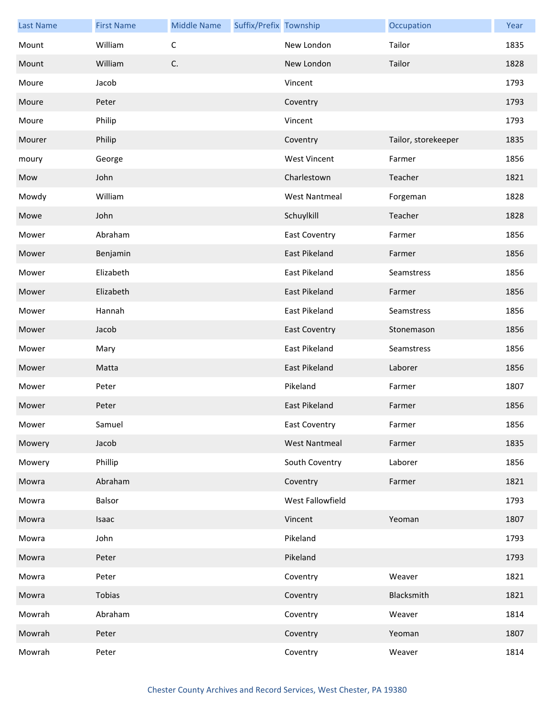| <b>Last Name</b> | <b>First Name</b> | <b>Middle Name</b> | Suffix/Prefix Township |                      | Occupation          | Year |
|------------------|-------------------|--------------------|------------------------|----------------------|---------------------|------|
| Mount            | William           | C                  |                        | New London           | Tailor              | 1835 |
| Mount            | William           | C.                 |                        | New London           | Tailor              | 1828 |
| Moure            | Jacob             |                    |                        | Vincent              |                     | 1793 |
| Moure            | Peter             |                    |                        | Coventry             |                     | 1793 |
| Moure            | Philip            |                    |                        | Vincent              |                     | 1793 |
| Mourer           | Philip            |                    |                        | Coventry             | Tailor, storekeeper | 1835 |
| moury            | George            |                    |                        | <b>West Vincent</b>  | Farmer              | 1856 |
| Mow              | John              |                    |                        | Charlestown          | Teacher             | 1821 |
| Mowdy            | William           |                    |                        | <b>West Nantmeal</b> | Forgeman            | 1828 |
| Mowe             | John              |                    |                        | Schuylkill           | Teacher             | 1828 |
| Mower            | Abraham           |                    |                        | <b>East Coventry</b> | Farmer              | 1856 |
| Mower            | Benjamin          |                    |                        | <b>East Pikeland</b> | Farmer              | 1856 |
| Mower            | Elizabeth         |                    |                        | <b>East Pikeland</b> | Seamstress          | 1856 |
| Mower            | Elizabeth         |                    |                        | East Pikeland        | Farmer              | 1856 |
| Mower            | Hannah            |                    |                        | East Pikeland        | Seamstress          | 1856 |
| Mower            | Jacob             |                    |                        | <b>East Coventry</b> | Stonemason          | 1856 |
| Mower            | Mary              |                    |                        | East Pikeland        | Seamstress          | 1856 |
| Mower            | Matta             |                    |                        | East Pikeland        | Laborer             | 1856 |
| Mower            | Peter             |                    |                        | Pikeland             | Farmer              | 1807 |
| Mower            | Peter             |                    |                        | East Pikeland        | Farmer              | 1856 |
| Mower            | Samuel            |                    |                        | East Coventry        | Farmer              | 1856 |
| Mowery           | Jacob             |                    |                        | <b>West Nantmeal</b> | Farmer              | 1835 |
| Mowery           | Phillip           |                    |                        | South Coventry       | Laborer             | 1856 |
| Mowra            | Abraham           |                    |                        | Coventry             | Farmer              | 1821 |
| Mowra            | Balsor            |                    |                        | West Fallowfield     |                     | 1793 |
| Mowra            | Isaac             |                    |                        | Vincent              | Yeoman              | 1807 |
| Mowra            | John              |                    |                        | Pikeland             |                     | 1793 |
| Mowra            | Peter             |                    |                        | Pikeland             |                     | 1793 |
| Mowra            | Peter             |                    |                        | Coventry             | Weaver              | 1821 |
| Mowra            | Tobias            |                    |                        | Coventry             | Blacksmith          | 1821 |
| Mowrah           | Abraham           |                    |                        | Coventry             | Weaver              | 1814 |
| Mowrah           | Peter             |                    |                        | Coventry             | Yeoman              | 1807 |
| Mowrah           | Peter             |                    |                        | Coventry             | Weaver              | 1814 |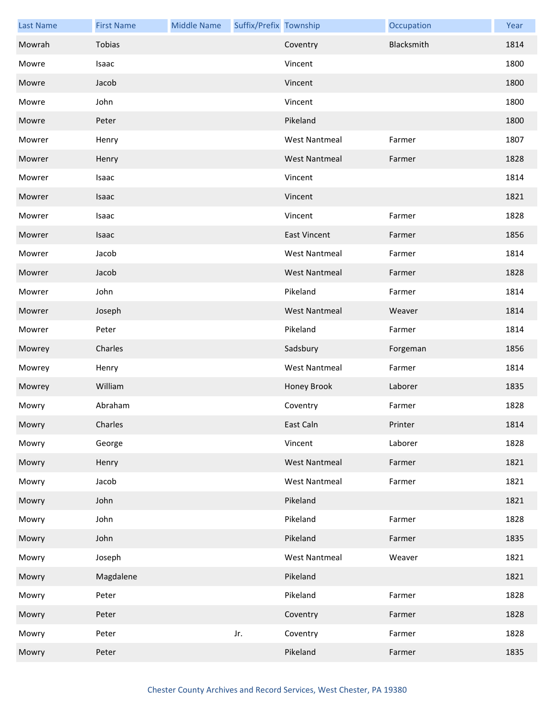| <b>Last Name</b> | <b>First Name</b> | <b>Middle Name</b> | Suffix/Prefix Township |                      | Occupation | Year |
|------------------|-------------------|--------------------|------------------------|----------------------|------------|------|
| Mowrah           | Tobias            |                    |                        | Coventry             | Blacksmith | 1814 |
| Mowre            | Isaac             |                    |                        | Vincent              |            | 1800 |
| Mowre            | Jacob             |                    |                        | Vincent              |            | 1800 |
| Mowre            | John              |                    |                        | Vincent              |            | 1800 |
| Mowre            | Peter             |                    |                        | Pikeland             |            | 1800 |
| Mowrer           | Henry             |                    |                        | <b>West Nantmeal</b> | Farmer     | 1807 |
| Mowrer           | Henry             |                    |                        | <b>West Nantmeal</b> | Farmer     | 1828 |
| Mowrer           | Isaac             |                    |                        | Vincent              |            | 1814 |
| Mowrer           | Isaac             |                    |                        | Vincent              |            | 1821 |
| Mowrer           | Isaac             |                    |                        | Vincent              | Farmer     | 1828 |
| Mowrer           | Isaac             |                    |                        | <b>East Vincent</b>  | Farmer     | 1856 |
| Mowrer           | Jacob             |                    |                        | <b>West Nantmeal</b> | Farmer     | 1814 |
| Mowrer           | Jacob             |                    |                        | <b>West Nantmeal</b> | Farmer     | 1828 |
| Mowrer           | John              |                    |                        | Pikeland             | Farmer     | 1814 |
| Mowrer           | Joseph            |                    |                        | <b>West Nantmeal</b> | Weaver     | 1814 |
| Mowrer           | Peter             |                    |                        | Pikeland             | Farmer     | 1814 |
| Mowrey           | Charles           |                    |                        | Sadsbury             | Forgeman   | 1856 |
| Mowrey           | Henry             |                    |                        | <b>West Nantmeal</b> | Farmer     | 1814 |
| Mowrey           | William           |                    |                        | Honey Brook          | Laborer    | 1835 |
| Mowry            | Abraham           |                    |                        | Coventry             | Farmer     | 1828 |
| Mowry            | Charles           |                    |                        | East Caln            | Printer    | 1814 |
| Mowry            | George            |                    |                        | Vincent              | Laborer    | 1828 |
| Mowry            | Henry             |                    |                        | <b>West Nantmeal</b> | Farmer     | 1821 |
| Mowry            | Jacob             |                    |                        | <b>West Nantmeal</b> | Farmer     | 1821 |
| Mowry            | John              |                    |                        | Pikeland             |            | 1821 |
| Mowry            | John              |                    |                        | Pikeland             | Farmer     | 1828 |
| Mowry            | John              |                    |                        | Pikeland             | Farmer     | 1835 |
| Mowry            | Joseph            |                    |                        | <b>West Nantmeal</b> | Weaver     | 1821 |
| Mowry            | Magdalene         |                    |                        | Pikeland             |            | 1821 |
| Mowry            | Peter             |                    |                        | Pikeland             | Farmer     | 1828 |
| Mowry            | Peter             |                    |                        | Coventry             | Farmer     | 1828 |
| Mowry            | Peter             |                    | Jr.                    | Coventry             | Farmer     | 1828 |
| Mowry            | Peter             |                    |                        | Pikeland             | Farmer     | 1835 |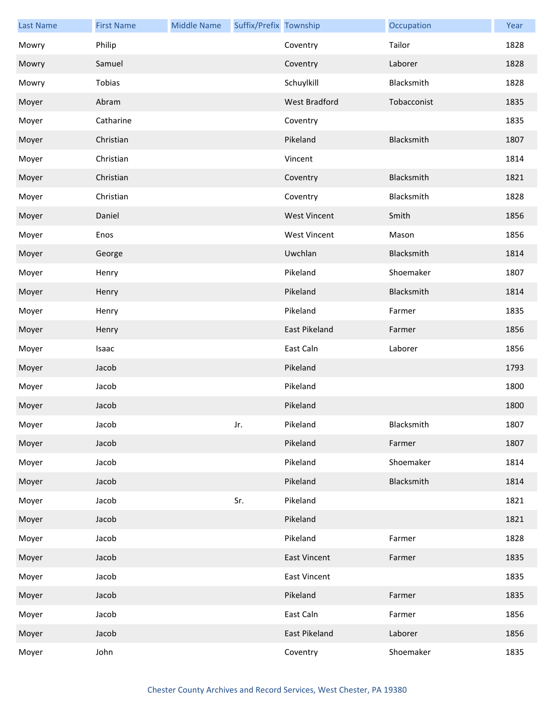| <b>Last Name</b> | <b>First Name</b> | <b>Middle Name</b> | Suffix/Prefix Township |                      | Occupation  | Year |
|------------------|-------------------|--------------------|------------------------|----------------------|-------------|------|
| Mowry            | Philip            |                    |                        | Coventry             | Tailor      | 1828 |
| Mowry            | Samuel            |                    |                        | Coventry             | Laborer     | 1828 |
| Mowry            | Tobias            |                    |                        | Schuylkill           | Blacksmith  | 1828 |
| Moyer            | Abram             |                    |                        | West Bradford        | Tobacconist | 1835 |
| Moyer            | Catharine         |                    |                        | Coventry             |             | 1835 |
| Moyer            | Christian         |                    |                        | Pikeland             | Blacksmith  | 1807 |
| Moyer            | Christian         |                    |                        | Vincent              |             | 1814 |
| Moyer            | Christian         |                    |                        | Coventry             | Blacksmith  | 1821 |
| Moyer            | Christian         |                    |                        | Coventry             | Blacksmith  | 1828 |
| Moyer            | Daniel            |                    |                        | <b>West Vincent</b>  | Smith       | 1856 |
| Moyer            | Enos              |                    |                        | <b>West Vincent</b>  | Mason       | 1856 |
| Moyer            | George            |                    |                        | Uwchlan              | Blacksmith  | 1814 |
| Moyer            | Henry             |                    |                        | Pikeland             | Shoemaker   | 1807 |
| Moyer            | Henry             |                    |                        | Pikeland             | Blacksmith  | 1814 |
| Moyer            | Henry             |                    |                        | Pikeland             | Farmer      | 1835 |
| Moyer            | Henry             |                    |                        | <b>East Pikeland</b> | Farmer      | 1856 |
| Moyer            | Isaac             |                    |                        | East Caln            | Laborer     | 1856 |
| Moyer            | Jacob             |                    |                        | Pikeland             |             | 1793 |
| Moyer            | Jacob             |                    |                        | Pikeland             |             | 1800 |
| Moyer            | Jacob             |                    |                        | Pikeland             |             | 1800 |
| Moyer            | Jacob             |                    | Jr.                    | Pikeland             | Blacksmith  | 1807 |
| Moyer            | Jacob             |                    |                        | Pikeland             | Farmer      | 1807 |
| Moyer            | Jacob             |                    |                        | Pikeland             | Shoemaker   | 1814 |
| Moyer            | Jacob             |                    |                        | Pikeland             | Blacksmith  | 1814 |
| Moyer            | Jacob             |                    | Sr.                    | Pikeland             |             | 1821 |
| Moyer            | Jacob             |                    |                        | Pikeland             |             | 1821 |
| Moyer            | Jacob             |                    |                        | Pikeland             | Farmer      | 1828 |
| Moyer            | Jacob             |                    |                        | <b>East Vincent</b>  | Farmer      | 1835 |
| Moyer            | Jacob             |                    |                        | <b>East Vincent</b>  |             | 1835 |
| Moyer            | Jacob             |                    |                        | Pikeland             | Farmer      | 1835 |
| Moyer            | Jacob             |                    |                        | East Caln            | Farmer      | 1856 |
| Moyer            | Jacob             |                    |                        | East Pikeland        | Laborer     | 1856 |
| Moyer            | John              |                    |                        | Coventry             | Shoemaker   | 1835 |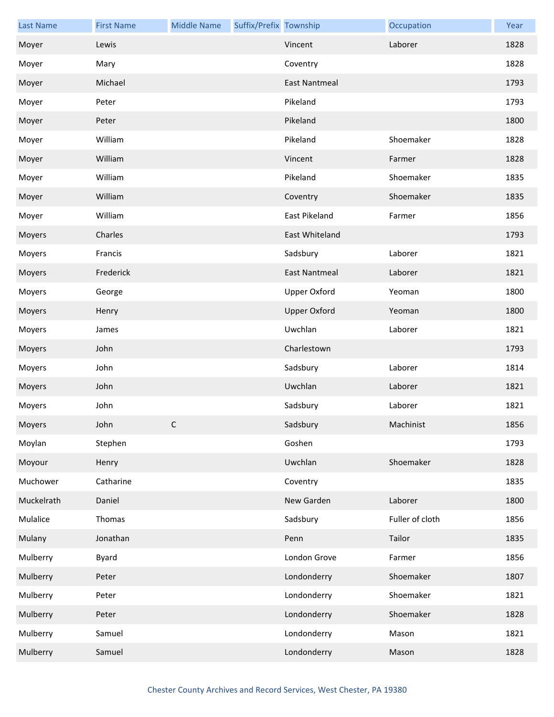| <b>Last Name</b> | <b>First Name</b> | <b>Middle Name</b> | Suffix/Prefix Township |                      | Occupation      | Year |
|------------------|-------------------|--------------------|------------------------|----------------------|-----------------|------|
| Moyer            | Lewis             |                    |                        | Vincent              | Laborer         | 1828 |
| Moyer            | Mary              |                    |                        | Coventry             |                 | 1828 |
| Moyer            | Michael           |                    |                        | <b>East Nantmeal</b> |                 | 1793 |
| Moyer            | Peter             |                    |                        | Pikeland             |                 | 1793 |
| Moyer            | Peter             |                    |                        | Pikeland             |                 | 1800 |
| Moyer            | William           |                    |                        | Pikeland             | Shoemaker       | 1828 |
| Moyer            | William           |                    |                        | Vincent              | Farmer          | 1828 |
| Moyer            | William           |                    |                        | Pikeland             | Shoemaker       | 1835 |
| Moyer            | William           |                    |                        | Coventry             | Shoemaker       | 1835 |
| Moyer            | William           |                    |                        | East Pikeland        | Farmer          | 1856 |
| Moyers           | Charles           |                    |                        | East Whiteland       |                 | 1793 |
| Moyers           | Francis           |                    |                        | Sadsbury             | Laborer         | 1821 |
| Moyers           | Frederick         |                    |                        | <b>East Nantmeal</b> | Laborer         | 1821 |
| Moyers           | George            |                    |                        | <b>Upper Oxford</b>  | Yeoman          | 1800 |
| Moyers           | Henry             |                    |                        | <b>Upper Oxford</b>  | Yeoman          | 1800 |
| Moyers           | James             |                    |                        | Uwchlan              | Laborer         | 1821 |
| Moyers           | John              |                    |                        | Charlestown          |                 | 1793 |
| Moyers           | John              |                    |                        | Sadsbury             | Laborer         | 1814 |
| Moyers           | John              |                    |                        | Uwchlan              | Laborer         | 1821 |
| Moyers           | John              |                    |                        | Sadsbury             | Laborer         | 1821 |
| Moyers           | John              | C                  |                        | Sadsbury             | Machinist       | 1856 |
| Moylan           | Stephen           |                    |                        | Goshen               |                 | 1793 |
| Moyour           | Henry             |                    |                        | Uwchlan              | Shoemaker       | 1828 |
| Muchower         | Catharine         |                    |                        | Coventry             |                 | 1835 |
| Muckelrath       | Daniel            |                    |                        | New Garden           | Laborer         | 1800 |
| Mulalice         | Thomas            |                    |                        | Sadsbury             | Fuller of cloth | 1856 |
| Mulany           | Jonathan          |                    |                        | Penn                 | Tailor          | 1835 |
| Mulberry         | Byard             |                    |                        | London Grove         | Farmer          | 1856 |
| Mulberry         | Peter             |                    |                        | Londonderry          | Shoemaker       | 1807 |
| Mulberry         | Peter             |                    |                        | Londonderry          | Shoemaker       | 1821 |
| Mulberry         | Peter             |                    |                        | Londonderry          | Shoemaker       | 1828 |
| Mulberry         | Samuel            |                    |                        | Londonderry          | Mason           | 1821 |
| Mulberry         | Samuel            |                    |                        | Londonderry          | Mason           | 1828 |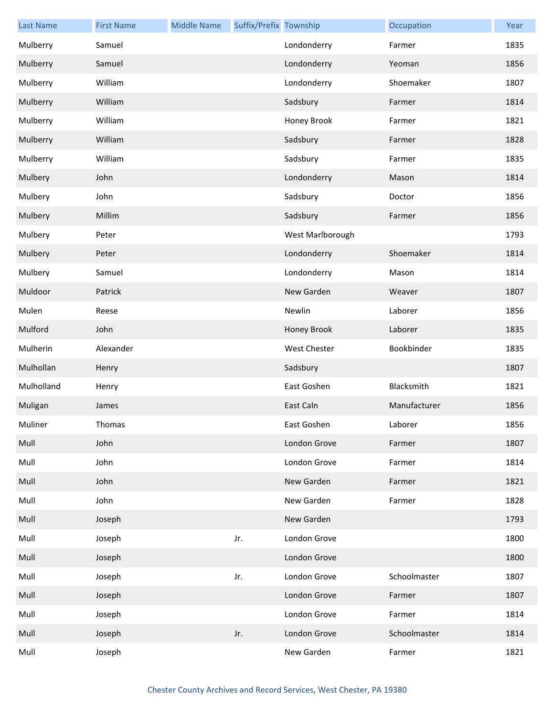| <b>Last Name</b> | <b>First Name</b> | <b>Middle Name</b> | Suffix/Prefix Township |                  | Occupation   | Year |
|------------------|-------------------|--------------------|------------------------|------------------|--------------|------|
| Mulberry         | Samuel            |                    |                        | Londonderry      | Farmer       | 1835 |
| Mulberry         | Samuel            |                    |                        | Londonderry      | Yeoman       | 1856 |
| Mulberry         | William           |                    |                        | Londonderry      | Shoemaker    | 1807 |
| Mulberry         | William           |                    |                        | Sadsbury         | Farmer       | 1814 |
| Mulberry         | William           |                    |                        | Honey Brook      | Farmer       | 1821 |
| Mulberry         | William           |                    |                        | Sadsbury         | Farmer       | 1828 |
| Mulberry         | William           |                    |                        | Sadsbury         | Farmer       | 1835 |
| Mulbery          | John              |                    |                        | Londonderry      | Mason        | 1814 |
| Mulbery          | John              |                    |                        | Sadsbury         | Doctor       | 1856 |
| Mulbery          | Millim            |                    |                        | Sadsbury         | Farmer       | 1856 |
| Mulbery          | Peter             |                    |                        | West Marlborough |              | 1793 |
| Mulbery          | Peter             |                    |                        | Londonderry      | Shoemaker    | 1814 |
| Mulbery          | Samuel            |                    |                        | Londonderry      | Mason        | 1814 |
| Muldoor          | Patrick           |                    |                        | New Garden       | Weaver       | 1807 |
| Mulen            | Reese             |                    |                        | Newlin           | Laborer      | 1856 |
| Mulford          | John              |                    |                        | Honey Brook      | Laborer      | 1835 |
| Mulherin         | Alexander         |                    |                        | West Chester     | Bookbinder   | 1835 |
| Mulhollan        | Henry             |                    |                        | Sadsbury         |              | 1807 |
| Mulholland       | Henry             |                    |                        | East Goshen      | Blacksmith   | 1821 |
| Muligan          | James             |                    |                        | East Caln        | Manufacturer | 1856 |
| Muliner          | Thomas            |                    |                        | East Goshen      | Laborer      | 1856 |
| Mull             | John              |                    |                        | London Grove     | Farmer       | 1807 |
| Mull             | John              |                    |                        | London Grove     | Farmer       | 1814 |
| Mull             | John              |                    |                        | New Garden       | Farmer       | 1821 |
| Mull             | John              |                    |                        | New Garden       | Farmer       | 1828 |
| Mull             | Joseph            |                    |                        | New Garden       |              | 1793 |
| Mull             | Joseph            |                    | Jr.                    | London Grove     |              | 1800 |
| Mull             | Joseph            |                    |                        | London Grove     |              | 1800 |
| Mull             | Joseph            |                    | Jr.                    | London Grove     | Schoolmaster | 1807 |
| Mull             | Joseph            |                    |                        | London Grove     | Farmer       | 1807 |
| Mull             | Joseph            |                    |                        | London Grove     | Farmer       | 1814 |
| Mull             | Joseph            |                    | Jr.                    | London Grove     | Schoolmaster | 1814 |
| Mull             | Joseph            |                    |                        | New Garden       | Farmer       | 1821 |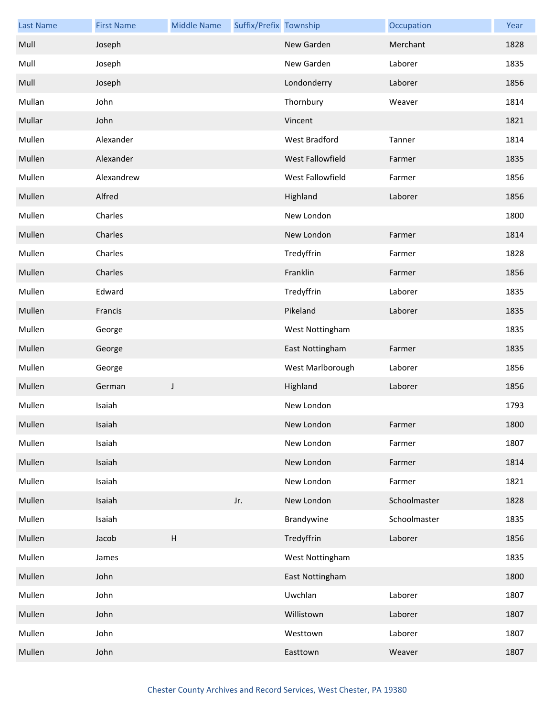| <b>Last Name</b> | <b>First Name</b> | <b>Middle Name</b>        | Suffix/Prefix Township |                  | Occupation   | Year |
|------------------|-------------------|---------------------------|------------------------|------------------|--------------|------|
| Mull             | Joseph            |                           |                        | New Garden       | Merchant     | 1828 |
| Mull             | Joseph            |                           |                        | New Garden       | Laborer      | 1835 |
| Mull             | Joseph            |                           |                        | Londonderry      | Laborer      | 1856 |
| Mullan           | John              |                           |                        | Thornbury        | Weaver       | 1814 |
| Mullar           | John              |                           |                        | Vincent          |              | 1821 |
| Mullen           | Alexander         |                           |                        | West Bradford    | Tanner       | 1814 |
| Mullen           | Alexander         |                           |                        | West Fallowfield | Farmer       | 1835 |
| Mullen           | Alexandrew        |                           |                        | West Fallowfield | Farmer       | 1856 |
| Mullen           | Alfred            |                           |                        | Highland         | Laborer      | 1856 |
| Mullen           | Charles           |                           |                        | New London       |              | 1800 |
| Mullen           | Charles           |                           |                        | New London       | Farmer       | 1814 |
| Mullen           | Charles           |                           |                        | Tredyffrin       | Farmer       | 1828 |
| Mullen           | Charles           |                           |                        | Franklin         | Farmer       | 1856 |
| Mullen           | Edward            |                           |                        | Tredyffrin       | Laborer      | 1835 |
| Mullen           | Francis           |                           |                        | Pikeland         | Laborer      | 1835 |
| Mullen           | George            |                           |                        | West Nottingham  |              | 1835 |
| Mullen           | George            |                           |                        | East Nottingham  | Farmer       | 1835 |
| Mullen           | George            |                           |                        | West Marlborough | Laborer      | 1856 |
| Mullen           | German            | J                         |                        | Highland         | Laborer      | 1856 |
| Mullen           | Isaiah            |                           |                        | New London       |              | 1793 |
| Mullen           | Isaiah            |                           |                        | New London       | Farmer       | 1800 |
| Mullen           | Isaiah            |                           |                        | New London       | Farmer       | 1807 |
| Mullen           | Isaiah            |                           |                        | New London       | Farmer       | 1814 |
| Mullen           | Isaiah            |                           |                        | New London       | Farmer       | 1821 |
| Mullen           | Isaiah            |                           | Jr.                    | New London       | Schoolmaster | 1828 |
| Mullen           | Isaiah            |                           |                        | Brandywine       | Schoolmaster | 1835 |
| Mullen           | Jacob             | $\boldsymbol{\mathsf{H}}$ |                        | Tredyffrin       | Laborer      | 1856 |
| Mullen           | James             |                           |                        | West Nottingham  |              | 1835 |
| Mullen           | John              |                           |                        | East Nottingham  |              | 1800 |
| Mullen           | John              |                           |                        | Uwchlan          | Laborer      | 1807 |
| Mullen           | John              |                           |                        | Willistown       | Laborer      | 1807 |
| Mullen           | John              |                           |                        | Westtown         | Laborer      | 1807 |
| Mullen           | John              |                           |                        | Easttown         | Weaver       | 1807 |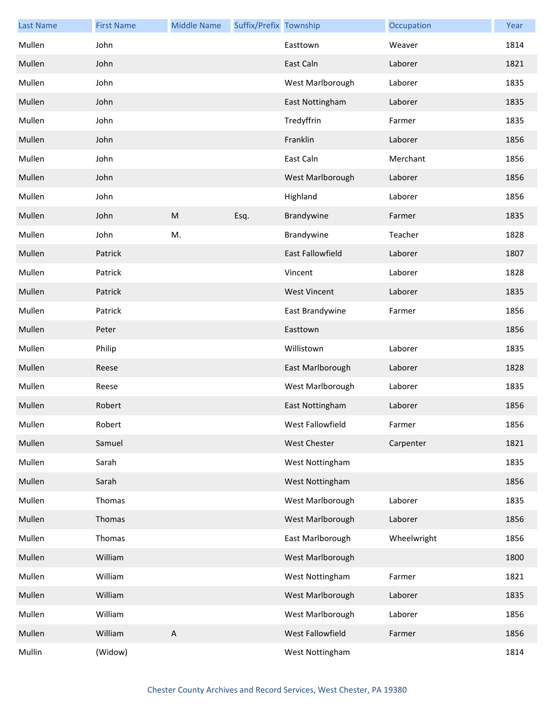| <b>Last Name</b> | <b>First Name</b> | <b>Middle Name</b> | Suffix/Prefix Township |                     | Occupation  | Year |
|------------------|-------------------|--------------------|------------------------|---------------------|-------------|------|
| Mullen           | John              |                    |                        | Easttown            | Weaver      | 1814 |
| Mullen           | John              |                    |                        | East Caln           | Laborer     | 1821 |
| Mullen           | John              |                    |                        | West Marlborough    | Laborer     | 1835 |
| Mullen           | John              |                    |                        | East Nottingham     | Laborer     | 1835 |
| Mullen           | John              |                    |                        | Tredyffrin          | Farmer      | 1835 |
| Mullen           | John              |                    |                        | Franklin            | Laborer     | 1856 |
| Mullen           | John              |                    |                        | East Caln           | Merchant    | 1856 |
| Mullen           | John              |                    |                        | West Marlborough    | Laborer     | 1856 |
| Mullen           | John              |                    |                        | Highland            | Laborer     | 1856 |
| Mullen           | John              | M                  | Esq.                   | Brandywine          | Farmer      | 1835 |
| Mullen           | John              | M.                 |                        | Brandywine          | Teacher     | 1828 |
| Mullen           | Patrick           |                    |                        | East Fallowfield    | Laborer     | 1807 |
| Mullen           | Patrick           |                    |                        | Vincent             | Laborer     | 1828 |
| Mullen           | Patrick           |                    |                        | <b>West Vincent</b> | Laborer     | 1835 |
| Mullen           | Patrick           |                    |                        | East Brandywine     | Farmer      | 1856 |
| Mullen           | Peter             |                    |                        | Easttown            |             | 1856 |
| Mullen           | Philip            |                    |                        | Willistown          | Laborer     | 1835 |
| Mullen           | Reese             |                    |                        | East Marlborough    | Laborer     | 1828 |
| Mullen           | Reese             |                    |                        | West Marlborough    | Laborer     | 1835 |
| Mullen           | Robert            |                    |                        | East Nottingham     | Laborer     | 1856 |
| Mullen           | Robert            |                    |                        | West Fallowfield    | Farmer      | 1856 |
| Mullen           | Samuel            |                    |                        | <b>West Chester</b> | Carpenter   | 1821 |
| Mullen           | Sarah             |                    |                        | West Nottingham     |             | 1835 |
| Mullen           | Sarah             |                    |                        | West Nottingham     |             | 1856 |
| Mullen           | Thomas            |                    |                        | West Marlborough    | Laborer     | 1835 |
| Mullen           | Thomas            |                    |                        | West Marlborough    | Laborer     | 1856 |
| Mullen           | Thomas            |                    |                        | East Marlborough    | Wheelwright | 1856 |
| Mullen           | William           |                    |                        | West Marlborough    |             | 1800 |
| Mullen           | William           |                    |                        | West Nottingham     | Farmer      | 1821 |
| Mullen           | William           |                    |                        | West Marlborough    | Laborer     | 1835 |
| Mullen           | William           |                    |                        | West Marlborough    | Laborer     | 1856 |
| Mullen           | William           | $\mathsf A$        |                        | West Fallowfield    | Farmer      | 1856 |
| Mullin           | (Widow)           |                    |                        | West Nottingham     |             | 1814 |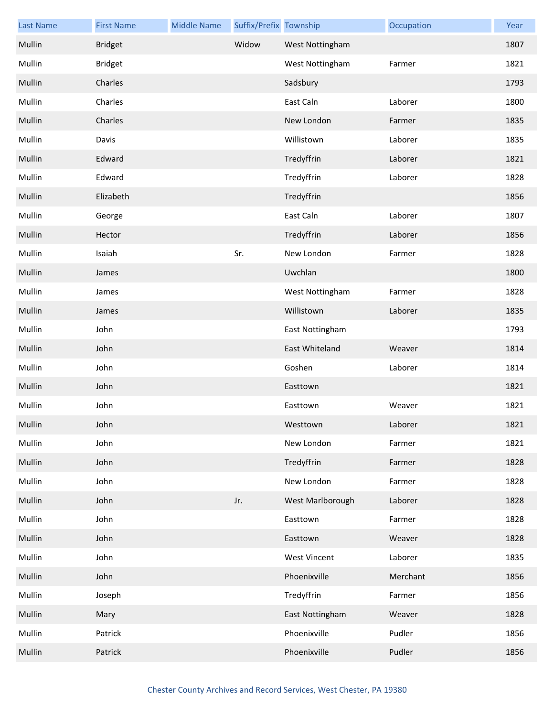| <b>Last Name</b> | <b>First Name</b> | <b>Middle Name</b> | Suffix/Prefix Township |                     | Occupation | Year |
|------------------|-------------------|--------------------|------------------------|---------------------|------------|------|
| Mullin           | <b>Bridget</b>    |                    | Widow                  | West Nottingham     |            | 1807 |
| Mullin           | <b>Bridget</b>    |                    |                        | West Nottingham     | Farmer     | 1821 |
| Mullin           | Charles           |                    |                        | Sadsbury            |            | 1793 |
| Mullin           | Charles           |                    |                        | East Caln           | Laborer    | 1800 |
| Mullin           | Charles           |                    |                        | New London          | Farmer     | 1835 |
| Mullin           | Davis             |                    |                        | Willistown          | Laborer    | 1835 |
| Mullin           | Edward            |                    |                        | Tredyffrin          | Laborer    | 1821 |
| Mullin           | Edward            |                    |                        | Tredyffrin          | Laborer    | 1828 |
| Mullin           | Elizabeth         |                    |                        | Tredyffrin          |            | 1856 |
| Mullin           | George            |                    |                        | East Caln           | Laborer    | 1807 |
| Mullin           | Hector            |                    |                        | Tredyffrin          | Laborer    | 1856 |
| Mullin           | Isaiah            |                    | Sr.                    | New London          | Farmer     | 1828 |
| Mullin           | James             |                    |                        | Uwchlan             |            | 1800 |
| Mullin           | James             |                    |                        | West Nottingham     | Farmer     | 1828 |
| Mullin           | James             |                    |                        | Willistown          | Laborer    | 1835 |
| Mullin           | John              |                    |                        | East Nottingham     |            | 1793 |
| Mullin           | John              |                    |                        | East Whiteland      | Weaver     | 1814 |
| Mullin           | John              |                    |                        | Goshen              | Laborer    | 1814 |
| Mullin           | John              |                    |                        | Easttown            |            | 1821 |
| Mullin           | John              |                    |                        | Easttown            | Weaver     | 1821 |
| Mullin           | John              |                    |                        | Westtown            | Laborer    | 1821 |
| Mullin           | John              |                    |                        | New London          | Farmer     | 1821 |
| Mullin           | John              |                    |                        | Tredyffrin          | Farmer     | 1828 |
| Mullin           | John              |                    |                        | New London          | Farmer     | 1828 |
| Mullin           | John              |                    | Jr.                    | West Marlborough    | Laborer    | 1828 |
| Mullin           | John              |                    |                        | Easttown            | Farmer     | 1828 |
| Mullin           | John              |                    |                        | Easttown            | Weaver     | 1828 |
| Mullin           | John              |                    |                        | <b>West Vincent</b> | Laborer    | 1835 |
| Mullin           | John              |                    |                        | Phoenixville        | Merchant   | 1856 |
| Mullin           | Joseph            |                    |                        | Tredyffrin          | Farmer     | 1856 |
| Mullin           | Mary              |                    |                        | East Nottingham     | Weaver     | 1828 |
| Mullin           | Patrick           |                    |                        | Phoenixville        | Pudler     | 1856 |
| Mullin           | Patrick           |                    |                        | Phoenixville        | Pudler     | 1856 |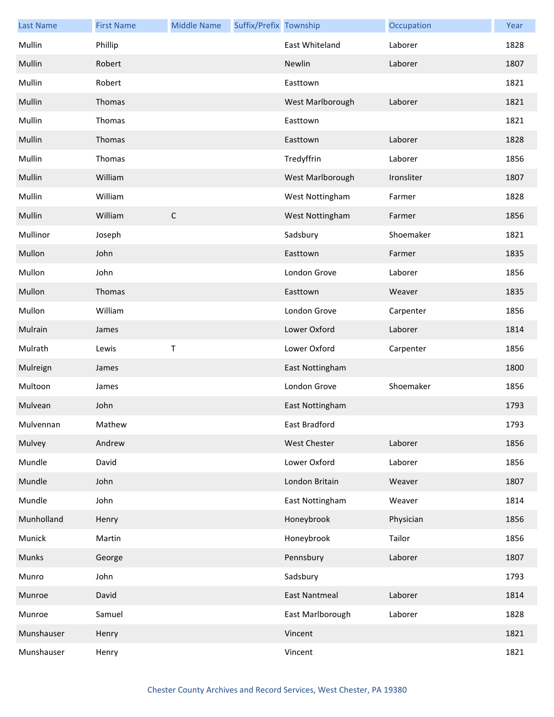| <b>Last Name</b> | <b>First Name</b> | <b>Middle Name</b> | Suffix/Prefix Township |                      | Occupation | Year |
|------------------|-------------------|--------------------|------------------------|----------------------|------------|------|
| Mullin           | Phillip           |                    |                        | East Whiteland       | Laborer    | 1828 |
| Mullin           | Robert            |                    |                        | Newlin               | Laborer    | 1807 |
| Mullin           | Robert            |                    |                        | Easttown             |            | 1821 |
| Mullin           | Thomas            |                    |                        | West Marlborough     | Laborer    | 1821 |
| Mullin           | Thomas            |                    |                        | Easttown             |            | 1821 |
| Mullin           | Thomas            |                    |                        | Easttown             | Laborer    | 1828 |
| Mullin           | Thomas            |                    |                        | Tredyffrin           | Laborer    | 1856 |
| Mullin           | William           |                    |                        | West Marlborough     | Ironsliter | 1807 |
| Mullin           | William           |                    |                        | West Nottingham      | Farmer     | 1828 |
| Mullin           | William           | $\mathsf C$        |                        | West Nottingham      | Farmer     | 1856 |
| Mullinor         | Joseph            |                    |                        | Sadsbury             | Shoemaker  | 1821 |
| Mullon           | John              |                    |                        | Easttown             | Farmer     | 1835 |
| Mullon           | John              |                    |                        | London Grove         | Laborer    | 1856 |
| Mullon           | Thomas            |                    |                        | Easttown             | Weaver     | 1835 |
| Mullon           | William           |                    |                        | London Grove         | Carpenter  | 1856 |
| Mulrain          | James             |                    |                        | Lower Oxford         | Laborer    | 1814 |
| Mulrath          | Lewis             | $\mathsf T$        |                        | Lower Oxford         | Carpenter  | 1856 |
| Mulreign         | James             |                    |                        | East Nottingham      |            | 1800 |
| Multoon          | James             |                    |                        | London Grove         | Shoemaker  | 1856 |
| Mulvean          | John              |                    |                        | East Nottingham      |            | 1793 |
| Mulvennan        | Mathew            |                    |                        | East Bradford        |            | 1793 |
| Mulvey           | Andrew            |                    |                        | <b>West Chester</b>  | Laborer    | 1856 |
| Mundle           | David             |                    |                        | Lower Oxford         | Laborer    | 1856 |
| Mundle           | John              |                    |                        | London Britain       | Weaver     | 1807 |
| Mundle           | John              |                    |                        | East Nottingham      | Weaver     | 1814 |
| Munholland       | Henry             |                    |                        | Honeybrook           | Physician  | 1856 |
| Munick           | Martin            |                    |                        | Honeybrook           | Tailor     | 1856 |
| Munks            | George            |                    |                        | Pennsbury            | Laborer    | 1807 |
| Munro            | John              |                    |                        | Sadsbury             |            | 1793 |
| Munroe           | David             |                    |                        | <b>East Nantmeal</b> | Laborer    | 1814 |
| Munroe           | Samuel            |                    |                        | East Marlborough     | Laborer    | 1828 |
| Munshauser       | Henry             |                    |                        | Vincent              |            | 1821 |
| Munshauser       | Henry             |                    |                        | Vincent              |            | 1821 |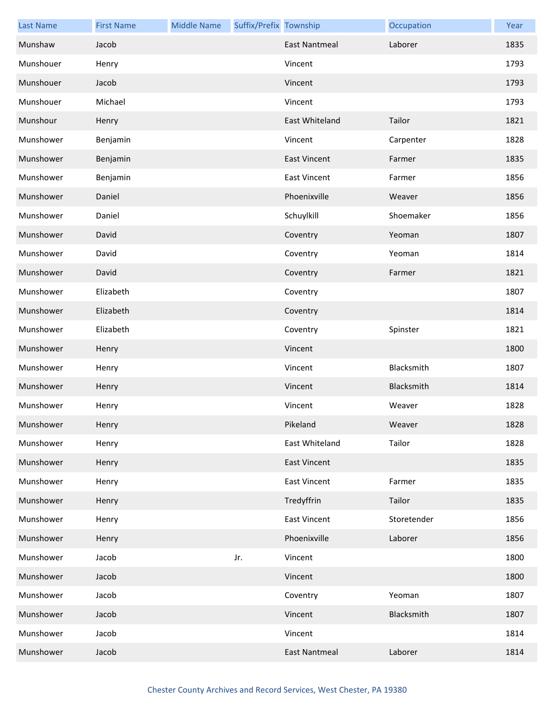| <b>Last Name</b> | <b>First Name</b> | <b>Middle Name</b> | Suffix/Prefix Township |                      | Occupation  | Year |
|------------------|-------------------|--------------------|------------------------|----------------------|-------------|------|
| Munshaw          | Jacob             |                    |                        | East Nantmeal        | Laborer     | 1835 |
| Munshouer        | Henry             |                    |                        | Vincent              |             | 1793 |
| Munshouer        | Jacob             |                    |                        | Vincent              |             | 1793 |
| Munshouer        | Michael           |                    |                        | Vincent              |             | 1793 |
| Munshour         | Henry             |                    |                        | East Whiteland       | Tailor      | 1821 |
| Munshower        | Benjamin          |                    |                        | Vincent              | Carpenter   | 1828 |
| Munshower        | Benjamin          |                    |                        | <b>East Vincent</b>  | Farmer      | 1835 |
| Munshower        | Benjamin          |                    |                        | <b>East Vincent</b>  | Farmer      | 1856 |
| Munshower        | Daniel            |                    |                        | Phoenixville         | Weaver      | 1856 |
| Munshower        | Daniel            |                    |                        | Schuylkill           | Shoemaker   | 1856 |
| Munshower        | David             |                    |                        | Coventry             | Yeoman      | 1807 |
| Munshower        | David             |                    |                        | Coventry             | Yeoman      | 1814 |
| Munshower        | David             |                    |                        | Coventry             | Farmer      | 1821 |
| Munshower        | Elizabeth         |                    |                        | Coventry             |             | 1807 |
| Munshower        | Elizabeth         |                    |                        | Coventry             |             | 1814 |
| Munshower        | Elizabeth         |                    |                        | Coventry             | Spinster    | 1821 |
| Munshower        | Henry             |                    |                        | Vincent              |             | 1800 |
| Munshower        | Henry             |                    |                        | Vincent              | Blacksmith  | 1807 |
| Munshower        | Henry             |                    |                        | Vincent              | Blacksmith  | 1814 |
| Munshower        | Henry             |                    |                        | Vincent              | Weaver      | 1828 |
| Munshower        | Henry             |                    |                        | Pikeland             | Weaver      | 1828 |
| Munshower        | Henry             |                    |                        | East Whiteland       | Tailor      | 1828 |
| Munshower        | Henry             |                    |                        | <b>East Vincent</b>  |             | 1835 |
| Munshower        | Henry             |                    |                        | <b>East Vincent</b>  | Farmer      | 1835 |
| Munshower        | Henry             |                    |                        | Tredyffrin           | Tailor      | 1835 |
| Munshower        | Henry             |                    |                        | <b>East Vincent</b>  | Storetender | 1856 |
| Munshower        | Henry             |                    |                        | Phoenixville         | Laborer     | 1856 |
| Munshower        | Jacob             |                    | Jr.                    | Vincent              |             | 1800 |
| Munshower        | Jacob             |                    |                        | Vincent              |             | 1800 |
| Munshower        | Jacob             |                    |                        | Coventry             | Yeoman      | 1807 |
| Munshower        | Jacob             |                    |                        | Vincent              | Blacksmith  | 1807 |
| Munshower        | Jacob             |                    |                        | Vincent              |             | 1814 |
| Munshower        | Jacob             |                    |                        | <b>East Nantmeal</b> | Laborer     | 1814 |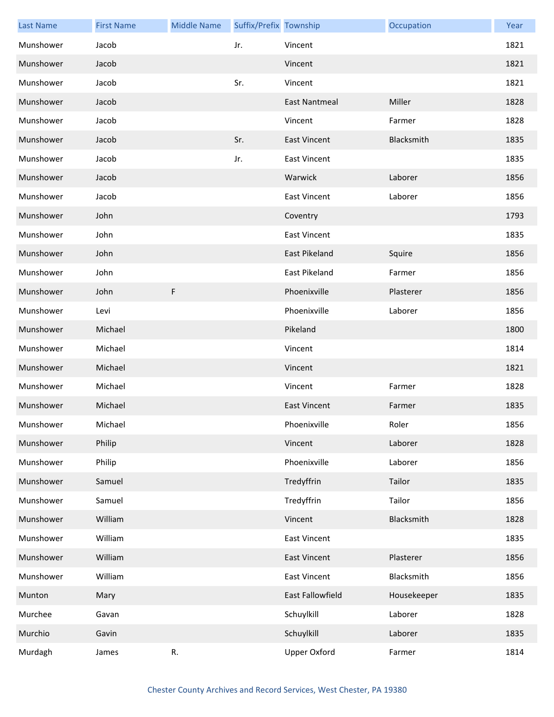| <b>Last Name</b> | <b>First Name</b> | <b>Middle Name</b> | Suffix/Prefix Township |                      | Occupation  | Year |
|------------------|-------------------|--------------------|------------------------|----------------------|-------------|------|
| Munshower        | Jacob             |                    | Jr.                    | Vincent              |             | 1821 |
| Munshower        | Jacob             |                    |                        | Vincent              |             | 1821 |
| Munshower        | Jacob             |                    | Sr.                    | Vincent              |             | 1821 |
| Munshower        | Jacob             |                    |                        | East Nantmeal        | Miller      | 1828 |
| Munshower        | Jacob             |                    |                        | Vincent              | Farmer      | 1828 |
| Munshower        | Jacob             |                    | Sr.                    | <b>East Vincent</b>  | Blacksmith  | 1835 |
| Munshower        | Jacob             |                    | Jr.                    | <b>East Vincent</b>  |             | 1835 |
| Munshower        | Jacob             |                    |                        | Warwick              | Laborer     | 1856 |
| Munshower        | Jacob             |                    |                        | <b>East Vincent</b>  | Laborer     | 1856 |
| Munshower        | John              |                    |                        | Coventry             |             | 1793 |
| Munshower        | John              |                    |                        | <b>East Vincent</b>  |             | 1835 |
| Munshower        | John              |                    |                        | <b>East Pikeland</b> | Squire      | 1856 |
| Munshower        | John              |                    |                        | East Pikeland        | Farmer      | 1856 |
| Munshower        | John              | F                  |                        | Phoenixville         | Plasterer   | 1856 |
| Munshower        | Levi              |                    |                        | Phoenixville         | Laborer     | 1856 |
| Munshower        | Michael           |                    |                        | Pikeland             |             | 1800 |
| Munshower        | Michael           |                    |                        | Vincent              |             | 1814 |
| Munshower        | Michael           |                    |                        | Vincent              |             | 1821 |
| Munshower        | Michael           |                    |                        | Vincent              | Farmer      | 1828 |
| Munshower        | Michael           |                    |                        | <b>East Vincent</b>  | Farmer      | 1835 |
| Munshower        | Michael           |                    |                        | Phoenixville         | Roler       | 1856 |
| Munshower        | Philip            |                    |                        | Vincent              | Laborer     | 1828 |
| Munshower        | Philip            |                    |                        | Phoenixville         | Laborer     | 1856 |
| Munshower        | Samuel            |                    |                        | Tredyffrin           | Tailor      | 1835 |
| Munshower        | Samuel            |                    |                        | Tredyffrin           | Tailor      | 1856 |
| Munshower        | William           |                    |                        | Vincent              | Blacksmith  | 1828 |
| Munshower        | William           |                    |                        | East Vincent         |             | 1835 |
| Munshower        | William           |                    |                        | <b>East Vincent</b>  | Plasterer   | 1856 |
| Munshower        | William           |                    |                        | East Vincent         | Blacksmith  | 1856 |
| Munton           | Mary              |                    |                        | East Fallowfield     | Housekeeper | 1835 |
| Murchee          | Gavan             |                    |                        | Schuylkill           | Laborer     | 1828 |
| Murchio          | Gavin             |                    |                        | Schuylkill           | Laborer     | 1835 |
| Murdagh          | James             | R.                 |                        | <b>Upper Oxford</b>  | Farmer      | 1814 |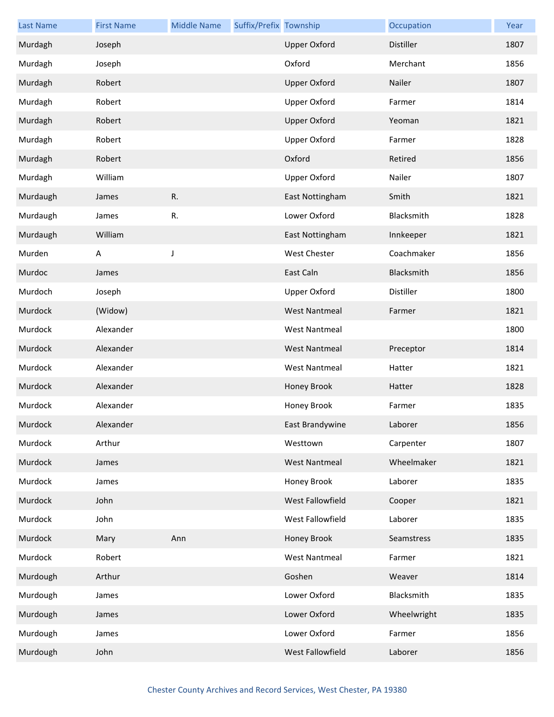| <b>Last Name</b> | <b>First Name</b> | <b>Middle Name</b> | Suffix/Prefix Township |                      | Occupation  | Year |
|------------------|-------------------|--------------------|------------------------|----------------------|-------------|------|
| Murdagh          | Joseph            |                    |                        | <b>Upper Oxford</b>  | Distiller   | 1807 |
| Murdagh          | Joseph            |                    |                        | Oxford               | Merchant    | 1856 |
| Murdagh          | Robert            |                    |                        | <b>Upper Oxford</b>  | Nailer      | 1807 |
| Murdagh          | Robert            |                    |                        | <b>Upper Oxford</b>  | Farmer      | 1814 |
| Murdagh          | Robert            |                    |                        | <b>Upper Oxford</b>  | Yeoman      | 1821 |
| Murdagh          | Robert            |                    |                        | <b>Upper Oxford</b>  | Farmer      | 1828 |
| Murdagh          | Robert            |                    |                        | Oxford               | Retired     | 1856 |
| Murdagh          | William           |                    |                        | Upper Oxford         | Nailer      | 1807 |
| Murdaugh         | James             | R.                 |                        | East Nottingham      | Smith       | 1821 |
| Murdaugh         | James             | R.                 |                        | Lower Oxford         | Blacksmith  | 1828 |
| Murdaugh         | William           |                    |                        | East Nottingham      | Innkeeper   | 1821 |
| Murden           | A                 | J                  |                        | <b>West Chester</b>  | Coachmaker  | 1856 |
| Murdoc           | James             |                    |                        | East Caln            | Blacksmith  | 1856 |
| Murdoch          | Joseph            |                    |                        | <b>Upper Oxford</b>  | Distiller   | 1800 |
| Murdock          | (Widow)           |                    |                        | <b>West Nantmeal</b> | Farmer      | 1821 |
| Murdock          | Alexander         |                    |                        | <b>West Nantmeal</b> |             | 1800 |
| Murdock          | Alexander         |                    |                        | <b>West Nantmeal</b> | Preceptor   | 1814 |
| Murdock          | Alexander         |                    |                        | <b>West Nantmeal</b> | Hatter      | 1821 |
| Murdock          | Alexander         |                    |                        | Honey Brook          | Hatter      | 1828 |
| Murdock          | Alexander         |                    |                        | Honey Brook          | Farmer      | 1835 |
| Murdock          | Alexander         |                    |                        | East Brandywine      | Laborer     | 1856 |
| Murdock          | Arthur            |                    |                        | Westtown             | Carpenter   | 1807 |
| Murdock          | James             |                    |                        | <b>West Nantmeal</b> | Wheelmaker  | 1821 |
| Murdock          | James             |                    |                        | Honey Brook          | Laborer     | 1835 |
| Murdock          | John              |                    |                        | West Fallowfield     | Cooper      | 1821 |
| Murdock          | John              |                    |                        | West Fallowfield     | Laborer     | 1835 |
| Murdock          | Mary              | Ann                |                        | Honey Brook          | Seamstress  | 1835 |
| Murdock          | Robert            |                    |                        | <b>West Nantmeal</b> | Farmer      | 1821 |
| Murdough         | Arthur            |                    |                        | Goshen               | Weaver      | 1814 |
| Murdough         | James             |                    |                        | Lower Oxford         | Blacksmith  | 1835 |
| Murdough         | James             |                    |                        | Lower Oxford         | Wheelwright | 1835 |
| Murdough         | James             |                    |                        | Lower Oxford         | Farmer      | 1856 |
| Murdough         | John              |                    |                        | West Fallowfield     | Laborer     | 1856 |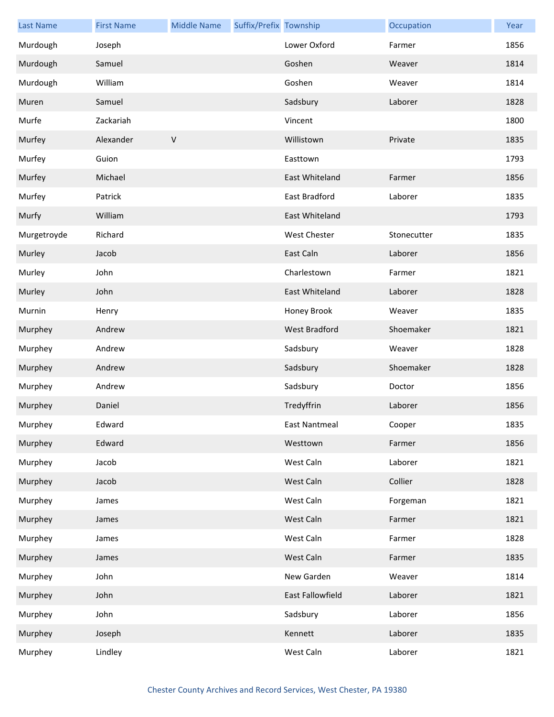| <b>Last Name</b> | <b>First Name</b> | <b>Middle Name</b> | Suffix/Prefix Township |                      | Occupation  | Year |
|------------------|-------------------|--------------------|------------------------|----------------------|-------------|------|
| Murdough         | Joseph            |                    |                        | Lower Oxford         | Farmer      | 1856 |
| Murdough         | Samuel            |                    |                        | Goshen               | Weaver      | 1814 |
| Murdough         | William           |                    |                        | Goshen               | Weaver      | 1814 |
| Muren            | Samuel            |                    |                        | Sadsbury             | Laborer     | 1828 |
| Murfe            | Zackariah         |                    |                        | Vincent              |             | 1800 |
| Murfey           | Alexander         | $\sf V$            |                        | Willistown           | Private     | 1835 |
| Murfey           | Guion             |                    |                        | Easttown             |             | 1793 |
| Murfey           | Michael           |                    |                        | East Whiteland       | Farmer      | 1856 |
| Murfey           | Patrick           |                    |                        | East Bradford        | Laborer     | 1835 |
| Murfy            | William           |                    |                        | East Whiteland       |             | 1793 |
| Murgetroyde      | Richard           |                    |                        | <b>West Chester</b>  | Stonecutter | 1835 |
| Murley           | Jacob             |                    |                        | East Caln            | Laborer     | 1856 |
| Murley           | John              |                    |                        | Charlestown          | Farmer      | 1821 |
| Murley           | John              |                    |                        | East Whiteland       | Laborer     | 1828 |
| Murnin           | Henry             |                    |                        | Honey Brook          | Weaver      | 1835 |
| Murphey          | Andrew            |                    |                        | <b>West Bradford</b> | Shoemaker   | 1821 |
| Murphey          | Andrew            |                    |                        | Sadsbury             | Weaver      | 1828 |
| Murphey          | Andrew            |                    |                        | Sadsbury             | Shoemaker   | 1828 |
| Murphey          | Andrew            |                    |                        | Sadsbury             | Doctor      | 1856 |
| Murphey          | Daniel            |                    |                        | Tredyffrin           | Laborer     | 1856 |
| Murphey          | Edward            |                    |                        | East Nantmeal        | Cooper      | 1835 |
| Murphey          | Edward            |                    |                        | Westtown             | Farmer      | 1856 |
| Murphey          | Jacob             |                    |                        | West Caln            | Laborer     | 1821 |
| Murphey          | Jacob             |                    |                        | West Caln            | Collier     | 1828 |
| Murphey          | James             |                    |                        | West Caln            | Forgeman    | 1821 |
| Murphey          | James             |                    |                        | West Caln            | Farmer      | 1821 |
| Murphey          | James             |                    |                        | West Caln            | Farmer      | 1828 |
| Murphey          | James             |                    |                        | West Caln            | Farmer      | 1835 |
| Murphey          | John              |                    |                        | New Garden           | Weaver      | 1814 |
| Murphey          | John              |                    |                        | East Fallowfield     | Laborer     | 1821 |
| Murphey          | John              |                    |                        | Sadsbury             | Laborer     | 1856 |
| Murphey          | Joseph            |                    |                        | Kennett              | Laborer     | 1835 |
| Murphey          | Lindley           |                    |                        | West Caln            | Laborer     | 1821 |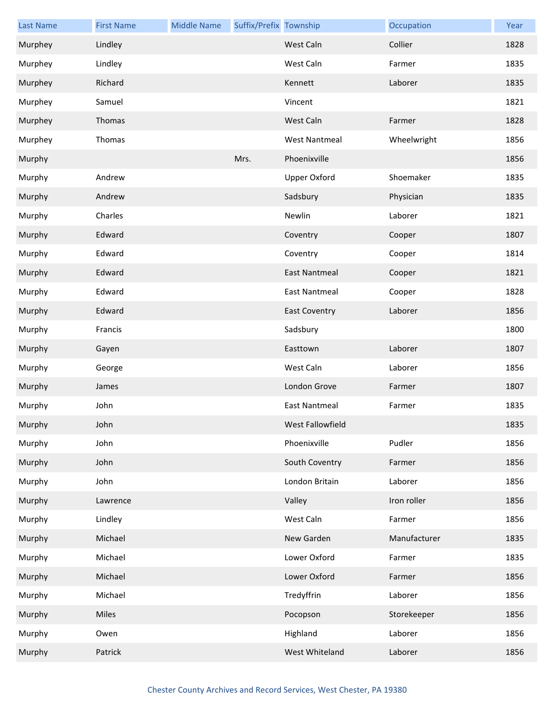| <b>Last Name</b> | <b>First Name</b> | <b>Middle Name</b> | Suffix/Prefix Township |                      | Occupation   | Year |
|------------------|-------------------|--------------------|------------------------|----------------------|--------------|------|
| Murphey          | Lindley           |                    |                        | West Caln            | Collier      | 1828 |
| Murphey          | Lindley           |                    |                        | West Caln            | Farmer       | 1835 |
| Murphey          | Richard           |                    |                        | Kennett              | Laborer      | 1835 |
| Murphey          | Samuel            |                    |                        | Vincent              |              | 1821 |
| Murphey          | Thomas            |                    |                        | West Caln            | Farmer       | 1828 |
| Murphey          | Thomas            |                    |                        | <b>West Nantmeal</b> | Wheelwright  | 1856 |
| Murphy           |                   |                    | Mrs.                   | Phoenixville         |              | 1856 |
| Murphy           | Andrew            |                    |                        | Upper Oxford         | Shoemaker    | 1835 |
| Murphy           | Andrew            |                    |                        | Sadsbury             | Physician    | 1835 |
| Murphy           | Charles           |                    |                        | Newlin               | Laborer      | 1821 |
| Murphy           | Edward            |                    |                        | Coventry             | Cooper       | 1807 |
| Murphy           | Edward            |                    |                        | Coventry             | Cooper       | 1814 |
| Murphy           | Edward            |                    |                        | <b>East Nantmeal</b> | Cooper       | 1821 |
| Murphy           | Edward            |                    |                        | <b>East Nantmeal</b> | Cooper       | 1828 |
| Murphy           | Edward            |                    |                        | <b>East Coventry</b> | Laborer      | 1856 |
| Murphy           | Francis           |                    |                        | Sadsbury             |              | 1800 |
| Murphy           | Gayen             |                    |                        | Easttown             | Laborer      | 1807 |
| Murphy           | George            |                    |                        | West Caln            | Laborer      | 1856 |
| Murphy           | James             |                    |                        | London Grove         | Farmer       | 1807 |
| Murphy           | John              |                    |                        | <b>East Nantmeal</b> | Farmer       | 1835 |
| Murphy           | John              |                    |                        | West Fallowfield     |              | 1835 |
| Murphy           | John              |                    |                        | Phoenixville         | Pudler       | 1856 |
| Murphy           | John              |                    |                        | South Coventry       | Farmer       | 1856 |
| Murphy           | John              |                    |                        | London Britain       | Laborer      | 1856 |
| Murphy           | Lawrence          |                    |                        | Valley               | Iron roller  | 1856 |
| Murphy           | Lindley           |                    |                        | West Caln            | Farmer       | 1856 |
| Murphy           | Michael           |                    |                        | New Garden           | Manufacturer | 1835 |
| Murphy           | Michael           |                    |                        | Lower Oxford         | Farmer       | 1835 |
| Murphy           | Michael           |                    |                        | Lower Oxford         | Farmer       | 1856 |
| Murphy           | Michael           |                    |                        | Tredyffrin           | Laborer      | 1856 |
| Murphy           | Miles             |                    |                        | Pocopson             | Storekeeper  | 1856 |
| Murphy           | Owen              |                    |                        | Highland             | Laborer      | 1856 |
| Murphy           | Patrick           |                    |                        | West Whiteland       | Laborer      | 1856 |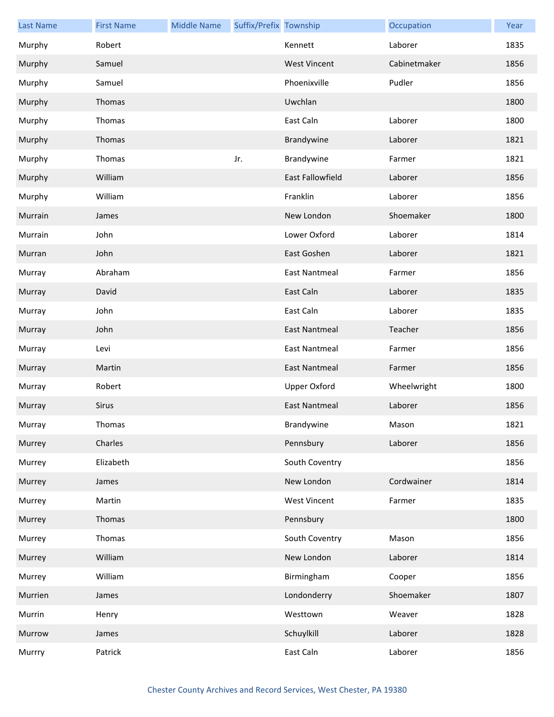| <b>Last Name</b> | <b>First Name</b> | <b>Middle Name</b> | Suffix/Prefix Township |                         | Occupation   | Year |
|------------------|-------------------|--------------------|------------------------|-------------------------|--------------|------|
| Murphy           | Robert            |                    |                        | Kennett                 | Laborer      | 1835 |
| Murphy           | Samuel            |                    |                        | <b>West Vincent</b>     | Cabinetmaker | 1856 |
| Murphy           | Samuel            |                    |                        | Phoenixville            | Pudler       | 1856 |
| Murphy           | Thomas            |                    |                        | Uwchlan                 |              | 1800 |
| Murphy           | Thomas            |                    |                        | East Caln               | Laborer      | 1800 |
| Murphy           | Thomas            |                    |                        | Brandywine              | Laborer      | 1821 |
| Murphy           | Thomas            |                    | Jr.                    | Brandywine              | Farmer       | 1821 |
| Murphy           | William           |                    |                        | <b>East Fallowfield</b> | Laborer      | 1856 |
| Murphy           | William           |                    |                        | Franklin                | Laborer      | 1856 |
| Murrain          | James             |                    |                        | New London              | Shoemaker    | 1800 |
| Murrain          | John              |                    |                        | Lower Oxford            | Laborer      | 1814 |
| Murran           | John              |                    |                        | East Goshen             | Laborer      | 1821 |
| Murray           | Abraham           |                    |                        | <b>East Nantmeal</b>    | Farmer       | 1856 |
| Murray           | David             |                    |                        | East Caln               | Laborer      | 1835 |
| Murray           | John              |                    |                        | East Caln               | Laborer      | 1835 |
| Murray           | John              |                    |                        | <b>East Nantmeal</b>    | Teacher      | 1856 |
| Murray           | Levi              |                    |                        | <b>East Nantmeal</b>    | Farmer       | 1856 |
| Murray           | Martin            |                    |                        | <b>East Nantmeal</b>    | Farmer       | 1856 |
| Murray           | Robert            |                    |                        | <b>Upper Oxford</b>     | Wheelwright  | 1800 |
| Murray           | <b>Sirus</b>      |                    |                        | <b>East Nantmeal</b>    | Laborer      | 1856 |
| Murray           | Thomas            |                    |                        | Brandywine              | Mason        | 1821 |
| Murrey           | Charles           |                    |                        | Pennsbury               | Laborer      | 1856 |
| Murrey           | Elizabeth         |                    |                        | South Coventry          |              | 1856 |
| Murrey           | James             |                    |                        | New London              | Cordwainer   | 1814 |
| Murrey           | Martin            |                    |                        | <b>West Vincent</b>     | Farmer       | 1835 |
| Murrey           | Thomas            |                    |                        | Pennsbury               |              | 1800 |
| Murrey           | Thomas            |                    |                        | South Coventry          | Mason        | 1856 |
| Murrey           | William           |                    |                        | New London              | Laborer      | 1814 |
| Murrey           | William           |                    |                        | Birmingham              | Cooper       | 1856 |
| Murrien          | James             |                    |                        | Londonderry             | Shoemaker    | 1807 |
| Murrin           | Henry             |                    |                        | Westtown                | Weaver       | 1828 |
| Murrow           | James             |                    |                        | Schuylkill              | Laborer      | 1828 |
| Murrry           | Patrick           |                    |                        | East Caln               | Laborer      | 1856 |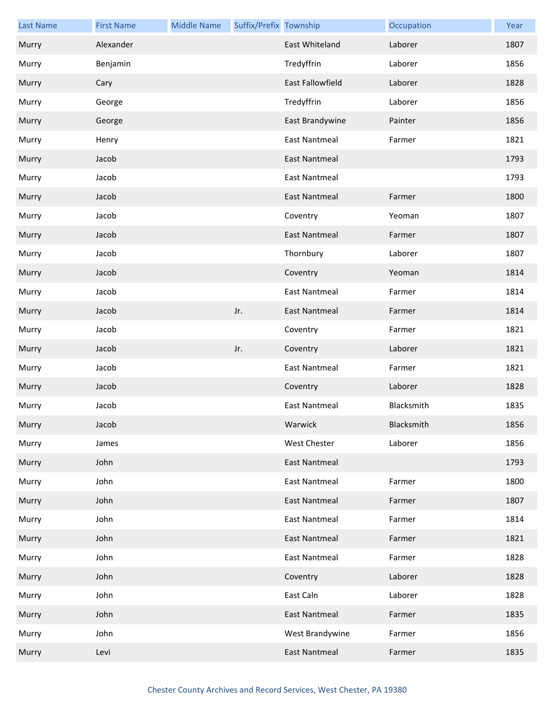| <b>Last Name</b> | <b>First Name</b> | <b>Middle Name</b> | Suffix/Prefix Township |                         | Occupation | Year |
|------------------|-------------------|--------------------|------------------------|-------------------------|------------|------|
| Murry            | Alexander         |                    |                        | East Whiteland          | Laborer    | 1807 |
| Murry            | Benjamin          |                    |                        | Tredyffrin              | Laborer    | 1856 |
| Murry            | Cary              |                    |                        | <b>East Fallowfield</b> | Laborer    | 1828 |
| Murry            | George            |                    |                        | Tredyffrin              | Laborer    | 1856 |
| Murry            | George            |                    |                        | East Brandywine         | Painter    | 1856 |
| Murry            | Henry             |                    |                        | <b>East Nantmeal</b>    | Farmer     | 1821 |
| Murry            | Jacob             |                    |                        | <b>East Nantmeal</b>    |            | 1793 |
| Murry            | Jacob             |                    |                        | <b>East Nantmeal</b>    |            | 1793 |
| Murry            | Jacob             |                    |                        | <b>East Nantmeal</b>    | Farmer     | 1800 |
| Murry            | Jacob             |                    |                        | Coventry                | Yeoman     | 1807 |
| Murry            | Jacob             |                    |                        | <b>East Nantmeal</b>    | Farmer     | 1807 |
| Murry            | Jacob             |                    |                        | Thornbury               | Laborer    | 1807 |
| Murry            | Jacob             |                    |                        | Coventry                | Yeoman     | 1814 |
| Murry            | Jacob             |                    |                        | <b>East Nantmeal</b>    | Farmer     | 1814 |
| Murry            | Jacob             |                    | Jr.                    | <b>East Nantmeal</b>    | Farmer     | 1814 |
| Murry            | Jacob             |                    |                        | Coventry                | Farmer     | 1821 |
| Murry            | Jacob             |                    | Jr.                    | Coventry                | Laborer    | 1821 |
| Murry            | Jacob             |                    |                        | <b>East Nantmeal</b>    | Farmer     | 1821 |
| Murry            | Jacob             |                    |                        | Coventry                | Laborer    | 1828 |
| Murry            | Jacob             |                    |                        | <b>East Nantmeal</b>    | Blacksmith | 1835 |
| Murry            | Jacob             |                    |                        | Warwick                 | Blacksmith | 1856 |
| Murry            | James             |                    |                        | <b>West Chester</b>     | Laborer    | 1856 |
| Murry            | John              |                    |                        | <b>East Nantmeal</b>    |            | 1793 |
| Murry            | John              |                    |                        | <b>East Nantmeal</b>    | Farmer     | 1800 |
| Murry            | John              |                    |                        | <b>East Nantmeal</b>    | Farmer     | 1807 |
| Murry            | John              |                    |                        | <b>East Nantmeal</b>    | Farmer     | 1814 |
| Murry            | John              |                    |                        | <b>East Nantmeal</b>    | Farmer     | 1821 |
| Murry            | John              |                    |                        | <b>East Nantmeal</b>    | Farmer     | 1828 |
| Murry            | John              |                    |                        | Coventry                | Laborer    | 1828 |
| Murry            | John              |                    |                        | East Caln               | Laborer    | 1828 |
| Murry            | John              |                    |                        | <b>East Nantmeal</b>    | Farmer     | 1835 |
| Murry            | John              |                    |                        | West Brandywine         | Farmer     | 1856 |
| Murry            | Levi              |                    |                        | <b>East Nantmeal</b>    | Farmer     | 1835 |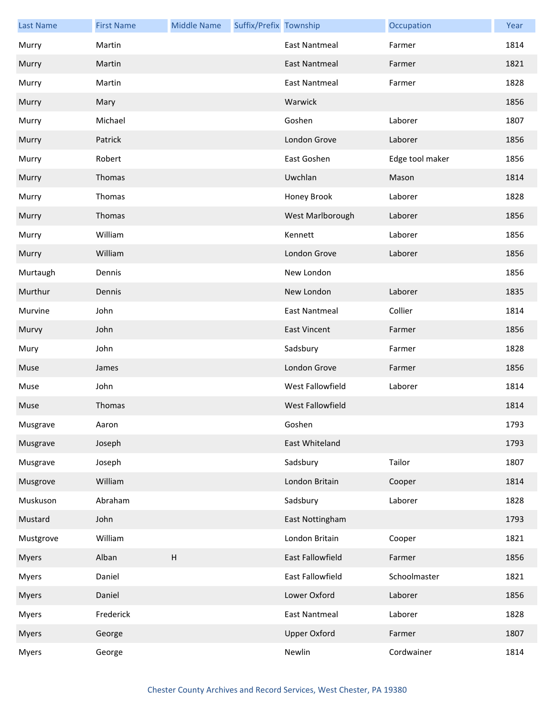| <b>Last Name</b> | <b>First Name</b> | <b>Middle Name</b>        | Suffix/Prefix Township |                         | Occupation      | Year |
|------------------|-------------------|---------------------------|------------------------|-------------------------|-----------------|------|
| Murry            | Martin            |                           |                        | <b>East Nantmeal</b>    | Farmer          | 1814 |
| Murry            | Martin            |                           |                        | <b>East Nantmeal</b>    | Farmer          | 1821 |
| Murry            | Martin            |                           |                        | <b>East Nantmeal</b>    | Farmer          | 1828 |
| Murry            | Mary              |                           |                        | Warwick                 |                 | 1856 |
| Murry            | Michael           |                           |                        | Goshen                  | Laborer         | 1807 |
| Murry            | Patrick           |                           |                        | London Grove            | Laborer         | 1856 |
| Murry            | Robert            |                           |                        | East Goshen             | Edge tool maker | 1856 |
| Murry            | Thomas            |                           |                        | Uwchlan                 | Mason           | 1814 |
| Murry            | Thomas            |                           |                        | Honey Brook             | Laborer         | 1828 |
| Murry            | Thomas            |                           |                        | West Marlborough        | Laborer         | 1856 |
| Murry            | William           |                           |                        | Kennett                 | Laborer         | 1856 |
| Murry            | William           |                           |                        | London Grove            | Laborer         | 1856 |
| Murtaugh         | Dennis            |                           |                        | New London              |                 | 1856 |
| Murthur          | Dennis            |                           |                        | New London              | Laborer         | 1835 |
| Murvine          | John              |                           |                        | <b>East Nantmeal</b>    | Collier         | 1814 |
| Murvy            | John              |                           |                        | <b>East Vincent</b>     | Farmer          | 1856 |
| Mury             | John              |                           |                        | Sadsbury                | Farmer          | 1828 |
| Muse             | James             |                           |                        | London Grove            | Farmer          | 1856 |
| Muse             | John              |                           |                        | West Fallowfield        | Laborer         | 1814 |
| Muse             | Thomas            |                           |                        | <b>West Fallowfield</b> |                 | 1814 |
| Musgrave         | Aaron             |                           |                        | Goshen                  |                 | 1793 |
| Musgrave         | Joseph            |                           |                        | East Whiteland          |                 | 1793 |
| Musgrave         | Joseph            |                           |                        | Sadsbury                | Tailor          | 1807 |
| Musgrove         | William           |                           |                        | London Britain          | Cooper          | 1814 |
| Muskuson         | Abraham           |                           |                        | Sadsbury                | Laborer         | 1828 |
| Mustard          | John              |                           |                        | East Nottingham         |                 | 1793 |
| Mustgrove        | William           |                           |                        | London Britain          | Cooper          | 1821 |
| <b>Myers</b>     | Alban             | $\boldsymbol{\mathsf{H}}$ |                        | East Fallowfield        | Farmer          | 1856 |
| Myers            | Daniel            |                           |                        | East Fallowfield        | Schoolmaster    | 1821 |
| <b>Myers</b>     | Daniel            |                           |                        | Lower Oxford            | Laborer         | 1856 |
| <b>Myers</b>     | Frederick         |                           |                        | <b>East Nantmeal</b>    | Laborer         | 1828 |
| <b>Myers</b>     | George            |                           |                        | <b>Upper Oxford</b>     | Farmer          | 1807 |
| <b>Myers</b>     | George            |                           |                        | Newlin                  | Cordwainer      | 1814 |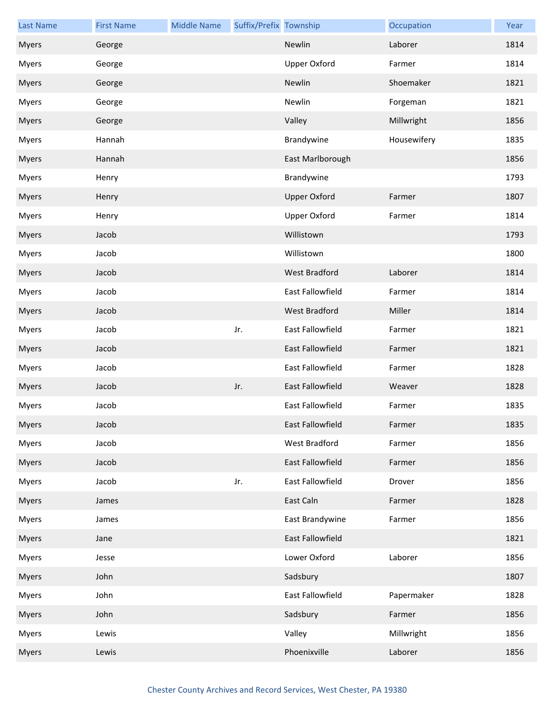| <b>Last Name</b> | <b>First Name</b> | <b>Middle Name</b> | Suffix/Prefix Township |                     | Occupation  | Year |
|------------------|-------------------|--------------------|------------------------|---------------------|-------------|------|
| <b>Myers</b>     | George            |                    |                        | Newlin              | Laborer     | 1814 |
| Myers            | George            |                    |                        | <b>Upper Oxford</b> | Farmer      | 1814 |
| <b>Myers</b>     | George            |                    |                        | Newlin              | Shoemaker   | 1821 |
| <b>Myers</b>     | George            |                    |                        | Newlin              | Forgeman    | 1821 |
| <b>Myers</b>     | George            |                    |                        | Valley              | Millwright  | 1856 |
| <b>Myers</b>     | Hannah            |                    |                        | Brandywine          | Housewifery | 1835 |
| <b>Myers</b>     | Hannah            |                    |                        | East Marlborough    |             | 1856 |
| <b>Myers</b>     | Henry             |                    |                        | Brandywine          |             | 1793 |
| <b>Myers</b>     | Henry             |                    |                        | <b>Upper Oxford</b> | Farmer      | 1807 |
| <b>Myers</b>     | Henry             |                    |                        | <b>Upper Oxford</b> | Farmer      | 1814 |
| <b>Myers</b>     | Jacob             |                    |                        | Willistown          |             | 1793 |
| <b>Myers</b>     | Jacob             |                    |                        | Willistown          |             | 1800 |
| <b>Myers</b>     | Jacob             |                    |                        | West Bradford       | Laborer     | 1814 |
| <b>Myers</b>     | Jacob             |                    |                        | East Fallowfield    | Farmer      | 1814 |
| <b>Myers</b>     | Jacob             |                    |                        | West Bradford       | Miller      | 1814 |
| <b>Myers</b>     | Jacob             |                    | Jr.                    | East Fallowfield    | Farmer      | 1821 |
| <b>Myers</b>     | Jacob             |                    |                        | East Fallowfield    | Farmer      | 1821 |
| <b>Myers</b>     | Jacob             |                    |                        | East Fallowfield    | Farmer      | 1828 |
| <b>Myers</b>     | Jacob             |                    | Jr.                    | East Fallowfield    | Weaver      | 1828 |
| <b>Myers</b>     | Jacob             |                    |                        | East Fallowfield    | Farmer      | 1835 |
| <b>Myers</b>     | Jacob             |                    |                        | East Fallowfield    | Farmer      | 1835 |
| <b>Myers</b>     | Jacob             |                    |                        | West Bradford       | Farmer      | 1856 |
| <b>Myers</b>     | Jacob             |                    |                        | East Fallowfield    | Farmer      | 1856 |
| Myers            | Jacob             |                    | Jr.                    | East Fallowfield    | Drover      | 1856 |
| <b>Myers</b>     | James             |                    |                        | East Caln           | Farmer      | 1828 |
| Myers            | James             |                    |                        | East Brandywine     | Farmer      | 1856 |
| <b>Myers</b>     | Jane              |                    |                        | East Fallowfield    |             | 1821 |
| <b>Myers</b>     | Jesse             |                    |                        | Lower Oxford        | Laborer     | 1856 |
| <b>Myers</b>     | John              |                    |                        | Sadsbury            |             | 1807 |
| <b>Myers</b>     | John              |                    |                        | East Fallowfield    | Papermaker  | 1828 |
| <b>Myers</b>     | John              |                    |                        | Sadsbury            | Farmer      | 1856 |
| <b>Myers</b>     | Lewis             |                    |                        | Valley              | Millwright  | 1856 |
| <b>Myers</b>     | Lewis             |                    |                        | Phoenixville        | Laborer     | 1856 |